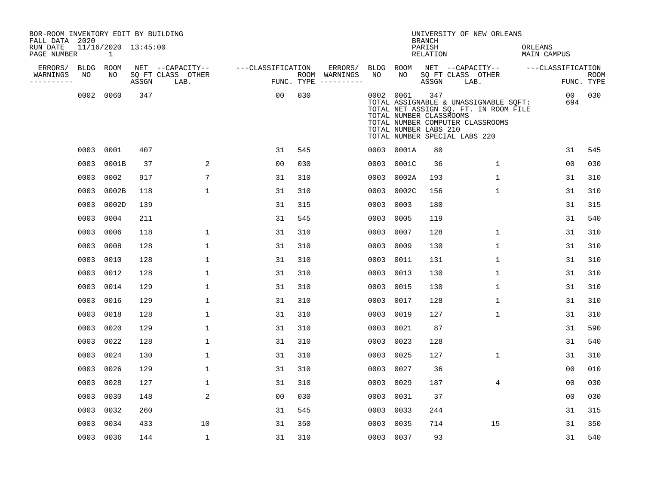| BOR-ROOM INVENTORY EDIT BY BUILDING<br>FALL DATA 2020 |                                     |       |                           |                   |                          |            |            | <b>BRANCH</b>                                           | UNIVERSITY OF NEW ORLEANS                                                                                                                           |                               |                           |
|-------------------------------------------------------|-------------------------------------|-------|---------------------------|-------------------|--------------------------|------------|------------|---------------------------------------------------------|-----------------------------------------------------------------------------------------------------------------------------------------------------|-------------------------------|---------------------------|
| RUN DATE<br>PAGE NUMBER                               | 11/16/2020 13:45:00<br>$\mathbf{1}$ |       |                           |                   |                          |            |            | PARISH<br><b>RELATION</b>                               |                                                                                                                                                     | ORLEANS<br><b>MAIN CAMPUS</b> |                           |
| ERRORS/<br>BLDG<br>WARNINGS<br>NO                     | ROOM<br>NO                          |       | NET --CAPACITY--          | ---CLASSIFICATION | ERRORS/<br>ROOM WARNINGS | BLDG<br>NO | ROOM<br>NO |                                                         | NET --CAPACITY--                                                                                                                                    | ---CLASSIFICATION             |                           |
| ----------                                            |                                     | ASSGN | SQ FT CLASS OTHER<br>LAB. |                   | FUNC. TYPE $------$      |            |            | ASSGN                                                   | SQ FT CLASS OTHER<br>LAB.                                                                                                                           |                               | <b>ROOM</b><br>FUNC. TYPE |
|                                                       | 0002 0060                           | 347   |                           | 0 <sub>0</sub>    | 030                      |            | 0002 0061  | 347<br>TOTAL NUMBER CLASSROOMS<br>TOTAL NUMBER LABS 210 | TOTAL ASSIGNABLE & UNASSIGNABLE SQFT:<br>TOTAL NET ASSIGN SQ. FT. IN ROOM FILE<br>TOTAL NUMBER COMPUTER CLASSROOMS<br>TOTAL NUMBER SPECIAL LABS 220 | 00<br>694                     | 030                       |
|                                                       | 0003 0001                           | 407   |                           | 31                | 545                      |            | 0003 0001A | 80                                                      |                                                                                                                                                     | 31                            | 545                       |
|                                                       | 0003 0001B                          | 37    | 2                         | 0 <sub>0</sub>    | 030                      | 0003       | 0001C      | 36                                                      | $\mathbf{1}$                                                                                                                                        | 0 <sub>0</sub>                | 030                       |
|                                                       | 0003 0002                           | 917   | $7\phantom{.0}$           | 31                | 310                      | 0003       | 0002A      | 193                                                     | $\mathbf{1}$                                                                                                                                        | 31                            | 310                       |
|                                                       | 0003 0002B                          | 118   | $\mathbf{1}$              | 31                | 310                      | 0003       | 0002C      | 156                                                     | $\mathbf{1}$                                                                                                                                        | 31                            | 310                       |
|                                                       | 0003 0002D                          | 139   |                           | 31                | 315                      | 0003       | 0003       | 180                                                     |                                                                                                                                                     | 31                            | 315                       |
|                                                       | 0003 0004                           | 211   |                           | 31                | 545                      | 0003       | 0005       | 119                                                     |                                                                                                                                                     | 31                            | 540                       |
|                                                       | 0003 0006                           | 118   | $\mathbf{1}$              | 31                | 310                      | 0003       | 0007       | 128                                                     | $\mathbf{1}$                                                                                                                                        | 31                            | 310                       |
|                                                       | 0003 0008                           | 128   | $\mathbf{1}$              | 31                | 310                      | 0003       | 0009       | 130                                                     | $\mathbf{1}$                                                                                                                                        | 31                            | 310                       |
| 0003                                                  | 0010                                | 128   | 1                         | 31                | 310                      | 0003       | 0011       | 131                                                     | 1                                                                                                                                                   | 31                            | 310                       |
|                                                       | 0003 0012                           | 128   | $\mathbf{1}$              | 31                | 310                      | 0003       | 0013       | 130                                                     | 1                                                                                                                                                   | 31                            | 310                       |
|                                                       | 0003 0014                           | 129   | 1                         | 31                | 310                      | 0003       | 0015       | 130                                                     | 1                                                                                                                                                   | 31                            | 310                       |
|                                                       | 0003 0016                           | 129   | $\mathbf{1}$              | 31                | 310                      | 0003       | 0017       | 128                                                     | $\mathbf{1}$                                                                                                                                        | 31                            | 310                       |
|                                                       | 0003 0018                           | 128   | $\mathbf{1}$              | 31                | 310                      | 0003       | 0019       | 127                                                     | $\mathbf{1}$                                                                                                                                        | 31                            | 310                       |
| 0003                                                  | 0020                                | 129   | $\mathbf 1$               | 31                | 310                      | 0003       | 0021       | 87                                                      |                                                                                                                                                     | 31                            | 590                       |
|                                                       | 0003 0022                           | 128   | 1                         | 31                | 310                      | 0003       | 0023       | 128                                                     |                                                                                                                                                     | 31                            | 540                       |
|                                                       | 0003 0024                           | 130   | $\mathbf{1}$              | 31                | 310                      | 0003       | 0025       | 127                                                     | $\mathbf{1}$                                                                                                                                        | 31                            | 310                       |
|                                                       | 0003 0026                           | 129   | $\mathbf{1}$              | 31                | 310                      | 0003       | 0027       | 36                                                      |                                                                                                                                                     | 0 <sub>0</sub>                | 010                       |
| 0003                                                  | 0028                                | 127   | 1                         | 31                | 310                      | 0003       | 0029       | 187                                                     | 4                                                                                                                                                   | 00                            | 030                       |
|                                                       | 0003 0030                           | 148   | 2                         | 0 <sub>0</sub>    | 030                      | 0003       | 0031       | 37                                                      |                                                                                                                                                     | 0 <sub>0</sub>                | 030                       |
|                                                       | 0003 0032                           | 260   |                           | 31                | 545                      | 0003       | 0033       | 244                                                     |                                                                                                                                                     | 31                            | 315                       |
|                                                       | 0003 0034                           | 433   | 10                        | 31                | 350                      | 0003       | 0035       | 714                                                     | 15                                                                                                                                                  | 31                            | 350                       |
|                                                       | 0003 0036                           | 144   | $\mathbf 1$               | 31                | 310                      |            | 0003 0037  | 93                                                      |                                                                                                                                                     | 31                            | 540                       |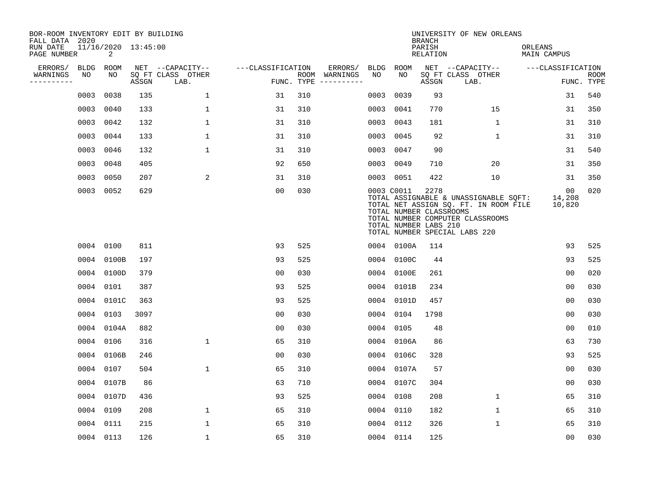| BOR-ROOM INVENTORY EDIT BY BUILDING<br>FALL DATA 2020 |             |                          |       |                           |                   |     |                                      |             |                                                                | <b>BRANCH</b>             | UNIVERSITY OF NEW ORLEANS                                                                                                                           |                               |                           |
|-------------------------------------------------------|-------------|--------------------------|-------|---------------------------|-------------------|-----|--------------------------------------|-------------|----------------------------------------------------------------|---------------------------|-----------------------------------------------------------------------------------------------------------------------------------------------------|-------------------------------|---------------------------|
| RUN DATE<br>PAGE NUMBER                               |             | 11/16/2020 13:45:00<br>2 |       |                           |                   |     |                                      |             |                                                                | PARISH<br><b>RELATION</b> |                                                                                                                                                     | ORLEANS<br><b>MAIN CAMPUS</b> |                           |
| ERRORS/                                               | <b>BLDG</b> | ROOM                     |       | NET --CAPACITY--          | ---CLASSIFICATION |     | ERRORS/                              | <b>BLDG</b> | <b>ROOM</b>                                                    |                           | NET --CAPACITY--                                                                                                                                    | ---CLASSIFICATION             |                           |
| WARNINGS<br>----------                                | NO          | NO                       | ASSGN | SQ FT CLASS OTHER<br>LAB. |                   |     | ROOM WARNINGS<br>FUNC. TYPE $------$ | NO          | NO                                                             | ASSGN                     | SQ FT CLASS OTHER<br>LAB.                                                                                                                           |                               | <b>ROOM</b><br>FUNC. TYPE |
|                                                       | 0003        | 0038                     | 135   | $\mathbf{1}$              | 31                | 310 |                                      | 0003        | 0039                                                           | 93                        |                                                                                                                                                     | 31                            | 540                       |
|                                                       | 0003        | 0040                     | 133   | $\mathbf 1$               | 31                | 310 |                                      | 0003        | 0041                                                           | 770                       | 15                                                                                                                                                  | 31                            | 350                       |
|                                                       |             | 0003 0042                | 132   | $\mathbf{1}$              | 31                | 310 |                                      | 0003        | 0043                                                           | 181                       | 1                                                                                                                                                   | 31                            | 310                       |
|                                                       |             | 0003 0044                | 133   | $\mathbf{1}$              | 31                | 310 |                                      | 0003        | 0045                                                           | 92                        | $\mathbf{1}$                                                                                                                                        | 31                            | 310                       |
|                                                       | 0003 0046   |                          | 132   | $\mathbf 1$               | 31                | 310 |                                      | 0003        | 0047                                                           | 90                        |                                                                                                                                                     | 31                            | 540                       |
|                                                       | 0003 0048   |                          | 405   |                           | 92                | 650 |                                      |             | 0003 0049                                                      | 710                       | 20                                                                                                                                                  | 31                            | 350                       |
|                                                       | 0003 0050   |                          | 207   | 2                         | 31                | 310 |                                      |             | 0003 0051                                                      | 422                       | 10                                                                                                                                                  | 31                            | 350                       |
|                                                       |             | 0003 0052                | 629   |                           | 0 <sub>0</sub>    | 030 |                                      |             | 0003 C0011<br>TOTAL NUMBER CLASSROOMS<br>TOTAL NUMBER LABS 210 | 2278                      | TOTAL ASSIGNABLE & UNASSIGNABLE SQFT:<br>TOTAL NET ASSIGN SQ. FT. IN ROOM FILE<br>TOTAL NUMBER COMPUTER CLASSROOMS<br>TOTAL NUMBER SPECIAL LABS 220 | 00<br>14,208<br>10,820        | 020                       |
|                                                       | 0004 0100   |                          | 811   |                           | 93                | 525 |                                      |             | 0004 0100A                                                     | 114                       |                                                                                                                                                     | 93                            | 525                       |
|                                                       |             | 0004 0100B               | 197   |                           | 93                | 525 |                                      |             | 0004 0100C                                                     | 44                        |                                                                                                                                                     | 93                            | 525                       |
|                                                       |             | 0004 0100D               | 379   |                           | 00                | 030 |                                      | 0004        | 0100E                                                          | 261                       |                                                                                                                                                     | 0 <sub>0</sub>                | 020                       |
|                                                       |             | 0004 0101                | 387   |                           | 93                | 525 |                                      | 0004        | 0101B                                                          | 234                       |                                                                                                                                                     | 0 <sub>0</sub>                | 030                       |
|                                                       |             | 0004 0101C               | 363   |                           | 93                | 525 |                                      | 0004        | 0101D                                                          | 457                       |                                                                                                                                                     | 00                            | 030                       |
|                                                       |             | 0004 0103                | 3097  |                           | 0 <sub>0</sub>    | 030 |                                      | 0004        | 0104                                                           | 1798                      |                                                                                                                                                     | 00                            | 030                       |
|                                                       |             | 0004 0104A               | 882   |                           | 0 <sub>0</sub>    | 030 |                                      | 0004        | 0105                                                           | 48                        |                                                                                                                                                     | 0 <sub>0</sub>                | 010                       |
|                                                       |             | 0004 0106                | 316   | $\mathbf{1}$              | 65                | 310 |                                      |             | 0004 0106A                                                     | 86                        |                                                                                                                                                     | 63                            | 730                       |
|                                                       |             | 0004 0106B               | 246   |                           | 0 <sub>0</sub>    | 030 |                                      |             | 0004 0106C                                                     | 328                       |                                                                                                                                                     | 93                            | 525                       |
|                                                       |             | 0004 0107                | 504   | 1                         | 65                | 310 |                                      |             | 0004 0107A                                                     | 57                        |                                                                                                                                                     | 0 <sub>0</sub>                | 030                       |
|                                                       |             | 0004 0107B               | 86    |                           | 63                | 710 |                                      |             | 0004 0107C                                                     | 304                       |                                                                                                                                                     | 0 <sub>0</sub>                | 030                       |
|                                                       |             | 0004 0107D               | 436   |                           | 93                | 525 |                                      |             | 0004 0108                                                      | 208                       | $\mathbf{1}$                                                                                                                                        | 65                            | 310                       |
|                                                       | 0004 0109   |                          | 208   | $\mathbf{1}$              | 65                | 310 |                                      |             | 0004 0110                                                      | 182                       | $\mathbf{1}$                                                                                                                                        | 65                            | 310                       |
|                                                       | 0004 0111   |                          | 215   | $\mathbf{1}$              | 65                | 310 |                                      |             | 0004 0112                                                      | 326                       | $\mathbf 1$                                                                                                                                         | 65                            | 310                       |
|                                                       |             | 0004 0113                | 126   | $\mathbf{1}$              | 65                | 310 |                                      |             | 0004 0114                                                      | 125                       |                                                                                                                                                     | 0 <sub>0</sub>                | 030                       |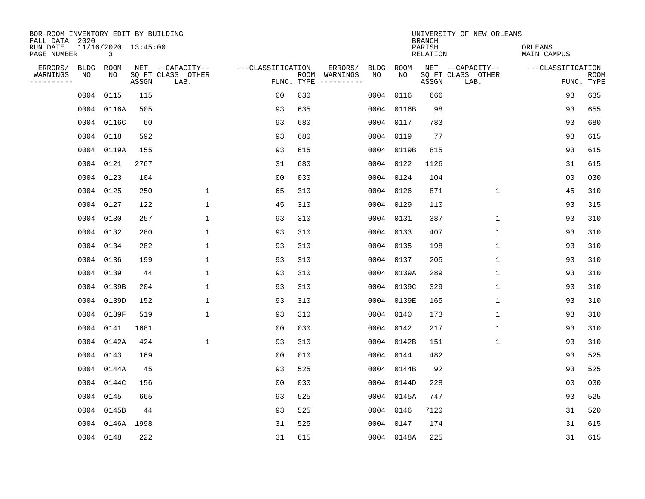| BOR-ROOM INVENTORY EDIT BY BUILDING<br>FALL DATA 2020 |           |                          |       |                           |                   |            |                              |             |             | <b>BRANCH</b>             | UNIVERSITY OF NEW ORLEANS |                               |                           |
|-------------------------------------------------------|-----------|--------------------------|-------|---------------------------|-------------------|------------|------------------------------|-------------|-------------|---------------------------|---------------------------|-------------------------------|---------------------------|
| RUN DATE<br>PAGE NUMBER                               |           | 11/16/2020 13:45:00<br>3 |       |                           |                   |            |                              |             |             | PARISH<br><b>RELATION</b> |                           | ORLEANS<br><b>MAIN CAMPUS</b> |                           |
| ERRORS/                                               | BLDG      | ROOM                     |       | NET --CAPACITY--          | ---CLASSIFICATION |            | ERRORS/                      | <b>BLDG</b> | <b>ROOM</b> |                           | NET --CAPACITY--          | ---CLASSIFICATION             |                           |
| WARNINGS<br>----------                                | ΝO        | NO                       | ASSGN | SQ FT CLASS OTHER<br>LAB. |                   | FUNC. TYPE | ROOM WARNINGS<br>----------- | NO          | NO          | ASSGN                     | SQ FT CLASS OTHER<br>LAB. |                               | <b>ROOM</b><br>FUNC. TYPE |
|                                                       | 0004      | 0115                     | 115   |                           | 0 <sub>0</sub>    | 030        |                              | 0004        | 0116        | 666                       |                           | 93                            | 635                       |
|                                                       |           | 0004 0116A               | 505   |                           | 93                | 635        |                              | 0004        | 0116B       | 98                        |                           | 93                            | 655                       |
|                                                       |           | 0004 0116C               | 60    |                           | 93                | 680        |                              | 0004        | 0117        | 783                       |                           | 93                            | 680                       |
|                                                       | 0004 0118 |                          | 592   |                           | 93                | 680        |                              | 0004        | 0119        | 77                        |                           | 93                            | 615                       |
|                                                       |           | 0004 0119A               | 155   |                           | 93                | 615        |                              | 0004        | 0119B       | 815                       |                           | 93                            | 615                       |
|                                                       | 0004 0121 |                          | 2767  |                           | 31                | 680        |                              |             | 0004 0122   | 1126                      |                           | 31                            | 615                       |
|                                                       | 0004 0123 |                          | 104   |                           | 0 <sub>0</sub>    | 030        |                              | 0004        | 0124        | 104                       |                           | 00                            | 030                       |
|                                                       | 0004 0125 |                          | 250   | 1                         | 65                | 310        |                              | 0004        | 0126        | 871                       | $\mathbf{1}$              | 45                            | 310                       |
|                                                       | 0004 0127 |                          | 122   | 1                         | 45                | 310        |                              | 0004        | 0129        | 110                       |                           | 93                            | 315                       |
|                                                       | 0004 0130 |                          | 257   | $\mathbf{1}$              | 93                | 310        |                              |             | 0004 0131   | 387                       | $\mathbf{1}$              | 93                            | 310                       |
|                                                       | 0004 0132 |                          | 280   | $\mathbf{1}$              | 93                | 310        |                              | 0004        | 0133        | 407                       | $\mathbf{1}$              | 93                            | 310                       |
|                                                       | 0004 0134 |                          | 282   | $\mathbf{1}$              | 93                | 310        |                              | 0004        | 0135        | 198                       | $\mathbf{1}$              | 93                            | 310                       |
|                                                       | 0004 0136 |                          | 199   | $\mathbf{1}$              | 93                | 310        |                              | 0004        | 0137        | 205                       | $\mathbf{1}$              | 93                            | 310                       |
|                                                       | 0004 0139 |                          | 44    | 1                         | 93                | 310        |                              | 0004        | 0139A       | 289                       | 1                         | 93                            | 310                       |
|                                                       |           | 0004 0139B               | 204   | 1                         | 93                | 310        |                              | 0004        | 0139C       | 329                       | 1                         | 93                            | 310                       |
|                                                       |           | 0004 0139D               | 152   | 1                         | 93                | 310        |                              | 0004        | 0139E       | 165                       | 1                         | 93                            | 310                       |
|                                                       |           | 0004 0139F               | 519   | $\mathbf{1}$              | 93                | 310        |                              | 0004        | 0140        | 173                       | 1                         | 93                            | 310                       |
|                                                       |           | 0004 0141                | 1681  |                           | 0 <sub>0</sub>    | 030        |                              | 0004        | 0142        | 217                       | 1                         | 93                            | 310                       |
|                                                       |           | 0004 0142A               | 424   | $\mathbf{1}$              | 93                | 310        |                              |             | 0004 0142B  | 151                       | 1                         | 93                            | 310                       |
|                                                       | 0004 0143 |                          | 169   |                           | 0 <sub>0</sub>    | 010        |                              |             | 0004 0144   | 482                       |                           | 93                            | 525                       |
|                                                       |           | 0004 0144A               | 45    |                           | 93                | 525        |                              |             | 0004 0144B  | 92                        |                           | 93                            | 525                       |
|                                                       |           | 0004 0144C               | 156   |                           | 0 <sub>0</sub>    | 030        |                              | 0004        | 0144D       | 228                       |                           | 0 <sub>0</sub>                | 030                       |
|                                                       | 0004 0145 |                          | 665   |                           | 93                | 525        |                              |             | 0004 0145A  | 747                       |                           | 93                            | 525                       |
|                                                       |           | 0004 0145B               | 44    |                           | 93                | 525        |                              | 0004        | 0146        | 7120                      |                           | 31                            | 520                       |
|                                                       |           | 0004 0146A 1998          |       |                           | 31                | 525        |                              |             | 0004 0147   | 174                       |                           | 31                            | 615                       |
|                                                       | 0004 0148 |                          | 222   |                           | 31                | 615        |                              |             | 0004 0148A  | 225                       |                           | 31                            | 615                       |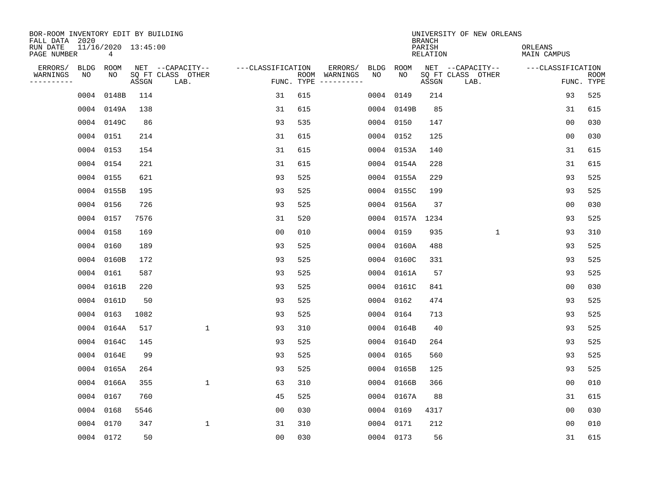| BOR-ROOM INVENTORY EDIT BY BUILDING<br>FALL DATA 2020<br>RUN DATE<br>PAGE NUMBER |                   | 11/16/2020 13:45:00<br>$4\overline{ }$ |       |                                               |                                 |     |                          |            |                 | <b>BRANCH</b><br>PARISH<br>RELATION | UNIVERSITY OF NEW ORLEANS                     | ORLEANS<br>MAIN CAMPUS |                           |
|----------------------------------------------------------------------------------|-------------------|----------------------------------------|-------|-----------------------------------------------|---------------------------------|-----|--------------------------|------------|-----------------|-------------------------------------|-----------------------------------------------|------------------------|---------------------------|
| ERRORS/<br>WARNINGS<br>----------                                                | <b>BLDG</b><br>NO | ROOM<br>NO                             | ASSGN | NET --CAPACITY--<br>SQ FT CLASS OTHER<br>LAB. | ---CLASSIFICATION<br>FUNC. TYPE |     | ERRORS/<br>ROOM WARNINGS | BLDG<br>NO | ROOM<br>NO      | ASSGN                               | NET --CAPACITY--<br>SQ FT CLASS OTHER<br>LAB. | ---CLASSIFICATION      | <b>ROOM</b><br>FUNC. TYPE |
|                                                                                  | 0004              | 0148B                                  | 114   |                                               | 31                              | 615 |                          | 0004       | 0149            | 214                                 |                                               | 93                     | 525                       |
|                                                                                  |                   | 0004 0149A                             | 138   |                                               | 31                              | 615 |                          |            | 0004 0149B      | 85                                  |                                               | 31                     | 615                       |
|                                                                                  |                   | 0004 0149C                             | 86    |                                               | 93                              | 535 |                          |            | 0004 0150       | 147                                 |                                               | 0 <sub>0</sub>         | 030                       |
|                                                                                  | 0004 0151         |                                        | 214   |                                               | 31                              | 615 |                          |            | 0004 0152       | 125                                 |                                               | 0 <sub>0</sub>         | 030                       |
|                                                                                  | 0004 0153         |                                        | 154   |                                               | 31                              | 615 |                          |            | 0004 0153A      | 140                                 |                                               | 31                     | 615                       |
|                                                                                  | 0004 0154         |                                        | 221   |                                               | 31                              | 615 |                          |            | 0004 0154A      | 228                                 |                                               | 31                     | 615                       |
|                                                                                  | 0004 0155         |                                        | 621   |                                               | 93                              | 525 |                          |            | 0004 0155A      | 229                                 |                                               | 93                     | 525                       |
|                                                                                  |                   | 0004 0155B                             | 195   |                                               | 93                              | 525 |                          |            | 0004 0155C      | 199                                 |                                               | 93                     | 525                       |
|                                                                                  | 0004 0156         |                                        | 726   |                                               | 93                              | 525 |                          |            | 0004 0156A      | 37                                  |                                               | 00                     | 030                       |
|                                                                                  | 0004 0157         |                                        | 7576  |                                               | 31                              | 520 |                          |            | 0004 0157A 1234 |                                     |                                               | 93                     | 525                       |
|                                                                                  | 0004 0158         |                                        | 169   |                                               | 0 <sub>0</sub>                  | 010 |                          |            | 0004 0159       | 935                                 | 1                                             | 93                     | 310                       |
|                                                                                  | 0004 0160         |                                        | 189   |                                               | 93                              | 525 |                          |            | 0004 0160A      | 488                                 |                                               | 93                     | 525                       |
|                                                                                  |                   | 0004 0160B                             | 172   |                                               | 93                              | 525 |                          | 0004       | 0160C           | 331                                 |                                               | 93                     | 525                       |
|                                                                                  | 0004 0161         |                                        | 587   |                                               | 93                              | 525 |                          |            | 0004 0161A      | 57                                  |                                               | 93                     | 525                       |
|                                                                                  |                   | 0004 0161B                             | 220   |                                               | 93                              | 525 |                          |            | 0004 0161C      | 841                                 |                                               | 0 <sub>0</sub>         | 030                       |
|                                                                                  |                   | 0004 0161D                             | 50    |                                               | 93                              | 525 |                          | 0004       | 0162            | 474                                 |                                               | 93                     | 525                       |
|                                                                                  | 0004 0163         |                                        | 1082  |                                               | 93                              | 525 |                          | 0004       | 0164            | 713                                 |                                               | 93                     | 525                       |
|                                                                                  |                   | 0004 0164A                             | 517   | 1                                             | 93                              | 310 |                          |            | 0004 0164B      | 40                                  |                                               | 93                     | 525                       |
|                                                                                  |                   | 0004 0164C                             | 145   |                                               | 93                              | 525 |                          |            | 0004 0164D      | 264                                 |                                               | 93                     | 525                       |
|                                                                                  |                   | 0004 0164E                             | 99    |                                               | 93                              | 525 |                          |            | 0004 0165       | 560                                 |                                               | 93                     | 525                       |
|                                                                                  |                   | 0004 0165A                             | 264   |                                               | 93                              | 525 |                          |            | 0004 0165B      | 125                                 |                                               | 93                     | 525                       |
|                                                                                  |                   | 0004 0166A                             | 355   | $\mathbf{1}$                                  | 63                              | 310 |                          |            | 0004 0166B      | 366                                 |                                               | 0 <sub>0</sub>         | 010                       |
|                                                                                  | 0004 0167         |                                        | 760   |                                               | 45                              | 525 |                          |            | 0004 0167A      | 88                                  |                                               | 31                     | 615                       |
|                                                                                  | 0004 0168         |                                        | 5546  |                                               | 00                              | 030 |                          |            | 0004 0169       | 4317                                |                                               | 0 <sub>0</sub>         | 030                       |
|                                                                                  | 0004 0170         |                                        | 347   | 1                                             | 31                              | 310 |                          |            | 0004 0171       | 212                                 |                                               | 0 <sub>0</sub>         | 010                       |
|                                                                                  | 0004 0172         |                                        | 50    |                                               | 00                              | 030 |                          |            | 0004 0173       | 56                                  |                                               | 31                     | 615                       |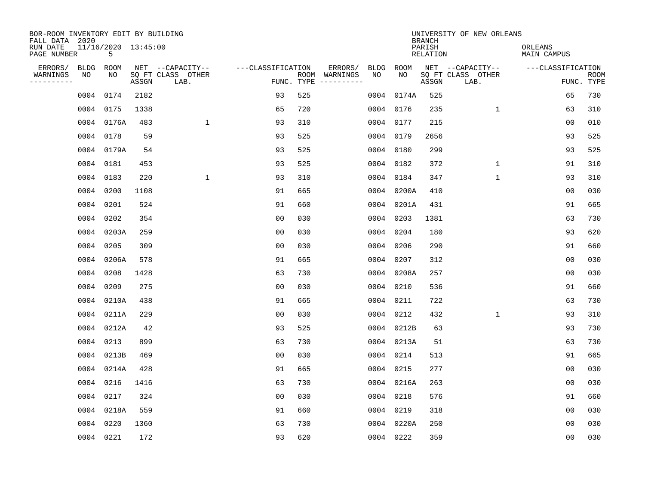| BOR-ROOM INVENTORY EDIT BY BUILDING<br>FALL DATA 2020 |           |                          |       |                           |                   |            |               |      |            | <b>BRANCH</b>             | UNIVERSITY OF NEW ORLEANS |                               |                           |
|-------------------------------------------------------|-----------|--------------------------|-------|---------------------------|-------------------|------------|---------------|------|------------|---------------------------|---------------------------|-------------------------------|---------------------------|
| RUN DATE<br>PAGE NUMBER                               |           | 11/16/2020 13:45:00<br>5 |       |                           |                   |            |               |      |            | PARISH<br><b>RELATION</b> |                           | ORLEANS<br><b>MAIN CAMPUS</b> |                           |
| ERRORS/                                               | BLDG      | ROOM                     |       | NET --CAPACITY--          | ---CLASSIFICATION |            | ERRORS/       | BLDG | ROOM       |                           | NET --CAPACITY--          | ---CLASSIFICATION             |                           |
| WARNINGS<br>-----------                               | ΝO        | NO                       | ASSGN | SQ FT CLASS OTHER<br>LAB. |                   | FUNC. TYPE | ROOM WARNINGS | NO   | NO         | ASSGN                     | SQ FT CLASS OTHER<br>LAB. |                               | <b>ROOM</b><br>FUNC. TYPE |
|                                                       | 0004 0174 |                          | 2182  |                           | 93                | 525        |               | 0004 | 0174A      | 525                       |                           | 65                            | 730                       |
|                                                       | 0004 0175 |                          | 1338  |                           | 65                | 720        |               | 0004 | 0176       | 235                       | 1                         | 63                            | 310                       |
|                                                       |           | 0004 0176A               | 483   | $\mathbf 1$               | 93                | 310        |               | 0004 | 0177       | 215                       |                           | 0 <sub>0</sub>                | 010                       |
|                                                       | 0004 0178 |                          | 59    |                           | 93                | 525        |               | 0004 | 0179       | 2656                      |                           | 93                            | 525                       |
|                                                       |           | 0004 0179A               | 54    |                           | 93                | 525        |               | 0004 | 0180       | 299                       |                           | 93                            | 525                       |
|                                                       | 0004 0181 |                          | 453   |                           | 93                | 525        |               |      | 0004 0182  | 372                       | $\mathbf 1$               | 91                            | 310                       |
|                                                       | 0004 0183 |                          | 220   | $\mathbf{1}$              | 93                | 310        |               | 0004 | 0184       | 347                       | $\mathbf{1}$              | 93                            | 310                       |
|                                                       | 0004 0200 |                          | 1108  |                           | 91                | 665        |               | 0004 | 0200A      | 410                       |                           | 0 <sub>0</sub>                | 030                       |
|                                                       | 0004 0201 |                          | 524   |                           | 91                | 660        |               | 0004 | 0201A      | 431                       |                           | 91                            | 665                       |
|                                                       | 0004 0202 |                          | 354   |                           | 0 <sub>0</sub>    | 030        |               | 0004 | 0203       | 1381                      |                           | 63                            | 730                       |
|                                                       |           | 0004 0203A               | 259   |                           | 0 <sub>0</sub>    | 030        |               | 0004 | 0204       | 180                       |                           | 93                            | 620                       |
|                                                       | 0004 0205 |                          | 309   |                           | 0 <sub>0</sub>    | 030        |               | 0004 | 0206       | 290                       |                           | 91                            | 660                       |
|                                                       |           | 0004 0206A               | 578   |                           | 91                | 665        |               | 0004 | 0207       | 312                       |                           | 0 <sub>0</sub>                | 030                       |
|                                                       | 0004 0208 |                          | 1428  |                           | 63                | 730        |               | 0004 | 0208A      | 257                       |                           | 0 <sub>0</sub>                | 030                       |
|                                                       | 0004 0209 |                          | 275   |                           | 0 <sub>0</sub>    | 030        |               | 0004 | 0210       | 536                       |                           | 91                            | 660                       |
|                                                       |           | 0004 0210A               | 438   |                           | 91                | 665        |               | 0004 | 0211       | 722                       |                           | 63                            | 730                       |
|                                                       |           | 0004 0211A               | 229   |                           | 0 <sub>0</sub>    | 030        |               | 0004 | 0212       | 432                       | $\mathbf{1}$              | 93                            | 310                       |
|                                                       |           | 0004 0212A               | 42    |                           | 93                | 525        |               |      | 0004 0212B | 63                        |                           | 93                            | 730                       |
|                                                       | 0004 0213 |                          | 899   |                           | 63                | 730        |               |      | 0004 0213A | 51                        |                           | 63                            | 730                       |
|                                                       |           | 0004 0213B               | 469   |                           | 0 <sub>0</sub>    | 030        |               |      | 0004 0214  | 513                       |                           | 91                            | 665                       |
|                                                       |           | 0004 0214A               | 428   |                           | 91                | 665        |               |      | 0004 0215  | 277                       |                           | 0 <sub>0</sub>                | 030                       |
|                                                       | 0004 0216 |                          | 1416  |                           | 63                | 730        |               | 0004 | 0216A      | 263                       |                           | 0 <sub>0</sub>                | 030                       |
|                                                       | 0004 0217 |                          | 324   |                           | 0 <sub>0</sub>    | 030        |               |      | 0004 0218  | 576                       |                           | 91                            | 660                       |
|                                                       |           | 0004 0218A               | 559   |                           | 91                | 660        |               | 0004 | 0219       | 318                       |                           | 0 <sub>0</sub>                | 030                       |
|                                                       | 0004 0220 |                          | 1360  |                           | 63                | 730        |               |      | 0004 0220A | 250                       |                           | 0 <sub>0</sub>                | 030                       |
|                                                       | 0004 0221 |                          | 172   |                           | 93                | 620        |               |      | 0004 0222  | 359                       |                           | 0 <sub>0</sub>                | 030                       |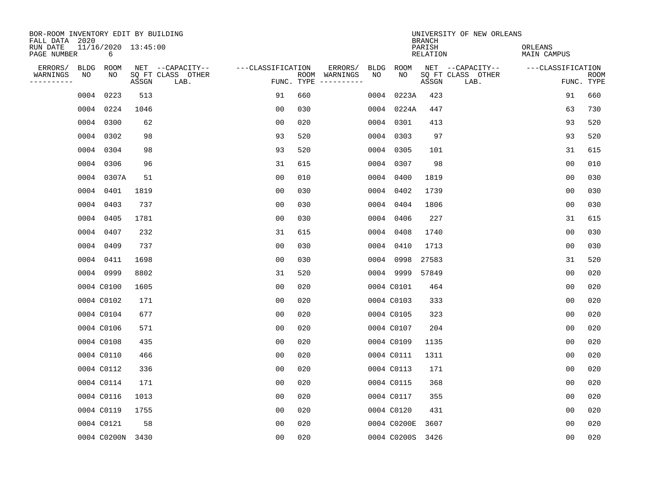| BOR-ROOM INVENTORY EDIT BY BUILDING<br>FALL DATA 2020 |                          |       |                           |                   |            |               |             |             | <b>BRANCH</b>             | UNIVERSITY OF NEW ORLEANS |                               |                           |
|-------------------------------------------------------|--------------------------|-------|---------------------------|-------------------|------------|---------------|-------------|-------------|---------------------------|---------------------------|-------------------------------|---------------------------|
| RUN DATE<br>PAGE NUMBER                               | 11/16/2020 13:45:00<br>6 |       |                           |                   |            |               |             |             | PARISH<br><b>RELATION</b> |                           | ORLEANS<br><b>MAIN CAMPUS</b> |                           |
| ERRORS/<br><b>BLDG</b>                                | ROOM                     |       | NET --CAPACITY--          | ---CLASSIFICATION |            | ERRORS/       | <b>BLDG</b> | <b>ROOM</b> |                           | NET --CAPACITY--          | ---CLASSIFICATION             |                           |
| WARNINGS<br>ΝO<br>----------                          | NO                       | ASSGN | SQ FT CLASS OTHER<br>LAB. |                   | FUNC. TYPE | ROOM WARNINGS | NO          | NO          | ASSGN                     | SQ FT CLASS OTHER<br>LAB. |                               | <b>ROOM</b><br>FUNC. TYPE |
|                                                       | 0004 0223                | 513   |                           | 91                | 660        |               | 0004        | 0223A       | 423                       |                           | 91                            | 660                       |
|                                                       | 0004 0224                | 1046  |                           | 00                | 030        |               | 0004        | 0224A       | 447                       |                           | 63                            | 730                       |
|                                                       | 0004 0300                | 62    |                           | 00                | 020        |               | 0004        | 0301        | 413                       |                           | 93                            | 520                       |
|                                                       | 0004 0302                | 98    |                           | 93                | 520        |               | 0004        | 0303        | 97                        |                           | 93                            | 520                       |
|                                                       | 0004 0304                | 98    |                           | 93                | 520        |               | 0004        | 0305        | 101                       |                           | 31                            | 615                       |
|                                                       | 0004 0306                | 96    |                           | 31                | 615        |               |             | 0004 0307   | 98                        |                           | 0 <sub>0</sub>                | 010                       |
|                                                       | 0004 0307A               | 51    |                           | 0 <sub>0</sub>    | 010        |               | 0004        | 0400        | 1819                      |                           | 00                            | 030                       |
|                                                       | 0004 0401                | 1819  |                           | 0 <sub>0</sub>    | 030        |               | 0004        | 0402        | 1739                      |                           | 0 <sub>0</sub>                | 030                       |
|                                                       | 0004 0403                | 737   |                           | 0 <sub>0</sub>    | 030        |               | 0004        | 0404        | 1806                      |                           | 0 <sub>0</sub>                | 030                       |
|                                                       | 0004 0405                | 1781  |                           | 0 <sub>0</sub>    | 030        |               | 0004        | 0406        | 227                       |                           | 31                            | 615                       |
|                                                       | 0004 0407                | 232   |                           | 31                | 615        |               | 0004        | 0408        | 1740                      |                           | 0 <sub>0</sub>                | 030                       |
|                                                       | 0004 0409                | 737   |                           | 0 <sub>0</sub>    | 030        |               | 0004        | 0410        | 1713                      |                           | 0 <sub>0</sub>                | 030                       |
|                                                       | 0004 0411                | 1698  |                           | 00                | 030        |               | 0004        | 0998        | 27583                     |                           | 31                            | 520                       |
|                                                       | 0004 0999                | 8802  |                           | 31                | 520        |               |             | 0004 9999   | 57849                     |                           | 00                            | 020                       |
|                                                       | 0004 C0100               | 1605  |                           | 00                | 020        |               |             | 0004 C0101  | 464                       |                           | 0 <sub>0</sub>                | 020                       |
|                                                       | 0004 C0102               | 171   |                           | 0 <sub>0</sub>    | 020        |               |             | 0004 C0103  | 333                       |                           | 0 <sub>0</sub>                | 020                       |
|                                                       | 0004 C0104               | 677   |                           | 0 <sub>0</sub>    | 020        |               |             | 0004 C0105  | 323                       |                           | 0 <sub>0</sub>                | 020                       |
|                                                       | 0004 C0106               | 571   |                           | 0 <sub>0</sub>    | 020        |               |             | 0004 C0107  | 204                       |                           | 0 <sub>0</sub>                | 020                       |
|                                                       | 0004 C0108               | 435   |                           | 0 <sub>0</sub>    | 020        |               |             | 0004 C0109  | 1135                      |                           | 0 <sub>0</sub>                | 020                       |
|                                                       | 0004 C0110               | 466   |                           | 0 <sub>0</sub>    | 020        |               |             | 0004 C0111  | 1311                      |                           | 0 <sub>0</sub>                | 020                       |
|                                                       | 0004 C0112               | 336   |                           | 0 <sub>0</sub>    | 020        |               |             | 0004 C0113  | 171                       |                           | 0 <sub>0</sub>                | 020                       |
|                                                       | 0004 C0114               | 171   |                           | 0 <sub>0</sub>    | 020        |               |             | 0004 C0115  | 368                       |                           | 0 <sub>0</sub>                | 020                       |
|                                                       | 0004 C0116               | 1013  |                           | 00                | 020        |               |             | 0004 C0117  | 355                       |                           | 0 <sub>0</sub>                | 020                       |
|                                                       | 0004 C0119               | 1755  |                           | 00                | 020        |               |             | 0004 C0120  | 431                       |                           | 00                            | 020                       |
|                                                       | 0004 C0121               | 58    |                           | 0 <sub>0</sub>    | 020        |               |             | 0004 C0200E | 3607                      |                           | 0 <sub>0</sub>                | 020                       |
|                                                       | 0004 C0200N 3430         |       |                           | 0 <sub>0</sub>    | 020        |               |             | 0004 C0200S | 3426                      |                           | 0 <sub>0</sub>                | 020                       |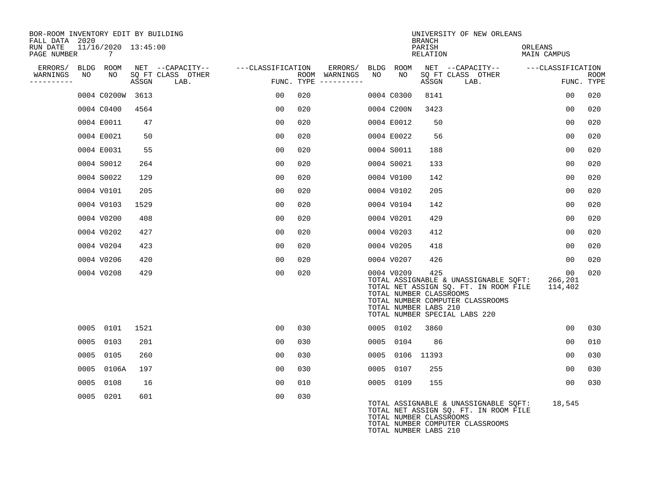| BOR-ROOM INVENTORY EDIT BY BUILDING<br>FALL DATA 2020 |                                       |       |                           |                   |                                      |      |                                                                | <b>BRANCH</b>      | UNIVERSITY OF NEW ORLEANS                                                                                                                           |                                       |                           |
|-------------------------------------------------------|---------------------------------------|-------|---------------------------|-------------------|--------------------------------------|------|----------------------------------------------------------------|--------------------|-----------------------------------------------------------------------------------------------------------------------------------------------------|---------------------------------------|---------------------------|
| RUN DATE<br>PAGE NUMBER                               | 11/16/2020 13:45:00<br>$\overline{7}$ |       |                           |                   |                                      |      |                                                                | PARISH<br>RELATION |                                                                                                                                                     | ORLEANS<br>MAIN CAMPUS                |                           |
| ERRORS/ BLDG ROOM                                     |                                       |       | NET --CAPACITY--          | ---CLASSIFICATION | ERRORS/                              |      | BLDG ROOM                                                      |                    | NET --CAPACITY-- - ---CLASSIFICATION                                                                                                                |                                       |                           |
| WARNINGS<br>NO<br>----------                          | NO                                    | ASSGN | SQ FT CLASS OTHER<br>LAB. |                   | ROOM WARNINGS<br>FUNC. TYPE $------$ | NO   | NO                                                             | ASSGN              | SQ FT CLASS OTHER<br>LAB.                                                                                                                           |                                       | <b>ROOM</b><br>FUNC. TYPE |
|                                                       | 0004 C0200W 3613                      |       |                           | 00                | 020                                  |      | 0004 C0300                                                     | 8141               |                                                                                                                                                     | 00                                    | 020                       |
|                                                       | 0004 C0400                            | 4564  |                           | 00                | 020                                  |      | 0004 C200N                                                     | 3423               |                                                                                                                                                     | 0 <sub>0</sub>                        | 020                       |
|                                                       | 0004 E0011                            | 47    |                           | 00                | 020                                  |      | 0004 E0012                                                     | 50                 |                                                                                                                                                     | 0 <sub>0</sub>                        | 020                       |
|                                                       | 0004 E0021                            | 50    |                           | 00                | 020                                  |      | 0004 E0022                                                     | 56                 |                                                                                                                                                     | 00                                    | 020                       |
|                                                       | 0004 E0031                            | 55    |                           | 00                | 020                                  |      | 0004 S0011                                                     | 188                |                                                                                                                                                     | 0 <sub>0</sub>                        | 020                       |
|                                                       | 0004 S0012                            | 264   |                           | 00                | 020                                  |      | 0004 S0021                                                     | 133                |                                                                                                                                                     | 0 <sub>0</sub>                        | 020                       |
|                                                       | 0004 S0022                            | 129   |                           | 0 <sub>0</sub>    | 020                                  |      | 0004 V0100                                                     | 142                |                                                                                                                                                     | 00                                    | 020                       |
|                                                       | 0004 V0101                            | 205   |                           | 0 <sub>0</sub>    | 020                                  |      | 0004 V0102                                                     | 205                |                                                                                                                                                     | 0 <sub>0</sub>                        | 020                       |
|                                                       | 0004 V0103                            | 1529  |                           | 0 <sub>0</sub>    | 020                                  |      | 0004 V0104                                                     | 142                |                                                                                                                                                     | 0 <sub>0</sub>                        | 020                       |
|                                                       | 0004 V0200                            | 408   |                           | 00                | 020                                  |      | 0004 V0201                                                     | 429                |                                                                                                                                                     | 00                                    | 020                       |
|                                                       | 0004 V0202                            | 427   |                           | 0 <sub>0</sub>    | 020                                  |      | 0004 V0203                                                     | 412                |                                                                                                                                                     | 0 <sub>0</sub>                        | 020                       |
|                                                       | 0004 V0204                            | 423   |                           | 00                | 020                                  |      | 0004 V0205                                                     | 418                |                                                                                                                                                     | 00                                    | 020                       |
|                                                       | 0004 V0206                            | 420   |                           | 00                | 020                                  |      | 0004 V0207                                                     | 426                |                                                                                                                                                     | 00                                    | 020                       |
|                                                       | 0004 V0208                            | 429   |                           | 00                | 020                                  |      | 0004 V0209<br>TOTAL NUMBER CLASSROOMS<br>TOTAL NUMBER LABS 210 | 425                | TOTAL ASSIGNABLE & UNASSIGNABLE SQFT:<br>TOTAL NET ASSIGN SQ. FT. IN ROOM FILE<br>TOTAL NUMBER COMPUTER CLASSROOMS<br>TOTAL NUMBER SPECIAL LABS 220 | 00 <sub>o</sub><br>266,201<br>114,402 | 020                       |
|                                                       | 0005 0101                             | 1521  |                           | 00                | 030                                  |      | 0005 0102                                                      | 3860               |                                                                                                                                                     | 0 <sub>0</sub>                        | 030                       |
|                                                       | 0005 0103                             | 201   |                           | 00                | 030                                  | 0005 | 0104                                                           | 86                 |                                                                                                                                                     | 0 <sub>0</sub>                        | 010                       |
|                                                       | 0005 0105                             | 260   |                           | 00                | 030                                  |      | 0005 0106 11393                                                |                    |                                                                                                                                                     | 00                                    | 030                       |
|                                                       | 0005 0106A                            | 197   |                           | 00                | 030                                  |      | 0005 0107                                                      | 255                |                                                                                                                                                     | 00                                    | 030                       |
|                                                       | 0005 0108                             | 16    |                           | 0 <sub>0</sub>    | 010                                  |      | 0005 0109                                                      | 155                |                                                                                                                                                     | 0 <sub>0</sub>                        | 030                       |
|                                                       | 0005 0201                             | 601   |                           | 0 <sub>0</sub>    | 030                                  |      | TOTAL NUMBER CLASSROOMS<br>TOTAL NUMBER LABS 210               |                    | TOTAL ASSIGNABLE & UNASSIGNABLE SQFT:<br>TOTAL NET ASSIGN SQ. FT. IN ROOM FILE<br>TOTAL NUMBER COMPUTER CLASSROOMS                                  | 18,545                                |                           |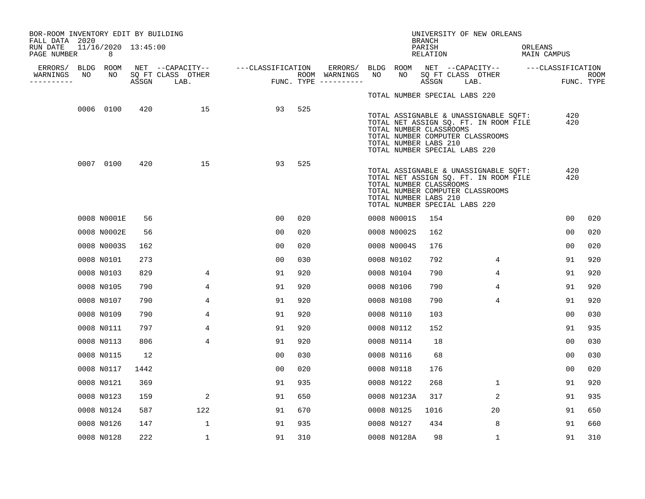| BOR-ROOM INVENTORY EDIT BY BUILDING<br>FALL DATA 2020 |    |                          |       |                           |                   |     |                                      |     |                                                                                   | <b>BRANCH</b>              |      | UNIVERSITY OF NEW ORLEANS                                                                                          |         |                   |                |                    |
|-------------------------------------------------------|----|--------------------------|-------|---------------------------|-------------------|-----|--------------------------------------|-----|-----------------------------------------------------------------------------------|----------------------------|------|--------------------------------------------------------------------------------------------------------------------|---------|-------------------|----------------|--------------------|
| RUN DATE<br>PAGE NUMBER                               |    | 11/16/2020 13:45:00<br>8 |       |                           |                   |     |                                      |     |                                                                                   | PARISH<br>RELATION         |      |                                                                                                                    | ORLEANS | MAIN CAMPUS       |                |                    |
| ERRORS/                                               | NO | BLDG ROOM<br>NO          |       | NET --CAPACITY--          | ---CLASSIFICATION |     | ERRORS/                              | NO. | BLDG ROOM<br>NO                                                                   |                            |      | NET --CAPACITY--                                                                                                   |         | ---CLASSIFICATION |                |                    |
| WARNINGS<br>---------                                 |    |                          | ASSGN | SQ FT CLASS OTHER<br>LAB. |                   |     | ROOM WARNINGS<br>FUNC. TYPE $------$ |     |                                                                                   | SQ FT CLASS OTHER<br>ASSGN | LAB. |                                                                                                                    |         |                   |                | ROOM<br>FUNC. TYPE |
|                                                       |    |                          |       |                           |                   |     |                                      |     | TOTAL NUMBER SPECIAL LABS 220                                                     |                            |      |                                                                                                                    |         |                   |                |                    |
|                                                       |    | 0006 0100                | 420   | 15                        | 93                | 525 |                                      |     | TOTAL NUMBER CLASSROOMS<br>TOTAL NUMBER LABS 210<br>TOTAL NUMBER SPECIAL LABS 220 |                            |      | TOTAL ASSIGNABLE & UNASSIGNABLE SQFT:<br>TOTAL NET ASSIGN SQ. FT. IN ROOM FILE<br>TOTAL NUMBER COMPUTER CLASSROOMS |         |                   | 420<br>420     |                    |
|                                                       |    | 0007 0100                | 420   | 15                        | 93                | 525 |                                      |     | TOTAL NUMBER CLASSROOMS<br>TOTAL NUMBER LABS 210<br>TOTAL NUMBER SPECIAL LABS 220 |                            |      | TOTAL ASSIGNABLE & UNASSIGNABLE SQFT:<br>TOTAL NET ASSIGN SQ. FT. IN ROOM FILE<br>TOTAL NUMBER COMPUTER CLASSROOMS |         |                   | 420<br>420     |                    |
|                                                       |    | 0008 N0001E              | 56    |                           | 00                | 020 |                                      |     | 0008 N0001S                                                                       | 154                        |      |                                                                                                                    |         |                   | 0 <sub>0</sub> | 020                |
|                                                       |    | 0008 N0002E              | 56    |                           | 00                | 020 |                                      |     | 0008 N0002S                                                                       | 162                        |      |                                                                                                                    |         |                   | 0 <sub>0</sub> | 020                |
|                                                       |    | 0008 N0003S              | 162   |                           | 0 <sub>0</sub>    | 020 |                                      |     | 0008 N0004S                                                                       | 176                        |      |                                                                                                                    |         |                   | 0 <sub>0</sub> | 020                |
|                                                       |    | 0008 N0101               | 273   |                           | 0 <sub>0</sub>    | 030 |                                      |     | 0008 N0102                                                                        | 792                        |      | 4                                                                                                                  |         |                   | 91             | 920                |
|                                                       |    | 0008 N0103               | 829   | 4                         | 91                | 920 |                                      |     | 0008 N0104                                                                        | 790                        |      | 4                                                                                                                  |         |                   | 91             | 920                |
|                                                       |    | 0008 N0105               | 790   | 4                         | 91                | 920 |                                      |     | 0008 N0106                                                                        | 790                        |      | 4                                                                                                                  |         |                   | 91             | 920                |
|                                                       |    | 0008 N0107               | 790   | 4                         | 91                | 920 |                                      |     | 0008 N0108                                                                        | 790                        |      | 4                                                                                                                  |         |                   | 91             | 920                |
|                                                       |    | 0008 N0109               | 790   | 4                         | 91                | 920 |                                      |     | 0008 N0110                                                                        | 103                        |      |                                                                                                                    |         |                   | 00             | 030                |
|                                                       |    | 0008 N0111               | 797   | 4                         | 91                | 920 |                                      |     | 0008 N0112                                                                        | 152                        |      |                                                                                                                    |         |                   | 91             | 935                |
|                                                       |    | 0008 N0113               | 806   | 4                         | 91                | 920 |                                      |     | 0008 N0114                                                                        | 18                         |      |                                                                                                                    |         |                   | 00             | 030                |
|                                                       |    | 0008 N0115               | 12    |                           | 0 <sub>0</sub>    | 030 |                                      |     | 0008 N0116                                                                        | 68                         |      |                                                                                                                    |         |                   | 0 <sub>0</sub> | 030                |
|                                                       |    | 0008 N0117               | 1442  |                           | 0 <sub>0</sub>    | 020 |                                      |     | 0008 N0118                                                                        | 176                        |      |                                                                                                                    |         |                   | 0 <sub>0</sub> | 020                |
|                                                       |    | 0008 N0121               | 369   |                           | 91                | 935 |                                      |     | 0008 N0122                                                                        | 268                        |      | $\mathbf{1}$                                                                                                       |         |                   | 91             | 920                |
|                                                       |    | 0008 N0123               | 159   | 2                         | 91                | 650 |                                      |     | 0008 N0123A                                                                       | 317                        |      | 2                                                                                                                  |         |                   | 91             | 935                |
|                                                       |    | 0008 N0124               | 587   | 122                       | 91                | 670 |                                      |     | 0008 N0125                                                                        | 1016                       |      | 20                                                                                                                 |         |                   | 91             | 650                |
|                                                       |    | 0008 N0126               | 147   | $\mathbf{1}$              | 91                | 935 |                                      |     | 0008 N0127                                                                        | 434                        |      | 8                                                                                                                  |         |                   | 91             | 660                |
|                                                       |    | 0008 N0128               | 222   | $\mathbf 1$               | 91                | 310 |                                      |     | 0008 N0128A                                                                       | 98                         |      | $\mathbf 1$                                                                                                        |         |                   | 91             | 310                |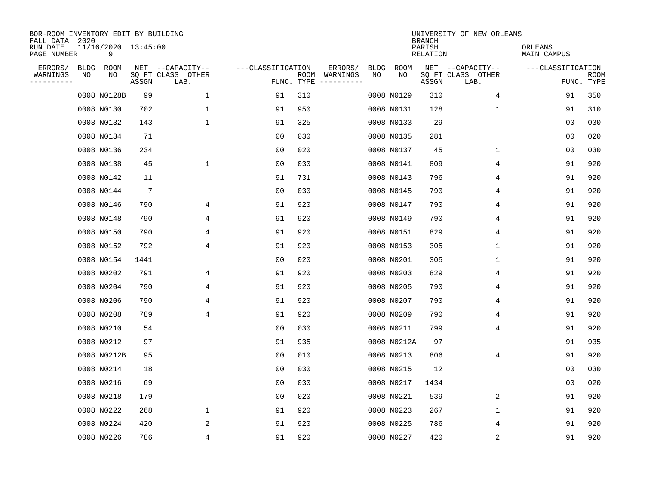| BOR-ROOM INVENTORY EDIT BY BUILDING<br>FALL DATA 2020 |             |                          |                 |                           |                   |                    |          |             |             | <b>BRANCH</b>      | UNIVERSITY OF NEW ORLEANS |                        |                           |
|-------------------------------------------------------|-------------|--------------------------|-----------------|---------------------------|-------------------|--------------------|----------|-------------|-------------|--------------------|---------------------------|------------------------|---------------------------|
| RUN DATE<br>PAGE NUMBER                               |             | 11/16/2020 13:45:00<br>9 |                 |                           |                   |                    |          |             |             | PARISH<br>RELATION |                           | ORLEANS<br>MAIN CAMPUS |                           |
| ERRORS/                                               | <b>BLDG</b> | ROOM                     |                 | NET --CAPACITY--          | ---CLASSIFICATION |                    | ERRORS/  | <b>BLDG</b> | <b>ROOM</b> |                    | NET --CAPACITY--          | ---CLASSIFICATION      |                           |
| WARNINGS<br>-----------                               | NO          | NO                       | ASSGN           | SQ FT CLASS OTHER<br>LAB. |                   | ROOM<br>FUNC. TYPE | WARNINGS | NO          | NO          | ASSGN              | SQ FT CLASS OTHER<br>LAB. |                        | <b>ROOM</b><br>FUNC. TYPE |
|                                                       |             | 0008 N0128B              | 99              | 1                         | 91                | 310                |          |             | 0008 N0129  | 310                | 4                         | 91                     | 350                       |
|                                                       |             | 0008 N0130               | 702             | 1                         | 91                | 950                |          |             | 0008 N0131  | 128                | 1                         | 91                     | 310                       |
|                                                       |             | 0008 N0132               | 143             | $\mathbf 1$               | 91                | 325                |          |             | 0008 N0133  | 29                 |                           | 00                     | 030                       |
|                                                       |             | 0008 N0134               | 71              |                           | 0 <sub>0</sub>    | 030                |          |             | 0008 N0135  | 281                |                           | 0 <sub>0</sub>         | 020                       |
|                                                       |             | 0008 N0136               | 234             |                           | 0 <sub>0</sub>    | 020                |          |             | 0008 N0137  | 45                 | 1                         | 0 <sub>0</sub>         | 030                       |
|                                                       |             | 0008 N0138               | 45              | $\mathbf{1}$              | 0 <sub>0</sub>    | 030                |          |             | 0008 N0141  | 809                | 4                         | 91                     | 920                       |
|                                                       |             | 0008 N0142               | 11              |                           | 91                | 731                |          |             | 0008 N0143  | 796                | 4                         | 91                     | 920                       |
|                                                       |             | 0008 N0144               | $7\phantom{.0}$ |                           | 0 <sub>0</sub>    | 030                |          |             | 0008 N0145  | 790                | 4                         | 91                     | 920                       |
|                                                       |             | 0008 N0146               | 790             | 4                         | 91                | 920                |          |             | 0008 N0147  | 790                | 4                         | 91                     | 920                       |
|                                                       |             | 0008 N0148               | 790             | 4                         | 91                | 920                |          |             | 0008 N0149  | 790                | 4                         | 91                     | 920                       |
|                                                       |             | 0008 N0150               | 790             | 4                         | 91                | 920                |          |             | 0008 N0151  | 829                | 4                         | 91                     | 920                       |
|                                                       |             | 0008 N0152               | 792             | 4                         | 91                | 920                |          |             | 0008 N0153  | 305                | 1                         | 91                     | 920                       |
|                                                       |             | 0008 N0154               | 1441            |                           | 0 <sub>0</sub>    | 020                |          |             | 0008 N0201  | 305                | 1                         | 91                     | 920                       |
|                                                       |             | 0008 N0202               | 791             | 4                         | 91                | 920                |          |             | 0008 N0203  | 829                | 4                         | 91                     | 920                       |
|                                                       |             | 0008 N0204               | 790             | 4                         | 91                | 920                |          |             | 0008 N0205  | 790                | 4                         | 91                     | 920                       |
|                                                       |             | 0008 N0206               | 790             | 4                         | 91                | 920                |          |             | 0008 N0207  | 790                | 4                         | 91                     | 920                       |
|                                                       |             | 0008 N0208               | 789             | 4                         | 91                | 920                |          |             | 0008 N0209  | 790                | 4                         | 91                     | 920                       |
|                                                       |             | 0008 N0210               | 54              |                           | 0 <sub>0</sub>    | 030                |          |             | 0008 N0211  | 799                | 4                         | 91                     | 920                       |
|                                                       |             | 0008 N0212               | 97              |                           | 91                | 935                |          |             | 0008 N0212A | 97                 |                           | 91                     | 935                       |
|                                                       |             | 0008 N0212B              | 95              |                           | 0 <sub>0</sub>    | 010                |          |             | 0008 N0213  | 806                | 4                         | 91                     | 920                       |
|                                                       |             | 0008 N0214               | 18              |                           | 0 <sub>0</sub>    | 030                |          |             | 0008 N0215  | 12                 |                           | 0 <sub>0</sub>         | 030                       |
|                                                       |             | 0008 N0216               | 69              |                           | 0 <sub>0</sub>    | 030                |          |             | 0008 N0217  | 1434               |                           | 0 <sub>0</sub>         | 020                       |
|                                                       |             | 0008 N0218               | 179             |                           | 0 <sub>0</sub>    | 020                |          |             | 0008 N0221  | 539                | 2                         | 91                     | 920                       |
|                                                       |             | 0008 N0222               | 268             | $\mathbf 1$               | 91                | 920                |          |             | 0008 N0223  | 267                | 1                         | 91                     | 920                       |
|                                                       |             | 0008 N0224               | 420             | 2                         | 91                | 920                |          |             | 0008 N0225  | 786                | 4                         | 91                     | 920                       |
|                                                       |             | 0008 N0226               | 786             | 4                         | 91                | 920                |          |             | 0008 N0227  | 420                | $\sqrt{2}$                | 91                     | 920                       |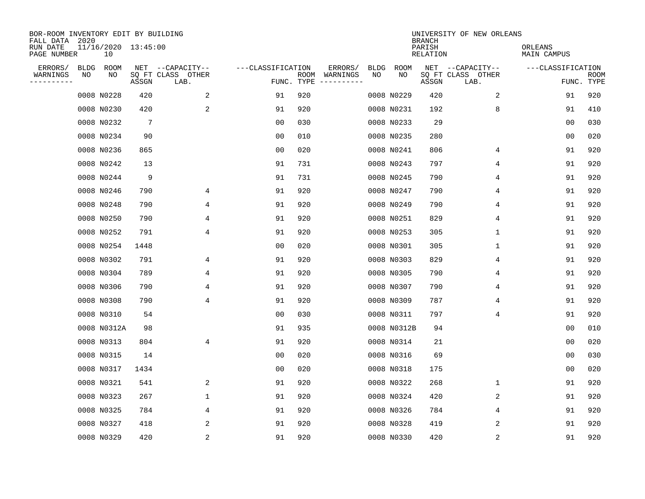| BOR-ROOM INVENTORY EDIT BY BUILDING<br>FALL DATA 2020 |      |                           |                 |                           |                   |                    |          |             |             | <b>BRANCH</b>             | UNIVERSITY OF NEW ORLEANS |                        |                           |
|-------------------------------------------------------|------|---------------------------|-----------------|---------------------------|-------------------|--------------------|----------|-------------|-------------|---------------------------|---------------------------|------------------------|---------------------------|
| RUN DATE<br>PAGE NUMBER                               |      | 11/16/2020 13:45:00<br>10 |                 |                           |                   |                    |          |             |             | PARISH<br><b>RELATION</b> |                           | ORLEANS<br>MAIN CAMPUS |                           |
| ERRORS/                                               | BLDG | ROOM                      |                 | NET --CAPACITY--          | ---CLASSIFICATION |                    | ERRORS/  | <b>BLDG</b> | <b>ROOM</b> |                           | NET --CAPACITY--          | ---CLASSIFICATION      |                           |
| WARNINGS<br>-----------                               | ΝO   | NO                        | ASSGN           | SQ FT CLASS OTHER<br>LAB. |                   | ROOM<br>FUNC. TYPE | WARNINGS | NO          | NO          | ASSGN                     | SQ FT CLASS OTHER<br>LAB. |                        | <b>ROOM</b><br>FUNC. TYPE |
|                                                       |      | 0008 N0228                | 420             | 2                         | 91                | 920                |          |             | 0008 N0229  | 420                       | 2                         | 91                     | 920                       |
|                                                       |      | 0008 N0230                | 420             | 2                         | 91                | 920                |          |             | 0008 N0231  | 192                       | 8                         | 91                     | 410                       |
|                                                       |      | 0008 N0232                | $7\phantom{.0}$ |                           | 00                | 030                |          |             | 0008 N0233  | 29                        |                           | 00                     | 030                       |
|                                                       |      | 0008 N0234                | 90              |                           | 0 <sub>0</sub>    | 010                |          |             | 0008 N0235  | 280                       |                           | 0 <sub>0</sub>         | 020                       |
|                                                       |      | 0008 N0236                | 865             |                           | 0 <sub>0</sub>    | 020                |          |             | 0008 N0241  | 806                       | 4                         | 91                     | 920                       |
|                                                       |      | 0008 N0242                | 13              |                           | 91                | 731                |          |             | 0008 N0243  | 797                       | 4                         | 91                     | 920                       |
|                                                       |      | 0008 N0244                | 9               |                           | 91                | 731                |          |             | 0008 N0245  | 790                       | 4                         | 91                     | 920                       |
|                                                       |      | 0008 N0246                | 790             | 4                         | 91                | 920                |          |             | 0008 N0247  | 790                       | 4                         | 91                     | 920                       |
|                                                       |      | 0008 N0248                | 790             | 4                         | 91                | 920                |          |             | 0008 N0249  | 790                       | 4                         | 91                     | 920                       |
|                                                       |      | 0008 N0250                | 790             | 4                         | 91                | 920                |          |             | 0008 N0251  | 829                       | 4                         | 91                     | 920                       |
|                                                       |      | 0008 N0252                | 791             | 4                         | 91                | 920                |          |             | 0008 N0253  | 305                       | 1                         | 91                     | 920                       |
|                                                       |      | 0008 N0254                | 1448            |                           | 0 <sub>0</sub>    | 020                |          |             | 0008 N0301  | 305                       | 1                         | 91                     | 920                       |
|                                                       |      | 0008 N0302                | 791             | 4                         | 91                | 920                |          |             | 0008 N0303  | 829                       | 4                         | 91                     | 920                       |
|                                                       |      | 0008 N0304                | 789             | 4                         | 91                | 920                |          |             | 0008 N0305  | 790                       | 4                         | 91                     | 920                       |
|                                                       |      | 0008 N0306                | 790             | 4                         | 91                | 920                |          |             | 0008 N0307  | 790                       | 4                         | 91                     | 920                       |
|                                                       |      | 0008 N0308                | 790             | 4                         | 91                | 920                |          |             | 0008 N0309  | 787                       | 4                         | 91                     | 920                       |
|                                                       |      | 0008 N0310                | 54              |                           | 0 <sub>0</sub>    | 030                |          |             | 0008 N0311  | 797                       | 4                         | 91                     | 920                       |
|                                                       |      | 0008 N0312A               | 98              |                           | 91                | 935                |          |             | 0008 N0312B | 94                        |                           | 0 <sub>0</sub>         | 010                       |
|                                                       |      | 0008 N0313                | 804             | 4                         | 91                | 920                |          |             | 0008 N0314  | 21                        |                           | 0 <sub>0</sub>         | 020                       |
|                                                       |      | 0008 N0315                | 14              |                           | 0 <sub>0</sub>    | 020                |          |             | 0008 N0316  | 69                        |                           | 0 <sub>0</sub>         | 030                       |
|                                                       |      | 0008 N0317                | 1434            |                           | 0 <sub>0</sub>    | 020                |          |             | 0008 N0318  | 175                       |                           | 0 <sub>0</sub>         | 020                       |
|                                                       |      | 0008 N0321                | 541             | 2                         | 91                | 920                |          |             | 0008 N0322  | 268                       | 1                         | 91                     | 920                       |
|                                                       |      | 0008 N0323                | 267             | $\mathbf{1}$              | 91                | 920                |          |             | 0008 N0324  | 420                       | 2                         | 91                     | 920                       |
|                                                       |      | 0008 N0325                | 784             | 4                         | 91                | 920                |          |             | 0008 N0326  | 784                       | 4                         | 91                     | 920                       |
|                                                       |      | 0008 N0327                | 418             | 2                         | 91                | 920                |          |             | 0008 N0328  | 419                       | 2                         | 91                     | 920                       |
|                                                       |      | 0008 N0329                | 420             | $\overline{2}$            | 91                | 920                |          |             | 0008 N0330  | 420                       | $\sqrt{2}$                | 91                     | 920                       |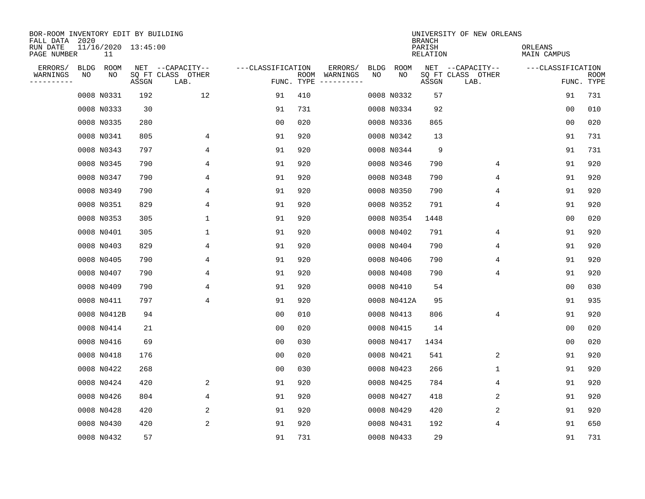| BOR-ROOM INVENTORY EDIT BY BUILDING<br>FALL DATA 2020 |             |                           |       |                           |                   |      |                                 |             |             | <b>BRANCH</b>      | UNIVERSITY OF NEW ORLEANS |                        |                           |
|-------------------------------------------------------|-------------|---------------------------|-------|---------------------------|-------------------|------|---------------------------------|-------------|-------------|--------------------|---------------------------|------------------------|---------------------------|
| RUN DATE<br>PAGE NUMBER                               |             | 11/16/2020 13:45:00<br>11 |       |                           |                   |      |                                 |             |             | PARISH<br>RELATION |                           | ORLEANS<br>MAIN CAMPUS |                           |
| ERRORS/                                               | <b>BLDG</b> | ROOM                      |       | NET --CAPACITY--          | ---CLASSIFICATION |      | ERRORS/                         | <b>BLDG</b> | <b>ROOM</b> |                    | NET --CAPACITY--          | ---CLASSIFICATION      |                           |
| WARNINGS<br>----------                                | NO          | NO                        | ASSGN | SQ FT CLASS OTHER<br>LAB. |                   | ROOM | WARNINGS<br>FUNC. TYPE $------$ | NO          | NO          | ASSGN              | SQ FT CLASS OTHER<br>LAB. |                        | <b>ROOM</b><br>FUNC. TYPE |
|                                                       |             | 0008 N0331                | 192   | 12                        | 91                | 410  |                                 |             | 0008 N0332  | 57                 |                           | 91                     | 731                       |
|                                                       |             | 0008 N0333                | 30    |                           | 91                | 731  |                                 |             | 0008 N0334  | 92                 |                           | 0 <sub>0</sub>         | 010                       |
|                                                       |             | 0008 N0335                | 280   |                           | 0 <sub>0</sub>    | 020  |                                 |             | 0008 N0336  | 865                |                           | 0 <sub>0</sub>         | 020                       |
|                                                       |             | 0008 N0341                | 805   | 4                         | 91                | 920  |                                 |             | 0008 N0342  | 13                 |                           | 91                     | 731                       |
|                                                       |             | 0008 N0343                | 797   | 4                         | 91                | 920  |                                 |             | 0008 N0344  | 9                  |                           | 91                     | 731                       |
|                                                       |             | 0008 N0345                | 790   | 4                         | 91                | 920  |                                 |             | 0008 N0346  | 790                | 4                         | 91                     | 920                       |
|                                                       |             | 0008 N0347                | 790   | 4                         | 91                | 920  |                                 |             | 0008 N0348  | 790                | 4                         | 91                     | 920                       |
|                                                       |             | 0008 N0349                | 790   | 4                         | 91                | 920  |                                 |             | 0008 N0350  | 790                | 4                         | 91                     | 920                       |
|                                                       |             | 0008 N0351                | 829   | $\overline{4}$            | 91                | 920  |                                 |             | 0008 N0352  | 791                | $\overline{4}$            | 91                     | 920                       |
|                                                       |             | 0008 N0353                | 305   | $\mathbf 1$               | 91                | 920  |                                 |             | 0008 N0354  | 1448               |                           | 0 <sub>0</sub>         | 020                       |
|                                                       |             | 0008 N0401                | 305   | $\mathbf 1$               | 91                | 920  |                                 |             | 0008 N0402  | 791                | 4                         | 91                     | 920                       |
|                                                       |             | 0008 N0403                | 829   | 4                         | 91                | 920  |                                 |             | 0008 N0404  | 790                | 4                         | 91                     | 920                       |
|                                                       |             | 0008 N0405                | 790   | 4                         | 91                | 920  |                                 |             | 0008 N0406  | 790                | 4                         | 91                     | 920                       |
|                                                       |             | 0008 N0407                | 790   | 4                         | 91                | 920  |                                 |             | 0008 N0408  | 790                | 4                         | 91                     | 920                       |
|                                                       |             | 0008 N0409                | 790   | 4                         | 91                | 920  |                                 |             | 0008 N0410  | 54                 |                           | 0 <sub>0</sub>         | 030                       |
|                                                       |             | 0008 N0411                | 797   | 4                         | 91                | 920  |                                 |             | 0008 N0412A | 95                 |                           | 91                     | 935                       |
|                                                       |             | 0008 N0412B               | 94    |                           | 00                | 010  |                                 |             | 0008 N0413  | 806                | 4                         | 91                     | 920                       |
|                                                       |             | 0008 N0414                | 21    |                           | 00                | 020  |                                 |             | 0008 N0415  | 14                 |                           | 0 <sub>0</sub>         | 020                       |
|                                                       |             | 0008 N0416                | 69    |                           | 0 <sub>0</sub>    | 030  |                                 |             | 0008 N0417  | 1434               |                           | 0 <sub>0</sub>         | 020                       |
|                                                       |             | 0008 N0418                | 176   |                           | 0 <sub>0</sub>    | 020  |                                 |             | 0008 N0421  | 541                | 2                         | 91                     | 920                       |
|                                                       |             | 0008 N0422                | 268   |                           | 0 <sub>0</sub>    | 030  |                                 |             | 0008 N0423  | 266                | 1                         | 91                     | 920                       |
|                                                       |             | 0008 N0424                | 420   | 2                         | 91                | 920  |                                 |             | 0008 N0425  | 784                | 4                         | 91                     | 920                       |
|                                                       |             | 0008 N0426                | 804   | 4                         | 91                | 920  |                                 |             | 0008 N0427  | 418                | 2                         | 91                     | 920                       |
|                                                       |             | 0008 N0428                | 420   | 2                         | 91                | 920  |                                 |             | 0008 N0429  | 420                | 2                         | 91                     | 920                       |
|                                                       |             | 0008 N0430                | 420   | 2                         | 91                | 920  |                                 |             | 0008 N0431  | 192                | 4                         | 91                     | 650                       |
|                                                       |             | 0008 N0432                | 57    |                           | 91                | 731  |                                 |             | 0008 N0433  | 29                 |                           | 91                     | 731                       |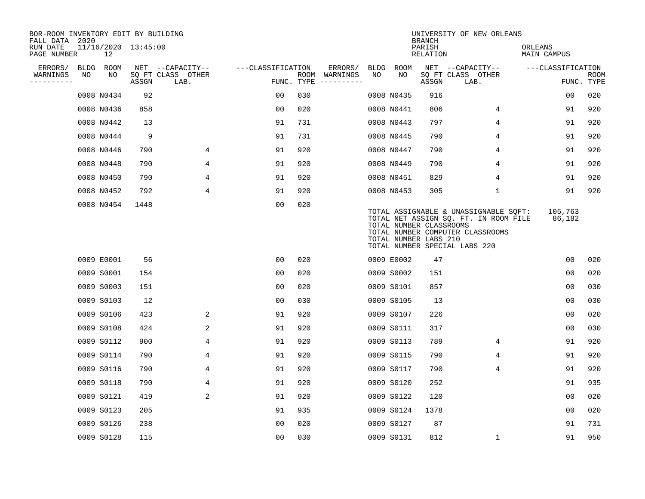| BOR-ROOM INVENTORY EDIT BY BUILDING<br>FALL DATA 2020 |    |            |                     |                           |                   |     |                                      |             |             | <b>BRANCH</b>                                    | UNIVERSITY OF NEW ORLEANS                                                                                                                           |                               |                           |
|-------------------------------------------------------|----|------------|---------------------|---------------------------|-------------------|-----|--------------------------------------|-------------|-------------|--------------------------------------------------|-----------------------------------------------------------------------------------------------------------------------------------------------------|-------------------------------|---------------------------|
| RUN DATE<br>PAGE NUMBER                               |    | 12         | 11/16/2020 13:45:00 |                           |                   |     |                                      |             |             | PARISH<br><b>RELATION</b>                        |                                                                                                                                                     | ORLEANS<br><b>MAIN CAMPUS</b> |                           |
| ERRORS/                                               |    | BLDG ROOM  |                     | NET --CAPACITY--          | ---CLASSIFICATION |     | ERRORS/                              | <b>BLDG</b> | <b>ROOM</b> |                                                  | NET --CAPACITY--                                                                                                                                    | ---CLASSIFICATION             |                           |
| WARNINGS<br>----------                                | NO | NO         | ASSGN               | SQ FT CLASS OTHER<br>LAB. |                   |     | ROOM WARNINGS<br>FUNC. TYPE $------$ | NO          | NO          | ASSGN                                            | SQ FT CLASS OTHER<br>LAB.                                                                                                                           |                               | <b>ROOM</b><br>FUNC. TYPE |
|                                                       |    | 0008 N0434 | 92                  |                           | 0 <sub>0</sub>    | 030 |                                      |             | 0008 N0435  | 916                                              |                                                                                                                                                     | 0 <sub>0</sub>                | 020                       |
|                                                       |    | 0008 N0436 | 858                 |                           | 0 <sub>0</sub>    | 020 |                                      |             | 0008 N0441  | 806                                              | 4                                                                                                                                                   | 91                            | 920                       |
|                                                       |    | 0008 N0442 | 13                  |                           | 91                | 731 |                                      |             | 0008 N0443  | 797                                              | 4                                                                                                                                                   | 91                            | 920                       |
|                                                       |    | 0008 N0444 | 9                   |                           | 91                | 731 |                                      |             | 0008 N0445  | 790                                              | 4                                                                                                                                                   | 91                            | 920                       |
|                                                       |    | 0008 N0446 | 790                 | 4                         | 91                | 920 |                                      |             | 0008 N0447  | 790                                              | 4                                                                                                                                                   | 91                            | 920                       |
|                                                       |    | 0008 N0448 | 790                 | 4                         | 91                | 920 |                                      |             | 0008 N0449  | 790                                              | 4                                                                                                                                                   | 91                            | 920                       |
|                                                       |    | 0008 N0450 | 790                 | 4                         | 91                | 920 |                                      |             | 0008 N0451  | 829                                              | 4                                                                                                                                                   | 91                            | 920                       |
|                                                       |    | 0008 N0452 | 792                 | 4                         | 91                | 920 |                                      |             | 0008 N0453  | 305                                              | $\mathbf 1$                                                                                                                                         | 91                            | 920                       |
|                                                       |    | 0008 N0454 | 1448                |                           | 00                | 020 |                                      |             |             | TOTAL NUMBER CLASSROOMS<br>TOTAL NUMBER LABS 210 | TOTAL ASSIGNABLE & UNASSIGNABLE SQFT:<br>TOTAL NET ASSIGN SQ. FT. IN ROOM FILE<br>TOTAL NUMBER COMPUTER CLASSROOMS<br>TOTAL NUMBER SPECIAL LABS 220 | 105,763<br>86,182             |                           |
|                                                       |    | 0009 E0001 | 56                  |                           | 00                | 020 |                                      |             | 0009 E0002  | 47                                               |                                                                                                                                                     | 0 <sub>0</sub>                | 020                       |
|                                                       |    | 0009 S0001 | 154                 |                           | 0 <sub>0</sub>    | 020 |                                      |             | 0009 S0002  | 151                                              |                                                                                                                                                     | 0 <sub>0</sub>                | 020                       |
|                                                       |    | 0009 S0003 | 151                 |                           | 0 <sub>0</sub>    | 020 |                                      |             | 0009 S0101  | 857                                              |                                                                                                                                                     | 0 <sub>0</sub>                | 030                       |
|                                                       |    | 0009 S0103 | 12                  |                           | 0 <sub>0</sub>    | 030 |                                      |             | 0009 S0105  | 13                                               |                                                                                                                                                     | 0 <sub>0</sub>                | 030                       |
|                                                       |    | 0009 S0106 | 423                 | 2                         | 91                | 920 |                                      |             | 0009 S0107  | 226                                              |                                                                                                                                                     | 0 <sub>0</sub>                | 020                       |
|                                                       |    | 0009 S0108 | 424                 | 2                         | 91                | 920 |                                      |             | 0009 S0111  | 317                                              |                                                                                                                                                     | 0 <sub>0</sub>                | 030                       |
|                                                       |    | 0009 S0112 | 900                 | 4                         | 91                | 920 |                                      |             | 0009 S0113  | 789                                              | 4                                                                                                                                                   | 91                            | 920                       |
|                                                       |    | 0009 S0114 | 790                 | 4                         | 91                | 920 |                                      |             | 0009 S0115  | 790                                              | 4                                                                                                                                                   | 91                            | 920                       |
|                                                       |    | 0009 S0116 | 790                 | 4                         | 91                | 920 |                                      |             | 0009 S0117  | 790                                              | 4                                                                                                                                                   | 91                            | 920                       |
|                                                       |    | 0009 S0118 | 790                 | 4                         | 91                | 920 |                                      |             | 0009 S0120  | 252                                              |                                                                                                                                                     | 91                            | 935                       |
|                                                       |    | 0009 S0121 | 419                 | 2                         | 91                | 920 |                                      |             | 0009 S0122  | 120                                              |                                                                                                                                                     | 0 <sub>0</sub>                | 020                       |
|                                                       |    | 0009 S0123 | 205                 |                           | 91                | 935 |                                      |             | 0009 S0124  | 1378                                             |                                                                                                                                                     | 0 <sub>0</sub>                | 020                       |
|                                                       |    | 0009 S0126 | 238                 |                           | 0 <sub>0</sub>    | 020 |                                      |             | 0009 S0127  | 87                                               |                                                                                                                                                     | 91                            | 731                       |
|                                                       |    | 0009 S0128 | 115                 |                           | 0 <sub>0</sub>    | 030 |                                      |             | 0009 S0131  | 812                                              | 1                                                                                                                                                   | 91                            | 950                       |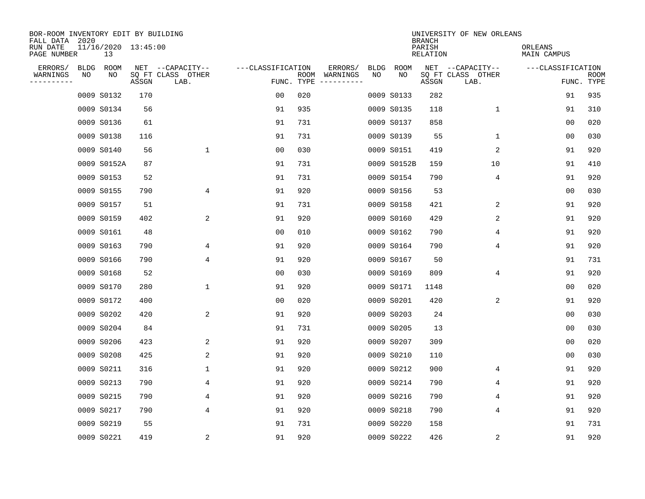| BOR-ROOM INVENTORY EDIT BY BUILDING<br>FALL DATA 2020 |             |                           |       |                           |                   |                    |                         |             |             | <b>BRANCH</b>             | UNIVERSITY OF NEW ORLEANS |                        |                           |
|-------------------------------------------------------|-------------|---------------------------|-------|---------------------------|-------------------|--------------------|-------------------------|-------------|-------------|---------------------------|---------------------------|------------------------|---------------------------|
| RUN DATE<br>PAGE NUMBER                               |             | 11/16/2020 13:45:00<br>13 |       |                           |                   |                    |                         |             |             | PARISH<br><b>RELATION</b> |                           | ORLEANS<br>MAIN CAMPUS |                           |
| ERRORS/                                               | <b>BLDG</b> | ROOM                      |       | NET --CAPACITY--          | ---CLASSIFICATION |                    | ERRORS/                 | <b>BLDG</b> | <b>ROOM</b> |                           | NET --CAPACITY--          | ---CLASSIFICATION      |                           |
| WARNINGS<br>----------                                | NO          | NO                        | ASSGN | SQ FT CLASS OTHER<br>LAB. |                   | ROOM<br>FUNC. TYPE | WARNINGS<br>----------- | NO          | NO          | ASSGN                     | SQ FT CLASS OTHER<br>LAB. |                        | <b>ROOM</b><br>FUNC. TYPE |
|                                                       |             | 0009 S0132                | 170   |                           | 00                | 020                |                         |             | 0009 S0133  | 282                       |                           | 91                     | 935                       |
|                                                       |             | 0009 S0134                | 56    |                           | 91                | 935                |                         |             | 0009 S0135  | 118                       | 1                         | 91                     | 310                       |
|                                                       |             | 0009 S0136                | 61    |                           | 91                | 731                |                         |             | 0009 S0137  | 858                       |                           | 0 <sub>0</sub>         | 020                       |
|                                                       |             | 0009 S0138                | 116   |                           | 91                | 731                |                         |             | 0009 S0139  | 55                        | 1                         | 0 <sub>0</sub>         | 030                       |
|                                                       |             | 0009 S0140                | 56    | $\mathbf 1$               | 0 <sub>0</sub>    | 030                |                         |             | 0009 S0151  | 419                       | 2                         | 91                     | 920                       |
|                                                       |             | 0009 S0152A               | 87    |                           | 91                | 731                |                         |             | 0009 S0152B | 159                       | 10                        | 91                     | 410                       |
|                                                       |             | 0009 S0153                | 52    |                           | 91                | 731                |                         |             | 0009 S0154  | 790                       | 4                         | 91                     | 920                       |
|                                                       |             | 0009 S0155                | 790   | 4                         | 91                | 920                |                         |             | 0009 S0156  | 53                        |                           | 0 <sub>0</sub>         | 030                       |
|                                                       |             | 0009 S0157                | 51    |                           | 91                | 731                |                         |             | 0009 S0158  | 421                       | 2                         | 91                     | 920                       |
|                                                       |             | 0009 S0159                | 402   | 2                         | 91                | 920                |                         |             | 0009 S0160  | 429                       | 2                         | 91                     | 920                       |
|                                                       |             | 0009 S0161                | 48    |                           | 0 <sub>0</sub>    | 010                |                         |             | 0009 S0162  | 790                       | 4                         | 91                     | 920                       |
|                                                       |             | 0009 S0163                | 790   | 4                         | 91                | 920                |                         |             | 0009 S0164  | 790                       | 4                         | 91                     | 920                       |
|                                                       |             | 0009 S0166                | 790   | 4                         | 91                | 920                |                         |             | 0009 S0167  | 50                        |                           | 91                     | 731                       |
|                                                       |             | 0009 S0168                | 52    |                           | 00                | 030                |                         |             | 0009 S0169  | 809                       | 4                         | 91                     | 920                       |
|                                                       |             | 0009 S0170                | 280   | $\mathbf 1$               | 91                | 920                |                         |             | 0009 S0171  | 1148                      |                           | 0 <sub>0</sub>         | 020                       |
|                                                       |             | 0009 S0172                | 400   |                           | 0 <sub>0</sub>    | 020                |                         |             | 0009 S0201  | 420                       | 2                         | 91                     | 920                       |
|                                                       |             | 0009 S0202                | 420   | 2                         | 91                | 920                |                         |             | 0009 S0203  | 24                        |                           | 0 <sub>0</sub>         | 030                       |
|                                                       |             | 0009 S0204                | 84    |                           | 91                | 731                |                         |             | 0009 S0205  | 13                        |                           | 0 <sub>0</sub>         | 030                       |
|                                                       |             | 0009 S0206                | 423   | 2                         | 91                | 920                |                         |             | 0009 S0207  | 309                       |                           | 0 <sub>0</sub>         | 020                       |
|                                                       |             | 0009 S0208                | 425   | 2                         | 91                | 920                |                         |             | 0009 S0210  | 110                       |                           | 0 <sub>0</sub>         | 030                       |
|                                                       |             | 0009 S0211                | 316   | 1                         | 91                | 920                |                         |             | 0009 S0212  | 900                       | 4                         | 91                     | 920                       |
|                                                       |             | 0009 S0213                | 790   | 4                         | 91                | 920                |                         |             | 0009 S0214  | 790                       | 4                         | 91                     | 920                       |
|                                                       |             | 0009 S0215                | 790   | 4                         | 91                | 920                |                         |             | 0009 S0216  | 790                       | 4                         | 91                     | 920                       |
|                                                       |             | 0009 S0217                | 790   | 4                         | 91                | 920                |                         |             | 0009 S0218  | 790                       | 4                         | 91                     | 920                       |
|                                                       |             | 0009 S0219                | 55    |                           | 91                | 731                |                         |             | 0009 S0220  | 158                       |                           | 91                     | 731                       |
|                                                       |             | 0009 S0221                | 419   | $\overline{c}$            | 91                | 920                |                         |             | 0009 S0222  | 426                       | 2                         | 91                     | 920                       |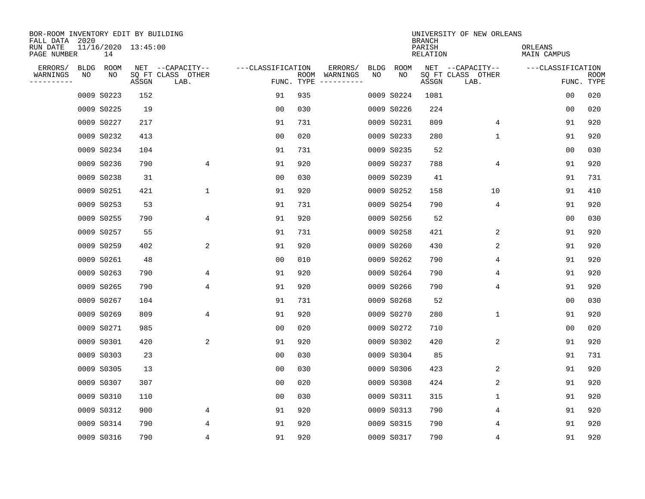| BOR-ROOM INVENTORY EDIT BY BUILDING<br>FALL DATA 2020 |             |            |                     |                           |                   |                    |                         |             |             | <b>BRANCH</b>             | UNIVERSITY OF NEW ORLEANS |                        |                           |
|-------------------------------------------------------|-------------|------------|---------------------|---------------------------|-------------------|--------------------|-------------------------|-------------|-------------|---------------------------|---------------------------|------------------------|---------------------------|
| RUN DATE<br>PAGE NUMBER                               |             | 14         | 11/16/2020 13:45:00 |                           |                   |                    |                         |             |             | PARISH<br><b>RELATION</b> |                           | ORLEANS<br>MAIN CAMPUS |                           |
| ERRORS/                                               | <b>BLDG</b> | ROOM       |                     | NET --CAPACITY--          | ---CLASSIFICATION |                    | ERRORS/                 | <b>BLDG</b> | <b>ROOM</b> |                           | NET --CAPACITY--          | ---CLASSIFICATION      |                           |
| WARNINGS<br>----------                                | NO          | NO         | ASSGN               | SQ FT CLASS OTHER<br>LAB. |                   | ROOM<br>FUNC. TYPE | WARNINGS<br>----------- | NO          | NO          | ASSGN                     | SQ FT CLASS OTHER<br>LAB. |                        | <b>ROOM</b><br>FUNC. TYPE |
|                                                       |             | 0009 S0223 | 152                 |                           | 91                | 935                |                         |             | 0009 S0224  | 1081                      |                           | 00                     | 020                       |
|                                                       |             | 0009 S0225 | 19                  |                           | 0 <sub>0</sub>    | 030                |                         |             | 0009 S0226  | 224                       |                           | 00                     | 020                       |
|                                                       |             | 0009 S0227 | 217                 |                           | 91                | 731                |                         |             | 0009 S0231  | 809                       | 4                         | 91                     | 920                       |
|                                                       |             | 0009 S0232 | 413                 |                           | 0 <sub>0</sub>    | 020                |                         |             | 0009 S0233  | 280                       | 1                         | 91                     | 920                       |
|                                                       |             | 0009 S0234 | 104                 |                           | 91                | 731                |                         |             | 0009 S0235  | 52                        |                           | 00                     | 030                       |
|                                                       |             | 0009 S0236 | 790                 | 4                         | 91                | 920                |                         |             | 0009 S0237  | 788                       | 4                         | 91                     | 920                       |
|                                                       |             | 0009 S0238 | 31                  |                           | 0 <sub>0</sub>    | 030                |                         |             | 0009 S0239  | 41                        |                           | 91                     | 731                       |
|                                                       |             | 0009 S0251 | 421                 | $\mathbf{1}$              | 91                | 920                |                         |             | 0009 S0252  | 158                       | 10                        | 91                     | 410                       |
|                                                       |             | 0009 S0253 | 53                  |                           | 91                | 731                |                         |             | 0009 S0254  | 790                       | 4                         | 91                     | 920                       |
|                                                       |             | 0009 S0255 | 790                 | 4                         | 91                | 920                |                         |             | 0009 S0256  | 52                        |                           | 0 <sub>0</sub>         | 030                       |
|                                                       |             | 0009 S0257 | 55                  |                           | 91                | 731                |                         |             | 0009 S0258  | 421                       | 2                         | 91                     | 920                       |
|                                                       |             | 0009 S0259 | 402                 | 2                         | 91                | 920                |                         |             | 0009 S0260  | 430                       | 2                         | 91                     | 920                       |
|                                                       |             | 0009 S0261 | 48                  |                           | 0 <sub>0</sub>    | 010                |                         |             | 0009 S0262  | 790                       | 4                         | 91                     | 920                       |
|                                                       |             | 0009 S0263 | 790                 | 4                         | 91                | 920                |                         |             | 0009 S0264  | 790                       | 4                         | 91                     | 920                       |
|                                                       |             | 0009 S0265 | 790                 | 4                         | 91                | 920                |                         |             | 0009 S0266  | 790                       | 4                         | 91                     | 920                       |
|                                                       |             | 0009 S0267 | 104                 |                           | 91                | 731                |                         |             | 0009 S0268  | 52                        |                           | 0 <sub>0</sub>         | 030                       |
|                                                       |             | 0009 S0269 | 809                 | 4                         | 91                | 920                |                         |             | 0009 S0270  | 280                       | 1                         | 91                     | 920                       |
|                                                       |             | 0009 S0271 | 985                 |                           | 0 <sub>0</sub>    | 020                |                         |             | 0009 S0272  | 710                       |                           | 0 <sub>0</sub>         | 020                       |
|                                                       |             | 0009 S0301 | 420                 | 2                         | 91                | 920                |                         |             | 0009 S0302  | 420                       | 2                         | 91                     | 920                       |
|                                                       |             | 0009 S0303 | 23                  |                           | 0 <sub>0</sub>    | 030                |                         |             | 0009 S0304  | 85                        |                           | 91                     | 731                       |
|                                                       |             | 0009 S0305 | 13                  |                           | 0 <sub>0</sub>    | 030                |                         |             | 0009 S0306  | 423                       | 2                         | 91                     | 920                       |
|                                                       |             | 0009 S0307 | 307                 |                           | 0 <sub>0</sub>    | 020                |                         |             | 0009 S0308  | 424                       | 2                         | 91                     | 920                       |
|                                                       |             | 0009 S0310 | 110                 |                           | 0 <sub>0</sub>    | 030                |                         |             | 0009 S0311  | 315                       | 1                         | 91                     | 920                       |
|                                                       |             | 0009 S0312 | 900                 | 4                         | 91                | 920                |                         |             | 0009 S0313  | 790                       | 4                         | 91                     | 920                       |
|                                                       |             | 0009 S0314 | 790                 | 4                         | 91                | 920                |                         |             | 0009 S0315  | 790                       | 4                         | 91                     | 920                       |
|                                                       |             | 0009 S0316 | 790                 | 4                         | 91                | 920                |                         |             | 0009 S0317  | 790                       | 4                         | 91                     | 920                       |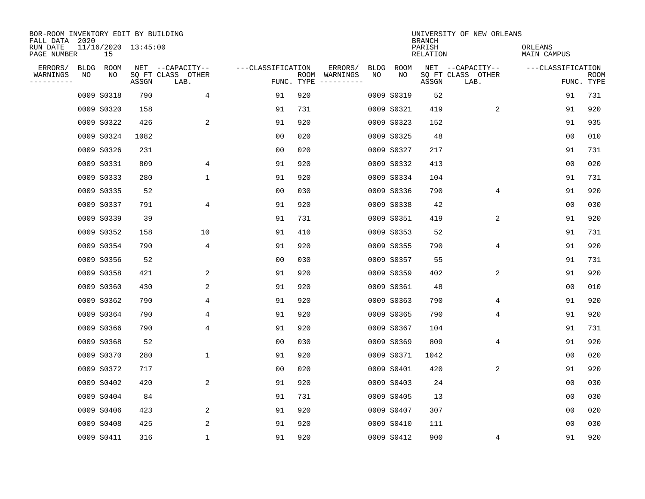| BOR-ROOM INVENTORY EDIT BY BUILDING<br>FALL DATA 2020 |             |                           |       |                           |                   |                    |                         |             |             | <b>BRANCH</b>             | UNIVERSITY OF NEW ORLEANS |                        |                           |
|-------------------------------------------------------|-------------|---------------------------|-------|---------------------------|-------------------|--------------------|-------------------------|-------------|-------------|---------------------------|---------------------------|------------------------|---------------------------|
| RUN DATE<br>PAGE NUMBER                               |             | 11/16/2020 13:45:00<br>15 |       |                           |                   |                    |                         |             |             | PARISH<br><b>RELATION</b> |                           | ORLEANS<br>MAIN CAMPUS |                           |
| ERRORS/                                               | <b>BLDG</b> | ROOM                      |       | NET --CAPACITY--          | ---CLASSIFICATION |                    | ERRORS/                 | <b>BLDG</b> | <b>ROOM</b> |                           | NET --CAPACITY--          | ---CLASSIFICATION      |                           |
| WARNINGS<br>----------                                | NO          | NO                        | ASSGN | SQ FT CLASS OTHER<br>LAB. |                   | ROOM<br>FUNC. TYPE | WARNINGS<br>----------- | NO          | NO          | ASSGN                     | SQ FT CLASS OTHER<br>LAB. |                        | <b>ROOM</b><br>FUNC. TYPE |
|                                                       |             | 0009 S0318                | 790   | 4                         | 91                | 920                |                         |             | 0009 S0319  | 52                        |                           | 91                     | 731                       |
|                                                       |             | 0009 S0320                | 158   |                           | 91                | 731                |                         |             | 0009 S0321  | 419                       | 2                         | 91                     | 920                       |
|                                                       |             | 0009 S0322                | 426   | 2                         | 91                | 920                |                         |             | 0009 S0323  | 152                       |                           | 91                     | 935                       |
|                                                       |             | 0009 S0324                | 1082  |                           | 0 <sub>0</sub>    | 020                |                         |             | 0009 S0325  | 48                        |                           | 0 <sub>0</sub>         | 010                       |
|                                                       |             | 0009 S0326                | 231   |                           | 0 <sub>0</sub>    | 020                |                         |             | 0009 S0327  | 217                       |                           | 91                     | 731                       |
|                                                       |             | 0009 S0331                | 809   | 4                         | 91                | 920                |                         |             | 0009 S0332  | 413                       |                           | 0 <sub>0</sub>         | 020                       |
|                                                       |             | 0009 S0333                | 280   | $\mathbf 1$               | 91                | 920                |                         |             | 0009 S0334  | 104                       |                           | 91                     | 731                       |
|                                                       |             | 0009 S0335                | 52    |                           | 0 <sub>0</sub>    | 030                |                         |             | 0009 S0336  | 790                       | 4                         | 91                     | 920                       |
|                                                       |             | 0009 S0337                | 791   | 4                         | 91                | 920                |                         |             | 0009 S0338  | 42                        |                           | 0 <sub>0</sub>         | 030                       |
|                                                       |             | 0009 S0339                | 39    |                           | 91                | 731                |                         |             | 0009 S0351  | 419                       | 2                         | 91                     | 920                       |
|                                                       |             | 0009 S0352                | 158   | 10                        | 91                | 410                |                         |             | 0009 S0353  | 52                        |                           | 91                     | 731                       |
|                                                       |             | 0009 S0354                | 790   | 4                         | 91                | 920                |                         |             | 0009 S0355  | 790                       | 4                         | 91                     | 920                       |
|                                                       |             | 0009 S0356                | 52    |                           | 0 <sub>0</sub>    | 030                |                         |             | 0009 S0357  | 55                        |                           | 91                     | 731                       |
|                                                       |             | 0009 S0358                | 421   | 2                         | 91                | 920                |                         |             | 0009 S0359  | 402                       | 2                         | 91                     | 920                       |
|                                                       |             | 0009 S0360                | 430   | 2                         | 91                | 920                |                         |             | 0009 S0361  | 48                        |                           | 0 <sub>0</sub>         | 010                       |
|                                                       |             | 0009 S0362                | 790   | 4                         | 91                | 920                |                         |             | 0009 S0363  | 790                       | 4                         | 91                     | 920                       |
|                                                       |             | 0009 S0364                | 790   | 4                         | 91                | 920                |                         |             | 0009 S0365  | 790                       | 4                         | 91                     | 920                       |
|                                                       |             | 0009 S0366                | 790   | 4                         | 91                | 920                |                         |             | 0009 S0367  | 104                       |                           | 91                     | 731                       |
|                                                       |             | 0009 S0368                | 52    |                           | 0 <sub>0</sub>    | 030                |                         |             | 0009 S0369  | 809                       | 4                         | 91                     | 920                       |
|                                                       |             | 0009 S0370                | 280   | $\mathbf 1$               | 91                | 920                |                         |             | 0009 S0371  | 1042                      |                           | 0 <sub>0</sub>         | 020                       |
|                                                       |             | 0009 S0372                | 717   |                           | 0 <sub>0</sub>    | 020                |                         |             | 0009 S0401  | 420                       | 2                         | 91                     | 920                       |
|                                                       |             | 0009 S0402                | 420   | 2                         | 91                | 920                |                         |             | 0009 S0403  | 24                        |                           | 0 <sub>0</sub>         | 030                       |
|                                                       |             | 0009 S0404                | 84    |                           | 91                | 731                |                         |             | 0009 S0405  | 13                        |                           | 0 <sub>0</sub>         | 030                       |
|                                                       |             | 0009 S0406                | 423   | 2                         | 91                | 920                |                         |             | 0009 S0407  | 307                       |                           | 0 <sub>0</sub>         | 020                       |
|                                                       |             | 0009 S0408                | 425   | 2                         | 91                | 920                |                         |             | 0009 S0410  | 111                       |                           | 0 <sub>0</sub>         | 030                       |
|                                                       |             | 0009 S0411                | 316   | 1                         | 91                | 920                |                         |             | 0009 S0412  | 900                       | 4                         | 91                     | 920                       |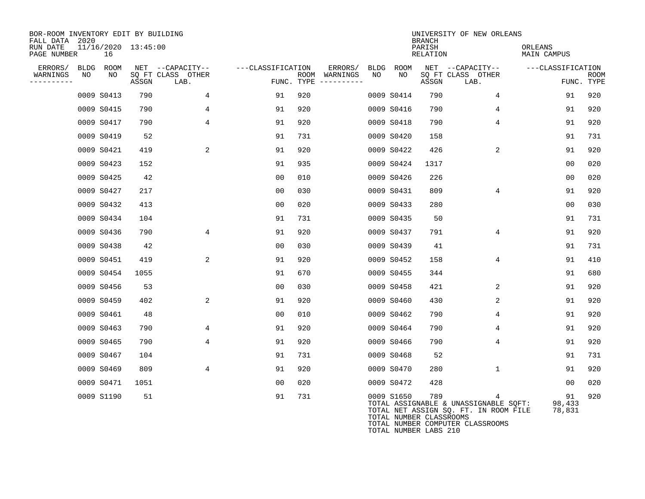| BOR-ROOM INVENTORY EDIT BY BUILDING<br>FALL DATA 2020 |            |                     |                           |                   |                                      |                 |                                                                | <b>BRANCH</b>      | UNIVERSITY OF NEW ORLEANS                                                                                               |                        |                           |
|-------------------------------------------------------|------------|---------------------|---------------------------|-------------------|--------------------------------------|-----------------|----------------------------------------------------------------|--------------------|-------------------------------------------------------------------------------------------------------------------------|------------------------|---------------------------|
| RUN DATE<br>PAGE NUMBER                               | 16         | 11/16/2020 13:45:00 |                           |                   |                                      |                 |                                                                | PARISH<br>RELATION |                                                                                                                         | ORLEANS<br>MAIN CAMPUS |                           |
| ERRORS/<br><b>BLDG</b>                                | ROOM       |                     | NET --CAPACITY--          | ---CLASSIFICATION |                                      | ERRORS/<br>BLDG | ROOM                                                           |                    | NET --CAPACITY--                                                                                                        | ---CLASSIFICATION      |                           |
| WARNINGS<br>NO<br>---------                           | NO         | ASSGN               | SQ FT CLASS OTHER<br>LAB. |                   | ROOM WARNINGS<br>FUNC. TYPE $------$ | NO              | NO                                                             | ASSGN              | SQ FT CLASS OTHER<br>LAB.                                                                                               |                        | <b>ROOM</b><br>FUNC. TYPE |
|                                                       | 0009 S0413 | 790                 | 4                         | 91                | 920                                  |                 | 0009 S0414                                                     | 790                | 4                                                                                                                       | 91                     | 920                       |
|                                                       | 0009 S0415 | 790                 | 4                         | 91                | 920                                  |                 | 0009 S0416                                                     | 790                | 4                                                                                                                       | 91                     | 920                       |
|                                                       | 0009 S0417 | 790                 | 4                         | 91                | 920                                  |                 | 0009 S0418                                                     | 790                | 4                                                                                                                       | 91                     | 920                       |
|                                                       | 0009 S0419 | 52                  |                           | 91                | 731                                  |                 | 0009 S0420                                                     | 158                |                                                                                                                         | 91                     | 731                       |
|                                                       | 0009 S0421 | 419                 | 2                         | 91                | 920                                  |                 | 0009 S0422                                                     | 426                | 2                                                                                                                       | 91                     | 920                       |
|                                                       | 0009 S0423 | 152                 |                           | 91                | 935                                  |                 | 0009 S0424                                                     | 1317               |                                                                                                                         | 00                     | 020                       |
|                                                       | 0009 S0425 | 42                  |                           | 0 <sub>0</sub>    | 010                                  |                 | 0009 S0426                                                     | 226                |                                                                                                                         | 0 <sub>0</sub>         | 020                       |
|                                                       | 0009 S0427 | 217                 |                           | 0 <sub>0</sub>    | 030                                  |                 | 0009 S0431                                                     | 809                | 4                                                                                                                       | 91                     | 920                       |
|                                                       | 0009 S0432 | 413                 |                           | 0 <sub>0</sub>    | 020                                  |                 | 0009 S0433                                                     | 280                |                                                                                                                         | 0 <sub>0</sub>         | 030                       |
|                                                       | 0009 S0434 | 104                 |                           | 91                | 731                                  |                 | 0009 S0435                                                     | 50                 |                                                                                                                         | 91                     | 731                       |
|                                                       | 0009 S0436 | 790                 | 4                         | 91                | 920                                  |                 | 0009 S0437                                                     | 791                | 4                                                                                                                       | 91                     | 920                       |
|                                                       | 0009 S0438 | 42                  |                           | 0 <sub>0</sub>    | 030                                  |                 | 0009 S0439                                                     | 41                 |                                                                                                                         | 91                     | 731                       |
|                                                       | 0009 S0451 | 419                 | 2                         | 91                | 920                                  |                 | 0009 S0452                                                     | 158                | 4                                                                                                                       | 91                     | 410                       |
|                                                       | 0009 S0454 | 1055                |                           | 91                | 670                                  |                 | 0009 S0455                                                     | 344                |                                                                                                                         | 91                     | 680                       |
|                                                       | 0009 S0456 | 53                  |                           | 0 <sub>0</sub>    | 030                                  |                 | 0009 S0458                                                     | 421                | 2                                                                                                                       | 91                     | 920                       |
|                                                       | 0009 S0459 | 402                 | 2                         | 91                | 920                                  |                 | 0009 S0460                                                     | 430                | 2                                                                                                                       | 91                     | 920                       |
|                                                       | 0009 S0461 | 48                  |                           | 0 <sub>0</sub>    | 010                                  |                 | 0009 S0462                                                     | 790                | 4                                                                                                                       | 91                     | 920                       |
|                                                       | 0009 S0463 | 790                 | 4                         | 91                | 920                                  |                 | 0009 S0464                                                     | 790                | 4                                                                                                                       | 91                     | 920                       |
|                                                       | 0009 S0465 | 790                 | 4                         | 91                | 920                                  |                 | 0009 S0466                                                     | 790                | 4                                                                                                                       | 91                     | 920                       |
|                                                       | 0009 S0467 | 104                 |                           | 91                | 731                                  |                 | 0009 S0468                                                     | 52                 |                                                                                                                         | 91                     | 731                       |
|                                                       | 0009 S0469 | 809                 | 4                         | 91                | 920                                  |                 | 0009 S0470                                                     | 280                | $\mathbf{1}$                                                                                                            | 91                     | 920                       |
|                                                       | 0009 S0471 | 1051                |                           | 0 <sub>0</sub>    | 020                                  |                 | 0009 S0472                                                     | 428                |                                                                                                                         | 00                     | 020                       |
|                                                       | 0009 S1190 | 51                  |                           | 91                | 731                                  |                 | 0009 S1650<br>TOTAL NUMBER CLASSROOMS<br>TOTAL NUMBER LABS 210 | 789                | 4<br>TOTAL ASSIGNABLE & UNASSIGNABLE SQFT:<br>TOTAL NET ASSIGN SQ. FT. IN ROOM FILE<br>TOTAL NUMBER COMPUTER CLASSROOMS | 91<br>98,433<br>78,831 | 920                       |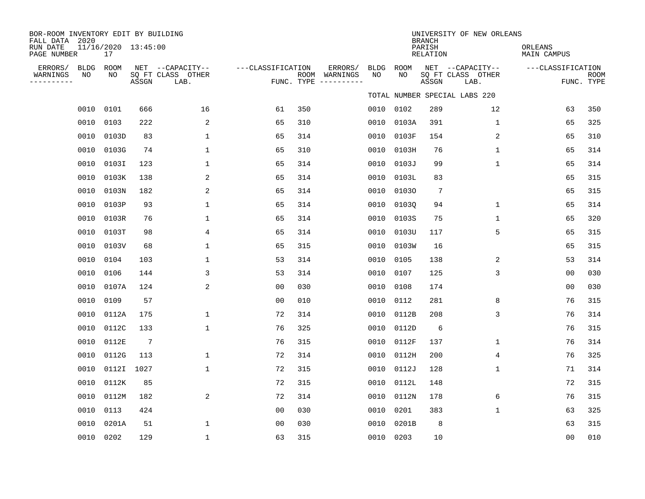| BOR-ROOM INVENTORY EDIT BY BUILDING<br>FALL DATA 2020<br>RUN DATE<br>PAGE NUMBER | 11/16/2020 13:45:00<br>17 |            |                                               |                   |     |                                                 |                    |                    | <b>BRANCH</b><br>PARISH<br><b>RELATION</b> | UNIVERSITY OF NEW ORLEANS                     | ORLEANS<br>MAIN CAMPUS |                           |
|----------------------------------------------------------------------------------|---------------------------|------------|-----------------------------------------------|-------------------|-----|-------------------------------------------------|--------------------|--------------------|--------------------------------------------|-----------------------------------------------|------------------------|---------------------------|
| ERRORS/<br>BLDG<br>WARNINGS<br>NO<br>----------                                  | ROOM<br>NO                | ASSGN      | NET --CAPACITY--<br>SO FT CLASS OTHER<br>LAB. | ---CLASSIFICATION |     | ERRORS/<br>ROOM WARNINGS<br>FUNC. TYPE $------$ | <b>BLDG</b><br>NO. | <b>ROOM</b><br>NO. | ASSGN                                      | NET --CAPACITY--<br>SO FT CLASS OTHER<br>LAB. | ---CLASSIFICATION      | <b>ROOM</b><br>FUNC. TYPE |
|                                                                                  |                           |            |                                               |                   |     |                                                 |                    |                    |                                            | TOTAL NUMBER SPECIAL LABS 220                 |                        |                           |
|                                                                                  | 0010 0101                 | 666        | 16                                            | 61                | 350 |                                                 | 0010               | 0102               | 289                                        | 12                                            | 63                     | 350                       |
| 0010                                                                             | 0103                      | 222        | 2                                             | 65                | 310 |                                                 | 0010               | 0103A              | 391                                        | $\mathbf{1}$                                  | 65                     | 325                       |
| 0010                                                                             | 0103D                     | 83         | 1                                             | 65                | 314 |                                                 | 0010               | 0103F              | 154                                        | 2                                             | 65                     | 310                       |
| 0010                                                                             | 0103G                     | 74         | 1                                             | 65                | 310 |                                                 | 0010               | 0103H              | 76                                         | 1                                             | 65                     | 314                       |
| 0010                                                                             | 0103I                     | 123        | 1                                             | 65                | 314 |                                                 | 0010               | 0103J              | 99                                         | 1                                             | 65                     | 314                       |
| 0010                                                                             | 0103K                     | 138        | 2                                             | 65                | 314 |                                                 | 0010               | 0103L              | 83                                         |                                               | 65                     | 315                       |
| 0010                                                                             | 0103N                     | 182        | 2                                             | 65                | 314 |                                                 | 0010               | 01030              | $7\phantom{.0}$                            |                                               | 65                     | 315                       |
| 0010                                                                             | 0103P                     | 93         | 1                                             | 65                | 314 |                                                 | 0010               | 01030              | 94                                         | $\mathbf{1}$                                  | 65                     | 314                       |
| 0010                                                                             | 0103R                     | 76         | $\mathbf{1}$                                  | 65                | 314 |                                                 | 0010               | 0103S              | 75                                         | $\mathbf{1}$                                  | 65                     | 320                       |
| 0010                                                                             | 0103T                     | 98         | 4                                             | 65                | 314 |                                                 | 0010               | 0103U              | 117                                        | 5                                             | 65                     | 315                       |
| 0010                                                                             | 0103V                     | 68         | 1                                             | 65                | 315 |                                                 | 0010               | 0103W              | 16                                         |                                               | 65                     | 315                       |
| 0010                                                                             | 0104                      | 103        | 1                                             | 53                | 314 |                                                 | 0010               | 0105               | 138                                        | 2                                             | 53                     | 314                       |
| 0010                                                                             | 0106                      | 144        | 3                                             | 53                | 314 |                                                 | 0010               | 0107               | 125                                        | 3                                             | 0 <sub>0</sub>         | 030                       |
| 0010                                                                             | 0107A                     | 124        | 2                                             | 0 <sub>0</sub>    | 030 |                                                 | 0010               | 0108               | 174                                        |                                               | 0 <sub>0</sub>         | 030                       |
| 0010                                                                             | 0109                      | 57         |                                               | 0 <sub>0</sub>    | 010 |                                                 | 0010               | 0112               | 281                                        | 8                                             | 76                     | 315                       |
| 0010                                                                             | 0112A                     | 175        | 1                                             | 72                | 314 |                                                 | 0010               | 0112B              | 208                                        | 3                                             | 76                     | 314                       |
| 0010                                                                             | 0112C                     | 133        | $\mathbf{1}$                                  | 76                | 325 |                                                 | 0010               | 0112D              | 6                                          |                                               | 76                     | 315                       |
| 0010                                                                             | 0112E                     | 7          |                                               | 76                | 315 |                                                 | 0010               | 0112F              | 137                                        | $\mathbf{1}$                                  | 76                     | 314                       |
| 0010                                                                             | 0112G                     | 113        | 1                                             | 72                | 314 |                                                 | 0010               | 0112H              | 200                                        | 4                                             | 76                     | 325                       |
| 0010                                                                             |                           | 0112I 1027 | $\mathbf{1}$                                  | 72                | 315 |                                                 | 0010               | 0112J              | 128                                        | 1                                             | 71                     | 314                       |
| 0010                                                                             | 0112K                     | 85         |                                               | 72                | 315 |                                                 | 0010               | 0112L              | 148                                        |                                               | 72                     | 315                       |
| 0010                                                                             | 0112M                     | 182        | 2                                             | 72                | 314 |                                                 | 0010               | 0112N              | 178                                        | 6                                             | 76                     | 315                       |
| 0010                                                                             | 0113                      | 424        |                                               | 0 <sub>0</sub>    | 030 |                                                 | 0010               | 0201               | 383                                        | $\mathbf 1$                                   | 63                     | 325                       |
| 0010                                                                             | 0201A                     | 51         | $\mathbf{1}$                                  | 0 <sub>0</sub>    | 030 |                                                 | 0010               | 0201B              | 8                                          |                                               | 63                     | 315                       |
|                                                                                  | 0010 0202                 | 129        | $\mathbf{1}$                                  | 63                | 315 |                                                 | 0010               | 0203               | 10                                         |                                               | 0 <sub>0</sub>         | 010                       |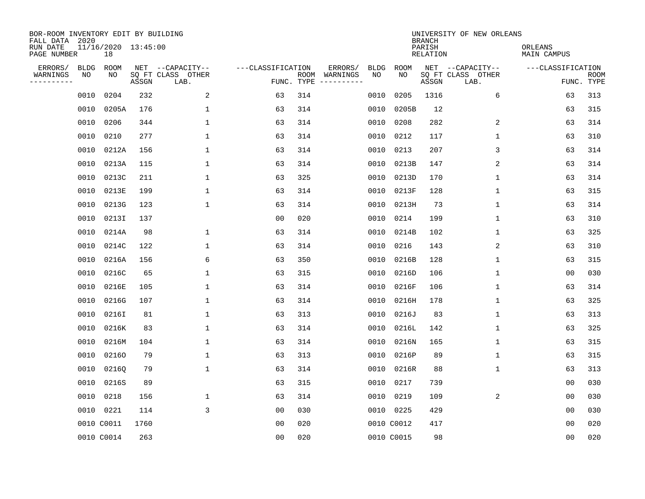| BOR-ROOM INVENTORY EDIT BY BUILDING<br>FALL DATA 2020 |             |                           |       |                           |                   |                    |                         |             |             | <b>BRANCH</b>             | UNIVERSITY OF NEW ORLEANS |                        |                           |
|-------------------------------------------------------|-------------|---------------------------|-------|---------------------------|-------------------|--------------------|-------------------------|-------------|-------------|---------------------------|---------------------------|------------------------|---------------------------|
| RUN DATE<br>PAGE NUMBER                               |             | 11/16/2020 13:45:00<br>18 |       |                           |                   |                    |                         |             |             | PARISH<br><b>RELATION</b> |                           | ORLEANS<br>MAIN CAMPUS |                           |
| ERRORS/                                               | <b>BLDG</b> | ROOM                      |       | NET --CAPACITY--          | ---CLASSIFICATION |                    | ERRORS/                 | <b>BLDG</b> | <b>ROOM</b> |                           | NET --CAPACITY--          | ---CLASSIFICATION      |                           |
| WARNINGS<br>----------                                | NO          | NO                        | ASSGN | SQ FT CLASS OTHER<br>LAB. |                   | ROOM<br>FUNC. TYPE | WARNINGS<br>----------- | NO          | NO          | ASSGN                     | SQ FT CLASS OTHER<br>LAB. |                        | <b>ROOM</b><br>FUNC. TYPE |
|                                                       | 0010        | 0204                      | 232   | 2                         | 63                | 314                |                         | 0010        | 0205        | 1316                      | 6                         | 63                     | 313                       |
|                                                       | 0010        | 0205A                     | 176   | 1                         | 63                | 314                |                         | 0010        | 0205B       | 12                        |                           | 63                     | 315                       |
|                                                       | 0010        | 0206                      | 344   | $\mathbf 1$               | 63                | 314                |                         | 0010        | 0208        | 282                       | 2                         | 63                     | 314                       |
|                                                       | 0010        | 0210                      | 277   | 1                         | 63                | 314                |                         | 0010        | 0212        | 117                       | 1                         | 63                     | 310                       |
|                                                       | 0010        | 0212A                     | 156   | $\mathbf{1}$              | 63                | 314                |                         | 0010        | 0213        | 207                       | 3                         | 63                     | 314                       |
|                                                       | 0010        | 0213A                     | 115   | $\mathbf 1$               | 63                | 314                |                         |             | 0010 0213B  | 147                       | 2                         | 63                     | 314                       |
|                                                       | 0010        | 0213C                     | 211   | $\mathbf{1}$              | 63                | 325                |                         | 0010        | 0213D       | 170                       | $\mathbf{1}$              | 63                     | 314                       |
|                                                       | 0010        | 0213E                     | 199   | $\mathbf{1}$              | 63                | 314                |                         | 0010        | 0213F       | 128                       | $\mathbf 1$               | 63                     | 315                       |
|                                                       | 0010        | 0213G                     | 123   | $\mathbf{1}$              | 63                | 314                |                         | 0010        | 0213H       | 73                        | $\mathbf{1}$              | 63                     | 314                       |
|                                                       | 0010        | 0213I                     | 137   |                           | 00                | 020                |                         | 0010        | 0214        | 199                       | 1                         | 63                     | 310                       |
|                                                       | 0010        | 0214A                     | 98    | 1                         | 63                | 314                |                         | 0010        | 0214B       | 102                       | 1                         | 63                     | 325                       |
|                                                       | 0010        | 0214C                     | 122   | 1                         | 63                | 314                |                         | 0010        | 0216        | 143                       | 2                         | 63                     | 310                       |
|                                                       | 0010        | 0216A                     | 156   | 6                         | 63                | 350                |                         | 0010        | 0216B       | 128                       | 1                         | 63                     | 315                       |
|                                                       | 0010        | 0216C                     | 65    | 1                         | 63                | 315                |                         | 0010        | 0216D       | 106                       | 1                         | 0 <sub>0</sub>         | 030                       |
|                                                       | 0010        | 0216E                     | 105   | 1                         | 63                | 314                |                         | 0010        | 0216F       | 106                       | 1                         | 63                     | 314                       |
|                                                       | 0010        | 0216G                     | 107   | 1                         | 63                | 314                |                         | 0010        | 0216H       | 178                       | 1                         | 63                     | 325                       |
|                                                       | 0010        | 02161                     | 81    | 1                         | 63                | 313                |                         | 0010        | 0216J       | 83                        | 1                         | 63                     | 313                       |
|                                                       | 0010        | 0216K                     | 83    | 1                         | 63                | 314                |                         | 0010        | 0216L       | 142                       | 1                         | 63                     | 325                       |
|                                                       | 0010        | 0216M                     | 104   | 1                         | 63                | 314                |                         | 0010        | 0216N       | 165                       | 1                         | 63                     | 315                       |
|                                                       | 0010        | 02160                     | 79    | 1                         | 63                | 313                |                         | 0010        | 0216P       | 89                        | 1                         | 63                     | 315                       |
|                                                       | 0010        | 02160                     | 79    | 1                         | 63                | 314                |                         | 0010        | 0216R       | 88                        | 1                         | 63                     | 313                       |
|                                                       | 0010        | 0216S                     | 89    |                           | 63                | 315                |                         | 0010        | 0217        | 739                       |                           | 00                     | 030                       |
|                                                       | 0010        | 0218                      | 156   | 1                         | 63                | 314                |                         | 0010        | 0219        | 109                       | 2                         | 0 <sub>0</sub>         | 030                       |
|                                                       | 0010        | 0221                      | 114   | 3                         | 0 <sub>0</sub>    | 030                |                         |             | 0010 0225   | 429                       |                           | 0 <sub>0</sub>         | 030                       |
|                                                       |             | 0010 C0011                | 1760  |                           | 0 <sub>0</sub>    | 020                |                         |             | 0010 C0012  | 417                       |                           | 0 <sub>0</sub>         | 020                       |
|                                                       |             | 0010 C0014                | 263   |                           | 0 <sub>0</sub>    | 020                |                         |             | 0010 C0015  | 98                        |                           | 0 <sub>0</sub>         | 020                       |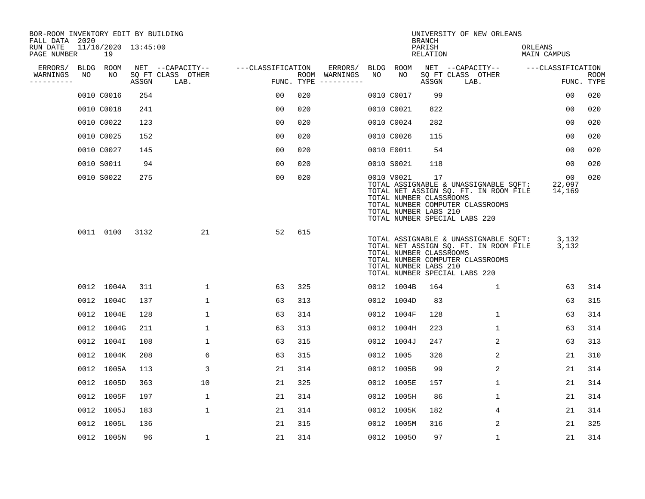| BOR-ROOM INVENTORY EDIT BY BUILDING<br>FALL DATA 2020 |    |                           |       |                           |                   |     |                              |    |                                                                | <b>BRANCH</b>             | UNIVERSITY OF NEW ORLEANS                                                                                                                           |                               |                           |
|-------------------------------------------------------|----|---------------------------|-------|---------------------------|-------------------|-----|------------------------------|----|----------------------------------------------------------------|---------------------------|-----------------------------------------------------------------------------------------------------------------------------------------------------|-------------------------------|---------------------------|
| RUN DATE<br>PAGE NUMBER                               |    | 11/16/2020 13:45:00<br>19 |       |                           |                   |     |                              |    |                                                                | PARISH<br><b>RELATION</b> |                                                                                                                                                     | ORLEANS<br><b>MAIN CAMPUS</b> |                           |
| ERRORS/                                               |    | BLDG ROOM                 |       | NET --CAPACITY--          | ---CLASSIFICATION |     | ERRORS/                      |    | BLDG ROOM                                                      |                           | NET --CAPACITY--                                                                                                                                    | ---CLASSIFICATION             |                           |
| WARNINGS<br>----------                                | NO | NO                        | ASSGN | SQ FT CLASS OTHER<br>LAB. | FUNC. TYPE        |     | ROOM WARNINGS<br>----------- | NO | NO                                                             | ASSGN                     | SQ FT CLASS OTHER<br>LAB.                                                                                                                           |                               | <b>ROOM</b><br>FUNC. TYPE |
|                                                       |    | 0010 C0016                | 254   |                           | 00                | 020 |                              |    | 0010 C0017                                                     | 99                        |                                                                                                                                                     | 0 <sub>0</sub>                | 020                       |
|                                                       |    | 0010 C0018                | 241   |                           | 0 <sub>0</sub>    | 020 |                              |    | 0010 C0021                                                     | 822                       |                                                                                                                                                     | 0 <sub>0</sub>                | 020                       |
|                                                       |    | 0010 C0022                | 123   |                           | 0 <sub>0</sub>    | 020 |                              |    | 0010 C0024                                                     | 282                       |                                                                                                                                                     | 00                            | 020                       |
|                                                       |    | 0010 C0025                | 152   |                           | 0 <sub>0</sub>    | 020 |                              |    | 0010 C0026                                                     | 115                       |                                                                                                                                                     | 0 <sub>0</sub>                | 020                       |
|                                                       |    | 0010 C0027                | 145   |                           | 0 <sub>0</sub>    | 020 |                              |    | 0010 E0011                                                     | 54                        |                                                                                                                                                     | 0 <sub>0</sub>                | 020                       |
|                                                       |    | 0010 S0011                | 94    |                           | 0 <sub>0</sub>    | 020 |                              |    | 0010 S0021                                                     | 118                       |                                                                                                                                                     | 0 <sub>0</sub>                | 020                       |
|                                                       |    | 0010 S0022                | 275   |                           | 0 <sub>0</sub>    | 020 |                              |    | 0010 V0021<br>TOTAL NUMBER CLASSROOMS<br>TOTAL NUMBER LABS 210 | 17                        | TOTAL ASSIGNABLE & UNASSIGNABLE SQFT:<br>TOTAL NET ASSIGN SQ. FT. IN ROOM FILE<br>TOTAL NUMBER COMPUTER CLASSROOMS<br>TOTAL NUMBER SPECIAL LABS 220 | 00<br>22,097<br>14,169        | 020                       |
|                                                       |    | 0011 0100                 | 3132  | 21                        | 52                | 615 |                              |    | TOTAL NUMBER CLASSROOMS<br>TOTAL NUMBER LABS 210               |                           | TOTAL ASSIGNABLE & UNASSIGNABLE SQFT:<br>TOTAL NET ASSIGN SQ. FT. IN ROOM FILE<br>TOTAL NUMBER COMPUTER CLASSROOMS<br>TOTAL NUMBER SPECIAL LABS 220 | 3,132<br>3,132                |                           |
|                                                       |    | 0012 1004A                | 311   | $\mathbf 1$               | 63                | 325 |                              |    | 0012 1004B                                                     | 164                       | 1                                                                                                                                                   | 63                            | 314                       |
|                                                       |    | 0012 1004C                | 137   | $\mathbf{1}$              | 63                | 313 |                              |    | 0012 1004D                                                     | 83                        |                                                                                                                                                     | 63                            | 315                       |
|                                                       |    | 0012 1004E                | 128   | $\mathbf{1}$              | 63                | 314 |                              |    | 0012 1004F                                                     | 128                       | $\mathbf{1}$                                                                                                                                        | 63                            | 314                       |
|                                                       |    | 0012 1004G                | 211   | $\mathbf{1}$              | 63                | 313 |                              |    | 0012 1004H                                                     | 223                       | $\mathbf{1}$                                                                                                                                        | 63                            | 314                       |
|                                                       |    | 0012 1004I                | 108   | 1                         | 63                | 315 |                              |    | 0012 1004J                                                     | 247                       | 2                                                                                                                                                   | 63                            | 313                       |
|                                                       |    | 0012 1004K                | 208   | 6                         | 63                | 315 |                              |    | 0012 1005                                                      | 326                       | 2                                                                                                                                                   | 21                            | 310                       |
|                                                       |    | 0012 1005A                | 113   | 3                         | 21                | 314 |                              |    | 0012 1005B                                                     | 99                        | 2                                                                                                                                                   | 21                            | 314                       |
|                                                       |    | 0012 1005D                | 363   | 10                        | 21                | 325 |                              |    | 0012 1005E                                                     | 157                       | $\mathbf{1}$                                                                                                                                        | 21                            | 314                       |
|                                                       |    | 0012 1005F                | 197   | 1                         | 21                | 314 |                              |    | 0012 1005H                                                     | 86                        | $\mathbf 1$                                                                                                                                         | 21                            | 314                       |
|                                                       |    | 0012 1005J                | 183   | $\mathbf{1}$              | 21                | 314 |                              |    | 0012 1005K                                                     | 182                       | 4                                                                                                                                                   | 21                            | 314                       |
|                                                       |    | 0012 1005L                | 136   |                           | 21                | 315 |                              |    | 0012 1005M                                                     | 316                       | 2                                                                                                                                                   | 21                            | 325                       |
|                                                       |    | 0012 1005N                | 96    | $\mathbf{1}$              | 21                | 314 |                              |    | 0012 10050                                                     | 97                        | $\mathbf{1}$                                                                                                                                        | 21                            | 314                       |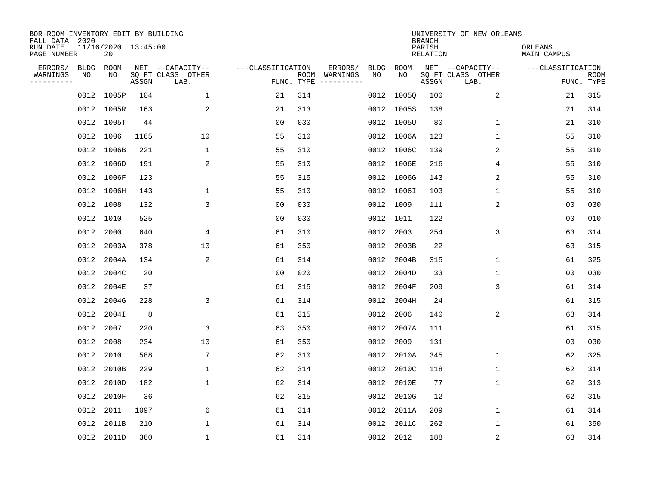| BOR-ROOM INVENTORY EDIT BY BUILDING<br>FALL DATA 2020 |      |                           |       |                           |                   |     |                              |      |            | <b>BRANCH</b>             | UNIVERSITY OF NEW ORLEANS |                        |                           |
|-------------------------------------------------------|------|---------------------------|-------|---------------------------|-------------------|-----|------------------------------|------|------------|---------------------------|---------------------------|------------------------|---------------------------|
| RUN DATE<br>PAGE NUMBER                               |      | 11/16/2020 13:45:00<br>20 |       |                           |                   |     |                              |      |            | PARISH<br><b>RELATION</b> |                           | ORLEANS<br>MAIN CAMPUS |                           |
| ERRORS/                                               | BLDG | ROOM                      |       | NET --CAPACITY--          | ---CLASSIFICATION |     | ERRORS/                      | BLDG | ROOM       |                           | NET --CAPACITY--          | ---CLASSIFICATION      |                           |
| WARNINGS<br>----------                                | ΝO   | NO                        | ASSGN | SQ FT CLASS OTHER<br>LAB. | FUNC. TYPE        |     | ROOM WARNINGS<br>----------- | NO   | NO         | ASSGN                     | SQ FT CLASS OTHER<br>LAB. |                        | <b>ROOM</b><br>FUNC. TYPE |
|                                                       | 0012 | 1005P                     | 104   | 1                         | 21                | 314 |                              |      | 0012 10050 | 100                       | 2                         | 21                     | 315                       |
|                                                       |      | 0012 1005R                | 163   | 2                         | 21                | 313 |                              |      | 0012 1005S | 138                       |                           | 21                     | 314                       |
|                                                       |      | 0012 1005T                | 44    |                           | 00                | 030 |                              |      | 0012 1005U | 80                        | 1                         | 21                     | 310                       |
|                                                       |      | 0012 1006                 | 1165  | 10                        | 55                | 310 |                              |      | 0012 1006A | 123                       | 1                         | 55                     | 310                       |
|                                                       |      | 0012 1006B                | 221   | $\mathbf 1$               | 55                | 310 |                              |      | 0012 1006C | 139                       | 2                         | 55                     | 310                       |
|                                                       |      | 0012 1006D                | 191   | 2                         | 55                | 310 |                              |      | 0012 1006E | 216                       | 4                         | 55                     | 310                       |
|                                                       |      | 0012 1006F                | 123   |                           | 55                | 315 |                              |      | 0012 1006G | 143                       | 2                         | 55                     | 310                       |
|                                                       |      | 0012 1006H                | 143   | $\mathbf{1}$              | 55                | 310 |                              |      | 0012 1006I | 103                       | $\mathbf 1$               | 55                     | 310                       |
|                                                       |      | 0012 1008                 | 132   | 3                         | 0 <sub>0</sub>    | 030 |                              | 0012 | 1009       | 111                       | 2                         | 0 <sub>0</sub>         | 030                       |
|                                                       |      | 0012 1010                 | 525   |                           | 00                | 030 |                              |      | 0012 1011  | 122                       |                           | 0 <sub>0</sub>         | 010                       |
|                                                       | 0012 | 2000                      | 640   | 4                         | 61                | 310 |                              | 0012 | 2003       | 254                       | 3                         | 63                     | 314                       |
|                                                       |      | 0012 2003A                | 378   | 10                        | 61                | 350 |                              | 0012 | 2003B      | 22                        |                           | 63                     | 315                       |
|                                                       | 0012 | 2004A                     | 134   | 2                         | 61                | 314 |                              | 0012 | 2004B      | 315                       | $\mathbf 1$               | 61                     | 325                       |
|                                                       | 0012 | 2004C                     | 20    |                           | 0 <sub>0</sub>    | 020 |                              | 0012 | 2004D      | 33                        | 1                         | 0 <sub>0</sub>         | 030                       |
|                                                       | 0012 | 2004E                     | 37    |                           | 61                | 315 |                              | 0012 | 2004F      | 209                       | 3                         | 61                     | 314                       |
|                                                       | 0012 | 2004G                     | 228   | 3                         | 61                | 314 |                              | 0012 | 2004H      | 24                        |                           | 61                     | 315                       |
|                                                       | 0012 | 2004I                     | 8     |                           | 61                | 315 |                              | 0012 | 2006       | 140                       | 2                         | 63                     | 314                       |
|                                                       | 0012 | 2007                      | 220   | 3                         | 63                | 350 |                              | 0012 | 2007A      | 111                       |                           | 61                     | 315                       |
|                                                       | 0012 | 2008                      | 234   | 10                        | 61                | 350 |                              | 0012 | 2009       | 131                       |                           | 0 <sub>0</sub>         | 030                       |
|                                                       | 0012 | 2010                      | 588   | 7                         | 62                | 310 |                              | 0012 | 2010A      | 345                       | 1                         | 62                     | 325                       |
|                                                       | 0012 | 2010B                     | 229   | $\mathbf{1}$              | 62                | 314 |                              | 0012 | 2010C      | 118                       | 1                         | 62                     | 314                       |
|                                                       | 0012 | 2010D                     | 182   | $\mathbf{1}$              | 62                | 314 |                              | 0012 | 2010E      | 77                        | $\mathbf 1$               | 62                     | 313                       |
|                                                       |      | 0012 2010F                | 36    |                           | 62                | 315 |                              | 0012 | 2010G      | 12                        |                           | 62                     | 315                       |
|                                                       | 0012 | 2011                      | 1097  | 6                         | 61                | 314 |                              | 0012 | 2011A      | 209                       | 1                         | 61                     | 314                       |
|                                                       | 0012 | 2011B                     | 210   | $\mathbf{1}$              | 61                | 314 |                              | 0012 | 2011C      | 262                       | $\mathbf 1$               | 61                     | 350                       |
|                                                       |      | 0012 2011D                | 360   | $\mathbf{1}$              | 61                | 314 |                              |      | 0012 2012  | 188                       | $\sqrt{2}$                | 63                     | 314                       |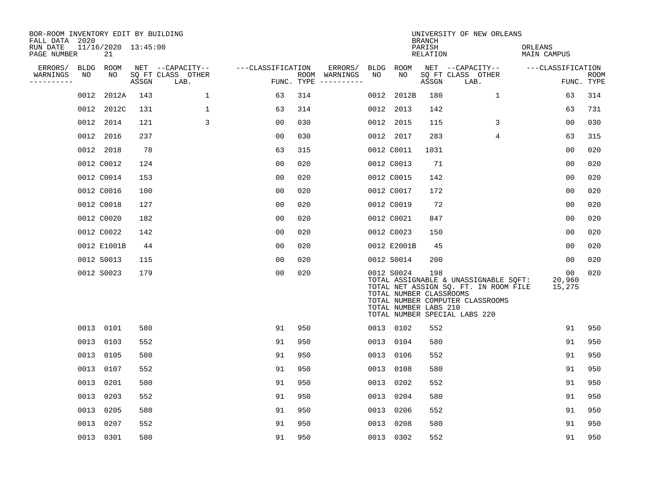| BOR-ROOM INVENTORY EDIT BY BUILDING<br>FALL DATA 2020 |      |                           |       |                           |                   |     |                                      |      |                                                                | <b>BRANCH</b>      | UNIVERSITY OF NEW ORLEANS                                                                                                                           |                        |                    |
|-------------------------------------------------------|------|---------------------------|-------|---------------------------|-------------------|-----|--------------------------------------|------|----------------------------------------------------------------|--------------------|-----------------------------------------------------------------------------------------------------------------------------------------------------|------------------------|--------------------|
| RUN DATE<br>PAGE NUMBER                               |      | 11/16/2020 13:45:00<br>21 |       |                           |                   |     |                                      |      |                                                                | PARISH<br>RELATION |                                                                                                                                                     | ORLEANS<br>MAIN CAMPUS |                    |
| ERRORS/                                               | BLDG | ROOM                      |       | NET --CAPACITY--          | ---CLASSIFICATION |     | ERRORS/                              | BLDG | ROOM                                                           |                    | NET --CAPACITY--                                                                                                                                    | ---CLASSIFICATION      |                    |
| WARNINGS<br>----------                                | NO   | NO                        | ASSGN | SQ FT CLASS OTHER<br>LAB. |                   |     | ROOM WARNINGS<br>FUNC. TYPE $------$ | NO   | NO                                                             | ASSGN              | SQ FT CLASS OTHER<br>LAB.                                                                                                                           |                        | ROOM<br>FUNC. TYPE |
|                                                       | 0012 | 2012A                     | 143   | $\mathbf{1}$              | 63                | 314 |                                      | 0012 | 2012B                                                          | 180                | $\mathbf 1$                                                                                                                                         | 63                     | 314                |
|                                                       | 0012 | 2012C                     | 131   | $\mathbf 1$               | 63                | 314 |                                      | 0012 | 2013                                                           | 142                |                                                                                                                                                     | 63                     | 731                |
|                                                       | 0012 | 2014                      | 121   | 3                         | 0 <sub>0</sub>    | 030 |                                      | 0012 | 2015                                                           | 115                | 3                                                                                                                                                   | 0 <sub>0</sub>         | 030                |
|                                                       |      | 0012 2016                 | 237   |                           | 0 <sub>0</sub>    | 030 |                                      |      | 0012 2017                                                      | 283                | 4                                                                                                                                                   | 63                     | 315                |
|                                                       |      | 0012 2018                 | 78    |                           | 63                | 315 |                                      |      | 0012 C0011                                                     | 1031               |                                                                                                                                                     | 0 <sub>0</sub>         | 020                |
|                                                       |      | 0012 C0012                | 124   |                           | 0 <sub>0</sub>    | 020 |                                      |      | 0012 C0013                                                     | 71                 |                                                                                                                                                     | 0 <sub>0</sub>         | 020                |
|                                                       |      | 0012 C0014                | 153   |                           | 0 <sub>0</sub>    | 020 |                                      |      | 0012 C0015                                                     | 142                |                                                                                                                                                     | 0 <sub>0</sub>         | 020                |
|                                                       |      | 0012 C0016                | 100   |                           | 0 <sub>0</sub>    | 020 |                                      |      | 0012 C0017                                                     | 172                |                                                                                                                                                     | 0 <sub>0</sub>         | 020                |
|                                                       |      | 0012 C0018                | 127   |                           | 00                | 020 |                                      |      | 0012 C0019                                                     | 72                 |                                                                                                                                                     | 0 <sub>0</sub>         | 020                |
|                                                       |      | 0012 C0020                | 182   |                           | 0 <sub>0</sub>    | 020 |                                      |      | 0012 C0021                                                     | 847                |                                                                                                                                                     | 0 <sub>0</sub>         | 020                |
|                                                       |      | 0012 C0022                | 142   |                           | 0 <sub>0</sub>    | 020 |                                      |      | 0012 C0023                                                     | 150                |                                                                                                                                                     | 00                     | 020                |
|                                                       |      | 0012 E1001B               | 44    |                           | 0 <sub>0</sub>    | 020 |                                      |      | 0012 E2001B                                                    | 45                 |                                                                                                                                                     | 0 <sub>0</sub>         | 020                |
|                                                       |      | 0012 S0013                | 115   |                           | 0 <sub>0</sub>    | 020 |                                      |      | 0012 S0014                                                     | 200                |                                                                                                                                                     | 00                     | 020                |
|                                                       |      | 0012 S0023                | 179   |                           | 0 <sub>0</sub>    | 020 |                                      |      | 0012 S0024<br>TOTAL NUMBER CLASSROOMS<br>TOTAL NUMBER LABS 210 | 198                | TOTAL ASSIGNABLE & UNASSIGNABLE SQFT:<br>TOTAL NET ASSIGN SQ. FT. IN ROOM FILE<br>TOTAL NUMBER COMPUTER CLASSROOMS<br>TOTAL NUMBER SPECIAL LABS 220 | 00<br>20,960<br>15,275 | 020                |
|                                                       |      | 0013 0101                 | 580   |                           | 91                | 950 |                                      |      | 0013 0102                                                      | 552                |                                                                                                                                                     | 91                     | 950                |
|                                                       |      | 0013 0103                 | 552   |                           | 91                | 950 |                                      |      | 0013 0104                                                      | 580                |                                                                                                                                                     | 91                     | 950                |
|                                                       |      | 0013 0105                 | 580   |                           | 91                | 950 |                                      | 0013 | 0106                                                           | 552                |                                                                                                                                                     | 91                     | 950                |
|                                                       |      | 0013 0107                 | 552   |                           | 91                | 950 |                                      |      | 0013 0108                                                      | 580                |                                                                                                                                                     | 91                     | 950                |
|                                                       | 0013 | 0201                      | 580   |                           | 91                | 950 |                                      | 0013 | 0202                                                           | 552                |                                                                                                                                                     | 91                     | 950                |
|                                                       |      | 0013 0203                 | 552   |                           | 91                | 950 |                                      | 0013 | 0204                                                           | 580                |                                                                                                                                                     | 91                     | 950                |
|                                                       | 0013 | 0205                      | 580   |                           | 91                | 950 |                                      | 0013 | 0206                                                           | 552                |                                                                                                                                                     | 91                     | 950                |
|                                                       | 0013 | 0207                      | 552   |                           | 91                | 950 |                                      | 0013 | 0208                                                           | 580                |                                                                                                                                                     | 91                     | 950                |
|                                                       |      | 0013 0301                 | 580   |                           | 91                | 950 |                                      |      | 0013 0302                                                      | 552                |                                                                                                                                                     | 91                     | 950                |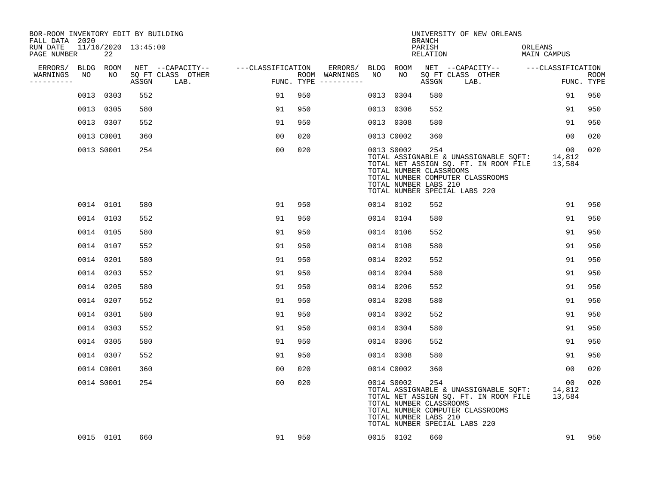| BOR-ROOM INVENTORY EDIT BY BUILDING<br>FALL DATA 2020 |      |                           |       |                           |                   |     |                                      |      |                                                                | <b>BRANCH</b>             | UNIVERSITY OF NEW ORLEANS                                                                                                                           |                        |                    |
|-------------------------------------------------------|------|---------------------------|-------|---------------------------|-------------------|-----|--------------------------------------|------|----------------------------------------------------------------|---------------------------|-----------------------------------------------------------------------------------------------------------------------------------------------------|------------------------|--------------------|
| RUN DATE<br>PAGE NUMBER                               |      | 11/16/2020 13:45:00<br>22 |       |                           |                   |     |                                      |      |                                                                | PARISH<br><b>RELATION</b> |                                                                                                                                                     | ORLEANS<br>MAIN CAMPUS |                    |
| ERRORS/                                               |      | BLDG ROOM                 |       | NET --CAPACITY--          | ---CLASSIFICATION |     | ERRORS/                              | BLDG | <b>ROOM</b>                                                    |                           | NET --CAPACITY-- ---CLASSIFICATION                                                                                                                  |                        |                    |
| WARNINGS<br>----------                                | NO   | NO                        | ASSGN | SQ FT CLASS OTHER<br>LAB. |                   |     | ROOM WARNINGS<br>FUNC. TYPE $------$ | NO   | NO                                                             | ASSGN                     | SQ FT CLASS OTHER<br>LAB.                                                                                                                           |                        | ROOM<br>FUNC. TYPE |
|                                                       | 0013 | 0303                      | 552   |                           | 91                | 950 |                                      |      | 0013 0304                                                      | 580                       |                                                                                                                                                     | 91                     | 950                |
|                                                       |      | 0013 0305                 | 580   |                           | 91                | 950 |                                      |      | 0013 0306                                                      | 552                       |                                                                                                                                                     | 91                     | 950                |
|                                                       |      | 0013 0307                 | 552   |                           | 91                | 950 |                                      |      | 0013 0308                                                      | 580                       |                                                                                                                                                     | 91                     | 950                |
|                                                       |      | 0013 C0001                | 360   |                           | 0 <sub>0</sub>    | 020 |                                      |      | 0013 C0002                                                     | 360                       |                                                                                                                                                     | 00                     | 020                |
|                                                       |      | 0013 S0001                | 254   |                           | 0 <sub>0</sub>    | 020 |                                      |      | 0013 S0002<br>TOTAL NUMBER CLASSROOMS<br>TOTAL NUMBER LABS 210 | 254                       | TOTAL ASSIGNABLE & UNASSIGNABLE SQFT:<br>TOTAL NET ASSIGN SQ. FT. IN ROOM FILE<br>TOTAL NUMBER COMPUTER CLASSROOMS<br>TOTAL NUMBER SPECIAL LABS 220 | 00<br>14,812<br>13,584 | 020                |
|                                                       |      | 0014 0101                 | 580   |                           | 91                | 950 |                                      |      | 0014 0102                                                      | 552                       |                                                                                                                                                     | 91                     | 950                |
|                                                       |      | 0014 0103                 | 552   |                           | 91                | 950 |                                      |      | 0014 0104                                                      | 580                       |                                                                                                                                                     | 91                     | 950                |
|                                                       |      | 0014 0105                 | 580   |                           | 91                | 950 |                                      |      | 0014 0106                                                      | 552                       |                                                                                                                                                     | 91                     | 950                |
|                                                       |      | 0014 0107                 | 552   |                           | 91                | 950 |                                      |      | 0014 0108                                                      | 580                       |                                                                                                                                                     | 91                     | 950                |
|                                                       |      | 0014 0201                 | 580   |                           | 91                | 950 |                                      |      | 0014 0202                                                      | 552                       |                                                                                                                                                     | 91                     | 950                |
|                                                       |      | 0014 0203                 | 552   |                           | 91                | 950 |                                      |      | 0014 0204                                                      | 580                       |                                                                                                                                                     | 91                     | 950                |
|                                                       |      | 0014 0205                 | 580   |                           | 91                | 950 |                                      |      | 0014 0206                                                      | 552                       |                                                                                                                                                     | 91                     | 950                |
|                                                       |      | 0014 0207                 | 552   |                           | 91                | 950 |                                      |      | 0014 0208                                                      | 580                       |                                                                                                                                                     | 91                     | 950                |
|                                                       |      | 0014 0301                 | 580   |                           | 91                | 950 |                                      |      | 0014 0302                                                      | 552                       |                                                                                                                                                     | 91                     | 950                |
|                                                       |      | 0014 0303                 | 552   |                           | 91                | 950 |                                      |      | 0014 0304                                                      | 580                       |                                                                                                                                                     | 91                     | 950                |
|                                                       |      | 0014 0305                 | 580   |                           | 91                | 950 |                                      |      | 0014 0306                                                      | 552                       |                                                                                                                                                     | 91                     | 950                |
|                                                       |      | 0014 0307                 | 552   |                           | 91                | 950 |                                      |      | 0014 0308                                                      | 580                       |                                                                                                                                                     | 91                     | 950                |
|                                                       |      | 0014 C0001                | 360   |                           | 00                | 020 |                                      |      | 0014 C0002                                                     | 360                       |                                                                                                                                                     | 00                     | 020                |
|                                                       |      | 0014 S0001                | 254   |                           | 0 <sub>0</sub>    | 020 |                                      |      | 0014 S0002<br>TOTAL NUMBER CLASSROOMS<br>TOTAL NUMBER LABS 210 | 254                       | TOTAL ASSIGNABLE & UNASSIGNABLE SQFT:<br>TOTAL NET ASSIGN SQ. FT. IN ROOM FILE<br>TOTAL NUMBER COMPUTER CLASSROOMS<br>TOTAL NUMBER SPECIAL LABS 220 | 00<br>14,812<br>13,584 | 020                |
|                                                       |      | 0015 0101                 | 660   |                           | 91                | 950 |                                      |      | 0015 0102                                                      | 660                       |                                                                                                                                                     | 91                     | 950                |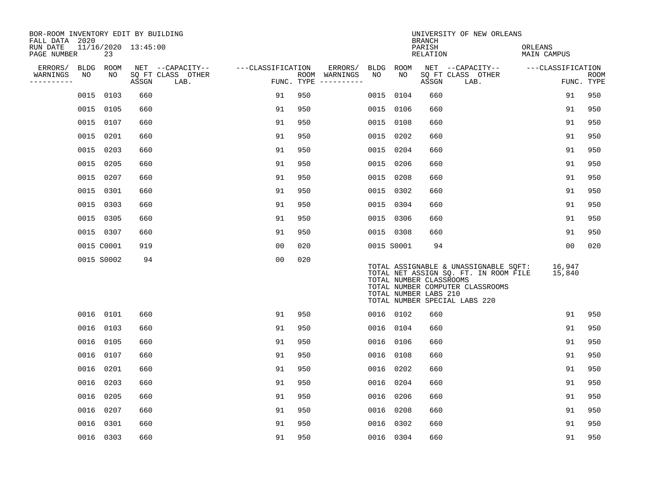| BOR-ROOM INVENTORY EDIT BY BUILDING<br>FALL DATA 2020 |             |            |                     |                           |                   |     |                                      |            |           | <b>BRANCH</b>                                    | UNIVERSITY OF NEW ORLEANS                                                                                                                           |                        |                           |
|-------------------------------------------------------|-------------|------------|---------------------|---------------------------|-------------------|-----|--------------------------------------|------------|-----------|--------------------------------------------------|-----------------------------------------------------------------------------------------------------------------------------------------------------|------------------------|---------------------------|
| RUN DATE<br>PAGE NUMBER                               |             | 23         | 11/16/2020 13:45:00 |                           |                   |     |                                      |            |           | PARISH<br>RELATION                               |                                                                                                                                                     | ORLEANS<br>MAIN CAMPUS |                           |
| ERRORS/                                               | <b>BLDG</b> | ROOM       |                     | NET --CAPACITY--          | ---CLASSIFICATION |     | ERRORS/                              | BLDG ROOM  |           |                                                  | NET --CAPACITY--                                                                                                                                    | ---CLASSIFICATION      |                           |
| WARNINGS<br>----------                                | NO          | NO         | ASSGN               | SQ FT CLASS OTHER<br>LAB. |                   |     | ROOM WARNINGS<br>FUNC. TYPE $------$ | NO         | NO        | ASSGN                                            | SQ FT CLASS OTHER<br>LAB.                                                                                                                           |                        | <b>ROOM</b><br>FUNC. TYPE |
|                                                       | 0015        | 0103       | 660                 |                           | 91                | 950 |                                      | 0015       | 0104      | 660                                              |                                                                                                                                                     | 91                     | 950                       |
|                                                       | 0015        | 0105       | 660                 |                           | 91                | 950 |                                      | 0015 0106  |           | 660                                              |                                                                                                                                                     | 91                     | 950                       |
|                                                       | 0015        | 0107       | 660                 |                           | 91                | 950 |                                      | 0015       | 0108      | 660                                              |                                                                                                                                                     | 91                     | 950                       |
|                                                       | 0015        | 0201       | 660                 |                           | 91                | 950 |                                      | 0015       | 0202      | 660                                              |                                                                                                                                                     | 91                     | 950                       |
|                                                       | 0015        | 0203       | 660                 |                           | 91                | 950 |                                      | 0015       | 0204      | 660                                              |                                                                                                                                                     | 91                     | 950                       |
|                                                       | 0015        | 0205       | 660                 |                           | 91                | 950 |                                      | 0015 0206  |           | 660                                              |                                                                                                                                                     | 91                     | 950                       |
|                                                       | 0015        | 0207       | 660                 |                           | 91                | 950 |                                      | 0015       | 0208      | 660                                              |                                                                                                                                                     | 91                     | 950                       |
|                                                       | 0015        | 0301       | 660                 |                           | 91                | 950 |                                      |            | 0015 0302 | 660                                              |                                                                                                                                                     | 91                     | 950                       |
|                                                       | 0015        | 0303       | 660                 |                           | 91                | 950 |                                      | 0015       | 0304      | 660                                              |                                                                                                                                                     | 91                     | 950                       |
|                                                       | 0015        | 0305       | 660                 |                           | 91                | 950 |                                      | 0015 0306  |           | 660                                              |                                                                                                                                                     | 91                     | 950                       |
|                                                       |             | 0015 0307  | 660                 |                           | 91                | 950 |                                      | 0015 0308  |           | 660                                              |                                                                                                                                                     | 91                     | 950                       |
|                                                       |             | 0015 C0001 | 919                 |                           | 0 <sub>0</sub>    | 020 |                                      | 0015 S0001 |           | 94                                               |                                                                                                                                                     | 00                     | 020                       |
|                                                       |             | 0015 S0002 | 94                  |                           | 0 <sub>0</sub>    | 020 |                                      |            |           | TOTAL NUMBER CLASSROOMS<br>TOTAL NUMBER LABS 210 | TOTAL ASSIGNABLE & UNASSIGNABLE SQFT:<br>TOTAL NET ASSIGN SQ. FT. IN ROOM FILE<br>TOTAL NUMBER COMPUTER CLASSROOMS<br>TOTAL NUMBER SPECIAL LABS 220 | 16,947<br>15,840       |                           |
|                                                       |             | 0016 0101  | 660                 |                           | 91                | 950 |                                      |            | 0016 0102 | 660                                              |                                                                                                                                                     | 91                     | 950                       |
|                                                       | 0016        | 0103       | 660                 |                           | 91                | 950 |                                      | 0016       | 0104      | 660                                              |                                                                                                                                                     | 91                     | 950                       |
|                                                       | 0016        | 0105       | 660                 |                           | 91                | 950 |                                      | 0016 0106  |           | 660                                              |                                                                                                                                                     | 91                     | 950                       |
|                                                       | 0016        | 0107       | 660                 |                           | 91                | 950 |                                      | 0016       | 0108      | 660                                              |                                                                                                                                                     | 91                     | 950                       |
|                                                       | 0016        | 0201       | 660                 |                           | 91                | 950 |                                      | 0016       | 0202      | 660                                              |                                                                                                                                                     | 91                     | 950                       |
|                                                       | 0016        | 0203       | 660                 |                           | 91                | 950 |                                      | 0016       | 0204      | 660                                              |                                                                                                                                                     | 91                     | 950                       |
|                                                       | 0016        | 0205       | 660                 |                           | 91                | 950 |                                      | 0016       | 0206      | 660                                              |                                                                                                                                                     | 91                     | 950                       |
|                                                       | 0016        | 0207       | 660                 |                           | 91                | 950 |                                      | 0016       | 0208      | 660                                              |                                                                                                                                                     | 91                     | 950                       |
|                                                       | 0016        | 0301       | 660                 |                           | 91                | 950 |                                      | 0016       | 0302      | 660                                              |                                                                                                                                                     | 91                     | 950                       |
|                                                       |             | 0016 0303  | 660                 |                           | 91                | 950 |                                      | 0016 0304  |           | 660                                              |                                                                                                                                                     | 91                     | 950                       |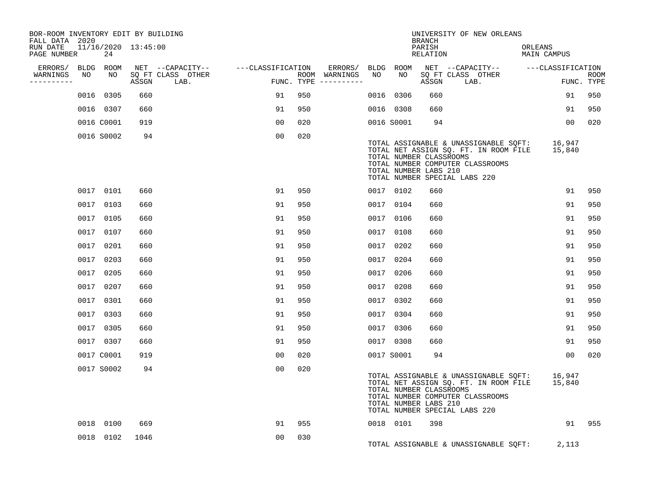| BOR-ROOM INVENTORY EDIT BY BUILDING<br>FALL DATA 2020 |      |                           |       |                           |                   |     |                                      |      |                                                  | <b>BRANCH</b>      | UNIVERSITY OF NEW ORLEANS                                                                                                                           |                        |                           |
|-------------------------------------------------------|------|---------------------------|-------|---------------------------|-------------------|-----|--------------------------------------|------|--------------------------------------------------|--------------------|-----------------------------------------------------------------------------------------------------------------------------------------------------|------------------------|---------------------------|
| RUN DATE<br>PAGE NUMBER                               |      | 11/16/2020 13:45:00<br>24 |       |                           |                   |     |                                      |      |                                                  | PARISH<br>RELATION |                                                                                                                                                     | ORLEANS<br>MAIN CAMPUS |                           |
| ERRORS/ BLDG ROOM                                     |      |                           |       | NET --CAPACITY--          | ---CLASSIFICATION |     | ERRORS/ BLDG ROOM                    |      |                                                  |                    | NET --CAPACITY-- ---CLASSIFICATION                                                                                                                  |                        |                           |
| WARNINGS<br>. <u>.</u>                                | NO   | NO                        | ASSGN | SQ FT CLASS OTHER<br>LAB. |                   |     | ROOM WARNINGS<br>FUNC. TYPE $------$ | NO   | NO                                               | ASSGN              | SQ FT CLASS OTHER<br>LAB.                                                                                                                           |                        | <b>ROOM</b><br>FUNC. TYPE |
|                                                       |      | 0016 0305                 | 660   |                           | 91                | 950 |                                      | 0016 | 0306                                             | 660                |                                                                                                                                                     | 91                     | 950                       |
|                                                       |      | 0016 0307                 | 660   |                           | 91                | 950 |                                      |      | 0016 0308                                        | 660                |                                                                                                                                                     | 91                     | 950                       |
|                                                       |      | 0016 C0001                | 919   |                           | 00                | 020 |                                      |      | 0016 S0001                                       | 94                 |                                                                                                                                                     | 00                     | 020                       |
|                                                       |      | 0016 S0002                | 94    |                           | 0 <sub>0</sub>    | 020 |                                      |      | TOTAL NUMBER CLASSROOMS<br>TOTAL NUMBER LABS 210 |                    | TOTAL ASSIGNABLE & UNASSIGNABLE SQFT:<br>TOTAL NET ASSIGN SQ. FT. IN ROOM FILE<br>TOTAL NUMBER COMPUTER CLASSROOMS<br>TOTAL NUMBER SPECIAL LABS 220 | 16,947<br>15,840       |                           |
|                                                       |      | 0017 0101                 | 660   |                           | 91                | 950 |                                      |      | 0017 0102                                        | 660                |                                                                                                                                                     | 91                     | 950                       |
|                                                       |      | 0017 0103                 | 660   |                           | 91                | 950 |                                      |      | 0017 0104                                        | 660                |                                                                                                                                                     | 91                     | 950                       |
|                                                       |      | 0017 0105                 | 660   |                           | 91                | 950 |                                      | 0017 | 0106                                             | 660                |                                                                                                                                                     | 91                     | 950                       |
|                                                       |      | 0017 0107                 | 660   |                           | 91                | 950 |                                      | 0017 | 0108                                             | 660                |                                                                                                                                                     | 91                     | 950                       |
|                                                       | 0017 | 0201                      | 660   |                           | 91                | 950 |                                      | 0017 | 0202                                             | 660                |                                                                                                                                                     | 91                     | 950                       |
|                                                       |      | 0017 0203                 | 660   |                           | 91                | 950 |                                      | 0017 | 0204                                             | 660                |                                                                                                                                                     | 91                     | 950                       |
|                                                       |      | 0017 0205                 | 660   |                           | 91                | 950 |                                      | 0017 | 0206                                             | 660                |                                                                                                                                                     | 91                     | 950                       |
|                                                       |      | 0017 0207                 | 660   |                           | 91                | 950 |                                      | 0017 | 0208                                             | 660                |                                                                                                                                                     | 91                     | 950                       |
|                                                       |      | 0017 0301                 | 660   |                           | 91                | 950 |                                      |      | 0017 0302                                        | 660                |                                                                                                                                                     | 91                     | 950                       |
|                                                       |      | 0017 0303                 | 660   |                           | 91                | 950 |                                      |      | 0017 0304                                        | 660                |                                                                                                                                                     | 91                     | 950                       |
|                                                       |      | 0017 0305                 | 660   |                           | 91                | 950 |                                      |      | 0017 0306                                        | 660                |                                                                                                                                                     | 91                     | 950                       |
|                                                       |      | 0017 0307                 | 660   |                           | 91                | 950 |                                      |      | 0017 0308                                        | 660                |                                                                                                                                                     | 91                     | 950                       |
|                                                       |      | 0017 C0001                | 919   |                           | 0 <sub>0</sub>    | 020 |                                      |      | 0017 S0001                                       | 94                 |                                                                                                                                                     | 00                     | 020                       |
|                                                       |      | 0017 S0002                | 94    |                           | 00                | 020 |                                      |      | TOTAL NUMBER CLASSROOMS<br>TOTAL NUMBER LABS 210 |                    | TOTAL ASSIGNABLE & UNASSIGNABLE SQFT:<br>TOTAL NET ASSIGN SQ. FT. IN ROOM FILE<br>TOTAL NUMBER COMPUTER CLASSROOMS<br>TOTAL NUMBER SPECIAL LABS 220 | 16,947<br>15,840       |                           |
|                                                       |      | 0018 0100                 | 669   |                           | 91                | 955 |                                      |      | 0018 0101                                        | 398                |                                                                                                                                                     | 91                     | 955                       |
|                                                       |      | 0018 0102                 | 1046  |                           | 0 <sub>0</sub>    | 030 |                                      |      |                                                  |                    | TOTAL ASSIGNABLE & UNASSIGNABLE SQFT:                                                                                                               | 2,113                  |                           |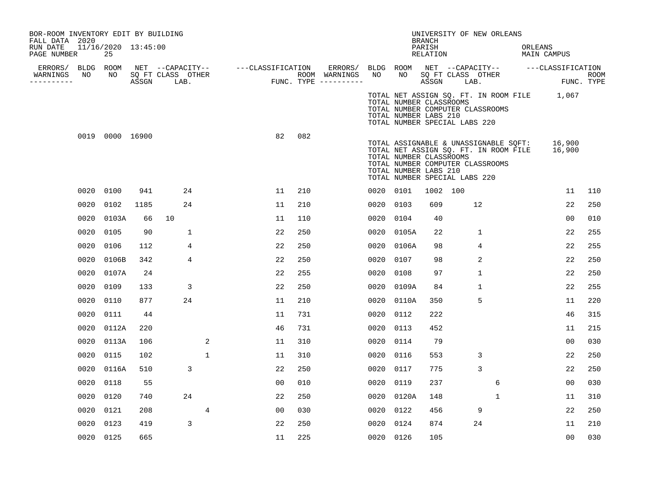| 25            |      |                          |                                                                          |                   |                                             |                                    |               |                           |                                                                                                                                                                                                                   |                  |                                                                                                                              |                  |                                                                                                                                                                                                               |                                                                                                                                                                                                                                                                                                                                                           |
|---------------|------|--------------------------|--------------------------------------------------------------------------|-------------------|---------------------------------------------|------------------------------------|---------------|---------------------------|-------------------------------------------------------------------------------------------------------------------------------------------------------------------------------------------------------------------|------------------|------------------------------------------------------------------------------------------------------------------------------|------------------|---------------------------------------------------------------------------------------------------------------------------------------------------------------------------------------------------------------|-----------------------------------------------------------------------------------------------------------------------------------------------------------------------------------------------------------------------------------------------------------------------------------------------------------------------------------------------------------|
| BLDG ROOM     |      |                          |                                                                          |                   |                                             |                                    |               |                           |                                                                                                                                                                                                                   |                  |                                                                                                                              |                  |                                                                                                                                                                                                               |                                                                                                                                                                                                                                                                                                                                                           |
|               |      |                          |                                                                          |                   |                                             |                                    |               |                           |                                                                                                                                                                                                                   |                  |                                                                                                                              |                  |                                                                                                                                                                                                               | <b>ROOM</b><br>FUNC. TYPE                                                                                                                                                                                                                                                                                                                                 |
|               |      |                          |                                                                          |                   |                                             |                                    |               |                           |                                                                                                                                                                                                                   |                  |                                                                                                                              |                  |                                                                                                                                                                                                               |                                                                                                                                                                                                                                                                                                                                                           |
|               |      |                          |                                                                          | 82                | 082                                         |                                    |               |                           |                                                                                                                                                                                                                   |                  |                                                                                                                              |                  |                                                                                                                                                                                                               |                                                                                                                                                                                                                                                                                                                                                           |
| 0020 0100     | 941  | 24                       |                                                                          | 11                | 210                                         |                                    |               |                           |                                                                                                                                                                                                                   |                  |                                                                                                                              |                  |                                                                                                                                                                                                               | 110                                                                                                                                                                                                                                                                                                                                                       |
| 0102          | 1185 | 24                       |                                                                          | 11                | 210                                         |                                    |               |                           | 609                                                                                                                                                                                                               |                  |                                                                                                                              |                  |                                                                                                                                                                                                               | 250                                                                                                                                                                                                                                                                                                                                                       |
| 0020          | 66   | 10                       |                                                                          | 11                | 110                                         |                                    |               |                           | 40                                                                                                                                                                                                                |                  |                                                                                                                              |                  |                                                                                                                                                                                                               | 010                                                                                                                                                                                                                                                                                                                                                       |
| 0020<br>0105  | 90   | 1                        |                                                                          | 22                | 250                                         |                                    |               |                           | 22                                                                                                                                                                                                                |                  | $\mathbf{1}$                                                                                                                 |                  |                                                                                                                                                                                                               | 255                                                                                                                                                                                                                                                                                                                                                       |
| 0106          | 112  | 4                        |                                                                          | 22                | 250                                         |                                    |               |                           | 98                                                                                                                                                                                                                |                  | 4                                                                                                                            |                  |                                                                                                                                                                                                               | 255                                                                                                                                                                                                                                                                                                                                                       |
| 0106B         | 342  | 4                        |                                                                          | 22                | 250                                         |                                    |               |                           | 98                                                                                                                                                                                                                |                  | 2                                                                                                                            |                  |                                                                                                                                                                                                               | 250                                                                                                                                                                                                                                                                                                                                                       |
| 0020 0107A    | 24   |                          |                                                                          | 22                | 255                                         |                                    | 0020          |                           | 97                                                                                                                                                                                                                |                  | $\mathbf{1}$                                                                                                                 |                  |                                                                                                                                                                                                               | 250                                                                                                                                                                                                                                                                                                                                                       |
| 0020<br>0109  | 133  | 3                        |                                                                          | 22                | 250                                         |                                    |               | 0109A                     | 84                                                                                                                                                                                                                |                  | $\mathbf{1}$                                                                                                                 |                  |                                                                                                                                                                                                               | 255                                                                                                                                                                                                                                                                                                                                                       |
| 0110          | 877  | 24                       |                                                                          | 11                | 210                                         |                                    | 0020          | 0110A                     | 350                                                                                                                                                                                                               |                  | 5                                                                                                                            |                  |                                                                                                                                                                                                               | 220                                                                                                                                                                                                                                                                                                                                                       |
| 0111          | 44   |                          |                                                                          | 11                | 731                                         |                                    | 0020          | 0112                      | 222                                                                                                                                                                                                               |                  |                                                                                                                              |                  |                                                                                                                                                                                                               | 315                                                                                                                                                                                                                                                                                                                                                       |
| 0112A         | 220  |                          |                                                                          | 46                | 731                                         |                                    | 0020          | 0113                      | 452                                                                                                                                                                                                               |                  |                                                                                                                              |                  |                                                                                                                                                                                                               | 215                                                                                                                                                                                                                                                                                                                                                       |
| 0020 0113A    | 106  |                          | 2                                                                        | 11                | 310                                         |                                    |               |                           | 79                                                                                                                                                                                                                |                  |                                                                                                                              |                  |                                                                                                                                                                                                               | 030                                                                                                                                                                                                                                                                                                                                                       |
| 0020<br>0115  | 102  |                          | 1                                                                        | 11                | 310                                         |                                    |               |                           | 553                                                                                                                                                                                                               |                  | 3                                                                                                                            |                  |                                                                                                                                                                                                               | 250                                                                                                                                                                                                                                                                                                                                                       |
| 0020<br>0116A | 510  | 3                        |                                                                          | 22                | 250                                         |                                    | 0020          |                           | 775                                                                                                                                                                                                               |                  | 3                                                                                                                            |                  |                                                                                                                                                                                                               | 250                                                                                                                                                                                                                                                                                                                                                       |
| 0118          | 55   |                          |                                                                          | 00                | 010                                         |                                    | 0020          |                           | 237                                                                                                                                                                                                               |                  |                                                                                                                              |                  |                                                                                                                                                                                                               | 030                                                                                                                                                                                                                                                                                                                                                       |
| 0020<br>0120  | 740  | 24                       |                                                                          | 22                | 250                                         |                                    |               |                           | 148                                                                                                                                                                                                               |                  |                                                                                                                              |                  |                                                                                                                                                                                                               | 310                                                                                                                                                                                                                                                                                                                                                       |
| 0121<br>0020  | 208  |                          | 4                                                                        | 00                | 030                                         |                                    |               |                           | 456                                                                                                                                                                                                               |                  | 9                                                                                                                            |                  |                                                                                                                                                                                                               | 250                                                                                                                                                                                                                                                                                                                                                       |
| 0123          | 419  | 3                        |                                                                          | 22                | 250                                         |                                    | 0020          |                           | 874                                                                                                                                                                                                               |                  | 24                                                                                                                           |                  |                                                                                                                                                                                                               | 210                                                                                                                                                                                                                                                                                                                                                       |
| 0020 0125     | 665  |                          |                                                                          | 11                | 225                                         |                                    |               |                           | 105                                                                                                                                                                                                               |                  |                                                                                                                              |                  |                                                                                                                                                                                                               | 030                                                                                                                                                                                                                                                                                                                                                       |
|               | NO   | 0019 0000 16900<br>0103A | BOR-ROOM INVENTORY EDIT BY BUILDING<br>11/16/2020 13:45:00<br>ASSGN LAB. | SQ FT CLASS OTHER | $\begin{array}{c}\n\text{FUN}\n\end{array}$ | NET --CAPACITY-- ---CLASSIFICATION | ROOM WARNINGS | NO<br>FUNC. TYPE $------$ | ERRORS/ BLDG ROOM<br>NO<br>0020 0101<br>0020 0103<br>0020 0104<br>0020 0105A<br>0020 0106A<br>0020 0107<br>0108<br>0020<br>0020 0114<br>0020 0116<br>0117<br>0119<br>0020 0120A<br>0020 0122<br>0124<br>0020 0126 | BRANCH<br>PARISH | RELATION<br>TOTAL NUMBER CLASSROOMS<br>TOTAL NUMBER LABS 210<br>TOTAL NUMBER CLASSROOMS<br>TOTAL NUMBER LABS 210<br>1002 100 | ASSGN LAB.<br>12 | UNIVERSITY OF NEW ORLEANS<br>SQ FT CLASS OTHER<br>TOTAL NUMBER COMPUTER CLASSROOMS<br>TOTAL NUMBER SPECIAL LABS 220<br>TOTAL NUMBER COMPUTER CLASSROOMS<br>TOTAL NUMBER SPECIAL LABS 220<br>6<br>$\mathbf{1}$ | ORLEANS<br>MAIN CAMPUS<br>NET --CAPACITY-- ----CLASSIFICATION<br>TOTAL NET ASSIGN SQ. FT. IN ROOM FILE 1,067<br>16,900<br>TOTAL ASSIGNABLE & UNASSIGNABLE SQFT:<br>TOTAL NET ASSIGN SQ. FT. IN ROOM FILE 16,900<br>11<br>22<br>0 <sub>0</sub><br>22<br>22<br>22<br>22<br>22<br>11<br>46<br>11<br>00<br>22<br>22<br>00<br>11<br>22<br>11<br>0 <sub>0</sub> |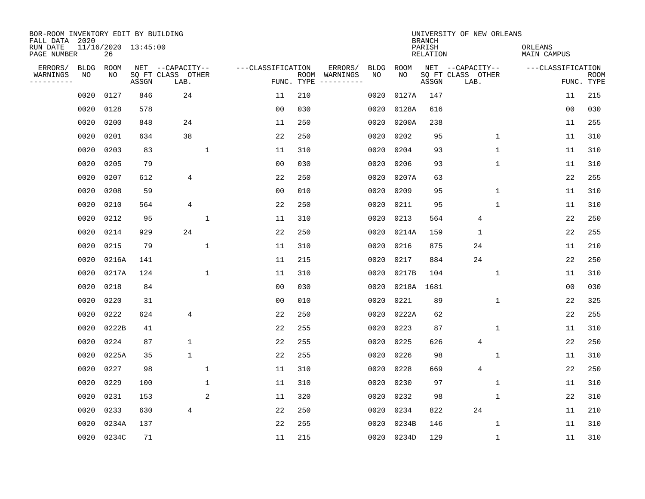| BOR-ROOM INVENTORY EDIT BY BUILDING<br>FALL DATA 2020 |             |       |                     |                           |                |                   |                    |                        |             |             | <b>BRANCH</b>             | UNIVERSITY OF NEW ORLEANS |                        |                           |
|-------------------------------------------------------|-------------|-------|---------------------|---------------------------|----------------|-------------------|--------------------|------------------------|-------------|-------------|---------------------------|---------------------------|------------------------|---------------------------|
| RUN DATE<br>PAGE NUMBER                               |             | 26    | 11/16/2020 13:45:00 |                           |                |                   |                    |                        |             |             | PARISH<br><b>RELATION</b> |                           | ORLEANS<br>MAIN CAMPUS |                           |
| ERRORS/                                               | <b>BLDG</b> | ROOM  |                     | NET --CAPACITY--          |                | ---CLASSIFICATION |                    | ERRORS/                | <b>BLDG</b> | <b>ROOM</b> |                           | NET --CAPACITY--          | ---CLASSIFICATION      |                           |
| WARNINGS<br>-----------                               | NO          | NO    | ASSGN               | SQ FT CLASS OTHER<br>LAB. |                |                   | ROOM<br>FUNC. TYPE | WARNINGS<br>---------- | NO          | NO          | ASSGN                     | SQ FT CLASS OTHER<br>LAB. |                        | <b>ROOM</b><br>FUNC. TYPE |
|                                                       | 0020        | 0127  | 846                 | 24                        |                | 11                | 210                |                        | 0020        | 0127A       | 147                       |                           | 11                     | 215                       |
|                                                       | 0020        | 0128  | 578                 |                           |                | 00                | 030                |                        | 0020        | 0128A       | 616                       |                           | 00                     | 030                       |
|                                                       | 0020        | 0200  | 848                 | 24                        |                | 11                | 250                |                        | 0020        | 0200A       | 238                       |                           | 11                     | 255                       |
|                                                       | 0020        | 0201  | 634                 | 38                        |                | 22                | 250                |                        | 0020        | 0202        | 95                        | 1                         | 11                     | 310                       |
|                                                       | 0020        | 0203  | 83                  |                           | $\mathbf{1}$   | 11                | 310                |                        | 0020        | 0204        | 93                        | $\mathbf 1$               | 11                     | 310                       |
|                                                       | 0020        | 0205  | 79                  |                           |                | 0 <sub>0</sub>    | 030                |                        | 0020        | 0206        | 93                        | 1                         | 11                     | 310                       |
|                                                       | 0020        | 0207  | 612                 | 4                         |                | 22                | 250                |                        | 0020        | 0207A       | 63                        |                           | 22                     | 255                       |
|                                                       | 0020        | 0208  | 59                  |                           |                | 0 <sub>0</sub>    | 010                |                        | 0020        | 0209        | 95                        | $\mathbf 1$               | 11                     | 310                       |
|                                                       | 0020        | 0210  | 564                 | 4                         |                | 22                | 250                |                        | 0020        | 0211        | 95                        | 1                         | 11                     | 310                       |
|                                                       | 0020        | 0212  | 95                  |                           | $\mathbf{1}$   | 11                | 310                |                        | 0020        | 0213        | 564                       | 4                         | 22                     | 250                       |
|                                                       | 0020        | 0214  | 929                 | 24                        |                | 22                | 250                |                        | 0020        | 0214A       | 159                       | $\mathbf{1}$              | 22                     | 255                       |
|                                                       | 0020        | 0215  | 79                  |                           | $\mathbf{1}$   | 11                | 310                |                        | 0020        | 0216        | 875                       | 24                        | 11                     | 210                       |
|                                                       | 0020        | 0216A | 141                 |                           |                | 11                | 215                |                        | 0020        | 0217        | 884                       | 24                        | 22                     | 250                       |
|                                                       | 0020        | 0217A | 124                 |                           | 1              | 11                | 310                |                        | 0020        | 0217B       | 104                       | 1                         | 11                     | 310                       |
|                                                       | 0020        | 0218  | 84                  |                           |                | 00                | 030                |                        | 0020        | 0218A       | 1681                      |                           | 00                     | 030                       |
|                                                       | 0020        | 0220  | 31                  |                           |                | 0 <sub>0</sub>    | 010                |                        | 0020        | 0221        | 89                        | 1                         | 22                     | 325                       |
|                                                       | 0020        | 0222  | 624                 | 4                         |                | 22                | 250                |                        | 0020        | 0222A       | 62                        |                           | 22                     | 255                       |
|                                                       | 0020        | 0222B | 41                  |                           |                | 22                | 255                |                        | 0020        | 0223        | 87                        | 1                         | 11                     | 310                       |
|                                                       | 0020        | 0224  | 87                  | $\mathbf 1$               |                | 22                | 255                |                        | 0020        | 0225        | 626                       | $\overline{4}$            | 22                     | 250                       |
|                                                       | 0020        | 0225A | 35                  | $\mathbf{1}$              |                | 22                | 255                |                        | 0020        | 0226        | 98                        | $\mathbf 1$               | 11                     | 310                       |
|                                                       | 0020        | 0227  | 98                  |                           | $\mathbf{1}$   | 11                | 310                |                        | 0020        | 0228        | 669                       | $\overline{4}$            | 22                     | 250                       |
|                                                       | 0020        | 0229  | 100                 |                           | $\mathbf{1}$   | 11                | 310                |                        | 0020        | 0230        | 97                        | $\mathbf 1$               | 11                     | 310                       |
|                                                       | 0020        | 0231  | 153                 |                           | $\overline{2}$ | 11                | 320                |                        | 0020        | 0232        | 98                        | 1                         | 22                     | 310                       |
|                                                       | 0020        | 0233  | 630                 | 4                         |                | 22                | 250                |                        | 0020        | 0234        | 822                       | 24                        | 11                     | 210                       |
|                                                       | 0020        | 0234A | 137                 |                           |                | 22                | 255                |                        | 0020        | 0234B       | 146                       | 1                         | 11                     | 310                       |
|                                                       | 0020        | 0234C | 71                  |                           |                | 11                | 215                |                        | 0020        | 0234D       | 129                       | 1                         | 11                     | 310                       |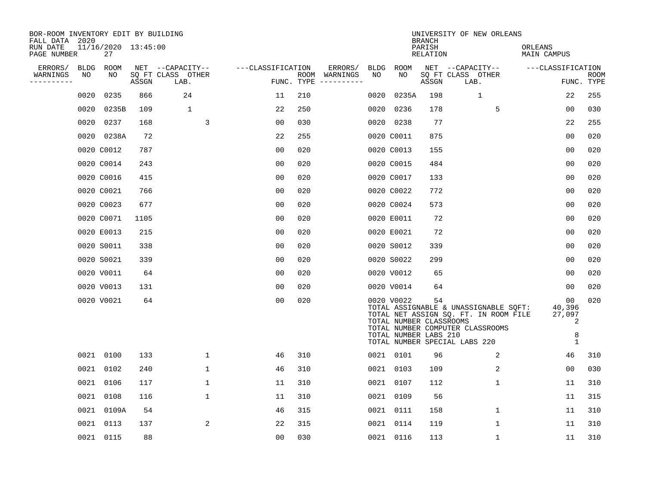| BOR-ROOM INVENTORY EDIT BY BUILDING<br>FALL DATA 2020 |             |                           |       |                           |                   |            |                                                                                                                                                                                                                                                                                                                                                                                                                                                                                              |             |                                                                | <b>BRANCH</b>      | UNIVERSITY OF NEW ORLEANS                                                                                                                           |                                                  |                    |
|-------------------------------------------------------|-------------|---------------------------|-------|---------------------------|-------------------|------------|----------------------------------------------------------------------------------------------------------------------------------------------------------------------------------------------------------------------------------------------------------------------------------------------------------------------------------------------------------------------------------------------------------------------------------------------------------------------------------------------|-------------|----------------------------------------------------------------|--------------------|-----------------------------------------------------------------------------------------------------------------------------------------------------|--------------------------------------------------|--------------------|
| RUN DATE<br>PAGE NUMBER                               |             | 11/16/2020 13:45:00<br>27 |       |                           |                   |            |                                                                                                                                                                                                                                                                                                                                                                                                                                                                                              |             |                                                                | PARISH<br>RELATION |                                                                                                                                                     | ORLEANS<br>MAIN CAMPUS                           |                    |
| ERRORS/                                               | <b>BLDG</b> | ROOM                      |       | NET --CAPACITY--          | ---CLASSIFICATION |            | ERRORS/                                                                                                                                                                                                                                                                                                                                                                                                                                                                                      | <b>BLDG</b> | ROOM                                                           |                    | NET --CAPACITY--                                                                                                                                    | ---CLASSIFICATION                                |                    |
| WARNINGS<br>----------                                | NO          | NO                        | ASSGN | SO FT CLASS OTHER<br>LAB. |                   | FUNC. TYPE | ROOM WARNINGS<br>$\begin{tabular}{ccccccccc} \multicolumn{2}{c }{\multicolumn{2}{c }{\multicolumn{2}{c }{\multicolumn{2}{c }{\multicolumn{2}{c}}}} & \multicolumn{2}{c }{\multicolumn{2}{c }{\multicolumn{2}{c }{\multicolumn{2}{c}}}} & \multicolumn{2}{c }{\multicolumn{2}{c }{\multicolumn{2}{c }{\multicolumn{2}{c}}}} & \multicolumn{2}{c }{\multicolumn{2}{c }{\multicolumn{2}{c }{\multicolumn{2}{c}}}} & \multicolumn{2}{c }{\multicolumn{2}{c }{\multicolumn{2}{c }{\multicolumn{2$ | NO          | NO                                                             | ASSGN              | SQ FT CLASS OTHER<br>LAB.                                                                                                                           |                                                  | ROOM<br>FUNC. TYPE |
|                                                       | 0020        | 0235                      | 866   | 24                        | 11                | 210        |                                                                                                                                                                                                                                                                                                                                                                                                                                                                                              | 0020        | 0235A                                                          | 198                | $\mathbf{1}$                                                                                                                                        | 22                                               | 255                |
|                                                       | 0020        | 0235B                     | 109   | 1                         | 22                | 250        |                                                                                                                                                                                                                                                                                                                                                                                                                                                                                              | 0020        | 0236                                                           | 178                | 5                                                                                                                                                   | 00                                               | 030                |
|                                                       | 0020        | 0237                      | 168   | 3                         | 00                | 030        |                                                                                                                                                                                                                                                                                                                                                                                                                                                                                              | 0020        | 0238                                                           | 77                 |                                                                                                                                                     | 22                                               | 255                |
|                                                       | 0020        | 0238A                     | 72    |                           | 22                | 255        |                                                                                                                                                                                                                                                                                                                                                                                                                                                                                              |             | 0020 C0011                                                     | 875                |                                                                                                                                                     | 0 <sub>0</sub>                                   | 020                |
|                                                       |             | 0020 C0012                | 787   |                           | 0 <sub>0</sub>    | 020        |                                                                                                                                                                                                                                                                                                                                                                                                                                                                                              |             | 0020 C0013                                                     | 155                |                                                                                                                                                     | 0 <sub>0</sub>                                   | 020                |
|                                                       |             | 0020 C0014                | 243   |                           | 0 <sub>0</sub>    | 020        |                                                                                                                                                                                                                                                                                                                                                                                                                                                                                              |             | 0020 C0015                                                     | 484                |                                                                                                                                                     | 0 <sub>0</sub>                                   | 020                |
|                                                       |             | 0020 C0016                | 415   |                           | 0 <sub>0</sub>    | 020        |                                                                                                                                                                                                                                                                                                                                                                                                                                                                                              |             | 0020 C0017                                                     | 133                |                                                                                                                                                     | 0 <sub>0</sub>                                   | 020                |
|                                                       |             | 0020 C0021                | 766   |                           | 0 <sub>0</sub>    | 020        |                                                                                                                                                                                                                                                                                                                                                                                                                                                                                              |             | 0020 C0022                                                     | 772                |                                                                                                                                                     | 0 <sub>0</sub>                                   | 020                |
|                                                       |             | 0020 C0023                | 677   |                           | 0 <sub>0</sub>    | 020        |                                                                                                                                                                                                                                                                                                                                                                                                                                                                                              |             | 0020 C0024                                                     | 573                |                                                                                                                                                     | 0 <sub>0</sub>                                   | 020                |
|                                                       |             | 0020 C0071                | 1105  |                           | 00                | 020        |                                                                                                                                                                                                                                                                                                                                                                                                                                                                                              |             | 0020 E0011                                                     | 72                 |                                                                                                                                                     | 0 <sub>0</sub>                                   | 020                |
|                                                       |             | 0020 E0013                | 215   |                           | 0 <sub>0</sub>    | 020        |                                                                                                                                                                                                                                                                                                                                                                                                                                                                                              |             | 0020 E0021                                                     | 72                 |                                                                                                                                                     | 0 <sub>0</sub>                                   | 020                |
|                                                       |             | 0020 S0011                | 338   |                           | 0 <sub>0</sub>    | 020        |                                                                                                                                                                                                                                                                                                                                                                                                                                                                                              |             | 0020 S0012                                                     | 339                |                                                                                                                                                     | 00                                               | 020                |
|                                                       |             | 0020 S0021                | 339   |                           | 0 <sub>0</sub>    | 020        |                                                                                                                                                                                                                                                                                                                                                                                                                                                                                              |             | 0020 S0022                                                     | 299                |                                                                                                                                                     | 0 <sub>0</sub>                                   | 020                |
|                                                       |             | 0020 V0011                | 64    |                           | 0 <sub>0</sub>    | 020        |                                                                                                                                                                                                                                                                                                                                                                                                                                                                                              |             | 0020 V0012                                                     | 65                 |                                                                                                                                                     | 0 <sub>0</sub>                                   | 020                |
|                                                       |             | 0020 V0013                | 131   |                           | 0 <sub>0</sub>    | 020        |                                                                                                                                                                                                                                                                                                                                                                                                                                                                                              |             | 0020 V0014                                                     | 64                 |                                                                                                                                                     | 00                                               | 020                |
|                                                       |             | 0020 V0021                | 64    |                           | 0 <sub>0</sub>    | 020        |                                                                                                                                                                                                                                                                                                                                                                                                                                                                                              |             | 0020 V0022<br>TOTAL NUMBER CLASSROOMS<br>TOTAL NUMBER LABS 210 | 54                 | TOTAL ASSIGNABLE & UNASSIGNABLE SQFT:<br>TOTAL NET ASSIGN SQ. FT. IN ROOM FILE<br>TOTAL NUMBER COMPUTER CLASSROOMS<br>TOTAL NUMBER SPECIAL LABS 220 | 00<br>40,396<br>27,097<br>2<br>8<br>$\mathbf{1}$ | 020                |
|                                                       | 0021        | 0100                      | 133   | $\mathbf{1}$              | 46                | 310        |                                                                                                                                                                                                                                                                                                                                                                                                                                                                                              |             | 0021 0101                                                      | 96                 | 2                                                                                                                                                   | 46                                               | 310                |
|                                                       | 0021        | 0102                      | 240   | 1                         | 46                | 310        |                                                                                                                                                                                                                                                                                                                                                                                                                                                                                              |             | 0021 0103                                                      | 109                | 2                                                                                                                                                   | 0 <sub>0</sub>                                   | 030                |
|                                                       | 0021        | 0106                      | 117   | $\mathbf 1$               | 11                | 310        |                                                                                                                                                                                                                                                                                                                                                                                                                                                                                              |             | 0021 0107                                                      | 112                | $\mathbf 1$                                                                                                                                         | 11                                               | 310                |
|                                                       | 0021        | 0108                      | 116   | $\mathbf{1}$              | 11                | 310        |                                                                                                                                                                                                                                                                                                                                                                                                                                                                                              |             | 0021 0109                                                      | 56                 |                                                                                                                                                     | 11                                               | 315                |
|                                                       | 0021        | 0109A                     | 54    |                           | 46                | 315        |                                                                                                                                                                                                                                                                                                                                                                                                                                                                                              | 0021        | 0111                                                           | 158                | $\mathbf{1}$                                                                                                                                        | 11                                               | 310                |
|                                                       | 0021        | 0113                      | 137   | 2                         | 22                | 315        |                                                                                                                                                                                                                                                                                                                                                                                                                                                                                              | 0021        | 0114                                                           | 119                | 1                                                                                                                                                   | 11                                               | 310                |
|                                                       |             | 0021 0115                 | 88    |                           | 0 <sub>0</sub>    | 030        |                                                                                                                                                                                                                                                                                                                                                                                                                                                                                              |             | 0021 0116                                                      | 113                | $\mathbf 1$                                                                                                                                         | 11                                               | 310                |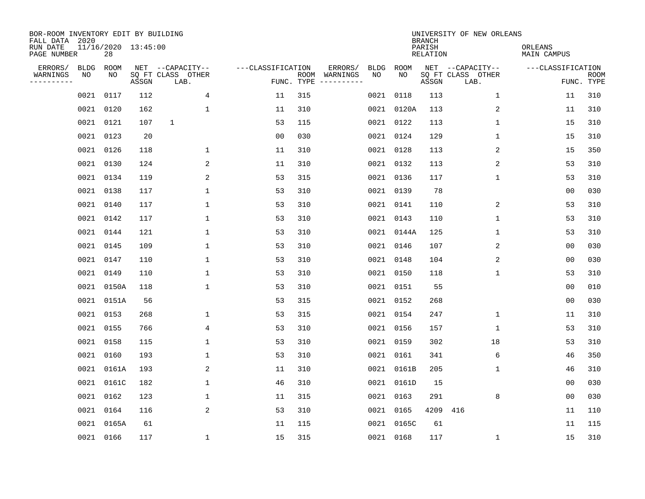| BOR-ROOM INVENTORY EDIT BY BUILDING<br>FALL DATA 2020 |             |           |                     |                           |                   |                                               |                        |             | <b>BRANCH</b>             | UNIVERSITY OF NEW ORLEANS |                        |                           |
|-------------------------------------------------------|-------------|-----------|---------------------|---------------------------|-------------------|-----------------------------------------------|------------------------|-------------|---------------------------|---------------------------|------------------------|---------------------------|
| RUN DATE<br>PAGE NUMBER                               |             | 28        | 11/16/2020 13:45:00 |                           |                   |                                               |                        |             | PARISH<br><b>RELATION</b> |                           | ORLEANS<br>MAIN CAMPUS |                           |
| ERRORS/                                               | <b>BLDG</b> | ROOM      |                     | NET --CAPACITY--          | ---CLASSIFICATION |                                               | ERRORS/<br><b>BLDG</b> | <b>ROOM</b> |                           | NET --CAPACITY--          | ---CLASSIFICATION      |                           |
| WARNINGS<br>----------                                | NO          | NO        | ASSGN               | SQ FT CLASS OTHER<br>LAB. |                   | ROOM<br>WARNINGS<br>FUNC. TYPE<br>----------- | NO                     | NO          | ASSGN                     | SQ FT CLASS OTHER<br>LAB. |                        | <b>ROOM</b><br>FUNC. TYPE |
|                                                       | 0021        | 0117      | 112                 | 4                         | 11                | 315                                           |                        | 0021 0118   | 113                       | $\mathbf 1$               | 11                     | 310                       |
|                                                       | 0021        | 0120      | 162                 | $\mathbf{1}$              | 11                | 310                                           |                        | 0021 0120A  | 113                       | 2                         | 11                     | 310                       |
|                                                       | 0021        | 0121      | 107                 | 1                         | 53                | 115                                           |                        | 0021 0122   | 113                       | 1                         | 15                     | 310                       |
|                                                       | 0021        | 0123      | 20                  |                           | 0 <sub>0</sub>    | 030                                           |                        | 0021 0124   | 129                       | $\mathbf 1$               | 15                     | 310                       |
|                                                       | 0021        | 0126      | 118                 | 1                         | 11                | 310                                           |                        | 0021 0128   | 113                       | 2                         | 15                     | 350                       |
|                                                       |             | 0021 0130 | 124                 | 2                         | 11                | 310                                           |                        | 0021 0132   | 113                       | 2                         | 53                     | 310                       |
|                                                       |             | 0021 0134 | 119                 | 2                         | 53                | 315                                           |                        | 0021 0136   | 117                       | $\mathbf{1}$              | 53                     | 310                       |
|                                                       | 0021 0138   |           | 117                 | $\mathbf{1}$              | 53                | 310                                           |                        | 0021 0139   | 78                        |                           | 0 <sub>0</sub>         | 030                       |
|                                                       | 0021        | 0140      | 117                 | $\mathbf{1}$              | 53                | 310                                           |                        | 0021 0141   | 110                       | 2                         | 53                     | 310                       |
|                                                       |             | 0021 0142 | 117                 | 1                         | 53                | 310                                           |                        | 0021 0143   | 110                       | $\mathbf{1}$              | 53                     | 310                       |
|                                                       | 0021        | 0144      | 121                 | $\mathbf{1}$              | 53                | 310                                           |                        | 0021 0144A  | 125                       | $\mathbf{1}$              | 53                     | 310                       |
|                                                       | 0021 0145   |           | 109                 | $\mathbf{1}$              | 53                | 310                                           |                        | 0021 0146   | 107                       | 2                         | 0 <sub>0</sub>         | 030                       |
|                                                       | 0021        | 0147      | 110                 | $\mathbf{1}$              | 53                | 310                                           |                        | 0021 0148   | 104                       | 2                         | 0 <sub>0</sub>         | 030                       |
|                                                       | 0021        | 0149      | 110                 | 1                         | 53                | 310                                           |                        | 0021 0150   | 118                       | 1                         | 53                     | 310                       |
|                                                       | 0021        | 0150A     | 118                 | 1                         | 53                | 310                                           |                        | 0021 0151   | 55                        |                           | 0 <sub>0</sub>         | 010                       |
|                                                       | 0021        | 0151A     | 56                  |                           | 53                | 315                                           |                        | 0021 0152   | 268                       |                           | 0 <sub>0</sub>         | 030                       |
|                                                       | 0021        | 0153      | 268                 | 1                         | 53                | 315                                           |                        | 0021 0154   | 247                       | 1                         | 11                     | 310                       |
|                                                       | 0021        | 0155      | 766                 | 4                         | 53                | 310                                           |                        | 0021 0156   | 157                       | 1                         | 53                     | 310                       |
|                                                       | 0021        | 0158      | 115                 | 1                         | 53                | 310                                           |                        | 0021 0159   | 302                       | 18                        | 53                     | 310                       |
|                                                       | 0021        | 0160      | 193                 | 1                         | 53                | 310                                           |                        | 0021 0161   | 341                       | 6                         | 46                     | 350                       |
|                                                       | 0021        | 0161A     | 193                 | 2                         | 11                | 310                                           |                        | 0021 0161B  | 205                       | 1                         | 46                     | 310                       |
|                                                       | 0021        | 0161C     | 182                 | $\mathbf{1}$              | 46                | 310                                           |                        | 0021 0161D  | 15                        |                           | 0 <sub>0</sub>         | 030                       |
|                                                       | 0021        | 0162      | 123                 | 1                         | 11                | 315                                           |                        | 0021 0163   | 291                       | 8                         | 0 <sub>0</sub>         | 030                       |
|                                                       | 0021        | 0164      | 116                 | 2                         | 53                | 310                                           |                        | 0021 0165   | 4209                      | 416                       | 11                     | 110                       |
|                                                       | 0021        | 0165A     | 61                  |                           | 11                | 115                                           |                        | 0021 0165C  | 61                        |                           | 11                     | 115                       |
|                                                       |             | 0021 0166 | 117                 | $\mathbf 1$               | 15                | 315                                           |                        | 0021 0168   | 117                       | 1                         | 15                     | 310                       |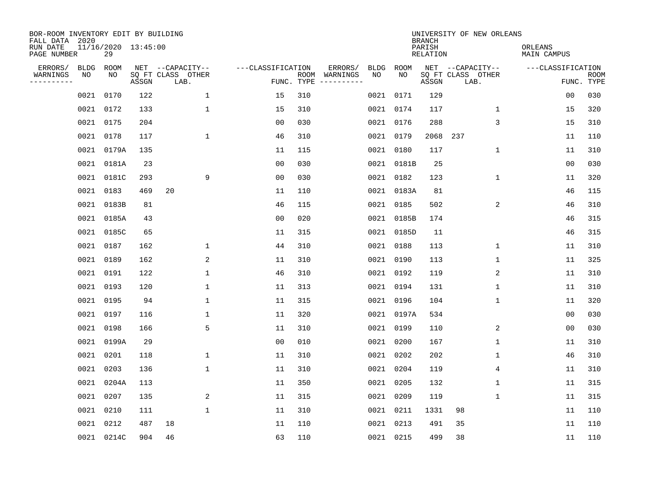| BOR-ROOM INVENTORY EDIT BY BUILDING<br>FALL DATA 2020 |            |                           |       |                                               |                   |            |                          |            |            | <b>BRANCH</b>      | UNIVERSITY OF NEW ORLEANS                     |                                 |             |
|-------------------------------------------------------|------------|---------------------------|-------|-----------------------------------------------|-------------------|------------|--------------------------|------------|------------|--------------------|-----------------------------------------------|---------------------------------|-------------|
| RUN DATE<br>PAGE NUMBER                               |            | 11/16/2020 13:45:00<br>29 |       |                                               |                   |            |                          |            |            | PARISH<br>RELATION |                                               | ORLEANS<br>MAIN CAMPUS          |             |
| ERRORS/<br>WARNINGS<br>---------                      | BLDG<br>NO | ROOM<br>NO                | ASSGN | NET --CAPACITY--<br>SQ FT CLASS OTHER<br>LAB. | ---CLASSIFICATION | FUNC. TYPE | ERRORS/<br>ROOM WARNINGS | BLDG<br>NO | ROOM<br>NO | ASSGN              | NET --CAPACITY--<br>SQ FT CLASS OTHER<br>LAB. | ---CLASSIFICATION<br>FUNC. TYPE | <b>ROOM</b> |
|                                                       | 0021       | 0170                      | 122   | $\mathbf{1}$                                  | 15                | 310        |                          |            | 0021 0171  | 129                |                                               | 0 <sub>0</sub>                  | 030         |
|                                                       | 0021       | 0172                      | 133   | $\mathbf 1$                                   | 15                | 310        |                          |            | 0021 0174  | 117                | $\mathbf 1$                                   | 15                              | 320         |
|                                                       |            | 0021 0175                 | 204   |                                               | 0 <sub>0</sub>    | 030        |                          |            | 0021 0176  | 288                | 3                                             | 15                              | 310         |
|                                                       |            | 0021 0178                 | 117   | $\mathbf{1}$                                  | 46                | 310        |                          |            | 0021 0179  |                    | 2068 237                                      | 11                              | 110         |
|                                                       | 0021       | 0179A                     | 135   |                                               | 11                | 115        |                          |            | 0021 0180  | 117                | $\mathbf{1}$                                  | 11                              | 310         |
|                                                       |            | 0021 0181A                | 23    |                                               | 0 <sub>0</sub>    | 030        |                          |            | 0021 0181B | 25                 |                                               | 0 <sub>0</sub>                  | 030         |
|                                                       | 0021       | 0181C                     | 293   | 9                                             | 0 <sub>0</sub>    | 030        |                          |            | 0021 0182  | 123                | $\mathbf 1$                                   | 11                              | 320         |
|                                                       |            | 0021 0183                 | 469   | 20                                            | 11                | 110        |                          |            | 0021 0183A | 81                 |                                               | 46                              | 115         |
|                                                       | 0021       | 0183B                     | 81    |                                               | 46                | 115        |                          |            | 0021 0185  | 502                | 2                                             | 46                              | 310         |
|                                                       |            | 0021 0185A                | 43    |                                               | 0 <sub>0</sub>    | 020        |                          |            | 0021 0185B | 174                |                                               | 46                              | 315         |
|                                                       |            | 0021 0185C                | 65    |                                               | 11                | 315        |                          |            | 0021 0185D | 11                 |                                               | 46                              | 315         |
|                                                       |            | 0021 0187                 | 162   | $\mathbf 1$                                   | 44                | 310        |                          |            | 0021 0188  | 113                | $\mathbf{1}$                                  | 11                              | 310         |
|                                                       | 0021       | 0189                      | 162   | 2                                             | 11                | 310        |                          |            | 0021 0190  | 113                | $\mathbf{1}$                                  | 11                              | 325         |
|                                                       | 0021       | 0191                      | 122   | $\mathbf{1}$                                  | 46                | 310        |                          |            | 0021 0192  | 119                | 2                                             | 11                              | 310         |
|                                                       | 0021       | 0193                      | 120   | 1                                             | 11                | 313        |                          |            | 0021 0194  | 131                | 1                                             | 11                              | 310         |
|                                                       | 0021       | 0195                      | 94    | 1                                             | 11                | 315        |                          |            | 0021 0196  | 104                | $\mathbf{1}$                                  | 11                              | 320         |
|                                                       | 0021       | 0197                      | 116   | 1                                             | 11                | 320        |                          |            | 0021 0197A | 534                |                                               | 0 <sub>0</sub>                  | 030         |
|                                                       | 0021       | 0198                      | 166   | 5                                             | 11                | 310        |                          |            | 0021 0199  | 110                | 2                                             | 0 <sub>0</sub>                  | 030         |
|                                                       | 0021       | 0199A                     | 29    |                                               | 0 <sub>0</sub>    | 010        |                          |            | 0021 0200  | 167                | 1                                             | 11                              | 310         |
|                                                       | 0021       | 0201                      | 118   | 1                                             | 11                | 310        |                          |            | 0021 0202  | 202                | 1                                             | 46                              | 310         |
|                                                       | 0021       | 0203                      | 136   | $\mathbf 1$                                   | 11                | 310        |                          |            | 0021 0204  | 119                | 4                                             | 11                              | 310         |
|                                                       | 0021       | 0204A                     | 113   |                                               | 11                | 350        |                          |            | 0021 0205  | 132                | 1                                             | 11                              | 315         |
|                                                       | 0021       | 0207                      | 135   | 2                                             | 11                | 315        |                          |            | 0021 0209  | 119                | 1                                             | 11                              | 315         |
|                                                       | 0021       | 0210                      | 111   | $\mathbf{1}$                                  | 11                | 310        |                          |            | 0021 0211  | 1331               | 98                                            | 11                              | 110         |
|                                                       | 0021       | 0212                      | 487   | 18                                            | 11                | 110        |                          |            | 0021 0213  | 491                | 35                                            | 11                              | 110         |
|                                                       |            | 0021 0214C                | 904   | 46                                            | 63                | 110        |                          |            | 0021 0215  | 499                | 38                                            | 11                              | 110         |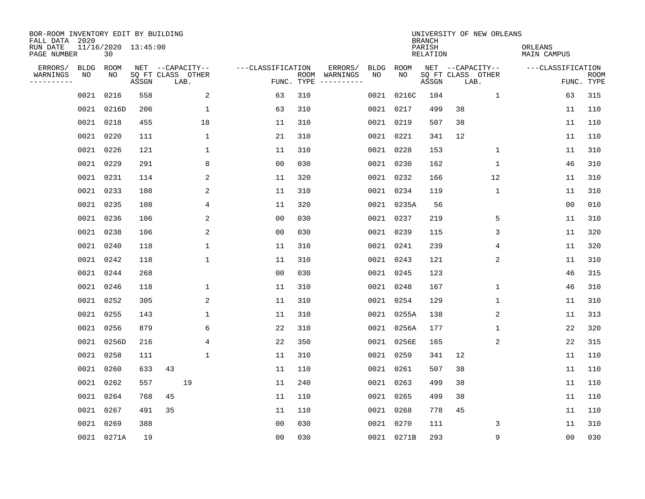| BOR-ROOM INVENTORY EDIT BY BUILDING<br>FALL DATA 2020 |             |                           |       |                           |                   |                    |                         |      |            | <b>BRANCH</b>             |                           | UNIVERSITY OF NEW ORLEANS |                        |                           |
|-------------------------------------------------------|-------------|---------------------------|-------|---------------------------|-------------------|--------------------|-------------------------|------|------------|---------------------------|---------------------------|---------------------------|------------------------|---------------------------|
| RUN DATE<br>PAGE NUMBER                               |             | 11/16/2020 13:45:00<br>30 |       |                           |                   |                    |                         |      |            | PARISH<br><b>RELATION</b> |                           |                           | ORLEANS<br>MAIN CAMPUS |                           |
| ERRORS/                                               | <b>BLDG</b> | ROOM                      |       | NET --CAPACITY--          | ---CLASSIFICATION |                    | ERRORS/                 | BLDG | ROOM       |                           |                           | NET --CAPACITY--          | ---CLASSIFICATION      |                           |
| WARNINGS<br>-----------                               | NO          | ΝO                        | ASSGN | SQ FT CLASS OTHER<br>LAB. |                   | ROOM<br>FUNC. TYPE | WARNINGS<br>----------- | NO   | NO         | ASSGN                     | SQ FT CLASS OTHER<br>LAB. |                           |                        | <b>ROOM</b><br>FUNC. TYPE |
|                                                       | 0021        | 0216                      | 558   | 2                         | 63                | 310                |                         |      | 0021 0216C | 104                       |                           | $\mathbf{1}$              | 63                     | 315                       |
|                                                       | 0021        | 0216D                     | 206   | 1                         | 63                | 310                |                         |      | 0021 0217  | 499                       | 38                        |                           | 11                     | 110                       |
|                                                       |             | 0021 0218                 | 455   | 18                        | 11                | 310                |                         |      | 0021 0219  | 507                       | 38                        |                           | 11                     | 110                       |
|                                                       |             | 0021 0220                 | 111   | $\mathbf{1}$              | 21                | 310                |                         |      | 0021 0221  | 341                       | 12                        |                           | 11                     | 110                       |
|                                                       | 0021        | 0226                      | 121   | $\mathbf{1}$              | 11                | 310                |                         |      | 0021 0228  | 153                       |                           | $\mathbf 1$               | 11                     | 310                       |
|                                                       |             | 0021 0229                 | 291   | 8                         | 0 <sub>0</sub>    | 030                |                         |      | 0021 0230  | 162                       |                           | 1                         | 46                     | 310                       |
|                                                       |             | 0021 0231                 | 114   | 2                         | 11                | 320                |                         |      | 0021 0232  | 166                       |                           | 12                        | 11                     | 310                       |
|                                                       |             | 0021 0233                 | 108   | 2                         | 11                | 310                |                         |      | 0021 0234  | 119                       |                           | 1                         | 11                     | 310                       |
|                                                       |             | 0021 0235                 | 108   | 4                         | 11                | 320                |                         |      | 0021 0235A | 56                        |                           |                           | 0 <sub>0</sub>         | 010                       |
|                                                       |             | 0021 0236                 | 106   | 2                         | 0 <sub>0</sub>    | 030                |                         |      | 0021 0237  | 219                       |                           | 5                         | 11                     | 310                       |
|                                                       |             | 0021 0238                 | 106   | 2                         | 0 <sub>0</sub>    | 030                |                         |      | 0021 0239  | 115                       |                           | 3                         | 11                     | 320                       |
|                                                       |             | 0021 0240                 | 118   | 1                         | 11                | 310                |                         |      | 0021 0241  | 239                       |                           | 4                         | 11                     | 320                       |
|                                                       | 0021        | 0242                      | 118   | $\mathbf{1}$              | 11                | 310                |                         |      | 0021 0243  | 121                       |                           | 2                         | 11                     | 310                       |
|                                                       |             | 0021 0244                 | 268   |                           | 0 <sub>0</sub>    | 030                |                         |      | 0021 0245  | 123                       |                           |                           | 46                     | 315                       |
|                                                       |             | 0021 0246                 | 118   | $\mathbf{1}$              | 11                | 310                |                         | 0021 | 0248       | 167                       |                           | 1                         | 46                     | 310                       |
|                                                       |             | 0021 0252                 | 305   | 2                         | 11                | 310                |                         |      | 0021 0254  | 129                       |                           | 1                         | 11                     | 310                       |
|                                                       | 0021        | 0255                      | 143   | 1                         | 11                | 310                |                         | 0021 | 0255A      | 138                       |                           | 2                         | 11                     | 313                       |
|                                                       | 0021        | 0256                      | 879   | 6                         | 22                | 310                |                         | 0021 | 0256A      | 177                       |                           | 1                         | 22                     | 320                       |
|                                                       | 0021        | 0256D                     | 216   | 4                         | 22                | 350                |                         |      | 0021 0256E | 165                       |                           | 2                         | 22                     | 315                       |
|                                                       | 0021        | 0258                      | 111   | $\mathbf{1}$              | 11                | 310                |                         |      | 0021 0259  | 341                       | 12                        |                           | 11                     | 110                       |
|                                                       | 0021        | 0260                      | 633   | 43                        | 11                | 110                |                         | 0021 | 0261       | 507                       | 38                        |                           | 11                     | 110                       |
|                                                       | 0021        | 0262                      | 557   | 19                        | 11                | 240                |                         |      | 0021 0263  | 499                       | 38                        |                           | 11                     | 110                       |
|                                                       | 0021        | 0264                      | 768   | 45                        | 11                | 110                |                         | 0021 | 0265       | 499                       | 38                        |                           | 11                     | 110                       |
|                                                       | 0021        | 0267                      | 491   | 35                        | 11                | 110                |                         |      | 0021 0268  | 778                       | 45                        |                           | 11                     | 110                       |
|                                                       | 0021        | 0269                      | 388   |                           | 0 <sub>0</sub>    | 030                |                         |      | 0021 0270  | 111                       |                           | 3                         | 11                     | 310                       |
|                                                       |             | 0021 0271A                | 19    |                           | 0 <sub>0</sub>    | 030                |                         |      | 0021 0271B | 293                       |                           | 9                         | 0 <sub>0</sub>         | 030                       |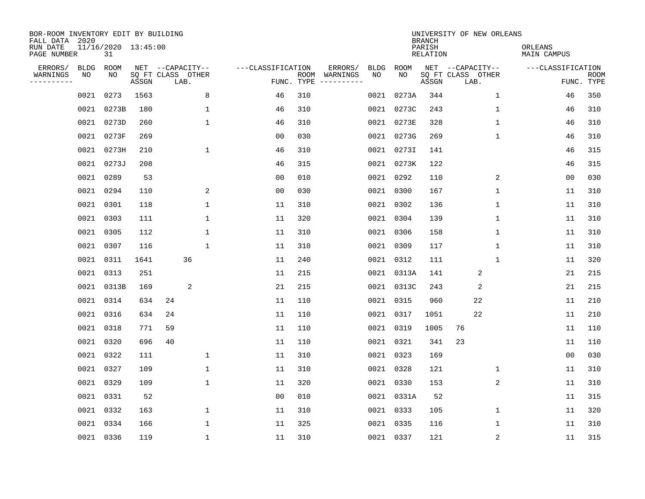| BOR-ROOM INVENTORY EDIT BY BUILDING<br>FALL DATA 2020 |           |                           |       |                           |              |                   |            |               |             |             | <b>BRANCH</b>             | UNIVERSITY OF NEW ORLEANS |                |                        |                           |
|-------------------------------------------------------|-----------|---------------------------|-------|---------------------------|--------------|-------------------|------------|---------------|-------------|-------------|---------------------------|---------------------------|----------------|------------------------|---------------------------|
| RUN DATE<br>PAGE NUMBER                               |           | 11/16/2020 13:45:00<br>31 |       |                           |              |                   |            |               |             |             | PARISH<br><b>RELATION</b> |                           |                | ORLEANS<br>MAIN CAMPUS |                           |
| ERRORS/                                               | BLDG      | ROOM                      |       | NET --CAPACITY--          |              | ---CLASSIFICATION |            | ERRORS/       | <b>BLDG</b> | <b>ROOM</b> |                           | NET --CAPACITY--          |                | ---CLASSIFICATION      |                           |
| WARNINGS<br>----------                                | NO        | NO                        | ASSGN | SQ FT CLASS OTHER<br>LAB. |              |                   | FUNC. TYPE | ROOM WARNINGS | NO          | NO          | ASSGN                     | SQ FT CLASS OTHER<br>LAB. |                |                        | <b>ROOM</b><br>FUNC. TYPE |
|                                                       | 0021      | 0273                      | 1563  |                           | 8            | 46                | 310        |               | 0021        | 0273A       | 344                       |                           | $\mathbf 1$    | 46                     | 350                       |
|                                                       | 0021      | 0273B                     | 180   |                           | $\mathbf{1}$ | 46                | 310        |               |             | 0021 0273C  | 243                       |                           | $\mathbf 1$    | 46                     | 310                       |
|                                                       | 0021      | 0273D                     | 260   |                           | $\mathbf{1}$ | 46                | 310        |               |             | 0021 0273E  | 328                       |                           | $\mathbf 1$    | 46                     | 310                       |
|                                                       |           | 0021 0273F                | 269   |                           |              | 0 <sub>0</sub>    | 030        |               |             | 0021 0273G  | 269                       |                           | $\mathbf{1}$   | 46                     | 310                       |
|                                                       |           | 0021 0273H                | 210   |                           | $\mathbf{1}$ | 46                | 310        |               |             | 0021 0273I  | 141                       |                           |                | 46                     | 315                       |
|                                                       |           | 0021 0273J                | 208   |                           |              | 46                | 315        |               |             | 0021 0273K  | 122                       |                           |                | 46                     | 315                       |
|                                                       |           | 0021 0289                 | 53    |                           |              | 0 <sub>0</sub>    | 010        |               |             | 0021 0292   | 110                       |                           | 2              | 0 <sub>0</sub>         | 030                       |
|                                                       |           | 0021 0294                 | 110   |                           | 2            | 0 <sub>0</sub>    | 030        |               |             | 0021 0300   | 167                       |                           | $\mathbf{1}$   | 11                     | 310                       |
|                                                       | 0021      | 0301                      | 118   |                           | $\mathbf{1}$ | 11                | 310        |               | 0021        | 0302        | 136                       |                           | $\mathbf{1}$   | 11                     | 310                       |
|                                                       |           | 0021 0303                 | 111   |                           | $\mathbf{1}$ | 11                | 320        |               |             | 0021 0304   | 139                       |                           | $\mathbf 1$    | 11                     | 310                       |
|                                                       | 0021      | 0305                      | 112   |                           | 1            | 11                | 310        |               | 0021        | 0306        | 158                       |                           | 1              | 11                     | 310                       |
|                                                       | 0021      | 0307                      | 116   |                           | $\mathbf{1}$ | 11                | 310        |               | 0021        | 0309        | 117                       |                           | 1              | 11                     | 310                       |
|                                                       | 0021      | 0311                      | 1641  | 36                        |              | 11                | 240        |               | 0021        | 0312        | 111                       |                           | 1              | 11                     | 320                       |
|                                                       | 0021      | 0313                      | 251   |                           |              | 11                | 215        |               | 0021        | 0313A       | 141                       |                           | 2              | 21                     | 215                       |
|                                                       |           | 0021 0313B                | 169   |                           | 2            | 21                | 215        |               |             | 0021 0313C  | 243                       |                           | 2              | 21                     | 215                       |
|                                                       |           | 0021 0314                 | 634   | 24                        |              | 11                | 110        |               |             | 0021 0315   | 960                       |                           | 22             | 11                     | 210                       |
|                                                       |           | 0021 0316                 | 634   | 24                        |              | 11                | 110        |               |             | 0021 0317   | 1051                      |                           | 22             | 11                     | 210                       |
|                                                       | 0021      | 0318                      | 771   | 59                        |              | 11                | 110        |               | 0021        | 0319        | 1005                      | 76                        |                | 11                     | 110                       |
|                                                       |           | 0021 0320                 | 696   | 40                        |              | 11                | 110        |               |             | 0021 0321   | 341                       | 23                        |                | 11                     | 110                       |
|                                                       |           | 0021 0322                 | 111   |                           | $\mathbf{1}$ | 11                | 310        |               |             | 0021 0323   | 169                       |                           |                | 0 <sub>0</sub>         | 030                       |
|                                                       |           | 0021 0327                 | 109   |                           | $\mathbf{1}$ | 11                | 310        |               |             | 0021 0328   | 121                       |                           | $\mathbf 1$    | 11                     | 310                       |
|                                                       | 0021      | 0329                      | 109   |                           | $\mathbf{1}$ | 11                | 320        |               |             | 0021 0330   | 153                       |                           | $\overline{c}$ | 11                     | 310                       |
|                                                       | 0021 0331 |                           | 52    |                           |              | 0 <sub>0</sub>    | 010        |               |             | 0021 0331A  | 52                        |                           |                | 11                     | 315                       |
|                                                       |           | 0021 0332                 | 163   |                           | $\mathbf{1}$ | 11                | 310        |               |             | 0021 0333   | 105                       |                           | $\mathbf 1$    | 11                     | 320                       |
|                                                       |           | 0021 0334                 | 166   |                           | $\mathbf{1}$ | 11                | 325        |               |             | 0021 0335   | 116                       |                           | $\mathbf 1$    | 11                     | 310                       |
|                                                       |           | 0021 0336                 | 119   |                           | $\mathbf{1}$ | 11                | 310        |               |             | 0021 0337   | 121                       |                           | 2              | 11                     | 315                       |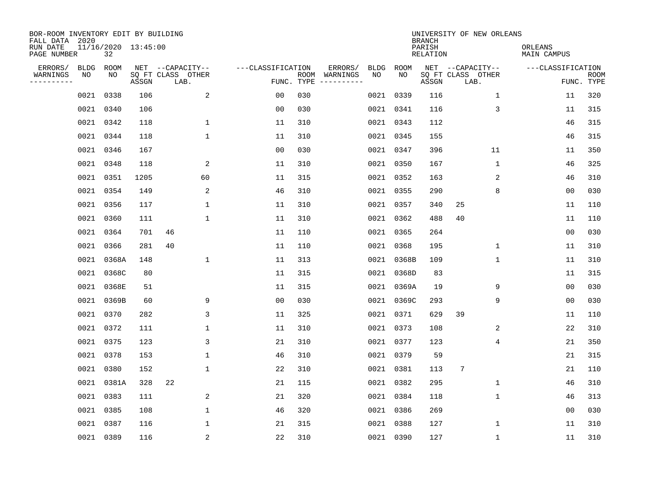| BOR-ROOM INVENTORY EDIT BY BUILDING<br>FALL DATA 2020 |                           |       |                           |                   |                    |                         |             |             | <b>BRANCH</b>             | UNIVERSITY OF NEW ORLEANS |                        |                           |
|-------------------------------------------------------|---------------------------|-------|---------------------------|-------------------|--------------------|-------------------------|-------------|-------------|---------------------------|---------------------------|------------------------|---------------------------|
| RUN DATE<br>PAGE NUMBER                               | 11/16/2020 13:45:00<br>32 |       |                           |                   |                    |                         |             |             | PARISH<br><b>RELATION</b> |                           | ORLEANS<br>MAIN CAMPUS |                           |
| ERRORS/                                               | <b>BLDG</b><br>ROOM       |       | NET --CAPACITY--          | ---CLASSIFICATION |                    | ERRORS/                 | <b>BLDG</b> | <b>ROOM</b> |                           | NET --CAPACITY--          | ---CLASSIFICATION      |                           |
| WARNINGS<br>----------                                | NO<br>NO                  | ASSGN | SQ FT CLASS OTHER<br>LAB. |                   | ROOM<br>FUNC. TYPE | WARNINGS<br>----------- | NO          | NO          | ASSGN                     | SQ FT CLASS OTHER<br>LAB. |                        | <b>ROOM</b><br>FUNC. TYPE |
|                                                       | 0338<br>0021              | 106   | 2                         | 0 <sub>0</sub>    | 030                |                         |             | 0021 0339   | 116                       | 1                         | 11                     | 320                       |
|                                                       | 0021<br>0340              | 106   |                           | 0 <sub>0</sub>    | 030                |                         |             | 0021 0341   | 116                       | 3                         | 11                     | 315                       |
|                                                       | 0021<br>0342              | 118   | $\mathbf 1$               | 11                | 310                |                         |             | 0021 0343   | 112                       |                           | 46                     | 315                       |
|                                                       | 0021<br>0344              | 118   | $\mathbf 1$               | 11                | 310                |                         |             | 0021 0345   | 155                       |                           | 46                     | 315                       |
|                                                       | 0021<br>0346              | 167   |                           | 0 <sub>0</sub>    | 030                |                         |             | 0021 0347   | 396                       | 11                        | 11                     | 350                       |
|                                                       | 0348<br>0021              | 118   | 2                         | 11                | 310                |                         |             | 0021 0350   | 167                       | $\mathbf{1}$              | 46                     | 325                       |
|                                                       | 0021 0351                 | 1205  | 60                        | 11                | 315                |                         |             | 0021 0352   | 163                       | 2                         | 46                     | 310                       |
|                                                       | 0021 0354                 | 149   | 2                         | 46                | 310                |                         |             | 0021 0355   | 290                       | 8                         | 00                     | 030                       |
|                                                       | 0021<br>0356              | 117   | 1                         | 11                | 310                |                         |             | 0021 0357   | 340                       | 25                        | 11                     | 110                       |
|                                                       | 0021<br>0360              | 111   | 1                         | 11                | 310                |                         |             | 0021 0362   | 488                       | 40                        | 11                     | 110                       |
|                                                       | 0021<br>0364              | 701   | 46                        | 11                | 110                |                         |             | 0021 0365   | 264                       |                           | 0 <sub>0</sub>         | 030                       |
|                                                       | 0021<br>0366              | 281   | 40                        | 11                | 110                |                         |             | 0021 0368   | 195                       | $\mathbf 1$               | 11                     | 310                       |
|                                                       | 0021<br>0368A             | 148   | 1                         | 11                | 313                |                         |             | 0021 0368B  | 109                       | $\mathbf 1$               | 11                     | 310                       |
|                                                       | 0021<br>0368C             | 80    |                           | 11                | 315                |                         |             | 0021 0368D  | 83                        |                           | 11                     | 315                       |
|                                                       | 0021<br>0368E             | 51    |                           | 11                | 315                |                         |             | 0021 0369A  | 19                        | 9                         | 0 <sub>0</sub>         | 030                       |
|                                                       | 0021<br>0369B             | 60    | 9                         | 0 <sub>0</sub>    | 030                |                         |             | 0021 0369C  | 293                       | 9                         | 0 <sub>0</sub>         | 030                       |
|                                                       | 0021<br>0370              | 282   | 3                         | 11                | 325                |                         |             | 0021 0371   | 629                       | 39                        | 11                     | 110                       |
|                                                       | 0021<br>0372              | 111   | $\mathbf{1}$              | 11                | 310                |                         |             | 0021 0373   | 108                       | 2                         | 22                     | 310                       |
|                                                       | 0021<br>0375              | 123   | 3                         | 21                | 310                |                         |             | 0021 0377   | 123                       | $\overline{4}$            | 21                     | 350                       |
|                                                       | 0021<br>0378              | 153   | $\mathbf 1$               | 46                | 310                |                         |             | 0021 0379   | 59                        |                           | 21                     | 315                       |
|                                                       | 0021<br>0380              | 152   | $\mathbf 1$               | 22                | 310                |                         |             | 0021 0381   | 113                       | 7                         | 21                     | 110                       |
|                                                       | 0021<br>0381A             | 328   | 22                        | 21                | 115                |                         |             | 0021 0382   | 295                       | $\mathbf 1$               | 46                     | 310                       |
|                                                       | 0383<br>0021              | 111   | 2                         | 21                | 320                |                         |             | 0021 0384   | 118                       | 1                         | 46                     | 313                       |
|                                                       | 0021<br>0385              | 108   | $\mathbf 1$               | 46                | 320                |                         |             | 0021 0386   | 269                       |                           | 0 <sub>0</sub>         | 030                       |
|                                                       | 0021<br>0387              | 116   | 1                         | 21                | 315                |                         |             | 0021 0388   | 127                       | 1                         | 11                     | 310                       |
|                                                       | 0021 0389                 | 116   | $\overline{c}$            | 22                | 310                |                         |             | 0021 0390   | 127                       | $\mathbf 1$               | 11                     | 310                       |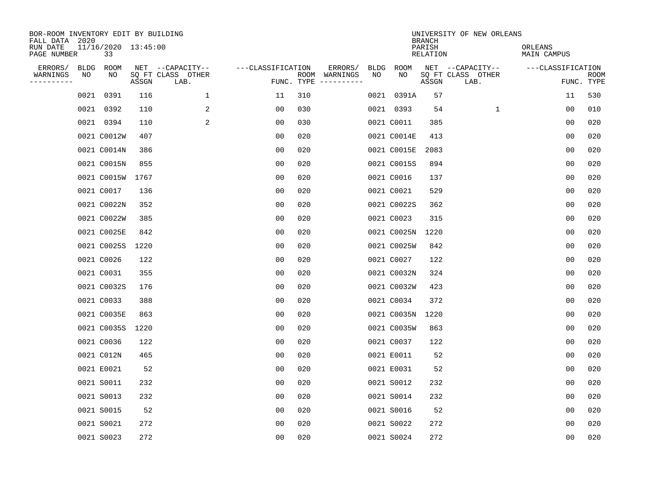| BOR-ROOM INVENTORY EDIT BY BUILDING<br>FALL DATA 2020 |      |                           |       |                           |                   |            |               |      |             | <b>BRANCH</b>             | UNIVERSITY OF NEW ORLEANS |                        |                           |
|-------------------------------------------------------|------|---------------------------|-------|---------------------------|-------------------|------------|---------------|------|-------------|---------------------------|---------------------------|------------------------|---------------------------|
| RUN DATE<br>PAGE NUMBER                               |      | 11/16/2020 13:45:00<br>33 |       |                           |                   |            |               |      |             | PARISH<br><b>RELATION</b> |                           | ORLEANS<br>MAIN CAMPUS |                           |
| ERRORS/                                               | BLDG | ROOM                      |       | NET --CAPACITY--          | ---CLASSIFICATION |            | ERRORS/       | BLDG | ROOM        |                           | NET --CAPACITY--          | ---CLASSIFICATION      |                           |
| WARNINGS<br>----------                                | ΝO   | NO                        | ASSGN | SQ FT CLASS OTHER<br>LAB. |                   | FUNC. TYPE | ROOM WARNINGS | NO   | NO          | ASSGN                     | SQ FT CLASS OTHER<br>LAB. |                        | <b>ROOM</b><br>FUNC. TYPE |
|                                                       | 0021 | 0391                      | 116   | 1                         | 11                | 310        |               |      | 0021 0391A  | 57                        |                           | 11                     | 530                       |
|                                                       |      | 0021 0392                 | 110   | 2                         | 00                | 030        |               |      | 0021 0393   | 54                        | 1                         | 00                     | 010                       |
|                                                       |      | 0021 0394                 | 110   | 2                         | 00                | 030        |               |      | 0021 C0011  | 385                       |                           | 00                     | 020                       |
|                                                       |      | 0021 C0012W               | 407   |                           | 0 <sub>0</sub>    | 020        |               |      | 0021 C0014E | 413                       |                           | 0 <sub>0</sub>         | 020                       |
|                                                       |      | 0021 C0014N               | 386   |                           | 0 <sub>0</sub>    | 020        |               |      | 0021 C0015E | 2083                      |                           | 00                     | 020                       |
|                                                       |      | 0021 C0015N               | 855   |                           | 0 <sub>0</sub>    | 020        |               |      | 0021 C0015S | 894                       |                           | 0 <sub>0</sub>         | 020                       |
|                                                       |      | 0021 C0015W               | 1767  |                           | 0 <sub>0</sub>    | 020        |               |      | 0021 C0016  | 137                       |                           | 0 <sub>0</sub>         | 020                       |
|                                                       |      | 0021 C0017                | 136   |                           | 0 <sub>0</sub>    | 020        |               |      | 0021 C0021  | 529                       |                           | 0 <sub>0</sub>         | 020                       |
|                                                       |      | 0021 C0022N               | 352   |                           | 0 <sub>0</sub>    | 020        |               |      | 0021 C0022S | 362                       |                           | 0 <sub>0</sub>         | 020                       |
|                                                       |      | 0021 C0022W               | 385   |                           | 00                | 020        |               |      | 0021 C0023  | 315                       |                           | 00                     | 020                       |
|                                                       |      | 0021 C0025E               | 842   |                           | 0 <sub>0</sub>    | 020        |               |      | 0021 C0025N | 1220                      |                           | 0 <sub>0</sub>         | 020                       |
|                                                       |      | 0021 C0025S               | 1220  |                           | 0 <sub>0</sub>    | 020        |               |      | 0021 C0025W | 842                       |                           | 0 <sub>0</sub>         | 020                       |
|                                                       |      | 0021 C0026                | 122   |                           | 0 <sub>0</sub>    | 020        |               |      | 0021 C0027  | 122                       |                           | 0 <sub>0</sub>         | 020                       |
|                                                       |      | 0021 C0031                | 355   |                           | 0 <sub>0</sub>    | 020        |               |      | 0021 C0032N | 324                       |                           | 0 <sub>0</sub>         | 020                       |
|                                                       |      | 0021 C0032S               | 176   |                           | 0 <sub>0</sub>    | 020        |               |      | 0021 C0032W | 423                       |                           | 0 <sub>0</sub>         | 020                       |
|                                                       |      | 0021 C0033                | 388   |                           | 0 <sub>0</sub>    | 020        |               |      | 0021 C0034  | 372                       |                           | 00                     | 020                       |
|                                                       |      | 0021 C0035E               | 863   |                           | 00                | 020        |               |      | 0021 C0035N | 1220                      |                           | 0 <sub>0</sub>         | 020                       |
|                                                       |      | 0021 C0035S               | 1220  |                           | 0 <sub>0</sub>    | 020        |               |      | 0021 C0035W | 863                       |                           | 0 <sub>0</sub>         | 020                       |
|                                                       |      | 0021 C0036                | 122   |                           | 0 <sub>0</sub>    | 020        |               |      | 0021 C0037  | 122                       |                           | 0 <sub>0</sub>         | 020                       |
|                                                       |      | 0021 C012N                | 465   |                           | 0 <sub>0</sub>    | 020        |               |      | 0021 E0011  | 52                        |                           | 0 <sub>0</sub>         | 020                       |
|                                                       |      | 0021 E0021                | 52    |                           | 0 <sub>0</sub>    | 020        |               |      | 0021 E0031  | 52                        |                           | 0 <sub>0</sub>         | 020                       |
|                                                       |      | 0021 S0011                | 232   |                           | 0 <sub>0</sub>    | 020        |               |      | 0021 S0012  | 232                       |                           | 0 <sub>0</sub>         | 020                       |
|                                                       |      | 0021 S0013                | 232   |                           | 0 <sub>0</sub>    | 020        |               |      | 0021 S0014  | 232                       |                           | 0 <sub>0</sub>         | 020                       |
|                                                       |      | 0021 S0015                | 52    |                           | 0 <sub>0</sub>    | 020        |               |      | 0021 S0016  | 52                        |                           | 0 <sub>0</sub>         | 020                       |
|                                                       |      | 0021 S0021                | 272   |                           | 0 <sub>0</sub>    | 020        |               |      | 0021 S0022  | 272                       |                           | 0 <sub>0</sub>         | 020                       |
|                                                       |      | 0021 S0023                | 272   |                           | 0 <sub>0</sub>    | 020        |               |      | 0021 S0024  | 272                       |                           | 0 <sub>0</sub>         | 020                       |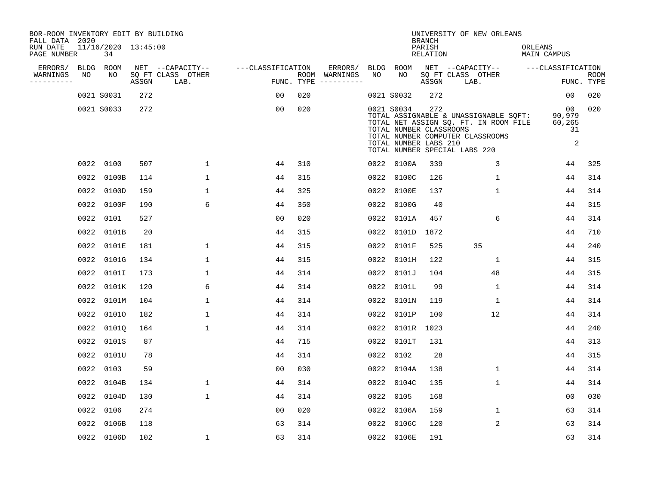| BOR-ROOM INVENTORY EDIT BY BUILDING       |                           |       |                           |                   |                                      |             |                                                                |                                     | UNIVERSITY OF NEW ORLEANS                                                                                                                           |                                                |                           |
|-------------------------------------------|---------------------------|-------|---------------------------|-------------------|--------------------------------------|-------------|----------------------------------------------------------------|-------------------------------------|-----------------------------------------------------------------------------------------------------------------------------------------------------|------------------------------------------------|---------------------------|
| FALL DATA 2020<br>RUN DATE<br>PAGE NUMBER | 11/16/2020 13:45:00<br>34 |       |                           |                   |                                      |             |                                                                | <b>BRANCH</b><br>PARISH<br>RELATION |                                                                                                                                                     | ORLEANS<br><b>MAIN CAMPUS</b>                  |                           |
| ERRORS/<br><b>BLDG</b>                    | ROOM                      |       | NET --CAPACITY--          | ---CLASSIFICATION | ERRORS/                              | <b>BLDG</b> | ROOM                                                           |                                     | NET --CAPACITY--                                                                                                                                    | ---CLASSIFICATION                              |                           |
| WARNINGS<br>NO<br>----------              | NO                        | ASSGN | SQ FT CLASS OTHER<br>LAB. |                   | ROOM WARNINGS<br>FUNC. TYPE $------$ | NO          | NO                                                             | ASSGN                               | SQ FT CLASS OTHER<br>LAB.                                                                                                                           |                                                | <b>ROOM</b><br>FUNC. TYPE |
|                                           | 0021 S0031                | 272   |                           | 00                | 020                                  |             | 0021 S0032                                                     | 272                                 |                                                                                                                                                     | 0 <sub>0</sub>                                 | 020                       |
|                                           | 0021 S0033                | 272   |                           | 00                | 020                                  |             | 0021 S0034<br>TOTAL NUMBER CLASSROOMS<br>TOTAL NUMBER LABS 210 | 272                                 | TOTAL ASSIGNABLE & UNASSIGNABLE SQFT:<br>TOTAL NET ASSIGN SQ. FT. IN ROOM FILE<br>TOTAL NUMBER COMPUTER CLASSROOMS<br>TOTAL NUMBER SPECIAL LABS 220 | 00<br>90,979<br>60,265<br>31<br>$\overline{a}$ | 020                       |
|                                           | 0022 0100                 | 507   | $\mathbf{1}$              | 44                | 310                                  |             | 0022 0100A                                                     | 339                                 | 3                                                                                                                                                   | 44                                             | 325                       |
|                                           | 0022 0100B                | 114   | $\mathbf{1}$              | 44                | 315                                  | 0022        | 0100C                                                          | 126                                 | $\mathbf{1}$                                                                                                                                        | 44                                             | 314                       |
|                                           | 0022 0100D                | 159   | $\mathbf{1}$              | 44                | 325                                  | 0022        | 0100E                                                          | 137                                 | $\mathbf{1}$                                                                                                                                        | 44                                             | 314                       |
|                                           | 0022 0100F                | 190   | 6                         | 44                | 350                                  | 0022        | 0100G                                                          | 40                                  |                                                                                                                                                     | 44                                             | 315                       |
|                                           | 0022 0101                 | 527   |                           | 0 <sub>0</sub>    | 020                                  | 0022        | 0101A                                                          | 457                                 | 6                                                                                                                                                   | 44                                             | 314                       |
|                                           | 0022 0101B                | 20    |                           | 44                | 315                                  | 0022        | 0101D                                                          | 1872                                |                                                                                                                                                     | 44                                             | 710                       |
|                                           | 0022 0101E                | 181   | $\mathbf{1}$              | 44                | 315                                  | 0022        | 0101F                                                          | 525                                 | 35                                                                                                                                                  | 44                                             | 240                       |
|                                           | 0022 0101G                | 134   | $\mathbf 1$               | 44                | 315                                  | 0022        | 0101H                                                          | 122                                 | $\mathbf{1}$                                                                                                                                        | 44                                             | 315                       |
| 0022                                      | 0101I                     | 173   | 1                         | 44                | 314                                  | 0022        | 0101J                                                          | 104                                 | 48                                                                                                                                                  | 44                                             | 315                       |
|                                           | 0022 0101K                | 120   | 6                         | 44                | 314                                  | 0022        | 0101L                                                          | 99                                  | 1                                                                                                                                                   | 44                                             | 314                       |
|                                           | 0022 0101M                | 104   | $\mathbf{1}$              | 44                | 314                                  | 0022        | 0101N                                                          | 119                                 | $\mathbf{1}$                                                                                                                                        | 44                                             | 314                       |
| 0022                                      | 01010                     | 182   | $\mathbf{1}$              | 44                | 314                                  | 0022        | 0101P                                                          | 100                                 | 12                                                                                                                                                  | 44                                             | 314                       |
| 0022                                      | 0101Q                     | 164   | $\mathbf{1}$              | 44                | 314                                  | 0022        | 0101R                                                          | 1023                                |                                                                                                                                                     | 44                                             | 240                       |
|                                           | 0022 0101S                | 87    |                           | 44                | 715                                  |             | 0022 0101T                                                     | 131                                 |                                                                                                                                                     | 44                                             | 313                       |
|                                           | 0022 0101U                | 78    |                           | 44                | 314                                  | 0022        | 0102                                                           | 28                                  |                                                                                                                                                     | 44                                             | 315                       |
|                                           | 0022 0103                 | 59    |                           | 0 <sub>0</sub>    | 030                                  | 0022        | 0104A                                                          | 138                                 | $\mathbf 1$                                                                                                                                         | 44                                             | 314                       |
|                                           | 0022 0104B                | 134   | $\mathbf 1$               | 44                | 314                                  | 0022        | 0104C                                                          | 135                                 | $\mathbf 1$                                                                                                                                         | 44                                             | 314                       |
|                                           | 0022 0104D                | 130   | $\mathbf{1}$              | 44                | 314                                  | 0022        | 0105                                                           | 168                                 |                                                                                                                                                     | 0 <sub>0</sub>                                 | 030                       |
|                                           | 0022 0106                 | 274   |                           | 0 <sub>0</sub>    | 020                                  | 0022        | 0106A                                                          | 159                                 | $\mathbf{1}$                                                                                                                                        | 63                                             | 314                       |
|                                           | 0022 0106B                | 118   |                           | 63                | 314                                  | 0022        | 0106C                                                          | 120                                 | 2                                                                                                                                                   | 63                                             | 314                       |
|                                           | 0022 0106D                | 102   | $\mathbf{1}$              | 63                | 314                                  |             | 0022 0106E                                                     | 191                                 |                                                                                                                                                     | 63                                             | 314                       |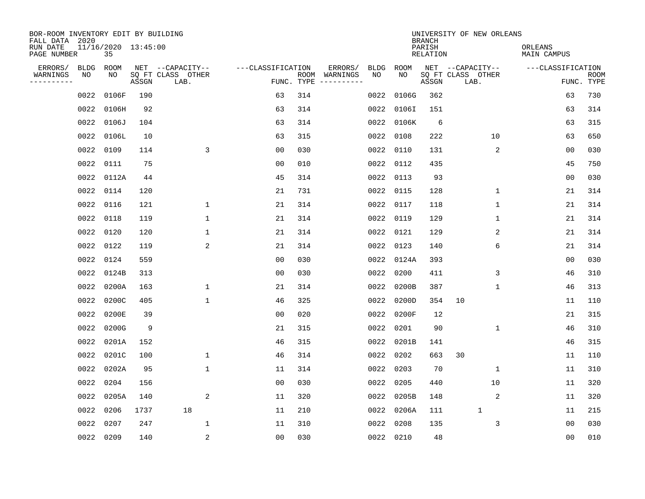| BOR-ROOM INVENTORY EDIT BY BUILDING<br>FALL DATA 2020 |             |                           |       |                           |                   |                    |          |             |             | <b>BRANCH</b>             | UNIVERSITY OF NEW ORLEANS |                               |                           |
|-------------------------------------------------------|-------------|---------------------------|-------|---------------------------|-------------------|--------------------|----------|-------------|-------------|---------------------------|---------------------------|-------------------------------|---------------------------|
| RUN DATE<br>PAGE NUMBER                               |             | 11/16/2020 13:45:00<br>35 |       |                           |                   |                    |          |             |             | PARISH<br><b>RELATION</b> |                           | ORLEANS<br><b>MAIN CAMPUS</b> |                           |
| ERRORS/                                               | <b>BLDG</b> | ROOM                      |       | NET --CAPACITY--          | ---CLASSIFICATION |                    | ERRORS/  | <b>BLDG</b> | <b>ROOM</b> |                           | NET --CAPACITY--          | ---CLASSIFICATION             |                           |
| WARNINGS<br>----------                                | NO          | NO                        | ASSGN | SQ FT CLASS OTHER<br>LAB. |                   | ROOM<br>FUNC. TYPE | WARNINGS | NO          | NO          | ASSGN                     | SQ FT CLASS OTHER<br>LAB. |                               | <b>ROOM</b><br>FUNC. TYPE |
|                                                       | 0022        | 0106F                     | 190   |                           | 63                | 314                |          | 0022        | 0106G       | 362                       |                           | 63                            | 730                       |
|                                                       | 0022        | 0106H                     | 92    |                           | 63                | 314                |          | 0022        | 0106I       | 151                       |                           | 63                            | 314                       |
|                                                       | 0022        | 0106J                     | 104   |                           | 63                | 314                |          |             | 0022 0106K  | 6                         |                           | 63                            | 315                       |
|                                                       | 0022        | 0106L                     | 10    |                           | 63                | 315                |          | 0022        | 0108        | 222                       | 10                        | 63                            | 650                       |
|                                                       | 0022        | 0109                      | 114   | 3                         | 0 <sub>0</sub>    | 030                |          | 0022        | 0110        | 131                       | 2                         | 00                            | 030                       |
|                                                       | 0022        | 0111                      | 75    |                           | 0 <sub>0</sub>    | 010                |          |             | 0022 0112   | 435                       |                           | 45                            | 750                       |
|                                                       | 0022        | 0112A                     | 44    |                           | 45                | 314                |          | 0022        | 0113        | 93                        |                           | 0 <sub>0</sub>                | 030                       |
|                                                       | 0022        | 0114                      | 120   |                           | 21                | 731                |          | 0022        | 0115        | 128                       | 1                         | 21                            | 314                       |
|                                                       | 0022        | 0116                      | 121   | 1                         | 21                | 314                |          | 0022        | 0117        | 118                       | $\mathbf 1$               | 21                            | 314                       |
|                                                       | 0022        | 0118                      | 119   | 1                         | 21                | 314                |          | 0022        | 0119        | 129                       | 1                         | 21                            | 314                       |
|                                                       | 0022        | 0120                      | 120   | $\mathbf{1}$              | 21                | 314                |          | 0022        | 0121        | 129                       | 2                         | 21                            | 314                       |
|                                                       | 0022        | 0122                      | 119   | 2                         | 21                | 314                |          | 0022        | 0123        | 140                       | 6                         | 21                            | 314                       |
|                                                       | 0022        | 0124                      | 559   |                           | 00                | 030                |          | 0022        | 0124A       | 393                       |                           | 0 <sub>0</sub>                | 030                       |
|                                                       | 0022        | 0124B                     | 313   |                           | 0 <sub>0</sub>    | 030                |          | 0022        | 0200        | 411                       | 3                         | 46                            | 310                       |
|                                                       | 0022        | 0200A                     | 163   | 1                         | 21                | 314                |          | 0022        | 0200B       | 387                       | 1                         | 46                            | 313                       |
|                                                       | 0022        | 0200C                     | 405   | $\mathbf{1}$              | 46                | 325                |          | 0022        | 0200D       | 354                       | 10                        | 11                            | 110                       |
|                                                       | 0022        | 0200E                     | 39    |                           | 0 <sub>0</sub>    | 020                |          | 0022        | 0200F       | 12                        |                           | 21                            | 315                       |
|                                                       | 0022        | 0200G                     | 9     |                           | 21                | 315                |          | 0022        | 0201        | 90                        | 1                         | 46                            | 310                       |
|                                                       | 0022        | 0201A                     | 152   |                           | 46                | 315                |          | 0022        | 0201B       | 141                       |                           | 46                            | 315                       |
|                                                       | 0022        | 0201C                     | 100   | $\mathbf{1}$              | 46                | 314                |          | 0022        | 0202        | 663                       | 30                        | 11                            | 110                       |
|                                                       | 0022        | 0202A                     | 95    | $\mathbf 1$               | 11                | 314                |          | 0022        | 0203        | 70                        | 1                         | 11                            | 310                       |
|                                                       | 0022        | 0204                      | 156   |                           | 0 <sub>0</sub>    | 030                |          | 0022        | 0205        | 440                       | 10                        | 11                            | 320                       |
|                                                       | 0022        | 0205A                     | 140   | 2                         | 11                | 320                |          |             | 0022 0205B  | 148                       | 2                         | 11                            | 320                       |
|                                                       | 0022        | 0206                      | 1737  | 18                        | 11                | 210                |          |             | 0022 0206A  | 111                       | $\mathbf{1}$              | 11                            | 215                       |
|                                                       | 0022        | 0207                      | 247   | $\mathbf{1}$              | 11                | 310                |          | 0022        | 0208        | 135                       | 3                         | 0 <sub>0</sub>                | 030                       |
|                                                       | 0022 0209   |                           | 140   | 2                         | 0 <sub>0</sub>    | 030                |          |             | 0022 0210   | 48                        |                           | 0 <sub>0</sub>                | 010                       |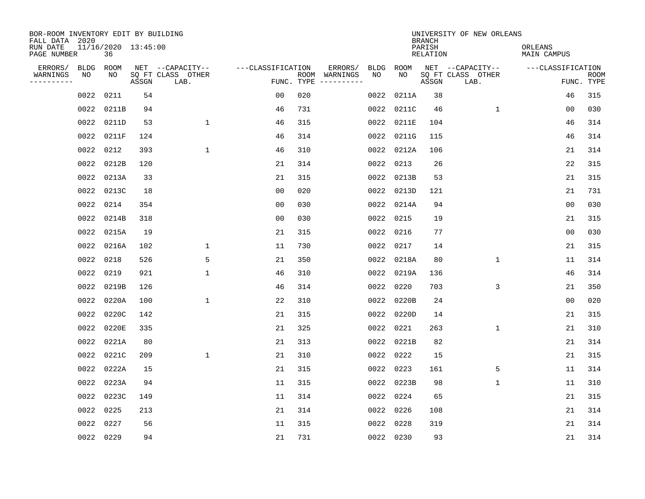| BOR-ROOM INVENTORY EDIT BY BUILDING<br>FALL DATA 2020 |           |                           |       |                           |                   |            |                              |      |            | <b>BRANCH</b>             | UNIVERSITY OF NEW ORLEANS |                               |                           |
|-------------------------------------------------------|-----------|---------------------------|-------|---------------------------|-------------------|------------|------------------------------|------|------------|---------------------------|---------------------------|-------------------------------|---------------------------|
| RUN DATE<br>PAGE NUMBER                               |           | 11/16/2020 13:45:00<br>36 |       |                           |                   |            |                              |      |            | PARISH<br><b>RELATION</b> |                           | ORLEANS<br><b>MAIN CAMPUS</b> |                           |
| ERRORS/                                               | BLDG      | ROOM                      |       | NET --CAPACITY--          | ---CLASSIFICATION |            | ERRORS/                      | BLDG | ROOM       |                           | NET --CAPACITY--          | ---CLASSIFICATION             |                           |
| WARNINGS<br>----------                                | NO        | NO                        | ASSGN | SQ FT CLASS OTHER<br>LAB. |                   | FUNC. TYPE | ROOM WARNINGS<br>----------- | NO   | NO         | ASSGN                     | SQ FT CLASS OTHER<br>LAB. |                               | <b>ROOM</b><br>FUNC. TYPE |
|                                                       | 0022      | 0211                      | 54    |                           | 00                | 020        |                              | 0022 | 0211A      | 38                        |                           | 46                            | 315                       |
|                                                       | 0022      | 0211B                     | 94    |                           | 46                | 731        |                              | 0022 | 0211C      | 46                        | $\mathbf{1}$              | 0 <sub>0</sub>                | 030                       |
|                                                       | 0022      | 0211D                     | 53    | $\mathbf 1$               | 46                | 315        |                              | 0022 | 0211E      | 104                       |                           | 46                            | 314                       |
|                                                       |           | 0022 0211F                | 124   |                           | 46                | 314        |                              | 0022 | 0211G      | 115                       |                           | 46                            | 314                       |
|                                                       |           | 0022 0212                 | 393   | $\mathbf{1}$              | 46                | 310        |                              | 0022 | 0212A      | 106                       |                           | 21                            | 314                       |
|                                                       |           | 0022 0212B                | 120   |                           | 21                | 314        |                              | 0022 | 0213       | 26                        |                           | 22                            | 315                       |
|                                                       |           | 0022 0213A                | 33    |                           | 21                | 315        |                              | 0022 | 0213B      | 53                        |                           | 21                            | 315                       |
|                                                       |           | 0022 0213C                | 18    |                           | 0 <sub>0</sub>    | 020        |                              | 0022 | 0213D      | 121                       |                           | 21                            | 731                       |
|                                                       |           | 0022 0214                 | 354   |                           | 0 <sub>0</sub>    | 030        |                              | 0022 | 0214A      | 94                        |                           | 0 <sub>0</sub>                | 030                       |
|                                                       |           | 0022 0214B                | 318   |                           | 0 <sub>0</sub>    | 030        |                              | 0022 | 0215       | 19                        |                           | 21                            | 315                       |
|                                                       |           | 0022 0215A                | 19    |                           | 21                | 315        |                              | 0022 | 0216       | 77                        |                           | 0 <sub>0</sub>                | 030                       |
|                                                       |           | 0022 0216A                | 102   | $\mathbf{1}$              | 11                | 730        |                              | 0022 | 0217       | 14                        |                           | 21                            | 315                       |
|                                                       | 0022      | 0218                      | 526   | 5                         | 21                | 350        |                              | 0022 | 0218A      | 80                        | $\mathbf 1$               | 11                            | 314                       |
|                                                       | 0022      | 0219                      | 921   | $\mathbf{1}$              | 46                | 310        |                              | 0022 | 0219A      | 136                       |                           | 46                            | 314                       |
|                                                       |           | 0022 0219B                | 126   |                           | 46                | 314        |                              | 0022 | 0220       | 703                       | 3                         | 21                            | 350                       |
|                                                       | 0022      | 0220A                     | 100   | $\mathbf{1}$              | 22                | 310        |                              | 0022 | 0220B      | 24                        |                           | 0 <sub>0</sub>                | 020                       |
|                                                       |           | 0022 0220C                | 142   |                           | 21                | 315        |                              | 0022 | 0220D      | 14                        |                           | 21                            | 315                       |
|                                                       | 0022      | 0220E                     | 335   |                           | 21                | 325        |                              | 0022 | 0221       | 263                       | $\mathbf 1$               | 21                            | 310                       |
|                                                       |           | 0022 0221A                | 80    |                           | 21                | 313        |                              |      | 0022 0221B | 82                        |                           | 21                            | 314                       |
|                                                       | 0022      | 0221C                     | 209   | $\mathbf{1}$              | 21                | 310        |                              | 0022 | 0222       | 15                        |                           | 21                            | 315                       |
|                                                       |           | 0022 0222A                | 15    |                           | 21                | 315        |                              | 0022 | 0223       | 161                       | 5                         | 11                            | 314                       |
|                                                       | 0022      | 0223A                     | 94    |                           | 11                | 315        |                              | 0022 | 0223B      | 98                        | $\mathbf 1$               | 11                            | 310                       |
|                                                       |           | 0022 0223C                | 149   |                           | 11                | 314        |                              | 0022 | 0224       | 65                        |                           | 21                            | 315                       |
|                                                       | 0022      | 0225                      | 213   |                           | 21                | 314        |                              | 0022 | 0226       | 108                       |                           | 21                            | 314                       |
|                                                       | 0022      | 0227                      | 56    |                           | 11                | 315        |                              | 0022 | 0228       | 319                       |                           | 21                            | 314                       |
|                                                       | 0022 0229 |                           | 94    |                           | 21                | 731        |                              |      | 0022 0230  | 93                        |                           | 21                            | 314                       |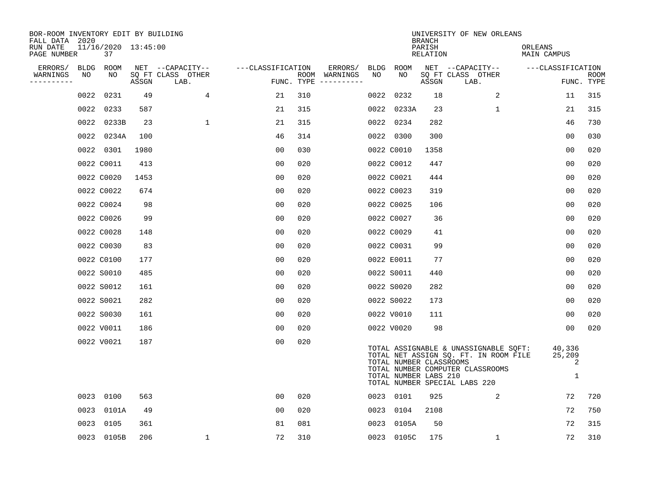| BOR-ROOM INVENTORY EDIT BY BUILDING<br>FALL DATA 2020 |      |                           |       |                           |                   |     |                                      |      |                                                  | <b>BRANCH</b>             | UNIVERSITY OF NEW ORLEANS                                                                                                                           |                               |                           |
|-------------------------------------------------------|------|---------------------------|-------|---------------------------|-------------------|-----|--------------------------------------|------|--------------------------------------------------|---------------------------|-----------------------------------------------------------------------------------------------------------------------------------------------------|-------------------------------|---------------------------|
| RUN DATE<br>PAGE NUMBER                               |      | 11/16/2020 13:45:00<br>37 |       |                           |                   |     |                                      |      |                                                  | PARISH<br><b>RELATION</b> |                                                                                                                                                     | ORLEANS<br><b>MAIN CAMPUS</b> |                           |
| ERRORS/                                               | BLDG | ROOM                      |       | NET --CAPACITY--          | ---CLASSIFICATION |     | ERRORS/                              | BLDG | ROOM                                             |                           | NET --CAPACITY--                                                                                                                                    | ---CLASSIFICATION             |                           |
| WARNINGS<br>----------                                | NO   | NO                        | ASSGN | SQ FT CLASS OTHER<br>LAB. |                   |     | ROOM WARNINGS<br>FUNC. TYPE $------$ | NO   | NO                                               | ASSGN                     | SQ FT CLASS OTHER<br>LAB.                                                                                                                           |                               | <b>ROOM</b><br>FUNC. TYPE |
|                                                       | 0022 | 0231                      | 49    | 4                         | 21                | 310 |                                      | 0022 | 0232                                             | 18                        | 2                                                                                                                                                   | 11                            | 315                       |
|                                                       |      | 0022 0233                 | 587   |                           | 21                | 315 |                                      |      | 0022 0233A                                       | 23                        | $\mathbf 1$                                                                                                                                         | 21                            | 315                       |
|                                                       |      | 0022 0233B                | 23    | $\mathbf{1}$              | 21                | 315 |                                      | 0022 | 0234                                             | 282                       |                                                                                                                                                     | 46                            | 730                       |
|                                                       |      | 0022 0234A                | 100   |                           | 46                | 314 |                                      |      | 0022 0300                                        | 300                       |                                                                                                                                                     | 0 <sub>0</sub>                | 030                       |
|                                                       |      | 0022 0301                 | 1980  |                           | 0 <sub>0</sub>    | 030 |                                      |      | 0022 C0010                                       | 1358                      |                                                                                                                                                     | 00                            | 020                       |
|                                                       |      | 0022 C0011                | 413   |                           | 0 <sub>0</sub>    | 020 |                                      |      | 0022 C0012                                       | 447                       |                                                                                                                                                     | 0 <sub>0</sub>                | 020                       |
|                                                       |      | 0022 C0020                | 1453  |                           | 0 <sub>0</sub>    | 020 |                                      |      | 0022 C0021                                       | 444                       |                                                                                                                                                     | 0 <sub>0</sub>                | 020                       |
|                                                       |      | 0022 C0022                | 674   |                           | 0 <sub>0</sub>    | 020 |                                      |      | 0022 C0023                                       | 319                       |                                                                                                                                                     | 0 <sub>0</sub>                | 020                       |
|                                                       |      | 0022 C0024                | 98    |                           | 0 <sub>0</sub>    | 020 |                                      |      | 0022 C0025                                       | 106                       |                                                                                                                                                     | 0 <sub>0</sub>                | 020                       |
|                                                       |      | 0022 C0026                | 99    |                           | 0 <sub>0</sub>    | 020 |                                      |      | 0022 C0027                                       | 36                        |                                                                                                                                                     | 0 <sub>0</sub>                | 020                       |
|                                                       |      | 0022 C0028                | 148   |                           | 0 <sub>0</sub>    | 020 |                                      |      | 0022 C0029                                       | 41                        |                                                                                                                                                     | 0 <sub>0</sub>                | 020                       |
|                                                       |      | 0022 C0030                | 83    |                           | 0 <sub>0</sub>    | 020 |                                      |      | 0022 C0031                                       | 99                        |                                                                                                                                                     | 0 <sub>0</sub>                | 020                       |
|                                                       |      | 0022 C0100                | 177   |                           | 0 <sub>0</sub>    | 020 |                                      |      | 0022 E0011                                       | 77                        |                                                                                                                                                     | 0 <sub>0</sub>                | 020                       |
|                                                       |      | 0022 S0010                | 485   |                           | 00                | 020 |                                      |      | 0022 S0011                                       | 440                       |                                                                                                                                                     | 0 <sub>0</sub>                | 020                       |
|                                                       |      | 0022 S0012                | 161   |                           | 0 <sub>0</sub>    | 020 |                                      |      | 0022 S0020                                       | 282                       |                                                                                                                                                     | 0 <sub>0</sub>                | 020                       |
|                                                       |      | 0022 S0021                | 282   |                           | 0 <sub>0</sub>    | 020 |                                      |      | 0022 S0022                                       | 173                       |                                                                                                                                                     | 00                            | 020                       |
|                                                       |      | 0022 S0030                | 161   |                           | 0 <sub>0</sub>    | 020 |                                      |      | 0022 V0010                                       | 111                       |                                                                                                                                                     | 0 <sub>0</sub>                | 020                       |
|                                                       |      | 0022 V0011                | 186   |                           | 0 <sub>0</sub>    | 020 |                                      |      | 0022 V0020                                       | 98                        |                                                                                                                                                     | 0 <sub>0</sub>                | 020                       |
|                                                       |      | 0022 V0021                | 187   |                           | 0 <sub>0</sub>    | 020 |                                      |      | TOTAL NUMBER CLASSROOMS<br>TOTAL NUMBER LABS 210 |                           | TOTAL ASSIGNABLE & UNASSIGNABLE SOFT:<br>TOTAL NET ASSIGN SQ. FT. IN ROOM FILE<br>TOTAL NUMBER COMPUTER CLASSROOMS<br>TOTAL NUMBER SPECIAL LABS 220 | 40,336<br>25,209<br>2<br>1    |                           |
|                                                       |      | 0023 0100                 | 563   |                           | 00                | 020 |                                      |      | 0023 0101                                        | 925                       | 2                                                                                                                                                   | 72                            | 720                       |
|                                                       |      | 0023 0101A                | 49    |                           | 0 <sub>0</sub>    | 020 |                                      |      | 0023 0104                                        | 2108                      |                                                                                                                                                     | 72                            | 750                       |
|                                                       |      | 0023 0105                 | 361   |                           | 81                | 081 |                                      |      | 0023 0105A                                       | 50                        |                                                                                                                                                     | 72                            | 315                       |
|                                                       |      | 0023 0105B                | 206   | $\mathbf 1$               | 72                | 310 |                                      |      | 0023 0105C                                       | 175                       | $\mathbf 1$                                                                                                                                         | 72                            | 310                       |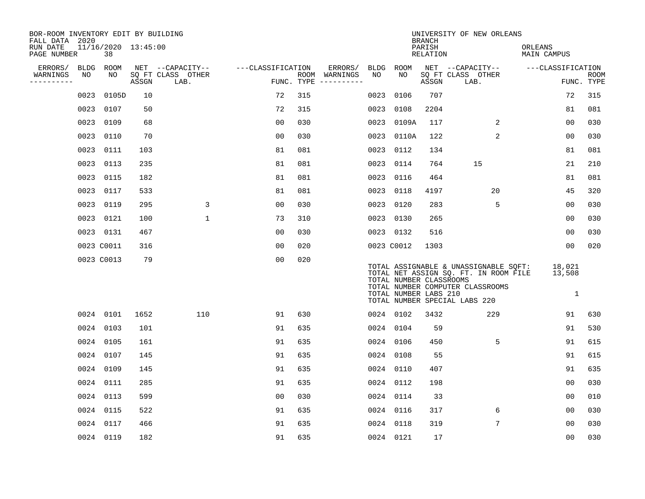| BOR-ROOM INVENTORY EDIT BY BUILDING<br>FALL DATA 2020 |      |                           |       |                           |                   |     |                                      |      |                                                  | <b>BRANCH</b>      | UNIVERSITY OF NEW ORLEANS                                                                                                                           |                                  |                           |
|-------------------------------------------------------|------|---------------------------|-------|---------------------------|-------------------|-----|--------------------------------------|------|--------------------------------------------------|--------------------|-----------------------------------------------------------------------------------------------------------------------------------------------------|----------------------------------|---------------------------|
| RUN DATE<br>PAGE NUMBER                               |      | 11/16/2020 13:45:00<br>38 |       |                           |                   |     |                                      |      |                                                  | PARISH<br>RELATION |                                                                                                                                                     | ORLEANS<br>MAIN CAMPUS           |                           |
| ERRORS/                                               |      | BLDG ROOM                 |       | NET --CAPACITY--          | ---CLASSIFICATION |     | ERRORS/                              |      | BLDG ROOM                                        |                    | NET --CAPACITY--                                                                                                                                    | ---CLASSIFICATION                |                           |
| WARNINGS<br>----------                                | NO   | NO                        | ASSGN | SQ FT CLASS OTHER<br>LAB. |                   |     | ROOM WARNINGS<br>FUNC. TYPE $------$ | NO   | NO.                                              | ASSGN              | SQ FT CLASS OTHER<br>LAB.                                                                                                                           |                                  | <b>ROOM</b><br>FUNC. TYPE |
|                                                       | 0023 | 0105D                     | 10    |                           | 72                | 315 |                                      | 0023 | 0106                                             | 707                |                                                                                                                                                     | 72                               | 315                       |
|                                                       |      | 0023 0107                 | 50    |                           | 72                | 315 |                                      | 0023 | 0108                                             | 2204               |                                                                                                                                                     | 81                               | 081                       |
|                                                       |      | 0023 0109                 | 68    |                           | 0 <sub>0</sub>    | 030 |                                      | 0023 | 0109A                                            | 117                | 2                                                                                                                                                   | 00                               | 030                       |
|                                                       |      | 0023 0110                 | 70    |                           | 0 <sub>0</sub>    | 030 |                                      |      | 0023 0110A                                       | 122                | $\overline{2}$                                                                                                                                      | 00                               | 030                       |
|                                                       |      | 0023 0111                 | 103   |                           | 81                | 081 |                                      | 0023 | 0112                                             | 134                |                                                                                                                                                     | 81                               | 081                       |
|                                                       |      | 0023 0113                 | 235   |                           | 81                | 081 |                                      |      | 0023 0114                                        | 764                | 15                                                                                                                                                  | 21                               | 210                       |
|                                                       |      | 0023 0115                 | 182   |                           | 81                | 081 |                                      | 0023 | 0116                                             | 464                |                                                                                                                                                     | 81                               | 081                       |
|                                                       |      | 0023 0117                 | 533   |                           | 81                | 081 |                                      |      | 0023 0118                                        | 4197               | 20                                                                                                                                                  | 45                               | 320                       |
|                                                       |      | 0023 0119                 | 295   | 3                         | 0 <sub>0</sub>    | 030 |                                      | 0023 | 0120                                             | 283                | 5                                                                                                                                                   | 0 <sub>0</sub>                   | 030                       |
|                                                       |      | 0023 0121                 | 100   | $\mathbf{1}$              | 73                | 310 |                                      |      | 0023 0130                                        | 265                |                                                                                                                                                     | 00                               | 030                       |
|                                                       |      | 0023 0131                 | 467   |                           | 0 <sub>0</sub>    | 030 |                                      |      | 0023 0132                                        | 516                |                                                                                                                                                     | 0 <sub>0</sub>                   | 030                       |
|                                                       |      | 0023 C0011                | 316   |                           | 0 <sub>0</sub>    | 020 |                                      |      | 0023 C0012                                       | 1303               |                                                                                                                                                     | 0 <sub>0</sub>                   | 020                       |
|                                                       |      | 0023 C0013                | 79    |                           | 0 <sub>0</sub>    | 020 |                                      |      | TOTAL NUMBER CLASSROOMS<br>TOTAL NUMBER LABS 210 |                    | TOTAL ASSIGNABLE & UNASSIGNABLE SOFT:<br>TOTAL NET ASSIGN SQ. FT. IN ROOM FILE<br>TOTAL NUMBER COMPUTER CLASSROOMS<br>TOTAL NUMBER SPECIAL LABS 220 | 18,021<br>13,508<br>$\mathbf{1}$ |                           |
|                                                       |      | 0024 0101                 | 1652  | 110                       | 91                | 630 |                                      |      | 0024 0102                                        | 3432               | 229                                                                                                                                                 | 91                               | 630                       |
|                                                       |      | 0024 0103                 | 101   |                           | 91                | 635 |                                      |      | 0024 0104                                        | 59                 |                                                                                                                                                     | 91                               | 530                       |
|                                                       |      | 0024 0105                 | 161   |                           | 91                | 635 |                                      |      | 0024 0106                                        | 450                | 5                                                                                                                                                   | 91                               | 615                       |
|                                                       |      | 0024 0107                 | 145   |                           | 91                | 635 |                                      |      | 0024 0108                                        | 55                 |                                                                                                                                                     | 91                               | 615                       |
|                                                       |      | 0024 0109                 | 145   |                           | 91                | 635 |                                      |      | 0024 0110                                        | 407                |                                                                                                                                                     | 91                               | 635                       |
|                                                       |      | 0024 0111                 | 285   |                           | 91                | 635 |                                      |      | 0024 0112                                        | 198                |                                                                                                                                                     | 00                               | 030                       |
|                                                       |      | 0024 0113                 | 599   |                           | 00                | 030 |                                      |      | 0024 0114                                        | 33                 |                                                                                                                                                     | 00                               | 010                       |
|                                                       |      | 0024 0115                 | 522   |                           | 91                | 635 |                                      |      | 0024 0116                                        | 317                | 6                                                                                                                                                   | 0 <sub>0</sub>                   | 030                       |
|                                                       |      | 0024 0117                 | 466   |                           | 91                | 635 |                                      |      | 0024 0118                                        | 319                | 7                                                                                                                                                   | 00                               | 030                       |
|                                                       |      | 0024 0119                 | 182   |                           | 91                | 635 |                                      |      | 0024 0121                                        | 17                 |                                                                                                                                                     | 0 <sub>0</sub>                   | 030                       |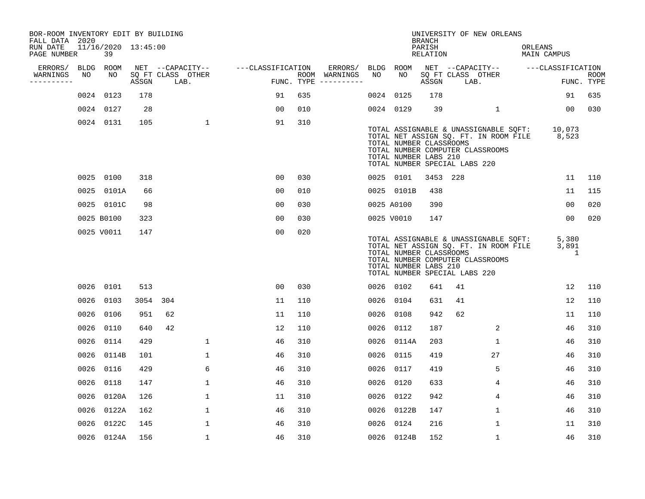| BOR-ROOM INVENTORY EDIT BY BUILDING<br>FALL DATA 2020 |      |                           |          |                           |                   |     |                                      |            |            | <b>BRANCH</b>                                    | UNIVERSITY OF NEW ORLEANS                                                                                                                                 |                               |                           |
|-------------------------------------------------------|------|---------------------------|----------|---------------------------|-------------------|-----|--------------------------------------|------------|------------|--------------------------------------------------|-----------------------------------------------------------------------------------------------------------------------------------------------------------|-------------------------------|---------------------------|
| RUN DATE<br>PAGE NUMBER                               |      | 11/16/2020 13:45:00<br>39 |          |                           |                   |     |                                      |            |            | PARISH<br>RELATION                               |                                                                                                                                                           | ORLEANS<br>MAIN CAMPUS        |                           |
| ERRORS/                                               |      | BLDG ROOM                 |          | NET --CAPACITY--          | ---CLASSIFICATION |     | ERRORS/                              | BLDG ROOM  |            |                                                  | NET --CAPACITY-- ---CLASSIFICATION                                                                                                                        |                               |                           |
| WARNINGS<br>----------                                | NO   | NO                        | ASSGN    | SQ FT CLASS OTHER<br>LAB. |                   |     | ROOM WARNINGS<br>FUNC. TYPE $------$ | NO         | NO         | ASSGN                                            | SQ FT CLASS OTHER<br>LAB.                                                                                                                                 |                               | <b>ROOM</b><br>FUNC. TYPE |
|                                                       |      | 0024 0123                 | 178      |                           | 91                | 635 |                                      | 0024       | 0125       | 178                                              |                                                                                                                                                           | 91                            | 635                       |
|                                                       |      | 0024 0127                 | 28       |                           | 0 <sub>0</sub>    | 010 |                                      | 0024 0129  |            | 39                                               | $\mathbf{1}$                                                                                                                                              | 00 <sub>o</sub>               | 030                       |
|                                                       |      | 0024 0131                 | 105      | $\mathbf{1}$              | 91                | 310 |                                      |            |            | TOTAL NUMBER CLASSROOMS<br>TOTAL NUMBER LABS 210 | TOTAL ASSIGNABLE & UNASSIGNABLE SQFT:<br>TOTAL NET ASSIGN SQ. FT. IN ROOM FILE 8,523<br>TOTAL NUMBER COMPUTER CLASSROOMS<br>TOTAL NUMBER SPECIAL LABS 220 | 10,073                        |                           |
|                                                       |      | 0025 0100                 | 318      |                           | 0 <sub>0</sub>    | 030 |                                      | 0025 0101  |            | 3453 228                                         |                                                                                                                                                           | 11                            | 110                       |
|                                                       |      | 0025 0101A                | 66       |                           | 0 <sub>0</sub>    | 010 |                                      |            | 0025 0101B | 438                                              |                                                                                                                                                           | 11                            | 115                       |
|                                                       |      | 0025 0101C                | 98       |                           | 0 <sub>0</sub>    | 030 |                                      | 0025 A0100 |            | 390                                              |                                                                                                                                                           | 0 <sub>0</sub>                | 020                       |
|                                                       |      | 0025 B0100                | 323      |                           | 0 <sub>0</sub>    | 030 |                                      |            | 0025 V0010 | 147                                              |                                                                                                                                                           | 00                            | 020                       |
|                                                       |      | 0025 V0011                | 147      |                           | 00                | 020 |                                      |            |            | TOTAL NUMBER CLASSROOMS<br>TOTAL NUMBER LABS 210 | TOTAL ASSIGNABLE & UNASSIGNABLE SQFT:<br>TOTAL NET ASSIGN SQ. FT. IN ROOM FILE<br>TOTAL NUMBER COMPUTER CLASSROOMS<br>TOTAL NUMBER SPECIAL LABS 220       | 5,380<br>3,891<br>$\mathbf 1$ |                           |
|                                                       |      | 0026 0101                 | 513      |                           | 0 <sub>0</sub>    | 030 |                                      | 0026 0102  |            | 641                                              | 41                                                                                                                                                        | 12                            | 110                       |
|                                                       |      | 0026 0103                 | 3054 304 |                           | 11                | 110 |                                      | 0026       | 0104       | 631                                              | 41                                                                                                                                                        | 12                            | 110                       |
|                                                       |      | 0026 0106                 | 951      | 62                        | 11                | 110 |                                      | 0026       | 0108       | 942                                              | 62                                                                                                                                                        | 11                            | 110                       |
|                                                       | 0026 | 0110                      | 640      | 42                        | 12                | 110 |                                      | 0026       | 0112       | 187                                              | 2                                                                                                                                                         | 46                            | 310                       |
|                                                       |      | 0026 0114                 | 429      | $\mathbf 1$               | 46                | 310 |                                      | 0026       | 0114A      | 203                                              | $\mathbf{1}$                                                                                                                                              | 46                            | 310                       |
|                                                       |      | 0026 0114B                | 101      | $\mathbf 1$               | 46                | 310 |                                      | 0026       | 0115       | 419                                              | 27                                                                                                                                                        | 46                            | 310                       |
|                                                       |      | 0026 0116                 | 429      | 6                         | 46                | 310 |                                      | 0026       | 0117       | 419                                              | 5                                                                                                                                                         | 46                            | 310                       |
|                                                       | 0026 | 0118                      | 147      | $\mathbf{1}$              | 46                | 310 |                                      | 0026       | 0120       | 633                                              | 4                                                                                                                                                         | 46                            | 310                       |
|                                                       |      | 0026 0120A                | 126      | $\mathbf{1}$              | 11                | 310 |                                      | 0026 0122  |            | 942                                              | 4                                                                                                                                                         | 46                            | 310                       |
|                                                       |      | 0026 0122A                | 162      | $\mathbf{1}$              | 46                | 310 |                                      | 0026       | 0122B      | 147                                              | $\mathbf 1$                                                                                                                                               | 46                            | 310                       |
|                                                       |      | 0026 0122C                | 145      | $\mathbf 1$               | 46                | 310 |                                      | 0026 0124  |            | 216                                              | $\mathbf 1$                                                                                                                                               | 11                            | 310                       |
|                                                       |      | 0026 0124A                | 156      | $\mathbf{1}$              | 46                | 310 |                                      |            | 0026 0124B | 152                                              | $\mathbf{1}$                                                                                                                                              | 46                            | 310                       |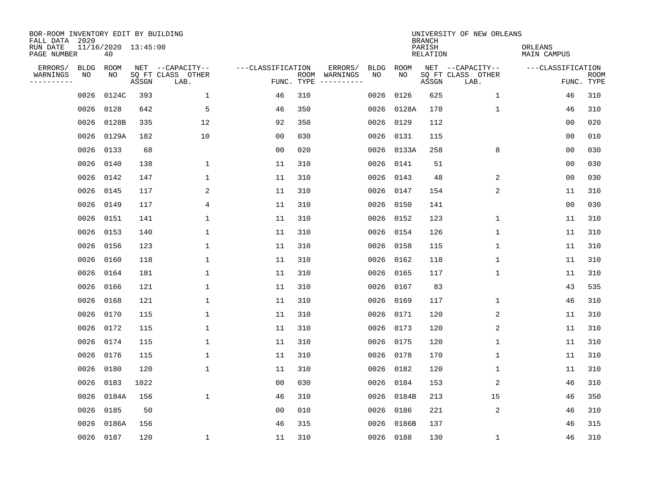| BOR-ROOM INVENTORY EDIT BY BUILDING<br>FALL DATA 2020 |             |                           |       |                           |                   |                    |          |             |             | <b>BRANCH</b>             | UNIVERSITY OF NEW ORLEANS |                        |                           |
|-------------------------------------------------------|-------------|---------------------------|-------|---------------------------|-------------------|--------------------|----------|-------------|-------------|---------------------------|---------------------------|------------------------|---------------------------|
| RUN DATE<br>PAGE NUMBER                               |             | 11/16/2020 13:45:00<br>40 |       |                           |                   |                    |          |             |             | PARISH<br><b>RELATION</b> |                           | ORLEANS<br>MAIN CAMPUS |                           |
| ERRORS/                                               | <b>BLDG</b> | ROOM                      |       | NET --CAPACITY--          | ---CLASSIFICATION |                    | ERRORS/  | <b>BLDG</b> | <b>ROOM</b> |                           | NET --CAPACITY--          | ---CLASSIFICATION      |                           |
| WARNINGS<br>----------                                | NO          | NO                        | ASSGN | SQ FT CLASS OTHER<br>LAB. |                   | ROOM<br>FUNC. TYPE | WARNINGS | NO          | NO          | ASSGN                     | SQ FT CLASS OTHER<br>LAB. |                        | <b>ROOM</b><br>FUNC. TYPE |
|                                                       | 0026        | 0124C                     | 393   | $\mathbf{1}$              | 46                | 310                |          | 0026        | 0126        | 625                       | 1                         | 46                     | 310                       |
|                                                       | 0026        | 0128                      | 642   | 5                         | 46                | 350                |          | 0026        | 0128A       | 178                       | 1                         | 46                     | 310                       |
|                                                       | 0026        | 0128B                     | 335   | 12                        | 92                | 350                |          | 0026        | 0129        | 112                       |                           | 00                     | 020                       |
|                                                       | 0026        | 0129A                     | 182   | 10                        | 0 <sub>0</sub>    | 030                |          |             | 0026 0131   | 115                       |                           | 0 <sub>0</sub>         | 010                       |
|                                                       | 0026        | 0133                      | 68    |                           | 0 <sub>0</sub>    | 020                |          | 0026        | 0133A       | 258                       | 8                         | 0 <sub>0</sub>         | 030                       |
|                                                       | 0026        | 0140                      | 138   | 1                         | 11                | 310                |          |             | 0026 0141   | 51                        |                           | 0 <sub>0</sub>         | 030                       |
|                                                       | 0026        | 0142                      | 147   | $\mathbf{1}$              | 11                | 310                |          | 0026        | 0143        | 48                        | 2                         | 0 <sub>0</sub>         | 030                       |
|                                                       | 0026        | 0145                      | 117   | 2                         | 11                | 310                |          | 0026        | 0147        | 154                       | 2                         | 11                     | 310                       |
|                                                       | 0026        | 0149                      | 117   | 4                         | 11                | 310                |          | 0026        | 0150        | 141                       |                           | 0 <sub>0</sub>         | 030                       |
|                                                       | 0026        | 0151                      | 141   | 1                         | 11                | 310                |          | 0026        | 0152        | 123                       | 1                         | 11                     | 310                       |
|                                                       | 0026        | 0153                      | 140   | 1                         | 11                | 310                |          | 0026        | 0154        | 126                       | 1                         | 11                     | 310                       |
|                                                       | 0026        | 0156                      | 123   | 1                         | 11                | 310                |          |             | 0026 0158   | 115                       | 1                         | 11                     | 310                       |
|                                                       | 0026        | 0160                      | 118   | 1                         | 11                | 310                |          | 0026        | 0162        | 118                       | 1                         | 11                     | 310                       |
|                                                       | 0026        | 0164                      | 181   | 1                         | 11                | 310                |          | 0026        | 0165        | 117                       | 1                         | 11                     | 310                       |
|                                                       | 0026        | 0166                      | 121   | 1                         | 11                | 310                |          | 0026        | 0167        | 83                        |                           | 43                     | 535                       |
|                                                       | 0026        | 0168                      | 121   | 1                         | 11                | 310                |          | 0026        | 0169        | 117                       | 1                         | 46                     | 310                       |
|                                                       | 0026        | 0170                      | 115   | 1                         | 11                | 310                |          | 0026        | 0171        | 120                       | 2                         | 11                     | 310                       |
|                                                       | 0026        | 0172                      | 115   | 1                         | 11                | 310                |          | 0026        | 0173        | 120                       | 2                         | 11                     | 310                       |
|                                                       | 0026        | 0174                      | 115   | 1                         | 11                | 310                |          | 0026        | 0175        | 120                       | 1                         | 11                     | 310                       |
|                                                       | 0026        | 0176                      | 115   | 1                         | 11                | 310                |          | 0026        | 0178        | 170                       | 1                         | 11                     | 310                       |
|                                                       | 0026        | 0180                      | 120   | 1                         | 11                | 310                |          | 0026        | 0182        | 120                       | 1                         | 11                     | 310                       |
|                                                       | 0026        | 0183                      | 1022  |                           | 0 <sub>0</sub>    | 030                |          | 0026        | 0184        | 153                       | 2                         | 46                     | 310                       |
|                                                       | 0026        | 0184A                     | 156   | $\mathbf{1}$              | 46                | 310                |          | 0026        | 0184B       | 213                       | 15                        | 46                     | 350                       |
|                                                       | 0026        | 0185                      | 50    |                           | 0 <sub>0</sub>    | 010                |          | 0026        | 0186        | 221                       | 2                         | 46                     | 310                       |
|                                                       | 0026        | 0186A                     | 156   |                           | 46                | 315                |          | 0026        | 0186B       | 137                       |                           | 46                     | 315                       |
|                                                       |             | 0026 0187                 | 120   | 1                         | 11                | 310                |          |             | 0026 0188   | 130                       | 1                         | 46                     | 310                       |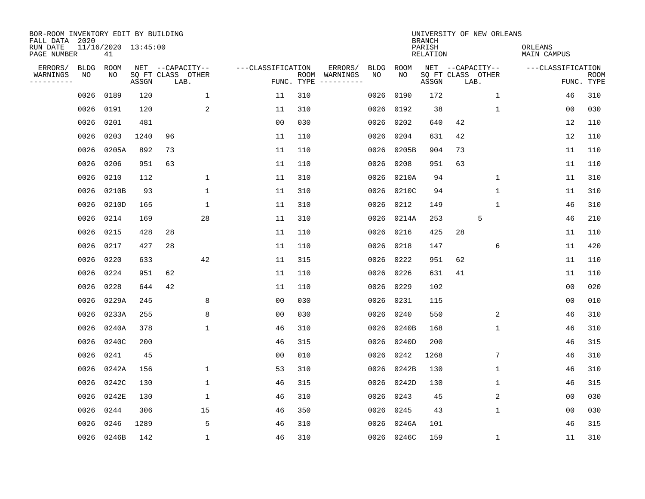| BOR-ROOM INVENTORY EDIT BY BUILDING<br>FALL DATA 2020 |             |                           |       |                           |              |                   |            |                              |             |             | <b>BRANCH</b>             |                           | UNIVERSITY OF NEW ORLEANS |                        |                           |
|-------------------------------------------------------|-------------|---------------------------|-------|---------------------------|--------------|-------------------|------------|------------------------------|-------------|-------------|---------------------------|---------------------------|---------------------------|------------------------|---------------------------|
| RUN DATE<br>PAGE NUMBER                               |             | 11/16/2020 13:45:00<br>41 |       |                           |              |                   |            |                              |             |             | PARISH<br><b>RELATION</b> |                           |                           | ORLEANS<br>MAIN CAMPUS |                           |
| ERRORS/                                               | <b>BLDG</b> | ROOM                      |       | NET --CAPACITY--          |              | ---CLASSIFICATION |            | ERRORS/                      | <b>BLDG</b> | <b>ROOM</b> |                           |                           | NET --CAPACITY--          | ---CLASSIFICATION      |                           |
| WARNINGS<br>----------                                | NO          | NO                        | ASSGN | SQ FT CLASS OTHER<br>LAB. |              |                   | FUNC. TYPE | ROOM WARNINGS<br>----------- | NO          | NO          | ASSGN                     | SQ FT CLASS OTHER<br>LAB. |                           |                        | <b>ROOM</b><br>FUNC. TYPE |
|                                                       | 0026        | 0189                      | 120   |                           | $\mathbf 1$  | 11                | 310        |                              | 0026        | 0190        | 172                       |                           | $\mathbf 1$               | 46                     | 310                       |
|                                                       | 0026        | 0191                      | 120   |                           | 2            | 11                | 310        |                              | 0026        | 0192        | 38                        |                           | 1                         | 0 <sub>0</sub>         | 030                       |
|                                                       | 0026        | 0201                      | 481   |                           |              | 0 <sub>0</sub>    | 030        |                              | 0026        | 0202        | 640                       | 42                        |                           | 12                     | 110                       |
|                                                       | 0026        | 0203                      | 1240  | 96                        |              | 11                | 110        |                              | 0026        | 0204        | 631                       | 42                        |                           | 12                     | 110                       |
|                                                       | 0026        | 0205A                     | 892   | 73                        |              | 11                | 110        |                              | 0026        | 0205B       | 904                       | 73                        |                           | 11                     | 110                       |
|                                                       | 0026        | 0206                      | 951   | 63                        |              | 11                | 110        |                              | 0026        | 0208        | 951                       | 63                        |                           | 11                     | 110                       |
|                                                       | 0026        | 0210                      | 112   |                           | $\mathbf 1$  | 11                | 310        |                              | 0026        | 0210A       | 94                        |                           | $\mathbf 1$               | 11                     | 310                       |
|                                                       | 0026        | 0210B                     | 93    |                           | $\mathbf{1}$ | 11                | 310        |                              | 0026        | 0210C       | 94                        |                           | $\mathbf{1}$              | 11                     | 310                       |
|                                                       | 0026        | 0210D                     | 165   |                           | $\mathbf{1}$ | 11                | 310        |                              | 0026        | 0212        | 149                       |                           | $\mathbf{1}$              | 46                     | 310                       |
|                                                       | 0026        | 0214                      | 169   |                           | 28           | 11                | 310        |                              | 0026        | 0214A       | 253                       |                           | 5                         | 46                     | 210                       |
|                                                       | 0026        | 0215                      | 428   | 28                        |              | 11                | 110        |                              | 0026        | 0216        | 425                       | 28                        |                           | 11                     | 110                       |
|                                                       | 0026        | 0217                      | 427   | 28                        |              | 11                | 110        |                              | 0026        | 0218        | 147                       |                           | 6                         | 11                     | 420                       |
|                                                       | 0026        | 0220                      | 633   |                           | 42           | 11                | 315        |                              | 0026        | 0222        | 951                       | 62                        |                           | 11                     | 110                       |
|                                                       | 0026        | 0224                      | 951   | 62                        |              | 11                | 110        |                              | 0026        | 0226        | 631                       | 41                        |                           | 11                     | 110                       |
|                                                       | 0026        | 0228                      | 644   | 42                        |              | 11                | 110        |                              | 0026        | 0229        | 102                       |                           |                           | 0 <sub>0</sub>         | 020                       |
|                                                       | 0026        | 0229A                     | 245   |                           | 8            | 0 <sub>0</sub>    | 030        |                              | 0026        | 0231        | 115                       |                           |                           | 0 <sub>0</sub>         | 010                       |
|                                                       | 0026        | 0233A                     | 255   |                           | 8            | 0 <sub>0</sub>    | 030        |                              | 0026        | 0240        | 550                       |                           | 2                         | 46                     | 310                       |
|                                                       | 0026        | 0240A                     | 378   |                           | $\mathbf{1}$ | 46                | 310        |                              | 0026        | 0240B       | 168                       |                           | $\mathbf 1$               | 46                     | 310                       |
|                                                       | 0026        | 0240C                     | 200   |                           |              | 46                | 315        |                              | 0026        | 0240D       | 200                       |                           |                           | 46                     | 315                       |
|                                                       | 0026        | 0241                      | 45    |                           |              | 0 <sub>0</sub>    | 010        |                              | 0026        | 0242        | 1268                      |                           | 7                         | 46                     | 310                       |
|                                                       | 0026        | 0242A                     | 156   |                           | 1            | 53                | 310        |                              | 0026        | 0242B       | 130                       |                           | $\mathbf 1$               | 46                     | 310                       |
|                                                       | 0026        | 0242C                     | 130   |                           | 1            | 46                | 315        |                              | 0026        | 0242D       | 130                       |                           | $\mathbf 1$               | 46                     | 315                       |
|                                                       | 0026        | 0242E                     | 130   |                           | $\mathbf{1}$ | 46                | 310        |                              | 0026        | 0243        | 45                        |                           | 2                         | 0 <sub>0</sub>         | 030                       |
|                                                       | 0026        | 0244                      | 306   |                           | 15           | 46                | 350        |                              | 0026        | 0245        | 43                        |                           | 1                         | 0 <sub>0</sub>         | 030                       |
|                                                       | 0026        | 0246                      | 1289  |                           | 5            | 46                | 310        |                              | 0026        | 0246A       | 101                       |                           |                           | 46                     | 315                       |
|                                                       |             | 0026 0246B                | 142   |                           | $\mathbf{1}$ | 46                | 310        |                              |             | 0026 0246C  | 159                       |                           | 1                         | 11                     | 310                       |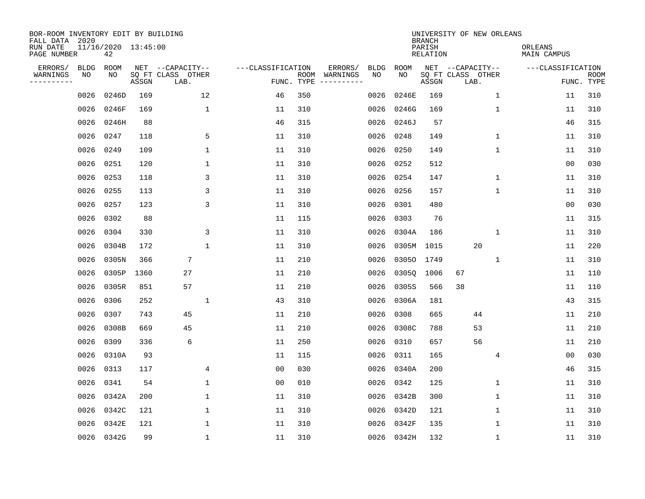| BOR-ROOM INVENTORY EDIT BY BUILDING<br>FALL DATA 2020 |             |                           |       |                           |                   |                    |          |             |             | <b>BRANCH</b>             | UNIVERSITY OF NEW ORLEANS |              |                        |                           |
|-------------------------------------------------------|-------------|---------------------------|-------|---------------------------|-------------------|--------------------|----------|-------------|-------------|---------------------------|---------------------------|--------------|------------------------|---------------------------|
| RUN DATE<br>PAGE NUMBER                               |             | 11/16/2020 13:45:00<br>42 |       |                           |                   |                    |          |             |             | PARISH<br><b>RELATION</b> |                           |              | ORLEANS<br>MAIN CAMPUS |                           |
| ERRORS/                                               | <b>BLDG</b> | ROOM                      |       | NET --CAPACITY--          | ---CLASSIFICATION |                    | ERRORS/  | <b>BLDG</b> | <b>ROOM</b> |                           | NET --CAPACITY--          |              | ---CLASSIFICATION      |                           |
| WARNINGS<br>----------                                | NO          | NO                        | ASSGN | SQ FT CLASS OTHER<br>LAB. |                   | ROOM<br>FUNC. TYPE | WARNINGS | NO          | NO          | ASSGN                     | SQ FT CLASS OTHER<br>LAB. |              |                        | <b>ROOM</b><br>FUNC. TYPE |
|                                                       | 0026        | 0246D                     | 169   | 12                        | 46                | 350                |          | 0026        | 0246E       | 169                       |                           | 1            | 11                     | 310                       |
|                                                       | 0026        | 0246F                     | 169   | 1                         | 11                | 310                |          | 0026        | 0246G       | 169                       |                           | 1            | 11                     | 310                       |
|                                                       | 0026        | 0246H                     | 88    |                           | 46                | 315                |          | 0026        | 0246J       | 57                        |                           |              | 46                     | 315                       |
|                                                       | 0026        | 0247                      | 118   | 5                         | 11                | 310                |          | 0026        | 0248        | 149                       |                           | 1            | 11                     | 310                       |
|                                                       | 0026        | 0249                      | 109   | $\mathbf 1$               | 11                | 310                |          | 0026        | 0250        | 149                       |                           | $\mathbf{1}$ | 11                     | 310                       |
|                                                       | 0026        | 0251                      | 120   | $\mathbf{1}$              | 11                | 310                |          | 0026        | 0252        | 512                       |                           |              | 0 <sub>0</sub>         | 030                       |
|                                                       | 0026        | 0253                      | 118   | 3                         | 11                | 310                |          | 0026        | 0254        | 147                       |                           | $\mathbf{1}$ | 11                     | 310                       |
|                                                       | 0026        | 0255                      | 113   | 3                         | 11                | 310                |          | 0026        | 0256        | 157                       |                           | 1            | 11                     | 310                       |
|                                                       | 0026        | 0257                      | 123   | 3                         | 11                | 310                |          | 0026        | 0301        | 480                       |                           |              | 0 <sub>0</sub>         | 030                       |
|                                                       | 0026        | 0302                      | 88    |                           | 11                | 115                |          | 0026        | 0303        | 76                        |                           |              | 11                     | 315                       |
|                                                       | 0026        | 0304                      | 330   | 3                         | 11                | 310                |          | 0026        | 0304A       | 186                       |                           | $\mathbf{1}$ | 11                     | 310                       |
|                                                       | 0026        | 0304B                     | 172   | $\mathbf{1}$              | 11                | 310                |          | 0026        | 0305M       | 1015                      | 20                        |              | 11                     | 220                       |
|                                                       | 0026        | 0305N                     | 366   | $\overline{7}$            | 11                | 210                |          | 0026        | 03050       | 1749                      |                           | 1            | 11                     | 310                       |
|                                                       | 0026        | 0305P                     | 1360  | 27                        | 11                | 210                |          | 0026        | 03050       | 1006                      | 67                        |              | 11                     | 110                       |
|                                                       | 0026        | 0305R                     | 851   | 57                        | 11                | 210                |          | 0026        | 0305S       | 566                       | 38                        |              | 11                     | 110                       |
|                                                       | 0026        | 0306                      | 252   | $\mathbf{1}$              | 43                | 310                |          | 0026        | 0306A       | 181                       |                           |              | 43                     | 315                       |
|                                                       | 0026        | 0307                      | 743   | 45                        | 11                | 210                |          | 0026        | 0308        | 665                       | 44                        |              | 11                     | 210                       |
|                                                       | 0026        | 0308B                     | 669   | 45                        | 11                | 210                |          | 0026        | 0308C       | 788                       | 53                        |              | 11                     | 210                       |
|                                                       | 0026        | 0309                      | 336   | 6                         | 11                | 250                |          | 0026        | 0310        | 657                       | 56                        |              | 11                     | 210                       |
|                                                       | 0026        | 0310A                     | 93    |                           | 11                | 115                |          | 0026        | 0311        | 165                       |                           | 4            | 00                     | 030                       |
|                                                       | 0026        | 0313                      | 117   | 4                         | 0 <sub>0</sub>    | 030                |          | 0026        | 0340A       | 200                       |                           |              | 46                     | 315                       |
|                                                       | 0026        | 0341                      | 54    | $\mathbf 1$               | 0 <sub>0</sub>    | 010                |          | 0026        | 0342        | 125                       |                           | 1            | 11                     | 310                       |
|                                                       | 0026        | 0342A                     | 200   | 1                         | 11                | 310                |          | 0026        | 0342B       | 300                       |                           | 1            | 11                     | 310                       |
|                                                       | 0026        | 0342C                     | 121   | 1                         | 11                | 310                |          | 0026        | 0342D       | 121                       |                           | $\mathbf 1$  | 11                     | 310                       |
|                                                       | 0026        | 0342E                     | 121   | 1                         | 11                | 310                |          | 0026        | 0342F       | 135                       |                           | 1            | 11                     | 310                       |
|                                                       |             | 0026 0342G                | 99    | $\mathbf{1}$              | 11                | 310                |          |             | 0026 0342H  | 132                       |                           | $\mathbf{1}$ | 11                     | 310                       |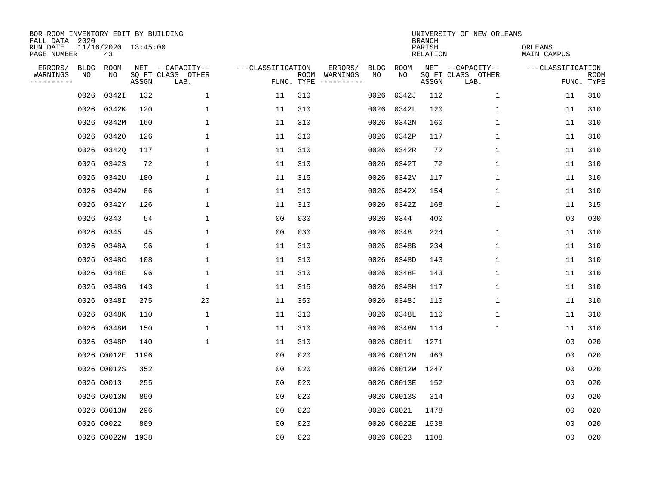| BOR-ROOM INVENTORY EDIT BY BUILDING<br>FALL DATA 2020 |      |                           |       |                           |                   |                    |                         |             |             | <b>BRANCH</b>             | UNIVERSITY OF NEW ORLEANS |                        |                           |
|-------------------------------------------------------|------|---------------------------|-------|---------------------------|-------------------|--------------------|-------------------------|-------------|-------------|---------------------------|---------------------------|------------------------|---------------------------|
| RUN DATE<br>PAGE NUMBER                               |      | 11/16/2020 13:45:00<br>43 |       |                           |                   |                    |                         |             |             | PARISH<br><b>RELATION</b> |                           | ORLEANS<br>MAIN CAMPUS |                           |
| ERRORS/                                               | BLDG | ROOM                      |       | NET --CAPACITY--          | ---CLASSIFICATION |                    | ERRORS/                 | <b>BLDG</b> | <b>ROOM</b> |                           | NET --CAPACITY--          | ---CLASSIFICATION      |                           |
| WARNINGS<br>----------                                | ΝO   | NO                        | ASSGN | SQ FT CLASS OTHER<br>LAB. |                   | ROOM<br>FUNC. TYPE | WARNINGS<br>----------- | NO          | NO          | ASSGN                     | SQ FT CLASS OTHER<br>LAB. |                        | <b>ROOM</b><br>FUNC. TYPE |
|                                                       | 0026 | 0342I                     | 132   | 1                         | 11                | 310                |                         | 0026        | 0342J       | 112                       | 1                         | 11                     | 310                       |
|                                                       | 0026 | 0342K                     | 120   | 1                         | 11                | 310                |                         | 0026        | 0342L       | 120                       | 1                         | 11                     | 310                       |
|                                                       | 0026 | 0342M                     | 160   | 1                         | 11                | 310                |                         | 0026        | 0342N       | 160                       | 1                         | 11                     | 310                       |
|                                                       | 0026 | 03420                     | 126   | 1                         | 11                | 310                |                         | 0026        | 0342P       | 117                       | 1                         | 11                     | 310                       |
|                                                       | 0026 | 03420                     | 117   | $\mathbf 1$               | 11                | 310                |                         | 0026        | 0342R       | 72                        | $\mathbf{1}$              | 11                     | 310                       |
|                                                       | 0026 | 0342S                     | 72    | 1                         | 11                | 310                |                         | 0026        | 0342T       | 72                        | $\mathbf 1$               | 11                     | 310                       |
|                                                       | 0026 | 0342U                     | 180   | $\mathbf{1}$              | 11                | 315                |                         | 0026        | 0342V       | 117                       | $\mathbf{1}$              | 11                     | 310                       |
|                                                       | 0026 | 0342W                     | 86    | $\mathbf{1}$              | 11                | 310                |                         | 0026        | 0342X       | 154                       | $\mathbf{1}$              | 11                     | 310                       |
|                                                       | 0026 | 0342Y                     | 126   | $\mathbf{1}$              | 11                | 310                |                         | 0026        | 0342Z       | 168                       | $\mathbf{1}$              | 11                     | 315                       |
|                                                       | 0026 | 0343                      | 54    | $\mathbf{1}$              | 00                | 030                |                         | 0026        | 0344        | 400                       |                           | 0 <sub>0</sub>         | 030                       |
|                                                       | 0026 | 0345                      | 45    | 1                         | 0 <sub>0</sub>    | 030                |                         | 0026        | 0348        | 224                       | 1                         | 11                     | 310                       |
|                                                       | 0026 | 0348A                     | 96    | 1                         | 11                | 310                |                         | 0026        | 0348B       | 234                       | $\mathbf 1$               | 11                     | 310                       |
|                                                       | 0026 | 0348C                     | 108   | 1                         | 11                | 310                |                         | 0026        | 0348D       | 143                       | $\mathbf 1$               | 11                     | 310                       |
|                                                       | 0026 | 0348E                     | 96    | 1                         | 11                | 310                |                         | 0026        | 0348F       | 143                       | 1                         | 11                     | 310                       |
|                                                       | 0026 | 0348G                     | 143   | 1                         | 11                | 315                |                         | 0026        | 0348H       | 117                       | 1                         | 11                     | 310                       |
|                                                       | 0026 | 0348I                     | 275   | 20                        | 11                | 350                |                         | 0026        | 0348J       | 110                       | $\mathbf 1$               | 11                     | 310                       |
|                                                       | 0026 | 0348K                     | 110   | 1                         | 11                | 310                |                         | 0026        | 0348L       | 110                       | 1                         | 11                     | 310                       |
|                                                       | 0026 | 0348M                     | 150   | 1                         | 11                | 310                |                         |             | 0026 0348N  | 114                       | 1                         | 11                     | 310                       |
|                                                       |      | 0026 0348P                | 140   | 1                         | 11                | 310                |                         |             | 0026 C0011  | 1271                      |                           | 0 <sub>0</sub>         | 020                       |
|                                                       |      | 0026 C0012E               | 1196  |                           | 0 <sub>0</sub>    | 020                |                         |             | 0026 C0012N | 463                       |                           | 0 <sub>0</sub>         | 020                       |
|                                                       |      | 0026 C0012S               | 352   |                           | 0 <sub>0</sub>    | 020                |                         |             | 0026 C0012W | 1247                      |                           | 0 <sub>0</sub>         | 020                       |
|                                                       |      | 0026 C0013                | 255   |                           | 0 <sub>0</sub>    | 020                |                         |             | 0026 C0013E | 152                       |                           | 0 <sub>0</sub>         | 020                       |
|                                                       |      | 0026 C0013N               | 890   |                           | 0 <sub>0</sub>    | 020                |                         |             | 0026 C0013S | 314                       |                           | 0 <sub>0</sub>         | 020                       |
|                                                       |      | 0026 C0013W               | 296   |                           | 0 <sub>0</sub>    | 020                |                         |             | 0026 C0021  | 1478                      |                           | 0 <sub>0</sub>         | 020                       |
|                                                       |      | 0026 C0022                | 809   |                           | 0 <sub>0</sub>    | 020                |                         |             | 0026 C0022E | 1938                      |                           | 0 <sub>0</sub>         | 020                       |
|                                                       |      | 0026 C0022W 1938          |       |                           | 0 <sub>0</sub>    | 020                |                         |             | 0026 C0023  | 1108                      |                           | 0 <sub>0</sub>         | 020                       |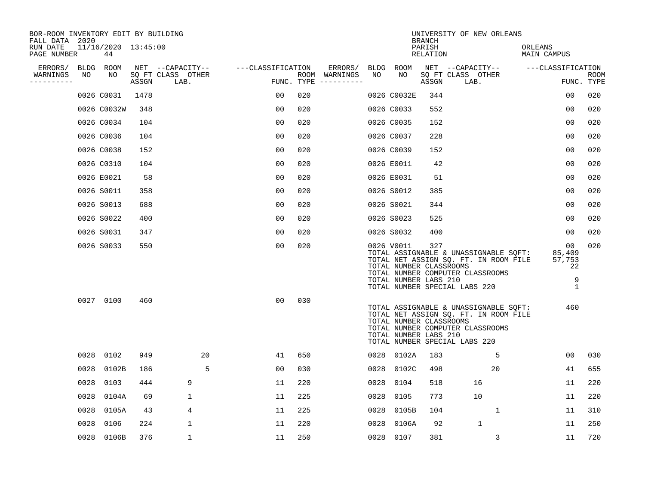| BOR-ROOM INVENTORY EDIT BY BUILDING<br>FALL DATA 2020 |      |                           |       |                           |                   |            |                              |      |                                                                | <b>BRANCH</b>      | UNIVERSITY OF NEW ORLEANS                                                                                                                           |                                                  |                    |
|-------------------------------------------------------|------|---------------------------|-------|---------------------------|-------------------|------------|------------------------------|------|----------------------------------------------------------------|--------------------|-----------------------------------------------------------------------------------------------------------------------------------------------------|--------------------------------------------------|--------------------|
| RUN DATE<br>PAGE NUMBER                               |      | 11/16/2020 13:45:00<br>44 |       |                           |                   |            |                              |      |                                                                | PARISH<br>RELATION |                                                                                                                                                     | ORLEANS<br>MAIN CAMPUS                           |                    |
| ERRORS/                                               |      | BLDG ROOM                 |       | NET --CAPACITY--          | ---CLASSIFICATION |            | ERRORS/                      |      | BLDG ROOM                                                      |                    | NET --CAPACITY--                                                                                                                                    | ---CLASSIFICATION                                |                    |
| WARNINGS<br>-----------                               | NO   | NO                        | ASSGN | SQ FT CLASS OTHER<br>LAB. |                   | FUNC. TYPE | ROOM WARNINGS<br>----------- | NO   | NO                                                             | ASSGN              | SQ FT CLASS OTHER<br>LAB.                                                                                                                           |                                                  | ROOM<br>FUNC. TYPE |
|                                                       |      | 0026 C0031                | 1478  |                           | 00                | 020        |                              |      | 0026 C0032E                                                    | 344                |                                                                                                                                                     | 0 <sub>0</sub>                                   | 020                |
|                                                       |      | 0026 C0032W               | 348   |                           | 0 <sub>0</sub>    | 020        |                              |      | 0026 C0033                                                     | 552                |                                                                                                                                                     | 00                                               | 020                |
|                                                       |      | 0026 C0034                | 104   |                           | 0 <sub>0</sub>    | 020        |                              |      | 0026 C0035                                                     | 152                |                                                                                                                                                     | 00                                               | 020                |
|                                                       |      | 0026 C0036                | 104   |                           | 0 <sub>0</sub>    | 020        |                              |      | 0026 C0037                                                     | 228                |                                                                                                                                                     | 0 <sub>0</sub>                                   | 020                |
|                                                       |      | 0026 C0038                | 152   |                           | 0 <sub>0</sub>    | 020        |                              |      | 0026 C0039                                                     | 152                |                                                                                                                                                     | 0 <sub>0</sub>                                   | 020                |
|                                                       |      | 0026 C0310                | 104   |                           | 0 <sub>0</sub>    | 020        |                              |      | 0026 E0011                                                     | 42                 |                                                                                                                                                     | 00                                               | 020                |
|                                                       |      | 0026 E0021                | 58    |                           | 0 <sub>0</sub>    | 020        |                              |      | 0026 E0031                                                     | 51                 |                                                                                                                                                     | 0 <sub>0</sub>                                   | 020                |
|                                                       |      | 0026 S0011                | 358   |                           | 0 <sub>0</sub>    | 020        |                              |      | 0026 S0012                                                     | 385                |                                                                                                                                                     | 00                                               | 020                |
|                                                       |      | 0026 S0013                | 688   |                           | 00                | 020        |                              |      | 0026 S0021                                                     | 344                |                                                                                                                                                     | 0 <sub>0</sub>                                   | 020                |
|                                                       |      | 0026 S0022                | 400   |                           | 0 <sub>0</sub>    | 020        |                              |      | 0026 S0023                                                     | 525                |                                                                                                                                                     | 0 <sub>0</sub>                                   | 020                |
|                                                       |      | 0026 S0031                | 347   |                           | 0 <sub>0</sub>    | 020        |                              |      | 0026 S0032                                                     | 400                |                                                                                                                                                     | 0 <sub>0</sub>                                   | 020                |
|                                                       |      | 0026 S0033                | 550   |                           | 0 <sub>0</sub>    | 020        |                              |      | 0026 V0011<br>TOTAL NUMBER CLASSROOMS<br>TOTAL NUMBER LABS 210 | 327                | TOTAL ASSIGNABLE & UNASSIGNABLE SQFT:<br>TOTAL NET ASSIGN SQ. FT. IN ROOM FILE<br>TOTAL NUMBER COMPUTER CLASSROOMS<br>TOTAL NUMBER SPECIAL LABS 220 | 00<br>85,409<br>57,753<br>22<br>9<br>$\mathbf 1$ | 020                |
|                                                       |      | 0027 0100                 | 460   |                           | 0 <sub>0</sub>    | 030        |                              |      | TOTAL NUMBER CLASSROOMS<br>TOTAL NUMBER LABS 210               |                    | TOTAL ASSIGNABLE & UNASSIGNABLE SQFT:<br>TOTAL NET ASSIGN SQ. FT. IN ROOM FILE<br>TOTAL NUMBER COMPUTER CLASSROOMS<br>TOTAL NUMBER SPECIAL LABS 220 | 460                                              |                    |
|                                                       | 0028 | 0102                      | 949   | 20                        | 41                | 650        |                              |      | 0028 0102A                                                     | 183                | 5                                                                                                                                                   | 0 <sub>0</sub>                                   | 030                |
|                                                       | 0028 | 0102B                     | 186   | 5                         | 0 <sub>0</sub>    | 030        |                              | 0028 | 0102C                                                          | 498                | 20                                                                                                                                                  | 41                                               | 655                |
|                                                       | 0028 | 0103                      | 444   | 9                         | 11                | 220        |                              | 0028 | 0104                                                           | 518                | 16                                                                                                                                                  | 11                                               | 220                |
|                                                       | 0028 | 0104A                     | 69    | 1                         | 11                | 225        |                              | 0028 | 0105                                                           | 773                | 10                                                                                                                                                  | 11                                               | 220                |
|                                                       | 0028 | 0105A                     | 43    | 4                         | 11                | 225        |                              | 0028 | 0105B                                                          | 104                | $\mathbf{1}$                                                                                                                                        | 11                                               | 310                |
|                                                       | 0028 | 0106                      | 224   | 1                         | 11                | 220        |                              | 0028 | 0106A                                                          | 92                 | $\mathbf{1}$                                                                                                                                        | 11                                               | 250                |
|                                                       | 0028 | 0106B                     | 376   | 1                         | 11                | 250        |                              | 0028 | 0107                                                           | 381                | 3                                                                                                                                                   | 11                                               | 720                |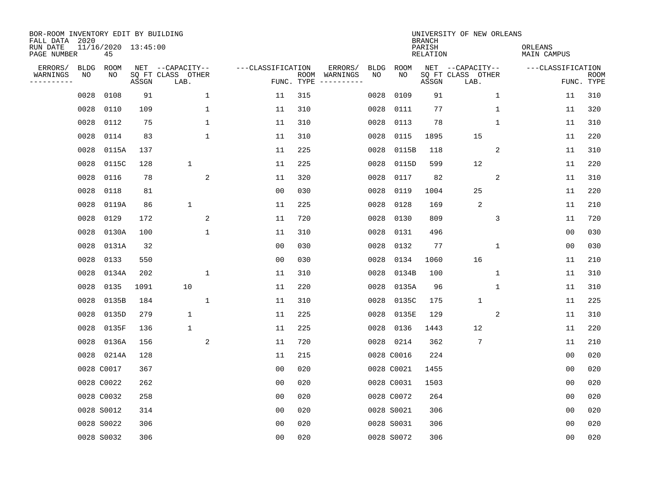| BOR-ROOM INVENTORY EDIT BY BUILDING<br>FALL DATA 2020 |                           |       |                                               |                   |                    |                                                                                                                        |            |            | <b>BRANCH</b>      | UNIVERSITY OF NEW ORLEANS                     |                        |                           |
|-------------------------------------------------------|---------------------------|-------|-----------------------------------------------|-------------------|--------------------|------------------------------------------------------------------------------------------------------------------------|------------|------------|--------------------|-----------------------------------------------|------------------------|---------------------------|
| RUN DATE<br>PAGE NUMBER                               | 11/16/2020 13:45:00<br>45 |       |                                               |                   |                    |                                                                                                                        |            |            | PARISH<br>RELATION |                                               | ORLEANS<br>MAIN CAMPUS |                           |
| ERRORS/<br>BLDG<br>WARNINGS<br>NO<br>---------        | ROOM<br>NO                | ASSGN | NET --CAPACITY--<br>SQ FT CLASS OTHER<br>LAB. | ---CLASSIFICATION | ROOM<br>FUNC. TYPE | ERRORS/<br>WARNINGS<br>$\begin{tabular}{cccccc} - & - & - & - & - & - & - \\ & - & - & - & - & - & - \\ \end{tabular}$ | BLDG<br>NO | ROOM<br>NO | ASSGN              | NET --CAPACITY--<br>SQ FT CLASS OTHER<br>LAB. | ---CLASSIFICATION      | <b>ROOM</b><br>FUNC. TYPE |
| 0028                                                  | 0108                      | 91    | $\mathbf{1}$                                  | 11                | 315                |                                                                                                                        | 0028       | 0109       | 91                 | 1                                             | 11                     | 310                       |
| 0028                                                  | 0110                      | 109   | $\mathbf{1}$                                  | 11                | 310                |                                                                                                                        | 0028       | 0111       | 77                 | $\mathbf{1}$                                  | 11                     | 320                       |
| 0028                                                  | 0112                      | 75    | $\mathbf 1$                                   | 11                | 310                |                                                                                                                        | 0028       | 0113       | 78                 | $\mathbf{1}$                                  | 11                     | 310                       |
| 0028                                                  | 0114                      | 83    | 1                                             | 11                | 310                |                                                                                                                        | 0028       | 0115       | 1895               | 15                                            | 11                     | 220                       |
| 0028                                                  | 0115A                     | 137   |                                               | 11                | 225                |                                                                                                                        | 0028       | 0115B      | 118                | 2                                             | 11                     | 310                       |
| 0028                                                  | 0115C                     | 128   | $\mathbf 1$                                   | 11                | 225                |                                                                                                                        | 0028       | 0115D      | 599                | 12                                            | 11                     | 220                       |
| 0028                                                  | 0116                      | 78    | 2                                             | 11                | 320                |                                                                                                                        | 0028       | 0117       | 82                 | 2                                             | 11                     | 310                       |
| 0028                                                  | 0118                      | 81    |                                               | 0 <sub>0</sub>    | 030                |                                                                                                                        | 0028       | 0119       | 1004               | 25                                            | 11                     | 220                       |
| 0028                                                  | 0119A                     | 86    | $\mathbf 1$                                   | 11                | 225                |                                                                                                                        | 0028       | 0128       | 169                | 2                                             | 11                     | 210                       |
| 0028                                                  | 0129                      | 172   | 2                                             | 11                | 720                |                                                                                                                        | 0028       | 0130       | 809                | 3                                             | 11                     | 720                       |
| 0028                                                  | 0130A                     | 100   | $\mathbf{1}$                                  | 11                | 310                |                                                                                                                        | 0028       | 0131       | 496                |                                               | 00                     | 030                       |
| 0028                                                  | 0131A                     | 32    |                                               | 0 <sub>0</sub>    | 030                |                                                                                                                        | 0028       | 0132       | 77                 | 1                                             | 00                     | 030                       |
| 0028                                                  | 0133                      | 550   |                                               | 0 <sub>0</sub>    | 030                |                                                                                                                        | 0028       | 0134       | 1060               | 16                                            | 11                     | 210                       |
| 0028                                                  | 0134A                     | 202   | $\mathbf 1$                                   | 11                | 310                |                                                                                                                        | 0028       | 0134B      | 100                | $\mathbf 1$                                   | 11                     | 310                       |
| 0028                                                  | 0135                      | 1091  | 10                                            | 11                | 220                |                                                                                                                        | 0028       | 0135A      | 96                 | 1                                             | 11                     | 310                       |
| 0028                                                  | 0135B                     | 184   | $\mathbf{1}$                                  | 11                | 310                |                                                                                                                        | 0028       | 0135C      | 175                | $\mathbf{1}$                                  | 11                     | 225                       |
| 0028                                                  | 0135D                     | 279   | $\mathbf{1}$                                  | 11                | 225                |                                                                                                                        | 0028       | 0135E      | 129                | 2                                             | 11                     | 310                       |
| 0028                                                  | 0135F                     | 136   | $\mathbf{1}$                                  | 11                | 225                |                                                                                                                        | 0028       | 0136       | 1443               | 12                                            | 11                     | 220                       |
| 0028                                                  | 0136A                     | 156   | $\overline{c}$                                | 11                | 720                |                                                                                                                        |            | 0028 0214  | 362                | 7                                             | 11                     | 210                       |
| 0028                                                  | 0214A                     | 128   |                                               | 11                | 215                |                                                                                                                        |            | 0028 C0016 | 224                |                                               | 0 <sub>0</sub>         | 020                       |
|                                                       | 0028 C0017                | 367   |                                               | 0 <sub>0</sub>    | 020                |                                                                                                                        |            | 0028 C0021 | 1455               |                                               | 0 <sub>0</sub>         | 020                       |
|                                                       | 0028 C0022                | 262   |                                               | 0 <sub>0</sub>    | 020                |                                                                                                                        |            | 0028 C0031 | 1503               |                                               | 0 <sub>0</sub>         | 020                       |
|                                                       | 0028 C0032                | 258   |                                               | 0 <sub>0</sub>    | 020                |                                                                                                                        |            | 0028 C0072 | 264                |                                               | 0 <sub>0</sub>         | 020                       |
|                                                       | 0028 S0012                | 314   |                                               | 0 <sub>0</sub>    | 020                |                                                                                                                        |            | 0028 S0021 | 306                |                                               | 00                     | 020                       |
|                                                       | 0028 S0022                | 306   |                                               | 0 <sub>0</sub>    | 020                |                                                                                                                        |            | 0028 S0031 | 306                |                                               | 0 <sub>0</sub>         | 020                       |
|                                                       | 0028 S0032                | 306   |                                               | 0 <sub>0</sub>    | 020                |                                                                                                                        |            | 0028 S0072 | 306                |                                               | 0 <sub>0</sub>         | 020                       |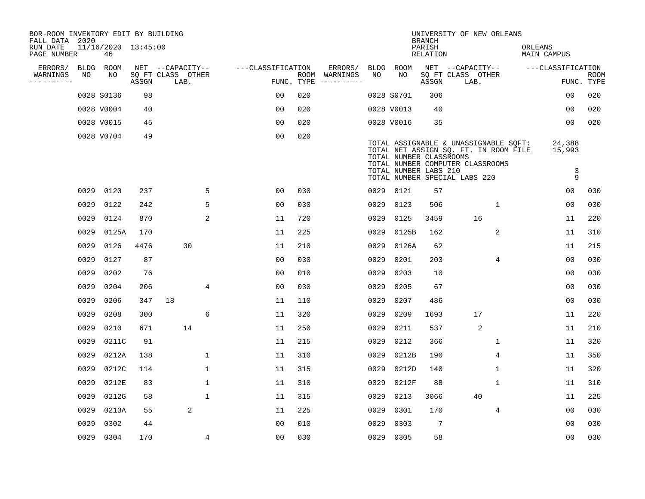| BOR-ROOM INVENTORY EDIT BY BUILDING<br>FALL DATA 2020 |      |                           |       |                           |              |                   |     |                                      |      |                                                  | <b>BRANCH</b>      | UNIVERSITY OF NEW ORLEANS                                                                                                                           |             |                            |                           |
|-------------------------------------------------------|------|---------------------------|-------|---------------------------|--------------|-------------------|-----|--------------------------------------|------|--------------------------------------------------|--------------------|-----------------------------------------------------------------------------------------------------------------------------------------------------|-------------|----------------------------|---------------------------|
| RUN DATE<br>PAGE NUMBER                               |      | 11/16/2020 13:45:00<br>46 |       |                           |              |                   |     |                                      |      |                                                  | PARISH<br>RELATION |                                                                                                                                                     |             | ORLEANS<br>MAIN CAMPUS     |                           |
| ERRORS/                                               | BLDG | ROOM                      |       | NET --CAPACITY--          |              | ---CLASSIFICATION |     | ERRORS/                              | BLDG | ROOM                                             |                    | NET --CAPACITY--                                                                                                                                    |             | ---CLASSIFICATION          |                           |
| WARNINGS<br>----------                                | NO   | NO                        | ASSGN | SQ FT CLASS OTHER<br>LAB. |              |                   |     | ROOM WARNINGS<br>FUNC. TYPE $------$ | NO.  | NO.                                              | ASSGN              | SQ FT CLASS OTHER<br>LAB.                                                                                                                           |             |                            | <b>ROOM</b><br>FUNC. TYPE |
|                                                       |      | 0028 S0136                | 98    |                           |              | 0 <sub>0</sub>    | 020 |                                      |      | 0028 S0701                                       | 306                |                                                                                                                                                     |             | 00                         | 020                       |
|                                                       |      | 0028 V0004                | 40    |                           |              | 0 <sub>0</sub>    | 020 |                                      |      | 0028 V0013                                       | 40                 |                                                                                                                                                     |             | 0 <sub>0</sub>             | 020                       |
|                                                       |      | 0028 V0015                | 45    |                           |              | 0 <sub>0</sub>    | 020 |                                      |      | 0028 V0016                                       | 35                 |                                                                                                                                                     |             | 0 <sub>0</sub>             | 020                       |
|                                                       |      | 0028 V0704                | 49    |                           |              | 0 <sub>0</sub>    | 020 |                                      |      | TOTAL NUMBER CLASSROOMS<br>TOTAL NUMBER LABS 210 |                    | TOTAL ASSIGNABLE & UNASSIGNABLE SQFT:<br>TOTAL NET ASSIGN SQ. FT. IN ROOM FILE<br>TOTAL NUMBER COMPUTER CLASSROOMS<br>TOTAL NUMBER SPECIAL LABS 220 |             | 24,388<br>15,993<br>3<br>9 |                           |
|                                                       |      | 0029 0120                 | 237   |                           | 5            | 0 <sub>0</sub>    | 030 |                                      |      | 0029 0121                                        | 57                 |                                                                                                                                                     |             | 0 <sub>0</sub>             | 030                       |
|                                                       | 0029 | 0122                      | 242   |                           | 5            | 0 <sub>0</sub>    | 030 |                                      | 0029 | 0123                                             | 506                |                                                                                                                                                     | 1           | 0 <sub>0</sub>             | 030                       |
|                                                       | 0029 | 0124                      | 870   |                           | 2            | 11                | 720 |                                      | 0029 | 0125                                             | 3459               | 16                                                                                                                                                  |             | 11                         | 220                       |
|                                                       | 0029 | 0125A                     | 170   |                           |              | 11                | 225 |                                      | 0029 | 0125B                                            | 162                |                                                                                                                                                     | 2           | 11                         | 310                       |
|                                                       | 0029 | 0126                      | 4476  | 30                        |              | 11                | 210 |                                      | 0029 | 0126A                                            | 62                 |                                                                                                                                                     |             | 11                         | 215                       |
|                                                       | 0029 | 0127                      | 87    |                           |              | 0 <sub>0</sub>    | 030 |                                      | 0029 | 0201                                             | 203                |                                                                                                                                                     | 4           | 0 <sub>0</sub>             | 030                       |
|                                                       | 0029 | 0202                      | 76    |                           |              | 0 <sub>0</sub>    | 010 |                                      | 0029 | 0203                                             | 10                 |                                                                                                                                                     |             | 0 <sub>0</sub>             | 030                       |
|                                                       | 0029 | 0204                      | 206   |                           | 4            | 0 <sub>0</sub>    | 030 |                                      | 0029 | 0205                                             | 67                 |                                                                                                                                                     |             | 0 <sub>0</sub>             | 030                       |
|                                                       | 0029 | 0206                      | 347   | 18                        |              | 11                | 110 |                                      | 0029 | 0207                                             | 486                |                                                                                                                                                     |             | 0 <sub>0</sub>             | 030                       |
|                                                       | 0029 | 0208                      | 300   |                           | 6            | 11                | 320 |                                      | 0029 | 0209                                             | 1693               | 17                                                                                                                                                  |             | 11                         | 220                       |
|                                                       | 0029 | 0210                      | 671   | 14                        |              | 11                | 250 |                                      | 0029 | 0211                                             | 537                | 2                                                                                                                                                   |             | 11                         | 210                       |
|                                                       | 0029 | 0211C                     | 91    |                           |              | 11                | 215 |                                      | 0029 | 0212                                             | 366                |                                                                                                                                                     | 1           | 11                         | 320                       |
|                                                       | 0029 | 0212A                     | 138   |                           | 1            | 11                | 310 |                                      | 0029 | 0212B                                            | 190                |                                                                                                                                                     | 4           | 11                         | 350                       |
|                                                       | 0029 | 0212C                     | 114   |                           | $\mathbf 1$  | 11                | 315 |                                      | 0029 | 0212D                                            | 140                |                                                                                                                                                     | 1           | 11                         | 320                       |
|                                                       | 0029 | 0212E                     | 83    |                           | $\mathbf{1}$ | 11                | 310 |                                      | 0029 | 0212F                                            | 88                 |                                                                                                                                                     | $\mathbf 1$ | 11                         | 310                       |
|                                                       | 0029 | 0212G                     | 58    |                           | $\mathbf{1}$ | 11                | 315 |                                      | 0029 | 0213                                             | 3066               | 40                                                                                                                                                  |             | 11                         | 225                       |
|                                                       | 0029 | 0213A                     | 55    | 2                         |              | 11                | 225 |                                      | 0029 | 0301                                             | 170                |                                                                                                                                                     | 4           | 0 <sub>0</sub>             | 030                       |
|                                                       | 0029 | 0302                      | 44    |                           |              | 0 <sub>0</sub>    | 010 |                                      | 0029 | 0303                                             | 7                  |                                                                                                                                                     |             | 0 <sub>0</sub>             | 030                       |
|                                                       |      | 0029 0304                 | 170   |                           | 4            | 0 <sub>0</sub>    | 030 |                                      |      | 0029 0305                                        | 58                 |                                                                                                                                                     |             | 0 <sub>0</sub>             | 030                       |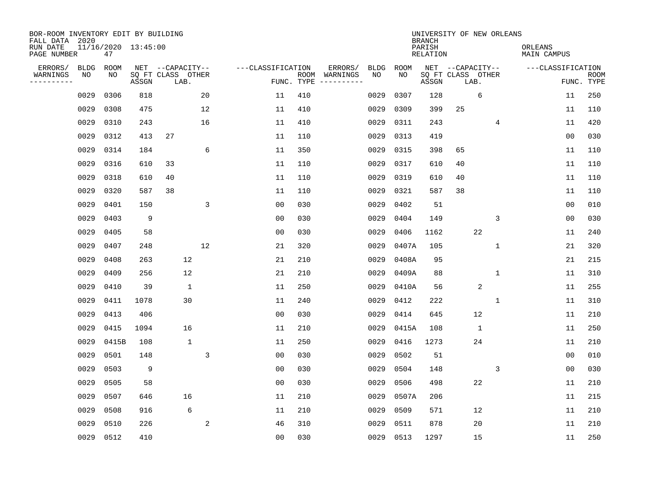| BOR-ROOM INVENTORY EDIT BY BUILDING<br>FALL DATA 2020<br>RUN DATE |                   | 11/16/2020 13:45:00 |       |                                               |             |                   |                    |                     |                   |            | <b>BRANCH</b><br>PARISH | UNIVERSITY OF NEW ORLEANS                     |                | ORLEANS     |                   |                           |
|-------------------------------------------------------------------|-------------------|---------------------|-------|-----------------------------------------------|-------------|-------------------|--------------------|---------------------|-------------------|------------|-------------------------|-----------------------------------------------|----------------|-------------|-------------------|---------------------------|
| PAGE NUMBER                                                       |                   | 47                  |       |                                               |             |                   |                    |                     |                   |            | <b>RELATION</b>         |                                               |                | MAIN CAMPUS |                   |                           |
| ERRORS/<br>WARNINGS<br>----------                                 | <b>BLDG</b><br>NO | ROOM<br>NO          | ASSGN | NET --CAPACITY--<br>SQ FT CLASS OTHER<br>LAB. |             | ---CLASSIFICATION | ROOM<br>FUNC. TYPE | ERRORS/<br>WARNINGS | <b>BLDG</b><br>NO | ROOM<br>NO | ASSGN                   | NET --CAPACITY--<br>SQ FT CLASS OTHER<br>LAB. |                |             | ---CLASSIFICATION | <b>ROOM</b><br>FUNC. TYPE |
|                                                                   | 0029              | 0306                | 818   |                                               | 20          | 11                | 410                |                     | 0029              | 0307       | 128                     |                                               | 6              |             | 11                | 250                       |
|                                                                   | 0029              | 0308                | 475   |                                               | 12          | 11                | 410                |                     | 0029              | 0309       | 399                     | 25                                            |                |             | 11                | 110                       |
|                                                                   | 0029              | 0310                | 243   |                                               | 16          | 11                | 410                |                     | 0029              | 0311       | 243                     |                                               | 4              |             | 11                | 420                       |
|                                                                   | 0029              | 0312                | 413   | 27                                            |             | 11                | 110                |                     | 0029              | 0313       | 419                     |                                               |                |             | 0 <sub>0</sub>    | 030                       |
|                                                                   | 0029              | 0314                | 184   |                                               | 6           | 11                | 350                |                     | 0029              | 0315       | 398                     | 65                                            |                |             | 11                | 110                       |
|                                                                   | 0029              | 0316                | 610   | 33                                            |             | 11                | 110                |                     | 0029              | 0317       | 610                     | 40                                            |                |             | 11                | 110                       |
|                                                                   | 0029              | 0318                | 610   | 40                                            |             | 11                | 110                |                     | 0029              | 0319       | 610                     | 40                                            |                |             | 11                | 110                       |
|                                                                   | 0029              | 0320                | 587   | 38                                            |             | 11                | 110                |                     | 0029              | 0321       | 587                     | 38                                            |                |             | 11                | 110                       |
|                                                                   | 0029              | 0401                | 150   |                                               | 3           | 0 <sub>0</sub>    | 030                |                     | 0029              | 0402       | 51                      |                                               |                |             | 0 <sub>0</sub>    | 010                       |
|                                                                   | 0029              | 0403                | 9     |                                               |             | 0 <sub>0</sub>    | 030                |                     | 0029              | 0404       | 149                     |                                               | 3              |             | 0 <sub>0</sub>    | 030                       |
|                                                                   | 0029              | 0405                | 58    |                                               |             | 0 <sub>0</sub>    | 030                |                     | 0029              | 0406       | 1162                    |                                               | 22             |             | 11                | 240                       |
|                                                                   | 0029              | 0407                | 248   |                                               | 12          | 21                | 320                |                     | 0029              | 0407A      | 105                     |                                               | $\mathbf{1}$   |             | 21                | 320                       |
|                                                                   | 0029              | 0408                | 263   | 12                                            |             | 21                | 210                |                     | 0029              | 0408A      | 95                      |                                               |                |             | 21                | 215                       |
|                                                                   | 0029              | 0409                | 256   | 12                                            |             | 21                | 210                |                     | 0029              | 0409A      | 88                      |                                               | 1              |             | 11                | 310                       |
|                                                                   | 0029              | 0410                | 39    | $\mathbf{1}$                                  |             | 11                | 250                |                     | 0029              | 0410A      | 56                      |                                               | $\overline{2}$ |             | 11                | 255                       |
|                                                                   | 0029              | 0411                | 1078  | 30                                            |             | 11                | 240                |                     | 0029              | 0412       | 222                     |                                               | $\mathbf{1}$   |             | 11                | 310                       |
|                                                                   | 0029              | 0413                | 406   |                                               |             | 0 <sub>0</sub>    | 030                |                     | 0029              | 0414       | 645                     |                                               | 12             |             | 11                | 210                       |
|                                                                   | 0029              | 0415                | 1094  | 16                                            |             | 11                | 210                |                     | 0029              | 0415A      | 108                     |                                               | $\mathbf{1}$   |             | 11                | 250                       |
|                                                                   | 0029              | 0415B               | 108   | $\mathbf{1}$                                  |             | 11                | 250                |                     | 0029              | 0416       | 1273                    |                                               | 24             |             | 11                | 210                       |
|                                                                   | 0029              | 0501                | 148   |                                               | $\mathsf 3$ | 0 <sub>0</sub>    | 030                |                     | 0029              | 0502       | 51                      |                                               |                |             | 00                | 010                       |
|                                                                   | 0029              | 0503                | 9     |                                               |             | 0 <sub>0</sub>    | 030                |                     | 0029              | 0504       | 148                     |                                               | 3              |             | 0 <sub>0</sub>    | 030                       |
|                                                                   | 0029              | 0505                | 58    |                                               |             | 0 <sub>0</sub>    | 030                |                     | 0029              | 0506       | 498                     |                                               | 22             |             | 11                | 210                       |
|                                                                   | 0029              | 0507                | 646   | 16                                            |             | 11                | 210                |                     | 0029              | 0507A      | 206                     |                                               |                |             | 11                | 215                       |
|                                                                   | 0029              | 0508                | 916   | 6                                             |             | 11                | 210                |                     | 0029              | 0509       | 571                     |                                               | 12             |             | 11                | 210                       |
|                                                                   | 0029              | 0510                | 226   |                                               | 2           | 46                | 310                |                     | 0029              | 0511       | 878                     |                                               | 20             |             | 11                | 210                       |
|                                                                   | 0029              | 0512                | 410   |                                               |             | 0 <sub>0</sub>    | 030                |                     | 0029              | 0513       | 1297                    |                                               | 15             |             | 11                | 250                       |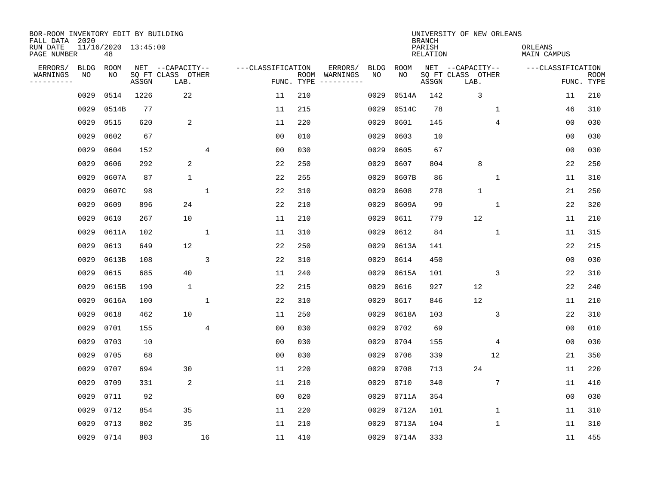| BOR-ROOM INVENTORY EDIT BY BUILDING<br>FALL DATA 2020 |             |                           |       |                           |              |                   |                    |          |             |             | <b>BRANCH</b>             | UNIVERSITY OF NEW ORLEANS |              |                        |                           |
|-------------------------------------------------------|-------------|---------------------------|-------|---------------------------|--------------|-------------------|--------------------|----------|-------------|-------------|---------------------------|---------------------------|--------------|------------------------|---------------------------|
| RUN DATE<br>PAGE NUMBER                               |             | 11/16/2020 13:45:00<br>48 |       |                           |              |                   |                    |          |             |             | PARISH<br><b>RELATION</b> |                           |              | ORLEANS<br>MAIN CAMPUS |                           |
| ERRORS/                                               | <b>BLDG</b> | ROOM                      |       | NET --CAPACITY--          |              | ---CLASSIFICATION |                    | ERRORS/  | <b>BLDG</b> | <b>ROOM</b> |                           | NET --CAPACITY--          |              | ---CLASSIFICATION      |                           |
| WARNINGS<br>-----------                               | ΝO          | NO                        | ASSGN | SQ FT CLASS OTHER<br>LAB. |              |                   | ROOM<br>FUNC. TYPE | WARNINGS | NO          | NO          | ASSGN                     | SQ FT CLASS OTHER<br>LAB. |              |                        | <b>ROOM</b><br>FUNC. TYPE |
|                                                       | 0029        | 0514                      | 1226  | 22                        |              | 11                | 210                |          | 0029        | 0514A       | 142                       | 3                         |              | 11                     | 210                       |
|                                                       | 0029        | 0514B                     | 77    |                           |              | 11                | 215                |          | 0029        | 0514C       | 78                        |                           | 1            | 46                     | 310                       |
|                                                       | 0029        | 0515                      | 620   | 2                         |              | 11                | 220                |          | 0029        | 0601        | 145                       |                           | 4            | 00                     | 030                       |
|                                                       | 0029        | 0602                      | 67    |                           |              | 0 <sub>0</sub>    | 010                |          | 0029        | 0603        | 10                        |                           |              | 0 <sub>0</sub>         | 030                       |
|                                                       | 0029        | 0604                      | 152   |                           | 4            | 0 <sub>0</sub>    | 030                |          | 0029        | 0605        | 67                        |                           |              | 0 <sub>0</sub>         | 030                       |
|                                                       | 0029        | 0606                      | 292   | 2                         |              | 22                | 250                |          | 0029        | 0607        | 804                       | 8                         |              | 22                     | 250                       |
|                                                       | 0029        | 0607A                     | 87    | $\mathbf{1}$              |              | 22                | 255                |          | 0029        | 0607B       | 86                        |                           | $\mathbf{1}$ | 11                     | 310                       |
|                                                       | 0029        | 0607C                     | 98    |                           | $\mathbf{1}$ | 22                | 310                |          | 0029        | 0608        | 278                       | $\mathbf{1}$              |              | 21                     | 250                       |
|                                                       | 0029        | 0609                      | 896   | 24                        |              | 22                | 210                |          | 0029        | 0609A       | 99                        |                           | $\mathbf{1}$ | 22                     | 320                       |
|                                                       | 0029        | 0610                      | 267   | 10                        |              | 11                | 210                |          | 0029        | 0611        | 779                       | 12                        |              | 11                     | 210                       |
|                                                       | 0029        | 0611A                     | 102   |                           | $\mathbf{1}$ | 11                | 310                |          | 0029        | 0612        | 84                        |                           | $\mathbf{1}$ | 11                     | 315                       |
|                                                       | 0029        | 0613                      | 649   | 12                        |              | 22                | 250                |          | 0029        | 0613A       | 141                       |                           |              | 22                     | 215                       |
|                                                       | 0029        | 0613B                     | 108   |                           | 3            | 22                | 310                |          | 0029        | 0614        | 450                       |                           |              | 00                     | 030                       |
|                                                       | 0029        | 0615                      | 685   | 40                        |              | 11                | 240                |          | 0029        | 0615A       | 101                       |                           | 3            | 22                     | 310                       |
|                                                       | 0029        | 0615B                     | 190   | $\mathbf 1$               |              | 22                | 215                |          | 0029        | 0616        | 927                       | 12                        |              | 22                     | 240                       |
|                                                       | 0029        | 0616A                     | 100   |                           | 1            | 22                | 310                |          | 0029        | 0617        | 846                       | 12                        |              | 11                     | 210                       |
|                                                       | 0029        | 0618                      | 462   | 10                        |              | 11                | 250                |          | 0029        | 0618A       | 103                       |                           | 3            | 22                     | 310                       |
|                                                       | 0029        | 0701                      | 155   |                           | 4            | 0 <sub>0</sub>    | 030                |          | 0029        | 0702        | 69                        |                           |              | 0 <sub>0</sub>         | 010                       |
|                                                       | 0029        | 0703                      | 10    |                           |              | 0 <sub>0</sub>    | 030                |          | 0029        | 0704        | 155                       |                           | 4            | 0 <sub>0</sub>         | 030                       |
|                                                       | 0029        | 0705                      | 68    |                           |              | 0 <sub>0</sub>    | 030                |          | 0029        | 0706        | 339                       |                           | 12           | 21                     | 350                       |
|                                                       | 0029        | 0707                      | 694   | 30                        |              | 11                | 220                |          | 0029        | 0708        | 713                       | 24                        |              | 11                     | 220                       |
|                                                       | 0029        | 0709                      | 331   | 2                         |              | 11                | 210                |          | 0029        | 0710        | 340                       |                           | 7            | 11                     | 410                       |
|                                                       | 0029        | 0711                      | 92    |                           |              | 0 <sub>0</sub>    | 020                |          | 0029        | 0711A       | 354                       |                           |              | 0 <sub>0</sub>         | 030                       |
|                                                       | 0029        | 0712                      | 854   | 35                        |              | 11                | 220                |          | 0029        | 0712A       | 101                       |                           | 1            | 11                     | 310                       |
|                                                       | 0029        | 0713                      | 802   | 35                        |              | 11                | 210                |          | 0029        | 0713A       | 104                       |                           | 1            | 11                     | 310                       |
|                                                       | 0029        | 0714                      | 803   |                           | 16           | 11                | 410                |          | 0029        | 0714A       | 333                       |                           |              | 11                     | 455                       |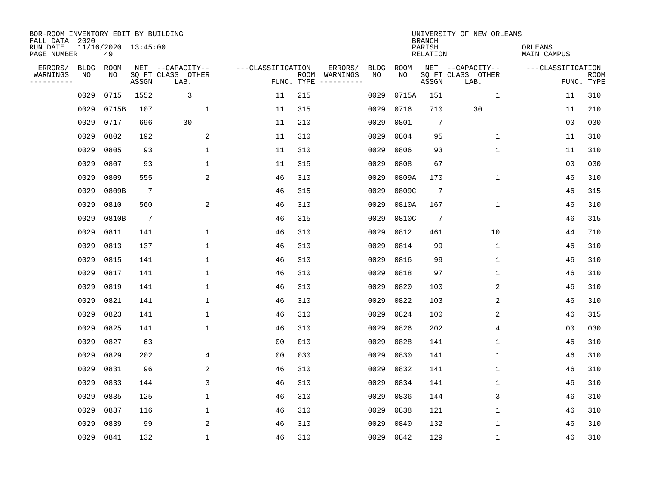| BOR-ROOM INVENTORY EDIT BY BUILDING<br>FALL DATA 2020 |      |                           |                 |                           |                   |                    |          |             |             | <b>BRANCH</b>             | UNIVERSITY OF NEW ORLEANS |                        |                           |
|-------------------------------------------------------|------|---------------------------|-----------------|---------------------------|-------------------|--------------------|----------|-------------|-------------|---------------------------|---------------------------|------------------------|---------------------------|
| RUN DATE<br>PAGE NUMBER                               |      | 11/16/2020 13:45:00<br>49 |                 |                           |                   |                    |          |             |             | PARISH<br><b>RELATION</b> |                           | ORLEANS<br>MAIN CAMPUS |                           |
| ERRORS/                                               | BLDG | ROOM                      |                 | NET --CAPACITY--          | ---CLASSIFICATION |                    | ERRORS/  | <b>BLDG</b> | <b>ROOM</b> |                           | NET --CAPACITY--          | ---CLASSIFICATION      |                           |
| WARNINGS<br>----------                                | ΝO   | NO                        | ASSGN           | SQ FT CLASS OTHER<br>LAB. |                   | ROOM<br>FUNC. TYPE | WARNINGS | NO          | NO          | ASSGN                     | SQ FT CLASS OTHER<br>LAB. |                        | <b>ROOM</b><br>FUNC. TYPE |
|                                                       | 0029 | 0715                      | 1552            | 3                         | 11                | 215                |          | 0029        | 0715A       | 151                       | 1                         | 11                     | 310                       |
|                                                       | 0029 | 0715B                     | 107             | 1                         | 11                | 315                |          | 0029        | 0716        | 710                       | 30                        | 11                     | 210                       |
|                                                       | 0029 | 0717                      | 696             | 30                        | 11                | 210                |          | 0029        | 0801        | 7                         |                           | 0 <sub>0</sub>         | 030                       |
|                                                       | 0029 | 0802                      | 192             | 2                         | 11                | 310                |          | 0029        | 0804        | 95                        | $\mathbf 1$               | 11                     | 310                       |
|                                                       | 0029 | 0805                      | 93              | $\mathbf 1$               | 11                | 310                |          | 0029        | 0806        | 93                        | $\mathbf{1}$              | 11                     | 310                       |
|                                                       | 0029 | 0807                      | 93              | 1                         | 11                | 315                |          | 0029        | 0808        | 67                        |                           | 0 <sub>0</sub>         | 030                       |
|                                                       | 0029 | 0809                      | 555             | 2                         | 46                | 310                |          | 0029        | 0809A       | 170                       | $\mathbf{1}$              | 46                     | 310                       |
|                                                       | 0029 | 0809B                     | $7\phantom{.0}$ |                           | 46                | 315                |          | 0029        | 0809C       | $7\phantom{.0}$           |                           | 46                     | 315                       |
|                                                       | 0029 | 0810                      | 560             | 2                         | 46                | 310                |          | 0029        | 0810A       | 167                       | $\mathbf{1}$              | 46                     | 310                       |
|                                                       | 0029 | 0810B                     | $7\phantom{.0}$ |                           | 46                | 315                |          | 0029        | 0810C       | 7                         |                           | 46                     | 315                       |
|                                                       | 0029 | 0811                      | 141             | 1                         | 46                | 310                |          | 0029        | 0812        | 461                       | 10                        | 44                     | 710                       |
|                                                       | 0029 | 0813                      | 137             | 1                         | 46                | 310                |          | 0029        | 0814        | 99                        | $\mathbf 1$               | 46                     | 310                       |
|                                                       | 0029 | 0815                      | 141             | 1                         | 46                | 310                |          | 0029        | 0816        | 99                        | $\mathbf 1$               | 46                     | 310                       |
|                                                       | 0029 | 0817                      | 141             | 1                         | 46                | 310                |          | 0029        | 0818        | 97                        | 1                         | 46                     | 310                       |
|                                                       | 0029 | 0819                      | 141             | 1                         | 46                | 310                |          | 0029        | 0820        | 100                       | 2                         | 46                     | 310                       |
|                                                       | 0029 | 0821                      | 141             | $\mathbf{1}$              | 46                | 310                |          | 0029        | 0822        | 103                       | 2                         | 46                     | 310                       |
|                                                       | 0029 | 0823                      | 141             | 1                         | 46                | 310                |          | 0029        | 0824        | 100                       | 2                         | 46                     | 315                       |
|                                                       | 0029 | 0825                      | 141             | 1                         | 46                | 310                |          | 0029        | 0826        | 202                       | 4                         | 0 <sub>0</sub>         | 030                       |
|                                                       | 0029 | 0827                      | 63              |                           | 0 <sub>0</sub>    | 010                |          | 0029        | 0828        | 141                       | 1                         | 46                     | 310                       |
|                                                       | 0029 | 0829                      | 202             | 4                         | 0 <sub>0</sub>    | 030                |          | 0029        | 0830        | 141                       | $\mathbf 1$               | 46                     | 310                       |
|                                                       | 0029 | 0831                      | 96              | 2                         | 46                | 310                |          | 0029        | 0832        | 141                       | $\mathbf 1$               | 46                     | 310                       |
|                                                       | 0029 | 0833                      | 144             | 3                         | 46                | 310                |          | 0029        | 0834        | 141                       | $\mathbf 1$               | 46                     | 310                       |
|                                                       | 0029 | 0835                      | 125             | $\mathbf{1}$              | 46                | 310                |          | 0029        | 0836        | 144                       | 3                         | 46                     | 310                       |
|                                                       | 0029 | 0837                      | 116             | 1                         | 46                | 310                |          | 0029        | 0838        | 121                       | $\mathbf 1$               | 46                     | 310                       |
|                                                       | 0029 | 0839                      | 99              | 2                         | 46                | 310                |          | 0029        | 0840        | 132                       | $\mathbf 1$               | 46                     | 310                       |
|                                                       | 0029 | 0841                      | 132             | $\mathbf{1}$              | 46                | 310                |          | 0029        | 0842        | 129                       | $\mathbf 1$               | 46                     | 310                       |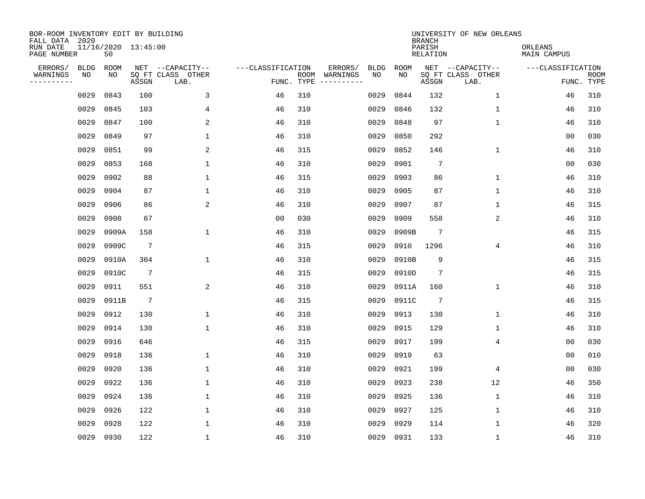| BOR-ROOM INVENTORY EDIT BY BUILDING<br>FALL DATA 2020 |      |       |                     |                           |                   |      |          |             |             | <b>BRANCH</b>             | UNIVERSITY OF NEW ORLEANS |                        |                           |
|-------------------------------------------------------|------|-------|---------------------|---------------------------|-------------------|------|----------|-------------|-------------|---------------------------|---------------------------|------------------------|---------------------------|
| RUN DATE<br>PAGE NUMBER                               |      | 50    | 11/16/2020 13:45:00 |                           |                   |      |          |             |             | PARISH<br><b>RELATION</b> |                           | ORLEANS<br>MAIN CAMPUS |                           |
| ERRORS/                                               | BLDG | ROOM  |                     | NET --CAPACITY--          | ---CLASSIFICATION |      | ERRORS/  | <b>BLDG</b> | <b>ROOM</b> |                           | NET --CAPACITY--          | ---CLASSIFICATION      |                           |
| WARNINGS<br>----------                                | ΝO   | NO    | ASSGN               | SQ FT CLASS OTHER<br>LAB. | FUNC. TYPE        | ROOM | WARNINGS | NO          | NO          | ASSGN                     | SQ FT CLASS OTHER<br>LAB. |                        | <b>ROOM</b><br>FUNC. TYPE |
|                                                       | 0029 | 0843  | 100                 | 3                         | 46                | 310  |          | 0029        | 0844        | 132                       | 1                         | 46                     | 310                       |
|                                                       | 0029 | 0845  | 103                 | 4                         | 46                | 310  |          | 0029        | 0846        | 132                       | 1                         | 46                     | 310                       |
|                                                       | 0029 | 0847  | 100                 | 2                         | 46                | 310  |          | 0029        | 0848        | 97                        | $\mathbf 1$               | 46                     | 310                       |
|                                                       | 0029 | 0849  | 97                  | 1                         | 46                | 310  |          | 0029        | 0850        | 292                       |                           | 0 <sub>0</sub>         | 030                       |
|                                                       | 0029 | 0851  | 99                  | 2                         | 46                | 315  |          | 0029        | 0852        | 146                       | $\mathbf 1$               | 46                     | 310                       |
|                                                       | 0029 | 0853  | 168                 | $\mathbf{1}$              | 46                | 310  |          | 0029        | 0901        | 7                         |                           | 0 <sub>0</sub>         | 030                       |
|                                                       | 0029 | 0902  | 88                  | $\mathbf{1}$              | 46                | 315  |          | 0029        | 0903        | 86                        | $\mathbf{1}$              | 46                     | 310                       |
|                                                       | 0029 | 0904  | 87                  | $\mathbf{1}$              | 46                | 310  |          | 0029        | 0905        | 87                        | $\mathbf{1}$              | 46                     | 310                       |
|                                                       | 0029 | 0906  | 86                  | 2                         | 46                | 310  |          | 0029        | 0907        | 87                        | $\mathbf{1}$              | 46                     | 315                       |
|                                                       | 0029 | 0908  | 67                  |                           | 0 <sub>0</sub>    | 030  |          | 0029        | 0909        | 558                       | 2                         | 46                     | 310                       |
|                                                       | 0029 | 0909A | 158                 | 1                         | 46                | 310  |          | 0029        | 0909B       | 7                         |                           | 46                     | 315                       |
|                                                       | 0029 | 0909C | $7\phantom{.0}$     |                           | 46                | 315  |          | 0029        | 0910        | 1296                      | 4                         | 46                     | 310                       |
|                                                       | 0029 | 0910A | 304                 | 1                         | 46                | 310  |          | 0029        | 0910B       | 9                         |                           | 46                     | 315                       |
|                                                       | 0029 | 0910C | $7\phantom{.0}$     |                           | 46                | 315  |          | 0029        | 0910D       | 7                         |                           | 46                     | 315                       |
|                                                       | 0029 | 0911  | 551                 | $\overline{a}$            | 46                | 310  |          | 0029        | 0911A       | 160                       | $\mathbf 1$               | 46                     | 310                       |
|                                                       | 0029 | 0911B | $7\phantom{.0}$     |                           | 46                | 315  |          | 0029        | 0911C       | $7\phantom{.0}$           |                           | 46                     | 315                       |
|                                                       | 0029 | 0912  | 130                 | 1                         | 46                | 310  |          | 0029        | 0913        | 130                       | 1                         | 46                     | 310                       |
|                                                       | 0029 | 0914  | 130                 | 1                         | 46                | 310  |          | 0029        | 0915        | 129                       | 1                         | 46                     | 310                       |
|                                                       | 0029 | 0916  | 646                 |                           | 46                | 315  |          | 0029        | 0917        | 199                       | 4                         | 0 <sub>0</sub>         | 030                       |
|                                                       | 0029 | 0918  | 136                 | 1                         | 46                | 310  |          | 0029        | 0919        | 63                        |                           | 0 <sub>0</sub>         | 010                       |
|                                                       | 0029 | 0920  | 136                 | 1                         | 46                | 310  |          | 0029        | 0921        | 199                       | 4                         | 0 <sub>0</sub>         | 030                       |
|                                                       | 0029 | 0922  | 136                 | $\mathbf{1}$              | 46                | 310  |          | 0029        | 0923        | 238                       | 12                        | 46                     | 350                       |
|                                                       | 0029 | 0924  | 136                 | $\mathbf{1}$              | 46                | 310  |          | 0029        | 0925        | 136                       | $\mathbf 1$               | 46                     | 310                       |
|                                                       | 0029 | 0926  | 122                 | $\mathbf{1}$              | 46                | 310  |          | 0029        | 0927        | 125                       | $\mathbf 1$               | 46                     | 310                       |
|                                                       | 0029 | 0928  | 122                 | $\mathbf{1}$              | 46                | 310  |          | 0029        | 0929        | 114                       | $\mathbf 1$               | 46                     | 320                       |
|                                                       | 0029 | 0930  | 122                 | $\mathbf{1}$              | 46                | 310  |          | 0029        | 0931        | 133                       | $\mathbf 1$               | 46                     | 310                       |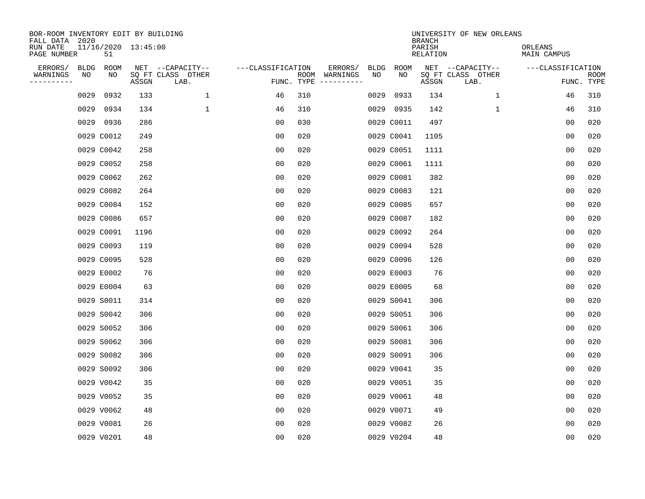| BOR-ROOM INVENTORY EDIT BY BUILDING<br>FALL DATA 2020 |      |            |                     |                           |                   |     |                                      |             |             | <b>BRANCH</b>      | UNIVERSITY OF NEW ORLEANS |                        |                           |
|-------------------------------------------------------|------|------------|---------------------|---------------------------|-------------------|-----|--------------------------------------|-------------|-------------|--------------------|---------------------------|------------------------|---------------------------|
| RUN DATE<br>PAGE NUMBER                               |      | 51         | 11/16/2020 13:45:00 |                           |                   |     |                                      |             |             | PARISH<br>RELATION |                           | ORLEANS<br>MAIN CAMPUS |                           |
| ERRORS/                                               | BLDG | ROOM       |                     | NET --CAPACITY--          | ---CLASSIFICATION |     | ERRORS/                              | <b>BLDG</b> | <b>ROOM</b> |                    | NET --CAPACITY--          | ---CLASSIFICATION      |                           |
| WARNINGS<br>----------                                | NO   | NO         | ASSGN               | SQ FT CLASS OTHER<br>LAB. |                   |     | ROOM WARNINGS<br>FUNC. TYPE $------$ | NO          | NO          | ASSGN              | SQ FT CLASS OTHER<br>LAB. |                        | <b>ROOM</b><br>FUNC. TYPE |
|                                                       | 0029 | 0932       | 133                 | 1                         | 46                | 310 |                                      | 0029        | 0933        | 134                | $\mathbf{1}$              | 46                     | 310                       |
|                                                       | 0029 | 0934       | 134                 | $\mathbf 1$               | 46                | 310 |                                      |             | 0029 0935   | 142                | 1                         | 46                     | 310                       |
|                                                       |      | 0029 0936  | 286                 |                           | 00                | 030 |                                      |             | 0029 C0011  | 497                |                           | 00                     | 020                       |
|                                                       |      | 0029 C0012 | 249                 |                           | 0 <sub>0</sub>    | 020 |                                      |             | 0029 C0041  | 1105               |                           | 0 <sub>0</sub>         | 020                       |
|                                                       |      | 0029 C0042 | 258                 |                           | 0 <sub>0</sub>    | 020 |                                      |             | 0029 C0051  | 1111               |                           | 00                     | 020                       |
|                                                       |      | 0029 C0052 | 258                 |                           | 0 <sub>0</sub>    | 020 |                                      |             | 0029 C0061  | 1111               |                           | 0 <sub>0</sub>         | 020                       |
|                                                       |      | 0029 C0062 | 262                 |                           | 0 <sub>0</sub>    | 020 |                                      |             | 0029 C0081  | 382                |                           | 00                     | 020                       |
|                                                       |      | 0029 C0082 | 264                 |                           | 0 <sub>0</sub>    | 020 |                                      |             | 0029 C0083  | 121                |                           | 0 <sub>0</sub>         | 020                       |
|                                                       |      | 0029 C0084 | 152                 |                           | 0 <sub>0</sub>    | 020 |                                      |             | 0029 C0085  | 657                |                           | 0 <sub>0</sub>         | 020                       |
|                                                       |      | 0029 C0086 | 657                 |                           | 00                | 020 |                                      |             | 0029 C0087  | 182                |                           | 0 <sub>0</sub>         | 020                       |
|                                                       |      | 0029 C0091 | 1196                |                           | 0 <sub>0</sub>    | 020 |                                      |             | 0029 C0092  | 264                |                           | 0 <sub>0</sub>         | 020                       |
|                                                       |      | 0029 C0093 | 119                 |                           | 0 <sub>0</sub>    | 020 |                                      |             | 0029 C0094  | 528                |                           | 0 <sub>0</sub>         | 020                       |
|                                                       |      | 0029 C0095 | 528                 |                           | 0 <sub>0</sub>    | 020 |                                      |             | 0029 C0096  | 126                |                           | 0 <sub>0</sub>         | 020                       |
|                                                       |      | 0029 E0002 | 76                  |                           | 0 <sub>0</sub>    | 020 |                                      |             | 0029 E0003  | 76                 |                           | 0 <sub>0</sub>         | 020                       |
|                                                       |      | 0029 E0004 | 63                  |                           | 0 <sub>0</sub>    | 020 |                                      |             | 0029 E0005  | 68                 |                           | 0 <sub>0</sub>         | 020                       |
|                                                       |      | 0029 S0011 | 314                 |                           | 0 <sub>0</sub>    | 020 |                                      |             | 0029 S0041  | 306                |                           | 00                     | 020                       |
|                                                       |      | 0029 S0042 | 306                 |                           | 00                | 020 |                                      |             | 0029 S0051  | 306                |                           | 0 <sub>0</sub>         | 020                       |
|                                                       |      | 0029 S0052 | 306                 |                           | 00                | 020 |                                      |             | 0029 S0061  | 306                |                           | 0 <sub>0</sub>         | 020                       |
|                                                       |      | 0029 S0062 | 306                 |                           | 0 <sub>0</sub>    | 020 |                                      |             | 0029 S0081  | 306                |                           | 0 <sub>0</sub>         | 020                       |
|                                                       |      | 0029 S0082 | 306                 |                           | 0 <sub>0</sub>    | 020 |                                      |             | 0029 S0091  | 306                |                           | 0 <sub>0</sub>         | 020                       |
|                                                       |      | 0029 S0092 | 306                 |                           | 0 <sub>0</sub>    | 020 |                                      |             | 0029 V0041  | 35                 |                           | 0 <sub>0</sub>         | 020                       |
|                                                       |      | 0029 V0042 | 35                  |                           | 0 <sub>0</sub>    | 020 |                                      |             | 0029 V0051  | 35                 |                           | 0 <sub>0</sub>         | 020                       |
|                                                       |      | 0029 V0052 | 35                  |                           | 0 <sub>0</sub>    | 020 |                                      |             | 0029 V0061  | 48                 |                           | 0 <sub>0</sub>         | 020                       |
|                                                       |      | 0029 V0062 | 48                  |                           | 0 <sub>0</sub>    | 020 |                                      |             | 0029 V0071  | 49                 |                           | 0 <sub>0</sub>         | 020                       |
|                                                       |      | 0029 V0081 | 26                  |                           | 0 <sub>0</sub>    | 020 |                                      |             | 0029 V0082  | 26                 |                           | 0 <sub>0</sub>         | 020                       |
|                                                       |      | 0029 V0201 | 48                  |                           | 0 <sub>0</sub>    | 020 |                                      |             | 0029 V0204  | 48                 |                           | 0 <sub>0</sub>         | 020                       |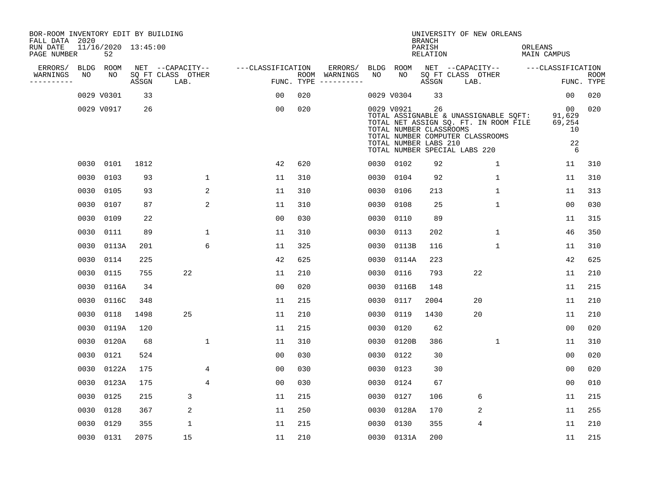| BOR-ROOM INVENTORY EDIT BY BUILDING       |      |                           |       |                           |                   |            |                              |      |                                                                |                                            | UNIVERSITY OF NEW ORLEANS                                                                                                                           |                                         |                           |
|-------------------------------------------|------|---------------------------|-------|---------------------------|-------------------|------------|------------------------------|------|----------------------------------------------------------------|--------------------------------------------|-----------------------------------------------------------------------------------------------------------------------------------------------------|-----------------------------------------|---------------------------|
| FALL DATA 2020<br>RUN DATE<br>PAGE NUMBER |      | 11/16/2020 13:45:00<br>52 |       |                           |                   |            |                              |      |                                                                | <b>BRANCH</b><br>PARISH<br><b>RELATION</b> |                                                                                                                                                     | ORLEANS<br><b>MAIN CAMPUS</b>           |                           |
| ERRORS/                                   | BLDG | ROOM                      |       | NET --CAPACITY--          | ---CLASSIFICATION |            | ERRORS/                      | BLDG | ROOM                                                           |                                            | NET --CAPACITY--                                                                                                                                    | ---CLASSIFICATION                       |                           |
| WARNINGS<br>----------                    | NO   | NO                        | ASSGN | SQ FT CLASS OTHER<br>LAB. |                   | FUNC. TYPE | ROOM WARNINGS<br>----------- | NO   | NO                                                             | ASSGN                                      | SQ FT CLASS OTHER<br>LAB.                                                                                                                           |                                         | <b>ROOM</b><br>FUNC. TYPE |
|                                           |      | 0029 V0301                | 33    |                           | 00                | 020        |                              |      | 0029 V0304                                                     | 33                                         |                                                                                                                                                     | 00                                      | 020                       |
|                                           |      | 0029 V0917                | 26    |                           | 0 <sub>0</sub>    | 020        |                              |      | 0029 V0921<br>TOTAL NUMBER CLASSROOMS<br>TOTAL NUMBER LABS 210 | 26                                         | TOTAL ASSIGNABLE & UNASSIGNABLE SQFT:<br>TOTAL NET ASSIGN SQ. FT. IN ROOM FILE<br>TOTAL NUMBER COMPUTER CLASSROOMS<br>TOTAL NUMBER SPECIAL LABS 220 | 00<br>91,629<br>69,254<br>10<br>22<br>6 | 020                       |
|                                           |      | 0030 0101                 | 1812  |                           | 42                | 620        |                              |      | 0030 0102                                                      | 92                                         | $\mathbf 1$                                                                                                                                         | 11                                      | 310                       |
|                                           | 0030 | 0103                      | 93    | $\mathbf{1}$              | 11                | 310        |                              | 0030 | 0104                                                           | 92                                         | $\mathbf{1}$                                                                                                                                        | 11                                      | 310                       |
|                                           | 0030 | 0105                      | 93    | 2                         | 11                | 310        |                              | 0030 | 0106                                                           | 213                                        | $\mathbf 1$                                                                                                                                         | 11                                      | 313                       |
|                                           | 0030 | 0107                      | 87    | 2                         | 11                | 310        |                              | 0030 | 0108                                                           | 25                                         | $\mathbf 1$                                                                                                                                         | 0 <sub>0</sub>                          | 030                       |
|                                           | 0030 | 0109                      | 22    |                           | 0 <sub>0</sub>    | 030        |                              | 0030 | 0110                                                           | 89                                         |                                                                                                                                                     | 11                                      | 315                       |
|                                           | 0030 | 0111                      | 89    | $\mathbf{1}$              | 11                | 310        |                              | 0030 | 0113                                                           | 202                                        | $\mathbf{1}$                                                                                                                                        | 46                                      | 350                       |
|                                           | 0030 | 0113A                     | 201   | 6                         | 11                | 325        |                              | 0030 | 0113B                                                          | 116                                        | $\mathbf{1}$                                                                                                                                        | 11                                      | 310                       |
|                                           | 0030 | 0114                      | 225   |                           | 42                | 625        |                              | 0030 | 0114A                                                          | 223                                        |                                                                                                                                                     | 42                                      | 625                       |
|                                           | 0030 | 0115                      | 755   | 22                        | 11                | 210        |                              | 0030 | 0116                                                           | 793                                        | 22                                                                                                                                                  | 11                                      | 210                       |
|                                           | 0030 | 0116A                     | 34    |                           | 0 <sub>0</sub>    | 020        |                              | 0030 | 0116B                                                          | 148                                        |                                                                                                                                                     | 11                                      | 215                       |
|                                           | 0030 | 0116C                     | 348   |                           | 11                | 215        |                              | 0030 | 0117                                                           | 2004                                       | 20                                                                                                                                                  | 11                                      | 210                       |
|                                           | 0030 | 0118                      | 1498  | 25                        | 11                | 210        |                              | 0030 | 0119                                                           | 1430                                       | 20                                                                                                                                                  | 11                                      | 210                       |
|                                           | 0030 | 0119A                     | 120   |                           | 11                | 215        |                              | 0030 | 0120                                                           | 62                                         |                                                                                                                                                     | 0 <sub>0</sub>                          | 020                       |
|                                           | 0030 | 0120A                     | 68    | $\mathbf{1}$              | 11                | 310        |                              | 0030 | 0120B                                                          | 386                                        | $\mathbf{1}$                                                                                                                                        | 11                                      | 310                       |
|                                           | 0030 | 0121                      | 524   |                           | 00                | 030        |                              | 0030 | 0122                                                           | 30                                         |                                                                                                                                                     | 0 <sub>0</sub>                          | 020                       |
|                                           | 0030 | 0122A                     | 175   | 4                         | 0 <sub>0</sub>    | 030        |                              | 0030 | 0123                                                           | 30                                         |                                                                                                                                                     | 0 <sub>0</sub>                          | 020                       |
|                                           | 0030 | 0123A                     | 175   | 4                         | 0 <sub>0</sub>    | 030        |                              | 0030 | 0124                                                           | 67                                         |                                                                                                                                                     | 0 <sub>0</sub>                          | 010                       |
|                                           | 0030 | 0125                      | 215   | 3                         | 11                | 215        |                              | 0030 | 0127                                                           | 106                                        | 6                                                                                                                                                   | 11                                      | 215                       |
|                                           | 0030 | 0128                      | 367   | 2                         | 11                | 250        |                              | 0030 | 0128A                                                          | 170                                        | 2                                                                                                                                                   | 11                                      | 255                       |
|                                           | 0030 | 0129                      | 355   | 1                         | 11                | 215        |                              | 0030 | 0130                                                           | 355                                        | 4                                                                                                                                                   | 11                                      | 210                       |
|                                           |      | 0030 0131                 | 2075  | 15                        | 11                | 210        |                              |      | 0030 0131A                                                     | 200                                        |                                                                                                                                                     | 11                                      | 215                       |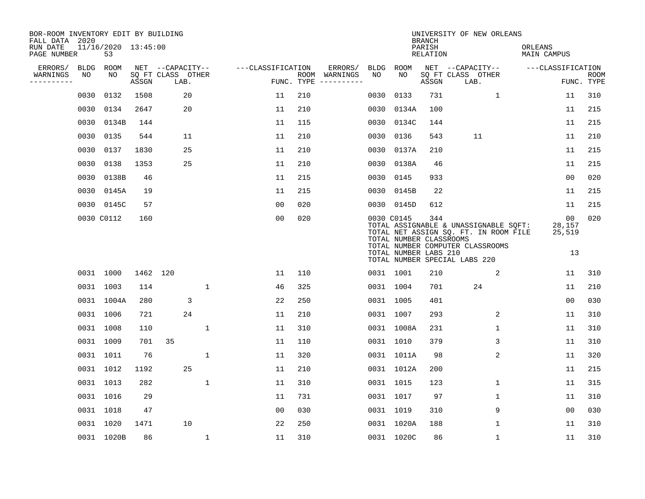| BOR-ROOM INVENTORY EDIT BY BUILDING<br>FALL DATA 2020 |             |                           |          |                           |              |                   |            |                              |             |                                                                | <b>BRANCH</b>             | UNIVERSITY OF NEW ORLEANS                                                                                                                           |                               |                           |
|-------------------------------------------------------|-------------|---------------------------|----------|---------------------------|--------------|-------------------|------------|------------------------------|-------------|----------------------------------------------------------------|---------------------------|-----------------------------------------------------------------------------------------------------------------------------------------------------|-------------------------------|---------------------------|
| RUN DATE<br>PAGE NUMBER                               |             | 11/16/2020 13:45:00<br>53 |          |                           |              |                   |            |                              |             |                                                                | PARISH<br><b>RELATION</b> |                                                                                                                                                     | ORLEANS<br><b>MAIN CAMPUS</b> |                           |
| ERRORS/                                               | <b>BLDG</b> | <b>ROOM</b>               |          | NET --CAPACITY--          |              | ---CLASSIFICATION |            | ERRORS/                      | <b>BLDG</b> | ROOM                                                           |                           | NET --CAPACITY--                                                                                                                                    | ---CLASSIFICATION             |                           |
| WARNINGS<br>----------                                | NO          | NO                        | ASSGN    | SQ FT CLASS OTHER<br>LAB. |              |                   | FUNC. TYPE | ROOM WARNINGS<br>----------- | NO          | NO                                                             | ASSGN                     | SQ FT CLASS OTHER<br>LAB.                                                                                                                           |                               | <b>ROOM</b><br>FUNC. TYPE |
|                                                       | 0030        | 0132                      | 1508     | 20                        |              | 11                | 210        |                              | 0030        | 0133                                                           | 731                       | $\mathbf{1}$                                                                                                                                        | 11                            | 310                       |
|                                                       | 0030        | 0134                      | 2647     | 20                        |              | 11                | 210        |                              | 0030        | 0134A                                                          | 100                       |                                                                                                                                                     | 11                            | 215                       |
|                                                       | 0030        | 0134B                     | 144      |                           |              | 11                | 115        |                              | 0030        | 0134C                                                          | 144                       |                                                                                                                                                     | 11                            | 215                       |
|                                                       | 0030        | 0135                      | 544      | 11                        |              | 11                | 210        |                              | 0030        | 0136                                                           | 543                       | 11                                                                                                                                                  | 11                            | 210                       |
|                                                       | 0030        | 0137                      | 1830     | 25                        |              | 11                | 210        |                              | 0030        | 0137A                                                          | 210                       |                                                                                                                                                     | 11                            | 215                       |
|                                                       | 0030        | 0138                      | 1353     | 25                        |              | 11                | 210        |                              | 0030        | 0138A                                                          | 46                        |                                                                                                                                                     | 11                            | 215                       |
|                                                       | 0030        | 0138B                     | 46       |                           |              | 11                | 215        |                              | 0030        | 0145                                                           | 933                       |                                                                                                                                                     | 00                            | 020                       |
|                                                       | 0030        | 0145A                     | 19       |                           |              | 11                | 215        |                              | 0030        | 0145B                                                          | 22                        |                                                                                                                                                     | 11                            | 215                       |
|                                                       | 0030        | 0145C                     | 57       |                           |              | 0 <sub>0</sub>    | 020        |                              |             | 0030 0145D                                                     | 612                       |                                                                                                                                                     | 11                            | 215                       |
|                                                       |             | 0030 C0112                | 160      |                           |              | 0 <sub>0</sub>    | 020        |                              |             | 0030 C0145<br>TOTAL NUMBER CLASSROOMS<br>TOTAL NUMBER LABS 210 | 344                       | TOTAL ASSIGNABLE & UNASSIGNABLE SQFT:<br>TOTAL NET ASSIGN SQ. FT. IN ROOM FILE<br>TOTAL NUMBER COMPUTER CLASSROOMS<br>TOTAL NUMBER SPECIAL LABS 220 | 00<br>28,157<br>25,519<br>13  | 020                       |
|                                                       |             | 0031 1000                 | 1462 120 |                           |              | 11                | 110        |                              |             | 0031 1001                                                      | 210                       | 2                                                                                                                                                   | 11                            | 310                       |
|                                                       |             | 0031 1003                 | 114      |                           | $\mathbf{1}$ | 46                | 325        |                              |             | 0031 1004                                                      | 701                       | 24                                                                                                                                                  | 11                            | 210                       |
|                                                       |             | 0031 1004A                | 280      | 3                         |              | 22                | 250        |                              | 0031 1005   |                                                                | 401                       |                                                                                                                                                     | 0 <sub>0</sub>                | 030                       |
|                                                       |             | 0031 1006                 | 721      | 24                        |              | 11                | 210        |                              | 0031 1007   |                                                                | 293                       | 2                                                                                                                                                   | 11                            | 310                       |
|                                                       |             | 0031 1008                 | 110      |                           | 1            | 11                | 310        |                              |             | 0031 1008A                                                     | 231                       | $\mathbf 1$                                                                                                                                         | 11                            | 310                       |
|                                                       |             | 0031 1009                 | 701      | 35                        |              | 11                | 110        |                              |             | 0031 1010                                                      | 379                       | 3                                                                                                                                                   | 11                            | 310                       |
|                                                       |             | 0031 1011                 | 76       |                           | $\mathbf{1}$ | 11                | 320        |                              |             | 0031 1011A                                                     | 98                        | 2                                                                                                                                                   | 11                            | 320                       |
|                                                       |             | 0031 1012                 | 1192     | 25                        |              | 11                | 210        |                              |             | 0031 1012A                                                     | 200                       |                                                                                                                                                     | 11                            | 215                       |
|                                                       |             | 0031 1013                 | 282      |                           | $\mathbf{1}$ | 11                | 310        |                              |             | 0031 1015                                                      | 123                       | 1                                                                                                                                                   | 11                            | 315                       |
|                                                       |             | 0031 1016                 | 29       |                           |              | 11                | 731        |                              |             | 0031 1017                                                      | 97                        | 1                                                                                                                                                   | 11                            | 310                       |
|                                                       |             | 0031 1018                 | 47       |                           |              | 0 <sub>0</sub>    | 030        |                              |             | 0031 1019                                                      | 310                       | 9                                                                                                                                                   | 00                            | 030                       |
|                                                       |             | 0031 1020                 | 1471     | 10                        |              | 22                | 250        |                              |             | 0031 1020A                                                     | 188                       | 1                                                                                                                                                   | 11                            | 310                       |
|                                                       |             | 0031 1020B                | 86       |                           | $\mathbf{1}$ | 11                | 310        |                              |             | 0031 1020C                                                     | 86                        | $\mathbf{1}$                                                                                                                                        | 11                            | 310                       |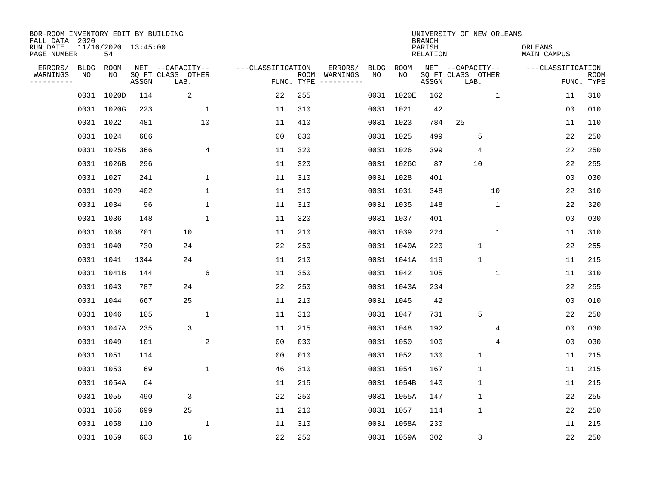| BOR-ROOM INVENTORY EDIT BY BUILDING<br>FALL DATA 2020 |             |                           |                                 |                           |                   |                    |                         |      |            | <b>BRANCH</b>             | UNIVERSITY OF NEW ORLEANS |              |                        |                           |
|-------------------------------------------------------|-------------|---------------------------|---------------------------------|---------------------------|-------------------|--------------------|-------------------------|------|------------|---------------------------|---------------------------|--------------|------------------------|---------------------------|
| RUN DATE<br>PAGE NUMBER                               |             | 11/16/2020 13:45:00<br>54 |                                 |                           |                   |                    |                         |      |            | PARISH<br><b>RELATION</b> |                           |              | ORLEANS<br>MAIN CAMPUS |                           |
| ERRORS/                                               | <b>BLDG</b> | ROOM                      |                                 | NET --CAPACITY--          | ---CLASSIFICATION |                    | ERRORS/                 | BLDG | ROOM       |                           | NET --CAPACITY--          |              | ---CLASSIFICATION      |                           |
| WARNINGS<br>----------                                | NO          | NO                        | $\operatorname{\mathsf{ASSGN}}$ | SQ FT CLASS OTHER<br>LAB. |                   | ROOM<br>FUNC. TYPE | WARNINGS<br>----------- | NO   | NO         | ASSGN                     | SQ FT CLASS OTHER<br>LAB. |              |                        | <b>ROOM</b><br>FUNC. TYPE |
|                                                       |             | 0031 1020D                | 114                             | 2                         | 22                | 255                |                         |      | 0031 1020E | 162                       |                           | $\mathbf{1}$ | 11                     | 310                       |
|                                                       |             | 0031 1020G                | 223                             | 1                         | 11                | 310                |                         |      | 0031 1021  | 42                        |                           |              | 00                     | 010                       |
|                                                       |             | 0031 1022                 | 481                             | 10                        | 11                | 410                |                         |      | 0031 1023  | 784                       | 25                        |              | 11                     | 110                       |
|                                                       |             | 0031 1024                 | 686                             |                           | 0 <sub>0</sub>    | 030                |                         |      | 0031 1025  | 499                       | 5                         |              | 22                     | 250                       |
|                                                       |             | 0031 1025B                | 366                             | 4                         | 11                | 320                |                         |      | 0031 1026  | 399                       | 4                         |              | 22                     | 250                       |
|                                                       |             | 0031 1026B                | 296                             |                           | 11                | 320                |                         |      | 0031 1026C | 87                        | 10                        |              | 22                     | 255                       |
|                                                       |             | 0031 1027                 | 241                             | $\mathbf 1$               | 11                | 310                |                         |      | 0031 1028  | 401                       |                           |              | 0 <sub>0</sub>         | 030                       |
|                                                       |             | 0031 1029                 | 402                             | $\mathbf{1}$              | 11                | 310                |                         |      | 0031 1031  | 348                       |                           | 10           | 22                     | 310                       |
|                                                       |             | 0031 1034                 | 96                              | $\mathbf 1$               | 11                | 310                |                         |      | 0031 1035  | 148                       |                           | $\mathbf 1$  | 22                     | 320                       |
|                                                       |             | 0031 1036                 | 148                             | 1                         | 11                | 320                |                         |      | 0031 1037  | 401                       |                           |              | 0 <sub>0</sub>         | 030                       |
|                                                       |             | 0031 1038                 | 701                             | 10                        | 11                | 210                |                         |      | 0031 1039  | 224                       |                           | $\mathbf{1}$ | 11                     | 310                       |
|                                                       |             | 0031 1040                 | 730                             | 24                        | 22                | 250                |                         |      | 0031 1040A | 220                       | $\mathbf 1$               |              | 22                     | 255                       |
|                                                       |             | 0031 1041                 | 1344                            | 24                        | 11                | 210                |                         |      | 0031 1041A | 119                       | $\mathbf{1}$              |              | 11                     | 215                       |
|                                                       |             | 0031 1041B                | 144                             | 6                         | 11                | 350                |                         |      | 0031 1042  | 105                       |                           | 1            | 11                     | 310                       |
|                                                       |             | 0031 1043                 | 787                             | 24                        | 22                | 250                |                         |      | 0031 1043A | 234                       |                           |              | 22                     | 255                       |
|                                                       |             | 0031 1044                 | 667                             | 25                        | 11                | 210                |                         |      | 0031 1045  | 42                        |                           |              | 0 <sub>0</sub>         | 010                       |
|                                                       |             | 0031 1046                 | 105                             | 1                         | 11                | 310                |                         |      | 0031 1047  | 731                       | 5                         |              | 22                     | 250                       |
|                                                       |             | 0031 1047A                | 235                             | 3                         | 11                | 215                |                         |      | 0031 1048  | 192                       |                           | 4            | 0 <sub>0</sub>         | 030                       |
|                                                       |             | 0031 1049                 | 101                             | 2                         | 0 <sub>0</sub>    | 030                |                         |      | 0031 1050  | 100                       |                           | 4            | 0 <sub>0</sub>         | 030                       |
|                                                       |             | 0031 1051                 | 114                             |                           | 0 <sub>0</sub>    | 010                |                         |      | 0031 1052  | 130                       | $\mathbf 1$               |              | 11                     | 215                       |
|                                                       |             | 0031 1053                 | 69                              | $\mathbf{1}$              | 46                | 310                |                         |      | 0031 1054  | 167                       | 1                         |              | 11                     | 215                       |
|                                                       |             | 0031 1054A                | 64                              |                           | 11                | 215                |                         |      | 0031 1054B | 140                       | $\mathbf{1}$              |              | 11                     | 215                       |
|                                                       |             | 0031 1055                 | 490                             | 3                         | 22                | 250                |                         |      | 0031 1055A | 147                       | $\mathbf{1}$              |              | 22                     | 255                       |
|                                                       |             | 0031 1056                 | 699                             | 25                        | 11                | 210                |                         |      | 0031 1057  | 114                       | 1                         |              | 22                     | 250                       |
|                                                       |             | 0031 1058                 | 110                             | 1                         | 11                | 310                |                         |      | 0031 1058A | 230                       |                           |              | 11                     | 215                       |
|                                                       |             | 0031 1059                 | 603                             | 16                        | 22                | 250                |                         |      | 0031 1059A | 302                       | 3                         |              | 22                     | 250                       |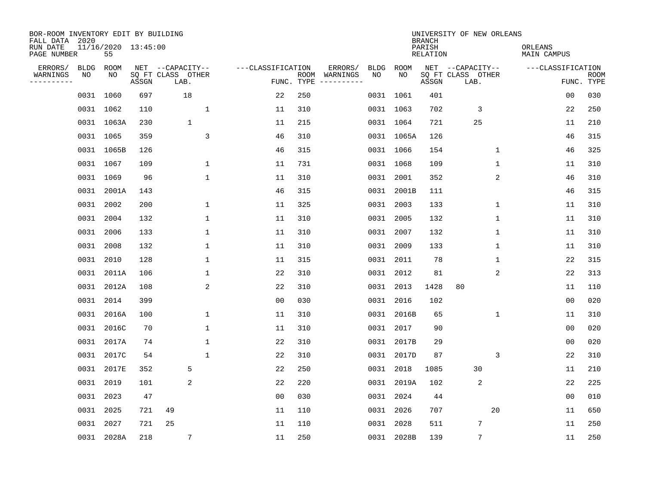| BOR-ROOM INVENTORY EDIT BY BUILDING<br>FALL DATA 2020 |             |                           |       |                           |                   |                    |                         |      |            | <b>BRANCH</b>             | UNIVERSITY OF NEW ORLEANS |                |                        |                           |
|-------------------------------------------------------|-------------|---------------------------|-------|---------------------------|-------------------|--------------------|-------------------------|------|------------|---------------------------|---------------------------|----------------|------------------------|---------------------------|
| RUN DATE<br>PAGE NUMBER                               |             | 11/16/2020 13:45:00<br>55 |       |                           |                   |                    |                         |      |            | PARISH<br><b>RELATION</b> |                           |                | ORLEANS<br>MAIN CAMPUS |                           |
| ERRORS/                                               | <b>BLDG</b> | ROOM                      |       | NET --CAPACITY--          | ---CLASSIFICATION |                    | ERRORS/                 | BLDG | ROOM       |                           | NET --CAPACITY--          |                | ---CLASSIFICATION      |                           |
| WARNINGS<br>-----------                               | NO          | NO                        | ASSGN | SQ FT CLASS OTHER<br>LAB. |                   | ROOM<br>FUNC. TYPE | WARNINGS<br>----------- | NO   | NO         | ASSGN                     | SQ FT CLASS OTHER<br>LAB. |                |                        | <b>ROOM</b><br>FUNC. TYPE |
|                                                       |             | 0031 1060                 | 697   | 18                        | 22                | 250                |                         |      | 0031 1061  | 401                       |                           |                | 00                     | 030                       |
|                                                       |             | 0031 1062                 | 110   | $\mathbf 1$               | 11                | 310                |                         |      | 0031 1063  | 702                       | 3                         |                | 22                     | 250                       |
|                                                       |             | 0031 1063A                | 230   | $\mathbf{1}$              | 11                | 215                |                         |      | 0031 1064  | 721                       | 25                        |                | 11                     | 210                       |
|                                                       |             | 0031 1065                 | 359   | $\overline{3}$            | 46                | 310                |                         |      | 0031 1065A | 126                       |                           |                | 46                     | 315                       |
|                                                       |             | 0031 1065B                | 126   |                           | 46                | 315                |                         |      | 0031 1066  | 154                       |                           | $\mathbf 1$    | 46                     | 325                       |
|                                                       |             | 0031 1067                 | 109   | $\mathbf 1$               | 11                | 731                |                         |      | 0031 1068  | 109                       |                           | 1              | 11                     | 310                       |
|                                                       |             | 0031 1069                 | 96    | $\mathbf{1}$              | 11                | 310                |                         |      | 0031 2001  | 352                       |                           | 2              | 46                     | 310                       |
|                                                       |             | 0031 2001A                | 143   |                           | 46                | 315                |                         |      | 0031 2001B | 111                       |                           |                | 46                     | 315                       |
|                                                       | 0031        | 2002                      | 200   | $\mathbf 1$               | 11                | 325                |                         | 0031 | 2003       | 133                       |                           | $\mathbf 1$    | 11                     | 310                       |
|                                                       | 0031        | 2004                      | 132   | 1                         | 11                | 310                |                         |      | 0031 2005  | 132                       |                           | 1              | 11                     | 310                       |
|                                                       | 0031        | 2006                      | 133   | $\mathbf{1}$              | 11                | 310                |                         |      | 0031 2007  | 132                       |                           | 1              | 11                     | 310                       |
|                                                       | 0031        | 2008                      | 132   | 1                         | 11                | 310                |                         |      | 0031 2009  | 133                       |                           | 1              | 11                     | 310                       |
|                                                       | 0031        | 2010                      | 128   | $\mathbf{1}$              | 11                | 315                |                         | 0031 | 2011       | 78                        |                           | 1              | 22                     | 315                       |
|                                                       | 0031        | 2011A                     | 106   | 1                         | 22                | 310                |                         | 0031 | 2012       | 81                        |                           | $\overline{c}$ | 22                     | 313                       |
|                                                       | 0031        | 2012A                     | 108   | 2                         | 22                | 310                |                         | 0031 | 2013       | 1428                      | 80                        |                | 11                     | 110                       |
|                                                       | 0031        | 2014                      | 399   |                           | 0 <sub>0</sub>    | 030                |                         | 0031 | 2016       | 102                       |                           |                | 0 <sub>0</sub>         | 020                       |
|                                                       | 0031        | 2016A                     | 100   | 1                         | 11                | 310                |                         | 0031 | 2016B      | 65                        |                           | 1              | 11                     | 310                       |
|                                                       | 0031        | 2016C                     | 70    | $\mathbf 1$               | 11                | 310                |                         | 0031 | 2017       | 90                        |                           |                | 0 <sub>0</sub>         | 020                       |
|                                                       | 0031        | 2017A                     | 74    | $\mathbf{1}$              | 22                | 310                |                         |      | 0031 2017B | 29                        |                           |                | 0 <sub>0</sub>         | 020                       |
|                                                       | 0031        | 2017C                     | 54    | $\mathbf{1}$              | 22                | 310                |                         | 0031 | 2017D      | 87                        |                           | 3              | 22                     | 310                       |
|                                                       | 0031        | 2017E                     | 352   | 5                         | 22                | 250                |                         | 0031 | 2018       | 1085                      | 30                        |                | 11                     | 210                       |
|                                                       | 0031        | 2019                      | 101   | 2                         | 22                | 220                |                         |      | 0031 2019A | 102                       | 2                         |                | 22                     | 225                       |
|                                                       | 0031        | 2023                      | 47    |                           | 0 <sub>0</sub>    | 030                |                         | 0031 | 2024       | 44                        |                           |                | 0 <sub>0</sub>         | 010                       |
|                                                       | 0031        | 2025                      | 721   | 49                        | 11                | 110                |                         |      | 0031 2026  | 707                       |                           | 20             | 11                     | 650                       |
|                                                       | 0031        | 2027                      | 721   | 25                        | 11                | 110                |                         | 0031 | 2028       | 511                       | 7                         |                | 11                     | 250                       |
|                                                       |             | 0031 2028A                | 218   | 7                         | 11                | 250                |                         |      | 0031 2028B | 139                       | $\overline{7}$            |                | 11                     | 250                       |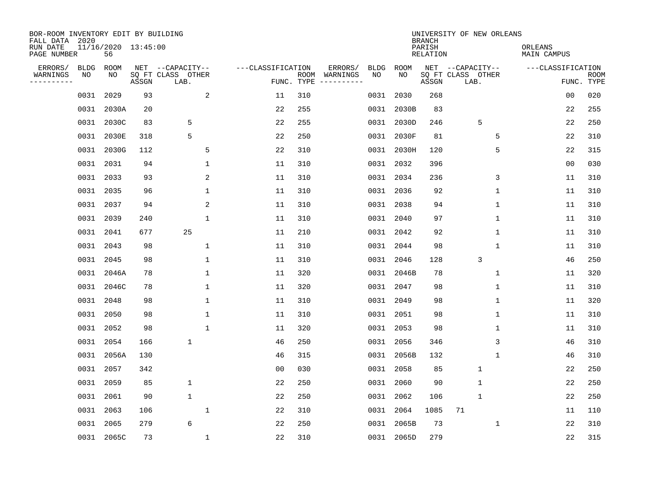| BOR-ROOM INVENTORY EDIT BY BUILDING<br>FALL DATA 2020 |             |                           |       |                           |                   |                    |                         |             |            | <b>BRANCH</b>             | UNIVERSITY OF NEW ORLEANS |                        |                           |
|-------------------------------------------------------|-------------|---------------------------|-------|---------------------------|-------------------|--------------------|-------------------------|-------------|------------|---------------------------|---------------------------|------------------------|---------------------------|
| RUN DATE<br>PAGE NUMBER                               |             | 11/16/2020 13:45:00<br>56 |       |                           |                   |                    |                         |             |            | PARISH<br><b>RELATION</b> |                           | ORLEANS<br>MAIN CAMPUS |                           |
| ERRORS/                                               | <b>BLDG</b> | ROOM                      |       | NET --CAPACITY--          | ---CLASSIFICATION |                    | ERRORS/                 | <b>BLDG</b> | ROOM       |                           | NET --CAPACITY--          | ---CLASSIFICATION      |                           |
| WARNINGS<br>----------                                | NO          | NO                        | ASSGN | SQ FT CLASS OTHER<br>LAB. |                   | ROOM<br>FUNC. TYPE | WARNINGS<br>----------- | NO          | NO         | ASSGN                     | SQ FT CLASS OTHER<br>LAB. |                        | <b>ROOM</b><br>FUNC. TYPE |
|                                                       | 0031        | 2029                      | 93    | 2                         | 11                | 310                |                         | 0031        | 2030       | 268                       |                           | 00                     | 020                       |
|                                                       | 0031        | 2030A                     | 20    |                           | 22                | 255                |                         | 0031        | 2030B      | 83                        |                           | 22                     | 255                       |
|                                                       |             | 0031 2030C                | 83    | 5                         | 22                | 255                |                         |             | 0031 2030D | 246                       | 5                         | 22                     | 250                       |
|                                                       | 0031        | 2030E                     | 318   | 5                         | 22                | 250                |                         |             | 0031 2030F | 81                        | 5                         | 22                     | 310                       |
|                                                       | 0031        | 2030G                     | 112   | 5                         | 22                | 310                |                         |             | 0031 2030H | 120                       | 5                         | 22                     | 315                       |
|                                                       | 0031 2031   |                           | 94    | $\mathbf{1}$              | 11                | 310                |                         |             | 0031 2032  | 396                       |                           | 0 <sub>0</sub>         | 030                       |
|                                                       | 0031        | 2033                      | 93    | $\overline{c}$            | 11                | 310                |                         |             | 0031 2034  | 236                       | 3                         | 11                     | 310                       |
|                                                       | 0031 2035   |                           | 96    | $\mathbf 1$               | 11                | 310                |                         |             | 0031 2036  | 92                        | 1                         | 11                     | 310                       |
|                                                       | 0031        | 2037                      | 94    | 2                         | 11                | 310                |                         | 0031        | 2038       | 94                        | $\mathbf 1$               | 11                     | 310                       |
|                                                       | 0031        | 2039                      | 240   | 1                         | 11                | 310                |                         |             | 0031 2040  | 97                        | 1                         | 11                     | 310                       |
|                                                       | 0031        | 2041                      | 677   | 25                        | 11                | 210                |                         | 0031        | 2042       | 92                        | 1                         | 11                     | 310                       |
|                                                       | 0031        | 2043                      | 98    | 1                         | 11                | 310                |                         |             | 0031 2044  | 98                        | 1                         | 11                     | 310                       |
|                                                       | 0031        | 2045                      | 98    | $\mathbf{1}$              | 11                | 310                |                         | 0031        | 2046       | 128                       | 3                         | 46                     | 250                       |
|                                                       |             | 0031 2046A                | 78    | 1                         | 11                | 320                |                         |             | 0031 2046B | 78                        | $\mathbf 1$               | 11                     | 320                       |
|                                                       | 0031        | 2046C                     | 78    | 1                         | 11                | 320                |                         | 0031        | 2047       | 98                        | 1                         | 11                     | 310                       |
|                                                       | 0031 2048   |                           | 98    | 1                         | 11                | 310                |                         |             | 0031 2049  | 98                        | 1                         | 11                     | 320                       |
|                                                       | 0031        | 2050                      | 98    | 1                         | 11                | 310                |                         | 0031        | 2051       | 98                        | 1                         | 11                     | 310                       |
|                                                       | 0031        | 2052                      | 98    | $\mathbf{1}$              | 11                | 320                |                         |             | 0031 2053  | 98                        | 1                         | 11                     | 310                       |
|                                                       | 0031        | 2054                      | 166   | 1                         | 46                | 250                |                         | 0031        | 2056       | 346                       | 3                         | 46                     | 310                       |
|                                                       | 0031        | 2056A                     | 130   |                           | 46                | 315                |                         | 0031        | 2056B      | 132                       | 1                         | 46                     | 310                       |
|                                                       | 0031        | 2057                      | 342   |                           | 0 <sub>0</sub>    | 030                |                         | 0031        | 2058       | 85                        | $\mathbf{1}$              | 22                     | 250                       |
|                                                       | 0031        | 2059                      | 85    | $\mathbf 1$               | 22                | 250                |                         | 0031        | 2060       | 90                        | 1                         | 22                     | 250                       |
|                                                       | 0031        | 2061                      | 90    | $\mathbf 1$               | 22                | 250                |                         | 0031        | 2062       | 106                       | $\mathbf{1}$              | 22                     | 250                       |
|                                                       | 0031        | 2063                      | 106   | 1                         | 22                | 310                |                         | 0031        | 2064       | 1085                      | 71                        | 11                     | 110                       |
|                                                       | 0031        | 2065                      | 279   | 6                         | 22                | 250                |                         | 0031        | 2065B      | 73                        | 1                         | 22                     | 310                       |
|                                                       |             | 0031 2065C                | 73    | $\mathbf{1}$              | 22                | 310                |                         |             | 0031 2065D | 279                       |                           | 22                     | 315                       |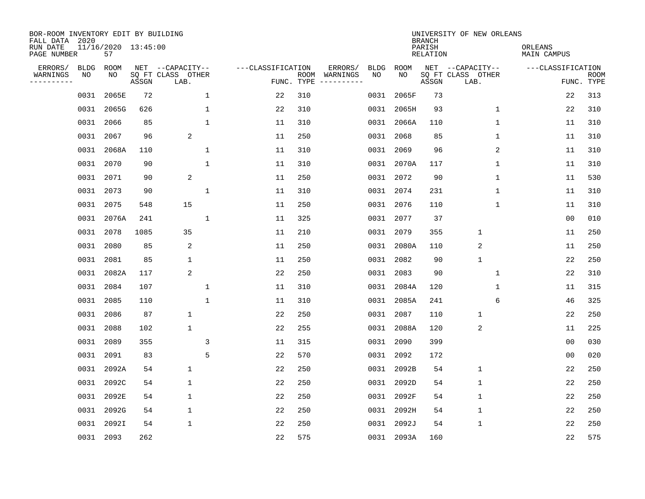| BOR-ROOM INVENTORY EDIT BY BUILDING<br>FALL DATA 2020 |             |                           |       |                           |                   |                    |                         |             |             | <b>BRANCH</b>             | UNIVERSITY OF NEW ORLEANS |                        |                           |
|-------------------------------------------------------|-------------|---------------------------|-------|---------------------------|-------------------|--------------------|-------------------------|-------------|-------------|---------------------------|---------------------------|------------------------|---------------------------|
| RUN DATE<br>PAGE NUMBER                               |             | 11/16/2020 13:45:00<br>57 |       |                           |                   |                    |                         |             |             | PARISH<br><b>RELATION</b> |                           | ORLEANS<br>MAIN CAMPUS |                           |
| ERRORS/                                               | <b>BLDG</b> | ROOM                      |       | NET --CAPACITY--          | ---CLASSIFICATION |                    | ERRORS/                 | <b>BLDG</b> | <b>ROOM</b> |                           | NET --CAPACITY--          | ---CLASSIFICATION      |                           |
| WARNINGS<br>----------                                | NO          | NO                        | ASSGN | SQ FT CLASS OTHER<br>LAB. |                   | ROOM<br>FUNC. TYPE | WARNINGS<br>----------- | NO          | NO          | ASSGN                     | SQ FT CLASS OTHER<br>LAB. |                        | <b>ROOM</b><br>FUNC. TYPE |
|                                                       | 0031        | 2065E                     | 72    | $\mathbf 1$               | 22                | 310                |                         | 0031        | 2065F       | 73                        |                           | 22                     | 313                       |
|                                                       | 0031        | 2065G                     | 626   | 1                         | 22                | 310                |                         | 0031        | 2065H       | 93                        | 1                         | 22                     | 310                       |
|                                                       | 0031        | 2066                      | 85    | $\mathbf{1}$              | 11                | 310                |                         |             | 0031 2066A  | 110                       | 1                         | 11                     | 310                       |
|                                                       | 0031        | 2067                      | 96    | 2                         | 11                | 250                |                         | 0031        | 2068        | 85                        | 1                         | 11                     | 310                       |
|                                                       | 0031        | 2068A                     | 110   | $\mathbf 1$               | 11                | 310                |                         |             | 0031 2069   | 96                        | 2                         | 11                     | 310                       |
|                                                       |             | 0031 2070                 | 90    | $\mathbf{1}$              | 11                | 310                |                         |             | 0031 2070A  | 117                       | 1                         | 11                     | 310                       |
|                                                       | 0031        | 2071                      | 90    | 2                         | 11                | 250                |                         |             | 0031 2072   | 90                        | $\mathbf{1}$              | 11                     | 530                       |
|                                                       | 0031        | 2073                      | 90    | $\mathbf{1}$              | 11                | 310                |                         |             | 0031 2074   | 231                       | $\mathbf{1}$              | 11                     | 310                       |
|                                                       | 0031        | 2075                      | 548   | 15                        | 11                | 250                |                         | 0031        | 2076        | 110                       | $\mathbf 1$               | 11                     | 310                       |
|                                                       |             | 0031 2076A                | 241   | 1                         | 11                | 325                |                         |             | 0031 2077   | 37                        |                           | 0 <sub>0</sub>         | 010                       |
|                                                       | 0031        | 2078                      | 1085  | 35                        | 11                | 210                |                         |             | 0031 2079   | 355                       | $\mathbf{1}$              | 11                     | 250                       |
|                                                       | 0031        | 2080                      | 85    | 2                         | 11                | 250                |                         |             | 0031 2080A  | 110                       | 2                         | 11                     | 250                       |
|                                                       | 0031        | 2081                      | 85    | $\mathbf 1$               | 11                | 250                |                         | 0031        | 2082        | 90                        | $\mathbf{1}$              | 22                     | 250                       |
|                                                       | 0031        | 2082A                     | 117   | 2                         | 22                | 250                |                         | 0031        | 2083        | 90                        | 1                         | 22                     | 310                       |
|                                                       | 0031        | 2084                      | 107   | $\mathbf{1}$              | 11                | 310                |                         | 0031        | 2084A       | 120                       | 1                         | 11                     | 315                       |
|                                                       | 0031        | 2085                      | 110   | $\mathbf{1}$              | 11                | 310                |                         | 0031        | 2085A       | 241                       | 6                         | 46                     | 325                       |
|                                                       | 0031        | 2086                      | 87    | 1                         | 22                | 250                |                         | 0031        | 2087        | 110                       | $\mathbf{1}$              | 22                     | 250                       |
|                                                       | 0031        | 2088                      | 102   | $\mathbf 1$               | 22                | 255                |                         | 0031        | 2088A       | 120                       | $\sqrt{2}$                | 11                     | 225                       |
|                                                       | 0031        | 2089                      | 355   | 3                         | 11                | 315                |                         | 0031        | 2090        | 399                       |                           | 0 <sub>0</sub>         | 030                       |
|                                                       | 0031        | 2091                      | 83    | 5                         | 22                | 570                |                         | 0031        | 2092        | 172                       |                           | 0 <sub>0</sub>         | 020                       |
|                                                       | 0031        | 2092A                     | 54    | $\mathbf 1$               | 22                | 250                |                         | 0031        | 2092B       | 54                        | $\mathbf 1$               | 22                     | 250                       |
|                                                       | 0031        | 2092C                     | 54    | $\mathbf 1$               | 22                | 250                |                         | 0031        | 2092D       | 54                        | $\mathbf 1$               | 22                     | 250                       |
|                                                       | 0031        | 2092E                     | 54    | $\mathbf 1$               | 22                | 250                |                         |             | 0031 2092F  | 54                        | $\mathbf{1}$              | 22                     | 250                       |
|                                                       | 0031        | 2092G                     | 54    | $\mathbf 1$               | 22                | 250                |                         |             | 0031 2092H  | 54                        | $\mathbf 1$               | 22                     | 250                       |
|                                                       | 0031        | 2092I                     | 54    | 1                         | 22                | 250                |                         | 0031        | 2092J       | 54                        | $\mathbf{1}$              | 22                     | 250                       |
|                                                       |             | 0031 2093                 | 262   |                           | 22                | 575                |                         |             | 0031 2093A  | 160                       |                           | 22                     | 575                       |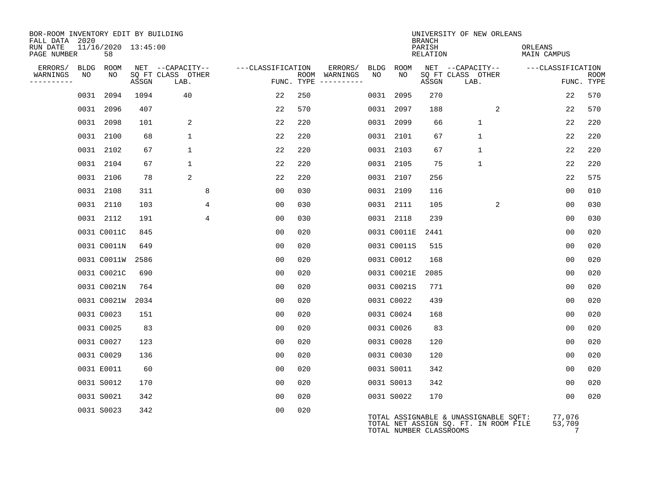| BOR-ROOM INVENTORY EDIT BY BUILDING<br>FALL DATA 2020 |                           |       |                           |                   |     |                                      |      |                         | <b>BRANCH</b>      | UNIVERSITY OF NEW ORLEANS                                                      |                        |                           |
|-------------------------------------------------------|---------------------------|-------|---------------------------|-------------------|-----|--------------------------------------|------|-------------------------|--------------------|--------------------------------------------------------------------------------|------------------------|---------------------------|
| RUN DATE<br>PAGE NUMBER                               | 11/16/2020 13:45:00<br>58 |       |                           |                   |     |                                      |      |                         | PARISH<br>RELATION |                                                                                | ORLEANS<br>MAIN CAMPUS |                           |
| ERRORS/<br>BLDG                                       | ROOM                      |       | NET --CAPACITY--          | ---CLASSIFICATION |     | ERRORS/                              | BLDG | ROOM                    |                    | NET --CAPACITY--                                                               | ---CLASSIFICATION      |                           |
| WARNINGS<br>NO<br>---------                           | NO                        | ASSGN | SQ FT CLASS OTHER<br>LAB. |                   |     | ROOM WARNINGS<br>FUNC. TYPE $------$ | NO   | NO                      | ASSGN              | SQ FT CLASS OTHER<br>LAB.                                                      |                        | <b>ROOM</b><br>FUNC. TYPE |
|                                                       | 0031 2094                 | 1094  | 40                        | 22                | 250 |                                      |      | 0031 2095               | 270                |                                                                                | 22                     | 570                       |
|                                                       | 0031 2096                 | 407   |                           | 22                | 570 |                                      |      | 0031 2097               | 188                | 2                                                                              | 22                     | 570                       |
|                                                       | 0031 2098                 | 101   | 2                         | 22                | 220 |                                      |      | 0031 2099               | 66                 | $\mathbf{1}$                                                                   | 22                     | 220                       |
|                                                       | 0031 2100                 | 68    | $\mathbf 1$               | 22                | 220 |                                      |      | 0031 2101               | 67                 | $\mathbf{1}$                                                                   | 22                     | 220                       |
|                                                       | 0031 2102                 | 67    | $\mathbf{1}$              | 22                | 220 |                                      |      | 0031 2103               | 67                 | $\mathbf{1}$                                                                   | 22                     | 220                       |
|                                                       | 0031 2104                 | 67    | $\mathbf{1}$              | 22                | 220 |                                      |      | 0031 2105               | 75                 | $\mathbf{1}$                                                                   | 22                     | 220                       |
|                                                       | 0031 2106                 | 78    | 2                         | 22                | 220 |                                      |      | 0031 2107               | 256                |                                                                                | 22                     | 575                       |
|                                                       | 0031 2108                 | 311   | 8                         | 00                | 030 |                                      |      | 0031 2109               | 116                |                                                                                | 0 <sub>0</sub>         | 010                       |
|                                                       | 0031 2110                 | 103   | 4                         | 0 <sub>0</sub>    | 030 |                                      |      | 0031 2111               | 105                | 2                                                                              | 0 <sub>0</sub>         | 030                       |
|                                                       | 0031 2112                 | 191   | 4                         | 00                | 030 |                                      |      | 0031 2118               | 239                |                                                                                | 00                     | 030                       |
|                                                       | 0031 C0011C               | 845   |                           | 0 <sub>0</sub>    | 020 |                                      |      | 0031 C0011E             | 2441               |                                                                                | 00                     | 020                       |
|                                                       | 0031 C0011N               | 649   |                           | 0 <sub>0</sub>    | 020 |                                      |      | 0031 C0011S             | 515                |                                                                                | 0 <sub>0</sub>         | 020                       |
|                                                       | 0031 C0011W               | 2586  |                           | 0 <sub>0</sub>    | 020 |                                      |      | 0031 C0012              | 168                |                                                                                | 0 <sub>0</sub>         | 020                       |
|                                                       | 0031 C0021C               | 690   |                           | 00                | 020 |                                      |      | 0031 C0021E             | 2085               |                                                                                | 00                     | 020                       |
|                                                       | 0031 C0021N               | 764   |                           | 0 <sub>0</sub>    | 020 |                                      |      | 0031 C0021S             | 771                |                                                                                | 00                     | 020                       |
|                                                       | 0031 C0021W               | 2034  |                           | 0 <sub>0</sub>    | 020 |                                      |      | 0031 C0022              | 439                |                                                                                | 0 <sub>0</sub>         | 020                       |
|                                                       | 0031 C0023                | 151   |                           | 0 <sub>0</sub>    | 020 |                                      |      | 0031 C0024              | 168                |                                                                                | 0 <sub>0</sub>         | 020                       |
|                                                       | 0031 C0025                | 83    |                           | 0 <sub>0</sub>    | 020 |                                      |      | 0031 C0026              | 83                 |                                                                                | 00                     | 020                       |
|                                                       | 0031 C0027                | 123   |                           | 00                | 020 |                                      |      | 0031 C0028              | 120                |                                                                                | 00                     | 020                       |
|                                                       | 0031 C0029                | 136   |                           | 0 <sub>0</sub>    | 020 |                                      |      | 0031 C0030              | 120                |                                                                                | 0 <sub>0</sub>         | 020                       |
|                                                       | 0031 E0011                | 60    |                           | 0 <sub>0</sub>    | 020 |                                      |      | 0031 S0011              | 342                |                                                                                | 0 <sub>0</sub>         | 020                       |
|                                                       | 0031 S0012                | 170   |                           | 0 <sub>0</sub>    | 020 |                                      |      | 0031 S0013              | 342                |                                                                                | 00                     | 020                       |
|                                                       | 0031 S0021                | 342   |                           | 0 <sub>0</sub>    | 020 |                                      |      | 0031 S0022              | 170                |                                                                                | 0 <sub>0</sub>         | 020                       |
|                                                       | 0031 S0023                | 342   |                           | 0 <sub>0</sub>    | 020 |                                      |      | TOTAL NUMBER CLASSROOMS |                    | TOTAL ASSIGNABLE & UNASSIGNABLE SQFT:<br>TOTAL NET ASSIGN SQ. FT. IN ROOM FILE | 77,076<br>53,709<br>7  |                           |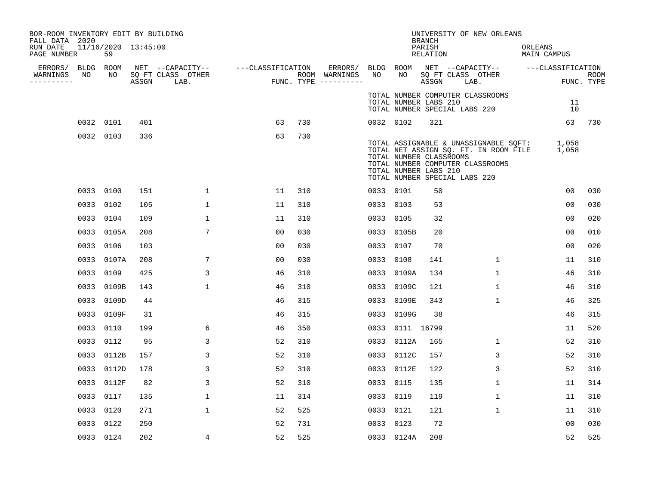| BOR-ROOM INVENTORY EDIT BY BUILDING<br>FALL DATA 2020 |           |                           |       |                                       |                   |     |                          |                 |                 |                                                  | UNIVERSITY OF NEW ORLEANS                                                                                                                                       |                        |          |                    |
|-------------------------------------------------------|-----------|---------------------------|-------|---------------------------------------|-------------------|-----|--------------------------|-----------------|-----------------|--------------------------------------------------|-----------------------------------------------------------------------------------------------------------------------------------------------------------------|------------------------|----------|--------------------|
| RUN DATE<br>PAGE NUMBER                               |           | 11/16/2020 13:45:00<br>59 |       |                                       |                   |     |                          |                 |                 | BRANCH<br>PARISH<br>RELATION                     |                                                                                                                                                                 | ORLEANS<br>MAIN CAMPUS |          |                    |
| ERRORS/ BLDG ROOM<br>WARNINGS                         | NO        | NO                        |       | NET --CAPACITY--<br>SQ FT CLASS OTHER | ---CLASSIFICATION |     | ERRORS/<br>ROOM WARNINGS | BLDG ROOM<br>NO | NO              |                                                  | NET --CAPACITY-- ---CLASSIFICATION<br>SQ FT CLASS OTHER                                                                                                         |                        |          |                    |
| -----------                                           |           |                           | ASSGN | LAB.                                  |                   |     | FUNC. TYPE $------$      |                 |                 | ASSGN                                            | LAB.                                                                                                                                                            |                        |          | ROOM<br>FUNC. TYPE |
|                                                       |           |                           |       |                                       |                   |     |                          |                 |                 | TOTAL NUMBER LABS 210                            | TOTAL NUMBER COMPUTER CLASSROOMS<br>TOTAL NUMBER SPECIAL LABS 220                                                                                               |                        | 11<br>10 |                    |
|                                                       | 0032 0101 |                           | 401   |                                       | 63                | 730 |                          | 0032 0102       |                 | 321                                              |                                                                                                                                                                 |                        |          | 63 730             |
|                                                       | 0032 0103 |                           | 336   |                                       | 63                | 730 |                          |                 |                 | TOTAL NUMBER CLASSROOMS<br>TOTAL NUMBER LABS 210 | TOTAL ASSIGNABLE & UNASSIGNABLE SQFT: 1,058<br>TOTAL NET ASSIGN SQ. FT. IN ROOM FILE 1,058<br>TOTAL NUMBER COMPUTER CLASSROOMS<br>TOTAL NUMBER SPECIAL LABS 220 |                        |          |                    |
|                                                       | 0033 0100 |                           | 151   | $\mathbf{1}$                          | 11                | 310 |                          | 0033 0101       |                 | 50                                               |                                                                                                                                                                 |                        | 00       | 030                |
|                                                       | 0033 0102 |                           | 105   | $\mathbf{1}$                          | 11                | 310 |                          | 0033 0103       |                 | 53                                               |                                                                                                                                                                 |                        | 00       | 030                |
|                                                       | 0033 0104 |                           | 109   | 1                                     | 11                | 310 |                          | 0033 0105       |                 | 32                                               |                                                                                                                                                                 |                        | 00       | 020                |
|                                                       |           | 0033 0105A                | 208   | 7                                     | 0 <sub>0</sub>    | 030 |                          |                 | 0033 0105B      | 20                                               |                                                                                                                                                                 |                        | 00       | 010                |
|                                                       | 0033 0106 |                           | 103   |                                       | 0 <sub>0</sub>    | 030 |                          | 0033 0107       |                 | 70                                               |                                                                                                                                                                 |                        | 00       | 020                |
|                                                       | 0033      | 0107A                     | 208   | 7                                     | 0 <sub>0</sub>    | 030 |                          | 0033            | 0108            | 141                                              | $\mathbf 1$                                                                                                                                                     |                        | 11       | 310                |
|                                                       | 0033 0109 |                           | 425   | 3                                     | 46                | 310 |                          |                 | 0033 0109A      | 134                                              | $\mathbf 1$                                                                                                                                                     |                        | 46       | 310                |
|                                                       |           | 0033 0109B                | 143   | $\mathbf{1}$                          | 46                | 310 |                          |                 | 0033 0109C      | 121                                              | $\mathbf 1$                                                                                                                                                     |                        | 46       | 310                |
|                                                       |           | 0033 0109D                | 44    |                                       | 46                | 315 |                          |                 | 0033 0109E      | 343                                              | $\mathbf 1$                                                                                                                                                     |                        | 46       | 325                |
|                                                       |           | 0033 0109F                | 31    |                                       | 46                | 315 |                          |                 | 0033 0109G      | 38                                               |                                                                                                                                                                 |                        | 46       | 315                |
|                                                       | 0033 0110 |                           | 199   | 6                                     | 46                | 350 |                          |                 | 0033 0111 16799 |                                                  |                                                                                                                                                                 |                        | 11       | 520                |
|                                                       | 0033 0112 |                           | 95    | 3                                     | 52                | 310 |                          |                 | 0033 0112A      | 165                                              | $\mathbf{1}$                                                                                                                                                    |                        | 52       | 310                |
|                                                       |           | 0033 0112B                | 157   | 3                                     | 52                | 310 |                          |                 | 0033 0112C      | 157                                              | 3                                                                                                                                                               |                        | 52       | 310                |
|                                                       |           | 0033 0112D                | 178   | 3                                     | 52                | 310 |                          |                 | 0033 0112E      | 122                                              | 3                                                                                                                                                               |                        | 52       | 310                |
|                                                       |           | 0033 0112F                | 82    | 3                                     | 52                | 310 |                          | 0033 0115       |                 | 135                                              | $\mathbf 1$                                                                                                                                                     |                        | 11       | 314                |
|                                                       | 0033 0117 |                           | 135   | 1                                     | 11                | 314 |                          | 0033 0119       |                 | 119                                              | $\mathbf 1$                                                                                                                                                     |                        | 11       | 310                |
|                                                       | 0033 0120 |                           | 271   | $\mathbf{1}$                          | 52                | 525 |                          | 0033 0121       |                 | 121                                              | $\mathbf 1$                                                                                                                                                     |                        | 11       | 310                |
|                                                       | 0033 0122 |                           | 250   |                                       | 52                | 731 |                          | 0033 0123       |                 | 72                                               |                                                                                                                                                                 |                        | 00       | 030                |
|                                                       | 0033 0124 |                           | 202   | 4                                     | 52                | 525 |                          |                 | 0033 0124A      | 208                                              |                                                                                                                                                                 |                        | 52       | 525                |
|                                                       |           |                           |       |                                       |                   |     |                          |                 |                 |                                                  |                                                                                                                                                                 |                        |          |                    |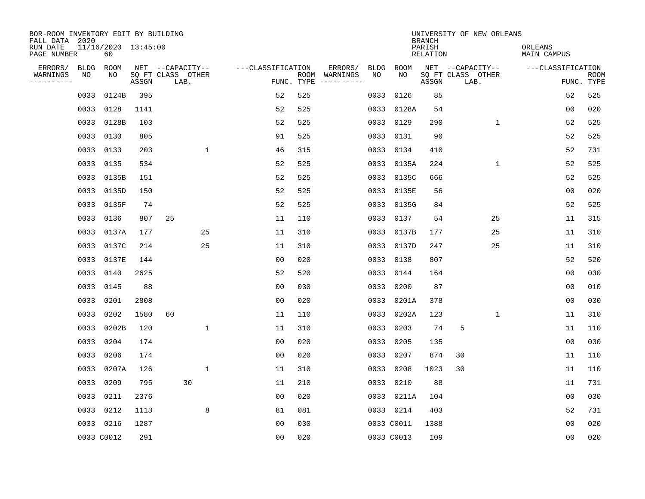| BOR-ROOM INVENTORY EDIT BY BUILDING<br>FALL DATA 2020<br>RUN DATE | 11/16/2020 13:45:00 |       |                                               |                   |            |                          |            |            | <b>BRANCH</b><br>PARISH | UNIVERSITY OF NEW ORLEANS                     | ORLEANS           |                           |
|-------------------------------------------------------------------|---------------------|-------|-----------------------------------------------|-------------------|------------|--------------------------|------------|------------|-------------------------|-----------------------------------------------|-------------------|---------------------------|
| PAGE NUMBER                                                       | 60                  |       |                                               |                   |            |                          |            |            | RELATION                |                                               | MAIN CAMPUS       |                           |
| ERRORS/<br>BLDG<br>WARNINGS<br>NO<br>---------                    | ROOM<br>NO          | ASSGN | NET --CAPACITY--<br>SQ FT CLASS OTHER<br>LAB. | ---CLASSIFICATION | FUNC. TYPE | ERRORS/<br>ROOM WARNINGS | BLDG<br>NO | ROOM<br>NO | ASSGN                   | NET --CAPACITY--<br>SQ FT CLASS OTHER<br>LAB. | ---CLASSIFICATION | <b>ROOM</b><br>FUNC. TYPE |
| 0033                                                              | 0124B               | 395   |                                               | 52                | 525        |                          | 0033       | 0126       | 85                      |                                               | 52                | 525                       |
| 0033                                                              | 0128                | 1141  |                                               | 52                | 525        |                          |            | 0033 0128A | 54                      |                                               | 00                | 020                       |
| 0033                                                              | 0128B               | 103   |                                               | 52                | 525        |                          |            | 0033 0129  | 290                     | $\mathbf{1}$                                  | 52                | 525                       |
| 0033                                                              | 0130                | 805   |                                               | 91                | 525        |                          |            | 0033 0131  | 90                      |                                               | 52                | 525                       |
| 0033                                                              | 0133                | 203   | $\mathbf{1}$                                  | 46                | 315        |                          | 0033       | 0134       | 410                     |                                               | 52                | 731                       |
| 0033                                                              | 0135                | 534   |                                               | 52                | 525        |                          |            | 0033 0135A | 224                     | $\mathbf 1$                                   | 52                | 525                       |
| 0033                                                              | 0135B               | 151   |                                               | 52                | 525        |                          |            | 0033 0135C | 666                     |                                               | 52                | 525                       |
| 0033                                                              | 0135D               | 150   |                                               | 52                | 525        |                          |            | 0033 0135E | 56                      |                                               | 0 <sub>0</sub>    | 020                       |
| 0033                                                              | 0135F               | 74    |                                               | 52                | 525        |                          |            | 0033 0135G | 84                      |                                               | 52                | 525                       |
|                                                                   | 0033 0136           | 807   | 25                                            | 11                | 110        |                          |            | 0033 0137  | 54                      | 25                                            | 11                | 315                       |
| 0033                                                              | 0137A               | 177   | 25                                            | 11                | 310        |                          |            | 0033 0137B | 177                     | 25                                            | 11                | 310                       |
|                                                                   | 0033 0137C          | 214   | 25                                            | 11                | 310        |                          |            | 0033 0137D | 247                     | 25                                            | 11                | 310                       |
| 0033                                                              | 0137E               | 144   |                                               | 0 <sub>0</sub>    | 020        |                          | 0033       | 0138       | 807                     |                                               | 52                | 520                       |
| 0033                                                              | 0140                | 2625  |                                               | 52                | 520        |                          |            | 0033 0144  | 164                     |                                               | 0 <sub>0</sub>    | 030                       |
| 0033                                                              | 0145                | 88    |                                               | 00                | 030        |                          | 0033       | 0200       | 87                      |                                               | 0 <sub>0</sub>    | 010                       |
| 0033                                                              | 0201                | 2808  |                                               | 0 <sub>0</sub>    | 020        |                          |            | 0033 0201A | 378                     |                                               | 0 <sub>0</sub>    | 030                       |
| 0033                                                              | 0202                | 1580  | 60                                            | 11                | 110        |                          | 0033       | 0202A      | 123                     | 1                                             | 11                | 310                       |
| 0033                                                              | 0202B               | 120   | $\mathbf 1$                                   | 11                | 310        |                          | 0033       | 0203       | 74                      | 5                                             | 11                | 110                       |
| 0033                                                              | 0204                | 174   |                                               | 0 <sub>0</sub>    | 020        |                          | 0033       | 0205       | 135                     |                                               | 0 <sub>0</sub>    | 030                       |
| 0033                                                              | 0206                | 174   |                                               | 0 <sub>0</sub>    | 020        |                          | 0033       | 0207       | 874                     | 30                                            | 11                | 110                       |
| 0033                                                              | 0207A               | 126   | $\mathbf{1}$                                  | 11                | 310        |                          | 0033       | 0208       | 1023                    | 30                                            | 11                | 110                       |
| 0033                                                              | 0209                | 795   | 30                                            | 11                | 210        |                          | 0033       | 0210       | 88                      |                                               | 11                | 731                       |
| 0033                                                              | 0211                | 2376  |                                               | 0 <sub>0</sub>    | 020        |                          |            | 0033 0211A | 104                     |                                               | 0 <sub>0</sub>    | 030                       |
| 0033                                                              | 0212                | 1113  | 8                                             | 81                | 081        |                          |            | 0033 0214  | 403                     |                                               | 52                | 731                       |
|                                                                   | 0033 0216           | 1287  |                                               | 00                | 030        |                          |            | 0033 C0011 | 1388                    |                                               | 00                | 020                       |
|                                                                   | 0033 C0012          | 291   |                                               | 0 <sub>0</sub>    | 020        |                          |            | 0033 C0013 | 109                     |                                               | 0 <sub>0</sub>    | 020                       |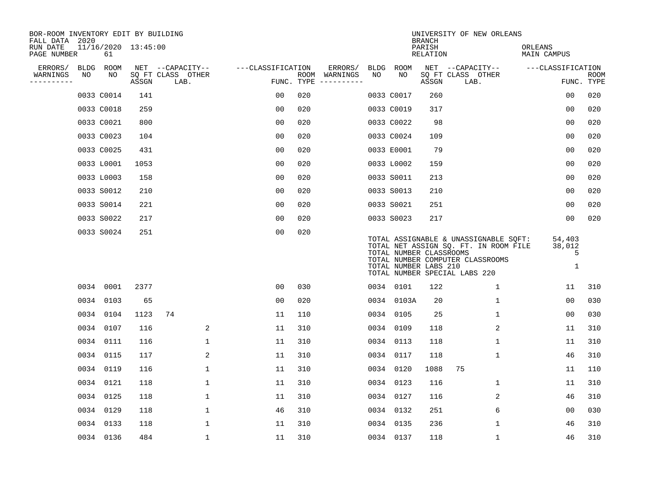| BOR-ROOM INVENTORY EDIT BY BUILDING<br>FALL DATA 2020 |    |            |                     |                           |                   |     |                                      |      |             | <b>BRANCH</b>                                    | UNIVERSITY OF NEW ORLEANS                                                                                                                           |                                      |                           |
|-------------------------------------------------------|----|------------|---------------------|---------------------------|-------------------|-----|--------------------------------------|------|-------------|--------------------------------------------------|-----------------------------------------------------------------------------------------------------------------------------------------------------|--------------------------------------|---------------------------|
| RUN DATE<br>PAGE NUMBER                               |    | 61         | 11/16/2020 13:45:00 |                           |                   |     |                                      |      |             | PARISH<br><b>RELATION</b>                        |                                                                                                                                                     | ORLEANS<br><b>MAIN CAMPUS</b>        |                           |
| ERRORS/                                               |    | BLDG ROOM  |                     | NET --CAPACITY--          | ---CLASSIFICATION |     | ERRORS/                              | BLDG | <b>ROOM</b> |                                                  | NET --CAPACITY--                                                                                                                                    | ---CLASSIFICATION                    |                           |
| WARNINGS<br>----------                                | NO | NO         | ASSGN               | SQ FT CLASS OTHER<br>LAB. |                   |     | ROOM WARNINGS<br>FUNC. TYPE $------$ | NO   | NO          | ASSGN                                            | SQ FT CLASS OTHER<br>LAB.                                                                                                                           |                                      | <b>ROOM</b><br>FUNC. TYPE |
|                                                       |    | 0033 C0014 | 141                 |                           | 00                | 020 |                                      |      | 0033 C0017  | 260                                              |                                                                                                                                                     | 0 <sub>0</sub>                       | 020                       |
|                                                       |    | 0033 C0018 | 259                 |                           | 0 <sub>0</sub>    | 020 |                                      |      | 0033 C0019  | 317                                              |                                                                                                                                                     | 0 <sub>0</sub>                       | 020                       |
|                                                       |    | 0033 C0021 | 800                 |                           | 0 <sub>0</sub>    | 020 |                                      |      | 0033 C0022  | 98                                               |                                                                                                                                                     | 0 <sub>0</sub>                       | 020                       |
|                                                       |    | 0033 C0023 | 104                 |                           | 0 <sub>0</sub>    | 020 |                                      |      | 0033 C0024  | 109                                              |                                                                                                                                                     | 0 <sub>0</sub>                       | 020                       |
|                                                       |    | 0033 C0025 | 431                 |                           | 0 <sub>0</sub>    | 020 |                                      |      | 0033 E0001  | 79                                               |                                                                                                                                                     | 0 <sub>0</sub>                       | 020                       |
|                                                       |    | 0033 L0001 | 1053                |                           | 0 <sub>0</sub>    | 020 |                                      |      | 0033 L0002  | 159                                              |                                                                                                                                                     | 0 <sub>0</sub>                       | 020                       |
|                                                       |    | 0033 L0003 | 158                 |                           | 0 <sub>0</sub>    | 020 |                                      |      | 0033 S0011  | 213                                              |                                                                                                                                                     | 0 <sub>0</sub>                       | 020                       |
|                                                       |    | 0033 S0012 | 210                 |                           | 0 <sub>0</sub>    | 020 |                                      |      | 0033 S0013  | 210                                              |                                                                                                                                                     | 0 <sub>0</sub>                       | 020                       |
|                                                       |    | 0033 S0014 | 221                 |                           | 0 <sub>0</sub>    | 020 |                                      |      | 0033 S0021  | 251                                              |                                                                                                                                                     | 0 <sub>0</sub>                       | 020                       |
|                                                       |    | 0033 S0022 | 217                 |                           | 0 <sub>0</sub>    | 020 |                                      |      | 0033 S0023  | 217                                              |                                                                                                                                                     | 0 <sub>0</sub>                       | 020                       |
|                                                       |    | 0033 S0024 | 251                 |                           | 0 <sub>0</sub>    | 020 |                                      |      |             | TOTAL NUMBER CLASSROOMS<br>TOTAL NUMBER LABS 210 | TOTAL ASSIGNABLE & UNASSIGNABLE SQFT:<br>TOTAL NET ASSIGN SO. FT. IN ROOM FILE<br>TOTAL NUMBER COMPUTER CLASSROOMS<br>TOTAL NUMBER SPECIAL LABS 220 | 54,403<br>38,012<br>5<br>$\mathbf 1$ |                           |
|                                                       |    | 0034 0001  | 2377                |                           | 0 <sub>0</sub>    | 030 |                                      |      | 0034 0101   | 122                                              | 1                                                                                                                                                   | 11                                   | 310                       |
|                                                       |    | 0034 0103  | 65                  |                           | 0 <sub>0</sub>    | 020 |                                      |      | 0034 0103A  | 20                                               | 1                                                                                                                                                   | 0 <sub>0</sub>                       | 030                       |
|                                                       |    | 0034 0104  | 1123                | 74                        | 11                | 110 |                                      | 0034 | 0105        | 25                                               | 1                                                                                                                                                   | 00                                   | 030                       |
|                                                       |    | 0034 0107  | 116                 | 2                         | 11                | 310 |                                      | 0034 | 0109        | 118                                              | 2                                                                                                                                                   | 11                                   | 310                       |
|                                                       |    | 0034 0111  | 116                 | $\mathbf{1}$              | 11                | 310 |                                      |      | 0034 0113   | 118                                              | 1                                                                                                                                                   | 11                                   | 310                       |
|                                                       |    | 0034 0115  | 117                 | 2                         | 11                | 310 |                                      |      | 0034 0117   | 118                                              | 1                                                                                                                                                   | 46                                   | 310                       |
|                                                       |    | 0034 0119  | 116                 | 1                         | 11                | 310 |                                      |      | 0034 0120   | 1088                                             | 75                                                                                                                                                  | 11                                   | 110                       |
|                                                       |    | 0034 0121  | 118                 | $\mathbf 1$               | 11                | 310 |                                      |      | 0034 0123   | 116                                              | 1                                                                                                                                                   | 11                                   | 310                       |
|                                                       |    | 0034 0125  | 118                 | $\mathbf 1$               | 11                | 310 |                                      |      | 0034 0127   | 116                                              | 2                                                                                                                                                   | 46                                   | 310                       |
|                                                       |    | 0034 0129  | 118                 | $\mathbf 1$               | 46                | 310 |                                      |      | 0034 0132   | 251                                              | 6                                                                                                                                                   | 0 <sub>0</sub>                       | 030                       |
|                                                       |    | 0034 0133  | 118                 | $\mathbf{1}$              | 11                | 310 |                                      |      | 0034 0135   | 236                                              | 1                                                                                                                                                   | 46                                   | 310                       |
|                                                       |    | 0034 0136  | 484                 | $\mathbf{1}$              | 11                | 310 |                                      |      | 0034 0137   | 118                                              | 1                                                                                                                                                   | 46                                   | 310                       |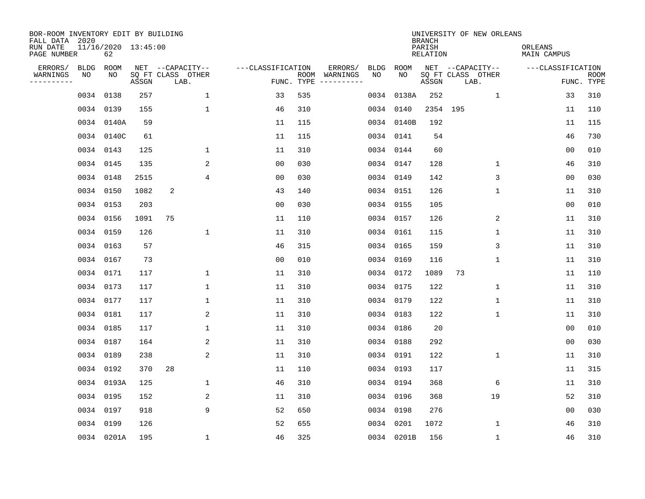| BOR-ROOM INVENTORY EDIT BY BUILDING<br>FALL DATA 2020 |             |                           |       |                           |                   |     |                                      |             |             | <b>BRANCH</b>             | UNIVERSITY OF NEW ORLEANS |                               |                           |
|-------------------------------------------------------|-------------|---------------------------|-------|---------------------------|-------------------|-----|--------------------------------------|-------------|-------------|---------------------------|---------------------------|-------------------------------|---------------------------|
| RUN DATE<br>PAGE NUMBER                               |             | 11/16/2020 13:45:00<br>62 |       |                           |                   |     |                                      |             |             | PARISH<br><b>RELATION</b> |                           | ORLEANS<br><b>MAIN CAMPUS</b> |                           |
| ERRORS/                                               | <b>BLDG</b> | ROOM                      |       | NET --CAPACITY--          | ---CLASSIFICATION |     | ERRORS/                              | <b>BLDG</b> | <b>ROOM</b> |                           | NET --CAPACITY--          | ---CLASSIFICATION             |                           |
| WARNINGS<br>----------                                | NO          | NO                        | ASSGN | SQ FT CLASS OTHER<br>LAB. |                   |     | ROOM WARNINGS<br>FUNC. TYPE $------$ | NO          | NO          | ASSGN                     | SQ FT CLASS OTHER<br>LAB. |                               | <b>ROOM</b><br>FUNC. TYPE |
|                                                       | 0034 0138   |                           | 257   | 1                         | 33                | 535 |                                      | 0034        | 0138A       | 252                       | $\mathbf{1}$              | 33                            | 310                       |
|                                                       | 0034 0139   |                           | 155   | 1                         | 46                | 310 |                                      | 0034 0140   |             |                           | 2354 195                  | 11                            | 110                       |
|                                                       |             | 0034 0140A                | 59    |                           | 11                | 115 |                                      |             | 0034 0140B  | 192                       |                           | 11                            | 115                       |
|                                                       |             | 0034 0140C                | 61    |                           | 11                | 115 |                                      |             | 0034 0141   | 54                        |                           | 46                            | 730                       |
|                                                       | 0034 0143   |                           | 125   | $\mathbf 1$               | 11                | 310 |                                      | 0034 0144   |             | 60                        |                           | 00                            | 010                       |
|                                                       | 0034 0145   |                           | 135   | 2                         | 0 <sub>0</sub>    | 030 |                                      |             | 0034 0147   | 128                       | $\mathbf 1$               | 46                            | 310                       |
|                                                       | 0034 0148   |                           | 2515  | $\overline{4}$            | 0 <sub>0</sub>    | 030 |                                      | 0034 0149   |             | 142                       | 3                         | 00                            | 030                       |
|                                                       | 0034 0150   |                           | 1082  | 2                         | 43                | 140 |                                      |             | 0034 0151   | 126                       | $\mathbf{1}$              | 11                            | 310                       |
|                                                       | 0034 0153   |                           | 203   |                           | 0 <sub>0</sub>    | 030 |                                      | 0034 0155   |             | 105                       |                           | 0 <sub>0</sub>                | 010                       |
|                                                       | 0034 0156   |                           | 1091  | 75                        | 11                | 110 |                                      |             | 0034 0157   | 126                       | 2                         | 11                            | 310                       |
|                                                       | 0034 0159   |                           | 126   | $\mathbf 1$               | 11                | 310 |                                      | 0034 0161   |             | 115                       | $\mathbf 1$               | 11                            | 310                       |
|                                                       | 0034 0163   |                           | 57    |                           | 46                | 315 |                                      |             | 0034 0165   | 159                       | 3                         | 11                            | 310                       |
|                                                       | 0034 0167   |                           | 73    |                           | 0 <sub>0</sub>    | 010 |                                      | 0034 0169   |             | 116                       | $\mathbf 1$               | 11                            | 310                       |
|                                                       | 0034 0171   |                           | 117   | 1                         | 11                | 310 |                                      |             | 0034 0172   | 1089                      | 73                        | 11                            | 110                       |
|                                                       | 0034 0173   |                           | 117   | $\mathbf{1}$              | 11                | 310 |                                      | 0034 0175   |             | 122                       | $\mathbf 1$               | 11                            | 310                       |
|                                                       | 0034 0177   |                           | 117   | 1                         | 11                | 310 |                                      |             | 0034 0179   | 122                       | 1                         | 11                            | 310                       |
|                                                       | 0034 0181   |                           | 117   |                           | 2<br>11           | 310 |                                      | 0034 0183   |             | 122                       | 1                         | 11                            | 310                       |
|                                                       | 0034 0185   |                           | 117   | $\mathbf 1$               | 11                | 310 |                                      |             | 0034 0186   | 20                        |                           | 0 <sub>0</sub>                | 010                       |
|                                                       | 0034 0187   |                           | 164   | 2                         | 11                | 310 |                                      | 0034 0188   |             | 292                       |                           | 0 <sub>0</sub>                | 030                       |
|                                                       | 0034 0189   |                           | 238   | 2                         | 11                | 310 |                                      | 0034 0191   |             | 122                       | 1                         | 11                            | 310                       |
|                                                       | 0034 0192   |                           | 370   | 28                        | 11                | 110 |                                      | 0034 0193   |             | 117                       |                           | 11                            | 315                       |
|                                                       |             | 0034 0193A                | 125   | $\mathbf{1}$              | 46                | 310 |                                      | 0034 0194   |             | 368                       | 6                         | 11                            | 310                       |
|                                                       | 0034 0195   |                           | 152   | 2                         | 11                | 310 |                                      | 0034 0196   |             | 368                       | 19                        | 52                            | 310                       |
|                                                       | 0034 0197   |                           | 918   | 9                         | 52                | 650 |                                      | 0034 0198   |             | 276                       |                           | 0 <sub>0</sub>                | 030                       |
|                                                       | 0034 0199   |                           | 126   |                           | 52                | 655 |                                      | 0034 0201   |             | 1072                      | 1                         | 46                            | 310                       |
|                                                       |             | 0034 0201A                | 195   | $\mathbf 1$               | 46                | 325 |                                      |             | 0034 0201B  | 156                       | 1                         | 46                            | 310                       |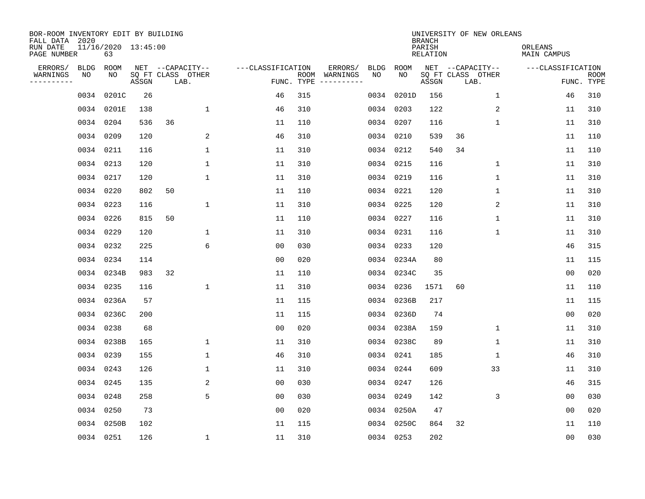| BOR-ROOM INVENTORY EDIT BY BUILDING<br>FALL DATA 2020 |             |                           |       |                           |              |                   |                    |                         |             |             | <b>BRANCH</b>             | UNIVERSITY OF NEW ORLEANS |              |                        |                |                           |
|-------------------------------------------------------|-------------|---------------------------|-------|---------------------------|--------------|-------------------|--------------------|-------------------------|-------------|-------------|---------------------------|---------------------------|--------------|------------------------|----------------|---------------------------|
| RUN DATE<br>PAGE NUMBER                               |             | 11/16/2020 13:45:00<br>63 |       |                           |              |                   |                    |                         |             |             | PARISH<br><b>RELATION</b> |                           |              | ORLEANS<br>MAIN CAMPUS |                |                           |
| ERRORS/                                               | <b>BLDG</b> | ROOM                      |       | NET --CAPACITY--          |              | ---CLASSIFICATION |                    | ERRORS/                 | <b>BLDG</b> | <b>ROOM</b> |                           | NET --CAPACITY--          |              | ---CLASSIFICATION      |                |                           |
| WARNINGS<br>----------                                | NO          | NO                        | ASSGN | SQ FT CLASS OTHER<br>LAB. |              |                   | ROOM<br>FUNC. TYPE | WARNINGS<br>----------- | NO          | NO          | ASSGN                     | SQ FT CLASS OTHER<br>LAB. |              |                        |                | <b>ROOM</b><br>FUNC. TYPE |
|                                                       | 0034        | 0201C                     | 26    |                           |              | 46                | 315                |                         | 0034        | 0201D       | 156                       |                           | 1            |                        | 46             | 310                       |
|                                                       |             | 0034 0201E                | 138   |                           | 1            | 46                | 310                |                         |             | 0034 0203   | 122                       |                           | 2            |                        | 11             | 310                       |
|                                                       |             | 0034 0204                 | 536   | 36                        |              | 11                | 110                |                         |             | 0034 0207   | 116                       |                           | 1            |                        | 11             | 310                       |
|                                                       |             | 0034 0209                 | 120   |                           | 2            | 46                | 310                |                         |             | 0034 0210   | 539                       | 36                        |              |                        | 11             | 110                       |
|                                                       |             | 0034 0211                 | 116   |                           | $\mathbf{1}$ | 11                | 310                |                         |             | 0034 0212   | 540                       | 34                        |              |                        | 11             | 110                       |
|                                                       |             | 0034 0213                 | 120   |                           | $\mathbf{1}$ | 11                | 310                |                         |             | 0034 0215   | 116                       |                           | $\mathbf 1$  |                        | 11             | 310                       |
|                                                       |             | 0034 0217                 | 120   |                           | $\mathbf{1}$ | 11                | 310                |                         |             | 0034 0219   | 116                       |                           | $\mathbf{1}$ |                        | 11             | 310                       |
|                                                       |             | 0034 0220                 | 802   | 50                        |              | 11                | 110                |                         |             | 0034 0221   | 120                       |                           | $\mathbf 1$  |                        | 11             | 310                       |
|                                                       |             | 0034 0223                 | 116   |                           | $\mathbf{1}$ | 11                | 310                |                         |             | 0034 0225   | 120                       |                           | 2            |                        | 11             | 310                       |
|                                                       |             | 0034 0226                 | 815   | 50                        |              | 11                | 110                |                         |             | 0034 0227   | 116                       |                           | 1            |                        | 11             | 310                       |
|                                                       |             | 0034 0229                 | 120   |                           | 1            | 11                | 310                |                         |             | 0034 0231   | 116                       |                           | 1            |                        | 11             | 310                       |
|                                                       |             | 0034 0232                 | 225   |                           | 6            | 0 <sub>0</sub>    | 030                |                         |             | 0034 0233   | 120                       |                           |              |                        | 46             | 315                       |
|                                                       |             | 0034 0234                 | 114   |                           |              | 0 <sub>0</sub>    | 020                |                         |             | 0034 0234A  | 80                        |                           |              |                        | 11             | 115                       |
|                                                       |             | 0034 0234B                | 983   | 32                        |              | 11                | 110                |                         |             | 0034 0234C  | 35                        |                           |              |                        | 0 <sub>0</sub> | 020                       |
|                                                       |             | 0034 0235                 | 116   |                           | 1            | 11                | 310                |                         | 0034        | 0236        | 1571                      | 60                        |              |                        | 11             | 110                       |
|                                                       |             | 0034 0236A                | 57    |                           |              | 11                | 115                |                         | 0034        | 0236B       | 217                       |                           |              |                        | 11             | 115                       |
|                                                       |             | 0034 0236C                | 200   |                           |              | 11                | 115                |                         | 0034        | 0236D       | 74                        |                           |              |                        | 0 <sub>0</sub> | 020                       |
|                                                       |             | 0034 0238                 | 68    |                           |              | 0 <sub>0</sub>    | 020                |                         |             | 0034 0238A  | 159                       |                           | 1            |                        | 11             | 310                       |
|                                                       |             | 0034 0238B                | 165   |                           | 1            | 11                | 310                |                         |             | 0034 0238C  | 89                        |                           | 1            |                        | 11             | 310                       |
|                                                       |             | 0034 0239                 | 155   |                           | 1            | 46                | 310                |                         |             | 0034 0241   | 185                       |                           | 1            |                        | 46             | 310                       |
|                                                       |             | 0034 0243                 | 126   |                           | 1            | 11                | 310                |                         |             | 0034 0244   | 609                       |                           | 33           |                        | 11             | 310                       |
|                                                       |             | 0034 0245                 | 135   |                           | 2            | 0 <sub>0</sub>    | 030                |                         |             | 0034 0247   | 126                       |                           |              |                        | 46             | 315                       |
|                                                       |             | 0034 0248                 | 258   |                           | 5            | 0 <sub>0</sub>    | 030                |                         |             | 0034 0249   | 142                       |                           | 3            |                        | 0 <sub>0</sub> | 030                       |
|                                                       |             | 0034 0250                 | 73    |                           |              | 0 <sub>0</sub>    | 020                |                         |             | 0034 0250A  | 47                        |                           |              |                        | 0 <sub>0</sub> | 020                       |
|                                                       |             | 0034 0250B                | 102   |                           |              | 11                | 115                |                         |             | 0034 0250C  | 864                       | 32                        |              |                        | 11             | 110                       |
|                                                       |             | 0034 0251                 | 126   |                           | 1            | 11                | 310                |                         |             | 0034 0253   | 202                       |                           |              |                        | 00             | 030                       |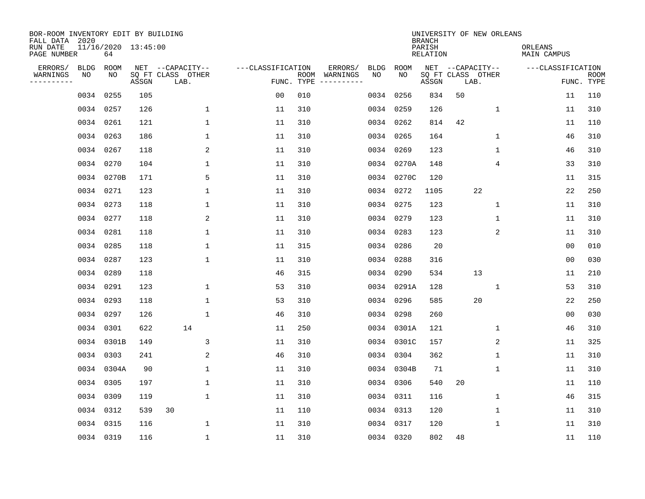| BOR-ROOM INVENTORY EDIT BY BUILDING<br>FALL DATA 2020 |             |                           |       |                           |                   |                    |                         |             |             | <b>BRANCH</b>             | UNIVERSITY OF NEW ORLEANS |             |                        |                           |
|-------------------------------------------------------|-------------|---------------------------|-------|---------------------------|-------------------|--------------------|-------------------------|-------------|-------------|---------------------------|---------------------------|-------------|------------------------|---------------------------|
| RUN DATE<br>PAGE NUMBER                               |             | 11/16/2020 13:45:00<br>64 |       |                           |                   |                    |                         |             |             | PARISH<br><b>RELATION</b> |                           |             | ORLEANS<br>MAIN CAMPUS |                           |
| ERRORS/                                               | <b>BLDG</b> | ROOM                      |       | NET --CAPACITY--          | ---CLASSIFICATION |                    | ERRORS/                 | <b>BLDG</b> | <b>ROOM</b> |                           | NET --CAPACITY--          |             | ---CLASSIFICATION      |                           |
| WARNINGS<br>----------                                | NO          | NO                        | ASSGN | SQ FT CLASS OTHER<br>LAB. |                   | ROOM<br>FUNC. TYPE | WARNINGS<br>----------- | NO          | NO          | ASSGN                     | SQ FT CLASS OTHER<br>LAB. |             |                        | <b>ROOM</b><br>FUNC. TYPE |
|                                                       | 0034        | 0255                      | 105   |                           | 00                | 010                |                         | 0034        | 0256        | 834                       | 50                        |             | 11                     | 110                       |
|                                                       |             | 0034 0257                 | 126   | 1                         | 11                | 310                |                         |             | 0034 0259   | 126                       |                           | 1           | 11                     | 310                       |
|                                                       |             | 0034 0261                 | 121   | $\mathbf 1$               | 11                | 310                |                         |             | 0034 0262   | 814                       | 42                        |             | 11                     | 110                       |
|                                                       |             | 0034 0263                 | 186   | 1                         | 11                | 310                |                         |             | 0034 0265   | 164                       |                           | 1           | 46                     | 310                       |
|                                                       |             | 0034 0267                 | 118   | 2                         | 11                | 310                |                         |             | 0034 0269   | 123                       |                           | $\mathbf 1$ | 46                     | 310                       |
|                                                       |             | 0034 0270                 | 104   | $\mathbf 1$               | 11                | 310                |                         |             | 0034 0270A  | 148                       |                           | 4           | 33                     | 310                       |
|                                                       |             | 0034 0270B                | 171   | 5                         | 11                | 310                |                         |             | 0034 0270C  | 120                       |                           |             | 11                     | 315                       |
|                                                       |             | 0034 0271                 | 123   | $\mathbf{1}$              | 11                | 310                |                         |             | 0034 0272   | 1105                      | 22                        |             | 22                     | 250                       |
|                                                       |             | 0034 0273                 | 118   | $\mathbf{1}$              | 11                | 310                |                         |             | 0034 0275   | 123                       |                           | $\mathbf 1$ | 11                     | 310                       |
|                                                       |             | 0034 0277                 | 118   | 2                         | 11                | 310                |                         |             | 0034 0279   | 123                       |                           | 1           | 11                     | 310                       |
|                                                       |             | 0034 0281                 | 118   | 1                         | 11                | 310                |                         |             | 0034 0283   | 123                       |                           | 2           | 11                     | 310                       |
|                                                       |             | 0034 0285                 | 118   | 1                         | 11                | 315                |                         |             | 0034 0286   | 20                        |                           |             | 0 <sub>0</sub>         | 010                       |
|                                                       |             | 0034 0287                 | 123   | 1                         | 11                | 310                |                         | 0034        | 0288        | 316                       |                           |             | 0 <sub>0</sub>         | 030                       |
|                                                       |             | 0034 0289                 | 118   |                           | 46                | 315                |                         | 0034        | 0290        | 534                       | 13                        |             | 11                     | 210                       |
|                                                       | 0034        | 0291                      | 123   | 1                         | 53                | 310                |                         | 0034        | 0291A       | 128                       |                           | 1           | 53                     | 310                       |
|                                                       |             | 0034 0293                 | 118   | 1                         | 53                | 310                |                         | 0034        | 0296        | 585                       | 20                        |             | 22                     | 250                       |
|                                                       |             | 0034 0297                 | 126   | $\mathbf{1}$              | 46                | 310                |                         | 0034        | 0298        | 260                       |                           |             | 0 <sub>0</sub>         | 030                       |
|                                                       | 0034        | 0301                      | 622   | 14                        | 11                | 250                |                         | 0034        | 0301A       | 121                       |                           | 1           | 46                     | 310                       |
|                                                       |             | 0034 0301B                | 149   | 3                         | 11                | 310                |                         |             | 0034 0301C  | 157                       |                           | 2           | 11                     | 325                       |
|                                                       |             | 0034 0303                 | 241   | 2                         | 46                | 310                |                         |             | 0034 0304   | 362                       |                           | 1           | 11                     | 310                       |
|                                                       |             | 0034 0304A                | 90    | 1                         | 11                | 310                |                         |             | 0034 0304B  | 71                        |                           | 1           | 11                     | 310                       |
|                                                       |             | 0034 0305                 | 197   | $\mathbf 1$               | 11                | 310                |                         |             | 0034 0306   | 540                       | 20                        |             | 11                     | 110                       |
|                                                       |             | 0034 0309                 | 119   | 1                         | 11                | 310                |                         |             | 0034 0311   | 116                       |                           | 1           | 46                     | 315                       |
|                                                       |             | 0034 0312                 | 539   | 30                        | 11                | 110                |                         |             | 0034 0313   | 120                       |                           | $\mathbf 1$ | 11                     | 310                       |
|                                                       |             | 0034 0315                 | 116   | 1                         | 11                | 310                |                         |             | 0034 0317   | 120                       |                           | 1           | 11                     | 310                       |
|                                                       |             | 0034 0319                 | 116   | $\mathbf{1}$              | 11                | 310                |                         |             | 0034 0320   | 802                       | 48                        |             | 11                     | 110                       |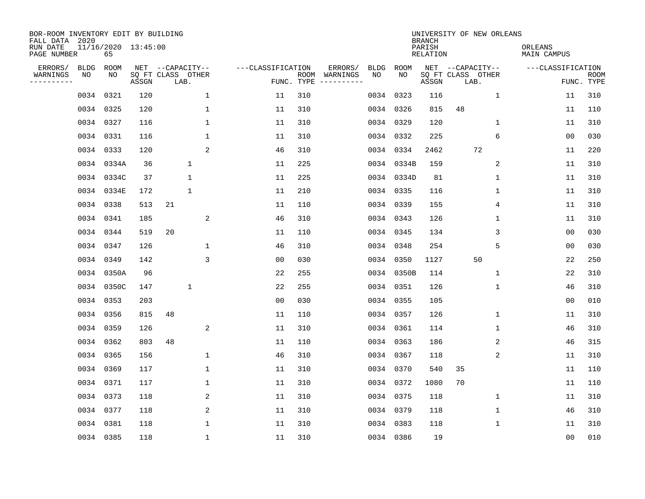| BOR-ROOM INVENTORY EDIT BY BUILDING<br>FALL DATA 2020 |             |                           |       |                           |                   |                    |                         |             |             | <b>BRANCH</b>             | UNIVERSITY OF NEW ORLEANS |                        |                           |
|-------------------------------------------------------|-------------|---------------------------|-------|---------------------------|-------------------|--------------------|-------------------------|-------------|-------------|---------------------------|---------------------------|------------------------|---------------------------|
| RUN DATE<br>PAGE NUMBER                               |             | 11/16/2020 13:45:00<br>65 |       |                           |                   |                    |                         |             |             | PARISH<br><b>RELATION</b> |                           | ORLEANS<br>MAIN CAMPUS |                           |
| ERRORS/                                               | <b>BLDG</b> | ROOM                      |       | NET --CAPACITY--          | ---CLASSIFICATION |                    | ERRORS/                 | <b>BLDG</b> | <b>ROOM</b> |                           | NET --CAPACITY--          | ---CLASSIFICATION      |                           |
| WARNINGS<br>----------                                | NO          | NO                        | ASSGN | SQ FT CLASS OTHER<br>LAB. |                   | ROOM<br>FUNC. TYPE | WARNINGS<br>----------- | NO          | NO          | ASSGN                     | SQ FT CLASS OTHER<br>LAB. |                        | <b>ROOM</b><br>FUNC. TYPE |
|                                                       | 0034        | 0321                      | 120   | $\mathbf 1$               | 11                | 310                |                         | 0034        | 0323        | 116                       | 1                         | 11                     | 310                       |
|                                                       | 0034 0325   |                           | 120   | 1                         | 11                | 310                |                         |             | 0034 0326   | 815                       | 48                        | 11                     | 110                       |
|                                                       | 0034 0327   |                           | 116   | $\mathbf 1$               | 11                | 310                |                         |             | 0034 0329   | 120                       | 1                         | 11                     | 310                       |
|                                                       | 0034 0331   |                           | 116   | 1                         | 11                | 310                |                         |             | 0034 0332   | 225                       | 6                         | 0 <sub>0</sub>         | 030                       |
|                                                       | 0034 0333   |                           | 120   | 2                         | 46                | 310                |                         |             | 0034 0334   | 2462                      | 72                        | 11                     | 220                       |
|                                                       |             | 0034 0334A                | 36    | $\mathbf 1$               | 11                | 225                |                         |             | 0034 0334B  | 159                       | 2                         | 11                     | 310                       |
|                                                       |             | 0034 0334C                | 37    | $\mathbf{1}$              | 11                | 225                |                         |             | 0034 0334D  | 81                        | $\mathbf{1}$              | 11                     | 310                       |
|                                                       |             | 0034 0334E                | 172   | $\mathbf{1}$              | 11                | 210                |                         |             | 0034 0335   | 116                       | $\mathbf 1$               | 11                     | 310                       |
|                                                       |             | 0034 0338                 | 513   | 21                        | 11                | 110                |                         |             | 0034 0339   | 155                       | 4                         | 11                     | 310                       |
|                                                       | 0034 0341   |                           | 185   | 2                         | 46                | 310                |                         |             | 0034 0343   | 126                       | 1                         | 11                     | 310                       |
|                                                       |             | 0034 0344                 | 519   | 20                        | 11                | 110                |                         |             | 0034 0345   | 134                       | 3                         | 0 <sub>0</sub>         | 030                       |
|                                                       |             | 0034 0347                 | 126   | 1                         | 46                | 310                |                         |             | 0034 0348   | 254                       | 5                         | 0 <sub>0</sub>         | 030                       |
|                                                       | 0034        | 0349                      | 142   | 3                         | 0 <sub>0</sub>    | 030                |                         |             | 0034 0350   | 1127                      | 50                        | 22                     | 250                       |
|                                                       |             | 0034 0350A                | 96    |                           | 22                | 255                |                         |             | 0034 0350B  | 114                       | 1                         | 22                     | 310                       |
|                                                       |             | 0034 0350C                | 147   | 1                         | 22                | 255                |                         |             | 0034 0351   | 126                       | 1                         | 46                     | 310                       |
|                                                       | 0034 0353   |                           | 203   |                           | 0 <sub>0</sub>    | 030                |                         |             | 0034 0355   | 105                       |                           | 00                     | 010                       |
|                                                       | 0034 0356   |                           | 815   | 48                        | 11                | 110                |                         |             | 0034 0357   | 126                       | 1                         | 11                     | 310                       |
|                                                       | 0034 0359   |                           | 126   | 2                         | 11                | 310                |                         |             | 0034 0361   | 114                       | 1                         | 46                     | 310                       |
|                                                       |             | 0034 0362                 | 803   | 48                        | 11                | 110                |                         |             | 0034 0363   | 186                       | 2                         | 46                     | 315                       |
|                                                       | 0034 0365   |                           | 156   | $\mathbf 1$               | 46                | 310                |                         |             | 0034 0367   | 118                       | 2                         | 11                     | 310                       |
|                                                       | 0034 0369   |                           | 117   | 1                         | 11                | 310                |                         |             | 0034 0370   | 540                       | 35                        | 11                     | 110                       |
|                                                       | 0034 0371   |                           | 117   | $\mathbf 1$               | 11                | 310                |                         |             | 0034 0372   | 1080                      | 70                        | 11                     | 110                       |
|                                                       | 0034 0373   |                           | 118   | 2                         | 11                | 310                |                         |             | 0034 0375   | 118                       | 1                         | 11                     | 310                       |
|                                                       | 0034 0377   |                           | 118   | 2                         | 11                | 310                |                         |             | 0034 0379   | 118                       | 1                         | 46                     | 310                       |
|                                                       | 0034 0381   |                           | 118   | 1                         | 11                | 310                |                         |             | 0034 0383   | 118                       | 1                         | 11                     | 310                       |
|                                                       | 0034 0385   |                           | 118   | $\mathbf{1}$              | 11                | 310                |                         |             | 0034 0386   | 19                        |                           | 00                     | 010                       |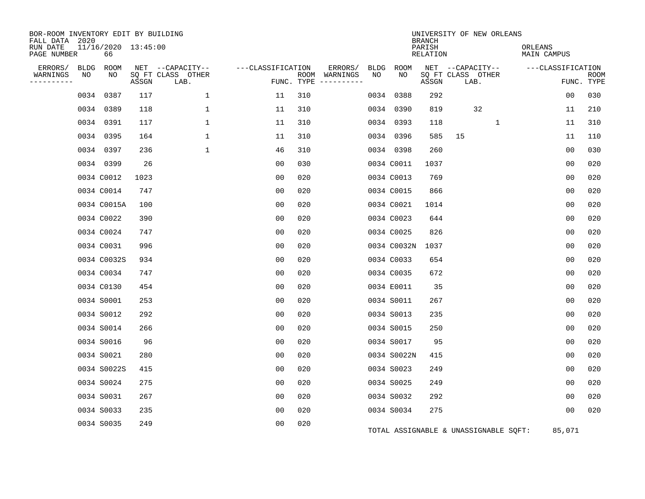| BOR-ROOM INVENTORY EDIT BY BUILDING<br>FALL DATA 2020 |                           |       |                           |                   |            |                              |      |             | <b>BRANCH</b>      |    | UNIVERSITY OF NEW ORLEANS             |                        |                |                           |
|-------------------------------------------------------|---------------------------|-------|---------------------------|-------------------|------------|------------------------------|------|-------------|--------------------|----|---------------------------------------|------------------------|----------------|---------------------------|
| RUN DATE<br>PAGE NUMBER                               | 11/16/2020 13:45:00<br>66 |       |                           |                   |            |                              |      |             | PARISH<br>RELATION |    |                                       | ORLEANS<br>MAIN CAMPUS |                |                           |
| ERRORS/<br>BLDG                                       | ROOM                      |       | NET --CAPACITY--          | ---CLASSIFICATION |            | ERRORS/                      | BLDG | ROOM        |                    |    | NET --CAPACITY--                      | ---CLASSIFICATION      |                |                           |
| WARNINGS<br>NO<br>--------                            | NO                        | ASSGN | SQ FT CLASS OTHER<br>LAB. |                   | FUNC. TYPE | ROOM WARNINGS<br>----------- | NO   | NO          | ASSGN              |    | SQ FT CLASS OTHER<br>LAB.             |                        |                | <b>ROOM</b><br>FUNC. TYPE |
| 0034                                                  | 0387                      | 117   | $\mathbf{1}$              | 11                | 310        |                              | 0034 | 0388        | 292                |    |                                       |                        | 0 <sub>0</sub> | 030                       |
| 0034                                                  | 0389                      | 118   | 1                         | 11                | 310        |                              | 0034 | 0390        | 819                |    | 32                                    |                        | 11             | 210                       |
|                                                       | 0034 0391                 | 117   | $\mathbf{1}$              | 11                | 310        |                              |      | 0034 0393   | 118                |    | $\mathbf{1}$                          |                        | 11             | 310                       |
|                                                       | 0034 0395                 | 164   | $\mathbf{1}$              | 11                | 310        |                              | 0034 | 0396        | 585                | 15 |                                       |                        | 11             | 110                       |
|                                                       | 0034 0397                 | 236   | $\mathbf{1}$              | 46                | 310        |                              |      | 0034 0398   | 260                |    |                                       |                        | 0 <sub>0</sub> | 030                       |
|                                                       | 0034 0399                 | 26    |                           | 00                | 030        |                              |      | 0034 C0011  | 1037               |    |                                       |                        | 00             | 020                       |
|                                                       | 0034 C0012                | 1023  |                           | 0 <sub>0</sub>    | 020        |                              |      | 0034 C0013  | 769                |    |                                       |                        | 00             | 020                       |
|                                                       | 0034 C0014                | 747   |                           | 0 <sub>0</sub>    | 020        |                              |      | 0034 C0015  | 866                |    |                                       |                        | 0 <sub>0</sub> | 020                       |
|                                                       | 0034 C0015A               | 100   |                           | 0 <sub>0</sub>    | 020        |                              |      | 0034 C0021  | 1014               |    |                                       |                        | 0 <sub>0</sub> | 020                       |
|                                                       | 0034 C0022                | 390   |                           | 00                | 020        |                              |      | 0034 C0023  | 644                |    |                                       |                        | 0 <sub>0</sub> | 020                       |
|                                                       | 0034 C0024                | 747   |                           | 0 <sub>0</sub>    | 020        |                              |      | 0034 C0025  | 826                |    |                                       |                        | 0 <sub>0</sub> | 020                       |
|                                                       | 0034 C0031                | 996   |                           | 0 <sub>0</sub>    | 020        |                              |      | 0034 C0032N | 1037               |    |                                       |                        | 0 <sub>0</sub> | 020                       |
|                                                       | 0034 C0032S               | 934   |                           | 0 <sub>0</sub>    | 020        |                              |      | 0034 C0033  | 654                |    |                                       |                        | 0 <sub>0</sub> | 020                       |
|                                                       | 0034 C0034                | 747   |                           | 0 <sub>0</sub>    | 020        |                              |      | 0034 C0035  | 672                |    |                                       |                        | 0 <sub>0</sub> | 020                       |
|                                                       | 0034 C0130                | 454   |                           | 0 <sub>0</sub>    | 020        |                              |      | 0034 E0011  | 35                 |    |                                       |                        | 00             | 020                       |
|                                                       | 0034 S0001                | 253   |                           | 0 <sub>0</sub>    | 020        |                              |      | 0034 S0011  | 267                |    |                                       |                        | 0 <sub>0</sub> | 020                       |
|                                                       | 0034 S0012                | 292   |                           | 00                | 020        |                              |      | 0034 S0013  | 235                |    |                                       |                        | 0 <sub>0</sub> | 020                       |
|                                                       | 0034 S0014                | 266   |                           | 0 <sub>0</sub>    | 020        |                              |      | 0034 S0015  | 250                |    |                                       |                        | 0 <sub>0</sub> | 020                       |
|                                                       | 0034 S0016                | 96    |                           | 0 <sub>0</sub>    | 020        |                              |      | 0034 S0017  | 95                 |    |                                       |                        | 00             | 020                       |
|                                                       | 0034 S0021                | 280   |                           | 0 <sub>0</sub>    | 020        |                              |      | 0034 S0022N | 415                |    |                                       |                        | 0 <sub>0</sub> | 020                       |
|                                                       | 0034 S0022S               | 415   |                           | 00                | 020        |                              |      | 0034 S0023  | 249                |    |                                       |                        | 0 <sub>0</sub> | 020                       |
|                                                       | 0034 S0024                | 275   |                           | 0 <sub>0</sub>    | 020        |                              |      | 0034 S0025  | 249                |    |                                       |                        | 00             | 020                       |
|                                                       | 0034 S0031                | 267   |                           | 0 <sub>0</sub>    | 020        |                              |      | 0034 S0032  | 292                |    |                                       |                        | 0 <sub>0</sub> | 020                       |
|                                                       | 0034 S0033                | 235   |                           | 0 <sub>0</sub>    | 020        |                              |      | 0034 S0034  | 275                |    |                                       |                        | 00             | 020                       |
|                                                       | 0034 S0035                | 249   |                           | 0 <sub>0</sub>    | 020        |                              |      |             |                    |    | TOTAL ASSIGNABLE & UNASSIGNABLE SQFT: |                        | 85,071         |                           |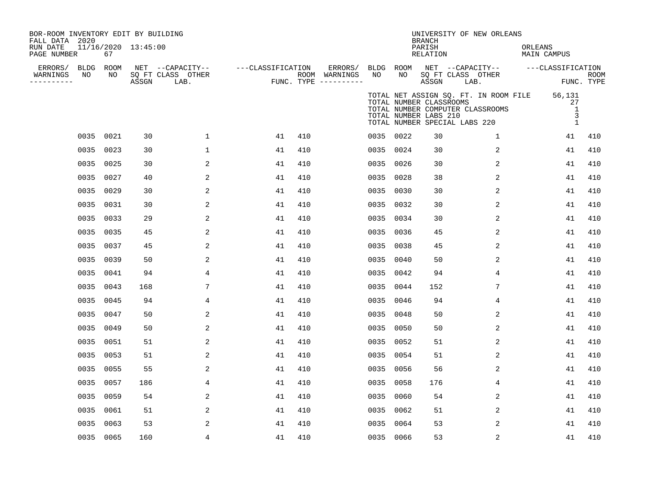| BOR-ROOM INVENTORY EDIT BY BUILDING<br>FALL DATA 2020<br>RUN DATE<br>PAGE NUMBER | 67         | 11/16/2020 13:45:00 |                                               |                   |     |                                                 |                 |                                                                                   | <b>BRANCH</b><br>PARISH<br>RELATION |      | UNIVERSITY OF NEW ORLEANS                                                 | ORLEANS<br>MAIN CAMPUS |                                        |                           |
|----------------------------------------------------------------------------------|------------|---------------------|-----------------------------------------------|-------------------|-----|-------------------------------------------------|-----------------|-----------------------------------------------------------------------------------|-------------------------------------|------|---------------------------------------------------------------------------|------------------------|----------------------------------------|---------------------------|
| ERRORS/ BLDG<br>NO<br>WARNINGS<br>----------                                     | ROOM<br>NO | ASSGN               | NET --CAPACITY--<br>SQ FT CLASS OTHER<br>LAB. | ---CLASSIFICATION |     | ERRORS/<br>ROOM WARNINGS<br>FUNC. TYPE $------$ | BLDG ROOM<br>NO | NO                                                                                | ASSGN                               | LAB. | NET --CAPACITY--<br>SQ FT CLASS OTHER                                     |                        | ---CLASSIFICATION                      | <b>ROOM</b><br>FUNC. TYPE |
|                                                                                  |            |                     |                                               |                   |     |                                                 |                 | TOTAL NUMBER CLASSROOMS<br>TOTAL NUMBER LABS 210<br>TOTAL NUMBER SPECIAL LABS 220 |                                     |      | TOTAL NET ASSIGN SQ. FT. IN ROOM FILE<br>TOTAL NUMBER COMPUTER CLASSROOMS |                        | 56,131<br>27<br>1<br>3<br>$\mathbf{1}$ |                           |
|                                                                                  | 0035 0021  | 30                  | $\mathbf 1$                                   | 41                | 410 |                                                 | 0035 0022       |                                                                                   | 30                                  |      | $\mathbf{1}$                                                              |                        | 41                                     | 410                       |
| 0035                                                                             | 0023       | 30                  | 1                                             | 41                | 410 |                                                 | 0035            | 0024                                                                              | 30                                  |      | 2                                                                         |                        | 41                                     | 410                       |
| 0035                                                                             | 0025       | 30                  | 2                                             | 41                | 410 |                                                 | 0035            | 0026                                                                              | 30                                  |      | 2                                                                         |                        | 41                                     | 410                       |
| 0035                                                                             | 0027       | 40                  | 2                                             | 41                | 410 |                                                 | 0035            | 0028                                                                              | 38                                  |      | 2                                                                         |                        | 41                                     | 410                       |
|                                                                                  | 0035 0029  | 30                  | 2                                             | 41                | 410 |                                                 | 0035            | 0030                                                                              | 30                                  |      | 2                                                                         |                        | 41                                     | 410                       |
| 0035                                                                             | 0031       | 30                  | 2                                             | 41                | 410 |                                                 | 0035            | 0032                                                                              | 30                                  |      | 2                                                                         |                        | 41                                     | 410                       |
| 0035                                                                             | 0033       | 29                  | 2                                             | 41                | 410 |                                                 | 0035            | 0034                                                                              | 30                                  |      | $\overline{2}$                                                            |                        | 41                                     | 410                       |
| 0035                                                                             | 0035       | 45                  | 2                                             | 41                | 410 |                                                 | 0035            | 0036                                                                              | 45                                  |      | 2                                                                         |                        | 41                                     | 410                       |
| 0035                                                                             | 0037       | 45                  | 2                                             | 41                | 410 |                                                 | 0035            | 0038                                                                              | 45                                  |      | 2                                                                         |                        | 41                                     | 410                       |
| 0035                                                                             | 0039       | 50                  | 2                                             | 41                | 410 |                                                 | 0035            | 0040                                                                              | 50                                  |      | 2                                                                         |                        | 41                                     | 410                       |
| 0035                                                                             | 0041       | 94                  | 4                                             | 41                | 410 |                                                 | 0035            | 0042                                                                              | 94                                  |      | 4                                                                         |                        | 41                                     | 410                       |
| 0035                                                                             | 0043       | 168                 | 7                                             | 41                | 410 |                                                 | 0035 0044       |                                                                                   | 152                                 |      | 7                                                                         |                        | 41                                     | 410                       |
| 0035                                                                             | 0045       | 94                  | 4                                             | 41                | 410 |                                                 | 0035 0046       |                                                                                   | 94                                  |      | 4                                                                         |                        | 41                                     | 410                       |
| 0035                                                                             | 0047       | 50                  | 2                                             | 41                | 410 |                                                 | 0035 0048       |                                                                                   | 50                                  |      | 2                                                                         |                        | 41                                     | 410                       |
| 0035                                                                             | 0049       | 50                  | $\overline{a}$                                | 41                | 410 |                                                 | 0035            | 0050                                                                              | 50                                  |      | 2                                                                         |                        | 41                                     | 410                       |
| 0035                                                                             | 0051       | 51                  | $\overline{2}$                                | 41                | 410 |                                                 | 0035 0052       |                                                                                   | 51                                  |      | 2                                                                         |                        | 41                                     | 410                       |
| 0035                                                                             | 0053       | 51                  | 2                                             | 41                | 410 |                                                 | 0035            | 0054                                                                              | 51                                  |      | 2                                                                         |                        | 41                                     | 410                       |
| 0035                                                                             | 0055       | 55                  | 2                                             | 41                | 410 |                                                 | 0035 0056       |                                                                                   | 56                                  |      | 2                                                                         |                        | 41                                     | 410                       |
| 0035                                                                             | 0057       | 186                 | 4                                             | 41                | 410 |                                                 | 0035            | 0058                                                                              | 176                                 |      | 4                                                                         |                        | 41                                     | 410                       |
|                                                                                  | 0035 0059  | 54                  | 2                                             | 41                | 410 |                                                 | 0035 0060       |                                                                                   | 54                                  |      | 2                                                                         |                        | 41                                     | 410                       |
| 0035                                                                             | 0061       | 51                  | 2                                             | 41                | 410 |                                                 | 0035            | 0062                                                                              | 51                                  |      | 2                                                                         |                        | 41                                     | 410                       |
| 0035                                                                             | 0063       | 53                  | 2                                             | 41                | 410 |                                                 | 0035            | 0064                                                                              | 53                                  |      | 2                                                                         |                        | 41                                     | 410                       |
|                                                                                  | 0035 0065  | 160                 | 4                                             | 41                | 410 |                                                 | 0035 0066       |                                                                                   | 53                                  |      | 2                                                                         |                        | 41                                     | 410                       |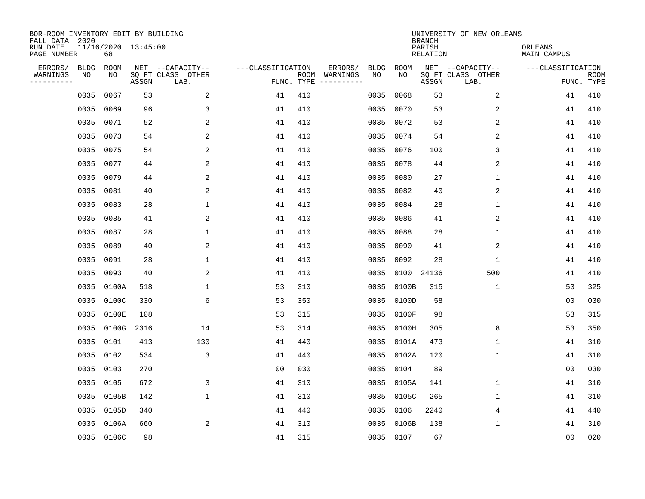| BOR-ROOM INVENTORY EDIT BY BUILDING<br>FALL DATA 2020 |             |                           |       |                           |                   |                    |                         |             |             | <b>BRANCH</b>             | UNIVERSITY OF NEW ORLEANS |                               |                           |
|-------------------------------------------------------|-------------|---------------------------|-------|---------------------------|-------------------|--------------------|-------------------------|-------------|-------------|---------------------------|---------------------------|-------------------------------|---------------------------|
| RUN DATE<br>PAGE NUMBER                               |             | 11/16/2020 13:45:00<br>68 |       |                           |                   |                    |                         |             |             | PARISH<br><b>RELATION</b> |                           | ORLEANS<br><b>MAIN CAMPUS</b> |                           |
| ERRORS/                                               | <b>BLDG</b> | ROOM                      |       | NET --CAPACITY--          | ---CLASSIFICATION |                    | ERRORS/                 | <b>BLDG</b> | <b>ROOM</b> |                           | NET --CAPACITY--          | ---CLASSIFICATION             |                           |
| WARNINGS<br>----------                                | NO          | ΝO                        | ASSGN | SQ FT CLASS OTHER<br>LAB. |                   | ROOM<br>FUNC. TYPE | WARNINGS<br>----------- | NO          | NO          | ASSGN                     | SQ FT CLASS OTHER<br>LAB. |                               | <b>ROOM</b><br>FUNC. TYPE |
|                                                       | 0035        | 0067                      | 53    | 2                         | 41                | 410                |                         | 0035        | 0068        | 53                        | 2                         | 41                            | 410                       |
|                                                       | 0035        | 0069                      | 96    | 3                         | 41                | 410                |                         | 0035        | 0070        | 53                        | 2                         | 41                            | 410                       |
|                                                       | 0035        | 0071                      | 52    | 2                         | 41                | 410                |                         | 0035        | 0072        | 53                        | 2                         | 41                            | 410                       |
|                                                       | 0035        | 0073                      | 54    | 2                         | 41                | 410                |                         | 0035        | 0074        | 54                        | 2                         | 41                            | 410                       |
|                                                       | 0035        | 0075                      | 54    | 2                         | 41                | 410                |                         | 0035        | 0076        | 100                       | 3                         | 41                            | 410                       |
|                                                       | 0035        | 0077                      | 44    | 2                         | 41                | 410                |                         | 0035        | 0078        | 44                        | 2                         | 41                            | 410                       |
|                                                       | 0035        | 0079                      | 44    | 2                         | 41                | 410                |                         | 0035        | 0080        | 27                        | $\mathbf{1}$              | 41                            | 410                       |
|                                                       | 0035        | 0081                      | 40    | 2                         | 41                | 410                |                         | 0035        | 0082        | 40                        | 2                         | 41                            | 410                       |
|                                                       | 0035        | 0083                      | 28    | $\mathbf{1}$              | 41                | 410                |                         | 0035        | 0084        | 28                        | 1                         | 41                            | 410                       |
|                                                       | 0035        | 0085                      | 41    | 2                         | 41                | 410                |                         | 0035        | 0086        | 41                        | 2                         | 41                            | 410                       |
|                                                       | 0035        | 0087                      | 28    | $\mathbf 1$               | 41                | 410                |                         | 0035        | 0088        | 28                        | 1                         | 41                            | 410                       |
|                                                       | 0035        | 0089                      | 40    | 2                         | 41                | 410                |                         | 0035        | 0090        | 41                        | 2                         | 41                            | 410                       |
|                                                       | 0035        | 0091                      | 28    | $\mathbf 1$               | 41                | 410                |                         | 0035        | 0092        | 28                        | 1                         | 41                            | 410                       |
|                                                       | 0035        | 0093                      | 40    | 2                         | 41                | 410                |                         | 0035        | 0100        | 24136                     | 500                       | 41                            | 410                       |
|                                                       | 0035        | 0100A                     | 518   | $\mathbf 1$               | 53                | 310                |                         | 0035        | 0100B       | 315                       | 1                         | 53                            | 325                       |
|                                                       | 0035        | 0100C                     | 330   | 6                         | 53                | 350                |                         | 0035        | 0100D       | 58                        |                           | 0 <sub>0</sub>                | 030                       |
|                                                       | 0035        | 0100E                     | 108   |                           | 53                | 315                |                         | 0035        | 0100F       | 98                        |                           | 53                            | 315                       |
|                                                       | 0035        | 0100G                     | 2316  | 14                        | 53                | 314                |                         | 0035        | 0100H       | 305                       | 8                         | 53                            | 350                       |
|                                                       | 0035        | 0101                      | 413   | 130                       | 41                | 440                |                         | 0035        | 0101A       | 473                       | 1                         | 41                            | 310                       |
|                                                       | 0035        | 0102                      | 534   | 3                         | 41                | 440                |                         | 0035        | 0102A       | 120                       | 1                         | 41                            | 310                       |
|                                                       | 0035        | 0103                      | 270   |                           | 0 <sub>0</sub>    | 030                |                         | 0035        | 0104        | 89                        |                           | 0 <sub>0</sub>                | 030                       |
|                                                       | 0035        | 0105                      | 672   | 3                         | 41                | 310                |                         | 0035        | 0105A       | 141                       | 1                         | 41                            | 310                       |
|                                                       | 0035        | 0105B                     | 142   | 1                         | 41                | 310                |                         | 0035        | 0105C       | 265                       | 1                         | 41                            | 310                       |
|                                                       | 0035        | 0105D                     | 340   |                           | 41                | 440                |                         | 0035        | 0106        | 2240                      | 4                         | 41                            | 440                       |
|                                                       | 0035        | 0106A                     | 660   | 2                         | 41                | 310                |                         | 0035        | 0106B       | 138                       | 1                         | 41                            | 310                       |
|                                                       |             | 0035 0106C                | 98    |                           | 41                | 315                |                         |             | 0035 0107   | 67                        |                           | 00                            | 020                       |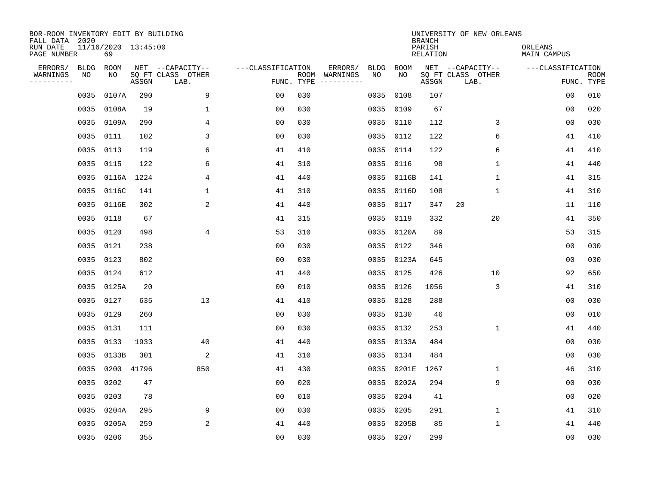| BOR-ROOM INVENTORY EDIT BY BUILDING<br>FALL DATA 2020 |             |                           |       |                           |                   |                    |                         |             |             | <b>BRANCH</b>             | UNIVERSITY OF NEW ORLEANS |                               |                           |
|-------------------------------------------------------|-------------|---------------------------|-------|---------------------------|-------------------|--------------------|-------------------------|-------------|-------------|---------------------------|---------------------------|-------------------------------|---------------------------|
| RUN DATE<br>PAGE NUMBER                               |             | 11/16/2020 13:45:00<br>69 |       |                           |                   |                    |                         |             |             | PARISH<br><b>RELATION</b> |                           | ORLEANS<br><b>MAIN CAMPUS</b> |                           |
| ERRORS/                                               | <b>BLDG</b> | ROOM                      |       | NET --CAPACITY--          | ---CLASSIFICATION |                    | ERRORS/                 | <b>BLDG</b> | <b>ROOM</b> |                           | NET --CAPACITY--          | ---CLASSIFICATION             |                           |
| WARNINGS<br>----------                                | NO          | NO                        | ASSGN | SQ FT CLASS OTHER<br>LAB. |                   | ROOM<br>FUNC. TYPE | WARNINGS<br>----------- | NO          | NO          | ASSGN                     | SQ FT CLASS OTHER<br>LAB. |                               | <b>ROOM</b><br>FUNC. TYPE |
|                                                       | 0035        | 0107A                     | 290   | 9                         | 00                | 030                |                         | 0035        | 0108        | 107                       |                           | 00                            | 010                       |
|                                                       | 0035        | 0108A                     | 19    | 1                         | 00                | 030                |                         | 0035        | 0109        | 67                        |                           | 00                            | 020                       |
|                                                       | 0035        | 0109A                     | 290   | 4                         | 00                | 030                |                         | 0035        | 0110        | 112                       | 3                         | 00                            | 030                       |
|                                                       | 0035        | 0111                      | 102   | 3                         | 0 <sub>0</sub>    | 030                |                         |             | 0035 0112   | 122                       | 6                         | 41                            | 410                       |
|                                                       | 0035        | 0113                      | 119   | 6                         | 41                | 410                |                         | 0035        | 0114        | 122                       | 6                         | 41                            | 410                       |
|                                                       | 0035        | 0115                      | 122   | 6                         | 41                | 310                |                         |             | 0035 0116   | 98                        | 1                         | 41                            | 440                       |
|                                                       | 0035        | 0116A                     | 1224  | 4                         | 41                | 440                |                         | 0035        | 0116B       | 141                       | $\mathbf{1}$              | 41                            | 315                       |
|                                                       | 0035        | 0116C                     | 141   | $\mathbf{1}$              | 41                | 310                |                         |             | 0035 0116D  | 108                       | $\mathbf{1}$              | 41                            | 310                       |
|                                                       | 0035        | 0116E                     | 302   | 2                         | 41                | 440                |                         | 0035        | 0117        | 347                       | 20                        | 11                            | 110                       |
|                                                       | 0035        | 0118                      | 67    |                           | 41                | 315                |                         |             | 0035 0119   | 332                       | 20                        | 41                            | 350                       |
|                                                       | 0035        | 0120                      | 498   | 4                         | 53                | 310                |                         |             | 0035 0120A  | 89                        |                           | 53                            | 315                       |
|                                                       | 0035        | 0121                      | 238   |                           | 0 <sub>0</sub>    | 030                |                         |             | 0035 0122   | 346                       |                           | 0 <sub>0</sub>                | 030                       |
|                                                       | 0035        | 0123                      | 802   |                           | 0 <sub>0</sub>    | 030                |                         | 0035        | 0123A       | 645                       |                           | 0 <sub>0</sub>                | 030                       |
|                                                       | 0035        | 0124                      | 612   |                           | 41                | 440                |                         |             | 0035 0125   | 426                       | 10                        | 92                            | 650                       |
|                                                       | 0035        | 0125A                     | 20    |                           | 0 <sub>0</sub>    | 010                |                         | 0035        | 0126        | 1056                      | 3                         | 41                            | 310                       |
|                                                       | 0035        | 0127                      | 635   | 13                        | 41                | 410                |                         |             | 0035 0128   | 288                       |                           | 00                            | 030                       |
|                                                       | 0035        | 0129                      | 260   |                           | 00                | 030                |                         | 0035        | 0130        | 46                        |                           | 0 <sub>0</sub>                | 010                       |
|                                                       | 0035        | 0131                      | 111   |                           | 0 <sub>0</sub>    | 030                |                         | 0035        | 0132        | 253                       | 1                         | 41                            | 440                       |
|                                                       | 0035        | 0133                      | 1933  | 40                        | 41                | 440                |                         |             | 0035 0133A  | 484                       |                           | 0 <sub>0</sub>                | 030                       |
|                                                       | 0035        | 0133B                     | 301   | 2                         | 41                | 310                |                         | 0035        | 0134        | 484                       |                           | 0 <sub>0</sub>                | 030                       |
|                                                       | 0035        | 0200                      | 41796 | 850                       | 41                | 430                |                         | 0035        | 0201E       | 1267                      | 1                         | 46                            | 310                       |
|                                                       | 0035        | 0202                      | 47    |                           | 0 <sub>0</sub>    | 020                |                         | 0035        | 0202A       | 294                       | 9                         | 00                            | 030                       |
|                                                       | 0035        | 0203                      | 78    |                           | 0 <sub>0</sub>    | 010                |                         | 0035        | 0204        | 41                        |                           | 0 <sub>0</sub>                | 020                       |
|                                                       | 0035        | 0204A                     | 295   | 9                         | 0 <sub>0</sub>    | 030                |                         | 0035        | 0205        | 291                       | $\mathbf{1}$              | 41                            | 310                       |
|                                                       | 0035        | 0205A                     | 259   | 2                         | 41                | 440                |                         | 0035        | 0205B       | 85                        | 1                         | 41                            | 440                       |
|                                                       | 0035 0206   |                           | 355   |                           | 0 <sub>0</sub>    | 030                |                         |             | 0035 0207   | 299                       |                           | 0 <sub>0</sub>                | 030                       |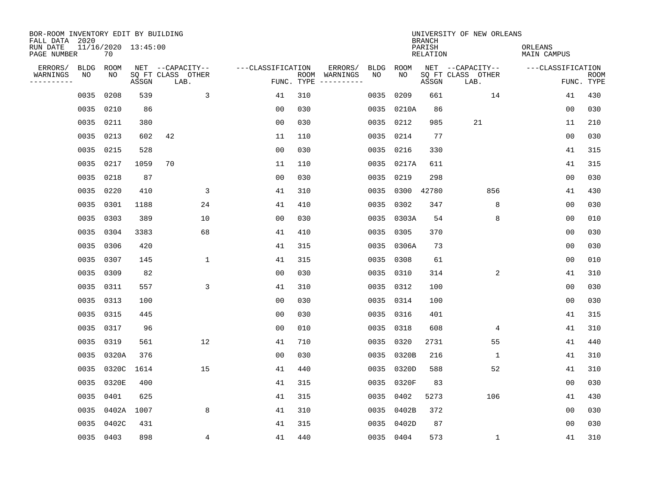| BOR-ROOM INVENTORY EDIT BY BUILDING<br>FALL DATA 2020 |             |                           |       |                           |                   |     |                                      |             |            | <b>BRANCH</b>             | UNIVERSITY OF NEW ORLEANS |                               |                           |
|-------------------------------------------------------|-------------|---------------------------|-------|---------------------------|-------------------|-----|--------------------------------------|-------------|------------|---------------------------|---------------------------|-------------------------------|---------------------------|
| RUN DATE<br>PAGE NUMBER                               |             | 11/16/2020 13:45:00<br>70 |       |                           |                   |     |                                      |             |            | PARISH<br><b>RELATION</b> |                           | ORLEANS<br><b>MAIN CAMPUS</b> |                           |
| ERRORS/                                               | <b>BLDG</b> | ROOM                      |       | NET --CAPACITY--          | ---CLASSIFICATION |     | ERRORS/                              | <b>BLDG</b> | ROOM       |                           | NET --CAPACITY--          | ---CLASSIFICATION             |                           |
| WARNINGS<br>----------                                | NO          | NO                        | ASSGN | SQ FT CLASS OTHER<br>LAB. |                   |     | ROOM WARNINGS<br>FUNC. TYPE $------$ | NO          | NO         | ASSGN                     | SQ FT CLASS OTHER<br>LAB. |                               | <b>ROOM</b><br>FUNC. TYPE |
|                                                       | 0035        | 0208                      | 539   | 3                         | 41                | 310 |                                      | 0035        | 0209       | 661                       | 14                        | 41                            | 430                       |
|                                                       | 0035        | 0210                      | 86    |                           | 0 <sub>0</sub>    | 030 |                                      |             | 0035 0210A | 86                        |                           | 00                            | 030                       |
|                                                       | 0035        | 0211                      | 380   |                           | 00                | 030 |                                      |             | 0035 0212  | 985                       | 21                        | 11                            | 210                       |
|                                                       | 0035        | 0213                      | 602   | 42                        | 11                | 110 |                                      |             | 0035 0214  | 77                        |                           | 0 <sub>0</sub>                | 030                       |
|                                                       | 0035        | 0215                      | 528   |                           | 0 <sub>0</sub>    | 030 |                                      |             | 0035 0216  | 330                       |                           | 41                            | 315                       |
|                                                       | 0035        | 0217                      | 1059  | 70                        | 11                | 110 |                                      |             | 0035 0217A | 611                       |                           | 41                            | 315                       |
|                                                       |             | 0035 0218                 | 87    |                           | 0 <sub>0</sub>    | 030 |                                      | 0035        | 0219       | 298                       |                           | 0 <sub>0</sub>                | 030                       |
|                                                       |             | 0035 0220                 | 410   | 3                         | 41                | 310 |                                      |             | 0035 0300  | 42780                     | 856                       | 41                            | 430                       |
|                                                       | 0035        | 0301                      | 1188  | 24                        | 41                | 410 |                                      | 0035        | 0302       | 347                       | 8                         | 0 <sub>0</sub>                | 030                       |
|                                                       | 0035        | 0303                      | 389   | 10                        | 0 <sub>0</sub>    | 030 |                                      |             | 0035 0303A | 54                        | 8                         | 0 <sub>0</sub>                | 010                       |
|                                                       | 0035        | 0304                      | 3383  | 68                        | 41                | 410 |                                      | 0035        | 0305       | 370                       |                           | 0 <sub>0</sub>                | 030                       |
|                                                       | 0035        | 0306                      | 420   |                           | 41                | 315 |                                      |             | 0035 0306A | 73                        |                           | 0 <sub>0</sub>                | 030                       |
|                                                       | 0035        | 0307                      | 145   | 1                         | 41                | 315 |                                      | 0035        | 0308       | 61                        |                           | 0 <sub>0</sub>                | 010                       |
|                                                       | 0035        | 0309                      | 82    |                           | 0 <sub>0</sub>    | 030 |                                      |             | 0035 0310  | 314                       | 2                         | 41                            | 310                       |
|                                                       | 0035        | 0311                      | 557   | 3                         | 41                | 310 |                                      |             | 0035 0312  | 100                       |                           | 0 <sub>0</sub>                | 030                       |
|                                                       | 0035        | 0313                      | 100   |                           | 0 <sub>0</sub>    | 030 |                                      |             | 0035 0314  | 100                       |                           | 00                            | 030                       |
|                                                       | 0035        | 0315                      | 445   |                           | 0 <sub>0</sub>    | 030 |                                      |             | 0035 0316  | 401                       |                           | 41                            | 315                       |
|                                                       | 0035        | 0317                      | 96    |                           | 0 <sub>0</sub>    | 010 |                                      | 0035        | 0318       | 608                       | 4                         | 41                            | 310                       |
|                                                       | 0035        | 0319                      | 561   | 12                        | 41                | 710 |                                      |             | 0035 0320  | 2731                      | 55                        | 41                            | 440                       |
|                                                       | 0035        | 0320A                     | 376   |                           | 0 <sub>0</sub>    | 030 |                                      |             | 0035 0320B | 216                       | $\mathbf 1$               | 41                            | 310                       |
|                                                       | 0035        | 0320C                     | 1614  | 15                        | 41                | 440 |                                      |             | 0035 0320D | 588                       | 52                        | 41                            | 310                       |
|                                                       | 0035        | 0320E                     | 400   |                           | 41                | 315 |                                      | 0035        | 0320F      | 83                        |                           | 0 <sub>0</sub>                | 030                       |
|                                                       | 0035        | 0401                      | 625   |                           | 41                | 315 |                                      |             | 0035 0402  | 5273                      | 106                       | 41                            | 430                       |
|                                                       | 0035        | 0402A                     | 1007  | 8                         | 41                | 310 |                                      |             | 0035 0402B | 372                       |                           | 0 <sub>0</sub>                | 030                       |
|                                                       | 0035        | 0402C                     | 431   |                           | 41                | 315 |                                      |             | 0035 0402D | 87                        |                           | 0 <sub>0</sub>                | 030                       |
|                                                       |             | 0035 0403                 | 898   | 4                         | 41                | 440 |                                      |             | 0035 0404  | 573                       | $\mathbf 1$               | 41                            | 310                       |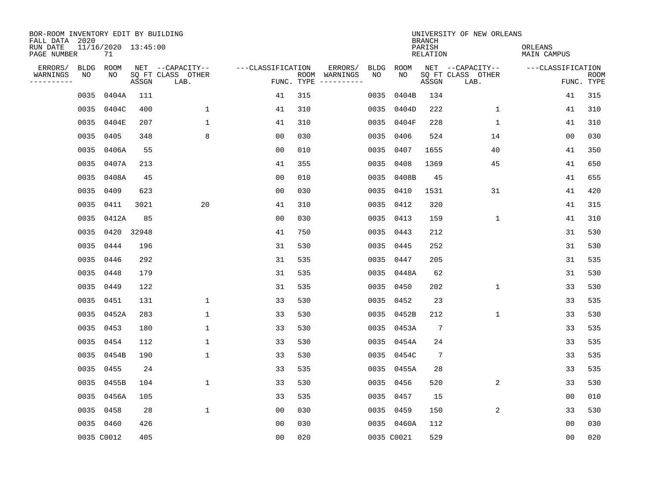| BOR-ROOM INVENTORY EDIT BY BUILDING<br>FALL DATA 2020 |             |                           |       |                           |                   |     |                                      |      |             | <b>BRANCH</b>             | UNIVERSITY OF NEW ORLEANS |                               |                           |
|-------------------------------------------------------|-------------|---------------------------|-------|---------------------------|-------------------|-----|--------------------------------------|------|-------------|---------------------------|---------------------------|-------------------------------|---------------------------|
| RUN DATE<br>PAGE NUMBER                               |             | 11/16/2020 13:45:00<br>71 |       |                           |                   |     |                                      |      |             | PARISH<br><b>RELATION</b> |                           | ORLEANS<br><b>MAIN CAMPUS</b> |                           |
| ERRORS/                                               | <b>BLDG</b> | ROOM                      |       | NET --CAPACITY--          | ---CLASSIFICATION |     | ERRORS/                              | BLDG | <b>ROOM</b> |                           | NET --CAPACITY--          | ---CLASSIFICATION             |                           |
| WARNINGS<br>----------                                | NO          | NO                        | ASSGN | SQ FT CLASS OTHER<br>LAB. |                   |     | ROOM WARNINGS<br>FUNC. TYPE $------$ | NO   | NO          | ASSGN                     | SQ FT CLASS OTHER<br>LAB. |                               | <b>ROOM</b><br>FUNC. TYPE |
|                                                       | 0035        | 0404A                     | 111   |                           | 41                | 315 |                                      | 0035 | 0404B       | 134                       |                           | 41                            | 315                       |
|                                                       | 0035        | 0404C                     | 400   | 1                         | 41                | 310 |                                      |      | 0035 0404D  | 222                       | 1                         | 41                            | 310                       |
|                                                       | 0035        | 0404E                     | 207   | $\mathbf{1}$              | 41                | 310 |                                      |      | 0035 0404F  | 228                       | 1                         | 41                            | 310                       |
|                                                       | 0035        | 0405                      | 348   | 8                         | 0 <sub>0</sub>    | 030 |                                      |      | 0035 0406   | 524                       | 14                        | 00                            | 030                       |
|                                                       | 0035        | 0406A                     | 55    |                           | 0 <sub>0</sub>    | 010 |                                      | 0035 | 0407        | 1655                      | 40                        | 41                            | 350                       |
|                                                       | 0035        | 0407A                     | 213   |                           | 41                | 355 |                                      |      | 0035 0408   | 1369                      | 45                        | 41                            | 650                       |
|                                                       | 0035        | 0408A                     | 45    |                           | 0 <sub>0</sub>    | 010 |                                      |      | 0035 0408B  | 45                        |                           | 41                            | 655                       |
|                                                       | 0035        | 0409                      | 623   |                           | 0 <sub>0</sub>    | 030 |                                      |      | 0035 0410   | 1531                      | 31                        | 41                            | 420                       |
|                                                       | 0035        | 0411                      | 3021  | 20                        | 41                | 310 |                                      | 0035 | 0412        | 320                       |                           | 41                            | 315                       |
|                                                       | 0035        | 0412A                     | 85    |                           | 0 <sub>0</sub>    | 030 |                                      |      | 0035 0413   | 159                       | $\mathbf{1}$              | 41                            | 310                       |
|                                                       |             | 0035 0420                 | 32948 |                           | 41                | 750 |                                      |      | 0035 0443   | 212                       |                           | 31                            | 530                       |
|                                                       | 0035        | 0444                      | 196   |                           | 31                | 530 |                                      |      | 0035 0445   | 252                       |                           | 31                            | 530                       |
|                                                       | 0035        | 0446                      | 292   |                           | 31                | 535 |                                      |      | 0035 0447   | 205                       |                           | 31                            | 535                       |
|                                                       | 0035        | 0448                      | 179   |                           | 31                | 535 |                                      |      | 0035 0448A  | 62                        |                           | 31                            | 530                       |
|                                                       | 0035        | 0449                      | 122   |                           | 31                | 535 |                                      | 0035 | 0450        | 202                       | 1                         | 33                            | 530                       |
|                                                       | 0035        | 0451                      | 131   | 1                         | 33                | 530 |                                      |      | 0035 0452   | 23                        |                           | 33                            | 535                       |
|                                                       | 0035        | 0452A                     | 283   | $\mathbf 1$               | 33                | 530 |                                      | 0035 | 0452B       | 212                       | 1                         | 33                            | 530                       |
|                                                       | 0035        | 0453                      | 180   | 1                         | 33                | 530 |                                      |      | 0035 0453A  | $7\phantom{.0}$           |                           | 33                            | 535                       |
|                                                       | 0035        | 0454                      | 112   | 1                         | 33                | 530 |                                      |      | 0035 0454A  | 24                        |                           | 33                            | 535                       |
|                                                       | 0035        | 0454B                     | 190   | $\mathbf{1}$              | 33                | 530 |                                      |      | 0035 0454C  | $7\phantom{.0}$           |                           | 33                            | 535                       |
|                                                       | 0035        | 0455                      | 24    |                           | 33                | 535 |                                      |      | 0035 0455A  | 28                        |                           | 33                            | 535                       |
|                                                       | 0035        | 0455B                     | 104   | $\mathbf{1}$              | 33                | 530 |                                      |      | 0035 0456   | 520                       | 2                         | 33                            | 530                       |
|                                                       | 0035        | 0456A                     | 105   |                           | 33                | 535 |                                      |      | 0035 0457   | 15                        |                           | 0 <sub>0</sub>                | 010                       |
|                                                       | 0035        | 0458                      | 28    | $\mathbf{1}$              | 00                | 030 |                                      |      | 0035 0459   | 150                       | 2                         | 33                            | 530                       |
|                                                       | 0035        | 0460                      | 426   |                           | 0 <sub>0</sub>    | 030 |                                      |      | 0035 0460A  | 112                       |                           | 0 <sub>0</sub>                | 030                       |
|                                                       |             | 0035 C0012                | 405   |                           | 0 <sub>0</sub>    | 020 |                                      |      | 0035 C0021  | 529                       |                           | 00                            | 020                       |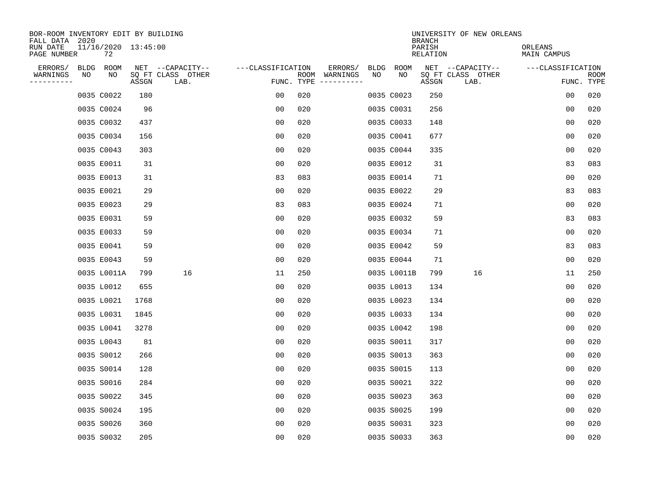| BOR-ROOM INVENTORY EDIT BY BUILDING<br>FALL DATA 2020 |    |       |                           |                   |     |                          |                   |             | <b>BRANCH</b>             | UNIVERSITY OF NEW ORLEANS             |                               |             |
|-------------------------------------------------------|----|-------|---------------------------|-------------------|-----|--------------------------|-------------------|-------------|---------------------------|---------------------------------------|-------------------------------|-------------|
| 11/16/2020 13:45:00<br>RUN DATE<br>PAGE NUMBER        | 72 |       |                           |                   |     |                          |                   |             | PARISH<br><b>RELATION</b> |                                       | ORLEANS<br><b>MAIN CAMPUS</b> |             |
| ERRORS/<br>BLDG ROOM<br>WARNINGS<br>NO                | NO |       | NET --CAPACITY--          | ---CLASSIFICATION |     | ERRORS/<br>ROOM WARNINGS | <b>BLDG</b><br>NO | ROOM<br>NO  |                           | NET --CAPACITY--<br>SQ FT CLASS OTHER | ---CLASSIFICATION             | <b>ROOM</b> |
| ----------                                            |    | ASSGN | SQ FT CLASS OTHER<br>LAB. |                   |     | FUNC. TYPE $------$      |                   |             | ASSGN                     | LAB.                                  |                               | FUNC. TYPE  |
| 0035 C0022                                            |    | 180   |                           | 00                | 020 |                          |                   | 0035 C0023  | 250                       |                                       | 0 <sub>0</sub>                | 020         |
| 0035 C0024                                            |    | 96    |                           | 0 <sub>0</sub>    | 020 |                          |                   | 0035 C0031  | 256                       |                                       | 0 <sub>0</sub>                | 020         |
| 0035 C0032                                            |    | 437   |                           | 00                | 020 |                          |                   | 0035 C0033  | 148                       |                                       | 0 <sub>0</sub>                | 020         |
| 0035 C0034                                            |    | 156   |                           | 0 <sub>0</sub>    | 020 |                          |                   | 0035 C0041  | 677                       |                                       | 00                            | 020         |
| 0035 C0043                                            |    | 303   |                           | 0 <sub>0</sub>    | 020 |                          |                   | 0035 C0044  | 335                       |                                       | 00                            | 020         |
| 0035 E0011                                            |    | 31    |                           | 0 <sub>0</sub>    | 020 |                          |                   | 0035 E0012  | 31                        |                                       | 83                            | 083         |
| 0035 E0013                                            |    | 31    |                           | 83                | 083 |                          |                   | 0035 E0014  | 71                        |                                       | 0 <sub>0</sub>                | 020         |
| 0035 E0021                                            |    | 29    |                           | 0 <sub>0</sub>    | 020 |                          |                   | 0035 E0022  | 29                        |                                       | 83                            | 083         |
| 0035 E0023                                            |    | 29    |                           | 83                | 083 |                          |                   | 0035 E0024  | 71                        |                                       | 0 <sub>0</sub>                | 020         |
| 0035 E0031                                            |    | 59    |                           | 0 <sub>0</sub>    | 020 |                          |                   | 0035 E0032  | 59                        |                                       | 83                            | 083         |
| 0035 E0033                                            |    | 59    |                           | 00                | 020 |                          |                   | 0035 E0034  | 71                        |                                       | 0 <sub>0</sub>                | 020         |
| 0035 E0041                                            |    | 59    |                           | 0 <sub>0</sub>    | 020 |                          |                   | 0035 E0042  | 59                        |                                       | 83                            | 083         |
| 0035 E0043                                            |    | 59    |                           | 00                | 020 |                          |                   | 0035 E0044  | 71                        |                                       | 0 <sub>0</sub>                | 020         |
| 0035 L0011A                                           |    | 799   | 16                        | 11                | 250 |                          |                   | 0035 L0011B | 799                       | 16                                    | 11                            | 250         |
| 0035 L0012                                            |    | 655   |                           | 00                | 020 |                          |                   | 0035 L0013  | 134                       |                                       | 0 <sub>0</sub>                | 020         |
| 0035 L0021                                            |    | 1768  |                           | 0 <sub>0</sub>    | 020 |                          |                   | 0035 L0023  | 134                       |                                       | 0 <sub>0</sub>                | 020         |
| 0035 L0031                                            |    | 1845  |                           | 0 <sub>0</sub>    | 020 |                          |                   | 0035 L0033  | 134                       |                                       | 0 <sub>0</sub>                | 020         |
| 0035 L0041                                            |    | 3278  |                           | 0 <sub>0</sub>    | 020 |                          |                   | 0035 L0042  | 198                       |                                       | 0 <sub>0</sub>                | 020         |
| 0035 L0043                                            |    | 81    |                           | 0 <sub>0</sub>    | 020 |                          |                   | 0035 S0011  | 317                       |                                       | 0 <sub>0</sub>                | 020         |
| 0035 S0012                                            |    | 266   |                           | 0 <sub>0</sub>    | 020 |                          |                   | 0035 S0013  | 363                       |                                       | 0 <sub>0</sub>                | 020         |
| 0035 S0014                                            |    | 128   |                           | 0 <sub>0</sub>    | 020 |                          |                   | 0035 S0015  | 113                       |                                       | 0 <sub>0</sub>                | 020         |
| 0035 S0016                                            |    | 284   |                           | 0 <sub>0</sub>    | 020 |                          |                   | 0035 S0021  | 322                       |                                       | 0 <sub>0</sub>                | 020         |
| 0035 S0022                                            |    | 345   |                           | 0 <sub>0</sub>    | 020 |                          |                   | 0035 S0023  | 363                       |                                       | 0 <sub>0</sub>                | 020         |
| 0035 S0024                                            |    | 195   |                           | 0 <sub>0</sub>    | 020 |                          |                   | 0035 S0025  | 199                       |                                       | 0 <sub>0</sub>                | 020         |
| 0035 S0026                                            |    | 360   |                           | 0 <sub>0</sub>    | 020 |                          |                   | 0035 S0031  | 323                       |                                       | 0 <sub>0</sub>                | 020         |
| 0035 S0032                                            |    | 205   |                           | 0 <sub>0</sub>    | 020 |                          |                   | 0035 S0033  | 363                       |                                       | 0 <sub>0</sub>                | 020         |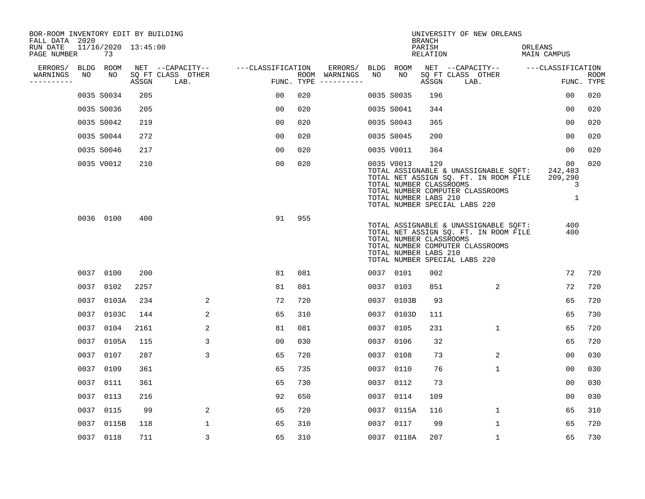| BOR-ROOM INVENTORY EDIT BY BUILDING<br>FALL DATA 2020 |      |                           |       |                           |                   |            |                                                                                                                                                                                                                                                                                                                                                                                                                                                                                                                           |      |                                                                | <b>BRANCH</b>             | UNIVERSITY OF NEW ORLEANS                                                                                                                           |                                    |                           |
|-------------------------------------------------------|------|---------------------------|-------|---------------------------|-------------------|------------|---------------------------------------------------------------------------------------------------------------------------------------------------------------------------------------------------------------------------------------------------------------------------------------------------------------------------------------------------------------------------------------------------------------------------------------------------------------------------------------------------------------------------|------|----------------------------------------------------------------|---------------------------|-----------------------------------------------------------------------------------------------------------------------------------------------------|------------------------------------|---------------------------|
| RUN DATE<br>PAGE NUMBER                               |      | 11/16/2020 13:45:00<br>73 |       |                           |                   |            |                                                                                                                                                                                                                                                                                                                                                                                                                                                                                                                           |      |                                                                | PARISH<br><b>RELATION</b> |                                                                                                                                                     | ORLEANS<br><b>MAIN CAMPUS</b>      |                           |
| ERRORS/                                               |      | BLDG ROOM                 |       | NET --CAPACITY--          | ---CLASSIFICATION |            | ERRORS/                                                                                                                                                                                                                                                                                                                                                                                                                                                                                                                   |      | BLDG ROOM                                                      |                           | NET --CAPACITY--                                                                                                                                    | ---CLASSIFICATION                  |                           |
| WARNINGS<br>. <u>.</u> .                              | NO   | NO                        | ASSGN | SQ FT CLASS OTHER<br>LAB. |                   | FUNC. TYPE | ROOM WARNINGS<br>$\begin{tabular}{ccccccccc} \multicolumn{2}{c }{\multicolumn{2}{c }{\multicolumn{2}{c }{\multicolumn{2}{c}}{\multicolumn{2}{c}}{\multicolumn{2}{c}}{\multicolumn{2}{c}}{\multicolumn{2}{c}}{\multicolumn{2}{c}}{\multicolumn{2}{c}}{\multicolumn{2}{c}}{\multicolumn{2}{c}}{\multicolumn{2}{c}}{\multicolumn{2}{c}}{\multicolumn{2}{c}}{\multicolumn{2}{c}}{\multicolumn{2}{c}}{\multicolumn{2}{c}}{\multicolumn{2}{c}}{\multicolumn{2}{c}}{\multicolumn{2}{c}}{\multicolumn{2}{c}}{\multicolumn{2}{c}}$ | NO   | NO                                                             | ASSGN                     | SQ FT CLASS OTHER<br>LAB.                                                                                                                           |                                    | <b>ROOM</b><br>FUNC. TYPE |
|                                                       |      | 0035 S0034                | 205   |                           | 00                | 020        |                                                                                                                                                                                                                                                                                                                                                                                                                                                                                                                           |      | 0035 S0035                                                     | 196                       |                                                                                                                                                     | 0 <sub>0</sub>                     | 020                       |
|                                                       |      | 0035 S0036                | 205   |                           | 0 <sub>0</sub>    | 020        |                                                                                                                                                                                                                                                                                                                                                                                                                                                                                                                           |      | 0035 S0041                                                     | 344                       |                                                                                                                                                     | 00                                 | 020                       |
|                                                       |      | 0035 S0042                | 219   |                           | 0 <sub>0</sub>    | 020        |                                                                                                                                                                                                                                                                                                                                                                                                                                                                                                                           |      | 0035 S0043                                                     | 365                       |                                                                                                                                                     | 00                                 | 020                       |
|                                                       |      | 0035 S0044                | 272   |                           | 0 <sub>0</sub>    | 020        |                                                                                                                                                                                                                                                                                                                                                                                                                                                                                                                           |      | 0035 S0045                                                     | 200                       |                                                                                                                                                     | 0 <sub>0</sub>                     | 020                       |
|                                                       |      | 0035 S0046                | 217   |                           | 00                | 020        |                                                                                                                                                                                                                                                                                                                                                                                                                                                                                                                           |      | 0035 V0011                                                     | 364                       |                                                                                                                                                     | 0 <sub>0</sub>                     | 020                       |
|                                                       |      | 0035 V0012                | 210   |                           | 0 <sub>0</sub>    | 020        |                                                                                                                                                                                                                                                                                                                                                                                                                                                                                                                           |      | 0035 V0013<br>TOTAL NUMBER CLASSROOMS<br>TOTAL NUMBER LABS 210 | 129                       | TOTAL ASSIGNABLE & UNASSIGNABLE SQFT:<br>TOTAL NET ASSIGN SQ. FT. IN ROOM FILE<br>TOTAL NUMBER COMPUTER CLASSROOMS<br>TOTAL NUMBER SPECIAL LABS 220 | 00<br>242,483<br>209,290<br>3<br>1 | 020                       |
|                                                       |      | 0036 0100                 | 400   |                           | 91                | 955        |                                                                                                                                                                                                                                                                                                                                                                                                                                                                                                                           |      | TOTAL NUMBER CLASSROOMS<br>TOTAL NUMBER LABS 210               |                           | TOTAL ASSIGNABLE & UNASSIGNABLE SQFT:<br>TOTAL NET ASSIGN SQ. FT. IN ROOM FILE<br>TOTAL NUMBER COMPUTER CLASSROOMS<br>TOTAL NUMBER SPECIAL LABS 220 | 400<br>400                         |                           |
|                                                       |      | 0037 0100                 | 200   |                           | 81                | 081        |                                                                                                                                                                                                                                                                                                                                                                                                                                                                                                                           |      | 0037 0101                                                      | 902                       |                                                                                                                                                     | 72                                 | 720                       |
|                                                       | 0037 | 0102                      | 2257  |                           | 81                | 081        |                                                                                                                                                                                                                                                                                                                                                                                                                                                                                                                           | 0037 | 0103                                                           | 851                       | 2                                                                                                                                                   | 72                                 | 720                       |
|                                                       | 0037 | 0103A                     | 234   | 2                         | 72                | 720        |                                                                                                                                                                                                                                                                                                                                                                                                                                                                                                                           | 0037 | 0103B                                                          | 93                        |                                                                                                                                                     | 65                                 | 720                       |
|                                                       | 0037 | 0103C                     | 144   | 2                         | 65                | 310        |                                                                                                                                                                                                                                                                                                                                                                                                                                                                                                                           | 0037 | 0103D                                                          | 111                       |                                                                                                                                                     | 65                                 | 730                       |
|                                                       | 0037 | 0104                      | 2161  | 2                         | 81                | 081        |                                                                                                                                                                                                                                                                                                                                                                                                                                                                                                                           | 0037 | 0105                                                           | 231                       | $\mathbf 1$                                                                                                                                         | 65                                 | 720                       |
|                                                       | 0037 | 0105A                     | 115   | 3                         | 0 <sub>0</sub>    | 030        |                                                                                                                                                                                                                                                                                                                                                                                                                                                                                                                           | 0037 | 0106                                                           | 32                        |                                                                                                                                                     | 65                                 | 720                       |
|                                                       | 0037 | 0107                      | 287   | $\overline{3}$            | 65                | 720        |                                                                                                                                                                                                                                                                                                                                                                                                                                                                                                                           | 0037 | 0108                                                           | 73                        | 2                                                                                                                                                   | 00                                 | 030                       |
|                                                       | 0037 | 0109                      | 361   |                           | 65                | 735        |                                                                                                                                                                                                                                                                                                                                                                                                                                                                                                                           | 0037 | 0110                                                           | 76                        | $\mathbf 1$                                                                                                                                         | 00                                 | 030                       |
|                                                       | 0037 | 0111                      | 361   |                           | 65                | 730        |                                                                                                                                                                                                                                                                                                                                                                                                                                                                                                                           | 0037 | 0112                                                           | 73                        |                                                                                                                                                     | 00                                 | 030                       |
|                                                       | 0037 | 0113                      | 216   |                           | 92                | 650        |                                                                                                                                                                                                                                                                                                                                                                                                                                                                                                                           | 0037 | 0114                                                           | 109                       |                                                                                                                                                     | 0 <sub>0</sub>                     | 030                       |
|                                                       | 0037 | 0115                      | 99    | 2                         | 65                | 720        |                                                                                                                                                                                                                                                                                                                                                                                                                                                                                                                           | 0037 | 0115A                                                          | 116                       | $\mathbf 1$                                                                                                                                         | 65                                 | 310                       |
|                                                       | 0037 | 0115B                     | 118   | $\mathbf{1}$              | 65                | 310        |                                                                                                                                                                                                                                                                                                                                                                                                                                                                                                                           |      | 0037 0117                                                      | 99                        | $\mathbf{1}$                                                                                                                                        | 65                                 | 720                       |
|                                                       |      | 0037 0118                 | 711   | 3                         | 65                | 310        |                                                                                                                                                                                                                                                                                                                                                                                                                                                                                                                           |      | 0037 0118A                                                     | 207                       | $\mathbf{1}$                                                                                                                                        | 65                                 | 730                       |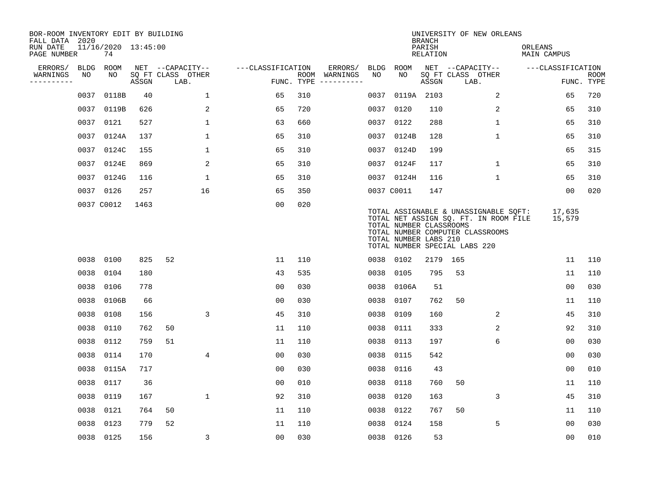| BOR-ROOM INVENTORY EDIT BY BUILDING<br>FALL DATA 2020 |             |                           |       |                           |                   |     |                                      |             |                                                  | <b>BRANCH</b>             | UNIVERSITY OF NEW ORLEANS                                                                                                                           |                               |                           |
|-------------------------------------------------------|-------------|---------------------------|-------|---------------------------|-------------------|-----|--------------------------------------|-------------|--------------------------------------------------|---------------------------|-----------------------------------------------------------------------------------------------------------------------------------------------------|-------------------------------|---------------------------|
| RUN DATE<br>PAGE NUMBER                               |             | 11/16/2020 13:45:00<br>74 |       |                           |                   |     |                                      |             |                                                  | PARISH<br><b>RELATION</b> |                                                                                                                                                     | ORLEANS<br><b>MAIN CAMPUS</b> |                           |
| ERRORS/                                               | <b>BLDG</b> | ROOM                      |       | NET --CAPACITY--          | ---CLASSIFICATION |     | ERRORS/                              | <b>BLDG</b> | ROOM                                             |                           | NET --CAPACITY--                                                                                                                                    | ---CLASSIFICATION             |                           |
| WARNINGS<br>----------                                | NO          | NO                        | ASSGN | SQ FT CLASS OTHER<br>LAB. |                   |     | ROOM WARNINGS<br>FUNC. TYPE $------$ | NO          | NO                                               | ASSGN                     | SQ FT CLASS OTHER<br>LAB.                                                                                                                           |                               | <b>ROOM</b><br>FUNC. TYPE |
|                                                       | 0037        | 0118B                     | 40    | $\mathbf 1$               | 65                | 310 |                                      | 0037        |                                                  | 0119A 2103                | 2                                                                                                                                                   | 65                            | 720                       |
|                                                       | 0037        | 0119B                     | 626   | 2                         | 65                | 720 |                                      |             | 0037 0120                                        | 110                       | 2                                                                                                                                                   | 65                            | 310                       |
|                                                       | 0037        | 0121                      | 527   | $\mathbf 1$               | 63                | 660 |                                      |             | 0037 0122                                        | 288                       | $\mathbf 1$                                                                                                                                         | 65                            | 310                       |
|                                                       | 0037        | 0124A                     | 137   | $\mathbf 1$               | 65                | 310 |                                      |             | 0037 0124B                                       | 128                       | $\mathbf 1$                                                                                                                                         | 65                            | 310                       |
|                                                       | 0037        | 0124C                     | 155   | $\mathbf{1}$              | 65                | 310 |                                      |             | 0037 0124D                                       | 199                       |                                                                                                                                                     | 65                            | 315                       |
|                                                       | 0037        | 0124E                     | 869   | 2                         | 65                | 310 |                                      |             | 0037 0124F                                       | 117                       | $\mathbf{1}$                                                                                                                                        | 65                            | 310                       |
|                                                       |             | 0037 0124G                | 116   | $\mathbf{1}$              | 65                | 310 |                                      |             | 0037 0124H                                       | 116                       | $\mathbf{1}$                                                                                                                                        | 65                            | 310                       |
|                                                       |             | 0037 0126                 | 257   | 16                        | 65                | 350 |                                      |             | 0037 C0011                                       | 147                       |                                                                                                                                                     | 00                            | 020                       |
|                                                       |             | 0037 C0012                | 1463  |                           | 0 <sub>0</sub>    | 020 |                                      |             | TOTAL NUMBER CLASSROOMS<br>TOTAL NUMBER LABS 210 |                           | TOTAL ASSIGNABLE & UNASSIGNABLE SQFT:<br>TOTAL NET ASSIGN SQ. FT. IN ROOM FILE<br>TOTAL NUMBER COMPUTER CLASSROOMS<br>TOTAL NUMBER SPECIAL LABS 220 | 17,635<br>15,579              |                           |
|                                                       |             | 0038 0100                 | 825   | 52                        | 11                | 110 |                                      |             | 0038 0102                                        |                           | 2179 165                                                                                                                                            | 11                            | 110                       |
|                                                       | 0038        | 0104                      | 180   |                           | 43                | 535 |                                      | 0038        | 0105                                             | 795                       | 53                                                                                                                                                  | 11                            | 110                       |
|                                                       | 0038        | 0106                      | 778   |                           | 00                | 030 |                                      | 0038        | 0106A                                            | 51                        |                                                                                                                                                     | 0 <sub>0</sub>                | 030                       |
|                                                       | 0038        | 0106B                     | 66    |                           | 0 <sub>0</sub>    | 030 |                                      | 0038        | 0107                                             | 762                       | 50                                                                                                                                                  | 11                            | 110                       |
|                                                       | 0038        | 0108                      | 156   | 3                         | 45                | 310 |                                      | 0038        | 0109                                             | 160                       | 2                                                                                                                                                   | 45                            | 310                       |
|                                                       | 0038        | 0110                      | 762   | 50                        | 11                | 110 |                                      | 0038        | 0111                                             | 333                       | 2                                                                                                                                                   | 92                            | 310                       |
|                                                       | 0038        | 0112                      | 759   | 51                        | 11                | 110 |                                      | 0038        | 0113                                             | 197                       | 6                                                                                                                                                   | 0 <sub>0</sub>                | 030                       |
|                                                       | 0038        | 0114                      | 170   | 4                         | 0 <sub>0</sub>    | 030 |                                      | 0038        | 0115                                             | 542                       |                                                                                                                                                     | 0 <sub>0</sub>                | 030                       |
|                                                       | 0038        | 0115A                     | 717   |                           | 0 <sub>0</sub>    | 030 |                                      | 0038        | 0116                                             | 43                        |                                                                                                                                                     | 0 <sub>0</sub>                | 010                       |
|                                                       | 0038        | 0117                      | 36    |                           | 0 <sub>0</sub>    | 010 |                                      | 0038        | 0118                                             | 760                       | 50                                                                                                                                                  | 11                            | 110                       |
|                                                       | 0038        | 0119                      | 167   | $\mathbf{1}$              | 92                | 310 |                                      | 0038        | 0120                                             | 163                       | 3                                                                                                                                                   | 45                            | 310                       |
|                                                       | 0038        | 0121                      | 764   | 50                        | 11                | 110 |                                      | 0038        | 0122                                             | 767                       | 50                                                                                                                                                  | 11                            | 110                       |
|                                                       | 0038        | 0123                      | 779   | 52                        | 11                | 110 |                                      | 0038        | 0124                                             | 158                       | 5                                                                                                                                                   | 0 <sub>0</sub>                | 030                       |
|                                                       |             | 0038 0125                 | 156   | $\mathsf{3}$              | 0 <sub>0</sub>    | 030 |                                      |             | 0038 0126                                        | 53                        |                                                                                                                                                     | 00                            | 010                       |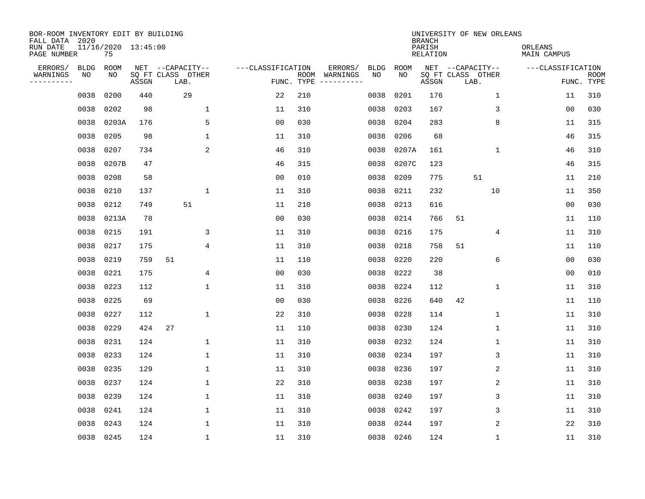| BOR-ROOM INVENTORY EDIT BY BUILDING<br>FALL DATA 2020 |           |                           |       |                           |              |                   |                    |          |             |             | <b>BRANCH</b>             | UNIVERSITY OF NEW ORLEANS |                        |                   |                           |
|-------------------------------------------------------|-----------|---------------------------|-------|---------------------------|--------------|-------------------|--------------------|----------|-------------|-------------|---------------------------|---------------------------|------------------------|-------------------|---------------------------|
| RUN DATE<br>PAGE NUMBER                               |           | 11/16/2020 13:45:00<br>75 |       |                           |              |                   |                    |          |             |             | PARISH<br><b>RELATION</b> |                           | ORLEANS<br>MAIN CAMPUS |                   |                           |
| ERRORS/                                               | BLDG      | ROOM                      |       | NET --CAPACITY--          |              | ---CLASSIFICATION |                    | ERRORS/  | <b>BLDG</b> | <b>ROOM</b> |                           | NET --CAPACITY--          |                        | ---CLASSIFICATION |                           |
| WARNINGS<br>----------                                | NO        | NO                        | ASSGN | SQ FT CLASS OTHER<br>LAB. |              |                   | ROOM<br>FUNC. TYPE | WARNINGS | NO          | NO          | ASSGN                     | SQ FT CLASS OTHER<br>LAB. |                        |                   | <b>ROOM</b><br>FUNC. TYPE |
|                                                       | 0038      | 0200                      | 440   | 29                        |              | 22                | 210                |          | 0038        | 0201        | 176                       |                           | $\mathbf 1$            | 11                | 310                       |
|                                                       | 0038      | 0202                      | 98    |                           | $\mathbf{1}$ | 11                | 310                |          | 0038        | 0203        | 167                       | 3                         |                        | 0 <sub>0</sub>    | 030                       |
|                                                       | 0038      | 0203A                     | 176   |                           | 5            | 0 <sub>0</sub>    | 030                |          | 0038        | 0204        | 283                       | 8                         |                        | 11                | 315                       |
|                                                       | 0038      | 0205                      | 98    |                           | $\mathbf{1}$ | 11                | 310                |          | 0038        | 0206        | 68                        |                           |                        | 46                | 315                       |
|                                                       | 0038      | 0207                      | 734   |                           | 2            | 46                | 310                |          | 0038        | 0207A       | 161                       |                           | $\mathbf{1}$           | 46                | 310                       |
|                                                       | 0038      | 0207B                     | 47    |                           |              | 46                | 315                |          | 0038        | 0207C       | 123                       |                           |                        | 46                | 315                       |
|                                                       | 0038      | 0208                      | 58    |                           |              | 0 <sub>0</sub>    | 010                |          | 0038        | 0209        | 775                       | 51                        |                        | 11                | 210                       |
|                                                       | 0038      | 0210                      | 137   |                           | $\mathbf{1}$ | 11                | 310                |          | 0038        | 0211        | 232                       | 10                        |                        | 11                | 350                       |
|                                                       | 0038      | 0212                      | 749   | 51                        |              | 11                | 210                |          | 0038        | 0213        | 616                       |                           |                        | 0 <sub>0</sub>    | 030                       |
|                                                       | 0038      | 0213A                     | 78    |                           |              | 0 <sub>0</sub>    | 030                |          | 0038        | 0214        | 766                       | 51                        |                        | 11                | 110                       |
|                                                       | 0038      | 0215                      | 191   |                           | 3            | 11                | 310                |          | 0038        | 0216        | 175                       |                           | 4                      | 11                | 310                       |
|                                                       | 0038      | 0217                      | 175   |                           | 4            | 11                | 310                |          | 0038        | 0218        | 758                       | 51                        |                        | 11                | 110                       |
|                                                       | 0038      | 0219                      | 759   | 51                        |              | 11                | 110                |          | 0038        | 0220        | 220                       |                           | 6                      | 0 <sub>0</sub>    | 030                       |
|                                                       | 0038      | 0221                      | 175   |                           | 4            | 0 <sub>0</sub>    | 030                |          | 0038        | 0222        | 38                        |                           |                        | 0 <sub>0</sub>    | 010                       |
|                                                       | 0038      | 0223                      | 112   |                           | $\mathbf{1}$ | 11                | 310                |          | 0038        | 0224        | 112                       | $\mathbf 1$               |                        | 11                | 310                       |
|                                                       | 0038      | 0225                      | 69    |                           |              | 0 <sub>0</sub>    | 030                |          | 0038        | 0226        | 640                       | 42                        |                        | 11                | 110                       |
|                                                       | 0038      | 0227                      | 112   |                           | $\mathbf{1}$ | 22                | 310                |          | 0038        | 0228        | 114                       | 1                         |                        | 11                | 310                       |
|                                                       | 0038      | 0229                      | 424   | 27                        |              | 11                | 110                |          | 0038        | 0230        | 124                       |                           | 1                      | 11                | 310                       |
|                                                       | 0038      | 0231                      | 124   |                           | $\mathbf{1}$ | 11                | 310                |          | 0038        | 0232        | 124                       | 1                         |                        | 11                | 310                       |
|                                                       | 0038      | 0233                      | 124   |                           | $\mathbf{1}$ | 11                | 310                |          | 0038        | 0234        | 197                       |                           | 3                      | 11                | 310                       |
|                                                       | 0038      | 0235                      | 129   |                           | $\mathbf{1}$ | 11                | 310                |          | 0038        | 0236        | 197                       | $\overline{2}$            |                        | 11                | 310                       |
|                                                       | 0038      | 0237                      | 124   |                           | 1            | 22                | 310                |          | 0038        | 0238        | 197                       |                           | $\sqrt{2}$             | 11                | 310                       |
|                                                       | 0038      | 0239                      | 124   |                           | 1            | 11                | 310                |          | 0038        | 0240        | 197                       |                           | 3                      | 11                | 310                       |
|                                                       | 0038      | 0241                      | 124   |                           | $\mathbf{1}$ | 11                | 310                |          | 0038        | 0242        | 197                       |                           | 3                      | 11                | 310                       |
|                                                       | 0038      | 0243                      | 124   |                           | $\mathbf{1}$ | 11                | 310                |          | 0038        | 0244        | 197                       |                           | 2                      | 22                | 310                       |
|                                                       | 0038 0245 |                           | 124   |                           | $\mathbf{1}$ | 11                | 310                |          | 0038        | 0246        | 124                       |                           | $\mathbf{1}$           | 11                | 310                       |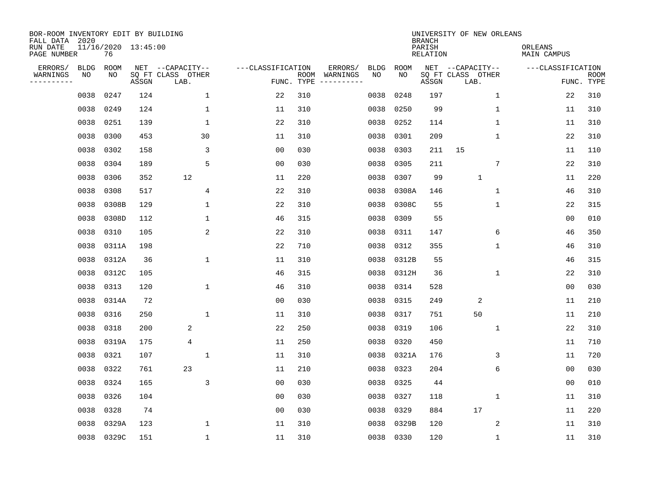| BOR-ROOM INVENTORY EDIT BY BUILDING<br>FALL DATA 2020 |             |                           |       |                           |                   |                    |          |             |             | <b>BRANCH</b>             | UNIVERSITY OF NEW ORLEANS |                        |                           |
|-------------------------------------------------------|-------------|---------------------------|-------|---------------------------|-------------------|--------------------|----------|-------------|-------------|---------------------------|---------------------------|------------------------|---------------------------|
| RUN DATE<br>PAGE NUMBER                               |             | 11/16/2020 13:45:00<br>76 |       |                           |                   |                    |          |             |             | PARISH<br><b>RELATION</b> |                           | ORLEANS<br>MAIN CAMPUS |                           |
| ERRORS/                                               | <b>BLDG</b> | ROOM                      |       | NET --CAPACITY--          | ---CLASSIFICATION |                    | ERRORS/  | <b>BLDG</b> | <b>ROOM</b> |                           | NET --CAPACITY--          | ---CLASSIFICATION      |                           |
| WARNINGS<br>----------                                | NO          | NO                        | ASSGN | SQ FT CLASS OTHER<br>LAB. |                   | ROOM<br>FUNC. TYPE | WARNINGS | NO          | NO          | ASSGN                     | SQ FT CLASS OTHER<br>LAB. |                        | <b>ROOM</b><br>FUNC. TYPE |
|                                                       | 0038        | 0247                      | 124   | $\mathbf{1}$              | 22                | 310                |          | 0038        | 0248        | 197                       | 1                         | 22                     | 310                       |
|                                                       | 0038        | 0249                      | 124   | 1                         | 11                | 310                |          | 0038        | 0250        | 99                        | 1                         | 11                     | 310                       |
|                                                       | 0038        | 0251                      | 139   | 1                         | 22                | 310                |          | 0038        | 0252        | 114                       | 1                         | 11                     | 310                       |
|                                                       | 0038        | 0300                      | 453   | 30                        | 11                | 310                |          | 0038        | 0301        | 209                       | 1                         | 22                     | 310                       |
|                                                       | 0038        | 0302                      | 158   | 3                         | 0 <sub>0</sub>    | 030                |          | 0038        | 0303        | 211                       | 15                        | 11                     | 110                       |
|                                                       | 0038        | 0304                      | 189   | 5                         | 0 <sub>0</sub>    | 030                |          | 0038        | 0305        | 211                       | 7                         | 22                     | 310                       |
|                                                       | 0038        | 0306                      | 352   | 12                        | 11                | 220                |          | 0038        | 0307        | 99                        | $\mathbf{1}$              | 11                     | 220                       |
|                                                       | 0038        | 0308                      | 517   | $\overline{4}$            | 22                | 310                |          | 0038        | 0308A       | 146                       | $\mathbf{1}$              | 46                     | 310                       |
|                                                       | 0038        | 0308B                     | 129   | $\mathbf{1}$              | 22                | 310                |          | 0038        | 0308C       | 55                        | $\mathbf{1}$              | 22                     | 315                       |
|                                                       | 0038        | 0308D                     | 112   | 1                         | 46                | 315                |          | 0038        | 0309        | 55                        |                           | 0 <sub>0</sub>         | 010                       |
|                                                       | 0038        | 0310                      | 105   | 2                         | 22                | 310                |          | 0038        | 0311        | 147                       | 6                         | 46                     | 350                       |
|                                                       | 0038        | 0311A                     | 198   |                           | 22                | 710                |          | 0038        | 0312        | 355                       | $\mathbf 1$               | 46                     | 310                       |
|                                                       | 0038        | 0312A                     | 36    | 1                         | 11                | 310                |          | 0038        | 0312B       | 55                        |                           | 46                     | 315                       |
|                                                       | 0038        | 0312C                     | 105   |                           | 46                | 315                |          | 0038        | 0312H       | 36                        | 1                         | 22                     | 310                       |
|                                                       | 0038        | 0313                      | 120   | $\mathbf{1}$              | 46                | 310                |          | 0038        | 0314        | 528                       |                           | 0 <sub>0</sub>         | 030                       |
|                                                       | 0038        | 0314A                     | 72    |                           | 0 <sub>0</sub>    | 030                |          | 0038        | 0315        | 249                       | 2                         | 11                     | 210                       |
|                                                       | 0038        | 0316                      | 250   | $\mathbf{1}$              | 11                | 310                |          | 0038        | 0317        | 751                       | 50                        | 11                     | 210                       |
|                                                       | 0038        | 0318                      | 200   | 2                         | 22                | 250                |          | 0038        | 0319        | 106                       | 1                         | 22                     | 310                       |
|                                                       | 0038        | 0319A                     | 175   | 4                         | 11                | 250                |          | 0038        | 0320        | 450                       |                           | 11                     | 710                       |
|                                                       | 0038        | 0321                      | 107   | 1                         | 11                | 310                |          | 0038        | 0321A       | 176                       | 3                         | 11                     | 720                       |
|                                                       | 0038        | 0322                      | 761   | 23                        | 11                | 210                |          | 0038        | 0323        | 204                       | 6                         | 0 <sub>0</sub>         | 030                       |
|                                                       | 0038        | 0324                      | 165   | 3                         | 0 <sub>0</sub>    | 030                |          | 0038        | 0325        | 44                        |                           | 00                     | 010                       |
|                                                       | 0038        | 0326                      | 104   |                           | 0 <sub>0</sub>    | 030                |          | 0038        | 0327        | 118                       | 1                         | 11                     | 310                       |
|                                                       | 0038        | 0328                      | 74    |                           | 0 <sub>0</sub>    | 030                |          | 0038        | 0329        | 884                       | 17                        | 11                     | 220                       |
|                                                       | 0038        | 0329A                     | 123   | 1                         | 11                | 310                |          | 0038        | 0329B       | 120                       | 2                         | 11                     | 310                       |
|                                                       | 0038        | 0329C                     | 151   | $\mathbf{1}$              | 11                | 310                |          | 0038        | 0330        | 120                       | 1                         | 11                     | 310                       |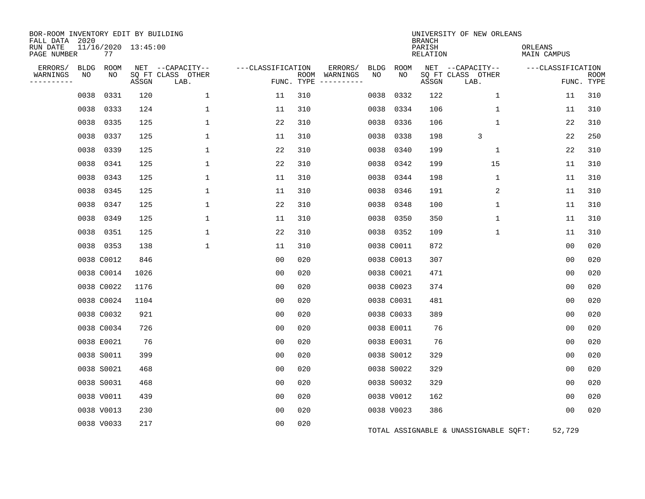| BOR-ROOM INVENTORY EDIT BY BUILDING<br>FALL DATA 2020 |             |            |                     |                           |                   |            |                              |      |            | <b>BRANCH</b>      | UNIVERSITY OF NEW ORLEANS             |                        |                           |
|-------------------------------------------------------|-------------|------------|---------------------|---------------------------|-------------------|------------|------------------------------|------|------------|--------------------|---------------------------------------|------------------------|---------------------------|
| RUN DATE<br>PAGE NUMBER                               |             | 77         | 11/16/2020 13:45:00 |                           |                   |            |                              |      |            | PARISH<br>RELATION |                                       | ORLEANS<br>MAIN CAMPUS |                           |
| ERRORS/                                               | <b>BLDG</b> | ROOM       |                     | NET --CAPACITY--          | ---CLASSIFICATION |            | ERRORS/                      | BLDG | ROOM       |                    | NET --CAPACITY--                      | ---CLASSIFICATION      |                           |
| WARNINGS<br>---------                                 | NO          | NO         | ASSGN               | SQ FT CLASS OTHER<br>LAB. |                   | FUNC. TYPE | ROOM WARNINGS<br>----------- | NO   | NO         | ASSGN              | SQ FT CLASS OTHER<br>LAB.             |                        | <b>ROOM</b><br>FUNC. TYPE |
|                                                       | 0038        | 0331       | 120                 | $\mathbf{1}$              | 11                | 310        |                              | 0038 | 0332       | 122                | 1                                     | 11                     | 310                       |
|                                                       | 0038        | 0333       | 124                 | 1                         | 11                | 310        |                              | 0038 | 0334       | 106                | 1                                     | 11                     | 310                       |
|                                                       | 0038        | 0335       | 125                 | $\mathbf{1}$              | 22                | 310        |                              | 0038 | 0336       | 106                | $\mathbf{1}$                          | 22                     | 310                       |
|                                                       | 0038        | 0337       | 125                 | $\mathbf 1$               | 11                | 310        |                              | 0038 | 0338       | 198                | 3                                     | 22                     | 250                       |
|                                                       | 0038        | 0339       | 125                 | $\mathbf{1}$              | 22                | 310        |                              | 0038 | 0340       | 199                | $\mathbf 1$                           | 22                     | 310                       |
|                                                       | 0038        | 0341       | 125                 | $\mathbf{1}$              | 22                | 310        |                              | 0038 | 0342       | 199                | 15                                    | 11                     | 310                       |
|                                                       |             | 0038 0343  | 125                 | $\mathbf{1}$              | 11                | 310        |                              | 0038 | 0344       | 198                | $\mathbf 1$                           | 11                     | 310                       |
|                                                       | 0038        | 0345       | 125                 | $\mathbf{1}$              | 11                | 310        |                              | 0038 | 0346       | 191                | 2                                     | 11                     | 310                       |
|                                                       |             | 0038 0347  | 125                 | $\mathbf 1$               | 22                | 310        |                              | 0038 | 0348       | 100                | $\mathbf 1$                           | 11                     | 310                       |
|                                                       | 0038        | 0349       | 125                 | 1                         | 11                | 310        |                              | 0038 | 0350       | 350                | 1                                     | 11                     | 310                       |
|                                                       |             | 0038 0351  | 125                 | $\mathbf{1}$              | 22                | 310        |                              |      | 0038 0352  | 109                | $\mathbf 1$                           | 11                     | 310                       |
|                                                       |             | 0038 0353  | 138                 | $\mathbf{1}$              | 11                | 310        |                              |      | 0038 C0011 | 872                |                                       | 0 <sub>0</sub>         | 020                       |
|                                                       |             | 0038 C0012 | 846                 |                           | 0 <sub>0</sub>    | 020        |                              |      | 0038 C0013 | 307                |                                       | 0 <sub>0</sub>         | 020                       |
|                                                       |             | 0038 C0014 | 1026                |                           | 0 <sub>0</sub>    | 020        |                              |      | 0038 C0021 | 471                |                                       | 0 <sub>0</sub>         | 020                       |
|                                                       |             | 0038 C0022 | 1176                |                           | 0 <sub>0</sub>    | 020        |                              |      | 0038 C0023 | 374                |                                       | 00                     | 020                       |
|                                                       |             | 0038 C0024 | 1104                |                           | 0 <sub>0</sub>    | 020        |                              |      | 0038 C0031 | 481                |                                       | 0 <sub>0</sub>         | 020                       |
|                                                       |             | 0038 C0032 | 921                 |                           | 00                | 020        |                              |      | 0038 C0033 | 389                |                                       | 0 <sub>0</sub>         | 020                       |
|                                                       |             | 0038 C0034 | 726                 |                           | 0 <sub>0</sub>    | 020        |                              |      | 0038 E0011 | 76                 |                                       | 0 <sub>0</sub>         | 020                       |
|                                                       |             | 0038 E0021 | 76                  |                           | 0 <sub>0</sub>    | 020        |                              |      | 0038 E0031 | 76                 |                                       | 00                     | 020                       |
|                                                       |             | 0038 S0011 | 399                 |                           | 0 <sub>0</sub>    | 020        |                              |      | 0038 S0012 | 329                |                                       | 0 <sub>0</sub>         | 020                       |
|                                                       |             | 0038 S0021 | 468                 |                           | 0 <sub>0</sub>    | 020        |                              |      | 0038 S0022 | 329                |                                       | 0 <sub>0</sub>         | 020                       |
|                                                       |             | 0038 S0031 | 468                 |                           | 0 <sub>0</sub>    | 020        |                              |      | 0038 S0032 | 329                |                                       | 00                     | 020                       |
|                                                       |             | 0038 V0011 | 439                 |                           | 0 <sub>0</sub>    | 020        |                              |      | 0038 V0012 | 162                |                                       | 0 <sub>0</sub>         | 020                       |
|                                                       |             | 0038 V0013 | 230                 |                           | 0 <sub>0</sub>    | 020        |                              |      | 0038 V0023 | 386                |                                       | 0 <sub>0</sub>         | 020                       |
|                                                       |             | 0038 V0033 | 217                 |                           | 0 <sub>0</sub>    | 020        |                              |      |            |                    | TOTAL ASSIGNABLE & UNASSIGNABLE SQFT: | 52,729                 |                           |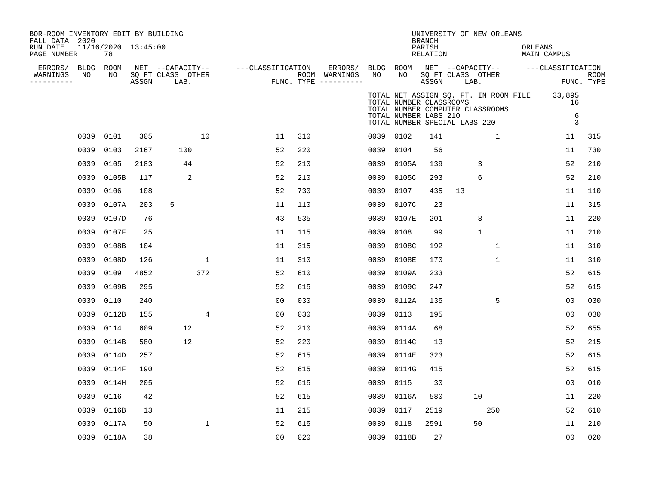| BOR-ROOM INVENTORY EDIT BY BUILDING<br>FALL DATA 2020<br>RUN DATE<br>PAGE NUMBER |      | 11/16/2020 13:45:00<br>78 |       |                                               |              |                   |     |                                                             |           |                                                                                   | <b>BRANCH</b><br>PARISH<br>RELATION |      | UNIVERSITY OF NEW ORLEANS        | ORLEANS | MAIN CAMPUS                                                               |                           |
|----------------------------------------------------------------------------------|------|---------------------------|-------|-----------------------------------------------|--------------|-------------------|-----|-------------------------------------------------------------|-----------|-----------------------------------------------------------------------------------|-------------------------------------|------|----------------------------------|---------|---------------------------------------------------------------------------|---------------------------|
| ERRORS/ BLDG ROOM<br>WARNINGS<br>----------                                      | NO   | NO                        | ASSGN | NET --CAPACITY--<br>SQ FT CLASS OTHER<br>LAB. |              | ---CLASSIFICATION |     | ERRORS/ BLDG ROOM<br>ROOM WARNINGS<br>FUNC. TYPE ---------- | NO        | NO                                                                                | ASSGN                               | LAB. | SQ FT CLASS OTHER                |         | NET --CAPACITY-- ---CLASSIFICATION                                        | <b>ROOM</b><br>FUNC. TYPE |
|                                                                                  |      |                           |       |                                               |              |                   |     |                                                             |           | TOTAL NUMBER CLASSROOMS<br>TOTAL NUMBER LABS 210<br>TOTAL NUMBER SPECIAL LABS 220 |                                     |      | TOTAL NUMBER COMPUTER CLASSROOMS |         | TOTAL NET ASSIGN SQ. FT. IN ROOM FILE 33,895<br>16<br>6<br>$\overline{3}$ |                           |
|                                                                                  | 0039 | 0101                      | 305   |                                               | 10           | 11                | 310 |                                                             | 0039 0102 |                                                                                   | 141                                 |      | $\mathbf{1}$                     |         | 11                                                                        | 315                       |
|                                                                                  | 0039 | 0103                      | 2167  | 100                                           |              | 52                | 220 |                                                             | 0039      | 0104                                                                              | 56                                  |      |                                  |         | 11                                                                        | 730                       |
|                                                                                  | 0039 | 0105                      | 2183  | 44                                            |              | 52                | 210 |                                                             | 0039      | 0105A                                                                             | 139                                 |      | 3                                |         | 52                                                                        | 210                       |
|                                                                                  | 0039 | 0105B                     | 117   | 2                                             |              | 52                | 210 |                                                             | 0039      | 0105C                                                                             | 293                                 |      | 6                                |         | 52                                                                        | 210                       |
|                                                                                  | 0039 | 0106                      | 108   |                                               |              | 52                | 730 |                                                             | 0039      | 0107                                                                              | 435                                 | 13   |                                  |         | 11                                                                        | 110                       |
|                                                                                  | 0039 | 0107A                     | 203   | 5                                             |              | 11                | 110 |                                                             | 0039      | 0107C                                                                             | 23                                  |      |                                  |         | 11                                                                        | 315                       |
|                                                                                  | 0039 | 0107D                     | 76    |                                               |              | 43                | 535 |                                                             | 0039      | 0107E                                                                             | 201                                 |      | 8                                |         | 11                                                                        | 220                       |
|                                                                                  | 0039 | 0107F                     | 25    |                                               |              | 11                | 115 |                                                             | 0039      | 0108                                                                              | 99                                  |      | $\mathbf{1}$                     |         | 11                                                                        | 210                       |
|                                                                                  | 0039 | 0108B                     | 104   |                                               |              | 11                | 315 |                                                             | 0039      | 0108C                                                                             | 192                                 |      | $\mathbf{1}$                     |         | 11                                                                        | 310                       |
|                                                                                  | 0039 | 0108D                     | 126   |                                               | $\mathbf{1}$ | 11                | 310 |                                                             | 0039      | 0108E                                                                             | 170                                 |      | $\mathbf{1}$                     |         | 11                                                                        | 310                       |
|                                                                                  | 0039 | 0109                      | 4852  |                                               | 372          | 52                | 610 |                                                             | 0039      | 0109A                                                                             | 233                                 |      |                                  |         | 52                                                                        | 615                       |
|                                                                                  | 0039 | 0109B                     | 295   |                                               |              | 52                | 615 |                                                             | 0039      | 0109C                                                                             | 247                                 |      |                                  |         | 52                                                                        | 615                       |
|                                                                                  | 0039 | 0110                      | 240   |                                               |              | 0 <sub>0</sub>    | 030 |                                                             | 0039      | 0112A                                                                             | 135                                 |      | 5                                |         | 00                                                                        | 030                       |
|                                                                                  | 0039 | 0112B                     | 155   |                                               | 4            | 0 <sub>0</sub>    | 030 |                                                             | 0039      | 0113                                                                              | 195                                 |      |                                  |         | 0 <sub>0</sub>                                                            | 030                       |
|                                                                                  | 0039 | 0114                      | 609   | 12                                            |              | 52                | 210 |                                                             | 0039      | 0114A                                                                             | 68                                  |      |                                  |         | 52                                                                        | 655                       |
|                                                                                  | 0039 | 0114B                     | 580   | 12                                            |              | 52                | 220 |                                                             |           | 0039 0114C                                                                        | 13                                  |      |                                  |         | 52                                                                        | 215                       |
|                                                                                  | 0039 | 0114D                     | 257   |                                               |              | 52                | 615 |                                                             |           | 0039 0114E                                                                        | 323                                 |      |                                  |         | 52                                                                        | 615                       |
|                                                                                  | 0039 | 0114F                     | 190   |                                               |              | 52                | 615 |                                                             | 0039      | 0114G                                                                             | 415                                 |      |                                  |         | 52                                                                        | 615                       |
|                                                                                  | 0039 | 0114H                     | 205   |                                               |              | 52                | 615 |                                                             | 0039      | 0115                                                                              | 30                                  |      |                                  |         | 0 <sub>0</sub>                                                            | 010                       |
|                                                                                  | 0039 | 0116                      | 42    |                                               |              | 52                | 615 |                                                             | 0039      | 0116A                                                                             | 580                                 |      | 10                               |         | 11                                                                        | 220                       |
|                                                                                  | 0039 | 0116B                     | 13    |                                               |              | 11                | 215 |                                                             | 0039      | 0117                                                                              | 2519                                |      | 250                              |         | 52                                                                        | 610                       |
|                                                                                  | 0039 | 0117A                     | 50    |                                               | $\mathbf 1$  | 52                | 615 |                                                             | 0039      | 0118                                                                              | 2591                                |      | 50                               |         | 11                                                                        | 210                       |
|                                                                                  |      | 0039 0118A                | 38    |                                               |              | 0 <sub>0</sub>    | 020 |                                                             |           | 0039 0118B                                                                        | 27                                  |      |                                  |         | 00                                                                        | 020                       |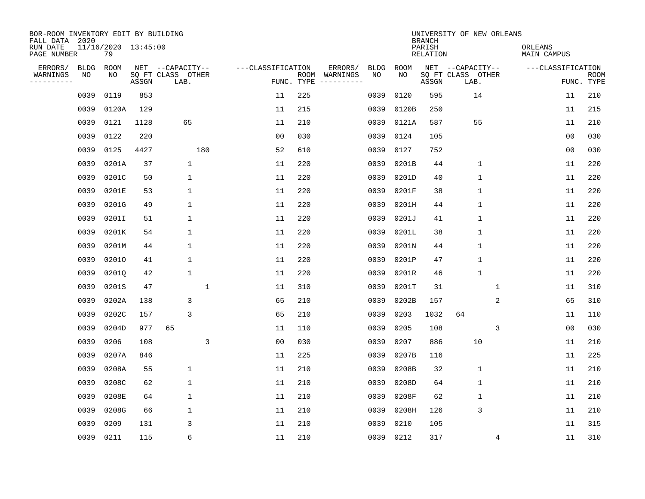| BOR-ROOM INVENTORY EDIT BY BUILDING<br>FALL DATA 2020 |             |                           |       |                           |                   |                    |                         |             |       | <b>BRANCH</b>             | UNIVERSITY OF NEW ORLEANS |   |                        |                           |
|-------------------------------------------------------|-------------|---------------------------|-------|---------------------------|-------------------|--------------------|-------------------------|-------------|-------|---------------------------|---------------------------|---|------------------------|---------------------------|
| RUN DATE<br>PAGE NUMBER                               |             | 11/16/2020 13:45:00<br>79 |       |                           |                   |                    |                         |             |       | PARISH<br><b>RELATION</b> |                           |   | ORLEANS<br>MAIN CAMPUS |                           |
| ERRORS/                                               | <b>BLDG</b> | ROOM                      |       | NET --CAPACITY--          | ---CLASSIFICATION |                    | ERRORS/                 | <b>BLDG</b> | ROOM  |                           | NET --CAPACITY--          |   | ---CLASSIFICATION      |                           |
| WARNINGS<br>-----------                               | ΝO          | NO                        | ASSGN | SQ FT CLASS OTHER<br>LAB. |                   | ROOM<br>FUNC. TYPE | WARNINGS<br>----------- | NO          | NO    | ASSGN                     | SQ FT CLASS OTHER<br>LAB. |   |                        | <b>ROOM</b><br>FUNC. TYPE |
|                                                       | 0039        | 0119                      | 853   |                           | 11                | 225                |                         | 0039        | 0120  | 595                       | 14                        |   | 11                     | 210                       |
|                                                       | 0039        | 0120A                     | 129   |                           | 11                | 215                |                         | 0039        | 0120B | 250                       |                           |   | 11                     | 215                       |
|                                                       | 0039        | 0121                      | 1128  | 65                        | 11                | 210                |                         | 0039        | 0121A | 587                       | 55                        |   | 11                     | 210                       |
|                                                       | 0039        | 0122                      | 220   |                           | 0 <sub>0</sub>    | 030                |                         | 0039        | 0124  | 105                       |                           |   | 0 <sub>0</sub>         | 030                       |
|                                                       | 0039        | 0125                      | 4427  | 180                       | 52                | 610                |                         | 0039        | 0127  | 752                       |                           |   | 0 <sub>0</sub>         | 030                       |
|                                                       | 0039        | 0201A                     | 37    | $\mathbf 1$               | 11                | 220                |                         | 0039        | 0201B | 44                        | $\mathbf 1$               |   | 11                     | 220                       |
|                                                       | 0039        | 0201C                     | 50    | $\mathbf 1$               | 11                | 220                |                         | 0039        | 0201D | 40                        | $\mathbf{1}$              |   | 11                     | 220                       |
|                                                       | 0039        | 0201E                     | 53    | 1                         | 11                | 220                |                         | 0039        | 0201F | 38                        | $\mathbf{1}$              |   | 11                     | 220                       |
|                                                       | 0039        | 0201G                     | 49    | $\mathbf 1$               | 11                | 220                |                         | 0039        | 0201H | 44                        | $\mathbf{1}$              |   | 11                     | 220                       |
|                                                       | 0039        | 0201I                     | 51    | 1                         | 11                | 220                |                         | 0039        | 0201J | 41                        | 1                         |   | 11                     | 220                       |
|                                                       | 0039        | 0201K                     | 54    | 1                         | 11                | 220                |                         | 0039        | 0201L | 38                        | $\mathbf 1$               |   | 11                     | 220                       |
|                                                       | 0039        | 0201M                     | 44    | 1                         | 11                | 220                |                         | 0039        | 0201N | 44                        | $\mathbf 1$               |   | 11                     | 220                       |
|                                                       | 0039        | 02010                     | 41    | 1                         | 11                | 220                |                         | 0039        | 0201P | 47                        | $\mathbf 1$               |   | 11                     | 220                       |
|                                                       | 0039        | 02010                     | 42    | 1                         | 11                | 220                |                         | 0039        | 0201R | 46                        | $\mathbf{1}$              |   | 11                     | 220                       |
|                                                       | 0039        | 0201S                     | 47    | 1                         | 11                | 310                |                         | 0039        | 0201T | 31                        |                           | 1 | 11                     | 310                       |
|                                                       | 0039        | 0202A                     | 138   | 3                         | 65                | 210                |                         | 0039        | 0202B | 157                       |                           | 2 | 65                     | 310                       |
|                                                       | 0039        | 0202C                     | 157   | 3                         | 65                | 210                |                         | 0039        | 0203  | 1032                      | 64                        |   | 11                     | 110                       |
|                                                       | 0039        | 0204D                     | 977   | 65                        | 11                | 110                |                         | 0039        | 0205  | 108                       |                           | 3 | 0 <sub>0</sub>         | 030                       |
|                                                       | 0039        | 0206                      | 108   | 3                         | 0 <sub>0</sub>    | 030                |                         | 0039        | 0207  | 886                       | 10                        |   | 11                     | 210                       |
|                                                       | 0039        | 0207A                     | 846   |                           | 11                | 225                |                         | 0039        | 0207B | 116                       |                           |   | 11                     | 225                       |
|                                                       | 0039        | 0208A                     | 55    | 1                         | 11                | 210                |                         | 0039        | 0208B | 32                        | $\mathbf 1$               |   | 11                     | 210                       |
|                                                       | 0039        | 0208C                     | 62    | 1                         | 11                | 210                |                         | 0039        | 0208D | 64                        | $\mathbf 1$               |   | 11                     | 210                       |
|                                                       | 0039        | 0208E                     | 64    | 1                         | 11                | 210                |                         | 0039        | 0208F | 62                        | $\mathbf 1$               |   | 11                     | 210                       |
|                                                       | 0039        | 0208G                     | 66    | 1                         | 11                | 210                |                         | 0039        | 0208H | 126                       | 3                         |   | 11                     | 210                       |
|                                                       | 0039        | 0209                      | 131   | 3                         | 11                | 210                |                         | 0039        | 0210  | 105                       |                           |   | 11                     | 315                       |
|                                                       | 0039        | 0211                      | 115   | 6                         | 11                | 210                |                         | 0039        | 0212  | 317                       |                           | 4 | 11                     | 310                       |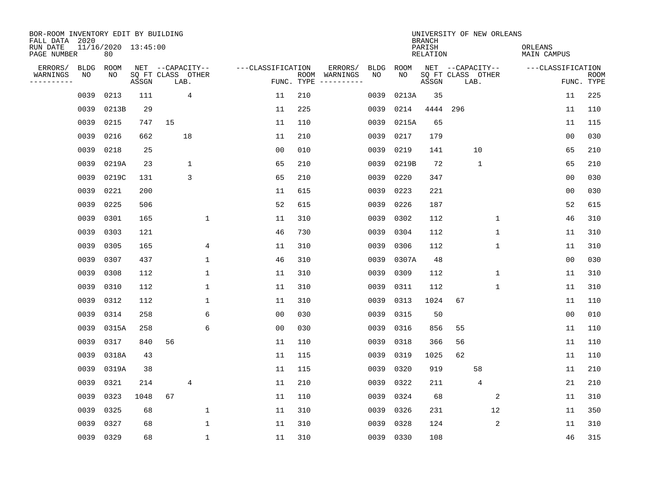| BOR-ROOM INVENTORY EDIT BY BUILDING<br>FALL DATA 2020 |             |                           |       |    |                           |                   |                    |                         |             |             | <b>BRANCH</b>             | UNIVERSITY OF NEW ORLEANS |                |             |                    |                           |
|-------------------------------------------------------|-------------|---------------------------|-------|----|---------------------------|-------------------|--------------------|-------------------------|-------------|-------------|---------------------------|---------------------------|----------------|-------------|--------------------|---------------------------|
| RUN DATE<br>PAGE NUMBER                               |             | 11/16/2020 13:45:00<br>80 |       |    |                           |                   |                    |                         |             |             | PARISH<br><b>RELATION</b> |                           |                | ORLEANS     | <b>MAIN CAMPUS</b> |                           |
| ERRORS/                                               | <b>BLDG</b> | ROOM                      |       |    | NET --CAPACITY--          | ---CLASSIFICATION |                    | ERRORS/                 | <b>BLDG</b> | <b>ROOM</b> |                           | NET --CAPACITY--          |                |             | ---CLASSIFICATION  |                           |
| WARNINGS<br>----------                                | NO          | NO                        | ASSGN |    | SQ FT CLASS OTHER<br>LAB. |                   | ROOM<br>FUNC. TYPE | WARNINGS<br>----------- | NO          | NO          | ASSGN                     | SQ FT CLASS OTHER         | LAB.           |             |                    | <b>ROOM</b><br>FUNC. TYPE |
|                                                       | 0039        | 0213                      | 111   |    | 4                         | 11                | 210                |                         | 0039        | 0213A       | 35                        |                           |                |             | 11                 | 225                       |
|                                                       | 0039        | 0213B                     | 29    |    |                           | 11                | 225                |                         | 0039        | 0214        | 4444                      | 296                       |                |             | 11                 | 110                       |
|                                                       | 0039        | 0215                      | 747   | 15 |                           | 11                | 110                |                         | 0039        | 0215A       | 65                        |                           |                |             | 11                 | 115                       |
|                                                       | 0039        | 0216                      | 662   |    | 18                        | 11                | 210                |                         | 0039        | 0217        | 179                       |                           |                |             | 0 <sub>0</sub>     | 030                       |
|                                                       | 0039        | 0218                      | 25    |    |                           | 0 <sub>0</sub>    | 010                |                         | 0039        | 0219        | 141                       |                           | 10             |             | 65                 | 210                       |
|                                                       | 0039        | 0219A                     | 23    |    | 1                         | 65                | 210                |                         | 0039        | 0219B       | 72                        |                           | $\mathbf{1}$   |             | 65                 | 210                       |
|                                                       | 0039        | 0219C                     | 131   |    | 3                         | 65                | 210                |                         | 0039        | 0220        | 347                       |                           |                |             | 00                 | 030                       |
|                                                       | 0039        | 0221                      | 200   |    |                           | 11                | 615                |                         | 0039        | 0223        | 221                       |                           |                |             | 0 <sub>0</sub>     | 030                       |
|                                                       | 0039        | 0225                      | 506   |    |                           | 52                | 615                |                         | 0039        | 0226        | 187                       |                           |                |             | 52                 | 615                       |
|                                                       | 0039        | 0301                      | 165   |    | 1                         | 11                | 310                |                         | 0039        | 0302        | 112                       |                           |                | $\mathbf 1$ | 46                 | 310                       |
|                                                       | 0039        | 0303                      | 121   |    |                           | 46                | 730                |                         | 0039        | 0304        | 112                       |                           |                | $\mathbf 1$ | 11                 | 310                       |
|                                                       | 0039        | 0305                      | 165   |    | 4                         | 11                | 310                |                         | 0039        | 0306        | 112                       |                           | 1              |             | 11                 | 310                       |
|                                                       | 0039        | 0307                      | 437   |    | $\mathbf 1$               | 46                | 310                |                         | 0039        | 0307A       | 48                        |                           |                |             | 0 <sub>0</sub>     | 030                       |
|                                                       | 0039        | 0308                      | 112   |    | $\mathbf 1$               | 11                | 310                |                         | 0039        | 0309        | 112                       |                           |                | $\mathbf 1$ | 11                 | 310                       |
|                                                       | 0039        | 0310                      | 112   |    | $\mathbf{1}$              | 11                | 310                |                         | 0039        | 0311        | 112                       |                           | 1              |             | 11                 | 310                       |
|                                                       | 0039        | 0312                      | 112   |    | 1                         | 11                | 310                |                         | 0039        | 0313        | 1024                      | 67                        |                |             | 11                 | 110                       |
|                                                       | 0039        | 0314                      | 258   |    | 6                         | 0 <sub>0</sub>    | 030                |                         | 0039        | 0315        | 50                        |                           |                |             | 00                 | 010                       |
|                                                       | 0039        | 0315A                     | 258   |    | 6                         | 0 <sub>0</sub>    | 030                |                         | 0039        | 0316        | 856                       | 55                        |                |             | 11                 | 110                       |
|                                                       | 0039        | 0317                      | 840   | 56 |                           | 11                | 110                |                         | 0039        | 0318        | 366                       | 56                        |                |             | 11                 | 110                       |
|                                                       | 0039        | 0318A                     | 43    |    |                           | 11                | 115                |                         | 0039        | 0319        | 1025                      | 62                        |                |             | 11                 | 110                       |
|                                                       | 0039        | 0319A                     | 38    |    |                           | 11                | 115                |                         | 0039        | 0320        | 919                       |                           | 58             |             | 11                 | 210                       |
|                                                       | 0039        | 0321                      | 214   |    | 4                         | 11                | 210                |                         | 0039        | 0322        | 211                       |                           | $\overline{4}$ |             | 21                 | 210                       |
|                                                       | 0039        | 0323                      | 1048  | 67 |                           | 11                | 110                |                         | 0039        | 0324        | 68                        |                           |                | 2           | 11                 | 310                       |
|                                                       | 0039        | 0325                      | 68    |    | $\mathbf 1$               | 11                | 310                |                         | 0039        | 0326        | 231                       |                           | 12             |             | 11                 | 350                       |
|                                                       | 0039        | 0327                      | 68    |    | $\mathbf{1}$              | 11                | 310                |                         | 0039        | 0328        | 124                       |                           |                | $\sqrt{2}$  | 11                 | 310                       |
|                                                       | 0039 0329   |                           | 68    |    | $\mathbf 1$               | 11                | 310                |                         | 0039        | 0330        | 108                       |                           |                |             | 46                 | 315                       |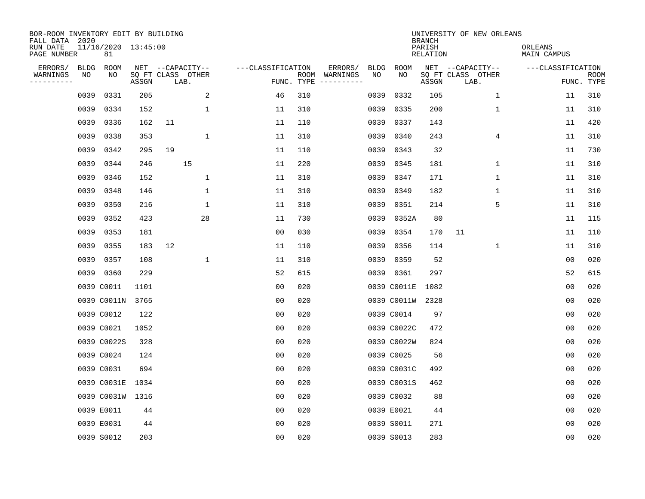| BOR-ROOM INVENTORY EDIT BY BUILDING<br>FALL DATA 2020 |             |                           |       |                           |              |                   |            |                              |      |             | <b>BRANCH</b>             | UNIVERSITY OF NEW ORLEANS |                        |                           |
|-------------------------------------------------------|-------------|---------------------------|-------|---------------------------|--------------|-------------------|------------|------------------------------|------|-------------|---------------------------|---------------------------|------------------------|---------------------------|
| RUN DATE<br>PAGE NUMBER                               |             | 11/16/2020 13:45:00<br>81 |       |                           |              |                   |            |                              |      |             | PARISH<br><b>RELATION</b> |                           | ORLEANS<br>MAIN CAMPUS |                           |
| ERRORS/                                               | <b>BLDG</b> | ROOM                      |       | NET --CAPACITY--          |              | ---CLASSIFICATION |            | ERRORS/                      | BLDG | <b>ROOM</b> |                           | NET --CAPACITY--          | ---CLASSIFICATION      |                           |
| WARNINGS<br>----------                                | NO          | NO                        | ASSGN | SQ FT CLASS OTHER<br>LAB. |              |                   | FUNC. TYPE | ROOM WARNINGS<br>----------- | NO   | NO          | ASSGN                     | SQ FT CLASS OTHER<br>LAB. |                        | <b>ROOM</b><br>FUNC. TYPE |
|                                                       | 0039        | 0331                      | 205   |                           | 2            | 46                | 310        |                              | 0039 | 0332        | 105                       | $\mathbf{1}$              | 11                     | 310                       |
|                                                       | 0039        | 0334                      | 152   |                           | 1            | 11                | 310        |                              | 0039 | 0335        | 200                       | 1                         | 11                     | 310                       |
|                                                       | 0039        | 0336                      | 162   | 11                        |              | 11                | 110        |                              | 0039 | 0337        | 143                       |                           | 11                     | 420                       |
|                                                       | 0039        | 0338                      | 353   |                           | $\mathbf 1$  | 11                | 310        |                              | 0039 | 0340        | 243                       | 4                         | 11                     | 310                       |
|                                                       | 0039        | 0342                      | 295   | 19                        |              | 11                | 110        |                              | 0039 | 0343        | 32                        |                           | 11                     | 730                       |
|                                                       | 0039        | 0344                      | 246   | 15                        |              | 11                | 220        |                              |      | 0039 0345   | 181                       | $\mathbf 1$               | 11                     | 310                       |
|                                                       | 0039        | 0346                      | 152   |                           | $\mathbf 1$  | 11                | 310        |                              | 0039 | 0347        | 171                       | $\mathbf{1}$              | 11                     | 310                       |
|                                                       | 0039        | 0348                      | 146   |                           | $\mathbf{1}$ | 11                | 310        |                              | 0039 | 0349        | 182                       | $\mathbf{1}$              | 11                     | 310                       |
|                                                       | 0039        | 0350                      | 216   |                           | $\mathbf 1$  | 11                | 310        |                              | 0039 | 0351        | 214                       | 5                         | 11                     | 310                       |
|                                                       | 0039        | 0352                      | 423   |                           | 28           | 11                | 730        |                              | 0039 | 0352A       | 80                        |                           | 11                     | 115                       |
|                                                       | 0039        | 0353                      | 181   |                           |              | 0 <sub>0</sub>    | 030        |                              | 0039 | 0354        | 170                       | 11                        | 11                     | 110                       |
|                                                       | 0039        | 0355                      | 183   | 12                        |              | 11                | 110        |                              | 0039 | 0356        | 114                       | 1                         | 11                     | 310                       |
|                                                       | 0039        | 0357                      | 108   |                           | $\mathbf 1$  | 11                | 310        |                              | 0039 | 0359        | 52                        |                           | 0 <sub>0</sub>         | 020                       |
|                                                       |             | 0039 0360                 | 229   |                           |              | 52                | 615        |                              |      | 0039 0361   | 297                       |                           | 52                     | 615                       |
|                                                       |             | 0039 C0011                | 1101  |                           |              | 0 <sub>0</sub>    | 020        |                              |      | 0039 C0011E | 1082                      |                           | 0 <sub>0</sub>         | 020                       |
|                                                       |             | 0039 C0011N               | 3765  |                           |              | 0 <sub>0</sub>    | 020        |                              |      | 0039 C0011W | 2328                      |                           | 00                     | 020                       |
|                                                       |             | 0039 C0012                | 122   |                           |              | 00                | 020        |                              |      | 0039 C0014  | 97                        |                           | 0 <sub>0</sub>         | 020                       |
|                                                       |             | 0039 C0021                | 1052  |                           |              | 00                | 020        |                              |      | 0039 C0022C | 472                       |                           | 0 <sub>0</sub>         | 020                       |
|                                                       |             | 0039 C0022S               | 328   |                           |              | 0 <sub>0</sub>    | 020        |                              |      | 0039 C0022W | 824                       |                           | 0 <sub>0</sub>         | 020                       |
|                                                       |             | 0039 C0024                | 124   |                           |              | 0 <sub>0</sub>    | 020        |                              |      | 0039 C0025  | 56                        |                           | 0 <sub>0</sub>         | 020                       |
|                                                       |             | 0039 C0031                | 694   |                           |              | 0 <sub>0</sub>    | 020        |                              |      | 0039 C0031C | 492                       |                           | 0 <sub>0</sub>         | 020                       |
|                                                       |             | 0039 C0031E               | 1034  |                           |              | 0 <sub>0</sub>    | 020        |                              |      | 0039 C0031S | 462                       |                           | 0 <sub>0</sub>         | 020                       |
|                                                       |             | 0039 C0031W 1316          |       |                           |              | 0 <sub>0</sub>    | 020        |                              |      | 0039 C0032  | 88                        |                           | 0 <sub>0</sub>         | 020                       |
|                                                       |             | 0039 E0011                | 44    |                           |              | 0 <sub>0</sub>    | 020        |                              |      | 0039 E0021  | 44                        |                           | 0 <sub>0</sub>         | 020                       |
|                                                       |             | 0039 E0031                | 44    |                           |              | 0 <sub>0</sub>    | 020        |                              |      | 0039 S0011  | 271                       |                           | 0 <sub>0</sub>         | 020                       |
|                                                       |             | 0039 S0012                | 203   |                           |              | 0 <sub>0</sub>    | 020        |                              |      | 0039 S0013  | 283                       |                           | 0 <sub>0</sub>         | 020                       |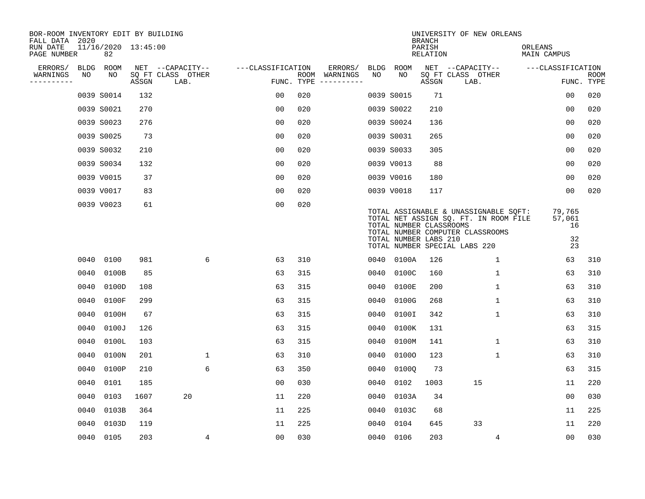| BOR-ROOM INVENTORY EDIT BY BUILDING<br>FALL DATA 2020 |             |                           |       |                           |                   |     |                                      |      |                                                  | <b>BRANCH</b>             | UNIVERSITY OF NEW ORLEANS                                                                                                                           |                                    |                           |
|-------------------------------------------------------|-------------|---------------------------|-------|---------------------------|-------------------|-----|--------------------------------------|------|--------------------------------------------------|---------------------------|-----------------------------------------------------------------------------------------------------------------------------------------------------|------------------------------------|---------------------------|
| RUN DATE<br>PAGE NUMBER                               |             | 11/16/2020 13:45:00<br>82 |       |                           |                   |     |                                      |      |                                                  | PARISH<br><b>RELATION</b> |                                                                                                                                                     | ORLEANS<br><b>MAIN CAMPUS</b>      |                           |
| ERRORS/                                               | <b>BLDG</b> | ROOM                      |       | NET --CAPACITY--          | ---CLASSIFICATION |     | ERRORS/                              | BLDG | <b>ROOM</b>                                      |                           | NET --CAPACITY--                                                                                                                                    | ---CLASSIFICATION                  |                           |
| WARNINGS<br>----------                                | NO          | NO                        | ASSGN | SQ FT CLASS OTHER<br>LAB. |                   |     | ROOM WARNINGS<br>FUNC. TYPE $------$ | NO   | NO                                               | ASSGN                     | SQ FT CLASS OTHER<br>LAB.                                                                                                                           |                                    | <b>ROOM</b><br>FUNC. TYPE |
|                                                       |             | 0039 S0014                | 132   |                           | 0 <sub>0</sub>    | 020 |                                      |      | 0039 S0015                                       | 71                        |                                                                                                                                                     | 00                                 | 020                       |
|                                                       |             | 0039 S0021                | 270   |                           | 0 <sub>0</sub>    | 020 |                                      |      | 0039 S0022                                       | 210                       |                                                                                                                                                     | 00                                 | 020                       |
|                                                       |             | 0039 S0023                | 276   |                           | 0 <sub>0</sub>    | 020 |                                      |      | 0039 S0024                                       | 136                       |                                                                                                                                                     | 0 <sub>0</sub>                     | 020                       |
|                                                       |             | 0039 S0025                | 73    |                           | 0 <sub>0</sub>    | 020 |                                      |      | 0039 S0031                                       | 265                       |                                                                                                                                                     | 0 <sub>0</sub>                     | 020                       |
|                                                       |             | 0039 S0032                | 210   |                           | 0 <sub>0</sub>    | 020 |                                      |      | 0039 S0033                                       | 305                       |                                                                                                                                                     | 00                                 | 020                       |
|                                                       |             | 0039 S0034                | 132   |                           | 0 <sub>0</sub>    | 020 |                                      |      | 0039 V0013                                       | 88                        |                                                                                                                                                     | 0 <sub>0</sub>                     | 020                       |
|                                                       |             | 0039 V0015                | 37    |                           | 0 <sub>0</sub>    | 020 |                                      |      | 0039 V0016                                       | 180                       |                                                                                                                                                     | 0 <sub>0</sub>                     | 020                       |
|                                                       |             | 0039 V0017                | 83    |                           | 0 <sub>0</sub>    | 020 |                                      |      | 0039 V0018                                       | 117                       |                                                                                                                                                     | 0 <sub>0</sub>                     | 020                       |
|                                                       |             | 0039 V0023                | 61    |                           | 0 <sub>0</sub>    | 020 |                                      |      | TOTAL NUMBER CLASSROOMS<br>TOTAL NUMBER LABS 210 |                           | TOTAL ASSIGNABLE & UNASSIGNABLE SQFT:<br>TOTAL NET ASSIGN SQ. FT. IN ROOM FILE<br>TOTAL NUMBER COMPUTER CLASSROOMS<br>TOTAL NUMBER SPECIAL LABS 220 | 79,765<br>57,061<br>16<br>32<br>23 |                           |
|                                                       | 0040        | 0100                      | 981   | 6                         | 63                | 310 |                                      |      | 0040 0100A                                       | 126                       | 1                                                                                                                                                   | 63                                 | 310                       |
|                                                       | 0040        | 0100B                     | 85    |                           | 63                | 315 |                                      | 0040 | 0100C                                            | 160                       | $\mathbf 1$                                                                                                                                         | 63                                 | 310                       |
|                                                       | 0040        | 0100D                     | 108   |                           | 63                | 315 |                                      | 0040 | 0100E                                            | 200                       | $\mathbf 1$                                                                                                                                         | 63                                 | 310                       |
|                                                       | 0040        | 0100F                     | 299   |                           | 63                | 315 |                                      | 0040 | 0100G                                            | 268                       | 1                                                                                                                                                   | 63                                 | 310                       |
|                                                       | 0040        | 0100H                     | 67    |                           | 63                | 315 |                                      | 0040 | 0100I                                            | 342                       | 1                                                                                                                                                   | 63                                 | 310                       |
|                                                       | 0040        | 0100J                     | 126   |                           | 63                | 315 |                                      | 0040 | 0100K                                            | 131                       |                                                                                                                                                     | 63                                 | 315                       |
|                                                       | 0040        | 0100L                     | 103   |                           | 63                | 315 |                                      | 0040 | 0100M                                            | 141                       | 1                                                                                                                                                   | 63                                 | 310                       |
|                                                       | 0040        | 0100N                     | 201   | $\mathbf{1}$              | 63                | 310 |                                      | 0040 | 01000                                            | 123                       | $\mathbf 1$                                                                                                                                         | 63                                 | 310                       |
|                                                       | 0040        | 0100P                     | 210   | 6                         | 63                | 350 |                                      | 0040 | 01000                                            | 73                        |                                                                                                                                                     | 63                                 | 315                       |
|                                                       | 0040        | 0101                      | 185   |                           | 0 <sub>0</sub>    | 030 |                                      | 0040 | 0102                                             | 1003                      | 15                                                                                                                                                  | 11                                 | 220                       |
|                                                       | 0040        | 0103                      | 1607  | 20                        | 11                | 220 |                                      | 0040 | 0103A                                            | 34                        |                                                                                                                                                     | 0 <sub>0</sub>                     | 030                       |
|                                                       | 0040        | 0103B                     | 364   |                           | 11                | 225 |                                      | 0040 | 0103C                                            | 68                        |                                                                                                                                                     | 11                                 | 225                       |
|                                                       | 0040        | 0103D                     | 119   |                           | 11                | 225 |                                      | 0040 | 0104                                             | 645                       | 33                                                                                                                                                  | 11                                 | 220                       |
|                                                       |             | 0040 0105                 | 203   | 4                         | 0 <sub>0</sub>    | 030 |                                      |      | 0040 0106                                        | 203                       | 4                                                                                                                                                   | 0 <sub>0</sub>                     | 030                       |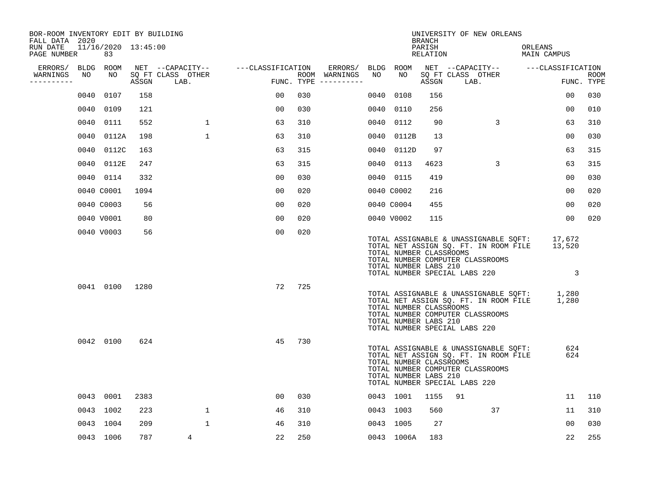| BOR-ROOM INVENTORY EDIT BY BUILDING<br>FALL DATA 2020 |      |                           |       |                           |                   |     |                                      |      |                                                  | <b>BRANCH</b>      | UNIVERSITY OF NEW ORLEANS                                                                                                                           |         |                       |                    |
|-------------------------------------------------------|------|---------------------------|-------|---------------------------|-------------------|-----|--------------------------------------|------|--------------------------------------------------|--------------------|-----------------------------------------------------------------------------------------------------------------------------------------------------|---------|-----------------------|--------------------|
| RUN DATE<br>PAGE NUMBER                               |      | 11/16/2020 13:45:00<br>83 |       |                           |                   |     |                                      |      |                                                  | PARISH<br>RELATION |                                                                                                                                                     | ORLEANS | MAIN CAMPUS           |                    |
| ERRORS/                                               |      | BLDG ROOM                 |       | NET --CAPACITY--          | ---CLASSIFICATION |     | ERRORS/                              |      | BLDG ROOM                                        |                    | NET --CAPACITY--                                                                                                                                    |         | ---CLASSIFICATION     |                    |
| WARNINGS<br>----------                                | NO   | NO                        | ASSGN | SQ FT CLASS OTHER<br>LAB. |                   |     | ROOM WARNINGS<br>FUNC. TYPE $------$ | NO   | NO                                               | ASSGN              | SQ FT CLASS OTHER<br>LAB.                                                                                                                           |         |                       | ROOM<br>FUNC. TYPE |
|                                                       | 0040 | 0107                      | 158   |                           | 00                | 030 |                                      | 0040 | 0108                                             | 156                |                                                                                                                                                     |         | 00                    | 030                |
|                                                       |      | 0040 0109                 | 121   |                           | 0 <sub>0</sub>    | 030 |                                      | 0040 | 0110                                             | 256                |                                                                                                                                                     |         | 00                    | 010                |
|                                                       | 0040 | 0111                      | 552   | $\mathbf 1$               | 63                | 310 |                                      | 0040 | 0112                                             | 90                 | 3                                                                                                                                                   |         | 63                    | 310                |
|                                                       |      | 0040 0112A                | 198   | $\mathbf{1}$              | 63                | 310 |                                      | 0040 | 0112B                                            | 13                 |                                                                                                                                                     |         | 0 <sub>0</sub>        | 030                |
|                                                       | 0040 | 0112C                     | 163   |                           | 63                | 315 |                                      | 0040 | 0112D                                            | 97                 |                                                                                                                                                     |         | 63                    | 315                |
|                                                       |      | 0040 0112E                | 247   |                           | 63                | 315 |                                      |      | 0040 0113                                        | 4623               | 3                                                                                                                                                   |         | 63                    | 315                |
|                                                       |      | 0040 0114                 | 332   |                           | 0 <sub>0</sub>    | 030 |                                      |      | 0040 0115                                        | 419                |                                                                                                                                                     |         | 0 <sub>0</sub>        | 030                |
|                                                       |      | 0040 C0001                | 1094  |                           | 0 <sub>0</sub>    | 020 |                                      |      | 0040 C0002                                       | 216                |                                                                                                                                                     |         | 0 <sub>0</sub>        | 020                |
|                                                       |      | 0040 C0003                | 56    |                           | 0 <sub>0</sub>    | 020 |                                      |      | 0040 C0004                                       | 455                |                                                                                                                                                     |         | 00                    | 020                |
|                                                       |      | 0040 V0001                | 80    |                           | 00                | 020 |                                      |      | 0040 V0002                                       | 115                |                                                                                                                                                     |         | 0 <sub>0</sub>        | 020                |
|                                                       |      | 0040 V0003                | 56    |                           | 00                | 020 |                                      |      | TOTAL NUMBER CLASSROOMS<br>TOTAL NUMBER LABS 210 |                    | TOTAL ASSIGNABLE & UNASSIGNABLE SQFT:<br>TOTAL NET ASSIGN SQ. FT. IN ROOM FILE<br>TOTAL NUMBER COMPUTER CLASSROOMS<br>TOTAL NUMBER SPECIAL LABS 220 |         | 17,672<br>13,520<br>3 |                    |
|                                                       |      | 0041 0100                 | 1280  |                           | 72                | 725 |                                      |      | TOTAL NUMBER CLASSROOMS<br>TOTAL NUMBER LABS 210 |                    | TOTAL ASSIGNABLE & UNASSIGNABLE SQFT:<br>TOTAL NET ASSIGN SQ. FT. IN ROOM FILE<br>TOTAL NUMBER COMPUTER CLASSROOMS<br>TOTAL NUMBER SPECIAL LABS 220 |         | 1,280<br>1,280        |                    |
|                                                       |      | 0042 0100                 | 624   |                           | 45                | 730 |                                      |      | TOTAL NUMBER CLASSROOMS<br>TOTAL NUMBER LABS 210 |                    | TOTAL ASSIGNABLE & UNASSIGNABLE SQFT:<br>TOTAL NET ASSIGN SQ. FT. IN ROOM FILE<br>TOTAL NUMBER COMPUTER CLASSROOMS<br>TOTAL NUMBER SPECIAL LABS 220 |         | 624<br>624            |                    |
|                                                       |      | 0043 0001                 | 2383  |                           | 00                | 030 |                                      |      | 0043 1001                                        | 1155               | 91                                                                                                                                                  |         | 11                    | 110                |
|                                                       |      | 0043 1002                 | 223   | $\mathbf{1}$              | 46                | 310 |                                      |      | 0043 1003                                        | 560                | 37                                                                                                                                                  |         | 11                    | 310                |
|                                                       |      | 0043 1004                 | 209   | $\mathbf{1}$              | 46                | 310 |                                      |      | 0043 1005                                        | 27                 |                                                                                                                                                     |         | 00                    | 030                |
|                                                       |      | 0043 1006                 | 787   | 4                         | 22                | 250 |                                      |      | 0043 1006A                                       | 183                |                                                                                                                                                     |         | 22                    | 255                |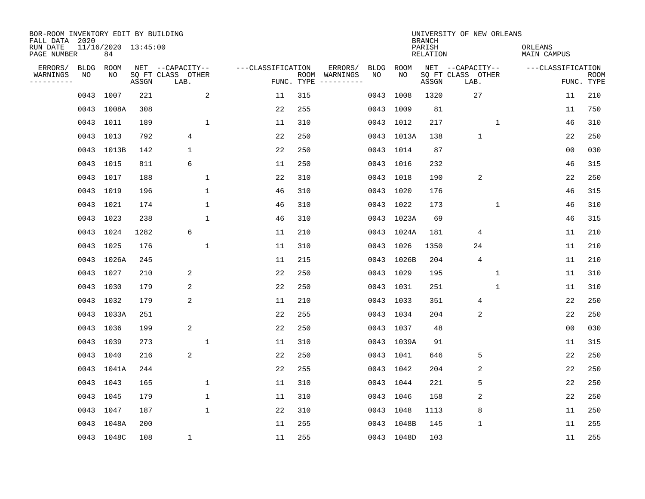| BOR-ROOM INVENTORY EDIT BY BUILDING<br>FALL DATA 2020 |             |                           |       |                           |                   |                    |                         |             |             | <b>BRANCH</b>             | UNIVERSITY OF NEW ORLEANS |   |                        |                           |  |
|-------------------------------------------------------|-------------|---------------------------|-------|---------------------------|-------------------|--------------------|-------------------------|-------------|-------------|---------------------------|---------------------------|---|------------------------|---------------------------|--|
| RUN DATE<br>PAGE NUMBER                               |             | 11/16/2020 13:45:00<br>84 |       |                           |                   |                    |                         |             |             | PARISH<br><b>RELATION</b> |                           |   | ORLEANS<br>MAIN CAMPUS |                           |  |
| ERRORS/                                               | <b>BLDG</b> | ROOM                      |       | NET --CAPACITY--          | ---CLASSIFICATION |                    | ERRORS/                 | <b>BLDG</b> | <b>ROOM</b> |                           | NET --CAPACITY--          |   | ---CLASSIFICATION      |                           |  |
| WARNINGS<br>----------                                | NO          | NO                        | ASSGN | SQ FT CLASS OTHER<br>LAB. |                   | ROOM<br>FUNC. TYPE | WARNINGS<br>----------- | NO          | NO          | ASSGN                     | SQ FT CLASS OTHER<br>LAB. |   |                        | <b>ROOM</b><br>FUNC. TYPE |  |
|                                                       | 0043        | 1007                      | 221   | 2                         | 11                | 315                |                         | 0043        | 1008        | 1320                      | 27                        |   | 11                     | 210                       |  |
|                                                       |             | 0043 1008A                | 308   |                           | 22                | 255                |                         |             | 0043 1009   | 81                        |                           |   | 11                     | 750                       |  |
|                                                       |             | 0043 1011                 | 189   | $\mathbf{1}$              | 11                | 310                |                         |             | 0043 1012   | 217                       |                           | 1 | 46                     | 310                       |  |
|                                                       |             | 0043 1013                 | 792   | 4                         | 22                | 250                |                         |             | 0043 1013A  | 138                       | $\mathbf{1}$              |   | 22                     | 250                       |  |
|                                                       |             | 0043 1013B                | 142   | $\mathbf 1$               | 22                | 250                |                         |             | 0043 1014   | 87                        |                           |   | 00                     | 030                       |  |
|                                                       |             | 0043 1015                 | 811   | 6                         | 11                | 250                |                         |             | 0043 1016   | 232                       |                           |   | 46                     | 315                       |  |
|                                                       |             | 0043 1017                 | 188   | $\mathbf{1}$              | 22                | 310                |                         |             | 0043 1018   | 190                       | 2                         |   | 22                     | 250                       |  |
|                                                       |             | 0043 1019                 | 196   | $\mathbf{1}$              | 46                | 310                |                         |             | 0043 1020   | 176                       |                           |   | 46                     | 315                       |  |
|                                                       |             | 0043 1021                 | 174   | $\mathbf{1}$              | 46                | 310                |                         | 0043        | 1022        | 173                       |                           | 1 | 46                     | 310                       |  |
|                                                       |             | 0043 1023                 | 238   | $\mathbf{1}$              | 46                | 310                |                         |             | 0043 1023A  | 69                        |                           |   | 46                     | 315                       |  |
|                                                       |             | 0043 1024                 | 1282  | 6                         | 11                | 210                |                         |             | 0043 1024A  | 181                       | 4                         |   | 11                     | 210                       |  |
|                                                       |             | 0043 1025                 | 176   | $\mathbf{1}$              | 11                | 310                |                         |             | 0043 1026   | 1350                      | 24                        |   | 11                     | 210                       |  |
|                                                       |             | 0043 1026A                | 245   |                           | 11                | 215                |                         | 0043        | 1026B       | 204                       | $\overline{4}$            |   | 11                     | 210                       |  |
|                                                       |             | 0043 1027                 | 210   | 2                         | 22                | 250                |                         |             | 0043 1029   | 195                       |                           | 1 | 11                     | 310                       |  |
|                                                       |             | 0043 1030                 | 179   | $\overline{c}$            | 22                | 250                |                         |             | 0043 1031   | 251                       |                           | 1 | 11                     | 310                       |  |
|                                                       |             | 0043 1032                 | 179   | 2                         | 11                | 210                |                         |             | 0043 1033   | 351                       | 4                         |   | 22                     | 250                       |  |
|                                                       |             | 0043 1033A                | 251   |                           | 22                | 255                |                         | 0043        | 1034        | 204                       | 2                         |   | 22                     | 250                       |  |
|                                                       |             | 0043 1036                 | 199   | 2                         | 22                | 250                |                         |             | 0043 1037   | 48                        |                           |   | 0 <sub>0</sub>         | 030                       |  |
|                                                       |             | 0043 1039                 | 273   | $\mathbf{1}$              | 11                | 310                |                         |             | 0043 1039A  | 91                        |                           |   | 11                     | 315                       |  |
|                                                       |             | 0043 1040                 | 216   | 2                         | 22                | 250                |                         |             | 0043 1041   | 646                       | 5                         |   | 22                     | 250                       |  |
|                                                       |             | 0043 1041A                | 244   |                           | 22                | 255                |                         |             | 0043 1042   | 204                       | 2                         |   | 22                     | 250                       |  |
|                                                       |             | 0043 1043                 | 165   | $\mathbf{1}$              | 11                | 310                |                         |             | 0043 1044   | 221                       | 5                         |   | 22                     | 250                       |  |
|                                                       |             | 0043 1045                 | 179   | 1                         | 11                | 310                |                         |             | 0043 1046   | 158                       | 2                         |   | 22                     | 250                       |  |
|                                                       | 0043        | 1047                      | 187   | $\mathbf{1}$              | 22                | 310                |                         |             | 0043 1048   | 1113                      | 8                         |   | 11                     | 250                       |  |
|                                                       |             | 0043 1048A                | 200   |                           | 11                | 255                |                         |             | 0043 1048B  | 145                       | $\mathbf 1$               |   | 11                     | 255                       |  |
|                                                       |             | 0043 1048C                | 108   | 1                         | 11                | 255                |                         |             | 0043 1048D  | 103                       |                           |   | 11                     | 255                       |  |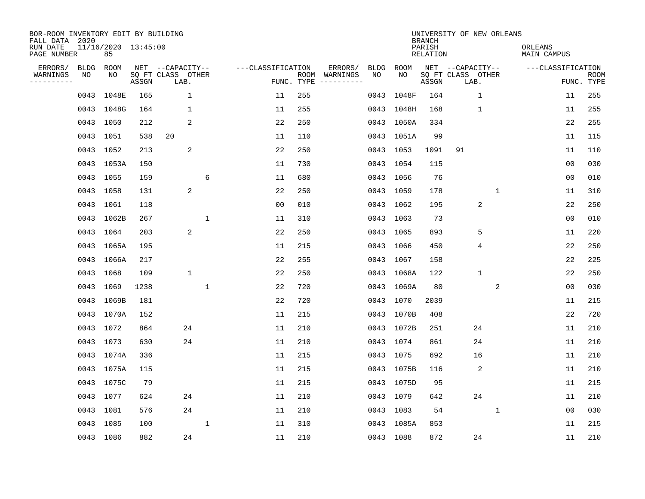| BOR-ROOM INVENTORY EDIT BY BUILDING<br>FALL DATA 2020 |                           |       |                                               |                   |                    |                                                                                                                                                                                                                                                                                                                                                                                                                                                                                                                         |              | <b>BRANCH</b>      | UNIVERSITY OF NEW ORLEANS                     |                        |                   |                           |
|-------------------------------------------------------|---------------------------|-------|-----------------------------------------------|-------------------|--------------------|-------------------------------------------------------------------------------------------------------------------------------------------------------------------------------------------------------------------------------------------------------------------------------------------------------------------------------------------------------------------------------------------------------------------------------------------------------------------------------------------------------------------------|--------------|--------------------|-----------------------------------------------|------------------------|-------------------|---------------------------|
| RUN DATE<br>PAGE NUMBER                               | 11/16/2020 13:45:00<br>85 |       |                                               |                   |                    |                                                                                                                                                                                                                                                                                                                                                                                                                                                                                                                         |              | PARISH<br>RELATION |                                               | ORLEANS<br>MAIN CAMPUS |                   |                           |
| ERRORS/<br>BLDG<br>WARNINGS<br>NO<br>---------        | ROOM<br>NO                | ASSGN | NET --CAPACITY--<br>SQ FT CLASS OTHER<br>LAB. | ---CLASSIFICATION | ROOM<br>FUNC. TYPE | ERRORS/<br><b>BLDG</b><br>WARNINGS<br>NO<br>$\begin{tabular}{ccccccccc} \multicolumn{2}{c }{\multicolumn{2}{c }{\multicolumn{2}{c }{\multicolumn{2}{c }{\multicolumn{2}{c}}}} & \multicolumn{2}{c }{\multicolumn{2}{c }{\multicolumn{2}{c }{\multicolumn{2}{c}}}} & \multicolumn{2}{c }{\multicolumn{2}{c }{\multicolumn{2}{c }{\multicolumn{2}{c}}}} & \multicolumn{2}{c }{\multicolumn{2}{c }{\multicolumn{2}{c }{\multicolumn{2}{c}}}} & \multicolumn{2}{c }{\multicolumn{2}{c }{\multicolumn{2}{c }{\multicolumn{2$ | ROOM<br>NO   | ASSGN              | NET --CAPACITY--<br>SQ FT CLASS OTHER<br>LAB. |                        | ---CLASSIFICATION | <b>ROOM</b><br>FUNC. TYPE |
| 0043                                                  | 1048E                     | 165   | $\mathbf 1$                                   | 11                | 255                | 0043                                                                                                                                                                                                                                                                                                                                                                                                                                                                                                                    | 1048F        | 164                | $\mathbf{1}$                                  |                        | 11                | 255                       |
|                                                       | 0043 1048G                | 164   | 1                                             | 11                | 255                |                                                                                                                                                                                                                                                                                                                                                                                                                                                                                                                         | 0043 1048H   | 168                | $\mathbf{1}$                                  |                        | 11                | 255                       |
|                                                       | 0043 1050                 | 212   | 2                                             | 22                | 250                |                                                                                                                                                                                                                                                                                                                                                                                                                                                                                                                         | 0043 1050A   | 334                |                                               |                        | 22                | 255                       |
|                                                       | 0043 1051                 | 538   | 20                                            | 11                | 110                |                                                                                                                                                                                                                                                                                                                                                                                                                                                                                                                         | 0043 1051A   | 99                 |                                               |                        | 11                | 115                       |
|                                                       | 0043 1052                 | 213   | 2                                             | 22                | 250                | 0043                                                                                                                                                                                                                                                                                                                                                                                                                                                                                                                    | 1053         | 1091               | 91                                            |                        | 11                | 110                       |
|                                                       | 0043 1053A                | 150   |                                               | 11                | 730                |                                                                                                                                                                                                                                                                                                                                                                                                                                                                                                                         | 0043 1054    | 115                |                                               |                        | 0 <sub>0</sub>    | 030                       |
|                                                       | 0043 1055                 | 159   | 6                                             | 11                | 680                |                                                                                                                                                                                                                                                                                                                                                                                                                                                                                                                         | 0043 1056    | 76                 |                                               |                        | 0 <sub>0</sub>    | 010                       |
|                                                       | 0043 1058                 | 131   | 2                                             | 22                | 250                |                                                                                                                                                                                                                                                                                                                                                                                                                                                                                                                         | 0043 1059    | 178                |                                               | $\mathbf{1}$           | 11                | 310                       |
|                                                       | 0043 1061                 | 118   |                                               | 0 <sub>0</sub>    | 010                |                                                                                                                                                                                                                                                                                                                                                                                                                                                                                                                         | 0043<br>1062 | 195                | 2                                             |                        | 22                | 250                       |
|                                                       | 0043 1062B                | 267   | $\mathbf{1}$                                  | 11                | 310                |                                                                                                                                                                                                                                                                                                                                                                                                                                                                                                                         | 0043 1063    | 73                 |                                               |                        | 0 <sub>0</sub>    | 010                       |
|                                                       | 0043 1064                 | 203   | 2                                             | 22                | 250                |                                                                                                                                                                                                                                                                                                                                                                                                                                                                                                                         | 0043 1065    | 893                | 5                                             |                        | 11                | 220                       |
|                                                       | 0043 1065A                | 195   |                                               | 11                | 215                |                                                                                                                                                                                                                                                                                                                                                                                                                                                                                                                         | 0043 1066    | 450                | 4                                             |                        | 22                | 250                       |
|                                                       | 0043 1066A                | 217   |                                               | 22                | 255                | 0043                                                                                                                                                                                                                                                                                                                                                                                                                                                                                                                    | 1067         | 158                |                                               |                        | 22                | 225                       |
|                                                       | 0043 1068                 | 109   | $\mathbf{1}$                                  | 22                | 250                |                                                                                                                                                                                                                                                                                                                                                                                                                                                                                                                         | 0043 1068A   | 122                | $\mathbf{1}$                                  |                        | 22                | 250                       |
|                                                       | 0043 1069                 | 1238  | $\mathbf{1}$                                  | 22                | 720                |                                                                                                                                                                                                                                                                                                                                                                                                                                                                                                                         | 0043 1069A   | 80                 |                                               | 2                      | 0 <sub>0</sub>    | 030                       |
|                                                       | 0043 1069B                | 181   |                                               | 22                | 720                |                                                                                                                                                                                                                                                                                                                                                                                                                                                                                                                         | 0043 1070    | 2039               |                                               |                        | 11                | 215                       |
|                                                       | 0043 1070A                | 152   |                                               | 11                | 215                |                                                                                                                                                                                                                                                                                                                                                                                                                                                                                                                         | 0043 1070B   | 408                |                                               |                        | 22                | 720                       |
|                                                       | 0043 1072                 | 864   | 24                                            | 11                | 210                |                                                                                                                                                                                                                                                                                                                                                                                                                                                                                                                         | 0043 1072B   | 251                | 24                                            |                        | 11                | 210                       |
|                                                       | 0043 1073                 | 630   | 24                                            | 11                | 210                |                                                                                                                                                                                                                                                                                                                                                                                                                                                                                                                         | 0043 1074    | 861                | 24                                            |                        | 11                | 210                       |
|                                                       | 0043 1074A                | 336   |                                               | 11                | 215                |                                                                                                                                                                                                                                                                                                                                                                                                                                                                                                                         | 0043 1075    | 692                | 16                                            |                        | 11                | 210                       |
|                                                       | 0043 1075A                | 115   |                                               | 11                | 215                |                                                                                                                                                                                                                                                                                                                                                                                                                                                                                                                         | 0043 1075B   | 116                | 2                                             |                        | 11                | 210                       |
|                                                       | 0043 1075C                | 79    |                                               | 11                | 215                |                                                                                                                                                                                                                                                                                                                                                                                                                                                                                                                         | 0043 1075D   | 95                 |                                               |                        | 11                | 215                       |
|                                                       | 0043 1077                 | 624   | 24                                            | 11                | 210                |                                                                                                                                                                                                                                                                                                                                                                                                                                                                                                                         | 0043 1079    | 642                | 24                                            |                        | 11                | 210                       |
|                                                       | 0043 1081                 | 576   | 24                                            | 11                | 210                |                                                                                                                                                                                                                                                                                                                                                                                                                                                                                                                         | 0043 1083    | 54                 |                                               | $\mathbf{1}$           | 0 <sub>0</sub>    | 030                       |
|                                                       | 0043 1085                 | 100   | $\mathbf{1}$                                  | 11                | 310                |                                                                                                                                                                                                                                                                                                                                                                                                                                                                                                                         | 0043 1085A   | 853                |                                               |                        | 11                | 215                       |
|                                                       | 0043 1086                 | 882   | 24                                            | 11                | 210                |                                                                                                                                                                                                                                                                                                                                                                                                                                                                                                                         | 0043 1088    | 872                | 24                                            |                        | 11                | 210                       |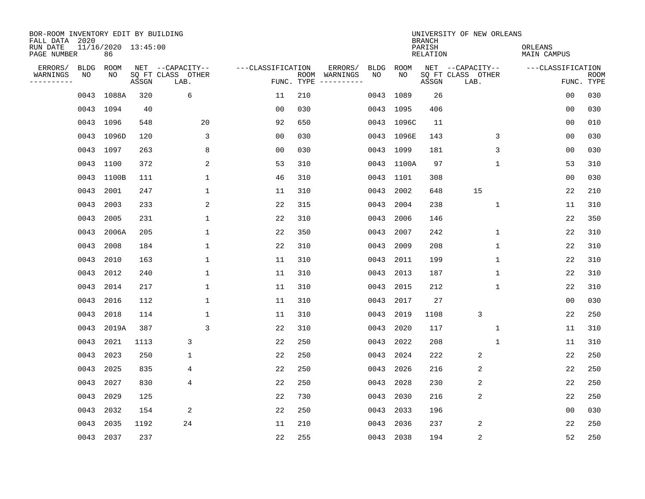| BOR-ROOM INVENTORY EDIT BY BUILDING<br>FALL DATA 2020 |             |                           |       |                           |                   |                    |                         |      |             | <b>BRANCH</b>             | UNIVERSITY OF NEW ORLEANS |                               |                   |                           |
|-------------------------------------------------------|-------------|---------------------------|-------|---------------------------|-------------------|--------------------|-------------------------|------|-------------|---------------------------|---------------------------|-------------------------------|-------------------|---------------------------|
| RUN DATE<br>PAGE NUMBER                               |             | 11/16/2020 13:45:00<br>86 |       |                           |                   |                    |                         |      |             | PARISH<br><b>RELATION</b> |                           | ORLEANS<br><b>MAIN CAMPUS</b> |                   |                           |
| ERRORS/                                               | <b>BLDG</b> | ROOM                      |       | NET --CAPACITY--          | ---CLASSIFICATION |                    | ERRORS/                 | BLDG | <b>ROOM</b> |                           | NET --CAPACITY--          |                               | ---CLASSIFICATION |                           |
| WARNINGS<br>----------                                | NO          | NO                        | ASSGN | SQ FT CLASS OTHER<br>LAB. |                   | ROOM<br>FUNC. TYPE | WARNINGS<br>----------- | NO   | NO          | ASSGN                     | SQ FT CLASS OTHER<br>LAB. |                               |                   | <b>ROOM</b><br>FUNC. TYPE |
|                                                       | 0043        | 1088A                     | 320   | 6                         | 11                | 210                |                         | 0043 | 1089        | 26                        |                           |                               | 00                | 030                       |
|                                                       |             | 0043 1094                 | 40    |                           | 0 <sub>0</sub>    | 030                |                         |      | 0043 1095   | 406                       |                           |                               | 00                | 030                       |
|                                                       |             | 0043 1096                 | 548   | 20                        | 92                | 650                |                         |      | 0043 1096C  | 11                        |                           |                               | 00                | 010                       |
|                                                       |             | 0043 1096D                | 120   | 3                         | 0 <sub>0</sub>    | 030                |                         |      | 0043 1096E  | 143                       | 3                         |                               | 0 <sub>0</sub>    | 030                       |
|                                                       | 0043        | 1097                      | 263   | 8                         | 0 <sub>0</sub>    | 030                |                         |      | 0043 1099   | 181                       | 3                         |                               | 0 <sub>0</sub>    | 030                       |
|                                                       |             | 0043 1100                 | 372   | 2                         | 53                | 310                |                         |      | 0043 1100A  | 97                        | $\mathbf{1}$              |                               | 53                | 310                       |
|                                                       | 0043        | 1100B                     | 111   | $\mathbf{1}$              | 46                | 310                |                         | 0043 | 1101        | 308                       |                           |                               | 0 <sub>0</sub>    | 030                       |
|                                                       | 0043        | 2001                      | 247   | $\mathbf{1}$              | 11                | 310                |                         | 0043 | 2002        | 648                       | 15                        |                               | 22                | 210                       |
|                                                       | 0043        | 2003                      | 233   | 2                         | 22                | 315                |                         | 0043 | 2004        | 238                       | $\mathbf 1$               |                               | 11                | 310                       |
|                                                       | 0043        | 2005                      | 231   | $\mathbf{1}$              | 22                | 310                |                         | 0043 | 2006        | 146                       |                           |                               | 22                | 350                       |
|                                                       | 0043        | 2006A                     | 205   | $\mathbf 1$               | 22                | 350                |                         | 0043 | 2007        | 242                       | $\mathbf 1$               |                               | 22                | 310                       |
|                                                       | 0043        | 2008                      | 184   | $\mathbf 1$               | 22                | 310                |                         | 0043 | 2009        | 208                       | 1                         |                               | 22                | 310                       |
|                                                       | 0043        | 2010                      | 163   | $\mathbf 1$               | 11                | 310                |                         | 0043 | 2011        | 199                       | 1                         |                               | 22                | 310                       |
|                                                       | 0043        | 2012                      | 240   | $\mathbf 1$               | 11                | 310                |                         | 0043 | 2013        | 187                       | 1                         |                               | 22                | 310                       |
|                                                       | 0043        | 2014                      | 217   | $\mathbf{1}$              | 11                | 310                |                         | 0043 | 2015        | 212                       | 1                         |                               | 22                | 310                       |
|                                                       | 0043        | 2016                      | 112   | $\mathbf 1$               | 11                | 310                |                         | 0043 | 2017        | 27                        |                           |                               | 00                | 030                       |
|                                                       | 0043        | 2018                      | 114   | 1                         | 11                | 310                |                         | 0043 | 2019        | 1108                      | 3                         |                               | 22                | 250                       |
|                                                       | 0043        | 2019A                     | 387   | 3                         | 22                | 310                |                         | 0043 | 2020        | 117                       | 1                         |                               | 11                | 310                       |
|                                                       | 0043        | 2021                      | 1113  | 3                         | 22                | 250                |                         | 0043 | 2022        | 208                       | $\mathbf{1}$              |                               | 11                | 310                       |
|                                                       | 0043        | 2023                      | 250   | 1                         | 22                | 250                |                         | 0043 | 2024        | 222                       | 2                         |                               | 22                | 250                       |
|                                                       | 0043        | 2025                      | 835   | 4                         | 22                | 250                |                         | 0043 | 2026        | 216                       | 2                         |                               | 22                | 250                       |
|                                                       | 0043        | 2027                      | 830   | 4                         | 22                | 250                |                         | 0043 | 2028        | 230                       | 2                         |                               | 22                | 250                       |
|                                                       | 0043        | 2029                      | 125   |                           | 22                | 730                |                         | 0043 | 2030        | 216                       | 2                         |                               | 22                | 250                       |
|                                                       | 0043        | 2032                      | 154   | 2                         | 22                | 250                |                         | 0043 | 2033        | 196                       |                           |                               | 0 <sub>0</sub>    | 030                       |
|                                                       | 0043        | 2035                      | 1192  | 24                        | 11                | 210                |                         | 0043 | 2036        | 237                       | 2                         |                               | 22                | 250                       |
|                                                       |             | 0043 2037                 | 237   |                           | 22                | 255                |                         |      | 0043 2038   | 194                       | $\overline{\mathbf{c}}$   |                               | 52                | 250                       |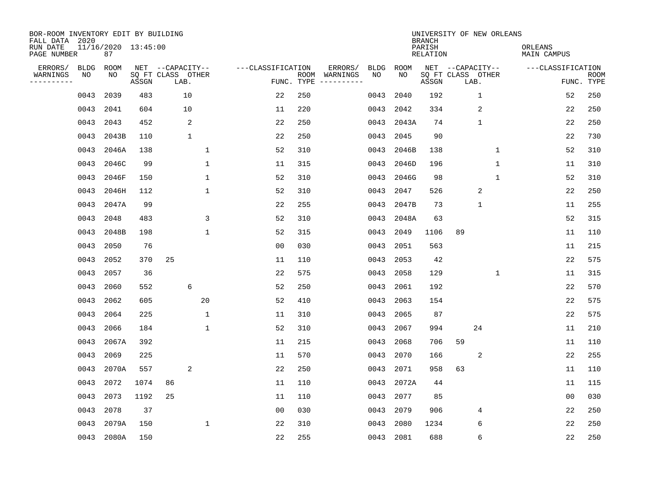| BOR-ROOM INVENTORY EDIT BY BUILDING<br>FALL DATA 2020<br>RUN DATE |                   | 11/16/2020 13:45:00 |       |                                               |              |                   |            |                                                                                                                                        |            |            | <b>BRANCH</b><br>PARISH | UNIVERSITY OF NEW ORLEANS                     |                | ORLEANS           |                |                           |
|-------------------------------------------------------------------|-------------------|---------------------|-------|-----------------------------------------------|--------------|-------------------|------------|----------------------------------------------------------------------------------------------------------------------------------------|------------|------------|-------------------------|-----------------------------------------------|----------------|-------------------|----------------|---------------------------|
| PAGE NUMBER                                                       |                   | 87                  |       |                                               |              |                   |            |                                                                                                                                        |            |            | <b>RELATION</b>         |                                               |                | MAIN CAMPUS       |                |                           |
| ERRORS/<br>WARNINGS<br>---------                                  | <b>BLDG</b><br>NO | ROOM<br>NO          | ASSGN | NET --CAPACITY--<br>SQ FT CLASS OTHER<br>LAB. |              | ---CLASSIFICATION | FUNC. TYPE | ERRORS/<br>ROOM WARNINGS<br>$\begin{tabular}{ccccccccc} - & - & - & - & - & - & - & - \\ & - & - & - & - & - & - & - \\ \end{tabular}$ | BLDG<br>NO | ROOM<br>NO | ASSGN                   | NET --CAPACITY--<br>SQ FT CLASS OTHER<br>LAB. |                | ---CLASSIFICATION |                | <b>ROOM</b><br>FUNC. TYPE |
|                                                                   | 0043              | 2039                | 483   | 10                                            |              | 22                | 250        |                                                                                                                                        | 0043       | 2040       | 192                     |                                               | $\mathbf{1}$   |                   | 52             | 250                       |
|                                                                   | 0043              | 2041                | 604   | 10                                            |              | 11                | 220        |                                                                                                                                        | 0043       | 2042       | 334                     |                                               | $\overline{2}$ |                   | 22             | 250                       |
|                                                                   | 0043              | 2043                | 452   | 2                                             |              | 22                | 250        |                                                                                                                                        | 0043       | 2043A      | 74                      |                                               | $\mathbf{1}$   |                   | 22             | 250                       |
|                                                                   | 0043              | 2043B               | 110   | $\mathbf{1}$                                  |              | 22                | 250        |                                                                                                                                        | 0043       | 2045       | 90                      |                                               |                |                   | 22             | 730                       |
|                                                                   | 0043              | 2046A               | 138   |                                               | $\mathbf{1}$ | 52                | 310        |                                                                                                                                        | 0043       | 2046B      | 138                     |                                               | $\mathbf 1$    |                   | 52             | 310                       |
|                                                                   | 0043              | 2046C               | 99    |                                               | 1            | 11                | 315        |                                                                                                                                        | 0043       | 2046D      | 196                     |                                               | $\mathbf 1$    |                   | 11             | 310                       |
|                                                                   | 0043              | 2046F               | 150   |                                               | $\mathbf 1$  | 52                | 310        |                                                                                                                                        | 0043       | 2046G      | 98                      |                                               | $\mathbf 1$    |                   | 52             | 310                       |
|                                                                   | 0043              | 2046H               | 112   |                                               | $\mathbf 1$  | 52                | 310        |                                                                                                                                        | 0043       | 2047       | 526                     |                                               | 2              |                   | 22             | 250                       |
|                                                                   | 0043              | 2047A               | 99    |                                               |              | 22                | 255        |                                                                                                                                        | 0043       | 2047B      | 73                      |                                               | $\mathbf 1$    |                   | 11             | 255                       |
|                                                                   | 0043              | 2048                | 483   |                                               | 3            | 52                | 310        |                                                                                                                                        | 0043       | 2048A      | 63                      |                                               |                |                   | 52             | 315                       |
|                                                                   | 0043              | 2048B               | 198   |                                               | $\mathbf{1}$ | 52                | 315        |                                                                                                                                        | 0043       | 2049       | 1106                    | 89                                            |                |                   | 11             | 110                       |
|                                                                   | 0043              | 2050                | 76    |                                               |              | 0 <sub>0</sub>    | 030        |                                                                                                                                        | 0043       | 2051       | 563                     |                                               |                |                   | 11             | 215                       |
|                                                                   | 0043              | 2052                | 370   | 25                                            |              | 11                | 110        |                                                                                                                                        | 0043       | 2053       | 42                      |                                               |                |                   | 22             | 575                       |
|                                                                   | 0043              | 2057                | 36    |                                               |              | 22                | 575        |                                                                                                                                        | 0043       | 2058       | 129                     |                                               | 1              |                   | 11             | 315                       |
|                                                                   | 0043              | 2060                | 552   | 6                                             |              | 52                | 250        |                                                                                                                                        | 0043       | 2061       | 192                     |                                               |                |                   | 22             | 570                       |
|                                                                   | 0043              | 2062                | 605   |                                               | 20           | 52                | 410        |                                                                                                                                        | 0043       | 2063       | 154                     |                                               |                |                   | 22             | 575                       |
|                                                                   | 0043              | 2064                | 225   |                                               | $\mathbf 1$  | 11                | 310        |                                                                                                                                        | 0043       | 2065       | 87                      |                                               |                |                   | 22             | 575                       |
|                                                                   | 0043              | 2066                | 184   |                                               | $\mathbf{1}$ | 52                | 310        |                                                                                                                                        | 0043       | 2067       | 994                     | 24                                            |                |                   | 11             | 210                       |
|                                                                   | 0043              | 2067A               | 392   |                                               |              | 11                | 215        |                                                                                                                                        | 0043       | 2068       | 706                     | 59                                            |                |                   | 11             | 110                       |
|                                                                   | 0043              | 2069                | 225   |                                               |              | 11                | 570        |                                                                                                                                        | 0043       | 2070       | 166                     |                                               | 2              |                   | 22             | 255                       |
|                                                                   | 0043              | 2070A               | 557   | 2                                             |              | 22                | 250        |                                                                                                                                        | 0043       | 2071       | 958                     | 63                                            |                |                   | 11             | 110                       |
|                                                                   | 0043              | 2072                | 1074  | 86                                            |              | 11                | 110        |                                                                                                                                        | 0043       | 2072A      | 44                      |                                               |                |                   | 11             | 115                       |
|                                                                   | 0043              | 2073                | 1192  | 25                                            |              | 11                | 110        |                                                                                                                                        | 0043       | 2077       | 85                      |                                               |                |                   | 0 <sub>0</sub> | 030                       |
|                                                                   | 0043              | 2078                | 37    |                                               |              | 0 <sub>0</sub>    | 030        |                                                                                                                                        | 0043       | 2079       | 906                     |                                               | 4              |                   | 22             | 250                       |
|                                                                   | 0043              | 2079A               | 150   |                                               | 1            | 22                | 310        |                                                                                                                                        | 0043       | 2080       | 1234                    |                                               | 6              |                   | 22             | 250                       |
|                                                                   |                   | 0043 2080A          | 150   |                                               |              | 22                | 255        |                                                                                                                                        |            | 0043 2081  | 688                     |                                               | 6              |                   | 22             | 250                       |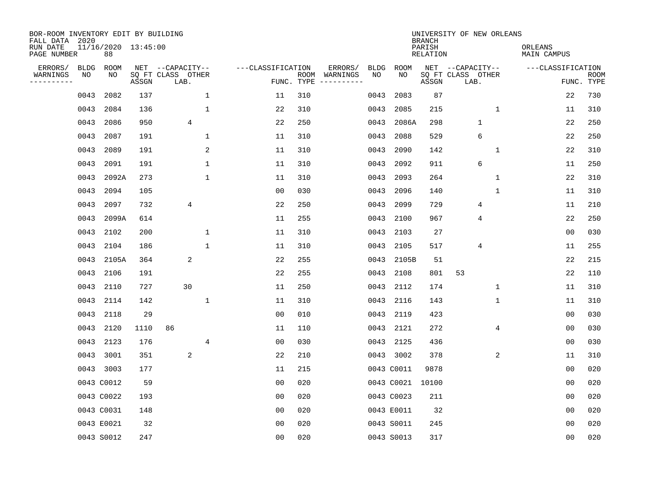| BOR-ROOM INVENTORY EDIT BY BUILDING<br>FALL DATA 2020 |              |                           |            |                                               |              |                   |            |                                                                                                                             |                   |               | <b>BRANCH</b>      | UNIVERSITY OF NEW ORLEANS                     |                        |                           |
|-------------------------------------------------------|--------------|---------------------------|------------|-----------------------------------------------|--------------|-------------------|------------|-----------------------------------------------------------------------------------------------------------------------------|-------------------|---------------|--------------------|-----------------------------------------------|------------------------|---------------------------|
| RUN DATE<br>PAGE NUMBER                               |              | 11/16/2020 13:45:00<br>88 |            |                                               |              |                   |            |                                                                                                                             |                   |               | PARISH<br>RELATION |                                               | ORLEANS<br>MAIN CAMPUS |                           |
| ERRORS/<br>WARNINGS<br>---------                      | BLDG<br>NO   | ROOM<br>NO                | ASSGN      | NET --CAPACITY--<br>SQ FT CLASS OTHER<br>LAB. |              | ---CLASSIFICATION | FUNC. TYPE | ERRORS/<br>ROOM WARNINGS<br>$\begin{tabular}{cccccc} - & - & - & - & - & - & - \\ & - & - & - & - & - & - \\ \end{tabular}$ | <b>BLDG</b><br>NO | ROOM<br>NO    | ASSGN              | NET --CAPACITY--<br>SQ FT CLASS OTHER<br>LAB. | ---CLASSIFICATION      | <b>ROOM</b><br>FUNC. TYPE |
|                                                       |              |                           |            |                                               |              |                   |            |                                                                                                                             |                   |               | 87                 |                                               | 22                     | 730                       |
|                                                       | 0043         | 2082                      | 137        |                                               | $\mathbf{1}$ | 11                | 310        |                                                                                                                             | 0043              | 2083          |                    |                                               |                        |                           |
|                                                       | 0043         | 2084                      | 136        |                                               | $\mathbf{1}$ | 22                | 310        |                                                                                                                             | 0043              | 2085          | 215                | $\mathbf{1}$                                  | 11                     | 310                       |
|                                                       | 0043<br>0043 | 2086<br>2087              | 950<br>191 | $\overline{4}$                                | $\mathbf{1}$ | 22                | 250<br>310 |                                                                                                                             | 0043              | 2086A<br>2088 | 298<br>529         | $\mathbf{1}$<br>6                             | 22<br>22               | 250<br>250                |
|                                                       |              |                           |            |                                               | 2            | 11                |            |                                                                                                                             | 0043              |               |                    |                                               |                        |                           |
|                                                       | 0043         | 2089                      | 191        |                                               |              | 11                | 310        |                                                                                                                             | 0043              | 2090          | 142                | 1                                             | 22                     | 310                       |
|                                                       | 0043         | 2091                      | 191        |                                               | $\mathbf 1$  | 11                | 310        |                                                                                                                             | 0043              | 2092          | 911                | 6                                             | 11                     | 250                       |
|                                                       | 0043         | 2092A                     | 273        |                                               | $\mathbf{1}$ | 11                | 310        |                                                                                                                             | 0043              | 2093          | 264                | $\mathbf 1$                                   | 22                     | 310                       |
|                                                       | 0043         | 2094                      | 105        |                                               |              | 0 <sub>0</sub>    | 030        |                                                                                                                             | 0043              | 2096          | 140                | $\mathbf 1$                                   | 11                     | 310                       |
|                                                       | 0043         | 2097                      | 732        | 4                                             |              | 22                | 250        |                                                                                                                             | 0043              | 2099          | 729                | 4                                             | 11                     | 210                       |
|                                                       | 0043         | 2099A                     | 614        |                                               |              | 11                | 255        |                                                                                                                             | 0043              | 2100          | 967                | 4                                             | 22                     | 250                       |
|                                                       | 0043         | 2102                      | 200        |                                               | $\mathbf 1$  | 11                | 310        |                                                                                                                             | 0043              | 2103          | 27                 |                                               | 0 <sub>0</sub>         | 030                       |
|                                                       |              | 0043 2104                 | 186        |                                               | $\mathbf{1}$ | 11                | 310        |                                                                                                                             | 0043              | 2105          | 517                | 4                                             | 11                     | 255                       |
|                                                       | 0043         | 2105A                     | 364        | 2                                             |              | 22                | 255        |                                                                                                                             | 0043              | 2105B         | 51                 |                                               | 22                     | 215                       |
|                                                       | 0043         | 2106                      | 191        |                                               |              | 22                | 255        |                                                                                                                             | 0043              | 2108          | 801                | 53                                            | 22                     | 110                       |
|                                                       | 0043         | 2110                      | 727        | 30                                            |              | 11                | 250        |                                                                                                                             | 0043              | 2112          | 174                | 1                                             | 11                     | 310                       |
|                                                       | 0043         | 2114                      | 142        |                                               | 1            | 11                | 310        |                                                                                                                             | 0043              | 2116          | 143                | 1                                             | 11                     | 310                       |
|                                                       | 0043         | 2118                      | 29         |                                               |              | 0 <sub>0</sub>    | 010        |                                                                                                                             | 0043              | 2119          | 423                |                                               | 0 <sub>0</sub>         | 030                       |
|                                                       | 0043         | 2120                      | 1110       | 86                                            |              | 11                | 110        |                                                                                                                             | 0043              | 2121          | 272                | 4                                             | 0 <sub>0</sub>         | 030                       |
|                                                       |              | 0043 2123                 | 176        |                                               | 4            | 0 <sub>0</sub>    | 030        |                                                                                                                             | 0043              | 2125          | 436                |                                               | 0 <sub>0</sub>         | 030                       |
|                                                       | 0043         | 3001                      | 351        | 2                                             |              | 22                | 210        |                                                                                                                             |                   | 0043 3002     | 378                | 2                                             | 11                     | 310                       |
|                                                       |              | 0043 3003                 | 177        |                                               |              | 11                | 215        |                                                                                                                             |                   | 0043 C0011    | 9878               |                                               | 0 <sub>0</sub>         | 020                       |
|                                                       |              | 0043 C0012                | 59         |                                               |              | 0 <sub>0</sub>    | 020        |                                                                                                                             |                   | 0043 C0021    | 10100              |                                               | 00                     | 020                       |
|                                                       |              | 0043 C0022                | 193        |                                               |              | 0 <sub>0</sub>    | 020        |                                                                                                                             |                   | 0043 C0023    | 211                |                                               | 0 <sub>0</sub>         | 020                       |
|                                                       |              | 0043 C0031                | 148        |                                               |              | 0 <sub>0</sub>    | 020        |                                                                                                                             |                   | 0043 E0011    | 32                 |                                               | 0 <sub>0</sub>         | 020                       |
|                                                       |              | 0043 E0021                | 32         |                                               |              | 00                | 020        |                                                                                                                             |                   | 0043 S0011    | 245                |                                               | 00                     | 020                       |
|                                                       |              | 0043 S0012                | 247        |                                               |              | 0 <sub>0</sub>    | 020        |                                                                                                                             |                   | 0043 S0013    | 317                |                                               | 0 <sub>0</sub>         | 020                       |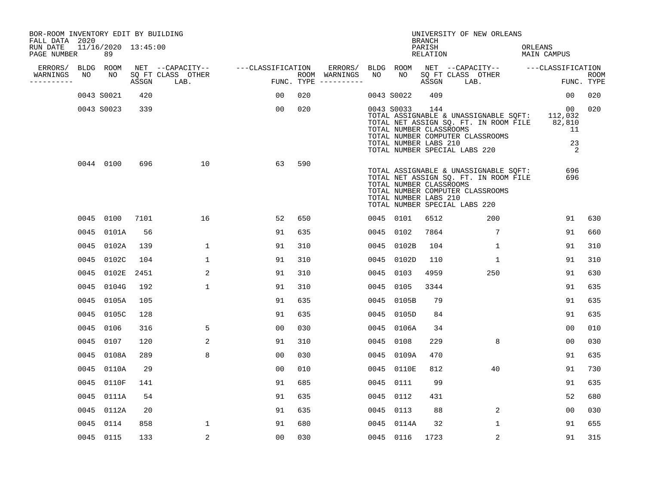| BOR-ROOM INVENTORY EDIT BY BUILDING<br>FALL DATA 2020 |                           |      |                                 |                                     |                                      |      |                                                                |                                     | UNIVERSITY OF NEW ORLEANS                                                                                                                                          |                        |                           |
|-------------------------------------------------------|---------------------------|------|---------------------------------|-------------------------------------|--------------------------------------|------|----------------------------------------------------------------|-------------------------------------|--------------------------------------------------------------------------------------------------------------------------------------------------------------------|------------------------|---------------------------|
| RUN DATE<br>PAGE NUMBER                               | 11/16/2020 13:45:00<br>89 |      |                                 |                                     |                                      |      |                                                                | <b>BRANCH</b><br>PARISH<br>RELATION |                                                                                                                                                                    | ORLEANS<br>MAIN CAMPUS |                           |
| ERRORS/ BLDG ROOM                                     |                           |      |                                 | NET --CAPACITY-- ----CLASSIFICATION | ERRORS/ BLDG ROOM                    |      |                                                                |                                     | NET --CAPACITY-- ---CLASSIFICATION                                                                                                                                 |                        |                           |
| WARNINGS<br>NO.<br>-----------                        | NO                        |      | SQ FT CLASS OTHER<br>ASSGN LAB. |                                     | ROOM WARNINGS<br>FUNC. TYPE $------$ | NO   | NO 1                                                           | ASSGN                               | SQ FT CLASS OTHER<br>LAB.                                                                                                                                          |                        | <b>ROOM</b><br>FUNC. TYPE |
|                                                       | 0043 S0021                | 420  |                                 | 00                                  | 020                                  |      | 0043 S0022                                                     | 409                                 |                                                                                                                                                                    | 00 <sub>o</sub>        | 020                       |
|                                                       | 0043 S0023                | 339  |                                 | 00                                  | 020                                  |      | 0043 S0033<br>TOTAL NUMBER CLASSROOMS<br>TOTAL NUMBER LABS 210 | 144                                 | TOTAL ASSIGNABLE & UNASSIGNABLE SQFT: 112,032<br>TOTAL NET ASSIGN SQ. FT. IN ROOM FILE 82,810<br>TOTAL NUMBER COMPUTER CLASSROOMS<br>TOTAL NUMBER SPECIAL LABS 220 | 00<br>11<br>23<br>2    | 020                       |
|                                                       | 0044 0100                 | 696  | 10                              | 63                                  | 590                                  |      | TOTAL NUMBER CLASSROOMS<br>TOTAL NUMBER LABS 210               |                                     | TOTAL ASSIGNABLE & UNASSIGNABLE SQFT:<br>TOTAL NET ASSIGN SQ. FT. IN ROOM FILE<br>TOTAL NUMBER COMPUTER CLASSROOMS<br>TOTAL NUMBER SPECIAL LABS 220                | 696<br>696             |                           |
|                                                       | 0045 0100                 | 7101 | 16                              | 52                                  | 650                                  |      | 0045 0101                                                      | 6512                                | 200                                                                                                                                                                | 91                     | 630                       |
|                                                       | 0045 0101A                | 56   |                                 | 91                                  | 635                                  |      | 0045 0102                                                      | 7864                                | $7\overline{ }$                                                                                                                                                    | 91                     | 660                       |
|                                                       | 0045 0102A                | 139  | 1                               | 91                                  | 310                                  |      | 0045 0102B                                                     | 104                                 | 1                                                                                                                                                                  | 91                     | 310                       |
|                                                       | 0045 0102C                | 104  | $\mathbf{1}$                    | 91                                  | 310                                  | 0045 | 0102D                                                          | 110                                 | $\mathbf{1}$                                                                                                                                                       | 91                     | 310                       |
|                                                       | 0045 0102E                | 2451 | 2                               | 91                                  | 310                                  | 0045 | 0103                                                           | 4959                                | 250                                                                                                                                                                | 91                     | 630                       |
|                                                       | 0045 0104G                | 192  | $\mathbf{1}$                    | 91                                  | 310                                  | 0045 | 0105                                                           | 3344                                |                                                                                                                                                                    | 91                     | 635                       |
|                                                       | 0045 0105A                | 105  |                                 | 91                                  | 635                                  |      | 0045 0105B                                                     | 79                                  |                                                                                                                                                                    | 91                     | 635                       |
|                                                       | 0045 0105C                | 128  |                                 | 91                                  | 635                                  |      | 0045 0105D                                                     | 84                                  |                                                                                                                                                                    | 91                     | 635                       |
|                                                       | 0045 0106                 | 316  | 5                               | 0 <sub>0</sub>                      | 030                                  |      | 0045 0106A                                                     | 34                                  |                                                                                                                                                                    | 0 <sub>0</sub>         | 010                       |
|                                                       | 0045 0107                 | 120  | 2                               | 91                                  | 310                                  |      | 0045 0108                                                      | 229                                 | 8                                                                                                                                                                  | 00                     | 030                       |
|                                                       | 0045 0108A                | 289  | 8                               | 0 <sub>0</sub>                      | 030                                  |      | 0045 0109A                                                     | 470                                 |                                                                                                                                                                    | 91                     | 635                       |
|                                                       | 0045 0110A                | 29   |                                 | 0 <sub>0</sub>                      | 010                                  |      | 0045 0110E                                                     | 812                                 | 40                                                                                                                                                                 | 91                     | 730                       |
|                                                       | 0045 0110F                | 141  |                                 | 91                                  | 685                                  | 0045 | 0111                                                           | 99                                  |                                                                                                                                                                    | 91                     | 635                       |
|                                                       | 0045 0111A                | 54   |                                 | 91                                  | 635                                  |      | 0045 0112                                                      | 431                                 |                                                                                                                                                                    | 52                     | 680                       |
|                                                       | 0045 0112A                | 20   |                                 | 91                                  | 635                                  |      | 0045 0113                                                      | 88                                  | 2                                                                                                                                                                  | 00                     | 030                       |
|                                                       | 0045 0114                 | 858  | $\mathbf{1}$                    | 91                                  | 680                                  |      | 0045 0114A                                                     | 32                                  | $\mathbf{1}$                                                                                                                                                       | 91                     | 655                       |
|                                                       | 0045 0115                 | 133  | 2                               | 0 <sub>0</sub>                      | 030                                  |      | 0045 0116                                                      | 1723                                | 2                                                                                                                                                                  | 91                     | 315                       |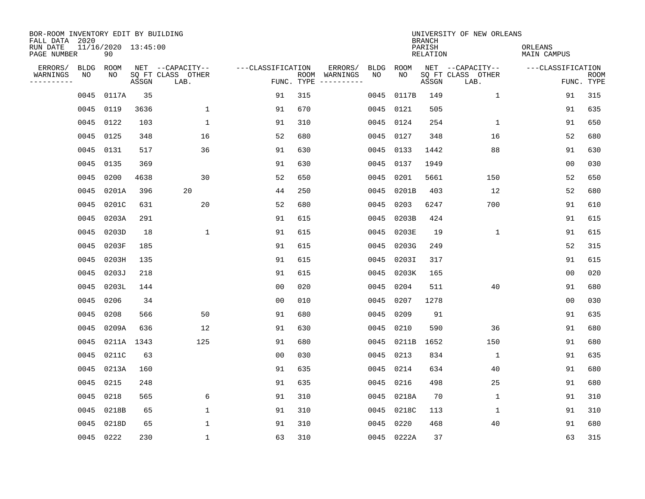| BOR-ROOM INVENTORY EDIT BY BUILDING<br>FALL DATA 2020 |             |                           |       |                           |                   |                    |          |             |             | <b>BRANCH</b>             | UNIVERSITY OF NEW ORLEANS |                               |                           |
|-------------------------------------------------------|-------------|---------------------------|-------|---------------------------|-------------------|--------------------|----------|-------------|-------------|---------------------------|---------------------------|-------------------------------|---------------------------|
| RUN DATE<br>PAGE NUMBER                               |             | 11/16/2020 13:45:00<br>90 |       |                           |                   |                    |          |             |             | PARISH<br><b>RELATION</b> |                           | ORLEANS<br><b>MAIN CAMPUS</b> |                           |
| ERRORS/                                               | <b>BLDG</b> | ROOM                      |       | NET --CAPACITY--          | ---CLASSIFICATION |                    | ERRORS/  | <b>BLDG</b> | <b>ROOM</b> |                           | NET --CAPACITY--          | ---CLASSIFICATION             |                           |
| WARNINGS<br>----------                                | NO          | NO                        | ASSGN | SQ FT CLASS OTHER<br>LAB. |                   | ROOM<br>FUNC. TYPE | WARNINGS | NO          | NO          | ASSGN                     | SQ FT CLASS OTHER<br>LAB. |                               | <b>ROOM</b><br>FUNC. TYPE |
|                                                       | 0045        | 0117A                     | 35    |                           | 91                | 315                |          | 0045        | 0117B       | 149                       | 1                         | 91                            | 315                       |
|                                                       | 0045        | 0119                      | 3636  | 1                         | 91                | 670                |          | 0045        | 0121        | 505                       |                           | 91                            | 635                       |
|                                                       | 0045        | 0122                      | 103   | $\mathbf 1$               | 91                | 310                |          | 0045        | 0124        | 254                       | $\mathbf 1$               | 91                            | 650                       |
|                                                       | 0045        | 0125                      | 348   | 16                        | 52                | 680                |          | 0045        | 0127        | 348                       | 16                        | 52                            | 680                       |
|                                                       | 0045        | 0131                      | 517   | 36                        | 91                | 630                |          | 0045        | 0133        | 1442                      | 88                        | 91                            | 630                       |
|                                                       | 0045        | 0135                      | 369   |                           | 91                | 630                |          | 0045        | 0137        | 1949                      |                           | 0 <sub>0</sub>                | 030                       |
|                                                       | 0045        | 0200                      | 4638  | 30                        | 52                | 650                |          | 0045        | 0201        | 5661                      | 150                       | 52                            | 650                       |
|                                                       | 0045        | 0201A                     | 396   | 20                        | 44                | 250                |          | 0045        | 0201B       | 403                       | 12                        | 52                            | 680                       |
|                                                       | 0045        | 0201C                     | 631   | 20                        | 52                | 680                |          | 0045        | 0203        | 6247                      | 700                       | 91                            | 610                       |
|                                                       | 0045        | 0203A                     | 291   |                           | 91                | 615                |          | 0045        | 0203B       | 424                       |                           | 91                            | 615                       |
|                                                       | 0045        | 0203D                     | 18    | $\mathbf{1}$              | 91                | 615                |          | 0045        | 0203E       | 19                        | $\mathbf{1}$              | 91                            | 615                       |
|                                                       | 0045        | 0203F                     | 185   |                           | 91                | 615                |          | 0045        | 0203G       | 249                       |                           | 52                            | 315                       |
|                                                       | 0045        | 0203H                     | 135   |                           | 91                | 615                |          | 0045        | 0203I       | 317                       |                           | 91                            | 615                       |
|                                                       | 0045        | 0203J                     | 218   |                           | 91                | 615                |          | 0045        | 0203K       | 165                       |                           | 0 <sub>0</sub>                | 020                       |
|                                                       | 0045        | 0203L                     | 144   |                           | 0 <sub>0</sub>    | 020                |          | 0045        | 0204        | 511                       | 40                        | 91                            | 680                       |
|                                                       | 0045        | 0206                      | 34    |                           | 0 <sub>0</sub>    | 010                |          | 0045        | 0207        | 1278                      |                           | 00                            | 030                       |
|                                                       | 0045        | 0208                      | 566   | 50                        | 91                | 680                |          | 0045        | 0209        | 91                        |                           | 91                            | 635                       |
|                                                       | 0045        | 0209A                     | 636   | 12                        | 91                | 630                |          | 0045        | 0210        | 590                       | 36                        | 91                            | 680                       |
|                                                       | 0045        | 0211A 1343                |       | 125                       | 91                | 680                |          |             | 0045 0211B  | 1652                      | 150                       | 91                            | 680                       |
|                                                       | 0045        | 0211C                     | 63    |                           | 00                | 030                |          | 0045        | 0213        | 834                       | 1                         | 91                            | 635                       |
|                                                       | 0045        | 0213A                     | 160   |                           | 91                | 635                |          | 0045        | 0214        | 634                       | 40                        | 91                            | 680                       |
|                                                       | 0045        | 0215                      | 248   |                           | 91                | 635                |          | 0045        | 0216        | 498                       | 25                        | 91                            | 680                       |
|                                                       | 0045        | 0218                      | 565   | 6                         | 91                | 310                |          |             | 0045 0218A  | 70                        | 1                         | 91                            | 310                       |
|                                                       | 0045        | 0218B                     | 65    | $\mathbf{1}$              | 91                | 310                |          | 0045        | 0218C       | 113                       | 1                         | 91                            | 310                       |
|                                                       | 0045        | 0218D                     | 65    | $\mathbf{1}$              | 91                | 310                |          | 0045        | 0220        | 468                       | 40                        | 91                            | 680                       |
|                                                       |             | 0045 0222                 | 230   | $\mathbf{1}$              | 63                | 310                |          |             | 0045 0222A  | 37                        |                           | 63                            | 315                       |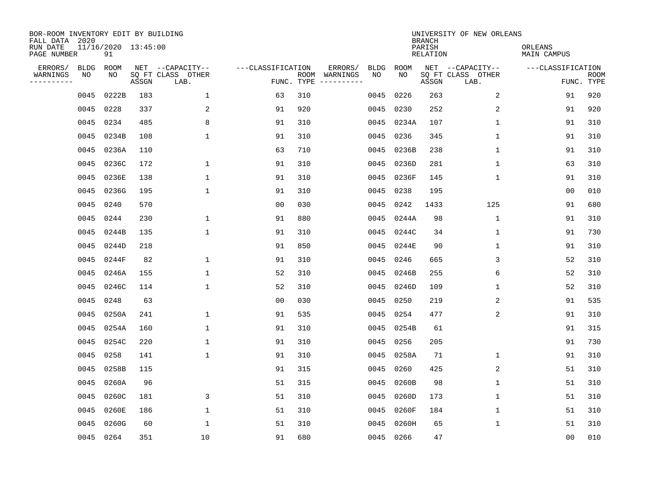| BOR-ROOM INVENTORY EDIT BY BUILDING<br>FALL DATA 2020 |      |                           |       |                           |                   |            |                              |             |             | <b>BRANCH</b>             | UNIVERSITY OF NEW ORLEANS |                               |                           |
|-------------------------------------------------------|------|---------------------------|-------|---------------------------|-------------------|------------|------------------------------|-------------|-------------|---------------------------|---------------------------|-------------------------------|---------------------------|
| RUN DATE<br>PAGE NUMBER                               |      | 11/16/2020 13:45:00<br>91 |       |                           |                   |            |                              |             |             | PARISH<br><b>RELATION</b> |                           | ORLEANS<br><b>MAIN CAMPUS</b> |                           |
| ERRORS/                                               | BLDG | ROOM                      |       | NET --CAPACITY--          | ---CLASSIFICATION |            | ERRORS/                      | <b>BLDG</b> | <b>ROOM</b> |                           | NET --CAPACITY--          | ---CLASSIFICATION             |                           |
| WARNINGS<br>-----------                               | NO   | NO                        | ASSGN | SQ FT CLASS OTHER<br>LAB. |                   | FUNC. TYPE | ROOM WARNINGS<br>----------- | NO          | NO          | ASSGN                     | SQ FT CLASS OTHER<br>LAB. |                               | <b>ROOM</b><br>FUNC. TYPE |
|                                                       | 0045 | 0222B                     | 183   | 1                         | 63                | 310        |                              | 0045        | 0226        | 263                       | 2                         | 91                            | 920                       |
|                                                       |      | 0045 0228                 | 337   | 2                         | 91                | 920        |                              | 0045        | 0230        | 252                       | 2                         | 91                            | 920                       |
|                                                       | 0045 | 0234                      | 485   | 8                         | 91                | 310        |                              | 0045        | 0234A       | 107                       | $\mathbf 1$               | 91                            | 310                       |
|                                                       | 0045 | 0234B                     | 108   | $\mathbf{1}$              | 91                | 310        |                              | 0045        | 0236        | 345                       | $\mathbf 1$               | 91                            | 310                       |
|                                                       | 0045 | 0236A                     | 110   |                           | 63                | 710        |                              | 0045        | 0236B       | 238                       | $\mathbf{1}$              | 91                            | 310                       |
|                                                       |      | 0045 0236C                | 172   | $\mathbf{1}$              | 91                | 310        |                              | 0045        | 0236D       | 281                       | $\mathbf{1}$              | 63                            | 310                       |
|                                                       |      | 0045 0236E                | 138   | $\mathbf{1}$              | 91                | 310        |                              | 0045        | 0236F       | 145                       | $\mathbf{1}$              | 91                            | 310                       |
|                                                       |      | 0045 0236G                | 195   | $\mathbf{1}$              | 91                | 310        |                              | 0045        | 0238        | 195                       |                           | 0 <sub>0</sub>                | 010                       |
|                                                       | 0045 | 0240                      | 570   |                           | 0 <sub>0</sub>    | 030        |                              | 0045        | 0242        | 1433                      | 125                       | 91                            | 680                       |
|                                                       |      | 0045 0244                 | 230   | 1                         | 91                | 880        |                              | 0045        | 0244A       | 98                        | $\mathbf{1}$              | 91                            | 310                       |
|                                                       |      | 0045 0244B                | 135   | $\mathbf{1}$              | 91                | 310        |                              | 0045        | 0244C       | 34                        | $\mathbf 1$               | 91                            | 730                       |
|                                                       | 0045 | 0244D                     | 218   |                           | 91                | 850        |                              | 0045        | 0244E       | 90                        | $\mathbf 1$               | 91                            | 310                       |
|                                                       | 0045 | 0244F                     | 82    | $\mathbf{1}$              | 91                | 310        |                              | 0045        | 0246        | 665                       | 3                         | 52                            | 310                       |
|                                                       | 0045 | 0246A                     | 155   | $\mathbf{1}$              | 52                | 310        |                              | 0045        | 0246B       | 255                       | 6                         | 52                            | 310                       |
|                                                       | 0045 | 0246C                     | 114   | $\mathbf{1}$              | 52                | 310        |                              | 0045        | 0246D       | 109                       | 1                         | 52                            | 310                       |
|                                                       | 0045 | 0248                      | 63    |                           | 0 <sub>0</sub>    | 030        |                              | 0045        | 0250        | 219                       | 2                         | 91                            | 535                       |
|                                                       | 0045 | 0250A                     | 241   | 1                         | 91                | 535        |                              | 0045        | 0254        | 477                       | 2                         | 91                            | 310                       |
|                                                       | 0045 | 0254A                     | 160   | 1                         | 91                | 310        |                              | 0045        | 0254B       | 61                        |                           | 91                            | 315                       |
|                                                       | 0045 | 0254C                     | 220   | 1                         | 91                | 310        |                              | 0045        | 0256        | 205                       |                           | 91                            | 730                       |
|                                                       | 0045 | 0258                      | 141   | $\mathbf{1}$              | 91                | 310        |                              | 0045        | 0258A       | 71                        | 1                         | 91                            | 310                       |
|                                                       | 0045 | 0258B                     | 115   |                           | 91                | 315        |                              | 0045        | 0260        | 425                       | 2                         | 51                            | 310                       |
|                                                       | 0045 | 0260A                     | 96    |                           | 51                | 315        |                              | 0045        | 0260B       | 98                        | $\mathbf 1$               | 51                            | 310                       |
|                                                       | 0045 | 0260C                     | 181   | 3                         | 51                | 310        |                              | 0045        | 0260D       | 173                       | $\mathbf{1}$              | 51                            | 310                       |
|                                                       | 0045 | 0260E                     | 186   | $\mathbf{1}$              | 51                | 310        |                              | 0045        | 0260F       | 184                       | $\mathbf 1$               | 51                            | 310                       |
|                                                       | 0045 | 0260G                     | 60    | $\mathbf{1}$              | 51                | 310        |                              | 0045        | 0260H       | 65                        | $\mathbf{1}$              | 51                            | 310                       |
|                                                       |      | 0045 0264                 | 351   | 10                        | 91                | 680        |                              |             | 0045 0266   | 47                        |                           | 0 <sub>0</sub>                | 010                       |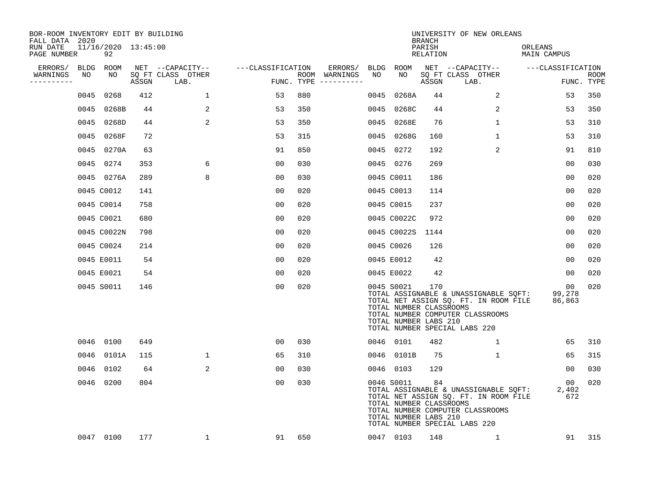| BOR-ROOM INVENTORY EDIT BY BUILDING<br>FALL DATA 2020 |      |                           |       |                           |                   |     |                                      |      |                                                                | <b>BRANCH</b>      | UNIVERSITY OF NEW ORLEANS                                                                                                                           |                        |                           |
|-------------------------------------------------------|------|---------------------------|-------|---------------------------|-------------------|-----|--------------------------------------|------|----------------------------------------------------------------|--------------------|-----------------------------------------------------------------------------------------------------------------------------------------------------|------------------------|---------------------------|
| RUN DATE<br>PAGE NUMBER                               |      | 11/16/2020 13:45:00<br>92 |       |                           |                   |     |                                      |      |                                                                | PARISH<br>RELATION |                                                                                                                                                     | ORLEANS<br>MAIN CAMPUS |                           |
| ERRORS/                                               |      | BLDG ROOM                 |       | NET --CAPACITY--          | ---CLASSIFICATION |     | ERRORS/                              |      | BLDG ROOM                                                      |                    | NET --CAPACITY--                                                                                                                                    | ---CLASSIFICATION      |                           |
| WARNINGS<br>----------                                | NO   | NO                        | ASSGN | SQ FT CLASS OTHER<br>LAB. |                   |     | ROOM WARNINGS<br>FUNC. TYPE $------$ | NO   | NO                                                             | ASSGN              | SQ FT CLASS OTHER<br>LAB.                                                                                                                           |                        | <b>ROOM</b><br>FUNC. TYPE |
|                                                       | 0045 | 0268                      | 412   | 1                         | 53                | 880 |                                      | 0045 | 0268A                                                          | 44                 | 2                                                                                                                                                   | 53                     | 350                       |
|                                                       |      | 0045 0268B                | 44    | 2                         | 53                | 350 |                                      |      | 0045 0268C                                                     | 44                 | 2                                                                                                                                                   | 53                     | 350                       |
|                                                       |      | 0045 0268D                | 44    | 2                         | 53                | 350 |                                      |      | 0045 0268E                                                     | 76                 | $\mathbf{1}$                                                                                                                                        | 53                     | 310                       |
|                                                       |      | 0045 0268F                | 72    |                           | 53                | 315 |                                      |      | 0045 0268G                                                     | 160                | 1                                                                                                                                                   | 53                     | 310                       |
|                                                       |      | 0045 0270A                | 63    |                           | 91                | 850 |                                      |      | 0045 0272                                                      | 192                | 2                                                                                                                                                   | 91                     | 810                       |
|                                                       |      | 0045 0274                 | 353   | 6                         | 0 <sub>0</sub>    | 030 |                                      |      | 0045 0276                                                      | 269                |                                                                                                                                                     | 0 <sub>0</sub>         | 030                       |
|                                                       |      | 0045 0276A                | 289   | 8                         | 00                | 030 |                                      |      | 0045 C0011                                                     | 186                |                                                                                                                                                     | 0 <sub>0</sub>         | 020                       |
|                                                       |      | 0045 C0012                | 141   |                           | 0 <sub>0</sub>    | 020 |                                      |      | 0045 C0013                                                     | 114                |                                                                                                                                                     | 0 <sub>0</sub>         | 020                       |
|                                                       |      | 0045 C0014                | 758   |                           | 0 <sub>0</sub>    | 020 |                                      |      | 0045 C0015                                                     | 237                |                                                                                                                                                     | 0 <sub>0</sub>         | 020                       |
|                                                       |      | 0045 C0021                | 680   |                           | 0 <sub>0</sub>    | 020 |                                      |      | 0045 C0022C                                                    | 972                |                                                                                                                                                     | 0 <sub>0</sub>         | 020                       |
|                                                       |      | 0045 C0022N               | 798   |                           | 0 <sub>0</sub>    | 020 |                                      |      | 0045 C0022S                                                    | 1144               |                                                                                                                                                     | 0 <sub>0</sub>         | 020                       |
|                                                       |      | 0045 C0024                | 214   |                           | 0 <sub>0</sub>    | 020 |                                      |      | 0045 C0026                                                     | 126                |                                                                                                                                                     | 0 <sub>0</sub>         | 020                       |
|                                                       |      | 0045 E0011                | 54    |                           | 00                | 020 |                                      |      | 0045 E0012                                                     | 42                 |                                                                                                                                                     | 00                     | 020                       |
|                                                       |      | 0045 E0021                | 54    |                           | 0 <sub>0</sub>    | 020 |                                      |      | 0045 E0022                                                     | 42                 |                                                                                                                                                     | 00                     | 020                       |
|                                                       |      | 0045 S0011                | 146   |                           | 00                | 020 |                                      |      | 0045 S0021<br>TOTAL NUMBER CLASSROOMS<br>TOTAL NUMBER LABS 210 | 170                | TOTAL ASSIGNABLE & UNASSIGNABLE SQFT:<br>TOTAL NET ASSIGN SQ. FT. IN ROOM FILE<br>TOTAL NUMBER COMPUTER CLASSROOMS<br>TOTAL NUMBER SPECIAL LABS 220 | 00<br>99,278<br>86,863 | 020                       |
|                                                       |      | 0046 0100                 | 649   |                           | 00                | 030 |                                      |      | 0046 0101                                                      | 482                | $\mathbf{1}$                                                                                                                                        | 65                     | 310                       |
|                                                       |      | 0046 0101A                | 115   | $\mathbf{1}$              | 65                | 310 |                                      |      | 0046 0101B                                                     | 75                 | $\mathbf{1}$                                                                                                                                        | 65                     | 315                       |
|                                                       |      | 0046 0102                 | 64    | 2                         | 00                | 030 |                                      |      | 0046 0103                                                      | 129                |                                                                                                                                                     | 00                     | 030                       |
|                                                       |      | 0046 0200                 | 804   |                           | 00                | 030 |                                      |      | 0046 S0011<br>TOTAL NUMBER CLASSROOMS<br>TOTAL NUMBER LABS 210 | 84                 | TOTAL ASSIGNABLE & UNASSIGNABLE SQFT:<br>TOTAL NET ASSIGN SQ. FT. IN ROOM FILE<br>TOTAL NUMBER COMPUTER CLASSROOMS<br>TOTAL NUMBER SPECIAL LABS 220 | 00<br>2,402<br>672     | 020                       |
|                                                       |      | 0047 0100                 | 177   | 1                         | 91                | 650 |                                      |      | 0047 0103                                                      | 148                | 1                                                                                                                                                   | 91                     | 315                       |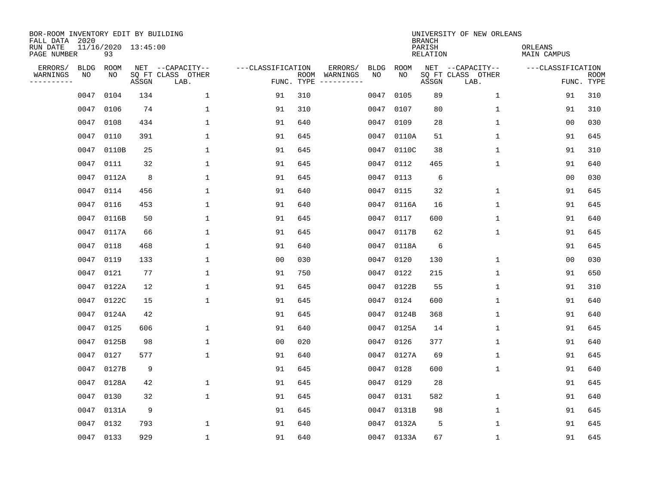| BOR-ROOM INVENTORY EDIT BY BUILDING<br>FALL DATA 2020 |             |                           |       |                           |                   |                    |          |             |             | <b>BRANCH</b>             | UNIVERSITY OF NEW ORLEANS |                        |                           |
|-------------------------------------------------------|-------------|---------------------------|-------|---------------------------|-------------------|--------------------|----------|-------------|-------------|---------------------------|---------------------------|------------------------|---------------------------|
| RUN DATE<br>PAGE NUMBER                               |             | 11/16/2020 13:45:00<br>93 |       |                           |                   |                    |          |             |             | PARISH<br><b>RELATION</b> |                           | ORLEANS<br>MAIN CAMPUS |                           |
| ERRORS/                                               | <b>BLDG</b> | ROOM                      |       | NET --CAPACITY--          | ---CLASSIFICATION |                    | ERRORS/  | <b>BLDG</b> | <b>ROOM</b> |                           | NET --CAPACITY--          | ---CLASSIFICATION      |                           |
| WARNINGS<br>-----------                               | NO          | NO                        | ASSGN | SQ FT CLASS OTHER<br>LAB. |                   | ROOM<br>FUNC. TYPE | WARNINGS | NO          | NO          | ASSGN                     | SQ FT CLASS OTHER<br>LAB. |                        | <b>ROOM</b><br>FUNC. TYPE |
|                                                       | 0047        | 0104                      | 134   | $\mathbf{1}$              | 91                | 310                |          | 0047        | 0105        | 89                        | 1                         | 91                     | 310                       |
|                                                       | 0047        | 0106                      | 74    | 1                         | 91                | 310                |          | 0047        | 0107        | 80                        | 1                         | 91                     | 310                       |
|                                                       | 0047        | 0108                      | 434   | $\mathbf 1$               | 91                | 640                |          | 0047        | 0109        | 28                        | 1                         | 0 <sub>0</sub>         | 030                       |
|                                                       | 0047        | 0110                      | 391   | 1                         | 91                | 645                |          |             | 0047 0110A  | 51                        | 1                         | 91                     | 645                       |
|                                                       | 0047        | 0110B                     | 25    | $\mathbf{1}$              | 91                | 645                |          | 0047        | 0110C       | 38                        | 1                         | 91                     | 310                       |
|                                                       | 0047        | 0111                      | 32    | $\mathbf{1}$              | 91                | 645                |          |             | 0047 0112   | 465                       | $\mathbf{1}$              | 91                     | 640                       |
|                                                       | 0047        | 0112A                     | 8     | $\mathbf{1}$              | 91                | 645                |          | 0047        | 0113        | 6                         |                           | 0 <sub>0</sub>         | 030                       |
|                                                       | 0047        | 0114                      | 456   | $\mathbf{1}$              | 91                | 640                |          | 0047        | 0115        | 32                        | $\mathbf{1}$              | 91                     | 645                       |
|                                                       | 0047        | 0116                      | 453   | $\mathbf{1}$              | 91                | 640                |          | 0047        | 0116A       | 16                        | $\mathbf{1}$              | 91                     | 645                       |
|                                                       | 0047        | 0116B                     | 50    | 1                         | 91                | 645                |          | 0047        | 0117        | 600                       | $\mathbf 1$               | 91                     | 640                       |
|                                                       | 0047        | 0117A                     | 66    | 1                         | 91                | 645                |          | 0047        | 0117B       | 62                        | 1                         | 91                     | 645                       |
|                                                       | 0047        | 0118                      | 468   | 1                         | 91                | 640                |          | 0047        | 0118A       | 6                         |                           | 91                     | 645                       |
|                                                       | 0047        | 0119                      | 133   | 1                         | 0 <sub>0</sub>    | 030                |          | 0047        | 0120        | 130                       | 1                         | 0 <sub>0</sub>         | 030                       |
|                                                       | 0047        | 0121                      | 77    | 1                         | 91                | 750                |          | 0047        | 0122        | 215                       | 1                         | 91                     | 650                       |
|                                                       | 0047        | 0122A                     | 12    | 1                         | 91                | 645                |          | 0047        | 0122B       | 55                        | 1                         | 91                     | 310                       |
|                                                       | 0047        | 0122C                     | 15    | $\mathbf{1}$              | 91                | 645                |          | 0047        | 0124        | 600                       | 1                         | 91                     | 640                       |
|                                                       | 0047        | 0124A                     | 42    |                           | 91                | 645                |          | 0047        | 0124B       | 368                       | 1                         | 91                     | 640                       |
|                                                       | 0047        | 0125                      | 606   | 1                         | 91                | 640                |          | 0047        | 0125A       | 14                        | 1                         | 91                     | 645                       |
|                                                       | 0047        | 0125B                     | 98    | 1                         | 0 <sub>0</sub>    | 020                |          | 0047        | 0126        | 377                       | 1                         | 91                     | 640                       |
|                                                       | 0047        | 0127                      | 577   | $\mathbf 1$               | 91                | 640                |          | 0047        | 0127A       | 69                        | 1                         | 91                     | 645                       |
|                                                       | 0047        | 0127B                     | 9     |                           | 91                | 645                |          | 0047        | 0128        | 600                       | 1                         | 91                     | 640                       |
|                                                       | 0047        | 0128A                     | 42    | 1                         | 91                | 645                |          | 0047        | 0129        | 28                        |                           | 91                     | 645                       |
|                                                       | 0047        | 0130                      | 32    | $\mathbf{1}$              | 91                | 645                |          | 0047        | 0131        | 582                       | 1                         | 91                     | 640                       |
|                                                       | 0047        | 0131A                     | 9     |                           | 91                | 645                |          | 0047        | 0131B       | 98                        | 1                         | 91                     | 645                       |
|                                                       | 0047        | 0132                      | 793   | 1                         | 91                | 640                |          | 0047        | 0132A       | 5                         | 1                         | 91                     | 645                       |
|                                                       | 0047 0133   |                           | 929   | 1                         | 91                | 640                |          |             | 0047 0133A  | 67                        | 1                         | 91                     | 645                       |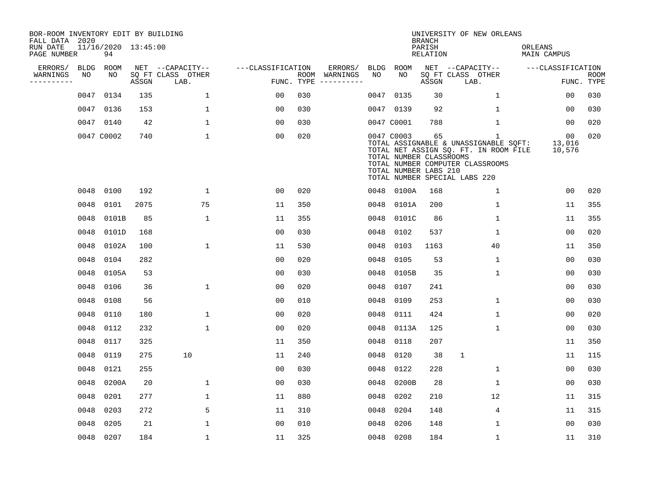| BOR-ROOM INVENTORY EDIT BY BUILDING<br>FALL DATA 2020 |             |                           |       |                           |                   |            |               |      |                                                                | <b>BRANCH</b>             | UNIVERSITY OF NEW ORLEANS                                                                                                                                |                               |                           |
|-------------------------------------------------------|-------------|---------------------------|-------|---------------------------|-------------------|------------|---------------|------|----------------------------------------------------------------|---------------------------|----------------------------------------------------------------------------------------------------------------------------------------------------------|-------------------------------|---------------------------|
| RUN DATE<br>PAGE NUMBER                               |             | 11/16/2020 13:45:00<br>94 |       |                           |                   |            |               |      |                                                                | PARISH<br><b>RELATION</b> |                                                                                                                                                          | ORLEANS<br><b>MAIN CAMPUS</b> |                           |
| ERRORS/                                               | <b>BLDG</b> | ROOM                      |       | NET --CAPACITY--          | ---CLASSIFICATION |            | ERRORS/       | BLDG | ROOM                                                           |                           | NET --CAPACITY--                                                                                                                                         | ---CLASSIFICATION             |                           |
| WARNINGS<br>-----------                               | NO          | NO                        | ASSGN | SQ FT CLASS OTHER<br>LAB. |                   | FUNC. TYPE | ROOM WARNINGS | NO   | NO                                                             | ASSGN                     | SQ FT CLASS OTHER<br>LAB.                                                                                                                                |                               | <b>ROOM</b><br>FUNC. TYPE |
|                                                       | 0047        | 0134                      | 135   | $\mathbf{1}$              | 00                | 030        |               | 0047 | 0135                                                           | 30                        | $\mathbf{1}$                                                                                                                                             | 00                            | 030                       |
|                                                       | 0047        | 0136                      | 153   | 1                         | 00                | 030        |               |      | 0047 0139                                                      | 92                        | $\mathbf{1}$                                                                                                                                             | 00                            | 030                       |
|                                                       |             | 0047 0140                 | 42    | $\mathbf 1$               | 00                | 030        |               |      | 0047 C0001                                                     | 788                       | $\mathbf 1$                                                                                                                                              | 00                            | 020                       |
|                                                       |             | 0047 C0002                | 740   | $\mathbf{1}$              | 0 <sub>0</sub>    | 020        |               |      | 0047 C0003<br>TOTAL NUMBER CLASSROOMS<br>TOTAL NUMBER LABS 210 | 65                        | 1<br>TOTAL ASSIGNABLE & UNASSIGNABLE SQFT:<br>TOTAL NET ASSIGN SQ. FT. IN ROOM FILE<br>TOTAL NUMBER COMPUTER CLASSROOMS<br>TOTAL NUMBER SPECIAL LABS 220 | 00<br>13,016<br>10,576        | 020                       |
|                                                       |             | 0048 0100                 | 192   | $\mathbf{1}$              | 0 <sub>0</sub>    | 020        |               |      | 0048 0100A                                                     | 168                       | $\mathbf 1$                                                                                                                                              | 0 <sub>0</sub>                | 020                       |
|                                                       | 0048        | 0101                      | 2075  | 75                        | 11                | 350        |               | 0048 | 0101A                                                          | 200                       | $\mathbf{1}$                                                                                                                                             | 11                            | 355                       |
|                                                       | 0048        | 0101B                     | 85    | $\mathbf{1}$              | 11                | 355        |               | 0048 | 0101C                                                          | 86                        | $\mathbf{1}$                                                                                                                                             | 11                            | 355                       |
|                                                       | 0048        | 0101D                     | 168   |                           | 0 <sub>0</sub>    | 030        |               | 0048 | 0102                                                           | 537                       | $\mathbf 1$                                                                                                                                              | 0 <sub>0</sub>                | 020                       |
|                                                       | 0048        | 0102A                     | 100   | $\mathbf 1$               | 11                | 530        |               | 0048 | 0103                                                           | 1163                      | 40                                                                                                                                                       | 11                            | 350                       |
|                                                       | 0048        | 0104                      | 282   |                           | 0 <sub>0</sub>    | 020        |               | 0048 | 0105                                                           | 53                        | $\mathbf 1$                                                                                                                                              | 0 <sub>0</sub>                | 030                       |
|                                                       | 0048        | 0105A                     | 53    |                           | 0 <sub>0</sub>    | 030        |               | 0048 | 0105B                                                          | 35                        | 1                                                                                                                                                        | 0 <sub>0</sub>                | 030                       |
|                                                       | 0048        | 0106                      | 36    | $\mathbf{1}$              | 0 <sub>0</sub>    | 020        |               | 0048 | 0107                                                           | 241                       |                                                                                                                                                          | 00                            | 030                       |
|                                                       | 0048        | 0108                      | 56    |                           | 0 <sub>0</sub>    | 010        |               | 0048 | 0109                                                           | 253                       | 1                                                                                                                                                        | 00                            | 030                       |
|                                                       | 0048        | 0110                      | 180   | 1                         | 00                | 020        |               | 0048 | 0111                                                           | 424                       | $\mathbf{1}$                                                                                                                                             | 00                            | 020                       |
|                                                       | 0048        | 0112                      | 232   | $\mathbf 1$               | 00                | 020        |               | 0048 | 0113A                                                          | 125                       | $\mathbf{1}$                                                                                                                                             | 0 <sub>0</sub>                | 030                       |
|                                                       | 0048        | 0117                      | 325   |                           | 11                | 350        |               | 0048 | 0118                                                           | 207                       |                                                                                                                                                          | 11                            | 350                       |
|                                                       | 0048        | 0119                      | 275   | 10                        | 11                | 240        |               | 0048 | 0120                                                           | 38                        | $\mathbf 1$                                                                                                                                              | 11                            | 115                       |
|                                                       | 0048        | 0121                      | 255   |                           | 0 <sub>0</sub>    | 030        |               | 0048 | 0122                                                           | 228                       | 1                                                                                                                                                        | 0 <sub>0</sub>                | 030                       |
|                                                       | 0048        | 0200A                     | 20    | $\mathbf 1$               | 0 <sub>0</sub>    | 030        |               | 0048 | 0200B                                                          | 28                        | $\mathbf 1$                                                                                                                                              | 0 <sub>0</sub>                | 030                       |
|                                                       | 0048        | 0201                      | 277   | $\mathbf{1}$              | 11                | 880        |               | 0048 | 0202                                                           | 210                       | 12                                                                                                                                                       | 11                            | 315                       |
|                                                       | 0048        | 0203                      | 272   | 5                         | 11                | 310        |               | 0048 | 0204                                                           | 148                       | 4                                                                                                                                                        | 11                            | 315                       |
|                                                       | 0048        | 0205                      | 21    | $\mathbf{1}$              | 0 <sub>0</sub>    | 010        |               | 0048 | 0206                                                           | 148                       | 1                                                                                                                                                        | 0 <sub>0</sub>                | 030                       |
|                                                       |             | 0048 0207                 | 184   | $\mathbf{1}$              | 11                | 325        |               | 0048 | 0208                                                           | 184                       | 1                                                                                                                                                        | 11                            | 310                       |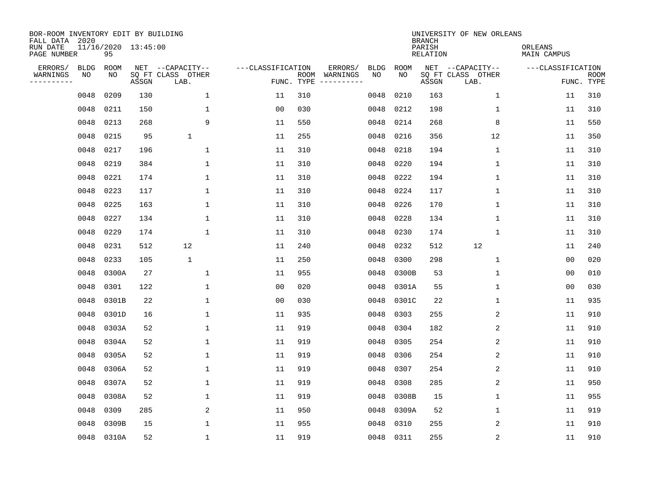| BOR-ROOM INVENTORY EDIT BY BUILDING<br>FALL DATA 2020 |             |            |                     |                           |                   |                    |          |             |             | <b>BRANCH</b>             | UNIVERSITY OF NEW ORLEANS |                        |                           |
|-------------------------------------------------------|-------------|------------|---------------------|---------------------------|-------------------|--------------------|----------|-------------|-------------|---------------------------|---------------------------|------------------------|---------------------------|
| RUN DATE<br>PAGE NUMBER                               |             | 95         | 11/16/2020 13:45:00 |                           |                   |                    |          |             |             | PARISH<br><b>RELATION</b> |                           | ORLEANS<br>MAIN CAMPUS |                           |
| ERRORS/                                               | <b>BLDG</b> | ROOM       |                     | NET --CAPACITY--          | ---CLASSIFICATION |                    | ERRORS/  | <b>BLDG</b> | <b>ROOM</b> |                           | NET --CAPACITY--          | ---CLASSIFICATION      |                           |
| WARNINGS<br>----------                                | NO          | NO         | ASSGN               | SQ FT CLASS OTHER<br>LAB. |                   | ROOM<br>FUNC. TYPE | WARNINGS | NO          | NO          | ASSGN                     | SQ FT CLASS OTHER<br>LAB. |                        | <b>ROOM</b><br>FUNC. TYPE |
|                                                       | 0048        | 0209       | 130                 | $\mathbf{1}$              | 11                | 310                |          | 0048        | 0210        | 163                       | 1                         | 11                     | 310                       |
|                                                       | 0048        | 0211       | 150                 | 1                         | 0 <sub>0</sub>    | 030                |          | 0048        | 0212        | 198                       | 1                         | 11                     | 310                       |
|                                                       | 0048        | 0213       | 268                 | 9                         | 11                | 550                |          | 0048        | 0214        | 268                       | 8                         | 11                     | 550                       |
|                                                       | 0048        | 0215       | 95                  | $\mathbf{1}$              | 11                | 255                |          | 0048        | 0216        | 356                       | 12                        | 11                     | 350                       |
|                                                       | 0048        | 0217       | 196                 | $\mathbf{1}$              | 11                | 310                |          | 0048        | 0218        | 194                       | $\mathbf 1$               | 11                     | 310                       |
|                                                       | 0048        | 0219       | 384                 | $\mathbf{1}$              | 11                | 310                |          | 0048        | 0220        | 194                       | 1                         | 11                     | 310                       |
|                                                       | 0048        | 0221       | 174                 | $\mathbf{1}$              | 11                | 310                |          | 0048        | 0222        | 194                       | $\mathbf{1}$              | 11                     | 310                       |
|                                                       | 0048        | 0223       | 117                 | $\mathbf{1}$              | 11                | 310                |          | 0048        | 0224        | 117                       | $\mathbf{1}$              | 11                     | 310                       |
|                                                       | 0048        | 0225       | 163                 | $\mathbf{1}$              | 11                | 310                |          | 0048        | 0226        | 170                       | $\mathbf{1}$              | 11                     | 310                       |
|                                                       | 0048        | 0227       | 134                 | 1                         | 11                | 310                |          | 0048        | 0228        | 134                       | 1                         | 11                     | 310                       |
|                                                       | 0048        | 0229       | 174                 | 1                         | 11                | 310                |          | 0048        | 0230        | 174                       | $\mathbf 1$               | 11                     | 310                       |
|                                                       | 0048        | 0231       | 512                 | 12                        | 11                | 240                |          | 0048        | 0232        | 512                       | 12                        | 11                     | 240                       |
|                                                       | 0048        | 0233       | 105                 | $\mathbf 1$               | 11                | 250                |          | 0048        | 0300        | 298                       | $\mathbf 1$               | 0 <sub>0</sub>         | 020                       |
|                                                       | 0048        | 0300A      | 27                  | 1                         | 11                | 955                |          | 0048        | 0300B       | 53                        | 1                         | 0 <sub>0</sub>         | 010                       |
|                                                       | 0048        | 0301       | 122                 | 1                         | 0 <sub>0</sub>    | 020                |          | 0048        | 0301A       | 55                        | 1                         | 0 <sub>0</sub>         | 030                       |
|                                                       | 0048        | 0301B      | 22                  | $\mathbf{1}$              | 0 <sub>0</sub>    | 030                |          | 0048        | 0301C       | 22                        | 1                         | 11                     | 935                       |
|                                                       | 0048        | 0301D      | 16                  | 1                         | 11                | 935                |          | 0048        | 0303        | 255                       | 2                         | 11                     | 910                       |
|                                                       | 0048        | 0303A      | 52                  | 1                         | 11                | 919                |          | 0048        | 0304        | 182                       | $\sqrt{2}$                | 11                     | 910                       |
|                                                       | 0048        | 0304A      | 52                  | 1                         | 11                | 919                |          | 0048        | 0305        | 254                       | 2                         | 11                     | 910                       |
|                                                       | 0048        | 0305A      | 52                  | 1                         | 11                | 919                |          | 0048        | 0306        | 254                       | 2                         | 11                     | 910                       |
|                                                       | 0048        | 0306A      | 52                  | 1                         | 11                | 919                |          | 0048        | 0307        | 254                       | 2                         | 11                     | 910                       |
|                                                       | 0048        | 0307A      | 52                  | $\mathbf{1}$              | 11                | 919                |          | 0048        | 0308        | 285                       | 2                         | 11                     | 950                       |
|                                                       | 0048        | 0308A      | 52                  | 1                         | 11                | 919                |          | 0048        | 0308B       | 15                        | 1                         | 11                     | 955                       |
|                                                       | 0048        | 0309       | 285                 | 2                         | 11                | 950                |          | 0048        | 0309A       | 52                        | $\mathbf 1$               | 11                     | 919                       |
|                                                       | 0048        | 0309B      | 15                  | 1                         | 11                | 955                |          | 0048        | 0310        | 255                       | 2                         | 11                     | 910                       |
|                                                       |             | 0048 0310A | 52                  | $\mathbf{1}$              | 11                | 919                |          | 0048        | 0311        | 255                       | $\sqrt{2}$                | 11                     | 910                       |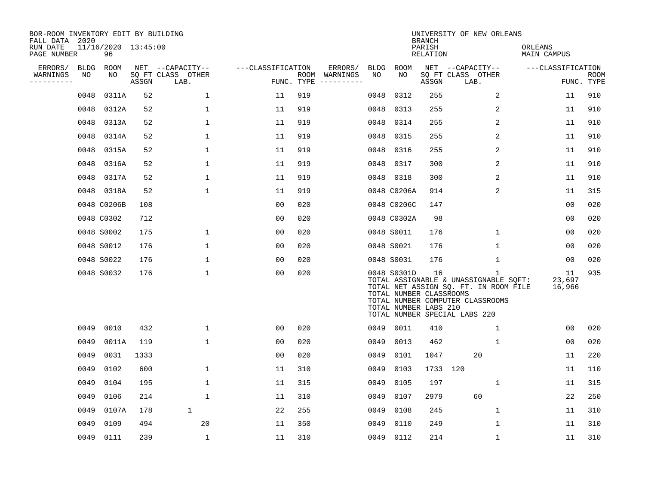| BOR-ROOM INVENTORY EDIT BY BUILDING<br>FALL DATA 2020<br>RUN DATE |                   | 11/16/2020 13:45:00 |       |                                       |                   |            |                     |                   |                                                                 | <b>BRANCH</b><br>PARISH | UNIVERSITY OF NEW ORLEANS                                                                                                                                | ORLEANS                |            |
|-------------------------------------------------------------------|-------------------|---------------------|-------|---------------------------------------|-------------------|------------|---------------------|-------------------|-----------------------------------------------------------------|-------------------------|----------------------------------------------------------------------------------------------------------------------------------------------------------|------------------------|------------|
| PAGE NUMBER                                                       |                   | 96                  |       |                                       |                   |            |                     |                   |                                                                 | RELATION                |                                                                                                                                                          | MAIN CAMPUS            |            |
| ERRORS/<br>WARNINGS                                               | <b>BLDG</b><br>NO | ROOM<br>NO          |       | NET --CAPACITY--<br>SQ FT CLASS OTHER | ---CLASSIFICATION | ROOM       | ERRORS/<br>WARNINGS | <b>BLDG</b><br>NO | ROOM<br>NO                                                      |                         | NET --CAPACITY--<br>SO FT CLASS OTHER                                                                                                                    | ---CLASSIFICATION      | ROOM       |
| ----------                                                        |                   |                     | ASSGN | LAB.                                  |                   | FUNC. TYPE | -----------         |                   |                                                                 | ASSGN                   | LAB.                                                                                                                                                     |                        | FUNC. TYPE |
|                                                                   | 0048              | 0311A               | 52    | $\mathbf{1}$                          | 11                | 919        |                     | 0048              | 0312                                                            | 255                     | 2                                                                                                                                                        | 11                     | 910        |
|                                                                   | 0048              | 0312A               | 52    | 1                                     | 11                | 919        |                     | 0048              | 0313                                                            | 255                     | 2                                                                                                                                                        | 11                     | 910        |
|                                                                   | 0048              | 0313A               | 52    | 1                                     | 11                | 919        |                     | 0048              | 0314                                                            | 255                     | 2                                                                                                                                                        | 11                     | 910        |
|                                                                   | 0048              | 0314A               | 52    | 1                                     | 11                | 919        |                     | 0048              | 0315                                                            | 255                     | 2                                                                                                                                                        | 11                     | 910        |
|                                                                   | 0048              | 0315A               | 52    | $\mathbf{1}$                          | 11                | 919        |                     | 0048              | 0316                                                            | 255                     | 2                                                                                                                                                        | 11                     | 910        |
|                                                                   | 0048              | 0316A               | 52    | 1                                     | 11                | 919        |                     |                   | 0048 0317                                                       | 300                     | 2                                                                                                                                                        | 11                     | 910        |
|                                                                   | 0048              | 0317A               | 52    | $\mathbf{1}$                          | 11                | 919        |                     |                   | 0048 0318                                                       | 300                     | 2                                                                                                                                                        | 11                     | 910        |
|                                                                   |                   | 0048 0318A          | 52    | 1                                     | 11                | 919        |                     |                   | 0048 C0206A                                                     | 914                     | 2                                                                                                                                                        | 11                     | 315        |
|                                                                   |                   | 0048 C0206B         | 108   |                                       | 0 <sub>0</sub>    | 020        |                     |                   | 0048 C0206C                                                     | 147                     |                                                                                                                                                          | 00                     | 020        |
|                                                                   |                   | 0048 C0302          | 712   |                                       | 00                | 020        |                     |                   | 0048 C0302A                                                     | 98                      |                                                                                                                                                          | 0 <sub>0</sub>         | 020        |
|                                                                   |                   | 0048 S0002          | 175   | 1                                     | 00                | 020        |                     |                   | 0048 S0011                                                      | 176                     | 1                                                                                                                                                        | 0 <sub>0</sub>         | 020        |
|                                                                   |                   | 0048 S0012          | 176   | 1                                     | 00                | 020        |                     |                   | 0048 S0021                                                      | 176                     | $\mathbf 1$                                                                                                                                              | 0 <sub>0</sub>         | 020        |
|                                                                   |                   | 0048 S0022          | 176   | 1                                     | 00                | 020        |                     |                   | 0048 S0031                                                      | 176                     | 1                                                                                                                                                        | 00                     | 020        |
|                                                                   |                   | 0048 S0032          | 176   | $\mathbf 1$                           | 0 <sub>0</sub>    | 020        |                     |                   | 0048 S0301D<br>TOTAL NUMBER CLASSROOMS<br>TOTAL NUMBER LABS 210 | 16                      | 1<br>TOTAL ASSIGNABLE & UNASSIGNABLE SQFT:<br>TOTAL NET ASSIGN SQ. FT. IN ROOM FILE<br>TOTAL NUMBER COMPUTER CLASSROOMS<br>TOTAL NUMBER SPECIAL LABS 220 | 11<br>23,697<br>16,966 | 935        |
|                                                                   | 0049              | 0010                | 432   | $\mathbf{1}$                          | 00                | 020        |                     | 0049              | 0011                                                            | 410                     | $\mathbf 1$                                                                                                                                              | 0 <sub>0</sub>         | 020        |
|                                                                   | 0049              | 0011A               | 119   | 1                                     | 0 <sub>0</sub>    | 020        |                     | 0049              | 0013                                                            | 462                     | $\mathbf 1$                                                                                                                                              | 0 <sub>0</sub>         | 020        |
|                                                                   | 0049              | 0031                | 1333  |                                       | 00                | 020        |                     | 0049              | 0101                                                            | 1047                    | 20                                                                                                                                                       | 11                     | 220        |
|                                                                   | 0049              | 0102                | 600   | 1                                     | 11                | 310        |                     | 0049              | 0103                                                            | 1733 120                |                                                                                                                                                          | 11                     | 110        |
|                                                                   | 0049              | 0104                | 195   | $\mathbf 1$                           | 11                | 315        |                     | 0049              | 0105                                                            | 197                     | $\mathbf 1$                                                                                                                                              | 11                     | 315        |
|                                                                   | 0049              | 0106                | 214   | $\mathbf{1}$                          | 11                | 310        |                     | 0049              | 0107                                                            | 2979                    | 60                                                                                                                                                       | 22                     | 250        |
|                                                                   | 0049              | 0107A               | 178   | $\mathbf{1}$                          | 22                | 255        |                     | 0049              | 0108                                                            | 245                     | 1                                                                                                                                                        | 11                     | 310        |
|                                                                   | 0049              | 0109                | 494   | 20                                    | 11                | 350        |                     | 0049              | 0110                                                            | 249                     | 1                                                                                                                                                        | 11                     | 310        |
|                                                                   |                   | 0049 0111           | 239   | $\mathbf 1$                           | 11                | 310        |                     | 0049              | 0112                                                            | 214                     | $\mathbf 1$                                                                                                                                              | 11                     | 310        |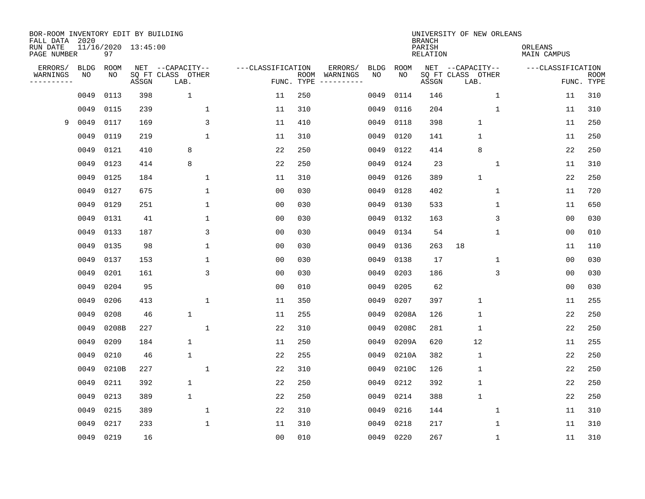| BOR-ROOM INVENTORY EDIT BY BUILDING<br>FALL DATA 2020 |             |       |                     |                           |                   |                    |                        |             |             | <b>BRANCH</b>             | UNIVERSITY OF NEW ORLEANS |              |                        |                           |
|-------------------------------------------------------|-------------|-------|---------------------|---------------------------|-------------------|--------------------|------------------------|-------------|-------------|---------------------------|---------------------------|--------------|------------------------|---------------------------|
| RUN DATE<br>PAGE NUMBER                               |             | 97    | 11/16/2020 13:45:00 |                           |                   |                    |                        |             |             | PARISH<br><b>RELATION</b> |                           |              | ORLEANS<br>MAIN CAMPUS |                           |
| ERRORS/                                               | <b>BLDG</b> | ROOM  |                     | NET --CAPACITY--          | ---CLASSIFICATION |                    | ERRORS/                | <b>BLDG</b> | <b>ROOM</b> |                           | NET --CAPACITY--          |              | ---CLASSIFICATION      |                           |
| WARNINGS<br>----------                                | NO          | NO    | ASSGN               | SQ FT CLASS OTHER<br>LAB. |                   | ROOM<br>FUNC. TYPE | WARNINGS<br>---------- | NO          | NO          | ASSGN                     | SQ FT CLASS OTHER<br>LAB. |              |                        | <b>ROOM</b><br>FUNC. TYPE |
|                                                       | 0049        | 0113  | 398                 | $\mathbf 1$               | 11                | 250                |                        | 0049        | 0114        | 146                       |                           | $\mathbf 1$  | 11                     | 310                       |
|                                                       | 0049        | 0115  | 239                 | $\mathbf{1}$              | 11                | 310                |                        | 0049        | 0116        | 204                       |                           | $\mathbf{1}$ | 11                     | 310                       |
| 9                                                     | 0049        | 0117  | 169                 | 3                         | 11                | 410                |                        | 0049        | 0118        | 398                       | $\mathbf{1}$              |              | 11                     | 250                       |
|                                                       | 0049        | 0119  | 219                 | $\mathbf{1}$              | 11                | 310                |                        | 0049        | 0120        | 141                       | $\mathbf{1}$              |              | 11                     | 250                       |
|                                                       | 0049        | 0121  | 410                 | 8                         | 22                | 250                |                        | 0049        | 0122        | 414                       | 8                         |              | 22                     | 250                       |
|                                                       | 0049        | 0123  | 414                 | 8                         | 22                | 250                |                        | 0049        | 0124        | 23                        |                           | $\mathbf{1}$ | 11                     | 310                       |
|                                                       | 0049        | 0125  | 184                 | 1                         | 11                | 310                |                        | 0049        | 0126        | 389                       | $\mathbf 1$               |              | 22                     | 250                       |
|                                                       | 0049        | 0127  | 675                 | $\mathbf{1}$              | 0 <sub>0</sub>    | 030                |                        | 0049        | 0128        | 402                       |                           | $\mathbf 1$  | 11                     | 720                       |
|                                                       | 0049        | 0129  | 251                 | 1                         | 0 <sub>0</sub>    | 030                |                        | 0049        | 0130        | 533                       |                           | 1            | 11                     | 650                       |
|                                                       | 0049        | 0131  | 41                  | 1                         | 0 <sub>0</sub>    | 030                |                        | 0049        | 0132        | 163                       |                           | 3            | 0 <sub>0</sub>         | 030                       |
|                                                       | 0049        | 0133  | 187                 | 3                         | 0 <sub>0</sub>    | 030                |                        | 0049        | 0134        | 54                        |                           | 1            | 0 <sub>0</sub>         | 010                       |
|                                                       | 0049        | 0135  | 98                  | 1                         | 0 <sub>0</sub>    | 030                |                        | 0049        | 0136        | 263                       | 18                        |              | 11                     | 110                       |
|                                                       | 0049        | 0137  | 153                 | $\mathbf{1}$              | 0 <sub>0</sub>    | 030                |                        | 0049        | 0138        | 17                        |                           | $\mathbf 1$  | 0 <sub>0</sub>         | 030                       |
|                                                       | 0049        | 0201  | 161                 | 3                         | 0 <sub>0</sub>    | 030                |                        | 0049        | 0203        | 186                       |                           | 3            | 0 <sub>0</sub>         | 030                       |
|                                                       | 0049        | 0204  | 95                  |                           | 0 <sub>0</sub>    | 010                |                        | 0049        | 0205        | 62                        |                           |              | 0 <sub>0</sub>         | 030                       |
|                                                       | 0049        | 0206  | 413                 | $\mathbf{1}$              | 11                | 350                |                        | 0049        | 0207        | 397                       | $\mathbf{1}$              |              | 11                     | 255                       |
|                                                       | 0049        | 0208  | 46                  | $\mathbf 1$               | 11                | 255                |                        | 0049        | 0208A       | 126                       | $\mathbf 1$               |              | 22                     | 250                       |
|                                                       | 0049        | 0208B | 227                 | $\mathbf{1}$              | 22                | 310                |                        | 0049        | 0208C       | 281                       | $\mathbf{1}$              |              | 22                     | 250                       |
|                                                       | 0049        | 0209  | 184                 | $\mathbf{1}$              | 11                | 250                |                        | 0049        | 0209A       | 620                       | 12                        |              | 11                     | 255                       |
|                                                       | 0049        | 0210  | 46                  | $\mathbf{1}$              | 22                | 255                |                        | 0049        | 0210A       | 382                       | $1\,$                     |              | 22                     | 250                       |
|                                                       | 0049        | 0210B | 227                 | $\mathbf{1}$              | 22                | 310                |                        | 0049        | 0210C       | 126                       | $\mathbf{1}$              |              | 22                     | 250                       |
|                                                       | 0049        | 0211  | 392                 | $\mathbf 1$               | 22                | 250                |                        | 0049        | 0212        | 392                       | 1                         |              | 22                     | 250                       |
|                                                       | 0049        | 0213  | 389                 | $\mathbf 1$               | 22                | 250                |                        | 0049        | 0214        | 388                       | $\mathbf{1}$              |              | 22                     | 250                       |
|                                                       | 0049        | 0215  | 389                 | 1                         | 22                | 310                |                        | 0049        | 0216        | 144                       |                           | 1            | 11                     | 310                       |
|                                                       | 0049        | 0217  | 233                 | 1                         | 11                | 310                |                        | 0049        | 0218        | 217                       |                           | 1            | 11                     | 310                       |
|                                                       | 0049        | 0219  | 16                  |                           | 0 <sub>0</sub>    | 010                |                        | 0049        | 0220        | 267                       |                           | 1            | 11                     | 310                       |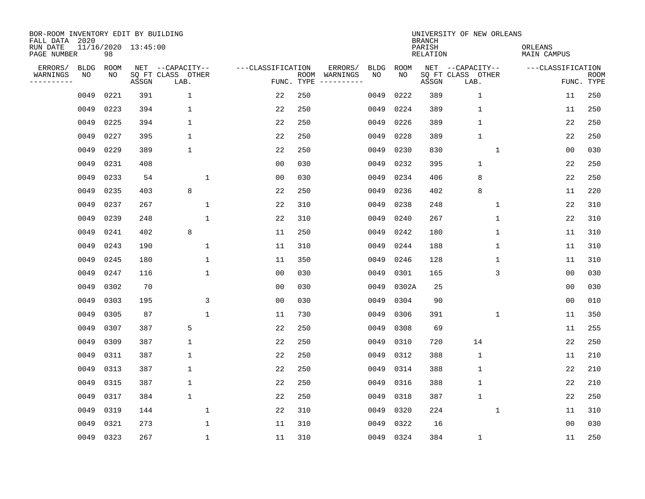| BOR-ROOM INVENTORY EDIT BY BUILDING<br>FALL DATA 2020 |                   |            |                     |                                               |                                 |      |                                          |             | <b>BRANCH</b>             | UNIVERSITY OF NEW ORLEANS                     |                               |                           |
|-------------------------------------------------------|-------------------|------------|---------------------|-----------------------------------------------|---------------------------------|------|------------------------------------------|-------------|---------------------------|-----------------------------------------------|-------------------------------|---------------------------|
| RUN DATE<br>PAGE NUMBER                               |                   | 98         | 11/16/2020 13:45:00 |                                               |                                 |      |                                          |             | PARISH<br><b>RELATION</b> |                                               | ORLEANS<br><b>MAIN CAMPUS</b> |                           |
| ERRORS/<br>WARNINGS<br>---------                      | <b>BLDG</b><br>ΝO | ROOM<br>ΝO | ASSGN               | NET --CAPACITY--<br>SQ FT CLASS OTHER<br>LAB. | ---CLASSIFICATION<br>FUNC. TYPE | ROOM | ERRORS/<br><b>BLDG</b><br>WARNINGS<br>NO | ROOM<br>NO. | ASSGN                     | NET --CAPACITY--<br>SQ FT CLASS OTHER<br>LAB. | ---CLASSIFICATION             | <b>ROOM</b><br>FUNC. TYPE |
|                                                       | 0049              | 0221       | 391                 | $\mathbf{1}$                                  | 22                              | 250  | 0049                                     | 0222        | 389                       | $\mathbf{1}$                                  | 11                            | 250                       |
|                                                       | 0049              | 0223       | 394                 | $\mathbf{1}$                                  | 22                              | 250  | 0049                                     | 0224        | 389                       | $\mathbf{1}$                                  | 11                            | 250                       |
|                                                       | 0049              | 0225       | 394                 | $\mathbf{1}$                                  | 22                              | 250  | 0049                                     | 0226        | 389                       | $\mathbf{1}$                                  | 22                            | 250                       |
|                                                       | 0049              | 0227       | 395                 | $\mathbf{1}$                                  | 22                              | 250  | 0049                                     | 0228        | 389                       | $\mathbf{1}$                                  | 22                            | 250                       |
|                                                       | 0049              | 0229       | 389                 | $\mathbf 1$                                   | 22                              | 250  | 0049                                     | 0230        | 830                       | 1                                             | 00                            | 030                       |
|                                                       | 0049              | 0231       | 408                 |                                               | 0 <sub>0</sub>                  | 030  | 0049                                     | 0232        | 395                       | $\mathbf{1}$                                  | 22                            | 250                       |
|                                                       | 0049              | 0233       | 54                  | 1                                             | 0 <sub>0</sub>                  | 030  | 0049                                     | 0234        | 406                       | 8                                             | 22                            | 250                       |
|                                                       | 0049              | 0235       | 403                 | 8                                             | 22                              | 250  | 0049                                     | 0236        | 402                       | 8                                             | 11                            | 220                       |
|                                                       | 0049              | 0237       | 267                 | 1                                             | 22                              | 310  | 0049                                     | 0238        | 248                       | 1                                             | 22                            | 310                       |
|                                                       | 0049              | 0239       | 248                 | $\mathbf 1$                                   | 22                              | 310  | 0049                                     | 0240        | 267                       | $\mathbf 1$                                   | 22                            | 310                       |
|                                                       | 0049              | 0241       | 402                 | 8                                             | 11                              | 250  | 0049                                     | 0242        | 180                       | 1                                             | 11                            | 310                       |
|                                                       | 0049              | 0243       | 190                 | $\mathbf 1$                                   | 11                              | 310  | 0049                                     | 0244        | 188                       | 1                                             | 11                            | 310                       |
|                                                       | 0049              | 0245       | 180                 | $\mathbf 1$                                   | 11                              | 350  | 0049                                     | 0246        | 128                       | 1                                             | 11                            | 310                       |
|                                                       | 0049              | 0247       | 116                 | $\mathbf{1}$                                  | 0 <sub>0</sub>                  | 030  | 0049                                     | 0301        | 165                       | 3                                             | 0 <sub>0</sub>                | 030                       |
|                                                       | 0049              | 0302       | 70                  |                                               | 0 <sub>0</sub>                  | 030  | 0049                                     | 0302A       | 25                        |                                               | 0 <sub>0</sub>                | 030                       |
|                                                       | 0049              | 0303       | 195                 | 3                                             | 0 <sub>0</sub>                  | 030  | 0049                                     | 0304        | 90                        |                                               | 0 <sub>0</sub>                | 010                       |
|                                                       | 0049              | 0305       | 87                  | $\mathbf{1}$                                  | 11                              | 730  | 0049                                     | 0306        | 391                       | 1                                             | 11                            | 350                       |
|                                                       | 0049              | 0307       | 387                 | 5                                             | 22                              | 250  | 0049                                     | 0308        | 69                        |                                               | 11                            | 255                       |
|                                                       | 0049              | 0309       | 387                 | 1                                             | 22                              | 250  | 0049                                     | 0310        | 720                       | 14                                            | 22                            | 250                       |
|                                                       | 0049              | 0311       | 387                 | 1                                             | 22                              | 250  | 0049                                     | 0312        | 388                       | $\mathbf{1}$                                  | 11                            | 210                       |
|                                                       | 0049              | 0313       | 387                 | 1                                             | 22                              | 250  | 0049                                     | 0314        | 388                       | $\mathbf{1}$                                  | 22                            | 210                       |
|                                                       | 0049              | 0315       | 387                 | $\mathbf 1$                                   | 22                              | 250  | 0049                                     | 0316        | 388                       | $\mathbf 1$                                   | 22                            | 210                       |
|                                                       | 0049              | 0317       | 384                 | $\mathbf{1}$                                  | 22                              | 250  | 0049                                     | 0318        | 387                       | $\mathbf{1}$                                  | 22                            | 250                       |
|                                                       | 0049              | 0319       | 144                 | $\mathbf{1}$                                  | 22                              | 310  | 0049                                     | 0320        | 224                       | $\mathbf 1$                                   | 11                            | 310                       |
|                                                       | 0049              | 0321       | 273                 | $\mathbf{1}$                                  | 11                              | 310  | 0049                                     | 0322        | 16                        |                                               | 00                            | 030                       |
|                                                       |                   | 0049 0323  | 267                 | $\mathbf{1}$                                  | 11                              | 310  | 0049                                     | 0324        | 384                       | 1                                             | 11                            | 250                       |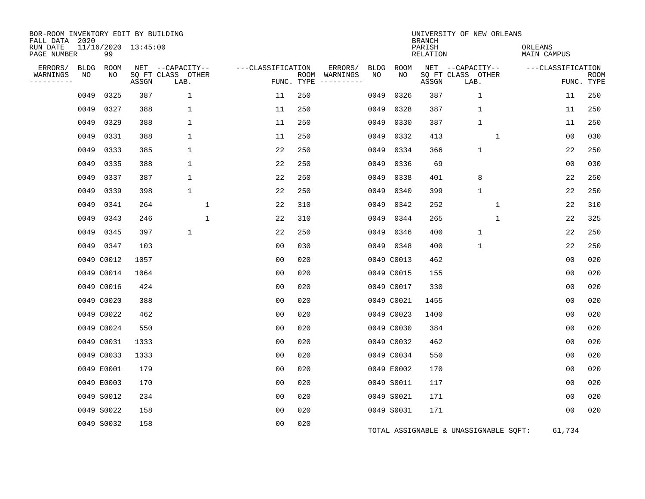| BOR-ROOM INVENTORY EDIT BY BUILDING<br>FALL DATA 2020 |      |                           |       |                           |                   |     |                                      |             |             | <b>BRANCH</b>             | UNIVERSITY OF NEW ORLEANS             |                               |                           |
|-------------------------------------------------------|------|---------------------------|-------|---------------------------|-------------------|-----|--------------------------------------|-------------|-------------|---------------------------|---------------------------------------|-------------------------------|---------------------------|
| RUN DATE<br>PAGE NUMBER                               |      | 11/16/2020 13:45:00<br>99 |       |                           |                   |     |                                      |             |             | PARISH<br><b>RELATION</b> |                                       | ORLEANS<br><b>MAIN CAMPUS</b> |                           |
| ERRORS/                                               | BLDG | ROOM                      |       | NET --CAPACITY--          | ---CLASSIFICATION |     | ERRORS/                              | <b>BLDG</b> | <b>ROOM</b> |                           | NET --CAPACITY--                      | ---CLASSIFICATION             |                           |
| WARNINGS<br>----------                                | NO   | NO                        | ASSGN | SQ FT CLASS OTHER<br>LAB. |                   |     | ROOM WARNINGS<br>FUNC. TYPE $------$ | NO          | NO.         | ASSGN                     | SQ FT CLASS OTHER<br>LAB.             |                               | <b>ROOM</b><br>FUNC. TYPE |
|                                                       | 0049 | 0325                      | 387   | $\mathbf 1$               | 11                | 250 |                                      | 0049        | 0326        | 387                       | $\mathbf 1$                           | 11                            | 250                       |
|                                                       | 0049 | 0327                      | 388   | $\mathbf 1$               | 11                | 250 |                                      | 0049        | 0328        | 387                       | $\mathbf{1}$                          | 11                            | 250                       |
|                                                       | 0049 | 0329                      | 388   | 1                         | 11                | 250 |                                      | 0049        | 0330        | 387                       | $\mathbf{1}$                          | 11                            | 250                       |
|                                                       | 0049 | 0331                      | 388   | 1                         | 11                | 250 |                                      | 0049        | 0332        | 413                       | 1                                     | 0 <sub>0</sub>                | 030                       |
|                                                       | 0049 | 0333                      | 385   | $\mathbf 1$               | 22                | 250 |                                      | 0049        | 0334        | 366                       | 1                                     | 22                            | 250                       |
|                                                       | 0049 | 0335                      | 388   | $\mathbf 1$               | 22                | 250 |                                      | 0049        | 0336        | 69                        |                                       | 0 <sub>0</sub>                | 030                       |
|                                                       | 0049 | 0337                      | 387   | $\mathbf 1$               | 22                | 250 |                                      | 0049        | 0338        | 401                       | 8                                     | 22                            | 250                       |
|                                                       | 0049 | 0339                      | 398   | $\mathbf 1$               | 22                | 250 |                                      | 0049        | 0340        | 399                       | $\mathbf{1}$                          | 22                            | 250                       |
|                                                       | 0049 | 0341                      | 264   | $\mathbf{1}$              | 22                | 310 |                                      | 0049        | 0342        | 252                       | $\mathbf{1}$                          | 22                            | 310                       |
|                                                       | 0049 | 0343                      | 246   | $\mathbf{1}$              | 22                | 310 |                                      | 0049        | 0344        | 265                       | $\mathbf{1}$                          | 22                            | 325                       |
|                                                       | 0049 | 0345                      | 397   | $\mathbf 1$               | 22                | 250 |                                      | 0049        | 0346        | 400                       | $\mathbf{1}$                          | 22                            | 250                       |
|                                                       | 0049 | 0347                      | 103   |                           | 00                | 030 |                                      | 0049        | 0348        | 400                       | 1                                     | 22                            | 250                       |
|                                                       |      | 0049 C0012                | 1057  |                           | 0 <sub>0</sub>    | 020 |                                      |             | 0049 C0013  | 462                       |                                       | 00                            | 020                       |
|                                                       |      | 0049 C0014                | 1064  |                           | 0 <sub>0</sub>    | 020 |                                      |             | 0049 C0015  | 155                       |                                       | 0 <sub>0</sub>                | 020                       |
|                                                       |      | 0049 C0016                | 424   |                           | 0 <sub>0</sub>    | 020 |                                      |             | 0049 C0017  | 330                       |                                       | 0 <sub>0</sub>                | 020                       |
|                                                       |      | 0049 C0020                | 388   |                           | 00                | 020 |                                      |             | 0049 C0021  | 1455                      |                                       | 0 <sub>0</sub>                | 020                       |
|                                                       |      | 0049 C0022                | 462   |                           | 00                | 020 |                                      |             | 0049 C0023  | 1400                      |                                       | 0 <sub>0</sub>                | 020                       |
|                                                       |      | 0049 C0024                | 550   |                           | 0 <sub>0</sub>    | 020 |                                      |             | 0049 C0030  | 384                       |                                       | 0 <sub>0</sub>                | 020                       |
|                                                       |      | 0049 C0031                | 1333  |                           | 0 <sub>0</sub>    | 020 |                                      |             | 0049 C0032  | 462                       |                                       | 0 <sub>0</sub>                | 020                       |
|                                                       |      | 0049 C0033                | 1333  |                           | 0 <sub>0</sub>    | 020 |                                      |             | 0049 C0034  | 550                       |                                       | 0 <sub>0</sub>                | 020                       |
|                                                       |      | 0049 E0001                | 179   |                           | 0 <sub>0</sub>    | 020 |                                      |             | 0049 E0002  | 170                       |                                       | 00                            | 020                       |
|                                                       |      | 0049 E0003                | 170   |                           | 0 <sub>0</sub>    | 020 |                                      |             | 0049 S0011  | 117                       |                                       | 00                            | 020                       |
|                                                       |      | 0049 S0012                | 234   |                           | 0 <sub>0</sub>    | 020 |                                      |             | 0049 S0021  | 171                       |                                       | 0 <sub>0</sub>                | 020                       |
|                                                       |      | 0049 S0022                | 158   |                           | 0 <sub>0</sub>    | 020 |                                      |             | 0049 S0031  | 171                       |                                       | 00                            | 020                       |
|                                                       |      | 0049 S0032                | 158   |                           | 0 <sub>0</sub>    | 020 |                                      |             |             |                           | TOTAL ASSIGNABLE & UNASSIGNABLE SQFT: | 61,734                        |                           |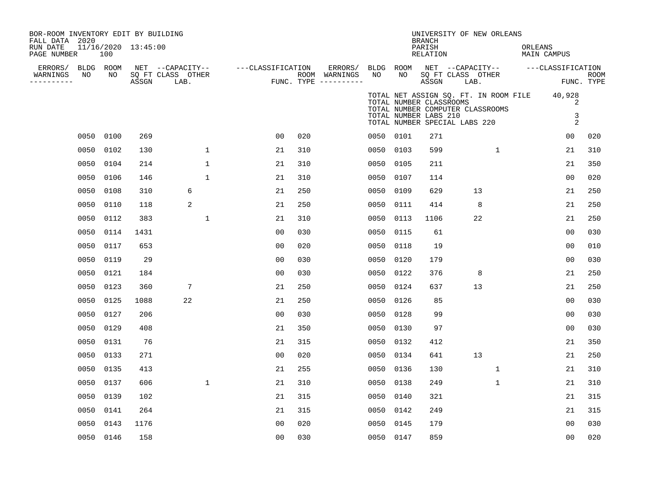| BOR-ROOM INVENTORY EDIT BY BUILDING<br>FALL DATA 2020<br>RUN DATE<br>PAGE NUMBER |                 | 100  | 11/16/2020 13:45:00 |                                               |              |                   |     |                                                   |                 |                                                  | <b>BRANCH</b><br>PARISH<br><b>RELATION</b> |                               | UNIVERSITY OF NEW ORLEANS                                                 | ORLEANS<br><b>MAIN CAMPUS</b>      |                           |
|----------------------------------------------------------------------------------|-----------------|------|---------------------|-----------------------------------------------|--------------|-------------------|-----|---------------------------------------------------|-----------------|--------------------------------------------------|--------------------------------------------|-------------------------------|---------------------------------------------------------------------------|------------------------------------|---------------------------|
| ERRORS/<br>WARNINGS<br>----------                                                | BLDG ROOM<br>NO | NO   | ASSGN               | NET --CAPACITY--<br>SQ FT CLASS OTHER<br>LAB. |              | ---CLASSIFICATION |     | ERRORS/<br>ROOM WARNINGS<br>FUNC. TYPE ---------- | BLDG ROOM<br>NO | NO                                               | ASSGN                                      | SQ FT CLASS OTHER<br>LAB.     | NET --CAPACITY--                                                          | ---CLASSIFICATION                  | <b>ROOM</b><br>FUNC. TYPE |
|                                                                                  |                 |      |                     |                                               |              |                   |     |                                                   |                 | TOTAL NUMBER CLASSROOMS<br>TOTAL NUMBER LABS 210 |                                            | TOTAL NUMBER SPECIAL LABS 220 | TOTAL NET ASSIGN SQ. FT. IN ROOM FILE<br>TOTAL NUMBER COMPUTER CLASSROOMS | 40,928<br>2<br>3<br>$\overline{2}$ |                           |
|                                                                                  | 0050            | 0100 | 269                 |                                               |              | 0 <sub>0</sub>    | 020 |                                                   | 0050 0101       |                                                  | 271                                        |                               |                                                                           | 00                                 | 020                       |
|                                                                                  | 0050            | 0102 | 130                 |                                               | $\mathbf{1}$ | 21                | 310 |                                                   | 0050 0103       |                                                  | 599                                        |                               | $\mathbf{1}$                                                              | 21                                 | 310                       |
|                                                                                  | 0050            | 0104 | 214                 |                                               | $\mathbf{1}$ | 21                | 310 |                                                   | 0050 0105       |                                                  | 211                                        |                               |                                                                           | 21                                 | 350                       |
|                                                                                  | 0050            | 0106 | 146                 |                                               | $\mathbf{1}$ | 21                | 310 |                                                   | 0050 0107       |                                                  | 114                                        |                               |                                                                           | 0 <sub>0</sub>                     | 020                       |
|                                                                                  | 0050            | 0108 | 310                 | 6                                             |              | 21                | 250 |                                                   | 0050 0109       |                                                  | 629                                        |                               | 13                                                                        | 21                                 | 250                       |
|                                                                                  | 0050            | 0110 | 118                 | 2                                             |              | 21                | 250 |                                                   | 0050            | 0111                                             | 414                                        |                               | 8                                                                         | 21                                 | 250                       |
|                                                                                  | 0050            | 0112 | 383                 |                                               | 1            | 21                | 310 |                                                   | 0050            | 0113                                             | 1106                                       |                               | 22                                                                        | 21                                 | 250                       |
|                                                                                  | 0050            | 0114 | 1431                |                                               |              | 0 <sub>0</sub>    | 030 |                                                   | 0050            | 0115                                             | 61                                         |                               |                                                                           | 0 <sub>0</sub>                     | 030                       |
|                                                                                  | 0050            | 0117 | 653                 |                                               |              | 0 <sub>0</sub>    | 020 |                                                   | 0050            | 0118                                             | 19                                         |                               |                                                                           | 0 <sub>0</sub>                     | 010                       |
|                                                                                  | 0050            | 0119 | 29                  |                                               |              | 0 <sub>0</sub>    | 030 |                                                   | 0050            | 0120                                             | 179                                        |                               |                                                                           | 0 <sub>0</sub>                     | 030                       |
|                                                                                  | 0050            | 0121 | 184                 |                                               |              | 0 <sub>0</sub>    | 030 |                                                   | 0050 0122       |                                                  | 376                                        |                               | 8                                                                         | 21                                 | 250                       |
|                                                                                  | 0050            | 0123 | 360                 | 7                                             |              | 21                | 250 |                                                   | 0050 0124       |                                                  | 637                                        |                               | 13                                                                        | 21                                 | 250                       |
|                                                                                  | 0050            | 0125 | 1088                | 22                                            |              | 21                | 250 |                                                   | 0050            | 0126                                             | 85                                         |                               |                                                                           | 0 <sub>0</sub>                     | 030                       |
|                                                                                  | 0050            | 0127 | 206                 |                                               |              | 0 <sub>0</sub>    | 030 |                                                   | 0050 0128       |                                                  | 99                                         |                               |                                                                           | 0 <sub>0</sub>                     | 030                       |
|                                                                                  | 0050            | 0129 | 408                 |                                               |              | 21                | 350 |                                                   | 0050            | 0130                                             | 97                                         |                               |                                                                           | 0 <sub>0</sub>                     | 030                       |
|                                                                                  | 0050            | 0131 | 76                  |                                               |              | 21                | 315 |                                                   | 0050 0132       |                                                  | 412                                        |                               |                                                                           | 21                                 | 350                       |
|                                                                                  | 0050            | 0133 | 271                 |                                               |              | 00                | 020 |                                                   | 0050 0134       |                                                  | 641                                        |                               | 13                                                                        | 21                                 | 250                       |
|                                                                                  | 0050            | 0135 | 413                 |                                               |              | 21                | 255 |                                                   | 0050 0136       |                                                  | 130                                        |                               | $\mathbf{1}$                                                              | 21                                 | 310                       |
|                                                                                  | 0050            | 0137 | 606                 |                                               | $\mathbf{1}$ | 21                | 310 |                                                   | 0050 0138       |                                                  | 249                                        |                               | $\mathbf{1}$                                                              | 21                                 | 310                       |
|                                                                                  | 0050            | 0139 | 102                 |                                               |              | 21                | 315 |                                                   | 0050 0140       |                                                  | 321                                        |                               |                                                                           | 21                                 | 315                       |
|                                                                                  | 0050            | 0141 | 264                 |                                               |              | 21                | 315 |                                                   | 0050 0142       |                                                  | 249                                        |                               |                                                                           | 21                                 | 315                       |
|                                                                                  | 0050            | 0143 | 1176                |                                               |              | 0 <sub>0</sub>    | 020 |                                                   | 0050 0145       |                                                  | 179                                        |                               |                                                                           | 0 <sub>0</sub>                     | 030                       |
|                                                                                  | 0050 0146       |      | 158                 |                                               |              | 0 <sub>0</sub>    | 030 |                                                   | 0050 0147       |                                                  | 859                                        |                               |                                                                           | 0 <sup>0</sup>                     | 020                       |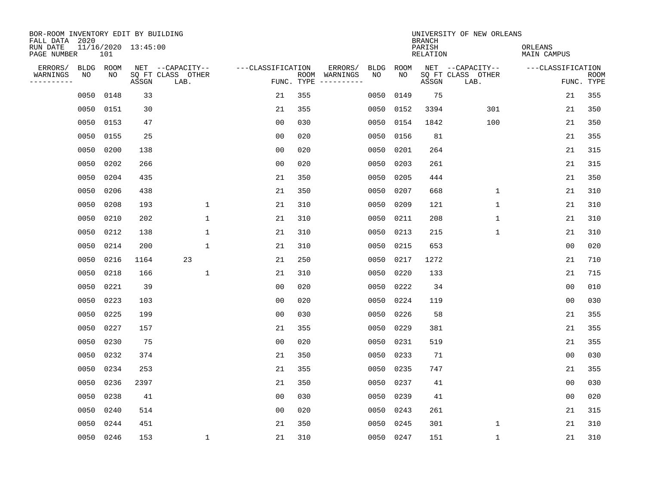| BOR-ROOM INVENTORY EDIT BY BUILDING<br>FALL DATA 2020 |            |            |                     |                                               |                                 |     |                                                                                                                                        |                   |            | <b>BRANCH</b>      | UNIVERSITY OF NEW ORLEANS                     |                        |                           |
|-------------------------------------------------------|------------|------------|---------------------|-----------------------------------------------|---------------------------------|-----|----------------------------------------------------------------------------------------------------------------------------------------|-------------------|------------|--------------------|-----------------------------------------------|------------------------|---------------------------|
| RUN DATE<br>PAGE NUMBER                               |            | 101        | 11/16/2020 13:45:00 |                                               |                                 |     |                                                                                                                                        |                   |            | PARISH<br>RELATION |                                               | ORLEANS<br>MAIN CAMPUS |                           |
| ERRORS/<br>WARNINGS<br>---------                      | BLDG<br>NO | ROOM<br>NO | ASSGN               | NET --CAPACITY--<br>SQ FT CLASS OTHER<br>LAB. | ---CLASSIFICATION<br>FUNC. TYPE |     | ERRORS/<br>ROOM WARNINGS<br>$\begin{tabular}{ccccccccc} - & - & - & - & - & - & - & - \\ & - & - & - & - & - & - & - \\ \end{tabular}$ | <b>BLDG</b><br>NO | ROOM<br>NO | ASSGN              | NET --CAPACITY--<br>SQ FT CLASS OTHER<br>LAB. | ---CLASSIFICATION      | <b>ROOM</b><br>FUNC. TYPE |
|                                                       | 0050       | 0148       | 33                  |                                               | 21                              | 355 |                                                                                                                                        | 0050              | 0149       | 75                 |                                               | 21                     | 355                       |
|                                                       | 0050       | 0151       | 30                  |                                               | 21                              | 355 |                                                                                                                                        | 0050              | 0152       | 3394               | 301                                           | 21                     | 350                       |
|                                                       | 0050       | 0153       | 47                  |                                               | 0 <sub>0</sub>                  | 030 |                                                                                                                                        | 0050              | 0154       | 1842               | 100                                           | 21                     | 350                       |
|                                                       | 0050 0155  |            | 25                  |                                               | 0 <sub>0</sub>                  | 020 |                                                                                                                                        | 0050              | 0156       | 81                 |                                               | 21                     | 355                       |
|                                                       | 0050       | 0200       | 138                 |                                               | 0 <sub>0</sub>                  | 020 |                                                                                                                                        | 0050              | 0201       | 264                |                                               | 21                     | 315                       |
|                                                       | 0050       | 0202       | 266                 |                                               | 0 <sub>0</sub>                  | 020 |                                                                                                                                        | 0050              | 0203       | 261                |                                               | 21                     | 315                       |
|                                                       | 0050       | 0204       | 435                 |                                               | 21                              | 350 |                                                                                                                                        | 0050              | 0205       | 444                |                                               | 21                     | 350                       |
|                                                       | 0050       | 0206       | 438                 |                                               | 21                              | 350 |                                                                                                                                        | 0050              | 0207       | 668                | $\mathbf{1}$                                  | 21                     | 310                       |
|                                                       | 0050       | 0208       | 193                 | $\mathbf{1}$                                  | 21                              | 310 |                                                                                                                                        | 0050              | 0209       | 121                | $\mathbf{1}$                                  | 21                     | 310                       |
|                                                       | 0050       | 0210       | 202                 | $\mathbf{1}$                                  | 21                              | 310 |                                                                                                                                        | 0050              | 0211       | 208                | $\mathbf 1$                                   | 21                     | 310                       |
|                                                       | 0050       | 0212       | 138                 | 1                                             | 21                              | 310 |                                                                                                                                        | 0050              | 0213       | 215                | $\mathbf 1$                                   | 21                     | 310                       |
|                                                       | 0050       | 0214       | 200                 | $\mathbf{1}$                                  | 21                              | 310 |                                                                                                                                        | 0050              | 0215       | 653                |                                               | 0 <sub>0</sub>         | 020                       |
|                                                       | 0050       | 0216       | 1164                | 23                                            | 21                              | 250 |                                                                                                                                        | 0050              | 0217       | 1272               |                                               | 21                     | 710                       |
|                                                       | 0050       | 0218       | 166                 | $\mathbf{1}$                                  | 21                              | 310 |                                                                                                                                        | 0050              | 0220       | 133                |                                               | 21                     | 715                       |
|                                                       | 0050       | 0221       | 39                  |                                               | 0 <sub>0</sub>                  | 020 |                                                                                                                                        | 0050              | 0222       | 34                 |                                               | 0 <sub>0</sub>         | 010                       |
|                                                       | 0050       | 0223       | 103                 |                                               | 0 <sub>0</sub>                  | 020 |                                                                                                                                        | 0050              | 0224       | 119                |                                               | 00                     | 030                       |
|                                                       | 0050       | 0225       | 199                 |                                               | 0 <sub>0</sub>                  | 030 |                                                                                                                                        | 0050              | 0226       | 58                 |                                               | 21                     | 355                       |
|                                                       | 0050       | 0227       | 157                 |                                               | 21                              | 355 |                                                                                                                                        | 0050              | 0229       | 381                |                                               | 21                     | 355                       |
|                                                       | 0050       | 0230       | 75                  |                                               | 0 <sub>0</sub>                  | 020 |                                                                                                                                        | 0050              | 0231       | 519                |                                               | 21                     | 355                       |
|                                                       | 0050       | 0232       | 374                 |                                               | 21                              | 350 |                                                                                                                                        | 0050              | 0233       | 71                 |                                               | 0 <sub>0</sub>         | 030                       |
|                                                       | 0050       | 0234       | 253                 |                                               | 21                              | 355 |                                                                                                                                        | 0050              | 0235       | 747                |                                               | 21                     | 355                       |
|                                                       | 0050       | 0236       | 2397                |                                               | 21                              | 350 |                                                                                                                                        | 0050              | 0237       | 41                 |                                               | 0 <sub>0</sub>         | 030                       |
|                                                       | 0050       | 0238       | 41                  |                                               | 0 <sub>0</sub>                  | 030 |                                                                                                                                        | 0050              | 0239       | 41                 |                                               | 00                     | 020                       |
|                                                       | 0050       | 0240       | 514                 |                                               | 00                              | 020 |                                                                                                                                        | 0050              | 0243       | 261                |                                               | 21                     | 315                       |
|                                                       | 0050       | 0244       | 451                 |                                               | 21                              | 350 |                                                                                                                                        | 0050              | 0245       | 301                | $\mathbf 1$                                   | 21                     | 310                       |
|                                                       | 0050 0246  |            | 153                 | $\mathbf 1$                                   | 21                              | 310 |                                                                                                                                        |                   | 0050 0247  | 151                | $\mathbf 1$                                   | 21                     | 310                       |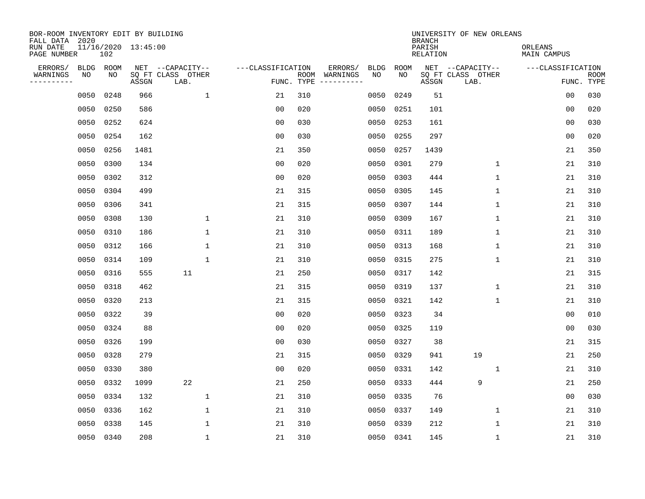| BOR-ROOM INVENTORY EDIT BY BUILDING<br>FALL DATA 2020 |                            |       |                                               |                   |            |                                                                                                                                                                                                                                                                                                                                                                                                                                                                                                          |              | <b>BRANCH</b>      | UNIVERSITY OF NEW ORLEANS                     |                        |                           |
|-------------------------------------------------------|----------------------------|-------|-----------------------------------------------|-------------------|------------|----------------------------------------------------------------------------------------------------------------------------------------------------------------------------------------------------------------------------------------------------------------------------------------------------------------------------------------------------------------------------------------------------------------------------------------------------------------------------------------------------------|--------------|--------------------|-----------------------------------------------|------------------------|---------------------------|
| RUN DATE<br>PAGE NUMBER                               | 11/16/2020 13:45:00<br>102 |       |                                               |                   |            |                                                                                                                                                                                                                                                                                                                                                                                                                                                                                                          |              | PARISH<br>RELATION |                                               | ORLEANS<br>MAIN CAMPUS |                           |
| ERRORS/<br>WARNINGS<br>NO<br>---------                | BLDG ROOM<br>NO            | ASSGN | NET --CAPACITY--<br>SQ FT CLASS OTHER<br>LAB. | ---CLASSIFICATION | FUNC. TYPE | ERRORS/<br><b>BLDG</b><br>ROOM WARNINGS<br>NO<br>$\begin{tabular}{ccccccccc} \multicolumn{2}{c }{\textbf{1} } & \multicolumn{2}{c }{\textbf{2} } & \multicolumn{2}{c }{\textbf{3} } & \multicolumn{2}{c }{\textbf{4} } & \multicolumn{2}{c }{\textbf{5} } & \multicolumn{2}{c }{\textbf{6} } & \multicolumn{2}{c }{\textbf{7} } & \multicolumn{2}{c }{\textbf{8} } & \multicolumn{2}{c }{\textbf{9} } & \multicolumn{2}{c }{\textbf{1} } & \multicolumn{2}{c }{\textbf{1} } & \multicolumn{2}{c }{\text$ | ROOM<br>NO   | ASSGN              | NET --CAPACITY--<br>SQ FT CLASS OTHER<br>LAB. | ---CLASSIFICATION      | <b>ROOM</b><br>FUNC. TYPE |
| 0050                                                  | 0248                       | 966   | $\mathbf{1}$                                  | 21                | 310        | 0050                                                                                                                                                                                                                                                                                                                                                                                                                                                                                                     | 0249         | 51                 |                                               | 00                     | 030                       |
| 0050                                                  | 0250                       | 586   |                                               | 0 <sub>0</sub>    | 020        |                                                                                                                                                                                                                                                                                                                                                                                                                                                                                                          | 0050<br>0251 | 101                |                                               | 00                     | 020                       |
| 0050                                                  | 0252                       | 624   |                                               | 0 <sub>0</sub>    | 030        | 0050                                                                                                                                                                                                                                                                                                                                                                                                                                                                                                     | 0253         | 161                |                                               | 00                     | 030                       |
| 0050                                                  | 0254                       | 162   |                                               | 0 <sub>0</sub>    | 030        | 0050                                                                                                                                                                                                                                                                                                                                                                                                                                                                                                     | 0255         | 297                |                                               | 0 <sub>0</sub>         | 020                       |
| 0050                                                  | 0256                       | 1481  |                                               | 21                | 350        | 0050                                                                                                                                                                                                                                                                                                                                                                                                                                                                                                     | 0257         | 1439               |                                               | 21                     | 350                       |
| 0050                                                  | 0300                       | 134   |                                               | 0 <sub>0</sub>    | 020        |                                                                                                                                                                                                                                                                                                                                                                                                                                                                                                          | 0050 0301    | 279                | $\mathbf{1}$                                  | 21                     | 310                       |
| 0050                                                  | 0302                       | 312   |                                               | 0 <sub>0</sub>    | 020        | 0050                                                                                                                                                                                                                                                                                                                                                                                                                                                                                                     | 0303         | 444                | $\mathbf{1}$                                  | 21                     | 310                       |
| 0050                                                  | 0304                       | 499   |                                               | 21                | 315        |                                                                                                                                                                                                                                                                                                                                                                                                                                                                                                          | 0050 0305    | 145                | $\mathbf 1$                                   | 21                     | 310                       |
| 0050                                                  | 0306                       | 341   |                                               | 21                | 315        | 0050                                                                                                                                                                                                                                                                                                                                                                                                                                                                                                     | 0307         | 144                | $\mathbf 1$                                   | 21                     | 310                       |
| 0050                                                  | 0308                       | 130   | 1                                             | 21                | 310        |                                                                                                                                                                                                                                                                                                                                                                                                                                                                                                          | 0050 0309    | 167                | $\mathbf 1$                                   | 21                     | 310                       |
| 0050                                                  | 0310                       | 186   | $\mathbf 1$                                   | 21                | 310        | 0050                                                                                                                                                                                                                                                                                                                                                                                                                                                                                                     | 0311         | 189                | $\mathbf 1$                                   | 21                     | 310                       |
| 0050                                                  | 0312                       | 166   | 1                                             | 21                | 310        |                                                                                                                                                                                                                                                                                                                                                                                                                                                                                                          | 0050 0313    | 168                | $\mathbf 1$                                   | 21                     | 310                       |
| 0050                                                  | 0314                       | 109   | $\mathbf 1$                                   | 21                | 310        | 0050                                                                                                                                                                                                                                                                                                                                                                                                                                                                                                     | 0315         | 275                | $\mathbf 1$                                   | 21                     | 310                       |
| 0050                                                  | 0316                       | 555   | 11                                            | 21                | 250        | 0050                                                                                                                                                                                                                                                                                                                                                                                                                                                                                                     | 0317         | 142                |                                               | 21                     | 315                       |
| 0050                                                  | 0318                       | 462   |                                               | 21                | 315        | 0050                                                                                                                                                                                                                                                                                                                                                                                                                                                                                                     | 0319         | 137                | 1                                             | 21                     | 310                       |
| 0050                                                  | 0320                       | 213   |                                               | 21                | 315        | 0050                                                                                                                                                                                                                                                                                                                                                                                                                                                                                                     | 0321         | 142                | 1                                             | 21                     | 310                       |
| 0050                                                  | 0322                       | 39    |                                               | 0 <sub>0</sub>    | 020        | 0050                                                                                                                                                                                                                                                                                                                                                                                                                                                                                                     | 0323         | 34                 |                                               | 0 <sub>0</sub>         | 010                       |
| 0050                                                  | 0324                       | 88    |                                               | 0 <sub>0</sub>    | 020        | 0050                                                                                                                                                                                                                                                                                                                                                                                                                                                                                                     | 0325         | 119                |                                               | 0 <sub>0</sub>         | 030                       |
| 0050                                                  | 0326                       | 199   |                                               | 0 <sub>0</sub>    | 030        | 0050                                                                                                                                                                                                                                                                                                                                                                                                                                                                                                     | 0327         | 38                 |                                               | 21                     | 315                       |
| 0050                                                  | 0328                       | 279   |                                               | 21                | 315        | 0050                                                                                                                                                                                                                                                                                                                                                                                                                                                                                                     | 0329         | 941                | 19                                            | 21                     | 250                       |
| 0050                                                  | 0330                       | 380   |                                               | 0 <sub>0</sub>    | 020        | 0050                                                                                                                                                                                                                                                                                                                                                                                                                                                                                                     | 0331         | 142                | 1                                             | 21                     | 310                       |
| 0050                                                  | 0332                       | 1099  | 22                                            | 21                | 250        | 0050                                                                                                                                                                                                                                                                                                                                                                                                                                                                                                     | 0333         | 444                | 9                                             | 21                     | 250                       |
| 0050                                                  | 0334                       | 132   | 1                                             | 21                | 310        | 0050                                                                                                                                                                                                                                                                                                                                                                                                                                                                                                     | 0335         | 76                 |                                               | 00                     | 030                       |
| 0050                                                  | 0336                       | 162   | $\mathbf{1}$                                  | 21                | 310        | 0050                                                                                                                                                                                                                                                                                                                                                                                                                                                                                                     | 0337         | 149                | 1                                             | 21                     | 310                       |
| 0050                                                  | 0338                       | 145   | 1                                             | 21                | 310        | 0050                                                                                                                                                                                                                                                                                                                                                                                                                                                                                                     | 0339         | 212                | 1                                             | 21                     | 310                       |
|                                                       | 0050 0340                  | 208   | $\mathbf 1$                                   | 21                | 310        |                                                                                                                                                                                                                                                                                                                                                                                                                                                                                                          | 0050 0341    | 145                | $\mathbf 1$                                   | 21                     | 310                       |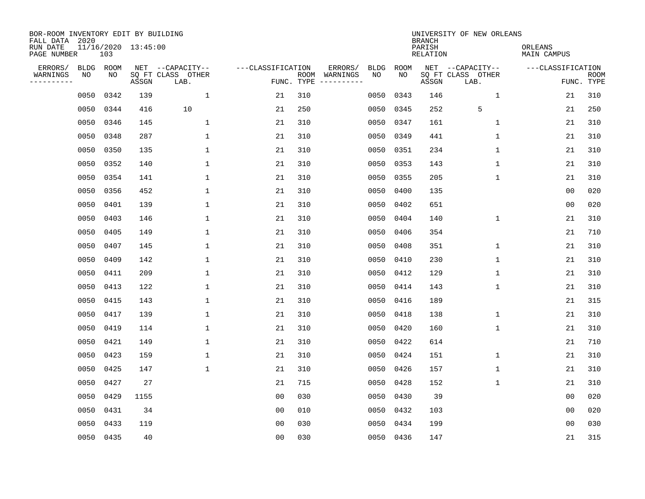| BOR-ROOM INVENTORY EDIT BY BUILDING<br>FALL DATA 2020 |      |           |                     |                           |                   |            |                              |             |             | <b>BRANCH</b>             | UNIVERSITY OF NEW ORLEANS |                               |                           |
|-------------------------------------------------------|------|-----------|---------------------|---------------------------|-------------------|------------|------------------------------|-------------|-------------|---------------------------|---------------------------|-------------------------------|---------------------------|
| RUN DATE<br>PAGE NUMBER                               |      | 103       | 11/16/2020 13:45:00 |                           |                   |            |                              |             |             | PARISH<br><b>RELATION</b> |                           | ORLEANS<br><b>MAIN CAMPUS</b> |                           |
| ERRORS/                                               | BLDG | ROOM      |                     | NET --CAPACITY--          | ---CLASSIFICATION |            | ERRORS/                      | <b>BLDG</b> | <b>ROOM</b> |                           | NET --CAPACITY--          | ---CLASSIFICATION             |                           |
| WARNINGS<br>----------                                | ΝO   | NO        | ASSGN               | SQ FT CLASS OTHER<br>LAB. |                   | FUNC. TYPE | ROOM WARNINGS<br>----------- | NO          | NO          | ASSGN                     | SQ FT CLASS OTHER<br>LAB. |                               | <b>ROOM</b><br>FUNC. TYPE |
|                                                       | 0050 | 0342      | 139                 | $\mathbf{1}$              | 21                | 310        |                              | 0050        | 0343        | 146                       | $\mathbf{1}$              | 21                            | 310                       |
|                                                       | 0050 | 0344      | 416                 | 10                        | 21                | 250        |                              | 0050        | 0345        | 252                       | 5                         | 21                            | 250                       |
|                                                       | 0050 | 0346      | 145                 | $\mathbf 1$               | 21                | 310        |                              | 0050        | 0347        | 161                       | $\mathbf 1$               | 21                            | 310                       |
|                                                       | 0050 | 0348      | 287                 | 1                         | 21                | 310        |                              | 0050        | 0349        | 441                       | 1                         | 21                            | 310                       |
|                                                       | 0050 | 0350      | 135                 | $\mathbf{1}$              | 21                | 310        |                              | 0050        | 0351        | 234                       | $\mathbf{1}$              | 21                            | 310                       |
|                                                       | 0050 | 0352      | 140                 | 1                         | 21                | 310        |                              | 0050        | 0353        | 143                       | $\mathbf 1$               | 21                            | 310                       |
|                                                       | 0050 | 0354      | 141                 | $\mathbf{1}$              | 21                | 310        |                              | 0050        | 0355        | 205                       | $\mathbf{1}$              | 21                            | 310                       |
|                                                       | 0050 | 0356      | 452                 | $\mathbf{1}$              | 21                | 310        |                              | 0050        | 0400        | 135                       |                           | 0 <sub>0</sub>                | 020                       |
|                                                       | 0050 | 0401      | 139                 | $\mathbf{1}$              | 21                | 310        |                              | 0050        | 0402        | 651                       |                           | 0 <sub>0</sub>                | 020                       |
|                                                       | 0050 | 0403      | 146                 | $\mathbf{1}$              | 21                | 310        |                              | 0050        | 0404        | 140                       | 1                         | 21                            | 310                       |
|                                                       | 0050 | 0405      | 149                 | $\mathbf{1}$              | 21                | 310        |                              | 0050        | 0406        | 354                       |                           | 21                            | 710                       |
|                                                       | 0050 | 0407      | 145                 | $\mathbf{1}$              | 21                | 310        |                              | 0050        | 0408        | 351                       | $\mathbf 1$               | 21                            | 310                       |
|                                                       | 0050 | 0409      | 142                 | $\mathbf{1}$              | 21                | 310        |                              | 0050        | 0410        | 230                       | $\mathbf 1$               | 21                            | 310                       |
|                                                       | 0050 | 0411      | 209                 | $\mathbf{1}$              | 21                | 310        |                              | 0050        | 0412        | 129                       | 1                         | 21                            | 310                       |
|                                                       | 0050 | 0413      | 122                 | 1                         | 21                | 310        |                              | 0050        | 0414        | 143                       | $\mathbf{1}$              | 21                            | 310                       |
|                                                       | 0050 | 0415      | 143                 | $\mathbf{1}$              | 21                | 310        |                              | 0050        | 0416        | 189                       |                           | 21                            | 315                       |
|                                                       | 0050 | 0417      | 139                 | 1                         | 21                | 310        |                              | 0050        | 0418        | 138                       | 1                         | 21                            | 310                       |
|                                                       | 0050 | 0419      | 114                 | 1                         | 21                | 310        |                              | 0050        | 0420        | 160                       | $\mathbf 1$               | 21                            | 310                       |
|                                                       | 0050 | 0421      | 149                 | 1                         | 21                | 310        |                              | 0050        | 0422        | 614                       |                           | 21                            | 710                       |
|                                                       | 0050 | 0423      | 159                 | 1                         | 21                | 310        |                              | 0050        | 0424        | 151                       | $\mathbf 1$               | 21                            | 310                       |
|                                                       | 0050 | 0425      | 147                 | $\mathbf{1}$              | 21                | 310        |                              | 0050        | 0426        | 157                       | $\mathbf 1$               | 21                            | 310                       |
|                                                       | 0050 | 0427      | 27                  |                           | 21                | 715        |                              | 0050        | 0428        | 152                       | $\mathbf{1}$              | 21                            | 310                       |
|                                                       | 0050 | 0429      | 1155                |                           | 0 <sub>0</sub>    | 030        |                              | 0050        | 0430        | 39                        |                           | 0 <sub>0</sub>                | 020                       |
|                                                       | 0050 | 0431      | 34                  |                           | 0 <sub>0</sub>    | 010        |                              | 0050        | 0432        | 103                       |                           | 0 <sub>0</sub>                | 020                       |
|                                                       | 0050 | 0433      | 119                 |                           | 0 <sub>0</sub>    | 030        |                              | 0050        | 0434        | 199                       |                           | 0 <sub>0</sub>                | 030                       |
|                                                       |      | 0050 0435 | 40                  |                           | 0 <sub>0</sub>    | 030        |                              |             | 0050 0436   | 147                       |                           | 21                            | 315                       |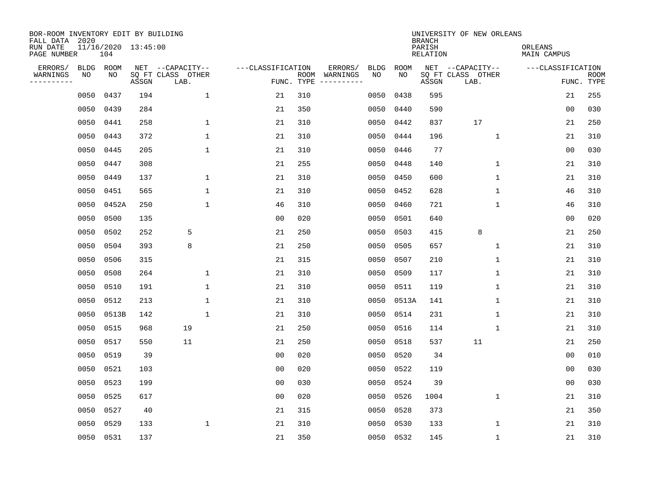| BOR-ROOM INVENTORY EDIT BY BUILDING<br>FALL DATA 2020 |            |            |                     |                                       |                   |     |                                                                                                            |                   |            | <b>BRANCH</b>      | UNIVERSITY OF NEW ORLEANS             |                               |             |
|-------------------------------------------------------|------------|------------|---------------------|---------------------------------------|-------------------|-----|------------------------------------------------------------------------------------------------------------|-------------------|------------|--------------------|---------------------------------------|-------------------------------|-------------|
| RUN DATE<br>PAGE NUMBER                               |            | 104        | 11/16/2020 13:45:00 |                                       |                   |     |                                                                                                            |                   |            | PARISH<br>RELATION |                                       | ORLEANS<br><b>MAIN CAMPUS</b> |             |
| ERRORS/<br>WARNINGS                                   | BLDG<br>ΝO | ROOM<br>NO |                     | NET --CAPACITY--<br>SQ FT CLASS OTHER | ---CLASSIFICATION |     | ERRORS/<br>ROOM WARNINGS                                                                                   | <b>BLDG</b><br>NO | ROOM<br>NO |                    | NET --CAPACITY--<br>SQ FT CLASS OTHER | ---CLASSIFICATION             | <b>ROOM</b> |
| ---------                                             |            |            | ASSGN               | LAB.                                  | FUNC. TYPE        |     | $\begin{tabular}{ccccccccc} - & - & - & - & - & - & - & - \\ & - & - & - & - & - & - & - \\ \end{tabular}$ |                   |            | ASSGN              | LAB.                                  |                               | FUNC. TYPE  |
|                                                       | 0050       | 0437       | 194                 | $\mathbf{1}$                          | 21                | 310 |                                                                                                            | 0050              | 0438       | 595                |                                       | 21                            | 255         |
|                                                       | 0050       | 0439       | 284                 |                                       | 21                | 350 |                                                                                                            | 0050              | 0440       | 590                |                                       | 0 <sub>0</sub>                | 030         |
|                                                       | 0050       | 0441       | 258                 | 1                                     | 21                | 310 |                                                                                                            | 0050              | 0442       | 837                | 17                                    | 21                            | 250         |
|                                                       | 0050       | 0443       | 372                 | $\mathbf{1}$                          | 21                | 310 |                                                                                                            | 0050              | 0444       | 196                | $\mathbf{1}$                          | 21                            | 310         |
|                                                       | 0050       | 0445       | 205                 | $\mathbf{1}$                          | 21                | 310 |                                                                                                            | 0050              | 0446       | 77                 |                                       | 00                            | 030         |
|                                                       | 0050       | 0447       | 308                 |                                       | 21                | 255 |                                                                                                            | 0050              | 0448       | 140                | $\mathbf 1$                           | 21                            | 310         |
|                                                       | 0050       | 0449       | 137                 | $\mathbf 1$                           | 21                | 310 |                                                                                                            | 0050              | 0450       | 600                | $\mathbf 1$                           | 21                            | 310         |
|                                                       | 0050       | 0451       | 565                 | $\mathbf{1}$                          | 21                | 310 |                                                                                                            | 0050              | 0452       | 628                | $\mathbf{1}$                          | 46                            | 310         |
|                                                       | 0050       | 0452A      | 250                 | $\mathbf{1}$                          | 46                | 310 |                                                                                                            | 0050              | 0460       | 721                | $\mathbf 1$                           | 46                            | 310         |
|                                                       | 0050       | 0500       | 135                 |                                       | 0 <sub>0</sub>    | 020 |                                                                                                            | 0050              | 0501       | 640                |                                       | 0 <sub>0</sub>                | 020         |
|                                                       | 0050       | 0502       | 252                 | 5                                     | 21                | 250 |                                                                                                            | 0050              | 0503       | 415                | 8                                     | 21                            | 250         |
|                                                       | 0050       | 0504       | 393                 | 8                                     | 21                | 250 |                                                                                                            | 0050              | 0505       | 657                | $\mathbf 1$                           | 21                            | 310         |
|                                                       | 0050       | 0506       | 315                 |                                       | 21                | 315 |                                                                                                            | 0050              | 0507       | 210                | $\mathbf{1}$                          | 21                            | 310         |
|                                                       | 0050       | 0508       | 264                 | $\mathbf{1}$                          | 21                | 310 |                                                                                                            | 0050              | 0509       | 117                | $\mathbf{1}$                          | 21                            | 310         |
|                                                       | 0050       | 0510       | 191                 | 1                                     | 21                | 310 |                                                                                                            | 0050              | 0511       | 119                | 1                                     | 21                            | 310         |
|                                                       | 0050       | 0512       | 213                 | $\mathbf{1}$                          | 21                | 310 |                                                                                                            | 0050              | 0513A      | 141                | $\mathbf{1}$                          | 21                            | 310         |
|                                                       | 0050       | 0513B      | 142                 | $\mathbf{1}$                          | 21                | 310 |                                                                                                            | 0050              | 0514       | 231                | 1                                     | 21                            | 310         |
|                                                       | 0050       | 0515       | 968                 | 19                                    | 21                | 250 |                                                                                                            | 0050              | 0516       | 114                | $\mathbf{1}$                          | 21                            | 310         |
|                                                       | 0050       | 0517       | 550                 | 11                                    | 21                | 250 |                                                                                                            | 0050              | 0518       | 537                | 11                                    | 21                            | 250         |
|                                                       | 0050       | 0519       | 39                  |                                       | 0 <sub>0</sub>    | 020 |                                                                                                            | 0050              | 0520       | 34                 |                                       | 0 <sub>0</sub>                | 010         |
|                                                       | 0050       | 0521       | 103                 |                                       | 0 <sub>0</sub>    | 020 |                                                                                                            | 0050              | 0522       | 119                |                                       | 0 <sub>0</sub>                | 030         |
|                                                       | 0050       | 0523       | 199                 |                                       | 0 <sub>0</sub>    | 030 |                                                                                                            | 0050              | 0524       | 39                 |                                       | 0 <sub>0</sub>                | 030         |
|                                                       | 0050       | 0525       | 617                 |                                       | 0 <sub>0</sub>    | 020 |                                                                                                            | 0050              | 0526       | 1004               | $\mathbf{1}$                          | 21                            | 310         |
|                                                       | 0050       | 0527       | 40                  |                                       | 21                | 315 |                                                                                                            | 0050              | 0528       | 373                |                                       | 21                            | 350         |
|                                                       | 0050       | 0529       | 133                 | 1                                     | 21                | 310 |                                                                                                            | 0050              | 0530       | 133                | 1                                     | 21                            | 310         |
|                                                       | 0050 0531  |            | 137                 |                                       | 21                | 350 |                                                                                                            |                   | 0050 0532  | 145                | $\mathbf{1}$                          | 21                            | 310         |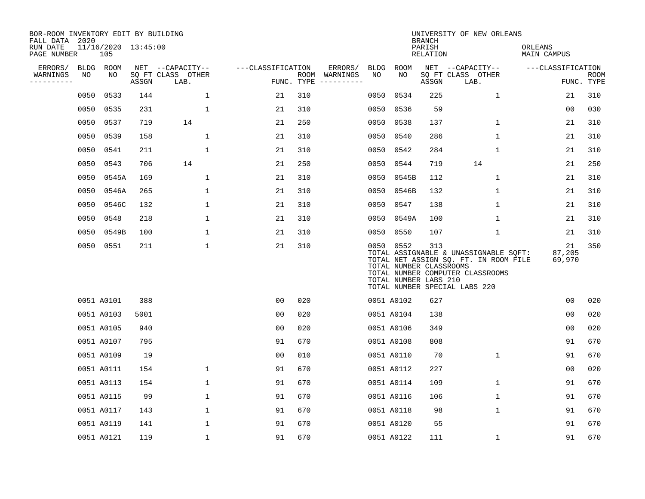| BOR-ROOM INVENTORY EDIT BY BUILDING<br>FALL DATA 2020 |      |                            |       |                           |                   |      |                                 |             |                                                               | <b>BRANCH</b>      | UNIVERSITY OF NEW ORLEANS                                                                                                                           |                        |                    |
|-------------------------------------------------------|------|----------------------------|-------|---------------------------|-------------------|------|---------------------------------|-------------|---------------------------------------------------------------|--------------------|-----------------------------------------------------------------------------------------------------------------------------------------------------|------------------------|--------------------|
| RUN DATE<br>PAGE NUMBER                               |      | 11/16/2020 13:45:00<br>105 |       |                           |                   |      |                                 |             |                                                               | PARISH<br>RELATION |                                                                                                                                                     | ORLEANS<br>MAIN CAMPUS |                    |
| ERRORS/                                               |      | BLDG ROOM                  |       | NET --CAPACITY--          | ---CLASSIFICATION |      | ERRORS/                         | <b>BLDG</b> | ROOM                                                          |                    | NET --CAPACITY--                                                                                                                                    | ---CLASSIFICATION      |                    |
| WARNINGS<br>.                                         | NO   | NO                         | ASSGN | SQ FT CLASS OTHER<br>LAB. |                   | ROOM | WARNINGS<br>FUNC. TYPE $------$ | NO          | NO                                                            | ASSGN              | SQ FT CLASS OTHER<br>LAB.                                                                                                                           |                        | ROOM<br>FUNC. TYPE |
|                                                       | 0050 | 0533                       | 144   | $\mathbf{1}$              | 21                | 310  |                                 | 0050        | 0534                                                          | 225                | $\mathbf{1}$                                                                                                                                        | 21                     | 310                |
|                                                       | 0050 | 0535                       | 231   | $\mathbf 1$               | 21                | 310  |                                 | 0050        | 0536                                                          | 59                 |                                                                                                                                                     | 0 <sub>0</sub>         | 030                |
|                                                       | 0050 | 0537                       | 719   | 14                        | 21                | 250  |                                 | 0050        | 0538                                                          | 137                | $\mathbf 1$                                                                                                                                         | 21                     | 310                |
|                                                       | 0050 | 0539                       | 158   | $\mathbf 1$               | 21                | 310  |                                 | 0050        | 0540                                                          | 286                | $\mathbf{1}$                                                                                                                                        | 21                     | 310                |
|                                                       | 0050 | 0541                       | 211   | $\mathbf 1$               | 21                | 310  |                                 | 0050        | 0542                                                          | 284                | $\mathbf 1$                                                                                                                                         | 21                     | 310                |
|                                                       | 0050 | 0543                       | 706   | 14                        | 21                | 250  |                                 |             | 0050 0544                                                     | 719                | 14                                                                                                                                                  | 21                     | 250                |
|                                                       | 0050 | 0545A                      | 169   | $\mathbf{1}$              | 21                | 310  |                                 | 0050        | 0545B                                                         | 112                | $\mathbf{1}$                                                                                                                                        | 21                     | 310                |
|                                                       | 0050 | 0546A                      | 265   | 1                         | 21                | 310  |                                 |             | 0050 0546B                                                    | 132                | $\mathbf 1$                                                                                                                                         | 21                     | 310                |
|                                                       | 0050 | 0546C                      | 132   | 1                         | 21                | 310  |                                 | 0050        | 0547                                                          | 138                | $\mathbf 1$                                                                                                                                         | 21                     | 310                |
|                                                       | 0050 | 0548                       | 218   | $\mathbf{1}$              | 21                | 310  |                                 | 0050        | 0549A                                                         | 100                | $\mathbf 1$                                                                                                                                         | 21                     | 310                |
|                                                       | 0050 | 0549B                      | 100   | 1                         | 21                | 310  |                                 |             | 0050 0550                                                     | 107                | 1                                                                                                                                                   | 21                     | 310                |
|                                                       |      | 0050 0551                  | 211   | 1                         | 21                | 310  |                                 |             | 0050 0552<br>TOTAL NUMBER CLASSROOMS<br>TOTAL NUMBER LABS 210 | 313                | TOTAL ASSIGNABLE & UNASSIGNABLE SQFT:<br>TOTAL NET ASSIGN SQ. FT. IN ROOM FILE<br>TOTAL NUMBER COMPUTER CLASSROOMS<br>TOTAL NUMBER SPECIAL LABS 220 | 21<br>87,205<br>69,970 | 350                |
|                                                       |      | 0051 A0101                 | 388   |                           | 0 <sub>0</sub>    | 020  |                                 |             | 0051 A0102                                                    | 627                |                                                                                                                                                     | 0 <sub>0</sub>         | 020                |
|                                                       |      | 0051 A0103                 | 5001  |                           | 0 <sub>0</sub>    | 020  |                                 |             | 0051 A0104                                                    | 138                |                                                                                                                                                     | 0 <sub>0</sub>         | 020                |
|                                                       |      | 0051 A0105                 | 940   |                           | 0 <sub>0</sub>    | 020  |                                 |             | 0051 A0106                                                    | 349                |                                                                                                                                                     | 0 <sub>0</sub>         | 020                |
|                                                       |      | 0051 A0107                 | 795   |                           | 91                | 670  |                                 |             | 0051 A0108                                                    | 808                |                                                                                                                                                     | 91                     | 670                |
|                                                       |      | 0051 A0109                 | 19    |                           | 0 <sub>0</sub>    | 010  |                                 |             | 0051 A0110                                                    | 70                 | $\mathbf{1}$                                                                                                                                        | 91                     | 670                |
|                                                       |      | 0051 A0111                 | 154   | 1                         | 91                | 670  |                                 |             | 0051 A0112                                                    | 227                |                                                                                                                                                     | 0 <sub>0</sub>         | 020                |
|                                                       |      | 0051 A0113                 | 154   | $\mathbf 1$               | 91                | 670  |                                 |             | 0051 A0114                                                    | 109                | $\mathbf 1$                                                                                                                                         | 91                     | 670                |
|                                                       |      | 0051 A0115                 | 99    | 1                         | 91                | 670  |                                 |             | 0051 A0116                                                    | 106                | $\mathbf{1}$                                                                                                                                        | 91                     | 670                |
|                                                       |      | 0051 A0117                 | 143   | $\mathbf{1}$              | 91                | 670  |                                 |             | 0051 A0118                                                    | 98                 | $\mathbf 1$                                                                                                                                         | 91                     | 670                |
|                                                       |      | 0051 A0119                 | 141   | 1                         | 91                | 670  |                                 |             | 0051 A0120                                                    | 55                 |                                                                                                                                                     | 91                     | 670                |
|                                                       |      | 0051 A0121                 | 119   | $\mathbf 1$               | 91                | 670  |                                 |             | 0051 A0122                                                    | 111                | $\mathbf 1$                                                                                                                                         | 91                     | 670                |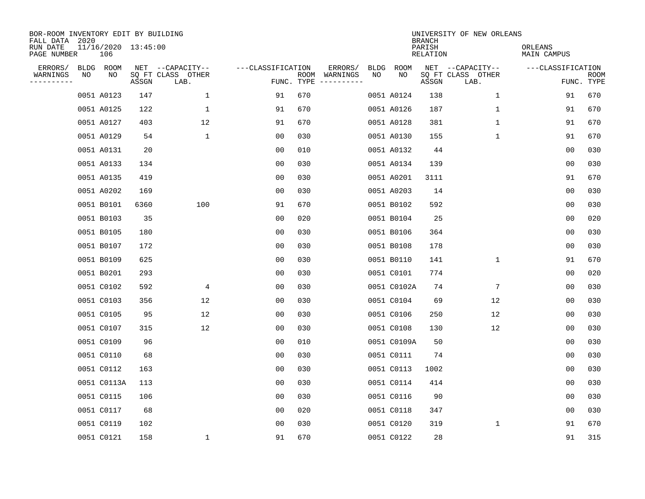| BOR-ROOM INVENTORY EDIT BY BUILDING<br>FALL DATA 2020 |    |             |                     |                           |                   |                    |                         |             |             | <b>BRANCH</b>             | UNIVERSITY OF NEW ORLEANS |                        |                           |
|-------------------------------------------------------|----|-------------|---------------------|---------------------------|-------------------|--------------------|-------------------------|-------------|-------------|---------------------------|---------------------------|------------------------|---------------------------|
| RUN DATE<br>PAGE NUMBER                               |    | 106         | 11/16/2020 13:45:00 |                           |                   |                    |                         |             |             | PARISH<br><b>RELATION</b> |                           | ORLEANS<br>MAIN CAMPUS |                           |
| ERRORS/                                               |    | BLDG ROOM   |                     | NET --CAPACITY--          | ---CLASSIFICATION |                    | ERRORS/                 | <b>BLDG</b> | <b>ROOM</b> |                           | NET --CAPACITY--          | ---CLASSIFICATION      |                           |
| WARNINGS<br>-----------                               | NO | NO          | ASSGN               | SQ FT CLASS OTHER<br>LAB. |                   | ROOM<br>FUNC. TYPE | WARNINGS<br>----------- | NO          | NO          | ASSGN                     | SQ FT CLASS OTHER<br>LAB. |                        | <b>ROOM</b><br>FUNC. TYPE |
|                                                       |    | 0051 A0123  | 147                 | 1                         | 91                | 670                |                         |             | 0051 A0124  | 138                       | 1                         | 91                     | 670                       |
|                                                       |    | 0051 A0125  | 122                 | 1                         | 91                | 670                |                         |             | 0051 A0126  | 187                       | 1                         | 91                     | 670                       |
|                                                       |    | 0051 A0127  | 403                 | 12                        | 91                | 670                |                         |             | 0051 A0128  | 381                       | $\mathbf 1$               | 91                     | 670                       |
|                                                       |    | 0051 A0129  | 54                  | $\mathbf 1$               | 0 <sub>0</sub>    | 030                |                         |             | 0051 A0130  | 155                       | 1                         | 91                     | 670                       |
|                                                       |    | 0051 A0131  | 20                  |                           | 0 <sub>0</sub>    | 010                |                         |             | 0051 A0132  | 44                        |                           | 0 <sub>0</sub>         | 030                       |
|                                                       |    | 0051 A0133  | 134                 |                           | 0 <sub>0</sub>    | 030                |                         |             | 0051 A0134  | 139                       |                           | 0 <sub>0</sub>         | 030                       |
|                                                       |    | 0051 A0135  | 419                 |                           | 0 <sub>0</sub>    | 030                |                         |             | 0051 A0201  | 3111                      |                           | 91                     | 670                       |
|                                                       |    | 0051 A0202  | 169                 |                           | 0 <sub>0</sub>    | 030                |                         |             | 0051 A0203  | 14                        |                           | 0 <sub>0</sub>         | 030                       |
|                                                       |    | 0051 B0101  | 6360                | 100                       | 91                | 670                |                         |             | 0051 B0102  | 592                       |                           | 0 <sub>0</sub>         | 030                       |
|                                                       |    | 0051 B0103  | 35                  |                           | 0 <sub>0</sub>    | 020                |                         |             | 0051 B0104  | 25                        |                           | 0 <sub>0</sub>         | 020                       |
|                                                       |    | 0051 B0105  | 180                 |                           | 0 <sub>0</sub>    | 030                |                         |             | 0051 B0106  | 364                       |                           | 0 <sub>0</sub>         | 030                       |
|                                                       |    | 0051 B0107  | 172                 |                           | 0 <sub>0</sub>    | 030                |                         |             | 0051 B0108  | 178                       |                           | 0 <sub>0</sub>         | 030                       |
|                                                       |    | 0051 B0109  | 625                 |                           | 0 <sub>0</sub>    | 030                |                         |             | 0051 B0110  | 141                       | $\mathbf 1$               | 91                     | 670                       |
|                                                       |    | 0051 B0201  | 293                 |                           | 0 <sub>0</sub>    | 030                |                         |             | 0051 C0101  | 774                       |                           | 0 <sub>0</sub>         | 020                       |
|                                                       |    | 0051 C0102  | 592                 | 4                         | 0 <sub>0</sub>    | 030                |                         |             | 0051 C0102A | 74                        | 7                         | 0 <sub>0</sub>         | 030                       |
|                                                       |    | 0051 C0103  | 356                 | 12                        | 0 <sub>0</sub>    | 030                |                         |             | 0051 C0104  | 69                        | 12                        | 00                     | 030                       |
|                                                       |    | 0051 C0105  | 95                  | 12                        | 00                | 030                |                         |             | 0051 C0106  | 250                       | 12                        | 00                     | 030                       |
|                                                       |    | 0051 C0107  | 315                 | 12                        | 00                | 030                |                         |             | 0051 C0108  | 130                       | 12                        | 00                     | 030                       |
|                                                       |    | 0051 C0109  | 96                  |                           | 0 <sub>0</sub>    | 010                |                         |             | 0051 C0109A | 50                        |                           | 0 <sub>0</sub>         | 030                       |
|                                                       |    | 0051 C0110  | 68                  |                           | 0 <sub>0</sub>    | 030                |                         |             | 0051 C0111  | 74                        |                           | 0 <sub>0</sub>         | 030                       |
|                                                       |    | 0051 C0112  | 163                 |                           | 0 <sub>0</sub>    | 030                |                         |             | 0051 C0113  | 1002                      |                           | 0 <sub>0</sub>         | 030                       |
|                                                       |    | 0051 C0113A | 113                 |                           | 0 <sub>0</sub>    | 030                |                         |             | 0051 C0114  | 414                       |                           | 0 <sub>0</sub>         | 030                       |
|                                                       |    | 0051 C0115  | 106                 |                           | 0 <sub>0</sub>    | 030                |                         |             | 0051 C0116  | 90                        |                           | 0 <sub>0</sub>         | 030                       |
|                                                       |    | 0051 C0117  | 68                  |                           | 0 <sub>0</sub>    | 020                |                         |             | 0051 C0118  | 347                       |                           | 0 <sub>0</sub>         | 030                       |
|                                                       |    | 0051 C0119  | 102                 |                           | 0 <sub>0</sub>    | 030                |                         |             | 0051 C0120  | 319                       | 1                         | 91                     | 670                       |
|                                                       |    | 0051 C0121  | 158                 | $\mathbf{1}$              | 91                | 670                |                         |             | 0051 C0122  | 28                        |                           | 91                     | 315                       |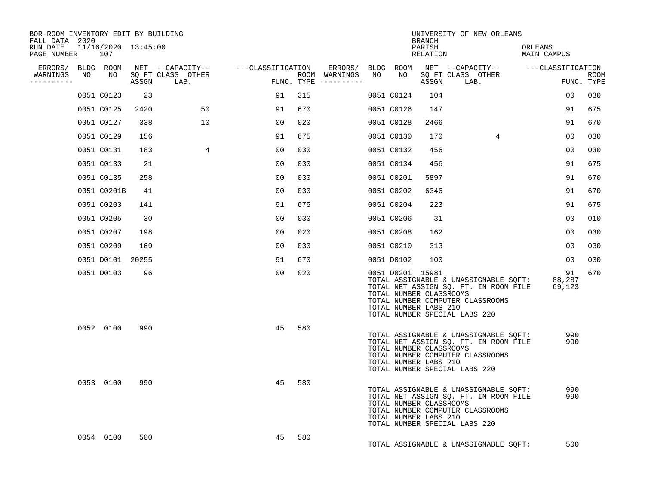| BOR-ROOM INVENTORY EDIT BY BUILDING<br>FALL DATA 2020 |    |                            |       |                                               |                   |      |                                                           |    |            | <b>BRANCH</b>                                                        | UNIVERSITY OF NEW ORLEANS                                                                                                                           |                        |                    |
|-------------------------------------------------------|----|----------------------------|-------|-----------------------------------------------|-------------------|------|-----------------------------------------------------------|----|------------|----------------------------------------------------------------------|-----------------------------------------------------------------------------------------------------------------------------------------------------|------------------------|--------------------|
| RUN DATE<br>PAGE NUMBER                               |    | 11/16/2020 13:45:00<br>107 |       |                                               |                   |      |                                                           |    |            | PARISH<br>RELATION                                                   |                                                                                                                                                     | ORLEANS<br>MAIN CAMPUS |                    |
| ERRORS/ BLDG ROOM<br>WARNINGS<br>----------           | NO | NO                         | ASSGN | NET --CAPACITY--<br>SQ FT CLASS OTHER<br>LAB. | ---CLASSIFICATION |      | ERRORS/ BLDG ROOM<br>ROOM WARNINGS<br>FUNC. TYPE $------$ | NO | NO         | ASSGN                                                                | NET --CAPACITY-- ----CLASSIFICATION<br>SQ FT CLASS OTHER<br>LAB.                                                                                    |                        | ROOM<br>FUNC. TYPE |
|                                                       |    | 0051 C0123                 | 23    |                                               | 91                | 315  |                                                           |    | 0051 C0124 | 104                                                                  |                                                                                                                                                     | 00                     | 030                |
|                                                       |    | 0051 C0125                 | 2420  | 50                                            | 91                | 670  |                                                           |    | 0051 C0126 | 147                                                                  |                                                                                                                                                     | 91                     | 675                |
|                                                       |    | 0051 C0127                 | 338   | 10                                            | 00                | 020  |                                                           |    | 0051 C0128 | 2466                                                                 |                                                                                                                                                     | 91                     | 670                |
|                                                       |    | 0051 C0129                 | 156   |                                               | 91                | 675  |                                                           |    | 0051 C0130 | 170                                                                  | $4^{\circ}$                                                                                                                                         | 00                     | 030                |
|                                                       |    | 0051 C0131                 | 183   | $\overline{4}$                                | 0 <sub>0</sub>    | 0.30 |                                                           |    | 0051 C0132 | 456                                                                  |                                                                                                                                                     | 0 <sub>0</sub>         | 030                |
|                                                       |    | 0051 C0133                 | 21    |                                               | 00                | 030  |                                                           |    | 0051 C0134 | 456                                                                  |                                                                                                                                                     | 91                     | 675                |
|                                                       |    | 0051 C0135                 | 258   |                                               | 0 <sub>0</sub>    | 030  |                                                           |    | 0051 C0201 | 5897                                                                 |                                                                                                                                                     | 91                     | 670                |
|                                                       |    | 0051 C0201B                | 41    |                                               | 00                | 030  |                                                           |    | 0051 C0202 | 6346                                                                 |                                                                                                                                                     | 91                     | 670                |
|                                                       |    | 0051 C0203                 | 141   |                                               | 91                | 675  |                                                           |    | 0051 C0204 | 223                                                                  |                                                                                                                                                     | 91                     | 675                |
|                                                       |    | 0051 C0205                 | 30    |                                               | 0 <sub>0</sub>    | 030  |                                                           |    | 0051 C0206 | 31                                                                   |                                                                                                                                                     | 0 <sub>0</sub>         | 010                |
|                                                       |    | 0051 C0207                 | 198   |                                               | 00                | 020  |                                                           |    | 0051 C0208 | 162                                                                  |                                                                                                                                                     | 00                     | 030                |
|                                                       |    | 0051 C0209                 | 169   |                                               | 00                | 030  |                                                           |    | 0051 C0210 | 313                                                                  |                                                                                                                                                     | 00                     | 030                |
|                                                       |    | 0051 D0101 20255           |       |                                               | 91                | 670  |                                                           |    | 0051 D0102 | 100                                                                  |                                                                                                                                                     | 00                     | 030                |
|                                                       |    | 0051 D0103                 | 96    |                                               | 00                | 020  |                                                           |    |            | 0051 D0201 15981<br>TOTAL NUMBER CLASSROOMS<br>TOTAL NUMBER LABS 210 | TOTAL ASSIGNABLE & UNASSIGNABLE SQFT:<br>TOTAL NET ASSIGN SQ. FT. IN ROOM FILE<br>TOTAL NUMBER COMPUTER CLASSROOMS<br>TOTAL NUMBER SPECIAL LABS 220 | 91<br>88,287<br>69,123 | 670                |
|                                                       |    | 0052 0100                  | 990   |                                               | 45                | 580  |                                                           |    |            | TOTAL NUMBER CLASSROOMS<br>TOTAL NUMBER LABS 210                     | TOTAL ASSIGNABLE & UNASSIGNABLE SQFT:<br>TOTAL NET ASSIGN SQ. FT. IN ROOM FILE<br>TOTAL NUMBER COMPUTER CLASSROOMS<br>TOTAL NUMBER SPECIAL LABS 220 | 990<br>990             |                    |
|                                                       |    | 0053 0100                  | 990   |                                               | 45                | 580  |                                                           |    |            | TOTAL NUMBER CLASSROOMS<br>TOTAL NUMBER LABS 210                     | TOTAL ASSIGNABLE & UNASSIGNABLE SQFT:<br>TOTAL NET ASSIGN SQ. FT. IN ROOM FILE<br>TOTAL NUMBER COMPUTER CLASSROOMS<br>TOTAL NUMBER SPECIAL LABS 220 | 990<br>990             |                    |
|                                                       |    | 0054 0100                  | 500   |                                               | 45                | 580  |                                                           |    |            |                                                                      | TOTAL ASSIGNABLE & UNASSIGNABLE SQFT:                                                                                                               | 500                    |                    |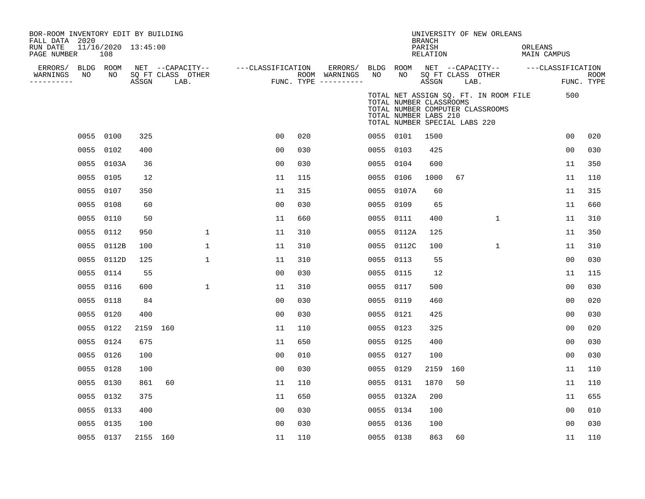| BOR-ROOM INVENTORY EDIT BY BUILDING<br>FALL DATA 2020 |                            |          |                           |                   |     |                                      |           |                                                                                   | <b>BRANCH</b>      |                           | UNIVERSITY OF NEW ORLEANS                                                 |         |                                    |                           |
|-------------------------------------------------------|----------------------------|----------|---------------------------|-------------------|-----|--------------------------------------|-----------|-----------------------------------------------------------------------------------|--------------------|---------------------------|---------------------------------------------------------------------------|---------|------------------------------------|---------------------------|
| RUN DATE<br>PAGE NUMBER                               | 11/16/2020 13:45:00<br>108 |          |                           |                   |     |                                      |           |                                                                                   | PARISH<br>RELATION |                           |                                                                           | ORLEANS | <b>MAIN CAMPUS</b>                 |                           |
| ERRORS/                                               | BLDG ROOM                  |          | NET --CAPACITY--          | ---CLASSIFICATION |     | ERRORS/                              | BLDG ROOM |                                                                                   |                    |                           |                                                                           |         | NET --CAPACITY-- ---CLASSIFICATION |                           |
| NO<br>WARNINGS<br>----------                          | NO                         | ASSGN    | SQ FT CLASS OTHER<br>LAB. |                   |     | ROOM WARNINGS<br>FUNC. TYPE $------$ | NO        | NO                                                                                | ASSGN              | SQ FT CLASS OTHER<br>LAB. |                                                                           |         |                                    | <b>ROOM</b><br>FUNC. TYPE |
|                                                       |                            |          |                           |                   |     |                                      |           | TOTAL NUMBER CLASSROOMS<br>TOTAL NUMBER LABS 210<br>TOTAL NUMBER SPECIAL LABS 220 |                    |                           | TOTAL NET ASSIGN SQ. FT. IN ROOM FILE<br>TOTAL NUMBER COMPUTER CLASSROOMS |         | 500                                |                           |
| 0055                                                  | 0100                       | 325      |                           | 0 <sub>0</sub>    | 020 |                                      |           | 0055 0101                                                                         | 1500               |                           |                                                                           |         | 0 <sub>0</sub>                     | 020                       |
| 0055                                                  | 0102                       | 400      |                           | 0 <sub>0</sub>    | 030 |                                      | 0055      | 0103                                                                              | 425                |                           |                                                                           |         | 0 <sub>0</sub>                     | 030                       |
| 0055                                                  | 0103A                      | 36       |                           | 0 <sub>0</sub>    | 030 |                                      | 0055      | 0104                                                                              | 600                |                           |                                                                           |         | 11                                 | 350                       |
| 0055                                                  | 0105                       | 12       |                           | 11                | 115 |                                      | 0055      | 0106                                                                              | 1000               | 67                        |                                                                           |         | 11                                 | 110                       |
| 0055                                                  | 0107                       | 350      |                           | 11                | 315 |                                      |           | 0055 0107A                                                                        | 60                 |                           |                                                                           |         | 11                                 | 315                       |
| 0055                                                  | 0108                       | 60       |                           | 0 <sub>0</sub>    | 030 |                                      | 0055      | 0109                                                                              | 65                 |                           |                                                                           |         | 11                                 | 660                       |
| 0055                                                  | 0110                       | 50       |                           | 11                | 660 |                                      | 0055      | 0111                                                                              | 400                |                           | $\mathbf 1$                                                               |         | 11                                 | 310                       |
| 0055                                                  | 0112                       | 950      | $\mathbf{1}$              | 11                | 310 |                                      | 0055      | 0112A                                                                             | 125                |                           |                                                                           |         | 11                                 | 350                       |
| 0055                                                  | 0112B                      | 100      | 1                         | 11                | 310 |                                      | 0055      | 0112C                                                                             | 100                |                           | $\mathbf{1}$                                                              |         | 11                                 | 310                       |
| 0055                                                  | 0112D                      | 125      | $\mathbf{1}$              | 11                | 310 |                                      | 0055      | 0113                                                                              | 55                 |                           |                                                                           |         | 0 <sub>0</sub>                     | 030                       |
| 0055                                                  | 0114                       | 55       |                           | 0 <sub>0</sub>    | 030 |                                      | 0055      | 0115                                                                              | 12                 |                           |                                                                           |         | 11                                 | 115                       |
| 0055                                                  | 0116                       | 600      | $\mathbf{1}$              | 11                | 310 |                                      | 0055 0117 |                                                                                   | 500                |                           |                                                                           |         | 0 <sub>0</sub>                     | 030                       |
| 0055                                                  | 0118                       | 84       |                           | 0 <sub>0</sub>    | 030 |                                      | 0055      | 0119                                                                              | 460                |                           |                                                                           |         | 0 <sub>0</sub>                     | 020                       |
| 0055                                                  | 0120                       | 400      |                           | 0 <sub>0</sub>    | 030 |                                      | 0055      | 0121                                                                              | 425                |                           |                                                                           |         | 0 <sub>0</sub>                     | 030                       |
| 0055                                                  | 0122                       | 2159 160 |                           | 11                | 110 |                                      | 0055      | 0123                                                                              | 325                |                           |                                                                           |         | 00                                 | 020                       |
| 0055                                                  | 0124                       | 675      |                           | 11                | 650 |                                      | 0055 0125 |                                                                                   | 400                |                           |                                                                           |         | 0 <sub>0</sub>                     | 030                       |
| 0055                                                  | 0126                       | 100      |                           | 0 <sub>0</sub>    | 010 |                                      | 0055      | 0127                                                                              | 100                |                           |                                                                           |         | 00                                 | 030                       |
| 0055                                                  | 0128                       | 100      |                           | 0 <sub>0</sub>    | 030 |                                      | 0055      | 0129                                                                              | 2159 160           |                           |                                                                           |         | 11                                 | 110                       |
| 0055                                                  | 0130                       | 861      | 60                        | 11                | 110 |                                      | 0055      | 0131                                                                              | 1870               | 50                        |                                                                           |         | 11                                 | 110                       |
| 0055                                                  | 0132                       | 375      |                           | 11                | 650 |                                      |           | 0055 0132A                                                                        | 200                |                           |                                                                           |         | 11                                 | 655                       |
| 0055                                                  | 0133                       | 400      |                           | 0 <sub>0</sub>    | 030 |                                      | 0055      | 0134                                                                              | 100                |                           |                                                                           |         | 0 <sub>0</sub>                     | 010                       |
| 0055                                                  | 0135                       | 100      |                           | 0 <sub>0</sub>    | 030 |                                      | 0055      | 0136                                                                              | 100                |                           |                                                                           |         | 0 <sub>0</sub>                     | 030                       |
|                                                       | 0055 0137                  | 2155 160 |                           | 11                | 110 |                                      | 0055 0138 |                                                                                   | 863                | 60                        |                                                                           |         | 11                                 | 110                       |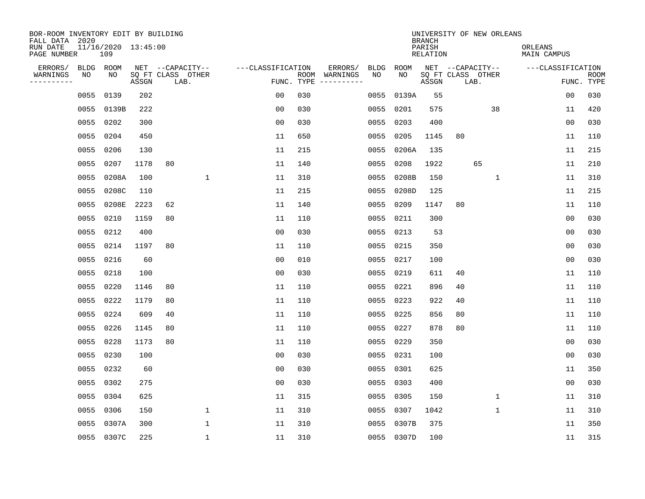| BOR-ROOM INVENTORY EDIT BY BUILDING<br>FALL DATA 2020 |      | UNIVERSITY OF NEW ORLEANS<br><b>BRANCH</b> |       |                           |                   |                    |                         |             |             |                           |    |                           |                               |                   |                           |
|-------------------------------------------------------|------|--------------------------------------------|-------|---------------------------|-------------------|--------------------|-------------------------|-------------|-------------|---------------------------|----|---------------------------|-------------------------------|-------------------|---------------------------|
| RUN DATE<br>PAGE NUMBER                               |      | 11/16/2020 13:45:00<br>109                 |       |                           |                   |                    |                         |             |             | PARISH<br><b>RELATION</b> |    |                           | ORLEANS<br><b>MAIN CAMPUS</b> |                   |                           |
| ERRORS/                                               | BLDG | ROOM                                       |       | NET --CAPACITY--          | ---CLASSIFICATION |                    | ERRORS/                 | <b>BLDG</b> | <b>ROOM</b> |                           |    | NET --CAPACITY--          |                               | ---CLASSIFICATION |                           |
| WARNINGS<br>----------                                | NO   | NO                                         | ASSGN | SQ FT CLASS OTHER<br>LAB. |                   | ROOM<br>FUNC. TYPE | WARNINGS<br>----------- | NO          | NO          | ASSGN                     |    | SQ FT CLASS OTHER<br>LAB. |                               |                   | <b>ROOM</b><br>FUNC. TYPE |
|                                                       | 0055 | 0139                                       | 202   |                           | 00                | 030                |                         | 0055        | 0139A       | 55                        |    |                           |                               | 00                | 030                       |
|                                                       | 0055 | 0139B                                      | 222   |                           | 00                | 030                |                         | 0055        | 0201        | 575                       |    | 38                        |                               | 11                | 420                       |
|                                                       | 0055 | 0202                                       | 300   |                           | 0 <sub>0</sub>    | 030                |                         | 0055        | 0203        | 400                       |    |                           |                               | 0 <sub>0</sub>    | 030                       |
|                                                       | 0055 | 0204                                       | 450   |                           | 11                | 650                |                         | 0055        | 0205        | 1145                      | 80 |                           |                               | 11                | 110                       |
|                                                       | 0055 | 0206                                       | 130   |                           | 11                | 215                |                         | 0055        | 0206A       | 135                       |    |                           |                               | 11                | 215                       |
|                                                       | 0055 | 0207                                       | 1178  | 80                        | 11                | 140                |                         | 0055        | 0208        | 1922                      |    | 65                        |                               | 11                | 210                       |
|                                                       | 0055 | 0208A                                      | 100   | $\mathbf{1}$              | 11                | 310                |                         | 0055        | 0208B       | 150                       |    | $\mathbf{1}$              |                               | 11                | 310                       |
|                                                       | 0055 | 0208C                                      | 110   |                           | 11                | 215                |                         | 0055        | 0208D       | 125                       |    |                           |                               | 11                | 215                       |
|                                                       | 0055 | 0208E                                      | 2223  | 62                        | 11                | 140                |                         | 0055        | 0209        | 1147                      | 80 |                           |                               | 11                | 110                       |
|                                                       | 0055 | 0210                                       | 1159  | 80                        | 11                | 110                |                         |             | 0055 0211   | 300                       |    |                           |                               | 0 <sub>0</sub>    | 030                       |
|                                                       | 0055 | 0212                                       | 400   |                           | 0 <sub>0</sub>    | 030                |                         | 0055        | 0213        | 53                        |    |                           |                               | 0 <sub>0</sub>    | 030                       |
|                                                       | 0055 | 0214                                       | 1197  | 80                        | 11                | 110                |                         |             | 0055 0215   | 350                       |    |                           |                               | 0 <sub>0</sub>    | 030                       |
|                                                       | 0055 | 0216                                       | 60    |                           | 0 <sub>0</sub>    | 010                |                         | 0055        | 0217        | 100                       |    |                           |                               | 0 <sub>0</sub>    | 030                       |
|                                                       | 0055 | 0218                                       | 100   |                           | 0 <sub>0</sub>    | 030                |                         | 0055        | 0219        | 611                       | 40 |                           |                               | 11                | 110                       |
|                                                       | 0055 | 0220                                       | 1146  | 80                        | 11                | 110                |                         | 0055        | 0221        | 896                       | 40 |                           |                               | 11                | 110                       |
|                                                       | 0055 | 0222                                       | 1179  | 80                        | 11                | 110                |                         | 0055        | 0223        | 922                       | 40 |                           |                               | 11                | 110                       |
|                                                       | 0055 | 0224                                       | 609   | 40                        | 11                | 110                |                         | 0055        | 0225        | 856                       | 80 |                           |                               | 11                | 110                       |
|                                                       | 0055 | 0226                                       | 1145  | 80                        | 11                | 110                |                         | 0055        | 0227        | 878                       | 80 |                           |                               | 11                | 110                       |
|                                                       | 0055 | 0228                                       | 1173  | 80                        | 11                | 110                |                         | 0055        | 0229        | 350                       |    |                           |                               | 0 <sub>0</sub>    | 030                       |
|                                                       | 0055 | 0230                                       | 100   |                           | 0 <sub>0</sub>    | 030                |                         | 0055        | 0231        | 100                       |    |                           |                               | 0 <sub>0</sub>    | 030                       |
|                                                       | 0055 | 0232                                       | 60    |                           | 0 <sub>0</sub>    | 030                |                         | 0055        | 0301        | 625                       |    |                           |                               | 11                | 350                       |
|                                                       | 0055 | 0302                                       | 275   |                           | 0 <sub>0</sub>    | 030                |                         | 0055        | 0303        | 400                       |    |                           |                               | 0 <sub>0</sub>    | 030                       |
|                                                       | 0055 | 0304                                       | 625   |                           | 11                | 315                |                         | 0055        | 0305        | 150                       |    | 1                         |                               | 11                | 310                       |
|                                                       | 0055 | 0306                                       | 150   | $\mathbf 1$               | 11                | 310                |                         | 0055        | 0307        | 1042                      |    | $\mathbf 1$               |                               | 11                | 310                       |
|                                                       | 0055 | 0307A                                      | 300   | 1                         | 11                | 310                |                         | 0055        | 0307B       | 375                       |    |                           |                               | 11                | 350                       |
|                                                       |      | 0055 0307C                                 | 225   | 1                         | 11                | 310                |                         |             | 0055 0307D  | 100                       |    |                           |                               | 11                | 315                       |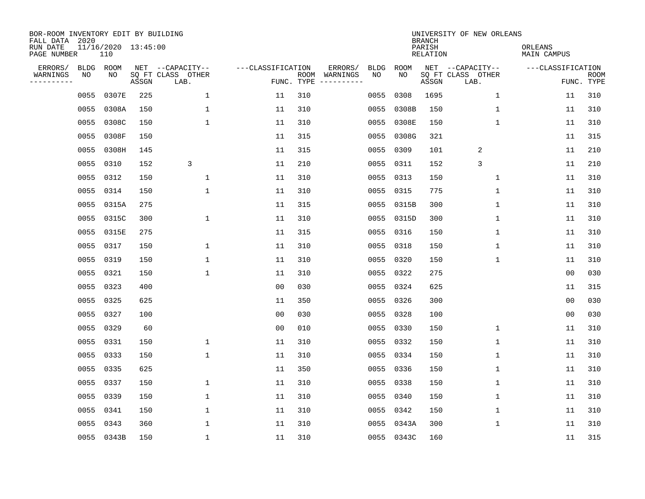| BOR-ROOM INVENTORY EDIT BY BUILDING<br>FALL DATA 2020 |           |                            |       |                           |                   |            | UNIVERSITY OF NEW ORLEANS<br><b>BRANCH</b> |             |             |                           |                           |                        |                           |  |  |
|-------------------------------------------------------|-----------|----------------------------|-------|---------------------------|-------------------|------------|--------------------------------------------|-------------|-------------|---------------------------|---------------------------|------------------------|---------------------------|--|--|
| RUN DATE<br>PAGE NUMBER                               |           | 11/16/2020 13:45:00<br>110 |       |                           |                   |            |                                            |             |             | PARISH<br><b>RELATION</b> |                           | ORLEANS<br>MAIN CAMPUS |                           |  |  |
| ERRORS/                                               | BLDG      | ROOM                       |       | NET --CAPACITY--          | ---CLASSIFICATION |            | ERRORS/                                    | <b>BLDG</b> | <b>ROOM</b> |                           | NET --CAPACITY--          | ---CLASSIFICATION      |                           |  |  |
| WARNINGS<br>----------                                | ΝO        | NO                         | ASSGN | SQ FT CLASS OTHER<br>LAB. |                   | FUNC. TYPE | ROOM WARNINGS<br>-----------               | NO          | NO          | ASSGN                     | SQ FT CLASS OTHER<br>LAB. |                        | <b>ROOM</b><br>FUNC. TYPE |  |  |
|                                                       | 0055      | 0307E                      | 225   | 1                         | 11                | 310        |                                            | 0055        | 0308        | 1695                      | $\mathbf{1}$              | 11                     | 310                       |  |  |
|                                                       | 0055      | 0308A                      | 150   | 1                         | 11                | 310        |                                            | 0055        | 0308B       | 150                       | 1                         | 11                     | 310                       |  |  |
|                                                       | 0055      | 0308C                      | 150   | 1                         | 11                | 310        |                                            | 0055        | 0308E       | 150                       | $\mathbf{1}$              | 11                     | 310                       |  |  |
|                                                       |           | 0055 0308F                 | 150   |                           | 11                | 315        |                                            | 0055        | 0308G       | 321                       |                           | 11                     | 315                       |  |  |
|                                                       | 0055      | 0308H                      | 145   |                           | 11                | 315        |                                            | 0055        | 0309        | 101                       | 2                         | 11                     | 210                       |  |  |
|                                                       | 0055 0310 |                            | 152   | 3                         | 11                | 210        |                                            | 0055        | 0311        | 152                       | 3                         | 11                     | 210                       |  |  |
|                                                       | 0055 0312 |                            | 150   | $\mathbf{1}$              | 11                | 310        |                                            | 0055        | 0313        | 150                       | $\mathbf{1}$              | 11                     | 310                       |  |  |
|                                                       | 0055 0314 |                            | 150   | $\mathbf{1}$              | 11                | 310        |                                            | 0055        | 0315        | 775                       | $\mathbf{1}$              | 11                     | 310                       |  |  |
|                                                       |           | 0055 0315A                 | 275   |                           | 11                | 315        |                                            | 0055        | 0315B       | 300                       | $\mathbf{1}$              | 11                     | 310                       |  |  |
|                                                       |           | 0055 0315C                 | 300   | $\mathbf{1}$              | 11                | 310        |                                            | 0055        | 0315D       | 300                       | 1                         | 11                     | 310                       |  |  |
|                                                       |           | 0055 0315E                 | 275   |                           | 11                | 315        |                                            | 0055        | 0316        | 150                       | 1                         | 11                     | 310                       |  |  |
|                                                       | 0055 0317 |                            | 150   | 1                         | 11                | 310        |                                            | 0055        | 0318        | 150                       | $\mathbf 1$               | 11                     | 310                       |  |  |
|                                                       | 0055      | 0319                       | 150   | 1                         | 11                | 310        |                                            | 0055        | 0320        | 150                       | $\mathbf 1$               | 11                     | 310                       |  |  |
|                                                       | 0055      | 0321                       | 150   | 1                         | 11                | 310        |                                            | 0055        | 0322        | 275                       |                           | 0 <sub>0</sub>         | 030                       |  |  |
|                                                       | 0055      | 0323                       | 400   |                           | 0 <sub>0</sub>    | 030        |                                            | 0055        | 0324        | 625                       |                           | 11                     | 315                       |  |  |
|                                                       | 0055      | 0325                       | 625   |                           | 11                | 350        |                                            | 0055        | 0326        | 300                       |                           | 0 <sub>0</sub>         | 030                       |  |  |
|                                                       | 0055      | 0327                       | 100   |                           | 0 <sub>0</sub>    | 030        |                                            | 0055        | 0328        | 100                       |                           | 0 <sub>0</sub>         | 030                       |  |  |
|                                                       | 0055      | 0329                       | 60    |                           | 0 <sub>0</sub>    | 010        |                                            | 0055        | 0330        | 150                       | 1                         | 11                     | 310                       |  |  |
|                                                       | 0055 0331 |                            | 150   | 1                         | 11                | 310        |                                            | 0055        | 0332        | 150                       | 1                         | 11                     | 310                       |  |  |
|                                                       | 0055      | 0333                       | 150   | 1                         | 11                | 310        |                                            | 0055        | 0334        | 150                       | 1                         | 11                     | 310                       |  |  |
|                                                       | 0055      | 0335                       | 625   |                           | 11                | 350        |                                            | 0055        | 0336        | 150                       | 1                         | 11                     | 310                       |  |  |
|                                                       | 0055      | 0337                       | 150   | 1                         | 11                | 310        |                                            | 0055        | 0338        | 150                       | $\mathbf{1}$              | 11                     | 310                       |  |  |
|                                                       | 0055      | 0339                       | 150   | $\mathbf{1}$              | 11                | 310        |                                            | 0055        | 0340        | 150                       | $\mathbf{1}$              | 11                     | 310                       |  |  |
|                                                       | 0055      | 0341                       | 150   | $\mathbf{1}$              | 11                | 310        |                                            | 0055        | 0342        | 150                       | 1                         | 11                     | 310                       |  |  |
|                                                       | 0055      | 0343                       | 360   | $\mathbf{1}$              | 11                | 310        |                                            | 0055        | 0343A       | 300                       | $\mathbf{1}$              | 11                     | 310                       |  |  |
|                                                       |           | 0055 0343B                 | 150   | $\mathbf{1}$              | 11                | 310        |                                            |             | 0055 0343C  | 160                       |                           | 11                     | 315                       |  |  |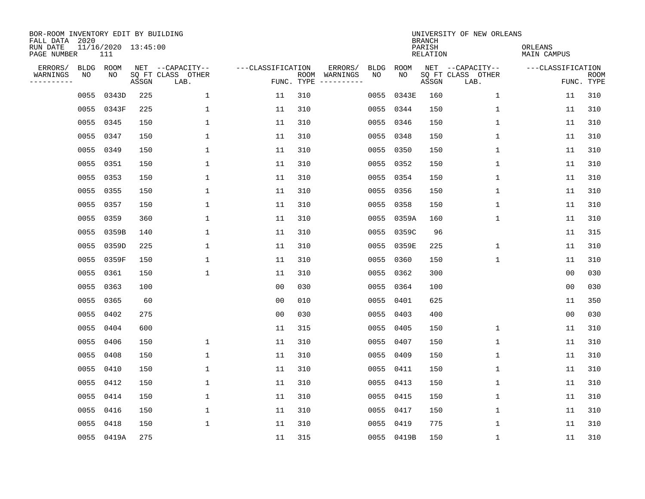| BOR-ROOM INVENTORY EDIT BY BUILDING<br>FALL DATA 2020 |           |                            |       |                           |                   |            |                              | UNIVERSITY OF NEW ORLEANS<br><b>BRANCH</b> |             |                           |                           |                        |                           |  |  |  |
|-------------------------------------------------------|-----------|----------------------------|-------|---------------------------|-------------------|------------|------------------------------|--------------------------------------------|-------------|---------------------------|---------------------------|------------------------|---------------------------|--|--|--|
| RUN DATE<br>PAGE NUMBER                               |           | 11/16/2020 13:45:00<br>111 |       |                           |                   |            |                              |                                            |             | PARISH<br><b>RELATION</b> |                           | ORLEANS<br>MAIN CAMPUS |                           |  |  |  |
| ERRORS/                                               | BLDG      | ROOM                       |       | NET --CAPACITY--          | ---CLASSIFICATION |            | ERRORS/                      | <b>BLDG</b>                                | <b>ROOM</b> |                           | NET --CAPACITY--          | ---CLASSIFICATION      |                           |  |  |  |
| WARNINGS<br>----------                                | ΝO        | NO                         | ASSGN | SQ FT CLASS OTHER<br>LAB. |                   | FUNC. TYPE | ROOM WARNINGS<br>----------- | NO                                         | NO          | ASSGN                     | SQ FT CLASS OTHER<br>LAB. |                        | <b>ROOM</b><br>FUNC. TYPE |  |  |  |
|                                                       | 0055      | 0343D                      | 225   | $\mathbf 1$               | 11                | 310        |                              | 0055                                       | 0343E       | 160                       | $\mathbf 1$               | 11                     | 310                       |  |  |  |
|                                                       |           | 0055 0343F                 | 225   | 1                         | 11                | 310        |                              | 0055                                       | 0344        | 150                       | 1                         | 11                     | 310                       |  |  |  |
|                                                       | 0055      | 0345                       | 150   | 1                         | 11                | 310        |                              | 0055                                       | 0346        | 150                       | 1                         | 11                     | 310                       |  |  |  |
|                                                       | 0055 0347 |                            | 150   | $\mathbf{1}$              | 11                | 310        |                              | 0055                                       | 0348        | 150                       | 1                         | 11                     | 310                       |  |  |  |
|                                                       | 0055      | 0349                       | 150   | $\mathbf 1$               | 11                | 310        |                              | 0055                                       | 0350        | 150                       | $\mathbf 1$               | 11                     | 310                       |  |  |  |
|                                                       | 0055 0351 |                            | 150   | 1                         | 11                | 310        |                              | 0055                                       | 0352        | 150                       | $\mathbf 1$               | 11                     | 310                       |  |  |  |
|                                                       |           | 0055 0353                  | 150   | $\mathbf{1}$              | 11                | 310        |                              | 0055                                       | 0354        | 150                       | $\mathbf{1}$              | 11                     | 310                       |  |  |  |
|                                                       |           | 0055 0355                  | 150   | 1                         | 11                | 310        |                              | 0055                                       | 0356        | 150                       | $\mathbf 1$               | 11                     | 310                       |  |  |  |
|                                                       |           | 0055 0357                  | 150   | 1                         | 11                | 310        |                              | 0055                                       | 0358        | 150                       | $\mathbf 1$               | 11                     | 310                       |  |  |  |
|                                                       |           | 0055 0359                  | 360   | $\mathbf{1}$              | 11                | 310        |                              | 0055                                       | 0359A       | 160                       | $\mathbf{1}$              | 11                     | 310                       |  |  |  |
|                                                       |           | 0055 0359B                 | 140   | $\mathbf{1}$              | 11                | 310        |                              | 0055                                       | 0359C       | 96                        |                           | 11                     | 315                       |  |  |  |
|                                                       |           | 0055 0359D                 | 225   | $\mathbf{1}$              | 11                | 310        |                              | 0055                                       | 0359E       | 225                       | $\mathbf{1}$              | 11                     | 310                       |  |  |  |
|                                                       |           | 0055 0359F                 | 150   | $\mathbf{1}$              | 11                | 310        |                              | 0055                                       | 0360        | 150                       | $\mathbf{1}$              | 11                     | 310                       |  |  |  |
|                                                       | 0055      | 0361                       | 150   | 1                         | 11                | 310        |                              | 0055                                       | 0362        | 300                       |                           | 00                     | 030                       |  |  |  |
|                                                       | 0055      | 0363                       | 100   |                           | 00                | 030        |                              | 0055                                       | 0364        | 100                       |                           | 0 <sub>0</sub>         | 030                       |  |  |  |
|                                                       | 0055      | 0365                       | 60    |                           | 00                | 010        |                              | 0055                                       | 0401        | 625                       |                           | 11                     | 350                       |  |  |  |
|                                                       | 0055      | 0402                       | 275   |                           | 0 <sub>0</sub>    | 030        |                              | 0055                                       | 0403        | 400                       |                           | 0 <sub>0</sub>         | 030                       |  |  |  |
|                                                       | 0055      | 0404                       | 600   |                           | 11                | 315        |                              | 0055                                       | 0405        | 150                       | 1                         | 11                     | 310                       |  |  |  |
|                                                       | 0055      | 0406                       | 150   | 1                         | 11                | 310        |                              | 0055                                       | 0407        | 150                       | $\mathbf{1}$              | 11                     | 310                       |  |  |  |
|                                                       | 0055      | 0408                       | 150   | $\mathbf{1}$              | 11                | 310        |                              | 0055                                       | 0409        | 150                       | $\mathbf{1}$              | 11                     | 310                       |  |  |  |
|                                                       | 0055      | 0410                       | 150   | $\mathbf{1}$              | 11                | 310        |                              | 0055                                       | 0411        | 150                       | $\mathbf 1$               | 11                     | 310                       |  |  |  |
|                                                       | 0055      | 0412                       | 150   | $\mathbf{1}$              | 11                | 310        |                              | 0055                                       | 0413        | 150                       | $\mathbf 1$               | 11                     | 310                       |  |  |  |
|                                                       |           | 0055 0414                  | 150   | 1                         | 11                | 310        |                              | 0055                                       | 0415        | 150                       | 1                         | 11                     | 310                       |  |  |  |
|                                                       | 0055      | 0416                       | 150   | 1                         | 11                | 310        |                              | 0055                                       | 0417        | 150                       | 1                         | 11                     | 310                       |  |  |  |
|                                                       | 0055      | 0418                       | 150   | $\mathbf{1}$              | 11                | 310        |                              | 0055                                       | 0419        | 775                       | 1                         | 11                     | 310                       |  |  |  |
|                                                       |           | 0055 0419A                 | 275   |                           | 11                | 315        |                              |                                            | 0055 0419B  | 150                       | 1                         | 11                     | 310                       |  |  |  |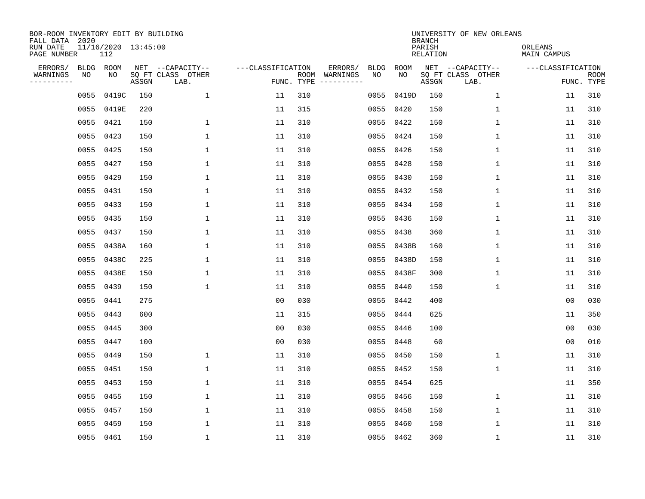| BOR-ROOM INVENTORY EDIT BY BUILDING<br>FALL DATA 2020 |      |                            |       |                           |                   |            |                              | UNIVERSITY OF NEW ORLEANS<br><b>BRANCH</b> |             |                           |                           |                               |                           |  |  |  |
|-------------------------------------------------------|------|----------------------------|-------|---------------------------|-------------------|------------|------------------------------|--------------------------------------------|-------------|---------------------------|---------------------------|-------------------------------|---------------------------|--|--|--|
| RUN DATE<br>PAGE NUMBER                               |      | 11/16/2020 13:45:00<br>112 |       |                           |                   |            |                              |                                            |             | PARISH<br><b>RELATION</b> |                           | ORLEANS<br><b>MAIN CAMPUS</b> |                           |  |  |  |
| ERRORS/                                               | BLDG | ROOM                       |       | NET --CAPACITY--          | ---CLASSIFICATION |            | ERRORS/                      | <b>BLDG</b>                                | <b>ROOM</b> |                           | NET --CAPACITY--          | ---CLASSIFICATION             |                           |  |  |  |
| WARNINGS<br>----------                                | ΝO   | NO                         | ASSGN | SQ FT CLASS OTHER<br>LAB. |                   | FUNC. TYPE | ROOM WARNINGS<br>----------- | NO                                         | NO          | ASSGN                     | SQ FT CLASS OTHER<br>LAB. |                               | <b>ROOM</b><br>FUNC. TYPE |  |  |  |
|                                                       | 0055 | 0419C                      | 150   | $\mathbf 1$               | 11                | 310        |                              | 0055                                       | 0419D       | 150                       | $\mathbf 1$               | 11                            | 310                       |  |  |  |
|                                                       |      | 0055 0419E                 | 220   |                           | 11                | 315        |                              | 0055                                       | 0420        | 150                       | 1                         | 11                            | 310                       |  |  |  |
|                                                       |      | 0055 0421                  | 150   | 1                         | 11                | 310        |                              | 0055                                       | 0422        | 150                       | 1                         | 11                            | 310                       |  |  |  |
|                                                       |      | 0055 0423                  | 150   | $\mathbf{1}$              | 11                | 310        |                              | 0055                                       | 0424        | 150                       | 1                         | 11                            | 310                       |  |  |  |
|                                                       | 0055 | 0425                       | 150   | $\mathbf 1$               | 11                | 310        |                              | 0055                                       | 0426        | 150                       | $\mathbf 1$               | 11                            | 310                       |  |  |  |
|                                                       |      | 0055 0427                  | 150   | 1                         | 11                | 310        |                              | 0055                                       | 0428        | 150                       | $\mathbf 1$               | 11                            | 310                       |  |  |  |
|                                                       |      | 0055 0429                  | 150   | $\mathbf{1}$              | 11                | 310        |                              | 0055                                       | 0430        | 150                       | $\mathbf{1}$              | 11                            | 310                       |  |  |  |
|                                                       |      | 0055 0431                  | 150   | 1                         | 11                | 310        |                              | 0055                                       | 0432        | 150                       | $\mathbf 1$               | 11                            | 310                       |  |  |  |
|                                                       |      | 0055 0433                  | 150   | 1                         | 11                | 310        |                              | 0055                                       | 0434        | 150                       | $\mathbf 1$               | 11                            | 310                       |  |  |  |
|                                                       |      | 0055 0435                  | 150   | $\mathbf{1}$              | 11                | 310        |                              | 0055                                       | 0436        | 150                       | $\mathbf{1}$              | 11                            | 310                       |  |  |  |
|                                                       |      | 0055 0437                  | 150   | $\mathbf{1}$              | 11                | 310        |                              | 0055                                       | 0438        | 360                       | $\mathbf{1}$              | 11                            | 310                       |  |  |  |
|                                                       |      | 0055 0438A                 | 160   | $\mathbf{1}$              | 11                | 310        |                              | 0055                                       | 0438B       | 160                       | $\mathbf{1}$              | 11                            | 310                       |  |  |  |
|                                                       |      | 0055 0438C                 | 225   | $\mathbf{1}$              | 11                | 310        |                              | 0055                                       | 0438D       | 150                       | $\mathbf{1}$              | 11                            | 310                       |  |  |  |
|                                                       |      | 0055 0438E                 | 150   | 1                         | 11                | 310        |                              | 0055                                       | 0438F       | 300                       | 1                         | 11                            | 310                       |  |  |  |
|                                                       | 0055 | 0439                       | 150   | 1                         | 11                | 310        |                              | 0055                                       | 0440        | 150                       | 1                         | 11                            | 310                       |  |  |  |
|                                                       | 0055 | 0441                       | 275   |                           | 0 <sub>0</sub>    | 030        |                              | 0055                                       | 0442        | 400                       |                           | 0 <sub>0</sub>                | 030                       |  |  |  |
|                                                       | 0055 | 0443                       | 600   |                           | 11                | 315        |                              | 0055                                       | 0444        | 625                       |                           | 11                            | 350                       |  |  |  |
|                                                       | 0055 | 0445                       | 300   |                           | 0 <sub>0</sub>    | 030        |                              | 0055                                       | 0446        | 100                       |                           | 0 <sub>0</sub>                | 030                       |  |  |  |
|                                                       |      | 0055 0447                  | 100   |                           | 0 <sub>0</sub>    | 030        |                              | 0055                                       | 0448        | 60                        |                           | 0 <sub>0</sub>                | 010                       |  |  |  |
|                                                       | 0055 | 0449                       | 150   | $\mathbf{1}$              | 11                | 310        |                              | 0055                                       | 0450        | 150                       | $\mathbf{1}$              | 11                            | 310                       |  |  |  |
|                                                       |      | 0055 0451                  | 150   | $\mathbf{1}$              | 11                | 310        |                              | 0055                                       | 0452        | 150                       | $\mathbf 1$               | 11                            | 310                       |  |  |  |
|                                                       | 0055 | 0453                       | 150   | $\mathbf{1}$              | 11                | 310        |                              | 0055                                       | 0454        | 625                       |                           | 11                            | 350                       |  |  |  |
|                                                       |      | 0055 0455                  | 150   | 1                         | 11                | 310        |                              | 0055                                       | 0456        | 150                       | 1                         | 11                            | 310                       |  |  |  |
|                                                       | 0055 | 0457                       | 150   | 1                         | 11                | 310        |                              | 0055                                       | 0458        | 150                       | 1                         | 11                            | 310                       |  |  |  |
|                                                       | 0055 | 0459                       | 150   | 1                         | 11                | 310        |                              | 0055                                       | 0460        | 150                       | 1                         | 11                            | 310                       |  |  |  |
|                                                       |      | 0055 0461                  | 150   | 1                         | 11                | 310        |                              |                                            | 0055 0462   | 360                       | 1                         | 11                            | 310                       |  |  |  |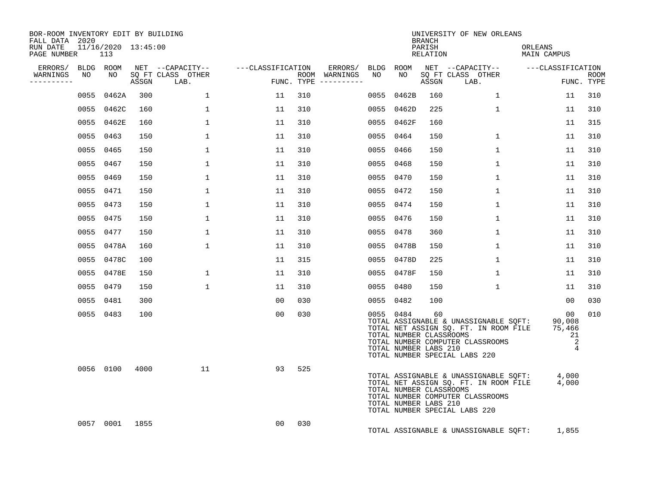| BOR-ROOM INVENTORY EDIT BY BUILDING<br>FALL DATA 2020 |           |                |     |                                                         |                |                                      | UNIVERSITY OF NEW ORLEANS<br><b>BRANCH</b> |                                                               |                    |                                                                                                                                                                 |                                                                              |                           |  |  |  |  |
|-------------------------------------------------------|-----------|----------------|-----|---------------------------------------------------------|----------------|--------------------------------------|--------------------------------------------|---------------------------------------------------------------|--------------------|-----------------------------------------------------------------------------------------------------------------------------------------------------------------|------------------------------------------------------------------------------|---------------------------|--|--|--|--|
| RUN DATE 11/16/2020 13:45:00<br>PAGE NUMBER           | 113       |                |     |                                                         |                |                                      |                                            |                                                               | PARISH<br>RELATION |                                                                                                                                                                 | ORLEANS<br>MAIN CAMPUS                                                       |                           |  |  |  |  |
| ERRORS/ BLDG ROOM                                     |           |                |     | NET --CAPACITY--    ---CLASSIFICATION ERRORS/ BLDG ROOM |                |                                      |                                            |                                                               |                    | NET --CAPACITY-- ---CLASSIFICATION                                                                                                                              |                                                                              |                           |  |  |  |  |
| WARNINGS<br>----------                                | NO        | NO             |     | SO FT CLASS OTHER<br>ASSGN LAB.                         |                | ROOM WARNINGS<br>FUNC. TYPE $------$ | NO                                         | NO                                                            | ASSGN              | SQ FT CLASS OTHER<br>LAB.                                                                                                                                       |                                                                              | <b>ROOM</b><br>FUNC. TYPE |  |  |  |  |
|                                                       |           | 0055 0462A     | 300 | $\mathbf{1}$                                            | 11             | 310                                  |                                            | 0055 0462B                                                    | 160                | $\mathbf{1}$                                                                                                                                                    | 11                                                                           | 310                       |  |  |  |  |
|                                                       |           | 0055 0462C     | 160 | $\mathbf{1}$                                            | 11             | 310                                  |                                            | 0055 0462D                                                    | 225                | $\mathbf{1}$                                                                                                                                                    | 11                                                                           | 310                       |  |  |  |  |
|                                                       |           | 0055 0462E     | 160 | 1                                                       | 11             | 310                                  |                                            | 0055 0462F                                                    | 160                |                                                                                                                                                                 | 11                                                                           | 315                       |  |  |  |  |
|                                                       | 0055 0463 |                | 150 | $\mathbf{1}$                                            | 11             | 310                                  |                                            | 0055 0464                                                     | 150                | $\mathbf{1}$                                                                                                                                                    | 11                                                                           | 310                       |  |  |  |  |
|                                                       | 0055 0465 |                | 150 | $\mathbf{1}$                                            | 11             | 310                                  |                                            | 0055 0466                                                     | 150                | $\mathbf{1}$                                                                                                                                                    | 11                                                                           | 310                       |  |  |  |  |
|                                                       | 0055 0467 |                | 150 | $\mathbf{1}$                                            | 11             | 310                                  |                                            | 0055 0468                                                     | 150                | $\mathbf{1}$                                                                                                                                                    | 11                                                                           | 310                       |  |  |  |  |
|                                                       | 0055 0469 |                | 150 | $\mathbf 1$                                             | 11             | 310                                  |                                            | 0055 0470                                                     | 150                | $\mathbf{1}$                                                                                                                                                    | 11                                                                           | 310                       |  |  |  |  |
|                                                       | 0055 0471 |                | 150 | $\mathbf{1}$                                            | 11             | 310                                  |                                            | 0055 0472                                                     | 150                | $\mathbf{1}$                                                                                                                                                    | 11                                                                           | 310                       |  |  |  |  |
|                                                       | 0055 0473 |                | 150 | $\mathbf{1}$                                            | 11             | 310                                  |                                            | 0055 0474                                                     | 150                | $\mathbf{1}$                                                                                                                                                    | 11                                                                           | 310                       |  |  |  |  |
|                                                       | 0055 0475 |                | 150 | $\mathbf{1}$                                            | 11             | 310                                  |                                            | 0055 0476                                                     | 150                | $\mathbf{1}$                                                                                                                                                    | 11                                                                           | 310                       |  |  |  |  |
|                                                       | 0055 0477 |                | 150 | $\mathbf{1}$                                            | 11             | 310                                  |                                            | 0055 0478                                                     | 360                | $\mathbf{1}$                                                                                                                                                    | 11                                                                           | 310                       |  |  |  |  |
|                                                       |           | 0055 0478A     | 160 | 1                                                       | 11             | 310                                  |                                            | 0055 0478B                                                    | 150                | $\mathbf{1}$                                                                                                                                                    | 11                                                                           | 310                       |  |  |  |  |
|                                                       |           | 0055 0478C     | 100 |                                                         | 11             | 315                                  |                                            | 0055 0478D                                                    | 225                | $\mathbf{1}$                                                                                                                                                    | 11                                                                           | 310                       |  |  |  |  |
|                                                       |           | 0055 0478E     | 150 | 1                                                       | 11             | 310                                  |                                            | 0055 0478F                                                    | 150                | $\mathbf{1}$                                                                                                                                                    | 11                                                                           | 310                       |  |  |  |  |
|                                                       | 0055 0479 |                | 150 | $\mathbf{1}$                                            | 11             | 310                                  |                                            | 0055 0480                                                     | 150                | $\mathbf{1}$                                                                                                                                                    | 11                                                                           | 310                       |  |  |  |  |
|                                                       | 0055 0481 |                | 300 |                                                         | 00             | 030                                  |                                            | 0055 0482                                                     | 100                |                                                                                                                                                                 | 00                                                                           | 030                       |  |  |  |  |
|                                                       | 0055 0483 |                | 100 |                                                         | 00             | 030                                  |                                            | 0055 0484<br>TOTAL NUMBER CLASSROOMS<br>TOTAL NUMBER LABS 210 | 60                 | TOTAL ASSIGNABLE & UNASSIGNABLE SQFT:<br>TOTAL NET ASSIGN SQ. FT. IN ROOM FILE<br>TOTAL NUMBER COMPUTER CLASSROOMS<br>TOTAL NUMBER SPECIAL LABS 220             | 00<br>90,008<br>75,466<br>21<br>$\overline{\phantom{0}}^2$<br>$\overline{4}$ | 010                       |  |  |  |  |
|                                                       |           | 0056 0100 4000 |     | 11                                                      | 93             | 525                                  |                                            | TOTAL NUMBER CLASSROOMS<br>TOTAL NUMBER LABS 210              |                    | TOTAL ASSIGNABLE & UNASSIGNABLE SQFT: 4,000<br>TOTAL NET ASSIGN SQ. FT. IN ROOM FILE 4,000<br>TOTAL NUMBER COMPUTER CLASSROOMS<br>TOTAL NUMBER SPECIAL LABS 220 |                                                                              |                           |  |  |  |  |
|                                                       |           | 0057 0001 1855 |     |                                                         | 0 <sub>0</sub> | 030                                  |                                            |                                                               |                    | TOTAL ASSIGNABLE & UNASSIGNABLE SQFT:                                                                                                                           | 1,855                                                                        |                           |  |  |  |  |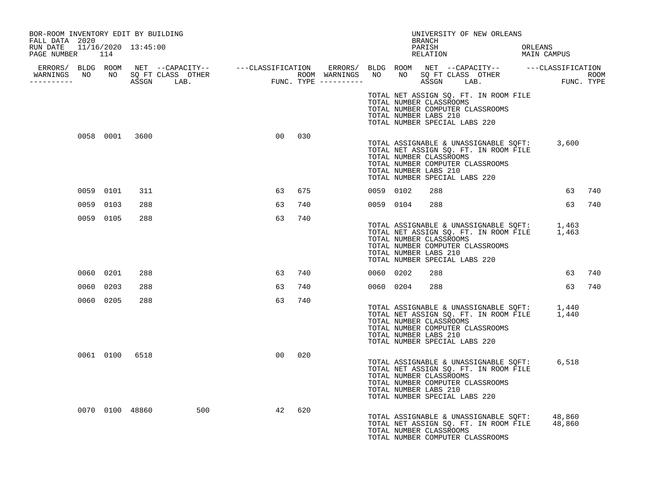| BOR-ROOM INVENTORY EDIT BY BUILDING<br>FALL DATA 2020 |           |                 |     |    |     |           |                                                                                   | BRANCH | UNIVERSITY OF NEW ORLEANS                                                                                                      |         |        |     |
|-------------------------------------------------------|-----------|-----------------|-----|----|-----|-----------|-----------------------------------------------------------------------------------|--------|--------------------------------------------------------------------------------------------------------------------------------|---------|--------|-----|
| RUN DATE 11/16/2020 13:45:00<br>PAGE NUMBER 114       |           |                 |     |    |     |           |                                                                                   | PARISH | RELATION MAIN CAMPUS                                                                                                           | ORLEANS |        |     |
| -----------                                           |           |                 |     |    |     |           |                                                                                   |        |                                                                                                                                |         |        |     |
|                                                       |           |                 |     |    |     |           | TOTAL NUMBER CLASSROOMS<br>TOTAL NUMBER LABS 210<br>TOTAL NUMBER SPECIAL LABS 220 |        | TOTAL NET ASSIGN SQ. FT. IN ROOM FILE<br>TOTAL NUMBER COMPUTER CLASSROOMS                                                      |         |        |     |
|                                                       |           | 0058 0001 3600  |     | 00 | 030 |           | TOTAL NUMBER CLASSROOMS<br>TOTAL NUMBER LABS 210<br>TOTAL NUMBER SPECIAL LABS 220 |        | TOTAL ASSIGNABLE & UNASSIGNABLE SQFT: 3,600<br>TOTAL NET ASSIGN SQ. FT. IN ROOM FILE<br>TOTAL NUMBER COMPUTER CLASSROOMS       |         |        |     |
|                                                       | 0059 0101 | 311             |     | 63 | 675 | 0059 0102 |                                                                                   | 288    |                                                                                                                                |         | 63     | 740 |
|                                                       | 0059 0103 | 288             |     | 63 | 740 |           | 0059 0104                                                                         | 288    |                                                                                                                                |         | 63     | 740 |
|                                                       | 0059 0105 | 288             |     | 63 | 740 |           | TOTAL NUMBER CLASSROOMS<br>TOTAL NUMBER LABS 210<br>TOTAL NUMBER SPECIAL LABS 220 |        | TOTAL ASSIGNABLE & UNASSIGNABLE SQFT: 1,463<br>TOTAL NET ASSIGN SQ. FT. IN ROOM FILE 1,463<br>TOTAL NUMBER COMPUTER CLASSROOMS |         |        |     |
|                                                       | 0060 0201 | 288             |     | 63 | 740 | 0060 0202 |                                                                                   | 288    |                                                                                                                                |         | 63     | 740 |
|                                                       | 0060 0203 | 288             |     | 63 | 740 |           | 0060 0204                                                                         | 288    |                                                                                                                                |         | 63     | 740 |
|                                                       | 0060 0205 | 288             |     | 63 | 740 |           | TOTAL NUMBER CLASSROOMS<br>TOTAL NUMBER LABS 210<br>TOTAL NUMBER SPECIAL LABS 220 |        | TOTAL ASSIGNABLE & UNASSIGNABLE SQFT: 1,440<br>TOTAL NET ASSIGN SQ. FT. IN ROOM FILE 1,440<br>TOTAL NUMBER COMPUTER CLASSROOMS |         |        |     |
|                                                       |           | 0061 0100 6518  |     | 00 | 020 |           | TOTAL NUMBER CLASSROOMS<br>TOTAL NUMBER LABS 210<br>TOTAL NUMBER SPECIAL LABS 220 |        | TOTAL ASSIGNABLE & UNASSIGNABLE SQFT:<br>TOTAL NET ASSIGN SQ. FT. IN ROOM FILE<br>TOTAL NUMBER COMPUTER CLASSROOMS             |         | 6,518  |     |
|                                                       |           | 0070 0100 48860 | 500 | 42 | 620 |           | TOTAL NUMBER CLASSROOMS                                                           |        | TOTAL ASSIGNABLE & UNASSIGNABLE SOFT: 48,860<br>TOTAL NET ASSIGN SQ. FT. IN ROOM FILE<br>TOTAL NUMBER COMPUTER CLASSROOMS      |         | 48,860 |     |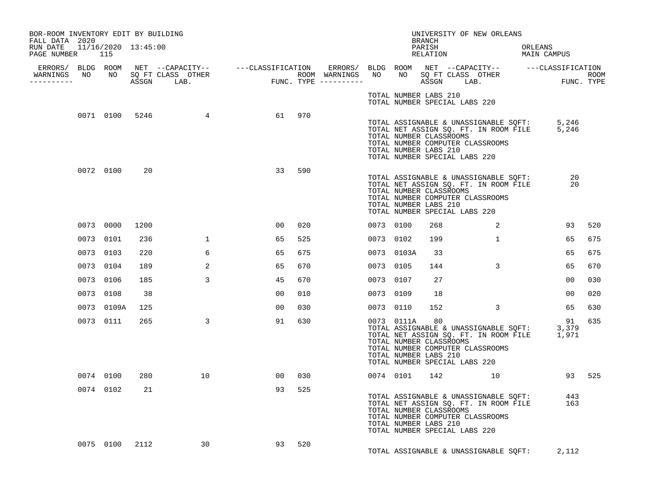| BOR-ROOM INVENTORY EDIT BY BUILDING<br>FALL DATA 2020 |            |                |                  |    |        |           |            | BRANCH                                                 | UNIVERSITY OF NEW ORLEANS                                                                                                                                       |                        |                |     |
|-------------------------------------------------------|------------|----------------|------------------|----|--------|-----------|------------|--------------------------------------------------------|-----------------------------------------------------------------------------------------------------------------------------------------------------------------|------------------------|----------------|-----|
| RUN DATE 11/16/2020 13:45:00<br>PAGE NUMBER 115       |            |                |                  |    |        |           |            | PARISH<br>RELATION                                     |                                                                                                                                                                 | ORLEANS<br>MAIN CAMPUS |                |     |
| WARNINGS NO NO SQ FT CLASS OTHER<br>----------        |            |                |                  |    |        |           |            |                                                        |                                                                                                                                                                 |                        |                |     |
|                                                       |            |                |                  |    |        |           |            | TOTAL NUMBER LABS 210                                  | TOTAL NUMBER SPECIAL LABS 220                                                                                                                                   |                        |                |     |
|                                                       |            |                | 0071 0100 5246 4 |    | 61 970 |           |            | TOTAL NUMBER CLASSROOMS<br>TOTAL NUMBER LABS 210       | TOTAL ASSIGNABLE & UNASSIGNABLE SQFT: 5,246<br>TOTAL NET ASSIGN SQ. FT. IN ROOM FILE 5,246<br>TOTAL NUMBER COMPUTER CLASSROOMS<br>TOTAL NUMBER SPECIAL LABS 220 |                        |                |     |
|                                                       | 0072 0100  | 20             |                  | 33 | 590    |           |            | TOTAL NUMBER CLASSROOMS<br>TOTAL NUMBER LABS 210       | TOTAL ASSIGNABLE & UNASSIGNABLE SQFT:<br>TOTAL NET ASSIGN SQ. FT. IN ROOM FILE<br>TOTAL NUMBER COMPUTER CLASSROOMS<br>TOTAL NUMBER SPECIAL LABS 220             | $\frac{20}{25}$        |                |     |
|                                                       | 0073 0000  | 1200           |                  | 00 | 020    | 0073 0100 |            | 268                                                    | $\overline{\phantom{a}}$ 2                                                                                                                                      |                        | 93             | 520 |
|                                                       | 0073 0101  | 236            | $\mathbf{1}$     | 65 | 525    | 0073 0102 |            | 199                                                    | $\mathbf{1}$                                                                                                                                                    |                        | 65             | 675 |
|                                                       | 0073 0103  | 220            | 6                | 65 | 675    |           | 0073 0103A | 33                                                     |                                                                                                                                                                 |                        | 65             | 675 |
|                                                       | 0073 0104  | 189            | 2                | 65 | 670    | 0073 0105 |            | 144                                                    | $\overline{3}$                                                                                                                                                  |                        | 65             | 670 |
|                                                       | 0073 0106  | 185            | $\overline{3}$   | 45 | 670    | 0073 0107 |            | 27                                                     |                                                                                                                                                                 |                        | $00 \,$        | 030 |
|                                                       | 0073 0108  | 38             |                  | 00 | 010    | 0073 0109 |            | 18                                                     |                                                                                                                                                                 |                        | 0 <sup>0</sup> | 020 |
|                                                       | 0073 0109A | 125            |                  | 00 | 030    | 0073 0110 |            | 152                                                    | $\sim$ 3                                                                                                                                                        |                        | 65             | 630 |
|                                                       | 0073 0111  | 265            | $\mathbf{3}$     | 91 | 630    |           | 0073 0111A | 80<br>TOTAL NUMBER CLASSROOMS<br>TOTAL NUMBER LABS 210 | TOTAL ASSIGNABLE & UNASSIGNABLE SQFT: 3,379<br>TOTAL NET ASSIGN SQ. FT. IN ROOM FILE 1,971<br>TOTAL NUMBER COMPUTER CLASSROOMS<br>TOTAL NUMBER SPECIAL LABS 220 | 91                     |                | 635 |
|                                                       | 0074 0100  | 280            | 10               | 00 | 030    |           | 0074 0101  |                                                        | 142 10                                                                                                                                                          |                        | 93 525         |     |
|                                                       | 0074 0102  | 21             |                  | 93 | 525    |           |            | TOTAL NUMBER CLASSROOMS<br>TOTAL NUMBER LABS 210       | TOTAL ASSIGNABLE & UNASSIGNABLE SQFT: 443<br>TOTAL NET ASSIGN SQ. FT. IN ROOM FILE 163<br>TOTAL NUMBER COMPUTER CLASSROOMS<br>TOTAL NUMBER SPECIAL LABS 220     |                        |                |     |
|                                                       |            | 0075 0100 2112 | 30               | 93 | 520    |           |            |                                                        | TOTAL ASSIGNABLE & UNASSIGNABLE SQFT:                                                                                                                           | 2,112                  |                |     |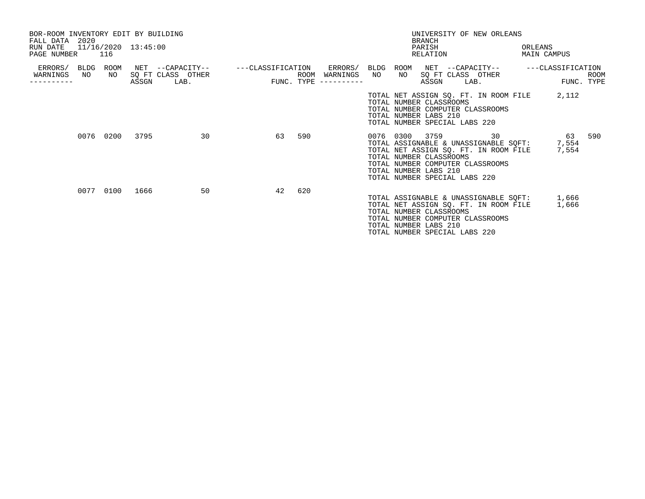| BOR-ROOM INVENTORY EDIT BY BUILDING<br>FALL DATA 2020<br>RUN DATE<br>PAGE NUMBER 116 |    |            | 11/16/2020 13:45:00 |                                                                                                                          |    |     |                                           | <b>BRANCH</b><br>PARISH                                                                                                                                                                                                         | UNIVERSITY OF NEW ORLEANS<br>RELATION |    | ORLEANS<br>MAIN CAMPUS |            |      |
|--------------------------------------------------------------------------------------|----|------------|---------------------|--------------------------------------------------------------------------------------------------------------------------|----|-----|-------------------------------------------|---------------------------------------------------------------------------------------------------------------------------------------------------------------------------------------------------------------------------------|---------------------------------------|----|------------------------|------------|------|
| ERRORS/ BLDG<br>WARNINGS                                                             | NO | ROOM<br>NO | ASSGN               | NET --CAPACITY-- - ---CLASSIFICATION ERRORS/ BLDG ROOM NET --CAPACITY-- - ---CLASSIFICATION<br>SQ FT CLASS OTHER<br>LAB. |    |     | ROOM WARNINGS NO<br>FUNC. TYPE ---------- | NO 1<br>ASSGN                                                                                                                                                                                                                   | SQ FT CLASS OTHER<br>LAB.             |    |                        | FUNC. TYPE | ROOM |
|                                                                                      |    |            |                     |                                                                                                                          |    |     |                                           | TOTAL NET ASSIGN SQ. FT. IN ROOM FILE<br>TOTAL NUMBER CLASSROOMS<br>TOTAL NUMBER COMPUTER CLASSROOMS<br>TOTAL NUMBER LABS 210<br>TOTAL NUMBER SPECIAL LABS 220                                                                  |                                       |    |                        | 2,112      |      |
|                                                                                      |    |            | 0076 0200 3795      | 30                                                                                                                       | 63 | 590 |                                           | 0076 0300 3759<br>TOTAL ASSIGNABLE & UNASSIGNABLE SQFT: 7,554<br>TOTAL NET ASSIGN SQ. FT. IN ROOM FILE<br>TOTAL NUMBER CLASSROOMS<br>TOTAL NUMBER COMPUTER CLASSROOMS<br>TOTAL NUMBER LABS 210<br>TOTAL NUMBER SPECIAL LABS 220 |                                       | 30 | 7,554                  | 63         | 590  |
|                                                                                      |    |            | 0077 0100 1666      | 50                                                                                                                       | 42 | 620 |                                           | TOTAL ASSIGNABLE & UNASSIGNABLE SQFT: 1,666<br>TOTAL NET ASSIGN SQ. FT. IN ROOM FILE<br>TOTAL NUMBER CLASSROOMS<br>TOTAL NUMBER COMPUTER CLASSROOMS<br>TOTAL NUMBER LABS 210<br>TOTAL NUMBER SPECIAL LABS 220                   |                                       |    |                        | 1,666      |      |